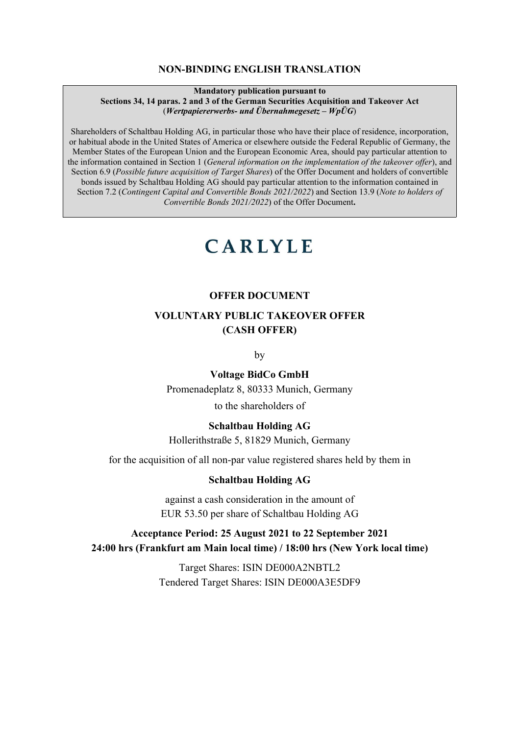#### **NON-BINDING ENGLISH TRANSLATION**

#### **Mandatory publication pursuant to Sections 34, 14 paras. 2 and 3 of the German Securities Acquisition and Takeover Act** (*Wertpapiererwerbs- und Übernahmegesetz – WpÜG*)

Shareholders of Schaltbau Holding AG, in particular those who have their place of residence, incorporation, or habitual abode in the United States of America or elsewhere outside the Federal Republic of Germany, the Member States of the European Union and the European Economic Area, should pay particular attention to the information contained in Section [1](#page-6-0) (*[General information on the implementation of the takeover offer](#page-6-0)*), and Section [6.9](#page-27-0) (*Possible future acquisition of Target Shares*) of the Offer Document and holders of convertible bonds issued by Schaltbau Holding AG should pay particular attention to the information contained in Section [7.2](#page-28-0) (*Contingent Capital and Convertible Bonds 2021/2022*) and Section [13.9](#page-52-0) (*Note to holders of Convertible Bonds 2021/2022*) of the Offer Document**.**

# **CARLYLE**

#### **OFFER DOCUMENT**

# **VOLUNTARY PUBLIC TAKEOVER OFFER (CASH OFFER)**

by

#### **Voltage BidCo GmbH**

Promenadeplatz 8, 80333 Munich, Germany

to the shareholders of

### **Schaltbau Holding AG**

Hollerithstraße 5, 81829 Munich, Germany

for the acquisition of all non-par value registered shares held by them in

#### **Schaltbau Holding AG**

against a cash consideration in the amount of EUR 53.50 per share of Schaltbau Holding AG

# **Acceptance Period: 25 August 2021 to 22 September 2021 24:00 hrs (Frankfurt am Main local time) / 18:00 hrs (New York local time)**

Target Shares: ISIN DE000A2NBTL2 Tendered Target Shares: ISIN DE000A3E5DF9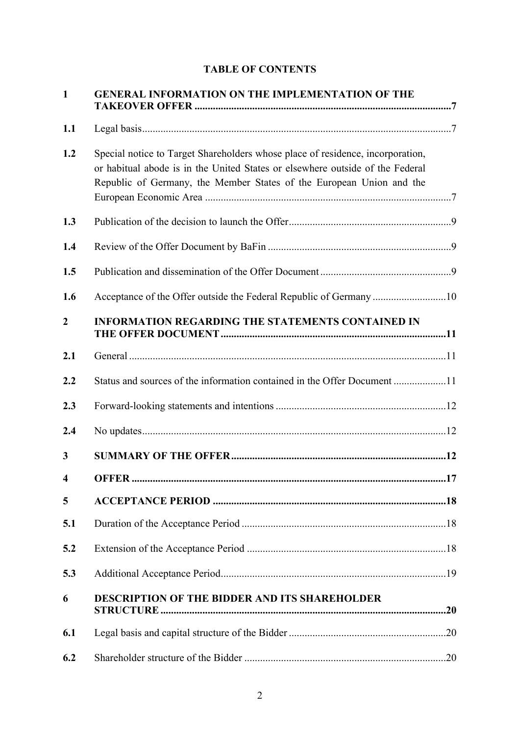|  | <b>TABLE OF CONTENTS</b> |
|--|--------------------------|
|--|--------------------------|

| $\mathbf{1}$           | <b>GENERAL INFORMATION ON THE IMPLEMENTATION OF THE</b>                                                                                                                                                                                 |
|------------------------|-----------------------------------------------------------------------------------------------------------------------------------------------------------------------------------------------------------------------------------------|
| 1.1                    |                                                                                                                                                                                                                                         |
| 1.2                    | Special notice to Target Shareholders whose place of residence, incorporation,<br>or habitual abode is in the United States or elsewhere outside of the Federal<br>Republic of Germany, the Member States of the European Union and the |
| 1.3                    |                                                                                                                                                                                                                                         |
| 1.4                    |                                                                                                                                                                                                                                         |
| 1.5                    |                                                                                                                                                                                                                                         |
| 1.6                    | Acceptance of the Offer outside the Federal Republic of Germany 10                                                                                                                                                                      |
| $\overline{2}$         | <b>INFORMATION REGARDING THE STATEMENTS CONTAINED IN</b>                                                                                                                                                                                |
| 2.1                    |                                                                                                                                                                                                                                         |
| 2.2                    | Status and sources of the information contained in the Offer Document 11                                                                                                                                                                |
| 2.3                    |                                                                                                                                                                                                                                         |
| 2.4                    |                                                                                                                                                                                                                                         |
| 3                      |                                                                                                                                                                                                                                         |
| $\boldsymbol{\Lambda}$ | OFFER.<br>.17                                                                                                                                                                                                                           |
| 5                      |                                                                                                                                                                                                                                         |
| 5.1                    |                                                                                                                                                                                                                                         |
| 5.2                    |                                                                                                                                                                                                                                         |
| 5.3                    |                                                                                                                                                                                                                                         |
| 6                      | DESCRIPTION OF THE BIDDER AND ITS SHAREHOLDER                                                                                                                                                                                           |
| 6.1                    |                                                                                                                                                                                                                                         |
| 6.2                    |                                                                                                                                                                                                                                         |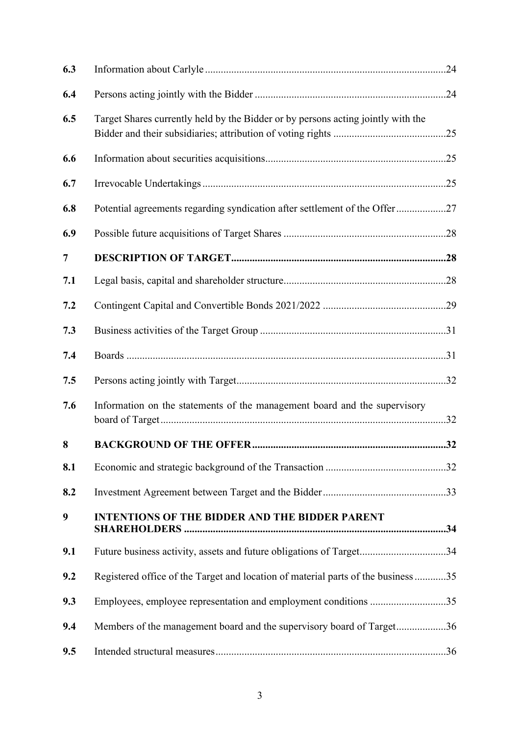| 6.3            |                                                                                   |  |
|----------------|-----------------------------------------------------------------------------------|--|
| 6.4            |                                                                                   |  |
| 6.5            | Target Shares currently held by the Bidder or by persons acting jointly with the  |  |
| 6.6            |                                                                                   |  |
| 6.7            |                                                                                   |  |
| 6.8            | Potential agreements regarding syndication after settlement of the Offer27        |  |
| 6.9            |                                                                                   |  |
| $\overline{7}$ |                                                                                   |  |
| 7.1            |                                                                                   |  |
| 7.2            |                                                                                   |  |
| 7.3            |                                                                                   |  |
| 7.4            |                                                                                   |  |
| 7.5            |                                                                                   |  |
| 7.6            | Information on the statements of the management board and the supervisory         |  |
| 8              |                                                                                   |  |
| 8.1            |                                                                                   |  |
| 8.2            |                                                                                   |  |
| 9              | <b>INTENTIONS OF THE BIDDER AND THE BIDDER PARENT</b>                             |  |
| 9.1            | Future business activity, assets and future obligations of Target34               |  |
| 9.2            | Registered office of the Target and location of material parts of the business 35 |  |
| 9.3            | Employees, employee representation and employment conditions 35                   |  |
| 9.4            | Members of the management board and the supervisory board of Target36             |  |
| 9.5            |                                                                                   |  |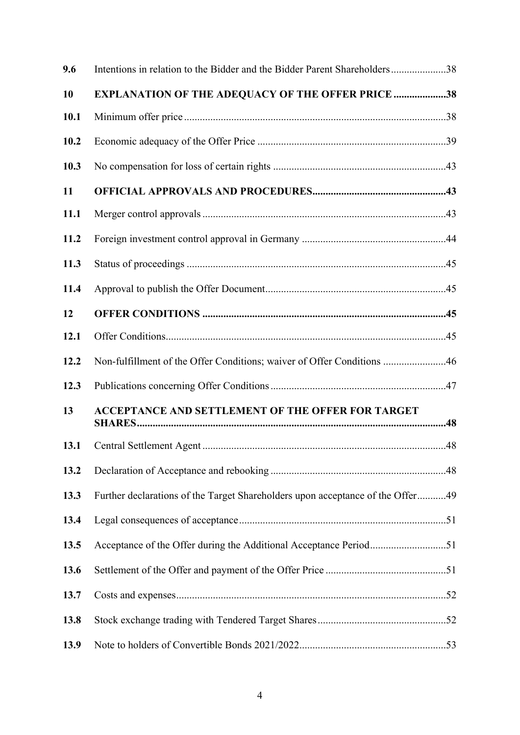| 9.6         | Intentions in relation to the Bidder and the Bidder Parent Shareholders38      |  |
|-------------|--------------------------------------------------------------------------------|--|
| 10          | <b>EXPLANATION OF THE ADEQUACY OF THE OFFER PRICE 38</b>                       |  |
| 10.1        |                                                                                |  |
| 10.2        |                                                                                |  |
| 10.3        |                                                                                |  |
| 11          |                                                                                |  |
| <b>11.1</b> |                                                                                |  |
| 11.2        |                                                                                |  |
| 11.3        |                                                                                |  |
| 11.4        |                                                                                |  |
| 12          |                                                                                |  |
| 12.1        |                                                                                |  |
| 12.2        | Non-fulfillment of the Offer Conditions; waiver of Offer Conditions 46         |  |
| 12.3        |                                                                                |  |
| 13          | <b>ACCEPTANCE AND SETTLEMENT OF THE OFFER FOR TARGET</b>                       |  |
| 13.1        |                                                                                |  |
| 13.2        |                                                                                |  |
| 13.3        | Further declarations of the Target Shareholders upon acceptance of the Offer49 |  |
| 13.4        |                                                                                |  |
| 13.5        | Acceptance of the Offer during the Additional Acceptance Period51              |  |
| 13.6        |                                                                                |  |
| 13.7        |                                                                                |  |
| 13.8        |                                                                                |  |
| 13.9        |                                                                                |  |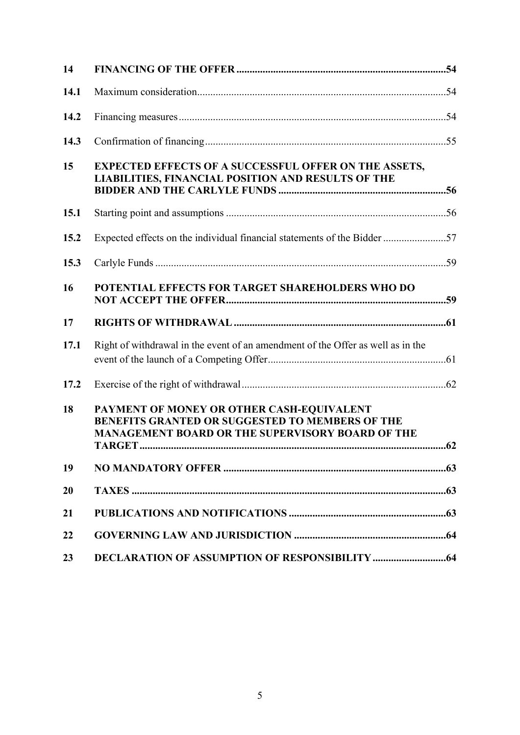| 14   |                                                                                                                                                                |
|------|----------------------------------------------------------------------------------------------------------------------------------------------------------------|
| 14.1 |                                                                                                                                                                |
| 14.2 |                                                                                                                                                                |
| 14.3 |                                                                                                                                                                |
| 15   | <b>EXPECTED EFFECTS OF A SUCCESSFUL OFFER ON THE ASSETS,</b><br>LIABILITIES, FINANCIAL POSITION AND RESULTS OF THE                                             |
| 15.1 |                                                                                                                                                                |
| 15.2 | Expected effects on the individual financial statements of the Bidder 57                                                                                       |
| 15.3 |                                                                                                                                                                |
| 16   | POTENTIAL EFFECTS FOR TARGET SHAREHOLDERS WHO DO                                                                                                               |
| 17   |                                                                                                                                                                |
| 17.1 | Right of withdrawal in the event of an amendment of the Offer as well as in the                                                                                |
| 17.2 |                                                                                                                                                                |
| 18   | PAYMENT OF MONEY OR OTHER CASH-EQUIVALENT<br><b>BENEFITS GRANTED OR SUGGESTED TO MEMBERS OF THE</b><br><b>MANAGEMENT BOARD OR THE SUPERVISORY BOARD OF THE</b> |
| 19   |                                                                                                                                                                |
| 20   |                                                                                                                                                                |
| 21   |                                                                                                                                                                |
| 22   |                                                                                                                                                                |
| 23   |                                                                                                                                                                |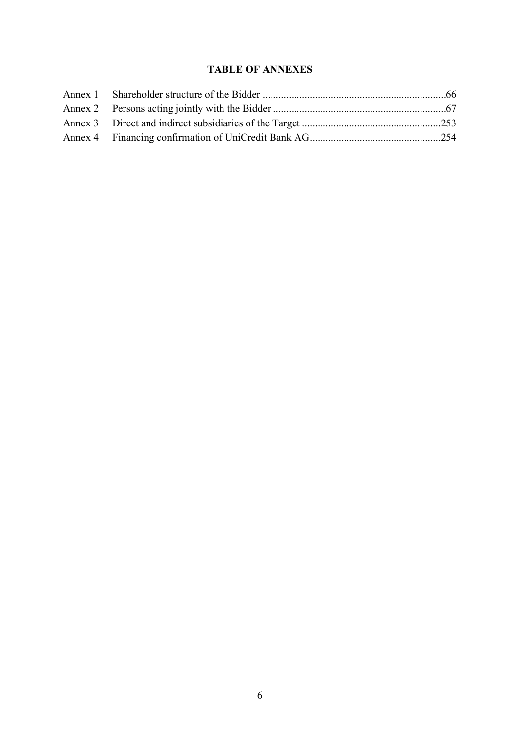# **TABLE OF ANNEXES**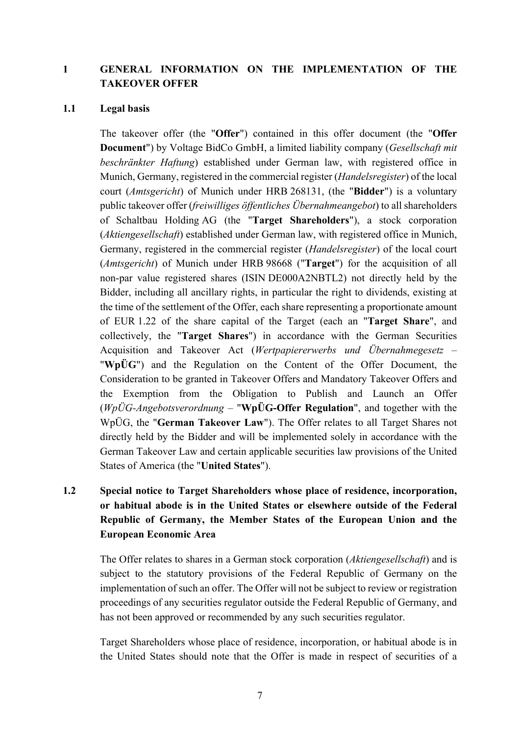# <span id="page-6-0"></span>**1 GENERAL INFORMATION ON THE IMPLEMENTATION OF THE TAKEOVER OFFER**

#### <span id="page-6-1"></span>**1.1 Legal basis**

The takeover offer (the "**Offer**") contained in this offer document (the "**Offer Document**") by Voltage BidCo GmbH, a limited liability company (*Gesellschaft mit beschränkter Haftung*) established under German law, with registered office in Munich, Germany, registered in the commercial register (*Handelsregister*) of the local court (*Amtsgericht*) of Munich under HRB 268131, (the "**Bidder**") is a voluntary public takeover offer (*freiwilliges öffentliches Übernahmeangebot*) to all shareholders of Schaltbau Holding AG (the "**Target Shareholders**"), a stock corporation (*Aktiengesellschaft*) established under German law, with registered office in Munich, Germany, registered in the commercial register (*Handelsregister*) of the local court (*Amtsgericht*) of Munich under HRB 98668 ("**Target**") for the acquisition of all non-par value registered shares (ISIN DE000A2NBTL2) not directly held by the Bidder, including all ancillary rights, in particular the right to dividends, existing at the time of the settlement of the Offer, each share representing a proportionate amount of EUR 1.22 of the share capital of the Target (each an "**Target Share**", and collectively, the "**Target Shares**") in accordance with the German Securities Acquisition and Takeover Act (*Wertpapiererwerbs und Übernahmegesetz* – "**WpÜG**") and the Regulation on the Content of the Offer Document, the Consideration to be granted in Takeover Offers and Mandatory Takeover Offers and the Exemption from the Obligation to Publish and Launch an Offer (*WpÜG-Angebotsverordnung* – "**WpÜG-Offer Regulation**", and together with the WpÜG, the "**German Takeover Law**"). The Offer relates to all Target Shares not directly held by the Bidder and will be implemented solely in accordance with the German Takeover Law and certain applicable securities law provisions of the United States of America (the "**United States**").

# <span id="page-6-2"></span>**1.2 Special notice to Target Shareholders whose place of residence, incorporation, or habitual abode is in the United States or elsewhere outside of the Federal Republic of Germany, the Member States of the European Union and the European Economic Area**

The Offer relates to shares in a German stock corporation (*Aktiengesellschaft*) and is subject to the statutory provisions of the Federal Republic of Germany on the implementation of such an offer. The Offer will not be subject to review or registration proceedings of any securities regulator outside the Federal Republic of Germany, and has not been approved or recommended by any such securities regulator.

Target Shareholders whose place of residence, incorporation, or habitual abode is in the United States should note that the Offer is made in respect of securities of a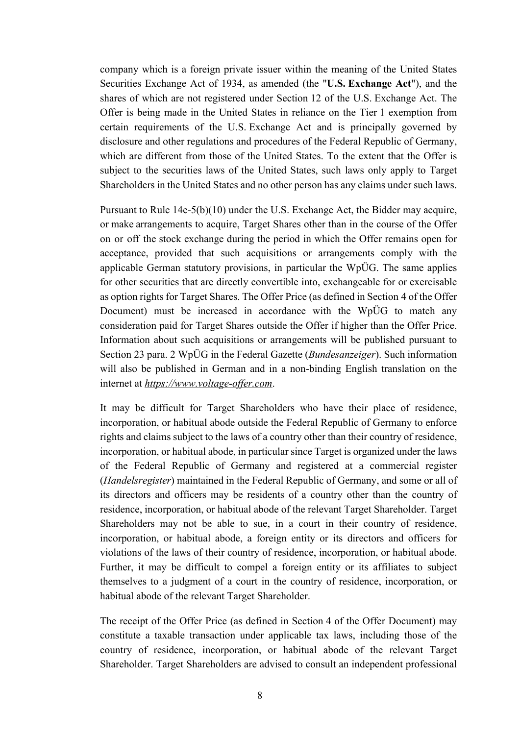company which is a foreign private issuer within the meaning of the United States Securities Exchange Act of 1934, as amended (the "**U.S. Exchange Act**"), and the shares of which are not registered under Section 12 of the U.S. Exchange Act. The Offer is being made in the United States in reliance on the Tier 1 exemption from certain requirements of the U.S. Exchange Act and is principally governed by disclosure and other regulations and procedures of the Federal Republic of Germany, which are different from those of the United States. To the extent that the Offer is subject to the securities laws of the United States, such laws only apply to Target Shareholders in the United States and no other person has any claims under such laws.

Pursuant to Rule 14e-5(b)(10) under the U.S. Exchange Act, the Bidder may acquire, or make arrangements to acquire, Target Shares other than in the course of the Offer on or off the stock exchange during the period in which the Offer remains open for acceptance, provided that such acquisitions or arrangements comply with the applicable German statutory provisions, in particular the WpÜG. The same applies for other securities that are directly convertible into, exchangeable for or exercisable as option rights for Target Shares. The Offer Price (as defined in Section [4](#page-17-0) of the Offer Document) must be increased in accordance with the WpÜG to match any consideration paid for Target Shares outside the Offer if higher than the Offer Price. Information about such acquisitions or arrangements will be published pursuant to Section 23 para. 2 WpÜG in the Federal Gazette (*Bundesanzeiger*). Such information will also be published in German and in a non-binding English translation on the internet at *https://www.voltage-offer.com*.

It may be difficult for Target Shareholders who have their place of residence, incorporation, or habitual abode outside the Federal Republic of Germany to enforce rights and claims subject to the laws of a country other than their country of residence, incorporation, or habitual abode, in particular since Target is organized under the laws of the Federal Republic of Germany and registered at a commercial register (*Handelsregister*) maintained in the Federal Republic of Germany, and some or all of its directors and officers may be residents of a country other than the country of residence, incorporation, or habitual abode of the relevant Target Shareholder. Target Shareholders may not be able to sue, in a court in their country of residence, incorporation, or habitual abode, a foreign entity or its directors and officers for violations of the laws of their country of residence, incorporation, or habitual abode. Further, it may be difficult to compel a foreign entity or its affiliates to subject themselves to a judgment of a court in the country of residence, incorporation, or habitual abode of the relevant Target Shareholder.

The receipt of the Offer Price (as defined in Section [4](#page-17-0) of the Offer Document) may constitute a taxable transaction under applicable tax laws, including those of the country of residence, incorporation, or habitual abode of the relevant Target Shareholder. Target Shareholders are advised to consult an independent professional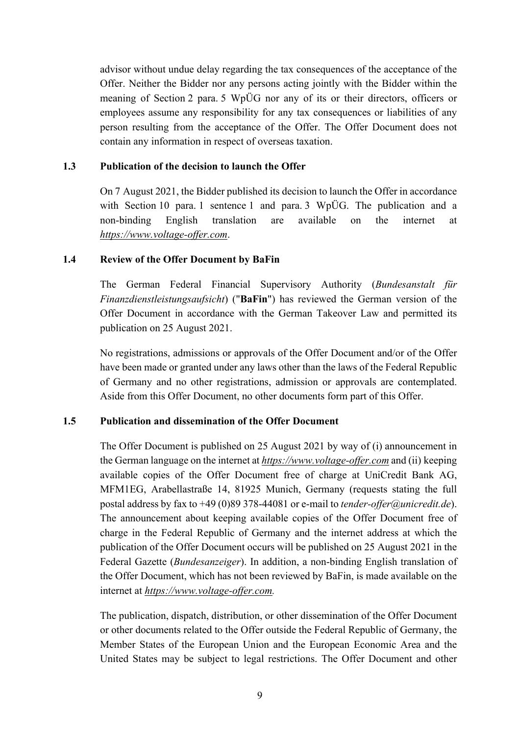advisor without undue delay regarding the tax consequences of the acceptance of the Offer. Neither the Bidder nor any persons acting jointly with the Bidder within the meaning of Section 2 para. 5 WpÜG nor any of its or their directors, officers or employees assume any responsibility for any tax consequences or liabilities of any person resulting from the acceptance of the Offer. The Offer Document does not contain any information in respect of overseas taxation.

### <span id="page-8-0"></span>**1.3 Publication of the decision to launch the Offer**

On 7 August 2021, the Bidder published its decision to launch the Offer in accordance with Section 10 para. 1 sentence 1 and para. 3 WpÜG. The publication and a non-binding English translation are available on the internet at *https://www.voltage-offer.com*.

# <span id="page-8-1"></span>**1.4 Review of the Offer Document by BaFin**

The German Federal Financial Supervisory Authority (*Bundesanstalt für Finanzdienstleistungsaufsicht*) ("**BaFin**") has reviewed the German version of the Offer Document in accordance with the German Takeover Law and permitted its publication on 25 August 2021.

No registrations, admissions or approvals of the Offer Document and/or of the Offer have been made or granted under any laws other than the laws of the Federal Republic of Germany and no other registrations, admission or approvals are contemplated. Aside from this Offer Document, no other documents form part of this Offer.

# <span id="page-8-2"></span>**1.5 Publication and dissemination of the Offer Document**

The Offer Document is published on 25 August 2021 by way of (i) announcement in the German language on the internet at *https://www.voltage-offer.com* and (ii) keeping available copies of the Offer Document free of charge at UniCredit Bank AG, MFM1EG, Arabellastraße 14, 81925 Munich, Germany (requests stating the full postal address by fax to +49 (0)89 378-44081 or e-mail to *[tender-offer@unicredit.de](mailto:tender-offer@unicredit.de)*). The announcement about keeping available copies of the Offer Document free of charge in the Federal Republic of Germany and the internet address at which the publication of the Offer Document occurs will be published on 25 August 2021 in the Federal Gazette (*Bundesanzeiger*). In addition, a non-binding English translation of the Offer Document, which has not been reviewed by BaFin, is made available on the internet at *https://www.voltage-offer.com.*

The publication, dispatch, distribution, or other dissemination of the Offer Document or other documents related to the Offer outside the Federal Republic of Germany, the Member States of the European Union and the European Economic Area and the United States may be subject to legal restrictions. The Offer Document and other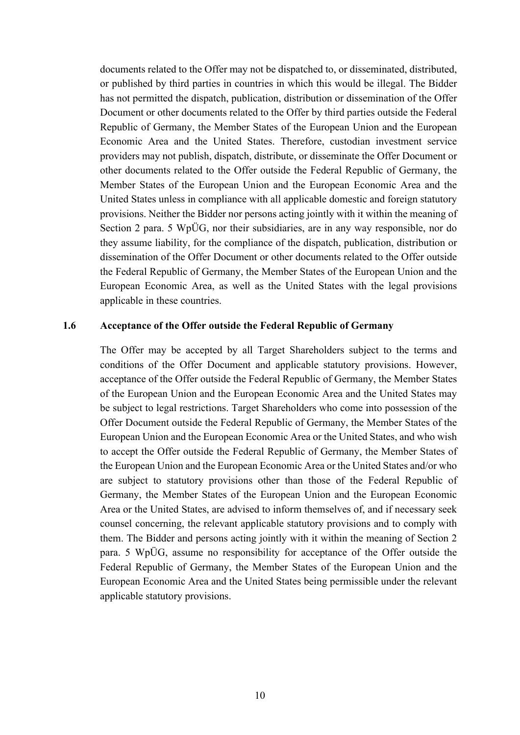documents related to the Offer may not be dispatched to, or disseminated, distributed, or published by third parties in countries in which this would be illegal. The Bidder has not permitted the dispatch, publication, distribution or dissemination of the Offer Document or other documents related to the Offer by third parties outside the Federal Republic of Germany, the Member States of the European Union and the European Economic Area and the United States. Therefore, custodian investment service providers may not publish, dispatch, distribute, or disseminate the Offer Document or other documents related to the Offer outside the Federal Republic of Germany, the Member States of the European Union and the European Economic Area and the United States unless in compliance with all applicable domestic and foreign statutory provisions. Neither the Bidder nor persons acting jointly with it within the meaning of Section 2 para. 5 WpÜG, nor their subsidiaries, are in any way responsible, nor do they assume liability, for the compliance of the dispatch, publication, distribution or dissemination of the Offer Document or other documents related to the Offer outside the Federal Republic of Germany, the Member States of the European Union and the European Economic Area, as well as the United States with the legal provisions applicable in these countries.

#### <span id="page-9-0"></span>**1.6 Acceptance of the Offer outside the Federal Republic of Germany**

The Offer may be accepted by all Target Shareholders subject to the terms and conditions of the Offer Document and applicable statutory provisions. However, acceptance of the Offer outside the Federal Republic of Germany, the Member States of the European Union and the European Economic Area and the United States may be subject to legal restrictions. Target Shareholders who come into possession of the Offer Document outside the Federal Republic of Germany, the Member States of the European Union and the European Economic Area or the United States, and who wish to accept the Offer outside the Federal Republic of Germany, the Member States of the European Union and the European Economic Area or the United States and/or who are subject to statutory provisions other than those of the Federal Republic of Germany, the Member States of the European Union and the European Economic Area or the United States, are advised to inform themselves of, and if necessary seek counsel concerning, the relevant applicable statutory provisions and to comply with them. The Bidder and persons acting jointly with it within the meaning of Section 2 para. 5 WpÜG, assume no responsibility for acceptance of the Offer outside the Federal Republic of Germany, the Member States of the European Union and the European Economic Area and the United States being permissible under the relevant applicable statutory provisions.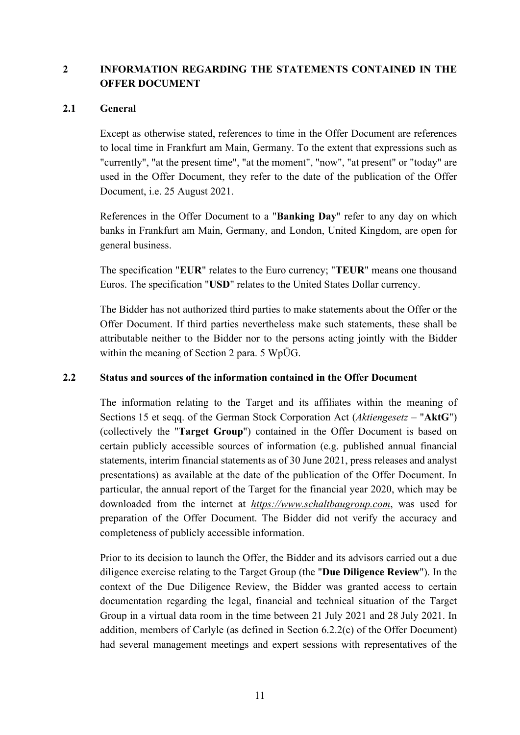# <span id="page-10-0"></span>**2 INFORMATION REGARDING THE STATEMENTS CONTAINED IN THE OFFER DOCUMENT**

### <span id="page-10-1"></span>**2.1 General**

Except as otherwise stated, references to time in the Offer Document are references to local time in Frankfurt am Main, Germany. To the extent that expressions such as "currently", "at the present time", "at the moment", "now", "at present" or "today" are used in the Offer Document, they refer to the date of the publication of the Offer Document, i.e. 25 August 2021.

References in the Offer Document to a "**Banking Day**" refer to any day on which banks in Frankfurt am Main, Germany, and London, United Kingdom, are open for general business.

The specification "**EUR**" relates to the Euro currency; "**TEUR**" means one thousand Euros. The specification "**USD**" relates to the United States Dollar currency.

The Bidder has not authorized third parties to make statements about the Offer or the Offer Document. If third parties nevertheless make such statements, these shall be attributable neither to the Bidder nor to the persons acting jointly with the Bidder within the meaning of Section 2 para. 5 WpÜG.

# <span id="page-10-2"></span>**2.2 Status and sources of the information contained in the Offer Document**

The information relating to the Target and its affiliates within the meaning of Sections 15 et seqq. of the German Stock Corporation Act (*Aktiengesetz* – "**AktG**") (collectively the "**Target Group**") contained in the Offer Document is based on certain publicly accessible sources of information (e.g. published annual financial statements, interim financial statements as of 30 June 2021, press releases and analyst presentations) as available at the date of the publication of the Offer Document. In particular, the annual report of the Target for the financial year 2020, which may be downloaded from the internet at *https://www.schaltbaugroup.com*, was used for preparation of the Offer Document. The Bidder did not verify the accuracy and completeness of publicly accessible information.

Prior to its decision to launch the Offer, the Bidder and its advisors carried out a due diligence exercise relating to the Target Group (the "**Due Diligence Review**"). In the context of the Due Diligence Review, the Bidder was granted access to certain documentation regarding the legal, financial and technical situation of the Target Group in a virtual data room in the time between 21 July 2021 and 28 July 2021. In addition, members of Carlyle (as defined in Section [6.2.2\(c\)](#page-22-0) of the Offer Document) had several management meetings and expert sessions with representatives of the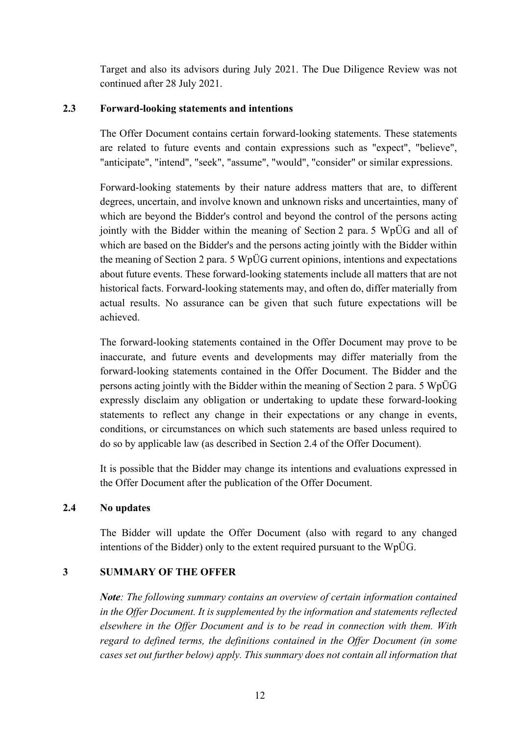Target and also its advisors during July 2021. The Due Diligence Review was not continued after 28 July 2021.

# <span id="page-11-0"></span>**2.3 Forward-looking statements and intentions**

The Offer Document contains certain forward-looking statements. These statements are related to future events and contain expressions such as "expect", "believe", "anticipate", "intend", "seek", "assume", "would", "consider" or similar expressions.

Forward-looking statements by their nature address matters that are, to different degrees, uncertain, and involve known and unknown risks and uncertainties, many of which are beyond the Bidder's control and beyond the control of the persons acting jointly with the Bidder within the meaning of Section 2 para. 5 WpÜG and all of which are based on the Bidder's and the persons acting jointly with the Bidder within the meaning of Section 2 para. 5 WpÜG current opinions, intentions and expectations about future events. These forward-looking statements include all matters that are not historical facts. Forward-looking statements may, and often do, differ materially from actual results. No assurance can be given that such future expectations will be achieved.

The forward-looking statements contained in the Offer Document may prove to be inaccurate, and future events and developments may differ materially from the forward-looking statements contained in the Offer Document. The Bidder and the persons acting jointly with the Bidder within the meaning of Section 2 para. 5 WpÜG expressly disclaim any obligation or undertaking to update these forward-looking statements to reflect any change in their expectations or any change in events, conditions, or circumstances on which such statements are based unless required to do so by applicable law (as described in Section [2.4](#page-11-1) of the Offer Document).

It is possible that the Bidder may change its intentions and evaluations expressed in the Offer Document after the publication of the Offer Document.

# <span id="page-11-1"></span>**2.4 No updates**

The Bidder will update the Offer Document (also with regard to any changed intentions of the Bidder) only to the extent required pursuant to the WpÜG.

# <span id="page-11-2"></span>**3 SUMMARY OF THE OFFER**

*Note: The following summary contains an overview of certain information contained in the Offer Document. It is supplemented by the information and statements reflected elsewhere in the Offer Document and is to be read in connection with them. With regard to defined terms, the definitions contained in the Offer Document (in some cases set out further below) apply. This summary does not contain all information that*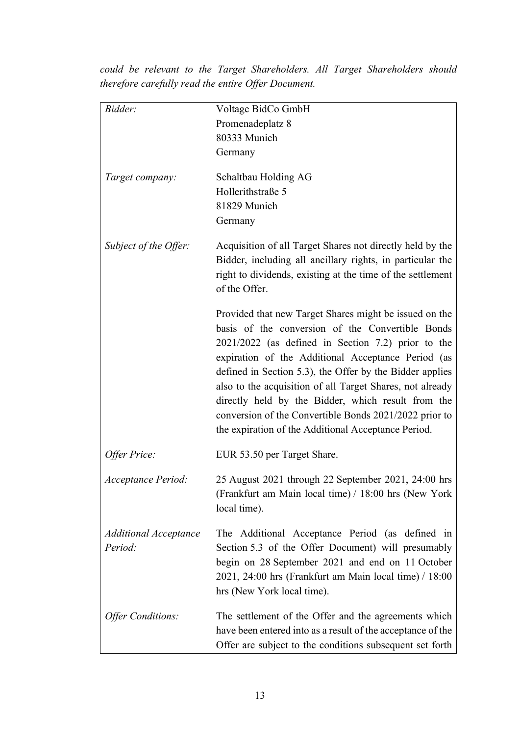| Bidder:                                 | Voltage BidCo GmbH                                                                                                                                                                                                                                                                                                                                                                                                                                                                                                     |
|-----------------------------------------|------------------------------------------------------------------------------------------------------------------------------------------------------------------------------------------------------------------------------------------------------------------------------------------------------------------------------------------------------------------------------------------------------------------------------------------------------------------------------------------------------------------------|
|                                         | Promenadeplatz 8                                                                                                                                                                                                                                                                                                                                                                                                                                                                                                       |
|                                         | 80333 Munich                                                                                                                                                                                                                                                                                                                                                                                                                                                                                                           |
|                                         | Germany                                                                                                                                                                                                                                                                                                                                                                                                                                                                                                                |
| Target company:                         | Schaltbau Holding AG                                                                                                                                                                                                                                                                                                                                                                                                                                                                                                   |
|                                         | Hollerithstraße 5                                                                                                                                                                                                                                                                                                                                                                                                                                                                                                      |
|                                         | 81829 Munich                                                                                                                                                                                                                                                                                                                                                                                                                                                                                                           |
|                                         | Germany                                                                                                                                                                                                                                                                                                                                                                                                                                                                                                                |
| Subject of the Offer:                   | Acquisition of all Target Shares not directly held by the<br>Bidder, including all ancillary rights, in particular the<br>right to dividends, existing at the time of the settlement<br>of the Offer.                                                                                                                                                                                                                                                                                                                  |
|                                         | Provided that new Target Shares might be issued on the<br>basis of the conversion of the Convertible Bonds<br>2021/2022 (as defined in Section 7.2) prior to the<br>expiration of the Additional Acceptance Period (as<br>defined in Section 5.3), the Offer by the Bidder applies<br>also to the acquisition of all Target Shares, not already<br>directly held by the Bidder, which result from the<br>conversion of the Convertible Bonds 2021/2022 prior to<br>the expiration of the Additional Acceptance Period. |
| Offer Price:                            | EUR 53.50 per Target Share.                                                                                                                                                                                                                                                                                                                                                                                                                                                                                            |
| Acceptance Period:                      | 25 August 2021 through 22 September 2021, 24:00 hrs<br>(Frankfurt am Main local time) / 18:00 hrs (New York<br>local time).                                                                                                                                                                                                                                                                                                                                                                                            |
| <b>Additional Acceptance</b><br>Period: | The Additional Acceptance Period (as defined in<br>Section 5.3 of the Offer Document) will presumably<br>begin on 28 September 2021 and end on 11 October<br>2021, 24:00 hrs (Frankfurt am Main local time) / 18:00<br>hrs (New York local time).                                                                                                                                                                                                                                                                      |
| <b>Offer Conditions:</b>                | The settlement of the Offer and the agreements which<br>have been entered into as a result of the acceptance of the<br>Offer are subject to the conditions subsequent set forth                                                                                                                                                                                                                                                                                                                                        |

*could be relevant to the Target Shareholders. All Target Shareholders should therefore carefully read the entire Offer Document.*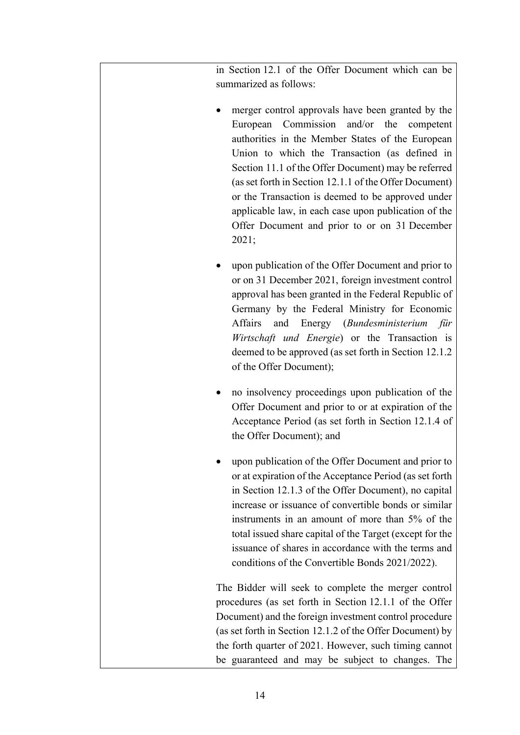in Section [12.1](#page-45-1) of the Offer Document which can be summarized as follows:

- merger control approvals have been granted by the European Commission and/or the competent authorities in the Member States of the European Union to which the Transaction (as defined in Section [11.1](#page-42-2) of the Offer Document) may be referred (as set forth in Section [12.1.1](#page-45-2) of the Offer Document) or the Transaction is deemed to be approved under applicable law, in each case upon publication of the Offer Document and prior to or on 31 December 2021;
- upon publication of the Offer Document and prior to or on 31 December 2021, foreign investment control approval has been granted in the Federal Republic of Germany by the Federal Ministry for Economic Affairs and Energy (*Bundesministerium für Wirtschaft und Energie*) or the Transaction is deemed to be approved (as set forth in Section [12.1.2](#page-45-3)  of the Offer Document);
- no insolvency proceedings upon publication of the Offer Document and prior to or at expiration of the Acceptance Period (as set forth in Section [12.1.4](#page-46-2) of the Offer Document); and
- upon publication of the Offer Document and prior to or at expiration of the Acceptance Period (as set forth in Section [12.1.3](#page-45-4) of the Offer Document), no capital increase or issuance of convertible bonds or similar instruments in an amount of more than 5% of the total issued share capital of the Target (except for the issuance of shares in accordance with the terms and conditions of the Convertible Bonds 2021/2022).

The Bidder will seek to complete the merger control procedures (as set forth in Section [12.1.1](#page-45-2) of the Offer Document) and the foreign investment control procedure (as set forth in Section [12.1.2](#page-45-3) of the Offer Document) by the forth quarter of 2021. However, such timing cannot be guaranteed and may be subject to changes. The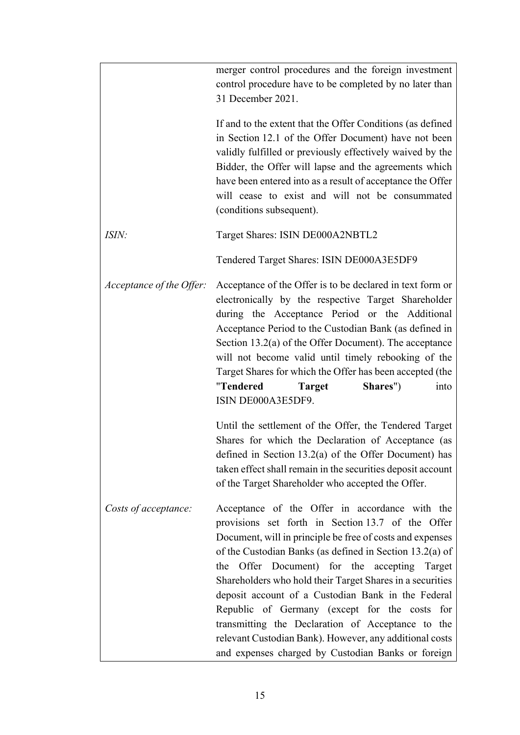|                          | merger control procedures and the foreign investment<br>control procedure have to be completed by no later than<br>31 December 2021.                                                                                                                                                                                                                                                                                                                                                                                                                                                                                         |
|--------------------------|------------------------------------------------------------------------------------------------------------------------------------------------------------------------------------------------------------------------------------------------------------------------------------------------------------------------------------------------------------------------------------------------------------------------------------------------------------------------------------------------------------------------------------------------------------------------------------------------------------------------------|
|                          | If and to the extent that the Offer Conditions (as defined<br>in Section 12.1 of the Offer Document) have not been<br>validly fulfilled or previously effectively waived by the<br>Bidder, the Offer will lapse and the agreements which<br>have been entered into as a result of acceptance the Offer<br>will cease to exist and will not be consummated<br>(conditions subsequent).                                                                                                                                                                                                                                        |
| <i>ISIN:</i>             | Target Shares: ISIN DE000A2NBTL2                                                                                                                                                                                                                                                                                                                                                                                                                                                                                                                                                                                             |
|                          | Tendered Target Shares: ISIN DE000A3E5DF9                                                                                                                                                                                                                                                                                                                                                                                                                                                                                                                                                                                    |
| Acceptance of the Offer: | Acceptance of the Offer is to be declared in text form or<br>electronically by the respective Target Shareholder<br>during the Acceptance Period or the Additional<br>Acceptance Period to the Custodian Bank (as defined in<br>Section $13.2(a)$ of the Offer Document). The acceptance<br>will not become valid until timely rebooking of the<br>Target Shares for which the Offer has been accepted (the<br>"Tendered<br>Shares")<br>Target<br>into<br>ISIN DE000A3E5DF9.<br>Until the settlement of the Offer, the Tendered Target                                                                                       |
|                          | Shares for which the Declaration of Acceptance (as<br>defined in Section 13.2(a) of the Offer Document) has<br>taken effect shall remain in the securities deposit account<br>of the Target Shareholder who accepted the Offer.                                                                                                                                                                                                                                                                                                                                                                                              |
| Costs of acceptance:     | Acceptance of the Offer in accordance with the<br>provisions set forth in Section 13.7 of the Offer<br>Document, will in principle be free of costs and expenses<br>of the Custodian Banks (as defined in Section 13.2(a) of<br>Offer Document) for the accepting<br>Target<br>the<br>Shareholders who hold their Target Shares in a securities<br>deposit account of a Custodian Bank in the Federal<br>Republic of Germany (except for the costs for<br>transmitting the Declaration of Acceptance to the<br>relevant Custodian Bank). However, any additional costs<br>and expenses charged by Custodian Banks or foreign |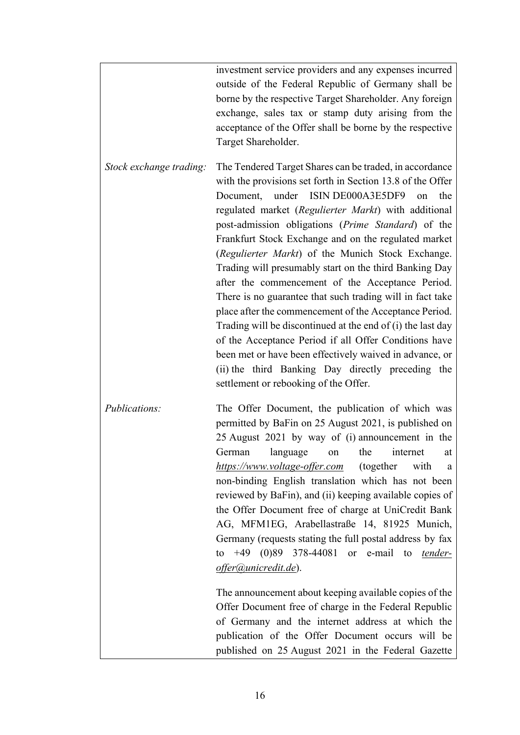|                         | investment service providers and any expenses incurred      |
|-------------------------|-------------------------------------------------------------|
|                         | outside of the Federal Republic of Germany shall be         |
|                         | borne by the respective Target Shareholder. Any foreign     |
|                         | exchange, sales tax or stamp duty arising from the          |
|                         | acceptance of the Offer shall be borne by the respective    |
|                         | Target Shareholder.                                         |
|                         |                                                             |
| Stock exchange trading: | The Tendered Target Shares can be traded, in accordance     |
|                         | with the provisions set forth in Section 13.8 of the Offer  |
|                         | Document, under ISIN DE000A3E5DF9<br>the<br>on              |
|                         | regulated market (Regulierter Markt) with additional        |
|                         | post-admission obligations (Prime Standard) of the          |
|                         | Frankfurt Stock Exchange and on the regulated market        |
|                         | (Regulierter Markt) of the Munich Stock Exchange.           |
|                         | Trading will presumably start on the third Banking Day      |
|                         | after the commencement of the Acceptance Period.            |
|                         | There is no guarantee that such trading will in fact take   |
|                         | place after the commencement of the Acceptance Period.      |
|                         | Trading will be discontinued at the end of (i) the last day |
|                         | of the Acceptance Period if all Offer Conditions have       |
|                         |                                                             |
|                         | been met or have been effectively waived in advance, or     |
|                         | (ii) the third Banking Day directly preceding the           |
|                         | settlement or rebooking of the Offer.                       |
| Publications:           | The Offer Document, the publication of which was            |
|                         | permitted by BaFin on 25 August 2021, is published on       |
|                         | 25 August 2021 by way of (i) announcement in the            |
|                         |                                                             |
|                         | German language on the internet at                          |
|                         | https://www.voltage-offer.com (together<br>with<br>a        |
|                         | non-binding English translation which has not been          |
|                         | reviewed by BaFin), and (ii) keeping available copies of    |
|                         | the Offer Document free of charge at UniCredit Bank         |
|                         | AG, MFM1EG, Arabellastraße 14, 81925 Munich,                |
|                         | Germany (requests stating the full postal address by fax    |
|                         | +49 $(0)89$ 378-44081 or e-mail to <i>tender-</i><br>to     |
|                         | offer@unicredit.de).                                        |
|                         |                                                             |
|                         | The announcement about keeping available copies of the      |
|                         | Offer Document free of charge in the Federal Republic       |
|                         | of Germany and the internet address at which the            |
|                         | publication of the Offer Document occurs will be            |
|                         | published on 25 August 2021 in the Federal Gazette          |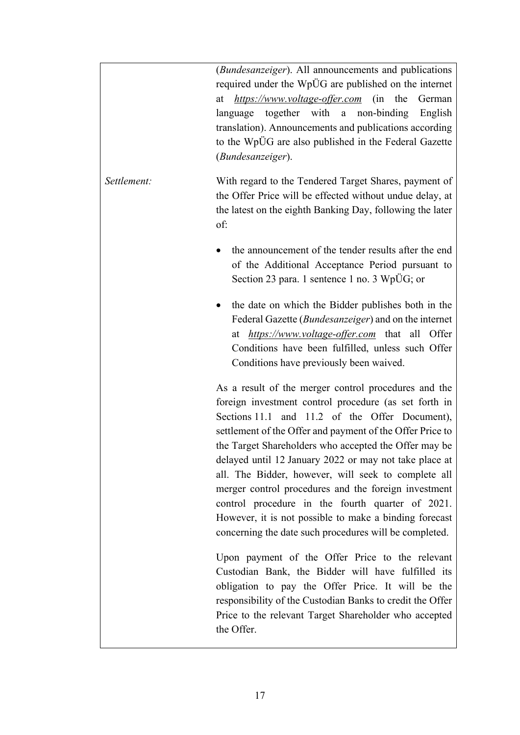|             | ( <i>Bundesanzeiger</i> ). All announcements and publications<br>required under the WpÜG are published on the internet<br>https://www.voltage-offer.com (in the<br>German<br>at<br>non-binding<br>language together with a<br>English<br>translation). Announcements and publications according<br>to the WpÜG are also published in the Federal Gazette<br>(Bundesanzeiger).                                                                                                                                                                                                                                                          |  |  |
|-------------|----------------------------------------------------------------------------------------------------------------------------------------------------------------------------------------------------------------------------------------------------------------------------------------------------------------------------------------------------------------------------------------------------------------------------------------------------------------------------------------------------------------------------------------------------------------------------------------------------------------------------------------|--|--|
| Settlement: | With regard to the Tendered Target Shares, payment of<br>the Offer Price will be effected without undue delay, at<br>the latest on the eighth Banking Day, following the later<br>of:                                                                                                                                                                                                                                                                                                                                                                                                                                                  |  |  |
|             | the announcement of the tender results after the end<br>of the Additional Acceptance Period pursuant to<br>Section 23 para. 1 sentence 1 no. 3 WpÜG; or                                                                                                                                                                                                                                                                                                                                                                                                                                                                                |  |  |
|             | the date on which the Bidder publishes both in the<br>Federal Gazette ( <i>Bundesanzeiger</i> ) and on the internet<br>https://www.voltage-offer.com that all Offer<br>at<br>Conditions have been fulfilled, unless such Offer<br>Conditions have previously been waived.                                                                                                                                                                                                                                                                                                                                                              |  |  |
|             | As a result of the merger control procedures and the<br>foreign investment control procedure (as set forth in<br>Sections 11.1 and 11.2 of the Offer Document),<br>settlement of the Offer and payment of the Offer Price to<br>the Target Shareholders who accepted the Offer may be<br>delayed until 12 January 2022 or may not take place at<br>all. The Bidder, however, will seek to complete all<br>merger control procedures and the foreign investment<br>control procedure in the fourth quarter of 2021.<br>However, it is not possible to make a binding forecast<br>concerning the date such procedures will be completed. |  |  |
|             | Upon payment of the Offer Price to the relevant<br>Custodian Bank, the Bidder will have fulfilled its<br>obligation to pay the Offer Price. It will be the<br>responsibility of the Custodian Banks to credit the Offer<br>Price to the relevant Target Shareholder who accepted<br>the Offer.                                                                                                                                                                                                                                                                                                                                         |  |  |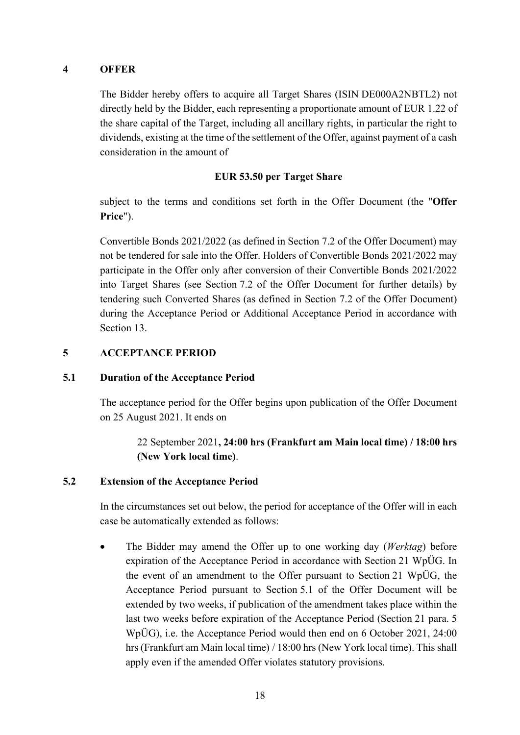### <span id="page-17-0"></span>**4 OFFER**

The Bidder hereby offers to acquire all Target Shares (ISIN DE000A2NBTL2) not directly held by the Bidder, each representing a proportionate amount of EUR 1.22 of the share capital of the Target, including all ancillary rights, in particular the right to dividends, existing at the time of the settlement of the Offer, against payment of a cash consideration in the amount of

### **EUR 53.50 per Target Share**

subject to the terms and conditions set forth in the Offer Document (the "**Offer Price**").

Convertible Bonds 2021/2022 (as defined in Section [7.2](#page-28-0) of the Offer Document) may not be tendered for sale into the Offer. Holders of Convertible Bonds 2021/2022 may participate in the Offer only after conversion of their Convertible Bonds 2021/2022 into Target Shares (see Section [7.2](#page-28-0) of the Offer Document for further details) by tendering such Converted Shares (as defined in Section [7.2](#page-28-0) of the Offer Document) during the Acceptance Period or Additional Acceptance Period in accordance with Section [13.](#page-47-0)

### <span id="page-17-1"></span>**5 ACCEPTANCE PERIOD**

#### <span id="page-17-2"></span>**5.1 Duration of the Acceptance Period**

The acceptance period for the Offer begins upon publication of the Offer Document on 25 August 2021. It ends on

> 22 September 2021**, 24:00 hrs (Frankfurt am Main local time) / 18:00 hrs (New York local time)**.

# <span id="page-17-3"></span>**5.2 Extension of the Acceptance Period**

In the circumstances set out below, the period for acceptance of the Offer will in each case be automatically extended as follows:

 The Bidder may amend the Offer up to one working day (*Werktag*) before expiration of the Acceptance Period in accordance with Section 21 WpÜG. In the event of an amendment to the Offer pursuant to Section 21 WpÜG, the Acceptance Period pursuant to Section [5.1](#page-17-2) of the Offer Document will be extended by two weeks, if publication of the amendment takes place within the last two weeks before expiration of the Acceptance Period (Section 21 para. 5 WpÜG), i.e. the Acceptance Period would then end on 6 October 2021, 24:00 hrs (Frankfurt am Main local time) / 18:00 hrs (New York local time). This shall apply even if the amended Offer violates statutory provisions.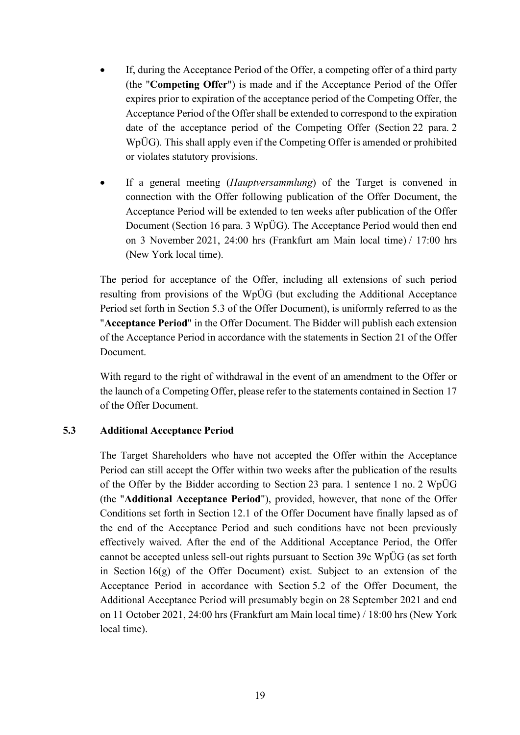- If, during the Acceptance Period of the Offer, a competing offer of a third party (the "**Competing Offer**") is made and if the Acceptance Period of the Offer expires prior to expiration of the acceptance period of the Competing Offer, the Acceptance Period of the Offer shall be extended to correspond to the expiration date of the acceptance period of the Competing Offer (Section 22 para. 2 WpÜG). This shall apply even if the Competing Offer is amended or prohibited or violates statutory provisions.
- If a general meeting (*Hauptversammlung*) of the Target is convened in connection with the Offer following publication of the Offer Document, the Acceptance Period will be extended to ten weeks after publication of the Offer Document (Section 16 para. 3 WpÜG). The Acceptance Period would then end on 3 November 2021, 24:00 hrs (Frankfurt am Main local time) / 17:00 hrs (New York local time).

The period for acceptance of the Offer, including all extensions of such period resulting from provisions of the WpÜG (but excluding the Additional Acceptance Period set forth in Section [5.3](#page-18-0) of the Offer Document), is uniformly referred to as the "**Acceptance Period**" in the Offer Document. The Bidder will publish each extension of the Acceptance Period in accordance with the statements in Section [21](#page-62-2) of the Offer Document.

With regard to the right of withdrawal in the event of an amendment to the Offer or the launch of a Competing Offer, please refer to the statements contained in Section [17](#page-60-0) of the Offer Document.

#### <span id="page-18-0"></span>**5.3 Additional Acceptance Period**

The Target Shareholders who have not accepted the Offer within the Acceptance Period can still accept the Offer within two weeks after the publication of the results of the Offer by the Bidder according to Section 23 para. 1 sentence 1 no. 2 WpÜG (the "**Additional Acceptance Period**"), provided, however, that none of the Offer Conditions set forth in Section [12.1](#page-45-1) of the Offer Document have finally lapsed as of the end of the Acceptance Period and such conditions have not been previously effectively waived. After the end of the Additional Acceptance Period, the Offer cannot be accepted unless sell-out rights pursuant to Section 39c WpÜG (as set forth in Section [16](#page-58-1)[\(g\)](#page-60-2) of the Offer Document) exist. Subject to an extension of the Acceptance Period in accordance with Section [5.2](#page-17-3) of the Offer Document, the Additional Acceptance Period will presumably begin on 28 September 2021 and end on 11 October 2021, 24:00 hrs (Frankfurt am Main local time) / 18:00 hrs (New York local time).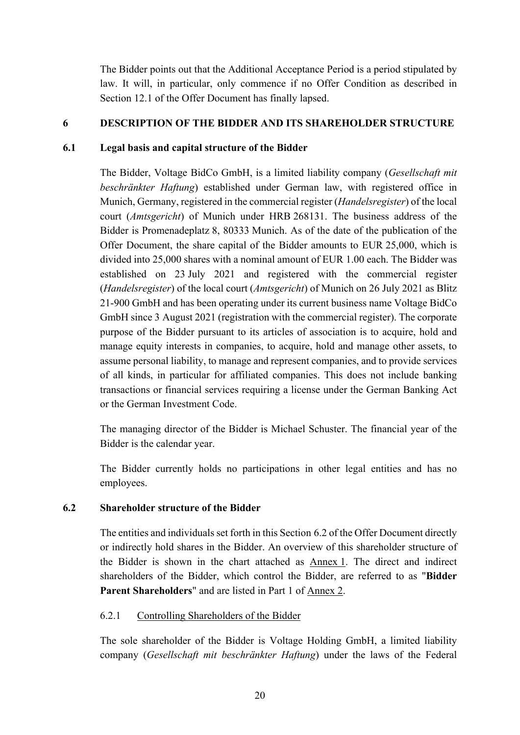The Bidder points out that the Additional Acceptance Period is a period stipulated by law. It will, in particular, only commence if no Offer Condition as described in Section [12.1](#page-45-1) of the Offer Document has finally lapsed.

# <span id="page-19-0"></span>**6 DESCRIPTION OF THE BIDDER AND ITS SHAREHOLDER STRUCTURE**

# <span id="page-19-1"></span>**6.1 Legal basis and capital structure of the Bidder**

The Bidder, Voltage BidCo GmbH, is a limited liability company (*Gesellschaft mit beschränkter Haftung*) established under German law, with registered office in Munich, Germany, registered in the commercial register (*Handelsregister*) of the local court (*Amtsgericht*) of Munich under HRB 268131. The business address of the Bidder is Promenadeplatz 8, 80333 Munich. As of the date of the publication of the Offer Document, the share capital of the Bidder amounts to EUR 25,000, which is divided into 25,000 shares with a nominal amount of EUR 1.00 each. The Bidder was established on 23 July 2021 and registered with the commercial register (*Handelsregister*) of the local court (*Amtsgericht*) of Munich on 26 July 2021 as Blitz 21-900 GmbH and has been operating under its current business name Voltage BidCo GmbH since 3 August 2021 (registration with the commercial register). The corporate purpose of the Bidder pursuant to its articles of association is to acquire, hold and manage equity interests in companies, to acquire, hold and manage other assets, to assume personal liability, to manage and represent companies, and to provide services of all kinds, in particular for affiliated companies. This does not include banking transactions or financial services requiring a license under the German Banking Act or the German Investment Code.

The managing director of the Bidder is Michael Schuster. The financial year of the Bidder is the calendar year.

The Bidder currently holds no participations in other legal entities and has no employees.

# <span id="page-19-2"></span>**6.2 Shareholder structure of the Bidder**

The entities and individuals set forth in this Section [6.2](#page-19-2) of the Offer Document directly or indirectly hold shares in the Bidder. An overview of this shareholder structure of the Bidder is shown in the chart attached as Annex 1. The direct and indirect shareholders of the Bidder, which control the Bidder, are referred to as "**Bidder Parent Shareholders**" and are listed in Part 1 of Annex 2.

# 6.2.1 Controlling Shareholders of the Bidder

The sole shareholder of the Bidder is Voltage Holding GmbH, a limited liability company (*Gesellschaft mit beschränkter Haftung*) under the laws of the Federal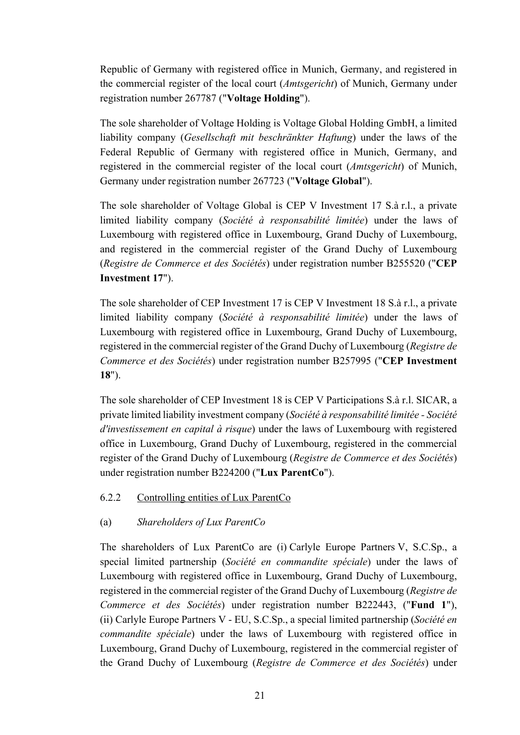Republic of Germany with registered office in Munich, Germany, and registered in the commercial register of the local court (*Amtsgericht*) of Munich, Germany under registration number 267787 ("**Voltage Holding**").

The sole shareholder of Voltage Holding is Voltage Global Holding GmbH, a limited liability company (*Gesellschaft mit beschränkter Haftung*) under the laws of the Federal Republic of Germany with registered office in Munich, Germany, and registered in the commercial register of the local court (*Amtsgericht*) of Munich, Germany under registration number 267723 ("**Voltage Global**").

The sole shareholder of Voltage Global is CEP V Investment 17 S.à r.l., a private limited liability company (*Société à responsabilité limitée*) under the laws of Luxembourg with registered office in Luxembourg, Grand Duchy of Luxembourg, and registered in the commercial register of the Grand Duchy of Luxembourg (*Registre de Commerce et des Sociétés*) under registration number B255520 ("**CEP Investment 17**").

The sole shareholder of CEP Investment 17 is CEP V Investment 18 S.à r.l., a private limited liability company (*Société à responsabilité limitée*) under the laws of Luxembourg with registered office in Luxembourg, Grand Duchy of Luxembourg, registered in the commercial register of the Grand Duchy of Luxembourg (*Registre de Commerce et des Sociétés*) under registration number B257995 ("**CEP Investment 18**").

The sole shareholder of CEP Investment 18 is CEP V Participations S.à r.l. SICAR, a private limited liability investment company (*Société à responsabilité limitée - Société d'investissement en capital à risque*) under the laws of Luxembourg with registered office in Luxembourg, Grand Duchy of Luxembourg, registered in the commercial register of the Grand Duchy of Luxembourg (*Registre de Commerce et des Sociétés*) under registration number B224200 ("**Lux ParentCo**").

# 6.2.2 Controlling entities of Lux ParentCo

# (a) *Shareholders of Lux ParentCo*

The shareholders of Lux ParentCo are (i) Carlyle Europe Partners V, S.C.Sp., a special limited partnership (*Société en commandite spéciale*) under the laws of Luxembourg with registered office in Luxembourg, Grand Duchy of Luxembourg, registered in the commercial register of the Grand Duchy of Luxembourg (*Registre de Commerce et des Sociétés*) under registration number B222443, ("**Fund 1**"), (ii) Carlyle Europe Partners V - EU, S.C.Sp., a special limited partnership (*Société en commandite spéciale*) under the laws of Luxembourg with registered office in Luxembourg, Grand Duchy of Luxembourg, registered in the commercial register of the Grand Duchy of Luxembourg (*Registre de Commerce et des Sociétés*) under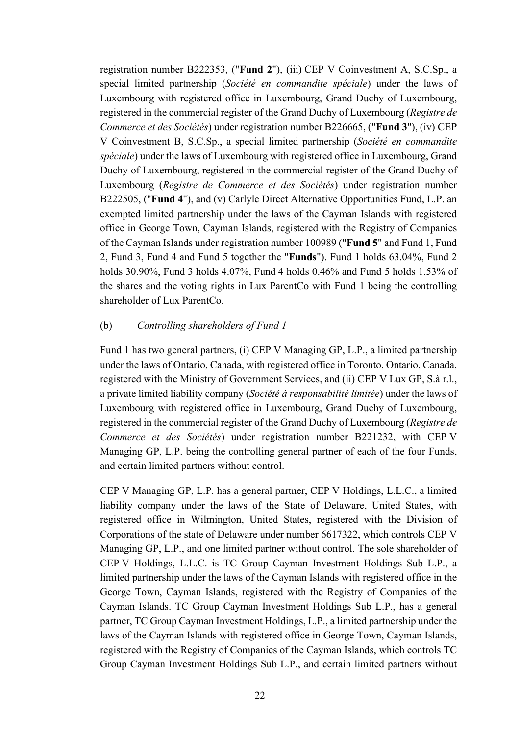registration number B222353, ("**Fund 2**"), (iii) CEP V Coinvestment A, S.C.Sp., a special limited partnership (*Société en commandite spéciale*) under the laws of Luxembourg with registered office in Luxembourg, Grand Duchy of Luxembourg, registered in the commercial register of the Grand Duchy of Luxembourg (*Registre de Commerce et des Sociétés*) under registration number B226665, ("**Fund 3**"), (iv) CEP V Coinvestment B, S.C.Sp., a special limited partnership (*Société en commandite spéciale*) under the laws of Luxembourg with registered office in Luxembourg, Grand Duchy of Luxembourg, registered in the commercial register of the Grand Duchy of Luxembourg (*Registre de Commerce et des Sociétés*) under registration number B222505, ("**Fund 4**"), and (v) Carlyle Direct Alternative Opportunities Fund, L.P. an exempted limited partnership under the laws of the Cayman Islands with registered office in George Town, Cayman Islands, registered with the Registry of Companies of the Cayman Islands under registration number 100989 ("**Fund 5**" and Fund 1, Fund 2, Fund 3, Fund 4 and Fund 5 together the "**Funds**"). Fund 1 holds 63.04%, Fund 2 holds 30.90%, Fund 3 holds 4.07%, Fund 4 holds 0.46% and Fund 5 holds 1.53% of the shares and the voting rights in Lux ParentCo with Fund 1 being the controlling shareholder of Lux ParentCo.

#### (b) *Controlling shareholders of Fund 1*

Fund 1 has two general partners, (i) CEP V Managing GP, L.P., a limited partnership under the laws of Ontario, Canada, with registered office in Toronto, Ontario, Canada, registered with the Ministry of Government Services, and (ii) CEP V Lux GP, S.à r.l., a private limited liability company (*Société à responsabilité limitée*) under the laws of Luxembourg with registered office in Luxembourg, Grand Duchy of Luxembourg, registered in the commercial register of the Grand Duchy of Luxembourg (*Registre de Commerce et des Sociétés*) under registration number B221232, with CEP V Managing GP, L.P. being the controlling general partner of each of the four Funds, and certain limited partners without control.

CEP V Managing GP, L.P. has a general partner, CEP V Holdings, L.L.C., a limited liability company under the laws of the State of Delaware, United States, with registered office in Wilmington, United States, registered with the Division of Corporations of the state of Delaware under number 6617322, which controls CEP V Managing GP, L.P., and one limited partner without control. The sole shareholder of CEP V Holdings, L.L.C. is TC Group Cayman Investment Holdings Sub L.P., a limited partnership under the laws of the Cayman Islands with registered office in the George Town, Cayman Islands, registered with the Registry of Companies of the Cayman Islands. TC Group Cayman Investment Holdings Sub L.P., has a general partner, TC Group Cayman Investment Holdings, L.P., a limited partnership under the laws of the Cayman Islands with registered office in George Town, Cayman Islands, registered with the Registry of Companies of the Cayman Islands, which controls TC Group Cayman Investment Holdings Sub L.P., and certain limited partners without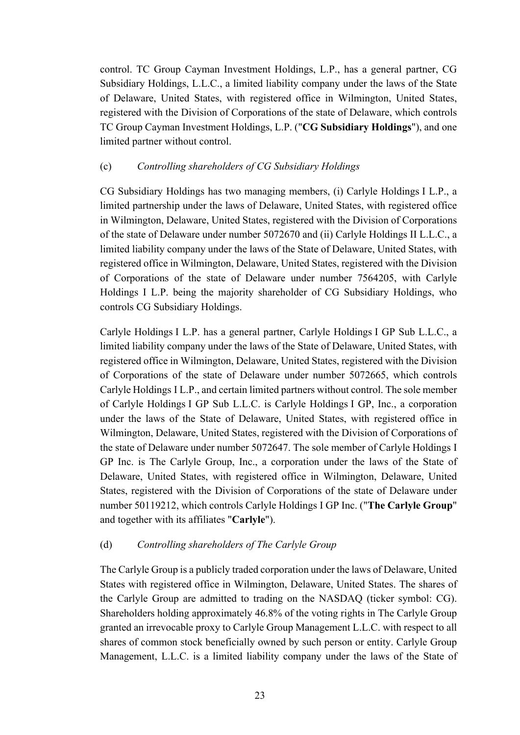control. TC Group Cayman Investment Holdings, L.P., has a general partner, CG Subsidiary Holdings, L.L.C., a limited liability company under the laws of the State of Delaware, United States, with registered office in Wilmington, United States, registered with the Division of Corporations of the state of Delaware, which controls TC Group Cayman Investment Holdings, L.P. ("**CG Subsidiary Holdings**"), and one limited partner without control.

# <span id="page-22-0"></span>(c) *Controlling shareholders of CG Subsidiary Holdings*

CG Subsidiary Holdings has two managing members, (i) Carlyle Holdings I L.P., a limited partnership under the laws of Delaware, United States, with registered office in Wilmington, Delaware, United States, registered with the Division of Corporations of the state of Delaware under number 5072670 and (ii) Carlyle Holdings II L.L.C., a limited liability company under the laws of the State of Delaware, United States, with registered office in Wilmington, Delaware, United States, registered with the Division of Corporations of the state of Delaware under number 7564205, with Carlyle Holdings I L.P. being the majority shareholder of CG Subsidiary Holdings, who controls CG Subsidiary Holdings.

Carlyle Holdings I L.P. has a general partner, Carlyle Holdings I GP Sub L.L.C., a limited liability company under the laws of the State of Delaware, United States, with registered office in Wilmington, Delaware, United States, registered with the Division of Corporations of the state of Delaware under number 5072665, which controls Carlyle Holdings I L.P., and certain limited partners without control. The sole member of Carlyle Holdings I GP Sub L.L.C. is Carlyle Holdings I GP, Inc., a corporation under the laws of the State of Delaware, United States, with registered office in Wilmington, Delaware, United States, registered with the Division of Corporations of the state of Delaware under number 5072647. The sole member of Carlyle Holdings I GP Inc. is The Carlyle Group, Inc., a corporation under the laws of the State of Delaware, United States, with registered office in Wilmington, Delaware, United States, registered with the Division of Corporations of the state of Delaware under number 50119212, which controls Carlyle Holdings I GP Inc. ("**The Carlyle Group**" and together with its affiliates "**Carlyle**").

# (d) *Controlling shareholders of The Carlyle Group*

The Carlyle Group is a publicly traded corporation under the laws of Delaware, United States with registered office in Wilmington, Delaware, United States. The shares of the Carlyle Group are admitted to trading on the NASDAQ (ticker symbol: CG). Shareholders holding approximately 46.8% of the voting rights in The Carlyle Group granted an irrevocable proxy to Carlyle Group Management L.L.C. with respect to all shares of common stock beneficially owned by such person or entity. Carlyle Group Management, L.L.C. is a limited liability company under the laws of the State of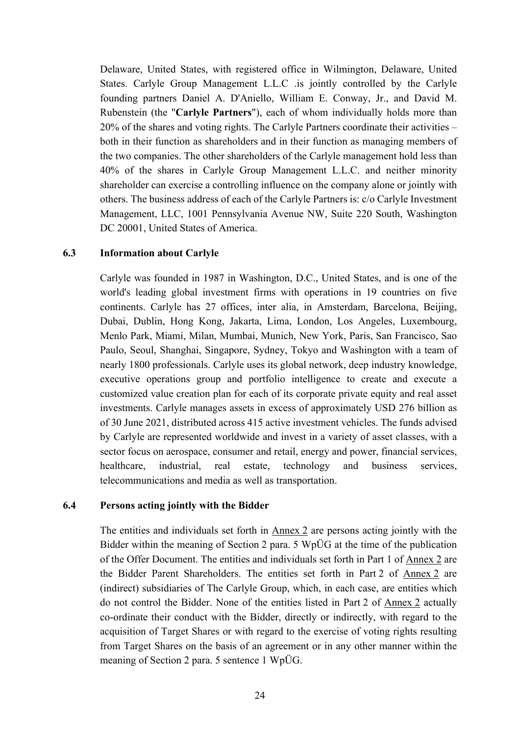Delaware, United States, with registered office in Wilmington, Delaware, United States. Carlyle Group Management L.L.C .is jointly controlled by the Carlyle founding partners Daniel A. D'Aniello, William E. Conway, Jr., and David M. Rubenstein (the "**Carlyle Partners**"), each of whom individually holds more than 20% of the shares and voting rights. The Carlyle Partners coordinate their activities – both in their function as shareholders and in their function as managing members of the two companies. The other shareholders of the Carlyle management hold less than 40% of the shares in Carlyle Group Management L.L.C. and neither minority shareholder can exercise a controlling influence on the company alone or jointly with others. The business address of each of the Carlyle Partners is: c/o Carlyle Investment Management, LLC, 1001 Pennsylvania Avenue NW, Suite 220 South, Washington DC 20001, United States of America.

#### <span id="page-23-0"></span>**6.3 Information about Carlyle**

Carlyle was founded in 1987 in Washington, D.C., United States, and is one of the world's leading global investment firms with operations in 19 countries on five continents. Carlyle has 27 offices, inter alia, in Amsterdam, Barcelona, Beijing, Dubai, Dublin, Hong Kong, Jakarta, Lima, London, Los Angeles, Luxembourg, Menlo Park, Miami, Milan, Mumbai, Munich, New York, Paris, San Francisco, Sao Paulo, Seoul, Shanghai, Singapore, Sydney, Tokyo and Washington with a team of nearly 1800 professionals. Carlyle uses its global network, deep industry knowledge, executive operations group and portfolio intelligence to create and execute a customized value creation plan for each of its corporate private equity and real asset investments. Carlyle manages assets in excess of approximately USD 276 billion as of 30 June 2021, distributed across 415 active investment vehicles. The funds advised by Carlyle are represented worldwide and invest in a variety of asset classes, with a sector focus on aerospace, consumer and retail, energy and power, financial services, healthcare, industrial, real estate, technology and business services, telecommunications and media as well as transportation.

#### <span id="page-23-1"></span>**6.4 Persons acting jointly with the Bidder**

The entities and individuals set forth in Annex 2 are persons acting jointly with the Bidder within the meaning of Section 2 para. 5 WpÜG at the time of the publication of the Offer Document. The entities and individuals set forth in Part 1 of Annex 2 are the Bidder Parent Shareholders. The entities set forth in Part 2 of Annex 2 are (indirect) subsidiaries of The Carlyle Group, which, in each case, are entities which do not control the Bidder. None of the entities listed in Part 2 of Annex 2 actually co-ordinate their conduct with the Bidder, directly or indirectly, with regard to the acquisition of Target Shares or with regard to the exercise of voting rights resulting from Target Shares on the basis of an agreement or in any other manner within the meaning of Section 2 para. 5 sentence 1 WpÜG.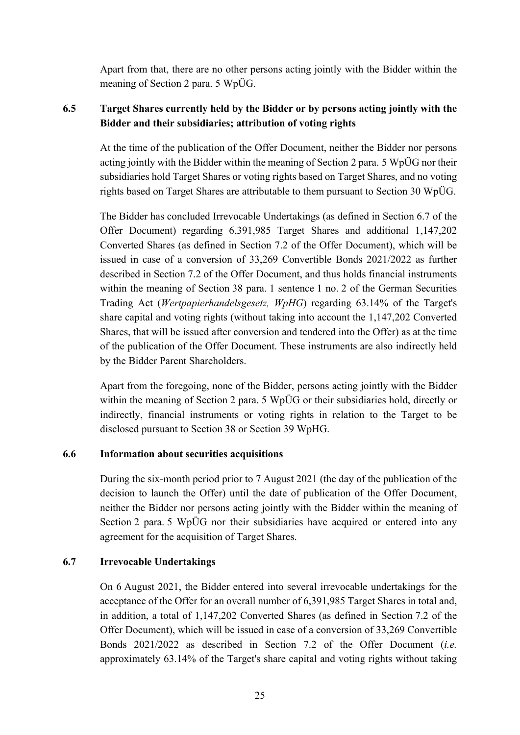Apart from that, there are no other persons acting jointly with the Bidder within the meaning of Section 2 para. 5 WpÜG.

# <span id="page-24-0"></span>**6.5 Target Shares currently held by the Bidder or by persons acting jointly with the Bidder and their subsidiaries; attribution of voting rights**

At the time of the publication of the Offer Document, neither the Bidder nor persons acting jointly with the Bidder within the meaning of Section 2 para. 5 WpÜG nor their subsidiaries hold Target Shares or voting rights based on Target Shares, and no voting rights based on Target Shares are attributable to them pursuant to Section 30 WpÜG.

The Bidder has concluded Irrevocable Undertakings (as defined in Section [6.7](#page-24-2) of the Offer Document) regarding 6,391,985 Target Shares and additional 1,147,202 Converted Shares (as defined in Section [7.2](#page-28-0) of the Offer Document), which will be issued in case of a conversion of 33,269 Convertible Bonds 2021/2022 as further described in Section [7.2](#page-28-0) of the Offer Document, and thus holds financial instruments within the meaning of Section 38 para. 1 sentence 1 no. 2 of the German Securities Trading Act (*Wertpapierhandelsgesetz, WpHG*) regarding 63.14% of the Target's share capital and voting rights (without taking into account the 1,147,202 Converted Shares, that will be issued after conversion and tendered into the Offer) as at the time of the publication of the Offer Document. These instruments are also indirectly held by the Bidder Parent Shareholders.

Apart from the foregoing, none of the Bidder, persons acting jointly with the Bidder within the meaning of Section 2 para. 5 WpÜG or their subsidiaries hold, directly or indirectly, financial instruments or voting rights in relation to the Target to be disclosed pursuant to Section 38 or Section 39 WpHG.

# <span id="page-24-1"></span>**6.6 Information about securities acquisitions**

During the six-month period prior to 7 August 2021 (the day of the publication of the decision to launch the Offer) until the date of publication of the Offer Document, neither the Bidder nor persons acting jointly with the Bidder within the meaning of Section 2 para. 5 WpÜG nor their subsidiaries have acquired or entered into any agreement for the acquisition of Target Shares.

# <span id="page-24-2"></span>**6.7 Irrevocable Undertakings**

On 6 August 2021, the Bidder entered into several irrevocable undertakings for the acceptance of the Offer for an overall number of 6,391,985 Target Shares in total and, in addition, a total of 1,147,202 Converted Shares (as defined in Section [7.2](#page-28-0) of the Offer Document), which will be issued in case of a conversion of 33,269 Convertible Bonds 2021/2022 as described in Section [7.2](#page-28-0) of the Offer Document (*i.e.* approximately 63.14% of the Target's share capital and voting rights without taking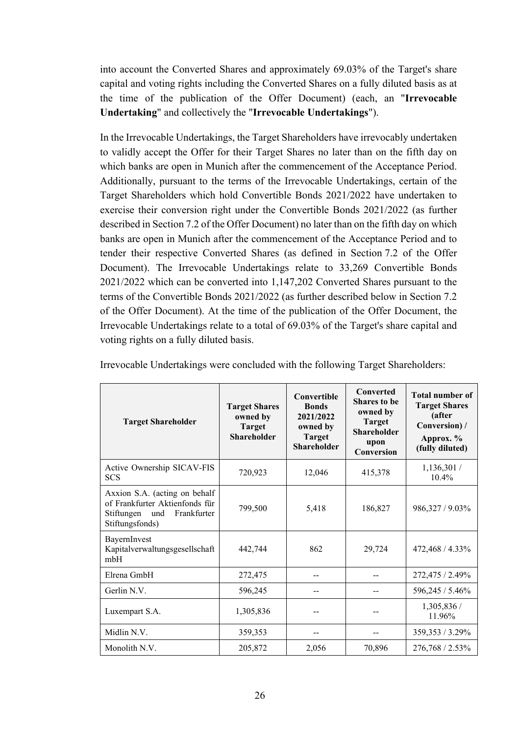into account the Converted Shares and approximately 69.03% of the Target's share capital and voting rights including the Converted Shares on a fully diluted basis as at the time of the publication of the Offer Document) (each, an "**Irrevocable Undertaking**" and collectively the "**Irrevocable Undertakings**").

In the Irrevocable Undertakings, the Target Shareholders have irrevocably undertaken to validly accept the Offer for their Target Shares no later than on the fifth day on which banks are open in Munich after the commencement of the Acceptance Period. Additionally, pursuant to the terms of the Irrevocable Undertakings, certain of the Target Shareholders which hold Convertible Bonds 2021/2022 have undertaken to exercise their conversion right under the Convertible Bonds 2021/2022 (as further described in Section [7.2](#page-28-0) of the Offer Document) no later than on the fifth day on which banks are open in Munich after the commencement of the Acceptance Period and to tender their respective Converted Shares (as defined in Section [7.2](#page-28-0) of the Offer Document). The Irrevocable Undertakings relate to 33,269 Convertible Bonds 2021/2022 which can be converted into 1,147,202 Converted Shares pursuant to the terms of the Convertible Bonds 2021/2022 (as further described below in Section [7.2](#page-28-0) of the Offer Document). At the time of the publication of the Offer Document, the Irrevocable Undertakings relate to a total of 69.03% of the Target's share capital and voting rights on a fully diluted basis.

| <b>Target Shareholder</b>                                                                                              | <b>Target Shares</b><br>owned by<br><b>Target</b><br><b>Shareholder</b> | <b>Convertible</b><br><b>Bonds</b><br>2021/2022<br>owned by<br><b>Target</b><br><b>Shareholder</b> | Converted<br><b>Shares to be</b><br>owned by<br><b>Target</b><br><b>Shareholder</b><br>upon<br>Conversion | <b>Total number of</b><br><b>Target Shares</b><br>(after<br>Conversion) /<br>Approx. %<br>(fully diluted) |
|------------------------------------------------------------------------------------------------------------------------|-------------------------------------------------------------------------|----------------------------------------------------------------------------------------------------|-----------------------------------------------------------------------------------------------------------|-----------------------------------------------------------------------------------------------------------|
| Active Ownership SICAV-FIS<br><b>SCS</b>                                                                               | 720,923                                                                 | 12,046                                                                                             | 415,378                                                                                                   | 1,136,301/<br>10.4%                                                                                       |
| Axxion S.A. (acting on behalf<br>of Frankfurter Aktienfonds für<br>Frankfurter<br>Stiftungen<br>und<br>Stiftungsfonds) | 799,500                                                                 | 5,418                                                                                              | 186,827                                                                                                   | 986,327 / 9.03%                                                                                           |
| BayernInvest<br>Kapitalverwaltungsgesellschaft<br>mbH                                                                  | 442,744                                                                 | 862                                                                                                | 29,724                                                                                                    | 472,468 / 4.33%                                                                                           |
| Elrena GmbH                                                                                                            | 272,475                                                                 | --                                                                                                 |                                                                                                           | 272,475 / 2.49%                                                                                           |
| Gerlin N.V.                                                                                                            | 596,245                                                                 |                                                                                                    |                                                                                                           | 596,245 / 5.46%                                                                                           |
| Luxempart S.A.                                                                                                         | 1,305,836                                                               |                                                                                                    |                                                                                                           | 1,305,836 /<br>11.96%                                                                                     |
| Midlin N.V.                                                                                                            | 359,353                                                                 | --                                                                                                 |                                                                                                           | 359,353 / 3.29%                                                                                           |
| Monolith N.V.                                                                                                          | 205,872                                                                 | 2,056                                                                                              | 70,896                                                                                                    | 276,768 / 2.53%                                                                                           |

Irrevocable Undertakings were concluded with the following Target Shareholders: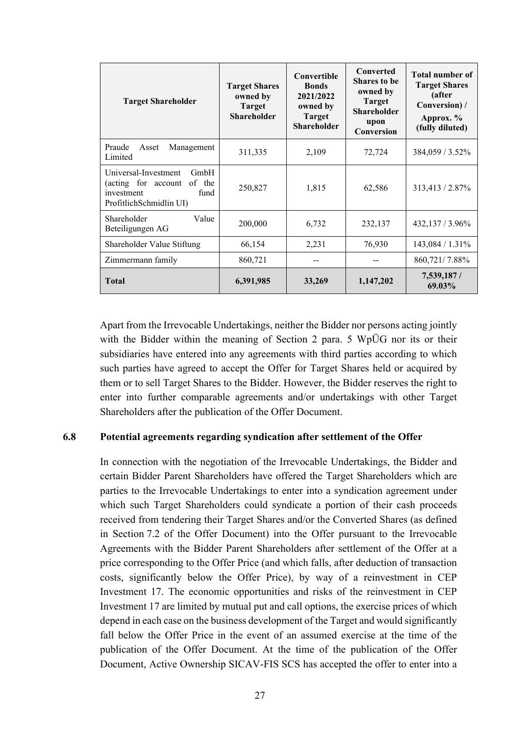| <b>Target Shareholder</b>                                                                                             | <b>Target Shares</b><br>owned by<br><b>Target</b><br><b>Shareholder</b> | Convertible<br><b>Bonds</b><br>2021/2022<br>owned by<br><b>Target</b><br><b>Shareholder</b> | <b>Converted</b><br><b>Shares to be</b><br>owned by<br><b>Target</b><br><b>Shareholder</b><br>upon<br>Conversion | <b>Total number of</b><br><b>Target Shares</b><br>(after<br>Conversion) /<br>Approx. %<br>(fully diluted) |
|-----------------------------------------------------------------------------------------------------------------------|-------------------------------------------------------------------------|---------------------------------------------------------------------------------------------|------------------------------------------------------------------------------------------------------------------|-----------------------------------------------------------------------------------------------------------|
| Praude<br>Management<br>Asset<br>Limited                                                                              | 311,335                                                                 | 2,109                                                                                       | 72,724                                                                                                           | 384,059 / 3.52%                                                                                           |
| Universal-Investment<br><b>GmbH</b><br>of the<br>(acting for account<br>investment<br>fund<br>ProfitlichSchmidlin UI) | 250,827                                                                 | 1,815                                                                                       | 62,586                                                                                                           | 313,413 / 2.87%                                                                                           |
| Shareholder<br>Value<br>Beteiligungen AG                                                                              | 200,000                                                                 | 6,732                                                                                       | 232,137                                                                                                          | 432,137 / 3.96%                                                                                           |
| Shareholder Value Stiftung                                                                                            | 66,154                                                                  | 2,231                                                                                       | 76,930                                                                                                           | 143,084 / 1.31%                                                                                           |
| Zimmermann family                                                                                                     | 860,721                                                                 |                                                                                             |                                                                                                                  | 860,721/7.88%                                                                                             |
| <b>Total</b>                                                                                                          | 6,391,985                                                               | 33,269                                                                                      | 1,147,202                                                                                                        | 7,539,187 /<br>69.03%                                                                                     |

Apart from the Irrevocable Undertakings, neither the Bidder nor persons acting jointly with the Bidder within the meaning of Section 2 para. 5 WpÜG nor its or their subsidiaries have entered into any agreements with third parties according to which such parties have agreed to accept the Offer for Target Shares held or acquired by them or to sell Target Shares to the Bidder. However, the Bidder reserves the right to enter into further comparable agreements and/or undertakings with other Target Shareholders after the publication of the Offer Document.

#### <span id="page-26-0"></span>**6.8 Potential agreements regarding syndication after settlement of the Offer**

In connection with the negotiation of the Irrevocable Undertakings, the Bidder and certain Bidder Parent Shareholders have offered the Target Shareholders which are parties to the Irrevocable Undertakings to enter into a syndication agreement under which such Target Shareholders could syndicate a portion of their cash proceeds received from tendering their Target Shares and/or the Converted Shares (as defined in Section [7.2](#page-28-0) of the Offer Document) into the Offer pursuant to the Irrevocable Agreements with the Bidder Parent Shareholders after settlement of the Offer at a price corresponding to the Offer Price (and which falls, after deduction of transaction costs, significantly below the Offer Price), by way of a reinvestment in CEP Investment 17. The economic opportunities and risks of the reinvestment in CEP Investment 17 are limited by mutual put and call options, the exercise prices of which depend in each case on the business development of the Target and would significantly fall below the Offer Price in the event of an assumed exercise at the time of the publication of the Offer Document. At the time of the publication of the Offer Document, Active Ownership SICAV-FIS SCS has accepted the offer to enter into a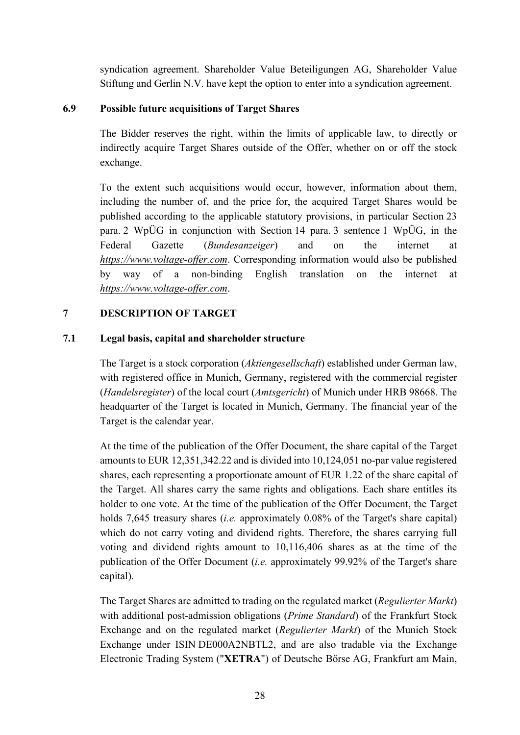syndication agreement. Shareholder Value Beteiligungen AG, Shareholder Value Stiftung and Gerlin N.V. have kept the option to enter into a syndication agreement.

# <span id="page-27-0"></span>**6.9 Possible future acquisitions of Target Shares**

The Bidder reserves the right, within the limits of applicable law, to directly or indirectly acquire Target Shares outside of the Offer, whether on or off the stock exchange.

To the extent such acquisitions would occur, however, information about them, including the number of, and the price for, the acquired Target Shares would be published according to the applicable statutory provisions, in particular Section 23 para. 2 WpÜG in conjunction with Section 14 para. 3 sentence 1 WpÜG, in the Federal Gazette (*Bundesanzeiger*) and on the internet at *https://www.voltage-offer.com*. Corresponding information would also be published by way of a non-binding English translation on the internet at *https://www.voltage-offer.com*.

# <span id="page-27-1"></span>**7 DESCRIPTION OF TARGET**

# <span id="page-27-2"></span>**7.1 Legal basis, capital and shareholder structure**

The Target is a stock corporation (*Aktiengesellschaft*) established under German law, with registered office in Munich, Germany, registered with the commercial register (*Handelsregister*) of the local court (*Amtsgericht*) of Munich under HRB 98668. The headquarter of the Target is located in Munich, Germany. The financial year of the Target is the calendar year.

At the time of the publication of the Offer Document, the share capital of the Target amounts to EUR 12,351,342.22 and is divided into 10,124,051 no-par value registered shares, each representing a proportionate amount of EUR 1.22 of the share capital of the Target. All shares carry the same rights and obligations. Each share entitles its holder to one vote. At the time of the publication of the Offer Document, the Target holds 7,645 treasury shares (*i.e.* approximately 0.08% of the Target's share capital) which do not carry voting and dividend rights. Therefore, the shares carrying full voting and dividend rights amount to 10,116,406 shares as at the time of the publication of the Offer Document (*i.e.* approximately 99.92% of the Target's share capital).

The Target Shares are admitted to trading on the regulated market (*Regulierter Markt*) with additional post-admission obligations (*Prime Standard*) of the Frankfurt Stock Exchange and on the regulated market (*Regulierter Markt*) of the Munich Stock Exchange under ISIN DE000A2NBTL2, and are also tradable via the Exchange Electronic Trading System ("**XETRA**") of Deutsche Börse AG, Frankfurt am Main,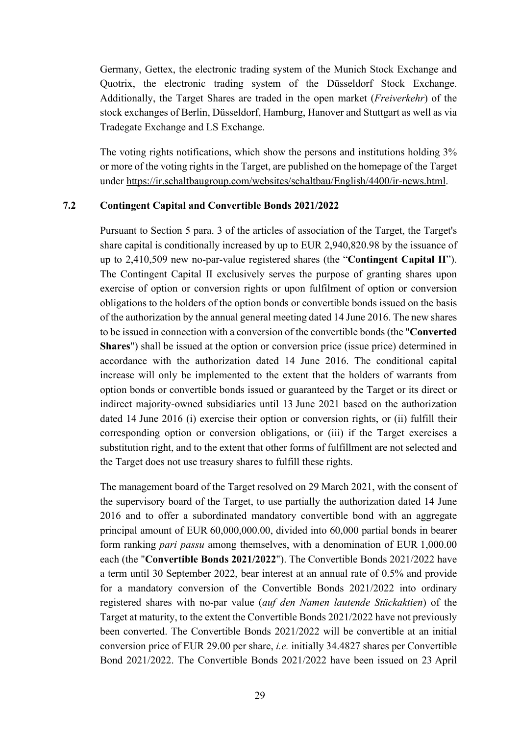Germany, Gettex, the electronic trading system of the Munich Stock Exchange and Quotrix, the electronic trading system of the Düsseldorf Stock Exchange. Additionally, the Target Shares are traded in the open market (*Freiverkehr*) of the stock exchanges of Berlin, Düsseldorf, Hamburg, Hanover and Stuttgart as well as via Tradegate Exchange and LS Exchange.

The voting rights notifications, which show the persons and institutions holding 3% or more of the voting rights in the Target, are published on the homepage of the Target under <https://ir.schaltbaugroup.com/websites/schaltbau/English/4400/ir-news.html>.

#### <span id="page-28-0"></span>**7.2 Contingent Capital and Convertible Bonds 2021/2022**

Pursuant to Section 5 para. 3 of the articles of association of the Target, the Target's share capital is conditionally increased by up to EUR 2,940,820.98 by the issuance of up to 2,410,509 new no-par-value registered shares (the "**Contingent Capital II**"). The Contingent Capital II exclusively serves the purpose of granting shares upon exercise of option or conversion rights or upon fulfilment of option or conversion obligations to the holders of the option bonds or convertible bonds issued on the basis of the authorization by the annual general meeting dated 14 June 2016. The new shares to be issued in connection with a conversion of the convertible bonds (the "**Converted Shares**") shall be issued at the option or conversion price (issue price) determined in accordance with the authorization dated 14 June 2016. The conditional capital increase will only be implemented to the extent that the holders of warrants from option bonds or convertible bonds issued or guaranteed by the Target or its direct or indirect majority-owned subsidiaries until 13 June 2021 based on the authorization dated 14 June 2016 (i) exercise their option or conversion rights, or (ii) fulfill their corresponding option or conversion obligations, or (iii) if the Target exercises a substitution right, and to the extent that other forms of fulfillment are not selected and the Target does not use treasury shares to fulfill these rights.

The management board of the Target resolved on 29 March 2021, with the consent of the supervisory board of the Target, to use partially the authorization dated 14 June 2016 and to offer a subordinated mandatory convertible bond with an aggregate principal amount of EUR 60,000,000.00, divided into 60,000 partial bonds in bearer form ranking *pari passu* among themselves, with a denomination of EUR 1,000.00 each (the "**Convertible Bonds 2021/2022**"). The Convertible Bonds 2021/2022 have a term until 30 September 2022, bear interest at an annual rate of 0.5% and provide for a mandatory conversion of the Convertible Bonds 2021/2022 into ordinary registered shares with no-par value (*auf den Namen lautende Stückaktien*) of the Target at maturity, to the extent the Convertible Bonds 2021/2022 have not previously been converted. The Convertible Bonds 2021/2022 will be convertible at an initial conversion price of EUR 29.00 per share, *i.e.* initially 34.4827 shares per Convertible Bond 2021/2022. The Convertible Bonds 2021/2022 have been issued on 23 April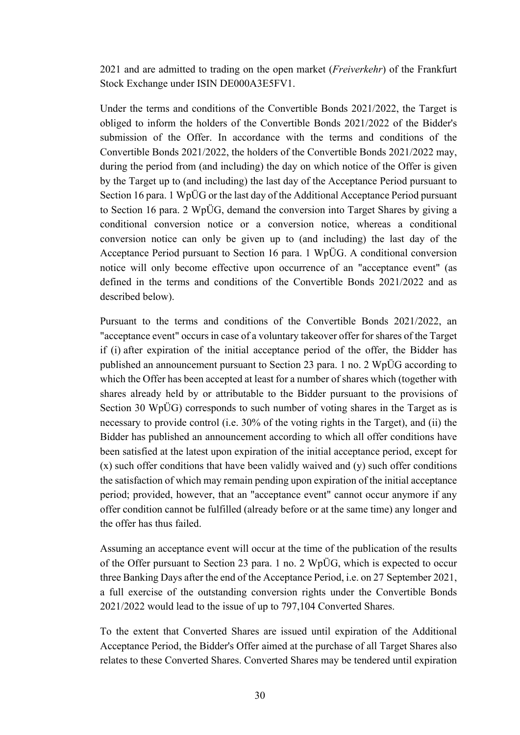2021 and are admitted to trading on the open market (*Freiverkehr*) of the Frankfurt Stock Exchange under ISIN DE000A3E5FV1.

Under the terms and conditions of the Convertible Bonds 2021/2022, the Target is obliged to inform the holders of the Convertible Bonds 2021/2022 of the Bidder's submission of the Offer. In accordance with the terms and conditions of the Convertible Bonds 2021/2022, the holders of the Convertible Bonds 2021/2022 may, during the period from (and including) the day on which notice of the Offer is given by the Target up to (and including) the last day of the Acceptance Period pursuant to Section 16 para. 1 WpÜG or the last day of the Additional Acceptance Period pursuant to Section 16 para. 2 WpÜG, demand the conversion into Target Shares by giving a conditional conversion notice or a conversion notice, whereas a conditional conversion notice can only be given up to (and including) the last day of the Acceptance Period pursuant to Section 16 para. 1 WpÜG. A conditional conversion notice will only become effective upon occurrence of an "acceptance event" (as defined in the terms and conditions of the Convertible Bonds 2021/2022 and as described below).

Pursuant to the terms and conditions of the Convertible Bonds 2021/2022, an "acceptance event" occurs in case of a voluntary takeover offer for shares of the Target if (i) after expiration of the initial acceptance period of the offer, the Bidder has published an announcement pursuant to Section 23 para. 1 no. 2 WpÜG according to which the Offer has been accepted at least for a number of shares which (together with shares already held by or attributable to the Bidder pursuant to the provisions of Section 30 WpÜG) corresponds to such number of voting shares in the Target as is necessary to provide control (i.e. 30% of the voting rights in the Target), and (ii) the Bidder has published an announcement according to which all offer conditions have been satisfied at the latest upon expiration of the initial acceptance period, except for (x) such offer conditions that have been validly waived and (y) such offer conditions the satisfaction of which may remain pending upon expiration of the initial acceptance period; provided, however, that an "acceptance event" cannot occur anymore if any offer condition cannot be fulfilled (already before or at the same time) any longer and the offer has thus failed.

Assuming an acceptance event will occur at the time of the publication of the results of the Offer pursuant to Section 23 para. 1 no. 2 WpÜG, which is expected to occur three Banking Days after the end of the Acceptance Period, i.e. on 27 September 2021, a full exercise of the outstanding conversion rights under the Convertible Bonds 2021/2022 would lead to the issue of up to 797,104 Converted Shares.

To the extent that Converted Shares are issued until expiration of the Additional Acceptance Period, the Bidder's Offer aimed at the purchase of all Target Shares also relates to these Converted Shares. Converted Shares may be tendered until expiration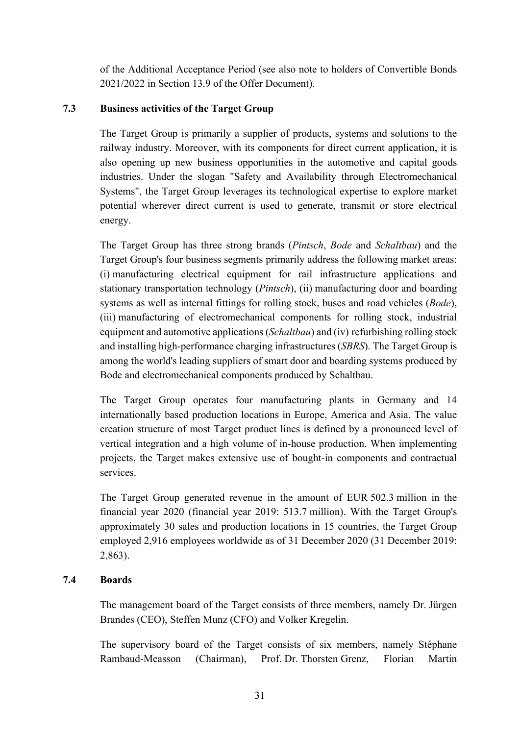of the Additional Acceptance Period (see also note to holders of Convertible Bonds 2021/2022 in Section [13.9](#page-52-0) of the Offer Document).

# <span id="page-30-0"></span>**7.3 Business activities of the Target Group**

The Target Group is primarily a supplier of products, systems and solutions to the railway industry. Moreover, with its components for direct current application, it is also opening up new business opportunities in the automotive and capital goods industries. Under the slogan "Safety and Availability through Electromechanical Systems", the Target Group leverages its technological expertise to explore market potential wherever direct current is used to generate, transmit or store electrical energy.

The Target Group has three strong brands (*Pintsch*, *Bode* and *Schaltbau*) and the Target Group's four business segments primarily address the following market areas: (i) manufacturing electrical equipment for rail infrastructure applications and stationary transportation technology (*Pintsch*), (ii) manufacturing door and boarding systems as well as internal fittings for rolling stock, buses and road vehicles (*Bode*), (iii) manufacturing of electromechanical components for rolling stock, industrial equipment and automotive applications (*Schaltbau*) and (iv) refurbishing rolling stock and installing high-performance charging infrastructures (*SBRS*). The Target Group is among the world's leading suppliers of smart door and boarding systems produced by Bode and electromechanical components produced by Schaltbau.

The Target Group operates four manufacturing plants in Germany and 14 internationally based production locations in Europe, America and Asia. The value creation structure of most Target product lines is defined by a pronounced level of vertical integration and a high volume of in-house production. When implementing projects, the Target makes extensive use of bought-in components and contractual services.

The Target Group generated revenue in the amount of EUR 502.3 million in the financial year 2020 (financial year 2019: 513.7 million). With the Target Group's approximately 30 sales and production locations in 15 countries, the Target Group employed 2,916 employees worldwide as of 31 December 2020 (31 December 2019: 2,863).

# <span id="page-30-1"></span>**7.4 Boards**

The management board of the Target consists of three members, namely Dr. Jürgen Brandes (CEO), Steffen Munz (CFO) and Volker Kregelin.

The supervisory board of the Target consists of six members, namely Stéphane Rambaud-Measson (Chairman), Prof. Dr. Thorsten Grenz, Florian Martin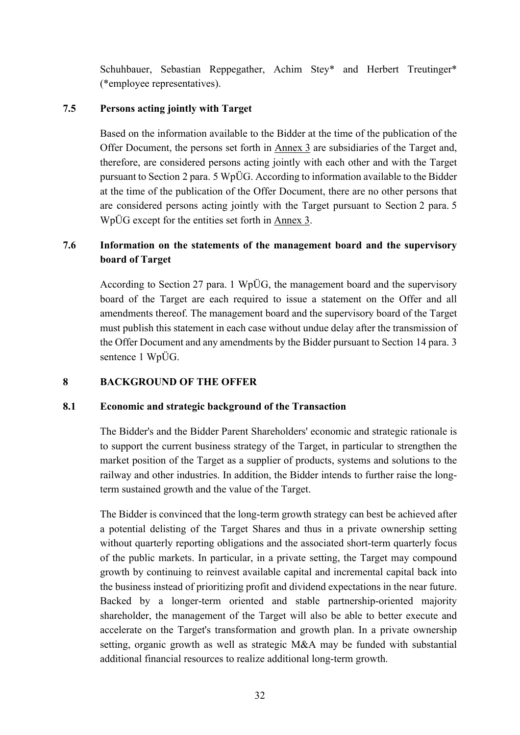Schuhbauer, Sebastian Reppegather, Achim Stey\* and Herbert Treutinger\* (\*employee representatives).

# <span id="page-31-0"></span>**7.5 Persons acting jointly with Target**

Based on the information available to the Bidder at the time of the publication of the Offer Document, the persons set forth in Annex 3 are subsidiaries of the Target and, therefore, are considered persons acting jointly with each other and with the Target pursuant to Section 2 para. 5 WpÜG. According to information available to the Bidder at the time of the publication of the Offer Document, there are no other persons that are considered persons acting jointly with the Target pursuant to Section 2 para. 5 WpÜG except for the entities set forth in Annex 3.

# <span id="page-31-1"></span>**7.6 Information on the statements of the management board and the supervisory board of Target**

According to Section 27 para. 1 WpÜG, the management board and the supervisory board of the Target are each required to issue a statement on the Offer and all amendments thereof. The management board and the supervisory board of the Target must publish this statement in each case without undue delay after the transmission of the Offer Document and any amendments by the Bidder pursuant to Section 14 para. 3 sentence 1 WpÜG.

# <span id="page-31-2"></span>**8 BACKGROUND OF THE OFFER**

# <span id="page-31-3"></span>**8.1 Economic and strategic background of the Transaction**

The Bidder's and the Bidder Parent Shareholders' economic and strategic rationale is to support the current business strategy of the Target, in particular to strengthen the market position of the Target as a supplier of products, systems and solutions to the railway and other industries. In addition, the Bidder intends to further raise the longterm sustained growth and the value of the Target.

The Bidder is convinced that the long-term growth strategy can best be achieved after a potential delisting of the Target Shares and thus in a private ownership setting without quarterly reporting obligations and the associated short-term quarterly focus of the public markets. In particular, in a private setting, the Target may compound growth by continuing to reinvest available capital and incremental capital back into the business instead of prioritizing profit and dividend expectations in the near future. Backed by a longer-term oriented and stable partnership-oriented majority shareholder, the management of the Target will also be able to better execute and accelerate on the Target's transformation and growth plan. In a private ownership setting, organic growth as well as strategic M&A may be funded with substantial additional financial resources to realize additional long-term growth.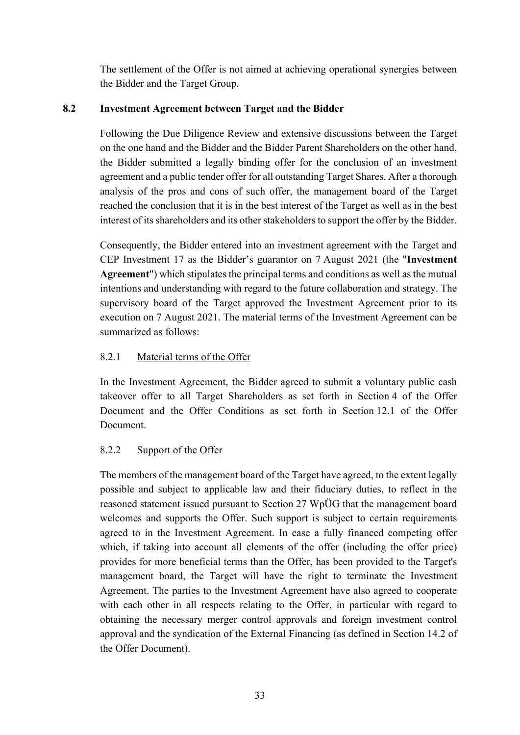The settlement of the Offer is not aimed at achieving operational synergies between the Bidder and the Target Group.

# <span id="page-32-0"></span>**8.2 Investment Agreement between Target and the Bidder**

Following the Due Diligence Review and extensive discussions between the Target on the one hand and the Bidder and the Bidder Parent Shareholders on the other hand, the Bidder submitted a legally binding offer for the conclusion of an investment agreement and a public tender offer for all outstanding Target Shares. After a thorough analysis of the pros and cons of such offer, the management board of the Target reached the conclusion that it is in the best interest of the Target as well as in the best interest of its shareholders and its other stakeholders to support the offer by the Bidder.

Consequently, the Bidder entered into an investment agreement with the Target and CEP Investment 17 as the Bidder's guarantor on 7 August 2021 (the "**Investment Agreement**") which stipulates the principal terms and conditions as well as the mutual intentions and understanding with regard to the future collaboration and strategy. The supervisory board of the Target approved the Investment Agreement prior to its execution on 7 August 2021. The material terms of the Investment Agreement can be summarized as follows:

# 8.2.1 Material terms of the Offer

In the Investment Agreement, the Bidder agreed to submit a voluntary public cash takeover offer to all Target Shareholders as set forth in Section [4](#page-17-0) of the Offer Document and the Offer Conditions as set forth in Section [12.1](#page-45-1) of the Offer Document.

# 8.2.2 Support of the Offer

The members of the management board of the Target have agreed, to the extent legally possible and subject to applicable law and their fiduciary duties, to reflect in the reasoned statement issued pursuant to Section 27 WpÜG that the management board welcomes and supports the Offer. Such support is subject to certain requirements agreed to in the Investment Agreement. In case a fully financed competing offer which, if taking into account all elements of the offer (including the offer price) provides for more beneficial terms than the Offer, has been provided to the Target's management board, the Target will have the right to terminate the Investment Agreement. The parties to the Investment Agreement have also agreed to cooperate with each other in all respects relating to the Offer, in particular with regard to obtaining the necessary merger control approvals and foreign investment control approval and the syndication of the External Financing (as defined in Section [14.2](#page-53-2) of the Offer Document).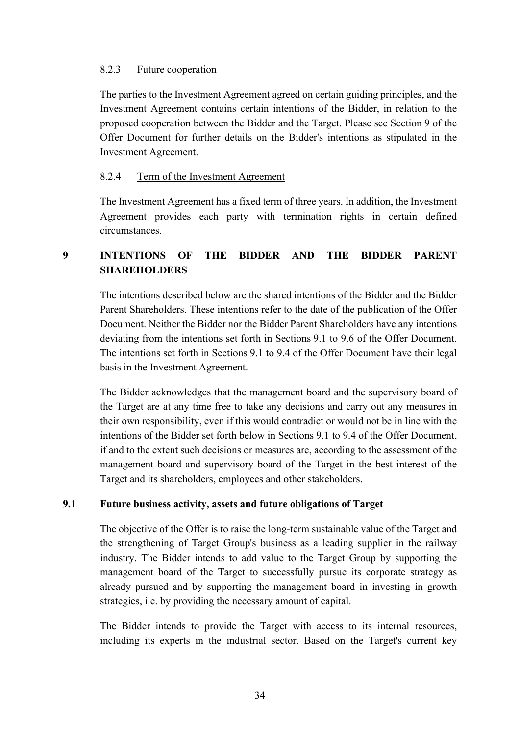### 8.2.3 Future cooperation

The parties to the Investment Agreement agreed on certain guiding principles, and the Investment Agreement contains certain intentions of the Bidder, in relation to the proposed cooperation between the Bidder and the Target. Please see Section [9](#page-33-0) of the Offer Document for further details on the Bidder's intentions as stipulated in the Investment Agreement.

### 8.2.4 Term of the Investment Agreement

The Investment Agreement has a fixed term of three years. In addition, the Investment Agreement provides each party with termination rights in certain defined circumstances.

# <span id="page-33-0"></span>**9 INTENTIONS OF THE BIDDER AND THE BIDDER PARENT SHAREHOLDERS**

The intentions described below are the shared intentions of the Bidder and the Bidder Parent Shareholders. These intentions refer to the date of the publication of the Offer Document. Neither the Bidder nor the Bidder Parent Shareholders have any intentions deviating from the intentions set forth in Sections [9.1](#page-33-1) to [9.6](#page-37-0) of the Offer Document. The intentions set forth in Sections [9.1](#page-33-1) to [9.4](#page-35-0) of the Offer Document have their legal basis in the Investment Agreement.

The Bidder acknowledges that the management board and the supervisory board of the Target are at any time free to take any decisions and carry out any measures in their own responsibility, even if this would contradict or would not be in line with the intentions of the Bidder set forth below in Sections [9.1](#page-33-1) to [9.4](#page-35-0) of the Offer Document, if and to the extent such decisions or measures are, according to the assessment of the management board and supervisory board of the Target in the best interest of the Target and its shareholders, employees and other stakeholders.

# <span id="page-33-1"></span>**9.1 Future business activity, assets and future obligations of Target**

The objective of the Offer is to raise the long-term sustainable value of the Target and the strengthening of Target Group's business as a leading supplier in the railway industry. The Bidder intends to add value to the Target Group by supporting the management board of the Target to successfully pursue its corporate strategy as already pursued and by supporting the management board in investing in growth strategies, i.e. by providing the necessary amount of capital.

The Bidder intends to provide the Target with access to its internal resources, including its experts in the industrial sector. Based on the Target's current key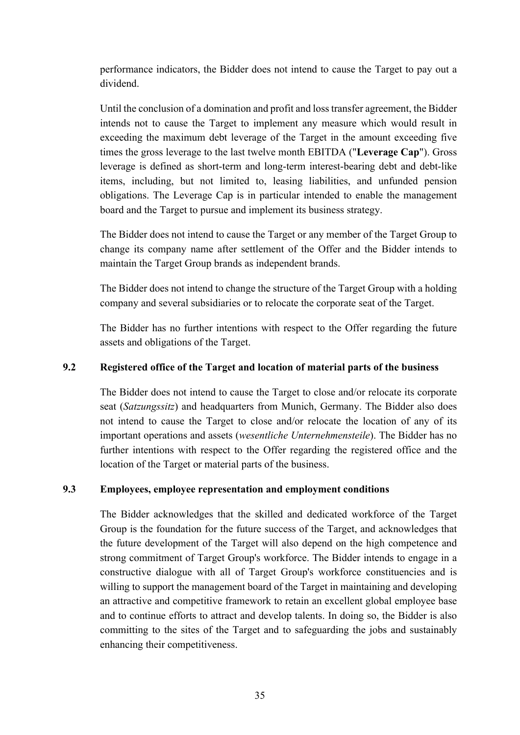performance indicators, the Bidder does not intend to cause the Target to pay out a dividend.

Until the conclusion of a domination and profit and loss transfer agreement, the Bidder intends not to cause the Target to implement any measure which would result in exceeding the maximum debt leverage of the Target in the amount exceeding five times the gross leverage to the last twelve month EBITDA ("**Leverage Cap**"). Gross leverage is defined as short-term and long-term interest-bearing debt and debt-like items, including, but not limited to, leasing liabilities, and unfunded pension obligations. The Leverage Cap is in particular intended to enable the management board and the Target to pursue and implement its business strategy.

The Bidder does not intend to cause the Target or any member of the Target Group to change its company name after settlement of the Offer and the Bidder intends to maintain the Target Group brands as independent brands.

The Bidder does not intend to change the structure of the Target Group with a holding company and several subsidiaries or to relocate the corporate seat of the Target.

The Bidder has no further intentions with respect to the Offer regarding the future assets and obligations of the Target.

# <span id="page-34-0"></span>**9.2 Registered office of the Target and location of material parts of the business**

The Bidder does not intend to cause the Target to close and/or relocate its corporate seat (*Satzungssitz*) and headquarters from Munich, Germany. The Bidder also does not intend to cause the Target to close and/or relocate the location of any of its important operations and assets (*wesentliche Unternehmensteile*). The Bidder has no further intentions with respect to the Offer regarding the registered office and the location of the Target or material parts of the business.

# <span id="page-34-1"></span>**9.3 Employees, employee representation and employment conditions**

The Bidder acknowledges that the skilled and dedicated workforce of the Target Group is the foundation for the future success of the Target, and acknowledges that the future development of the Target will also depend on the high competence and strong commitment of Target Group's workforce. The Bidder intends to engage in a constructive dialogue with all of Target Group's workforce constituencies and is willing to support the management board of the Target in maintaining and developing an attractive and competitive framework to retain an excellent global employee base and to continue efforts to attract and develop talents. In doing so, the Bidder is also committing to the sites of the Target and to safeguarding the jobs and sustainably enhancing their competitiveness.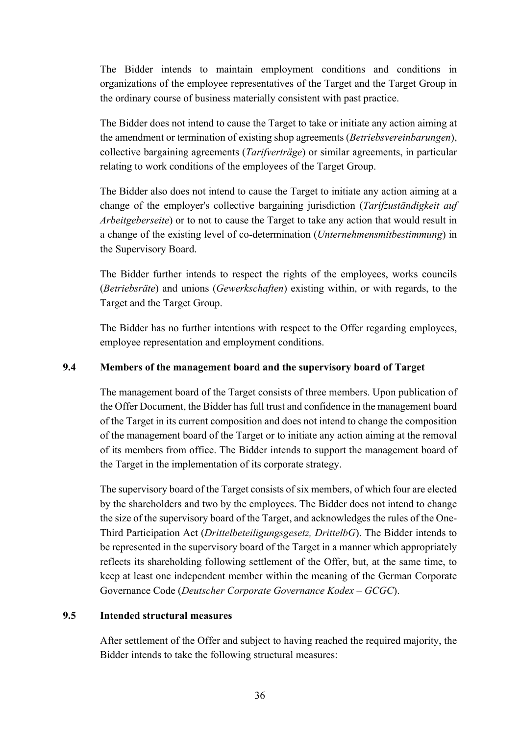The Bidder intends to maintain employment conditions and conditions in organizations of the employee representatives of the Target and the Target Group in the ordinary course of business materially consistent with past practice.

The Bidder does not intend to cause the Target to take or initiate any action aiming at the amendment or termination of existing shop agreements (*Betriebsvereinbarungen*), collective bargaining agreements (*Tarifverträge*) or similar agreements, in particular relating to work conditions of the employees of the Target Group.

The Bidder also does not intend to cause the Target to initiate any action aiming at a change of the employer's collective bargaining jurisdiction (*Tarifzuständigkeit auf Arbeitgeberseite*) or to not to cause the Target to take any action that would result in a change of the existing level of co-determination (*Unternehmensmitbestimmung*) in the Supervisory Board.

The Bidder further intends to respect the rights of the employees, works councils (*Betriebsräte*) and unions (*Gewerkschaften*) existing within, or with regards, to the Target and the Target Group.

The Bidder has no further intentions with respect to the Offer regarding employees, employee representation and employment conditions.

### <span id="page-35-0"></span>**9.4 Members of the management board and the supervisory board of Target**

The management board of the Target consists of three members. Upon publication of the Offer Document, the Bidder has full trust and confidence in the management board of the Target in its current composition and does not intend to change the composition of the management board of the Target or to initiate any action aiming at the removal of its members from office. The Bidder intends to support the management board of the Target in the implementation of its corporate strategy.

The supervisory board of the Target consists of six members, of which four are elected by the shareholders and two by the employees. The Bidder does not intend to change the size of the supervisory board of the Target, and acknowledges the rules of the One-Third Participation Act (*Drittelbeteiligungsgesetz, DrittelbG*). The Bidder intends to be represented in the supervisory board of the Target in a manner which appropriately reflects its shareholding following settlement of the Offer, but, at the same time, to keep at least one independent member within the meaning of the German Corporate Governance Code (*Deutscher Corporate Governance Kodex – GCGC*).

# <span id="page-35-1"></span>**9.5 Intended structural measures**

After settlement of the Offer and subject to having reached the required majority, the Bidder intends to take the following structural measures: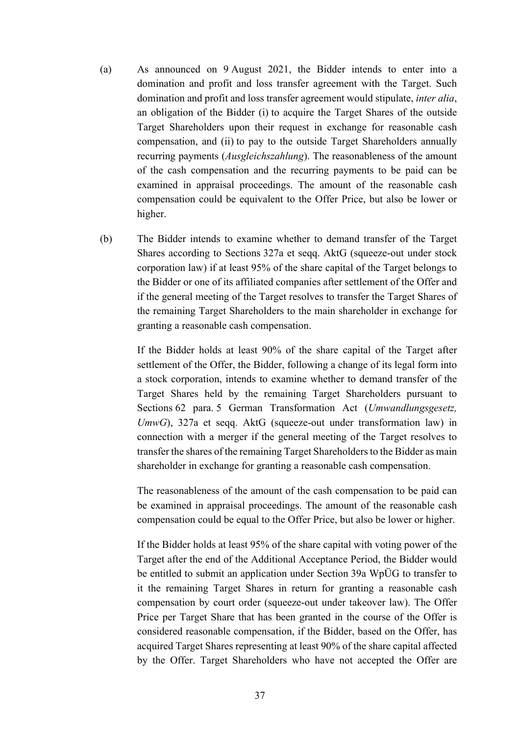- <span id="page-36-1"></span>(a) As announced on 9 August 2021, the Bidder intends to enter into a domination and profit and loss transfer agreement with the Target. Such domination and profit and loss transfer agreement would stipulate, *inter alia*, an obligation of the Bidder (i) to acquire the Target Shares of the outside Target Shareholders upon their request in exchange for reasonable cash compensation, and (ii) to pay to the outside Target Shareholders annually recurring payments (*Ausgleichszahlung*). The reasonableness of the amount of the cash compensation and the recurring payments to be paid can be examined in appraisal proceedings. The amount of the reasonable cash compensation could be equivalent to the Offer Price, but also be lower or higher.
- <span id="page-36-0"></span>(b) The Bidder intends to examine whether to demand transfer of the Target Shares according to Sections 327a et seqq. AktG (squeeze-out under stock corporation law) if at least 95% of the share capital of the Target belongs to the Bidder or one of its affiliated companies after settlement of the Offer and if the general meeting of the Target resolves to transfer the Target Shares of the remaining Target Shareholders to the main shareholder in exchange for granting a reasonable cash compensation.

If the Bidder holds at least 90% of the share capital of the Target after settlement of the Offer, the Bidder, following a change of its legal form into a stock corporation, intends to examine whether to demand transfer of the Target Shares held by the remaining Target Shareholders pursuant to Sections 62 para. 5 German Transformation Act (*Umwandlungsgesetz, UmwG*), 327a et seqq. AktG (squeeze-out under transformation law) in connection with a merger if the general meeting of the Target resolves to transfer the shares of the remaining Target Shareholders to the Bidder as main shareholder in exchange for granting a reasonable cash compensation.

The reasonableness of the amount of the cash compensation to be paid can be examined in appraisal proceedings. The amount of the reasonable cash compensation could be equal to the Offer Price, but also be lower or higher.

If the Bidder holds at least 95% of the share capital with voting power of the Target after the end of the Additional Acceptance Period, the Bidder would be entitled to submit an application under Section 39a WpÜG to transfer to it the remaining Target Shares in return for granting a reasonable cash compensation by court order (squeeze-out under takeover law). The Offer Price per Target Share that has been granted in the course of the Offer is considered reasonable compensation, if the Bidder, based on the Offer, has acquired Target Shares representing at least 90% of the share capital affected by the Offer. Target Shareholders who have not accepted the Offer are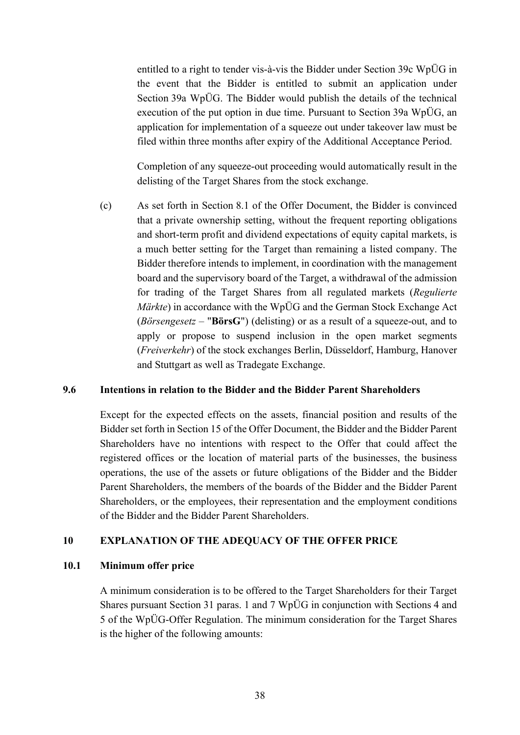entitled to a right to tender vis-à-vis the Bidder under Section 39c WpÜG in the event that the Bidder is entitled to submit an application under Section 39a WpÜG. The Bidder would publish the details of the technical execution of the put option in due time. Pursuant to Section 39a WpÜG, an application for implementation of a squeeze out under takeover law must be filed within three months after expiry of the Additional Acceptance Period.

Completion of any squeeze-out proceeding would automatically result in the delisting of the Target Shares from the stock exchange.

<span id="page-37-2"></span>(c) As set forth in Section [8.1](#page-31-0) of the Offer Document, the Bidder is convinced that a private ownership setting, without the frequent reporting obligations and short-term profit and dividend expectations of equity capital markets, is a much better setting for the Target than remaining a listed company. The Bidder therefore intends to implement, in coordination with the management board and the supervisory board of the Target, a withdrawal of the admission for trading of the Target Shares from all regulated markets (*Regulierte Märkte*) in accordance with the WpÜG and the German Stock Exchange Act (*Börsengesetz* – "**BörsG**") (delisting) or as a result of a squeeze-out, and to apply or propose to suspend inclusion in the open market segments (*Freiverkehr*) of the stock exchanges Berlin, Düsseldorf, Hamburg, Hanover and Stuttgart as well as Tradegate Exchange.

### **9.6 Intentions in relation to the Bidder and the Bidder Parent Shareholders**

Except for the expected effects on the assets, financial position and results of the Bidder set forth in Section 15 of the Offer Document, the Bidder and the Bidder Parent Shareholders have no intentions with respect to the Offer that could affect the registered offices or the location of material parts of the businesses, the business operations, the use of the assets or future obligations of the Bidder and the Bidder Parent Shareholders, the members of the boards of the Bidder and the Bidder Parent Shareholders, or the employees, their representation and the employment conditions of the Bidder and the Bidder Parent Shareholders.

#### <span id="page-37-1"></span>**10 EXPLANATION OF THE ADEQUACY OF THE OFFER PRICE**

#### <span id="page-37-0"></span>**10.1 Minimum offer price**

A minimum consideration is to be offered to the Target Shareholders for their Target Shares pursuant Section 31 paras. 1 and 7 WpÜG in conjunction with Sections 4 and 5 of the WpÜG-Offer Regulation. The minimum consideration for the Target Shares is the higher of the following amounts: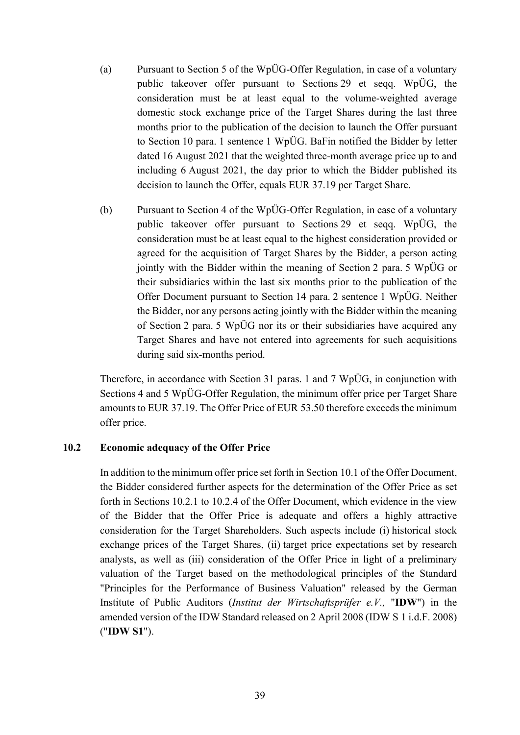- (a) Pursuant to Section 5 of the WpÜG-Offer Regulation, in case of a voluntary public takeover offer pursuant to Sections 29 et seqq. WpÜG, the consideration must be at least equal to the volume-weighted average domestic stock exchange price of the Target Shares during the last three months prior to the publication of the decision to launch the Offer pursuant to Section 10 para. 1 sentence 1 WpÜG. BaFin notified the Bidder by letter dated 16 August 2021 that the weighted three-month average price up to and including 6 August 2021, the day prior to which the Bidder published its decision to launch the Offer, equals EUR 37.19 per Target Share.
- (b) Pursuant to Section 4 of the WpÜG-Offer Regulation, in case of a voluntary public takeover offer pursuant to Sections 29 et seqq. WpÜG, the consideration must be at least equal to the highest consideration provided or agreed for the acquisition of Target Shares by the Bidder, a person acting jointly with the Bidder within the meaning of Section 2 para. 5 WpÜG or their subsidiaries within the last six months prior to the publication of the Offer Document pursuant to Section 14 para. 2 sentence 1 WpÜG. Neither the Bidder, nor any persons acting jointly with the Bidder within the meaning of Section 2 para. 5 WpÜG nor its or their subsidiaries have acquired any Target Shares and have not entered into agreements for such acquisitions during said six-months period.

Therefore, in accordance with Section 31 paras. 1 and 7 WpÜG, in conjunction with Sections 4 and 5 WpÜG-Offer Regulation, the minimum offer price per Target Share amounts to EUR 37.19. The Offer Price of EUR 53.50 therefore exceeds the minimum offer price.

#### <span id="page-38-0"></span>**10.2 Economic adequacy of the Offer Price**

In addition to the minimum offer price set forth in Section [10.1](#page-37-0) of the Offer Document, the Bidder considered further aspects for the determination of the Offer Price as set forth in Sections [10.2.1](#page-39-0) to [10.2.4](#page-41-0) of the Offer Document, which evidence in the view of the Bidder that the Offer Price is adequate and offers a highly attractive consideration for the Target Shareholders. Such aspects include (i) historical stock exchange prices of the Target Shares, (ii) target price expectations set by research analysts, as well as (iii) consideration of the Offer Price in light of a preliminary valuation of the Target based on the methodological principles of the Standard "Principles for the Performance of Business Valuation" released by the German Institute of Public Auditors (*Institut der Wirtschaftsprüfer e.V.,* "**IDW**") in the amended version of the IDW Standard released on 2 April 2008 (IDW S 1 i.d.F. 2008) ("**IDW S1**").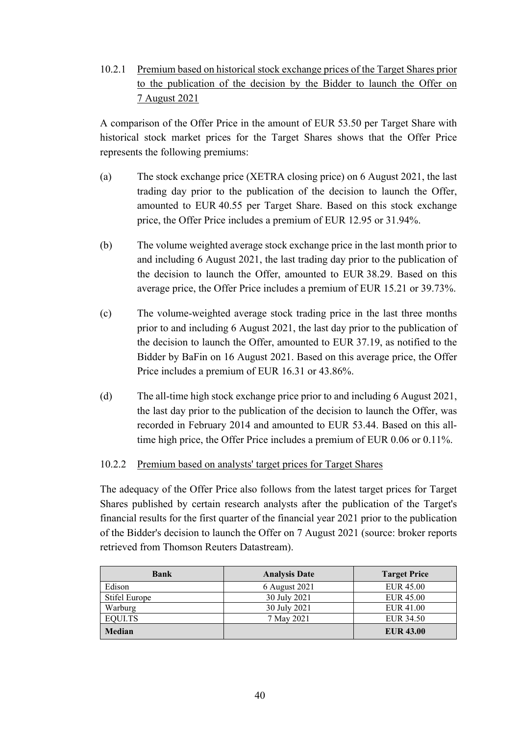<span id="page-39-0"></span>10.2.1 Premium based on historical stock exchange prices of the Target Shares prior to the publication of the decision by the Bidder to launch the Offer on 7 August 2021

A comparison of the Offer Price in the amount of EUR 53.50 per Target Share with historical stock market prices for the Target Shares shows that the Offer Price represents the following premiums:

- (a) The stock exchange price (XETRA closing price) on 6 August 2021, the last trading day prior to the publication of the decision to launch the Offer, amounted to EUR 40.55 per Target Share. Based on this stock exchange price, the Offer Price includes a premium of EUR 12.95 or 31.94%.
- (b) The volume weighted average stock exchange price in the last month prior to and including 6 August 2021, the last trading day prior to the publication of the decision to launch the Offer, amounted to EUR 38.29. Based on this average price, the Offer Price includes a premium of EUR 15.21 or 39.73%.
- (c) The volume-weighted average stock trading price in the last three months prior to and including 6 August 2021, the last day prior to the publication of the decision to launch the Offer, amounted to EUR 37.19, as notified to the Bidder by BaFin on 16 August 2021. Based on this average price, the Offer Price includes a premium of EUR 16.31 or 43.86%.
- (d) The all-time high stock exchange price prior to and including 6 August 2021, the last day prior to the publication of the decision to launch the Offer, was recorded in February 2014 and amounted to EUR 53.44. Based on this alltime high price, the Offer Price includes a premium of EUR 0.06 or 0.11%.

### 10.2.2 Premium based on analysts' target prices for Target Shares

The adequacy of the Offer Price also follows from the latest target prices for Target Shares published by certain research analysts after the publication of the Target's financial results for the first quarter of the financial year 2021 prior to the publication of the Bidder's decision to launch the Offer on 7 August 2021 (source: broker reports retrieved from Thomson Reuters Datastream).

| <b>Bank</b>   | <b>Analysis Date</b> | <b>Target Price</b> |
|---------------|----------------------|---------------------|
| Edison        | 6 August 2021        | <b>EUR 45.00</b>    |
| Stifel Europe | 30 July 2021         | <b>EUR 45.00</b>    |
| Warburg       | 30 July 2021         | EUR 41.00           |
| EQUI.TS       | 7 May 2021           | EUR 34.50           |
| <b>Median</b> |                      | <b>EUR 43.00</b>    |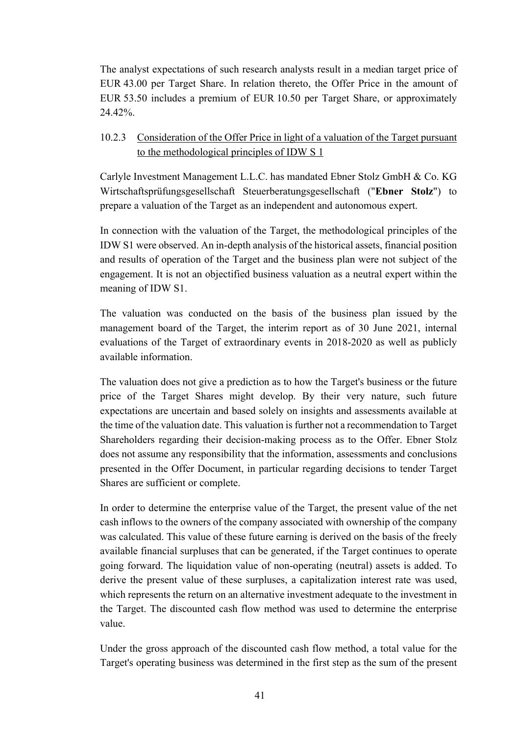The analyst expectations of such research analysts result in a median target price of EUR 43.00 per Target Share. In relation thereto, the Offer Price in the amount of EUR 53.50 includes a premium of EUR 10.50 per Target Share, or approximately 24.42%.

10.2.3 Consideration of the Offer Price in light of a valuation of the Target pursuant to the methodological principles of IDW S 1

Carlyle Investment Management L.L.C. has mandated Ebner Stolz GmbH & Co. KG Wirtschaftsprüfungsgesellschaft Steuerberatungsgesellschaft ("**Ebner Stolz**") to prepare a valuation of the Target as an independent and autonomous expert.

In connection with the valuation of the Target, the methodological principles of the IDW S1 were observed. An in-depth analysis of the historical assets, financial position and results of operation of the Target and the business plan were not subject of the engagement. It is not an objectified business valuation as a neutral expert within the meaning of IDW S1.

The valuation was conducted on the basis of the business plan issued by the management board of the Target, the interim report as of 30 June 2021, internal evaluations of the Target of extraordinary events in 2018-2020 as well as publicly available information.

The valuation does not give a prediction as to how the Target's business or the future price of the Target Shares might develop. By their very nature, such future expectations are uncertain and based solely on insights and assessments available at the time of the valuation date. This valuation is further not a recommendation to Target Shareholders regarding their decision-making process as to the Offer. Ebner Stolz does not assume any responsibility that the information, assessments and conclusions presented in the Offer Document, in particular regarding decisions to tender Target Shares are sufficient or complete.

In order to determine the enterprise value of the Target, the present value of the net cash inflows to the owners of the company associated with ownership of the company was calculated. This value of these future earning is derived on the basis of the freely available financial surpluses that can be generated, if the Target continues to operate going forward. The liquidation value of non-operating (neutral) assets is added. To derive the present value of these surpluses, a capitalization interest rate was used, which represents the return on an alternative investment adequate to the investment in the Target. The discounted cash flow method was used to determine the enterprise value.

Under the gross approach of the discounted cash flow method, a total value for the Target's operating business was determined in the first step as the sum of the present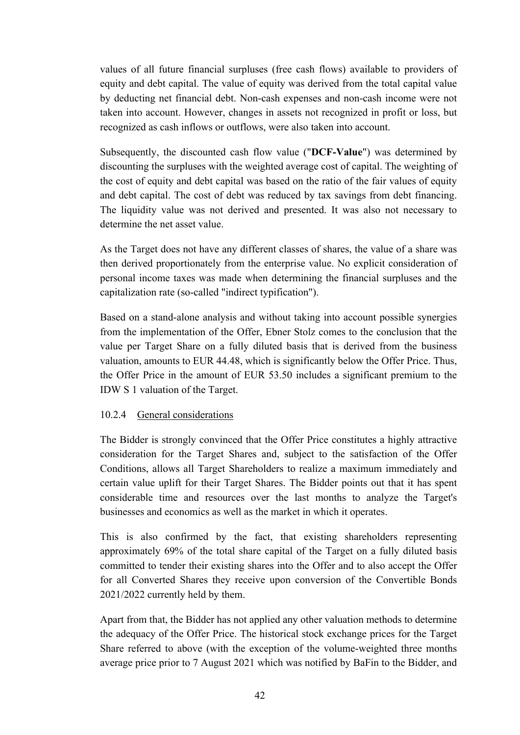values of all future financial surpluses (free cash flows) available to providers of equity and debt capital. The value of equity was derived from the total capital value by deducting net financial debt. Non-cash expenses and non-cash income were not taken into account. However, changes in assets not recognized in profit or loss, but recognized as cash inflows or outflows, were also taken into account.

Subsequently, the discounted cash flow value ("**DCF-Value**") was determined by discounting the surpluses with the weighted average cost of capital. The weighting of the cost of equity and debt capital was based on the ratio of the fair values of equity and debt capital. The cost of debt was reduced by tax savings from debt financing. The liquidity value was not derived and presented. It was also not necessary to determine the net asset value.

As the Target does not have any different classes of shares, the value of a share was then derived proportionately from the enterprise value. No explicit consideration of personal income taxes was made when determining the financial surpluses and the capitalization rate (so-called "indirect typification").

Based on a stand-alone analysis and without taking into account possible synergies from the implementation of the Offer, Ebner Stolz comes to the conclusion that the value per Target Share on a fully diluted basis that is derived from the business valuation, amounts to EUR 44.48, which is significantly below the Offer Price. Thus, the Offer Price in the amount of EUR 53.50 includes a significant premium to the IDW S 1 valuation of the Target.

### <span id="page-41-0"></span>10.2.4 General considerations

The Bidder is strongly convinced that the Offer Price constitutes a highly attractive consideration for the Target Shares and, subject to the satisfaction of the Offer Conditions, allows all Target Shareholders to realize a maximum immediately and certain value uplift for their Target Shares. The Bidder points out that it has spent considerable time and resources over the last months to analyze the Target's businesses and economics as well as the market in which it operates.

This is also confirmed by the fact, that existing shareholders representing approximately 69% of the total share capital of the Target on a fully diluted basis committed to tender their existing shares into the Offer and to also accept the Offer for all Converted Shares they receive upon conversion of the Convertible Bonds 2021/2022 currently held by them.

Apart from that, the Bidder has not applied any other valuation methods to determine the adequacy of the Offer Price. The historical stock exchange prices for the Target Share referred to above (with the exception of the volume-weighted three months average price prior to 7 August 2021 which was notified by BaFin to the Bidder, and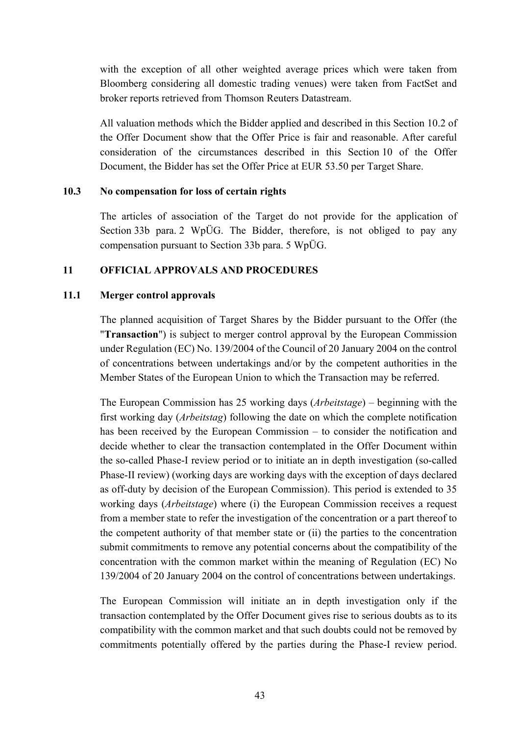with the exception of all other weighted average prices which were taken from Bloomberg considering all domestic trading venues) were taken from FactSet and broker reports retrieved from Thomson Reuters Datastream.

All valuation methods which the Bidder applied and described in this Section [10.2](#page-38-0) of the Offer Document show that the Offer Price is fair and reasonable. After careful consideration of the circumstances described in this Section [10](#page-37-1) of the Offer Document, the Bidder has set the Offer Price at EUR 53.50 per Target Share.

#### **10.3 No compensation for loss of certain rights**

The articles of association of the Target do not provide for the application of Section 33b para. 2 WpÜG. The Bidder, therefore, is not obliged to pay any compensation pursuant to Section 33b para. 5 WpÜG.

### <span id="page-42-0"></span>**11 OFFICIAL APPROVALS AND PROCEDURES**

#### **11.1 Merger control approvals**

The planned acquisition of Target Shares by the Bidder pursuant to the Offer (the "**Transaction**") is subject to merger control approval by the European Commission under Regulation (EC) No. 139/2004 of the Council of 20 January 2004 on the control of concentrations between undertakings and/or by the competent authorities in the Member States of the European Union to which the Transaction may be referred.

The European Commission has 25 working days (*Arbeitstage*) – beginning with the first working day (*Arbeitstag*) following the date on which the complete notification has been received by the European Commission – to consider the notification and decide whether to clear the transaction contemplated in the Offer Document within the so-called Phase-I review period or to initiate an in depth investigation (so-called Phase-II review) (working days are working days with the exception of days declared as off-duty by decision of the European Commission). This period is extended to 35 working days (*Arbeitstage*) where (i) the European Commission receives a request from a member state to refer the investigation of the concentration or a part thereof to the competent authority of that member state or (ii) the parties to the concentration submit commitments to remove any potential concerns about the compatibility of the concentration with the common market within the meaning of Regulation (EC) No 139/2004 of 20 January 2004 on the control of concentrations between undertakings.

The European Commission will initiate an in depth investigation only if the transaction contemplated by the Offer Document gives rise to serious doubts as to its compatibility with the common market and that such doubts could not be removed by commitments potentially offered by the parties during the Phase-I review period.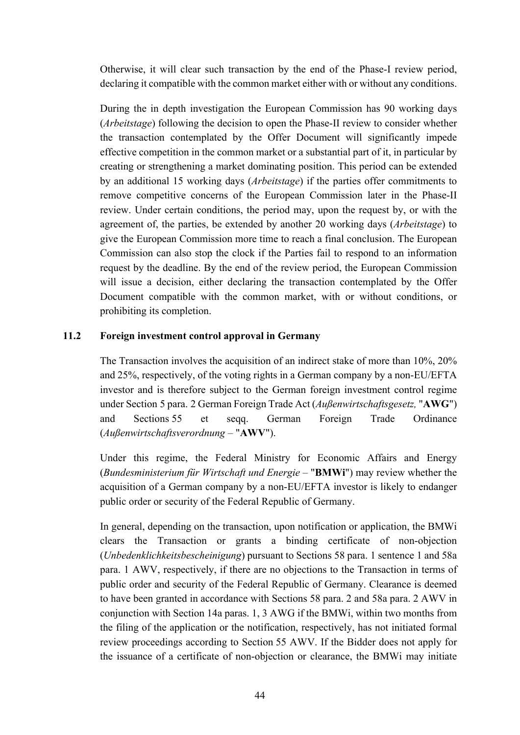Otherwise, it will clear such transaction by the end of the Phase-I review period, declaring it compatible with the common market either with or without any conditions.

During the in depth investigation the European Commission has 90 working days (*Arbeitstage*) following the decision to open the Phase-II review to consider whether the transaction contemplated by the Offer Document will significantly impede effective competition in the common market or a substantial part of it, in particular by creating or strengthening a market dominating position. This period can be extended by an additional 15 working days (*Arbeitstage*) if the parties offer commitments to remove competitive concerns of the European Commission later in the Phase-II review. Under certain conditions, the period may, upon the request by, or with the agreement of, the parties, be extended by another 20 working days (*Arbeitstage*) to give the European Commission more time to reach a final conclusion. The European Commission can also stop the clock if the Parties fail to respond to an information request by the deadline. By the end of the review period, the European Commission will issue a decision, either declaring the transaction contemplated by the Offer Document compatible with the common market, with or without conditions, or prohibiting its completion.

### **11.2 Foreign investment control approval in Germany**

The Transaction involves the acquisition of an indirect stake of more than 10%, 20% and 25%, respectively, of the voting rights in a German company by a non-EU/EFTA investor and is therefore subject to the German foreign investment control regime under Section 5 para. 2 German Foreign Trade Act (*Außenwirtschaftsgesetz,* "**AWG**") and Sections 55 et seqq. German Foreign Trade Ordinance (*Außenwirtschaftsverordnung* – "**AWV**").

Under this regime, the Federal Ministry for Economic Affairs and Energy (*Bundesministerium für Wirtschaft und Energie* – "**BMWi**") may review whether the acquisition of a German company by a non-EU/EFTA investor is likely to endanger public order or security of the Federal Republic of Germany.

In general, depending on the transaction, upon notification or application, the BMWi clears the Transaction or grants a binding certificate of non-objection (*Unbedenklichkeitsbescheinigung*) pursuant to Sections 58 para. 1 sentence 1 and 58a para. 1 AWV, respectively, if there are no objections to the Transaction in terms of public order and security of the Federal Republic of Germany. Clearance is deemed to have been granted in accordance with Sections 58 para. 2 and 58a para. 2 AWV in conjunction with Section 14a paras. 1, 3 AWG if the BMWi, within two months from the filing of the application or the notification, respectively, has not initiated formal review proceedings according to Section 55 AWV. If the Bidder does not apply for the issuance of a certificate of non-objection or clearance, the BMWi may initiate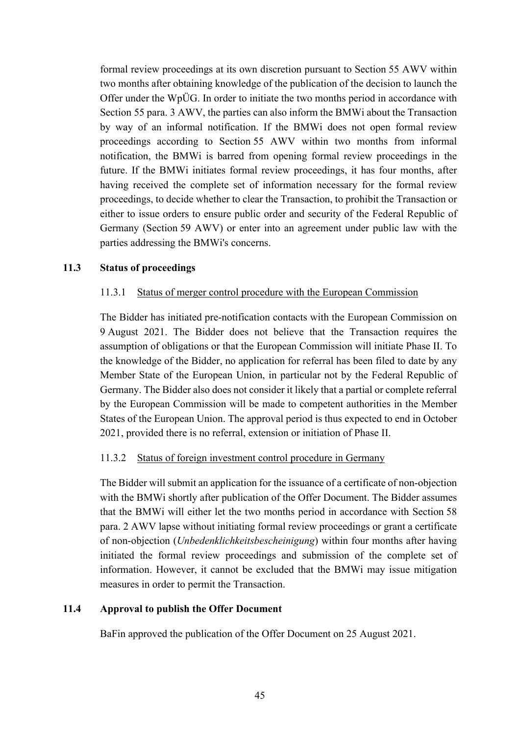formal review proceedings at its own discretion pursuant to Section 55 AWV within two months after obtaining knowledge of the publication of the decision to launch the Offer under the WpÜG. In order to initiate the two months period in accordance with Section 55 para. 3 AWV, the parties can also inform the BMWi about the Transaction by way of an informal notification. If the BMWi does not open formal review proceedings according to Section 55 AWV within two months from informal notification, the BMWi is barred from opening formal review proceedings in the future. If the BMWi initiates formal review proceedings, it has four months, after having received the complete set of information necessary for the formal review proceedings, to decide whether to clear the Transaction, to prohibit the Transaction or either to issue orders to ensure public order and security of the Federal Republic of Germany (Section 59 AWV) or enter into an agreement under public law with the parties addressing the BMWi's concerns.

### **11.3 Status of proceedings**

#### 11.3.1 Status of merger control procedure with the European Commission

The Bidder has initiated pre-notification contacts with the European Commission on 9 August 2021. The Bidder does not believe that the Transaction requires the assumption of obligations or that the European Commission will initiate Phase II. To the knowledge of the Bidder, no application for referral has been filed to date by any Member State of the European Union, in particular not by the Federal Republic of Germany. The Bidder also does not consider it likely that a partial or complete referral by the European Commission will be made to competent authorities in the Member States of the European Union. The approval period is thus expected to end in October 2021, provided there is no referral, extension or initiation of Phase II.

### 11.3.2 Status of foreign investment control procedure in Germany

The Bidder will submit an application for the issuance of a certificate of non-objection with the BMWi shortly after publication of the Offer Document. The Bidder assumes that the BMWi will either let the two months period in accordance with Section 58 para. 2 AWV lapse without initiating formal review proceedings or grant a certificate of non-objection (*Unbedenklichkeitsbescheinigung*) within four months after having initiated the formal review proceedings and submission of the complete set of information. However, it cannot be excluded that the BMWi may issue mitigation measures in order to permit the Transaction.

### **11.4 Approval to publish the Offer Document**

BaFin approved the publication of the Offer Document on 25 August 2021.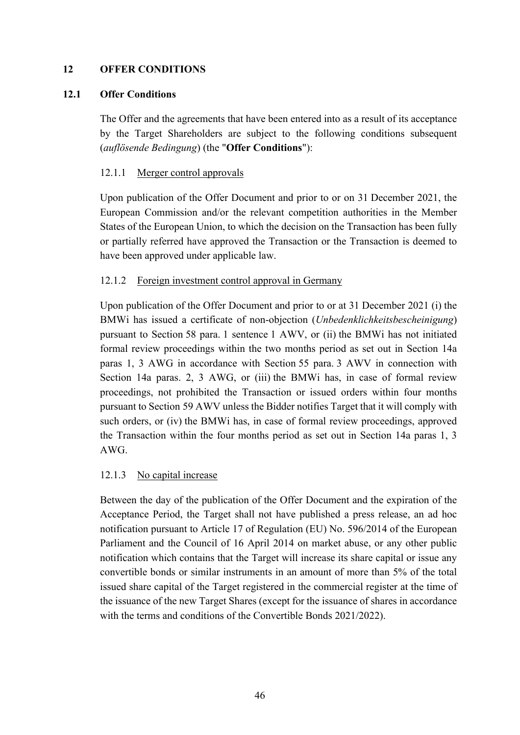### **12 OFFER CONDITIONS**

#### <span id="page-45-1"></span>**12.1 Offer Conditions**

The Offer and the agreements that have been entered into as a result of its acceptance by the Target Shareholders are subject to the following conditions subsequent (*auflösende Bedingung*) (the "**Offer Conditions**"):

#### <span id="page-45-0"></span>12.1.1 Merger control approvals

Upon publication of the Offer Document and prior to or on 31 December 2021, the European Commission and/or the relevant competition authorities in the Member States of the European Union, to which the decision on the Transaction has been fully or partially referred have approved the Transaction or the Transaction is deemed to have been approved under applicable law.

#### <span id="page-45-2"></span>12.1.2 Foreign investment control approval in Germany

Upon publication of the Offer Document and prior to or at 31 December 2021 (i) the BMWi has issued a certificate of non-objection (*Unbedenklichkeitsbescheinigung*) pursuant to Section 58 para. 1 sentence 1 AWV, or (ii) the BMWi has not initiated formal review proceedings within the two months period as set out in Section 14a paras 1, 3 AWG in accordance with Section 55 para. 3 AWV in connection with Section 14a paras. 2, 3 AWG, or (iii) the BMWi has, in case of formal review proceedings, not prohibited the Transaction or issued orders within four months pursuant to Section 59 AWV unless the Bidder notifies Target that it will comply with such orders, or (iv) the BMWi has, in case of formal review proceedings, approved the Transaction within the four months period as set out in Section 14a paras 1, 3 AWG.

#### <span id="page-45-3"></span>12.1.3 No capital increase

Between the day of the publication of the Offer Document and the expiration of the Acceptance Period, the Target shall not have published a press release, an ad hoc notification pursuant to Article 17 of Regulation (EU) No. 596/2014 of the European Parliament and the Council of 16 April 2014 on market abuse, or any other public notification which contains that the Target will increase its share capital or issue any convertible bonds or similar instruments in an amount of more than 5% of the total issued share capital of the Target registered in the commercial register at the time of the issuance of the new Target Shares (except for the issuance of shares in accordance with the terms and conditions of the Convertible Bonds 2021/2022).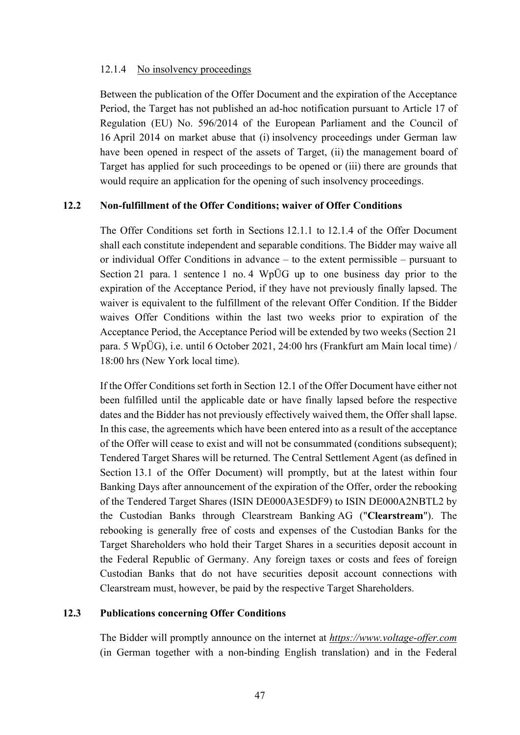#### <span id="page-46-0"></span>12.1.4 No insolvency proceedings

Between the publication of the Offer Document and the expiration of the Acceptance Period, the Target has not published an ad-hoc notification pursuant to Article 17 of Regulation (EU) No. 596/2014 of the European Parliament and the Council of 16 April 2014 on market abuse that (i) insolvency proceedings under German law have been opened in respect of the assets of Target, (ii) the management board of Target has applied for such proceedings to be opened or (iii) there are grounds that would require an application for the opening of such insolvency proceedings.

#### <span id="page-46-1"></span>**12.2 Non-fulfillment of the Offer Conditions; waiver of Offer Conditions**

The Offer Conditions set forth in Sections [12.1.1](#page-45-0) to [12.1.4](#page-46-0) of the Offer Document shall each constitute independent and separable conditions. The Bidder may waive all or individual Offer Conditions in advance – to the extent permissible – pursuant to Section 21 para. 1 sentence 1 no. 4 WpÜG up to one business day prior to the expiration of the Acceptance Period, if they have not previously finally lapsed. The waiver is equivalent to the fulfillment of the relevant Offer Condition. If the Bidder waives Offer Conditions within the last two weeks prior to expiration of the Acceptance Period, the Acceptance Period will be extended by two weeks (Section 21 para. 5 WpÜG), i.e. until 6 October 2021, 24:00 hrs (Frankfurt am Main local time) / 18:00 hrs (New York local time).

If the Offer Conditions set forth in Section [12.1](#page-45-1) of the Offer Document have either not been fulfilled until the applicable date or have finally lapsed before the respective dates and the Bidder has not previously effectively waived them, the Offer shall lapse. In this case, the agreements which have been entered into as a result of the acceptance of the Offer will cease to exist and will not be consummated (conditions subsequent); Tendered Target Shares will be returned. The Central Settlement Agent (as defined in Section [13.1](#page-47-0) of the Offer Document) will promptly, but at the latest within four Banking Days after announcement of the expiration of the Offer, order the rebooking of the Tendered Target Shares (ISIN DE000A3E5DF9) to ISIN DE000A2NBTL2 by the Custodian Banks through Clearstream Banking AG ("**Clearstream**"). The rebooking is generally free of costs and expenses of the Custodian Banks for the Target Shareholders who hold their Target Shares in a securities deposit account in the Federal Republic of Germany. Any foreign taxes or costs and fees of foreign Custodian Banks that do not have securities deposit account connections with Clearstream must, however, be paid by the respective Target Shareholders.

#### **12.3 Publications concerning Offer Conditions**

The Bidder will promptly announce on the internet at *https://www.voltage-offer.com* (in German together with a non-binding English translation) and in the Federal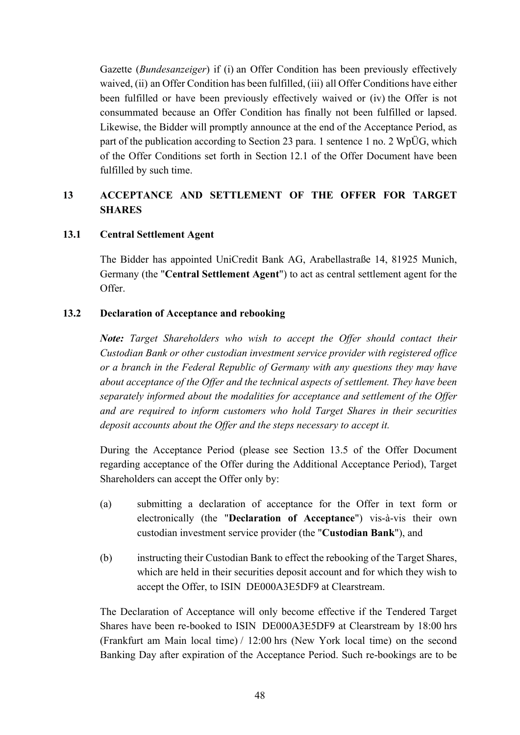Gazette (*Bundesanzeiger*) if (i) an Offer Condition has been previously effectively waived, (ii) an Offer Condition has been fulfilled, (iii) all Offer Conditions have either been fulfilled or have been previously effectively waived or (iv) the Offer is not consummated because an Offer Condition has finally not been fulfilled or lapsed. Likewise, the Bidder will promptly announce at the end of the Acceptance Period, as part of the publication according to Section 23 para. 1 sentence 1 no. 2 WpÜG, which of the Offer Conditions set forth in Section [12.1](#page-45-1) of the Offer Document have been fulfilled by such time.

## **13 ACCEPTANCE AND SETTLEMENT OF THE OFFER FOR TARGET SHARES**

### <span id="page-47-0"></span>**13.1 Central Settlement Agent**

The Bidder has appointed UniCredit Bank AG, Arabellastraße 14, 81925 Munich, Germany (the "**Central Settlement Agent**") to act as central settlement agent for the Offer.

#### <span id="page-47-1"></span>**13.2 Declaration of Acceptance and rebooking**

*Note: Target Shareholders who wish to accept the Offer should contact their Custodian Bank or other custodian investment service provider with registered office or a branch in the Federal Republic of Germany with any questions they may have about acceptance of the Offer and the technical aspects of settlement. They have been separately informed about the modalities for acceptance and settlement of the Offer and are required to inform customers who hold Target Shares in their securities deposit accounts about the Offer and the steps necessary to accept it.*

During the Acceptance Period (please see Section 13.5 of the Offer Document regarding acceptance of the Offer during the Additional Acceptance Period), Target Shareholders can accept the Offer only by:

- (a) submitting a declaration of acceptance for the Offer in text form or electronically (the "**Declaration of Acceptance**") vis-à-vis their own custodian investment service provider (the "**Custodian Bank**"), and
- (b) instructing their Custodian Bank to effect the rebooking of the Target Shares, which are held in their securities deposit account and for which they wish to accept the Offer, to ISIN DE000A3E5DF9 at Clearstream.

The Declaration of Acceptance will only become effective if the Tendered Target Shares have been re-booked to ISIN DE000A3E5DF9 at Clearstream by 18:00 hrs (Frankfurt am Main local time) / 12:00 hrs (New York local time) on the second Banking Day after expiration of the Acceptance Period. Such re-bookings are to be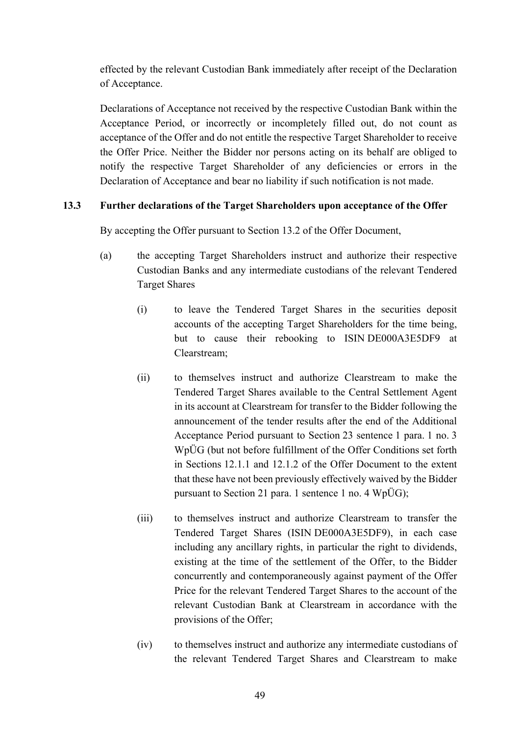effected by the relevant Custodian Bank immediately after receipt of the Declaration of Acceptance.

Declarations of Acceptance not received by the respective Custodian Bank within the Acceptance Period, or incorrectly or incompletely filled out, do not count as acceptance of the Offer and do not entitle the respective Target Shareholder to receive the Offer Price. Neither the Bidder nor persons acting on its behalf are obliged to notify the respective Target Shareholder of any deficiencies or errors in the Declaration of Acceptance and bear no liability if such notification is not made.

### <span id="page-48-1"></span>**13.3 Further declarations of the Target Shareholders upon acceptance of the Offer**

By accepting the Offer pursuant to Section [13.2](#page-47-1) of the Offer Document,

- <span id="page-48-0"></span>(a) the accepting Target Shareholders instruct and authorize their respective Custodian Banks and any intermediate custodians of the relevant Tendered Target Shares
	- (i) to leave the Tendered Target Shares in the securities deposit accounts of the accepting Target Shareholders for the time being, but to cause their rebooking to ISIN DE000A3E5DF9 at Clearstream;
	- (ii) to themselves instruct and authorize Clearstream to make the Tendered Target Shares available to the Central Settlement Agent in its account at Clearstream for transfer to the Bidder following the announcement of the tender results after the end of the Additional Acceptance Period pursuant to Section 23 sentence 1 para. 1 no. 3 WpÜG (but not before fulfillment of the Offer Conditions set forth in Sections [12.1.1](#page-45-0) and [12.1.2](#page-45-2) of the Offer Document to the extent that these have not been previously effectively waived by the Bidder pursuant to Section 21 para. 1 sentence 1 no. 4 WpÜG);
	- (iii) to themselves instruct and authorize Clearstream to transfer the Tendered Target Shares (ISIN DE000A3E5DF9), in each case including any ancillary rights, in particular the right to dividends, existing at the time of the settlement of the Offer, to the Bidder concurrently and contemporaneously against payment of the Offer Price for the relevant Tendered Target Shares to the account of the relevant Custodian Bank at Clearstream in accordance with the provisions of the Offer;
	- (iv) to themselves instruct and authorize any intermediate custodians of the relevant Tendered Target Shares and Clearstream to make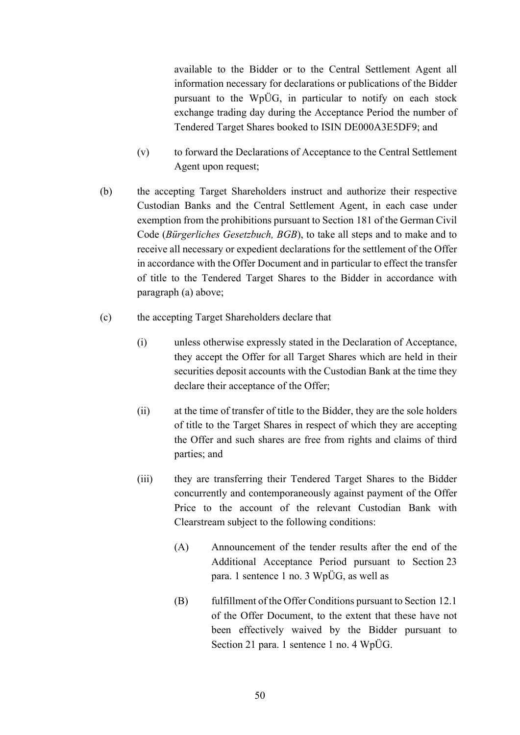available to the Bidder or to the Central Settlement Agent all information necessary for declarations or publications of the Bidder pursuant to the WpÜG, in particular to notify on each stock exchange trading day during the Acceptance Period the number of Tendered Target Shares booked to ISIN DE000A3E5DF9; and

- (v) to forward the Declarations of Acceptance to the Central Settlement Agent upon request;
- <span id="page-49-1"></span>(b) the accepting Target Shareholders instruct and authorize their respective Custodian Banks and the Central Settlement Agent, in each case under exemption from the prohibitions pursuant to Section 181 of the German Civil Code (*Bürgerliches Gesetzbuch, BGB*), to take all steps and to make and to receive all necessary or expedient declarations for the settlement of the Offer in accordance with the Offer Document and in particular to effect the transfer of title to the Tendered Target Shares to the Bidder in accordance with paragraph [\(a\)](#page-48-0) above;
- <span id="page-49-0"></span>(c) the accepting Target Shareholders declare that
	- (i) unless otherwise expressly stated in the Declaration of Acceptance, they accept the Offer for all Target Shares which are held in their securities deposit accounts with the Custodian Bank at the time they declare their acceptance of the Offer;
	- (ii) at the time of transfer of title to the Bidder, they are the sole holders of title to the Target Shares in respect of which they are accepting the Offer and such shares are free from rights and claims of third parties; and
	- (iii) they are transferring their Tendered Target Shares to the Bidder concurrently and contemporaneously against payment of the Offer Price to the account of the relevant Custodian Bank with Clearstream subject to the following conditions:
		- (A) Announcement of the tender results after the end of the Additional Acceptance Period pursuant to Section 23 para. 1 sentence 1 no. 3 WpÜG, as well as
		- (B) fulfillment of the Offer Conditions pursuant to Section [12.1](#page-45-1) of the Offer Document, to the extent that these have not been effectively waived by the Bidder pursuant to Section 21 para. 1 sentence 1 no. 4 WpÜG.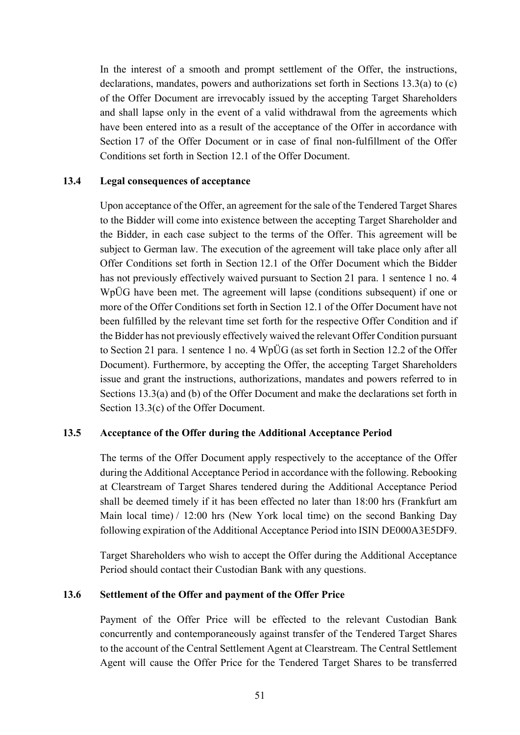In the interest of a smooth and prompt settlement of the Offer, the instructions, declarations, mandates, powers and authorizations set forth in Sections [13.3](#page-48-1)[\(a\)](#page-48-0) to [\(c\)](#page-49-0) of the Offer Document are irrevocably issued by the accepting Target Shareholders and shall lapse only in the event of a valid withdrawal from the agreements which have been entered into as a result of the acceptance of the Offer in accordance with Section [17](#page-60-0) of the Offer Document or in case of final non-fulfillment of the Offer Conditions set forth in Section [12.1](#page-45-1) of the Offer Document.

#### **13.4 Legal consequences of acceptance**

Upon acceptance of the Offer, an agreement for the sale of the Tendered Target Shares to the Bidder will come into existence between the accepting Target Shareholder and the Bidder, in each case subject to the terms of the Offer. This agreement will be subject to German law. The execution of the agreement will take place only after all Offer Conditions set forth in Section [12.1](#page-45-1) of the Offer Document which the Bidder has not previously effectively waived pursuant to Section 21 para. 1 sentence 1 no. 4 WpÜG have been met. The agreement will lapse (conditions subsequent) if one or more of the Offer Conditions set forth in Section [12.1](#page-45-1) of the Offer Document have not been fulfilled by the relevant time set forth for the respective Offer Condition and if the Bidder has not previously effectively waived the relevant Offer Condition pursuant to Section 21 para. 1 sentence 1 no. 4 WpÜG (as set forth in Section [12.2](#page-46-1) of the Offer Document). Furthermore, by accepting the Offer, the accepting Target Shareholders issue and grant the instructions, authorizations, mandates and powers referred to in Sections [13.3](#page-48-1)[\(a\)](#page-48-0) and [\(b\)](#page-49-1) of the Offer Document and make the declarations set forth in Section [13.3](#page-48-1)[\(c\)](#page-49-0) of the Offer Document.

#### **13.5 Acceptance of the Offer during the Additional Acceptance Period**

The terms of the Offer Document apply respectively to the acceptance of the Offer during the Additional Acceptance Period in accordance with the following. Rebooking at Clearstream of Target Shares tendered during the Additional Acceptance Period shall be deemed timely if it has been effected no later than 18:00 hrs (Frankfurt am Main local time) / 12:00 hrs (New York local time) on the second Banking Day following expiration of the Additional Acceptance Period into ISIN DE000A3E5DF9.

Target Shareholders who wish to accept the Offer during the Additional Acceptance Period should contact their Custodian Bank with any questions.

#### **13.6 Settlement of the Offer and payment of the Offer Price**

Payment of the Offer Price will be effected to the relevant Custodian Bank concurrently and contemporaneously against transfer of the Tendered Target Shares to the account of the Central Settlement Agent at Clearstream. The Central Settlement Agent will cause the Offer Price for the Tendered Target Shares to be transferred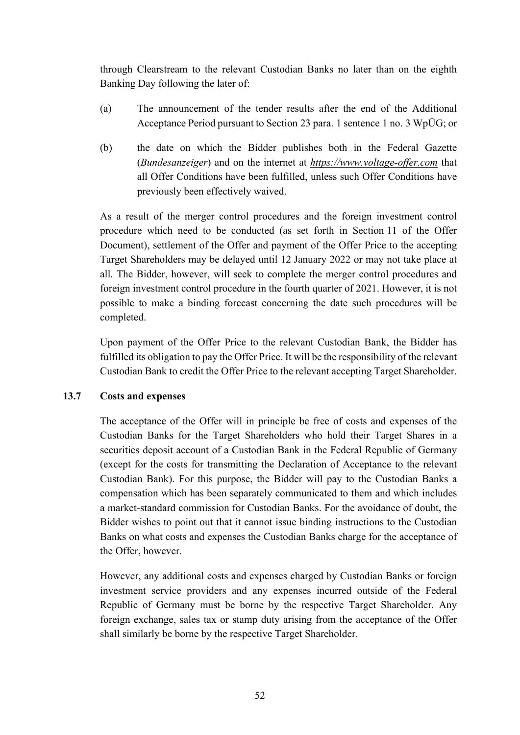through Clearstream to the relevant Custodian Banks no later than on the eighth Banking Day following the later of:

- (a) The announcement of the tender results after the end of the Additional Acceptance Period pursuant to Section 23 para. 1 sentence 1 no. 3 WpÜG; or
- (b) the date on which the Bidder publishes both in the Federal Gazette (*Bundesanzeiger*) and on the internet at *https://www.voltage-offer.com* that all Offer Conditions have been fulfilled, unless such Offer Conditions have previously been effectively waived.

As a result of the merger control procedures and the foreign investment control procedure which need to be conducted (as set forth in Section [11](#page-42-0) of the Offer Document), settlement of the Offer and payment of the Offer Price to the accepting Target Shareholders may be delayed until 12 January 2022 or may not take place at all. The Bidder, however, will seek to complete the merger control procedures and foreign investment control procedure in the fourth quarter of 2021. However, it is not possible to make a binding forecast concerning the date such procedures will be completed.

Upon payment of the Offer Price to the relevant Custodian Bank, the Bidder has fulfilled its obligation to pay the Offer Price. It will be the responsibility of the relevant Custodian Bank to credit the Offer Price to the relevant accepting Target Shareholder.

### **13.7 Costs and expenses**

The acceptance of the Offer will in principle be free of costs and expenses of the Custodian Banks for the Target Shareholders who hold their Target Shares in a securities deposit account of a Custodian Bank in the Federal Republic of Germany (except for the costs for transmitting the Declaration of Acceptance to the relevant Custodian Bank). For this purpose, the Bidder will pay to the Custodian Banks a compensation which has been separately communicated to them and which includes a market-standard commission for Custodian Banks. For the avoidance of doubt, the Bidder wishes to point out that it cannot issue binding instructions to the Custodian Banks on what costs and expenses the Custodian Banks charge for the acceptance of the Offer, however.

However, any additional costs and expenses charged by Custodian Banks or foreign investment service providers and any expenses incurred outside of the Federal Republic of Germany must be borne by the respective Target Shareholder. Any foreign exchange, sales tax or stamp duty arising from the acceptance of the Offer shall similarly be borne by the respective Target Shareholder.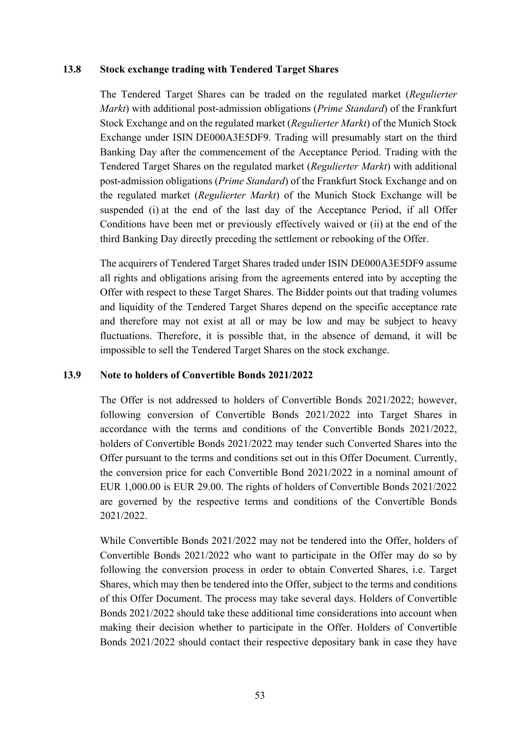#### **13.8 Stock exchange trading with Tendered Target Shares**

The Tendered Target Shares can be traded on the regulated market (*Regulierter Markt*) with additional post-admission obligations (*Prime Standard*) of the Frankfurt Stock Exchange and on the regulated market (*Regulierter Markt*) of the Munich Stock Exchange under ISIN DE000A3E5DF9. Trading will presumably start on the third Banking Day after the commencement of the Acceptance Period. Trading with the Tendered Target Shares on the regulated market (*Regulierter Markt*) with additional post-admission obligations (*Prime Standard*) of the Frankfurt Stock Exchange and on the regulated market (*Regulierter Markt*) of the Munich Stock Exchange will be suspended (i) at the end of the last day of the Acceptance Period, if all Offer Conditions have been met or previously effectively waived or (ii) at the end of the third Banking Day directly preceding the settlement or rebooking of the Offer.

The acquirers of Tendered Target Shares traded under ISIN DE000A3E5DF9 assume all rights and obligations arising from the agreements entered into by accepting the Offer with respect to these Target Shares. The Bidder points out that trading volumes and liquidity of the Tendered Target Shares depend on the specific acceptance rate and therefore may not exist at all or may be low and may be subject to heavy fluctuations. Therefore, it is possible that, in the absence of demand, it will be impossible to sell the Tendered Target Shares on the stock exchange.

### **13.9 Note to holders of Convertible Bonds 2021/2022**

The Offer is not addressed to holders of Convertible Bonds 2021/2022; however, following conversion of Convertible Bonds 2021/2022 into Target Shares in accordance with the terms and conditions of the Convertible Bonds 2021/2022, holders of Convertible Bonds 2021/2022 may tender such Converted Shares into the Offer pursuant to the terms and conditions set out in this Offer Document. Currently, the conversion price for each Convertible Bond 2021/2022 in a nominal amount of EUR 1,000.00 is EUR 29.00. The rights of holders of Convertible Bonds 2021/2022 are governed by the respective terms and conditions of the Convertible Bonds 2021/2022.

While Convertible Bonds 2021/2022 may not be tendered into the Offer, holders of Convertible Bonds 2021/2022 who want to participate in the Offer may do so by following the conversion process in order to obtain Converted Shares, i.e. Target Shares, which may then be tendered into the Offer, subject to the terms and conditions of this Offer Document. The process may take several days. Holders of Convertible Bonds 2021/2022 should take these additional time considerations into account when making their decision whether to participate in the Offer. Holders of Convertible Bonds 2021/2022 should contact their respective depositary bank in case they have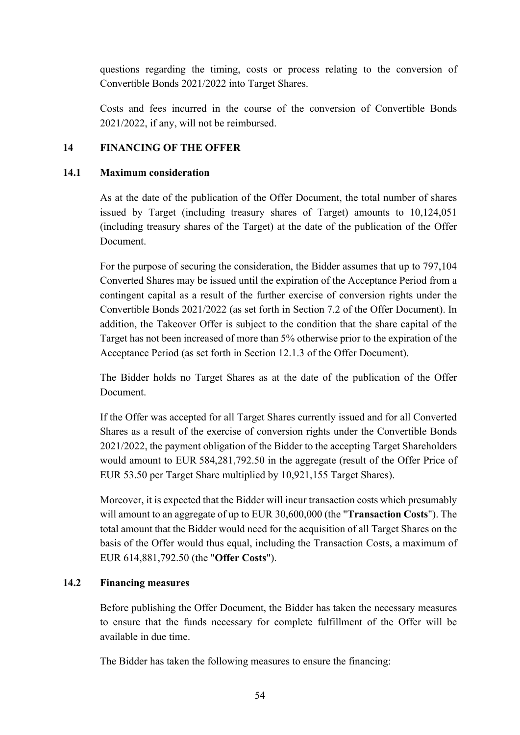questions regarding the timing, costs or process relating to the conversion of Convertible Bonds 2021/2022 into Target Shares.

Costs and fees incurred in the course of the conversion of Convertible Bonds 2021/2022, if any, will not be reimbursed.

## **14 FINANCING OF THE OFFER**

#### **14.1 Maximum consideration**

As at the date of the publication of the Offer Document, the total number of shares issued by Target (including treasury shares of Target) amounts to 10,124,051 (including treasury shares of the Target) at the date of the publication of the Offer Document.

For the purpose of securing the consideration, the Bidder assumes that up to 797,104 Converted Shares may be issued until the expiration of the Acceptance Period from a contingent capital as a result of the further exercise of conversion rights under the Convertible Bonds 2021/2022 (as set forth in Section [7.2](#page-28-0) of the Offer Document). In addition, the Takeover Offer is subject to the condition that the share capital of the Target has not been increased of more than 5% otherwise prior to the expiration of the Acceptance Period (as set forth in Section [12.1.3](#page-45-3) of the Offer Document).

The Bidder holds no Target Shares as at the date of the publication of the Offer Document.

If the Offer was accepted for all Target Shares currently issued and for all Converted Shares as a result of the exercise of conversion rights under the Convertible Bonds 2021/2022, the payment obligation of the Bidder to the accepting Target Shareholders would amount to EUR 584,281,792.50 in the aggregate (result of the Offer Price of EUR 53.50 per Target Share multiplied by 10,921,155 Target Shares).

Moreover, it is expected that the Bidder will incur transaction costs which presumably will amount to an aggregate of up to EUR 30,600,000 (the "**Transaction Costs**"). The total amount that the Bidder would need for the acquisition of all Target Shares on the basis of the Offer would thus equal, including the Transaction Costs, a maximum of EUR 614,881,792.50 (the "**Offer Costs**").

### <span id="page-53-0"></span>**14.2 Financing measures**

Before publishing the Offer Document, the Bidder has taken the necessary measures to ensure that the funds necessary for complete fulfillment of the Offer will be available in due time.

The Bidder has taken the following measures to ensure the financing: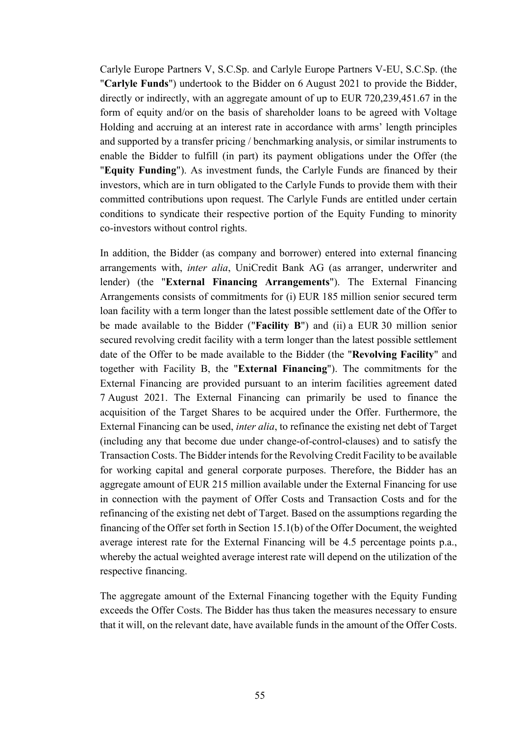Carlyle Europe Partners V, S.C.Sp. and Carlyle Europe Partners V-EU, S.C.Sp. (the "**Carlyle Funds**") undertook to the Bidder on 6 August 2021 to provide the Bidder, directly or indirectly, with an aggregate amount of up to EUR 720,239,451.67 in the form of equity and/or on the basis of shareholder loans to be agreed with Voltage Holding and accruing at an interest rate in accordance with arms' length principles and supported by a transfer pricing / benchmarking analysis, or similar instruments to enable the Bidder to fulfill (in part) its payment obligations under the Offer (the "**Equity Funding**"). As investment funds, the Carlyle Funds are financed by their investors, which are in turn obligated to the Carlyle Funds to provide them with their committed contributions upon request. The Carlyle Funds are entitled under certain conditions to syndicate their respective portion of the Equity Funding to minority co-investors without control rights.

In addition, the Bidder (as company and borrower) entered into external financing arrangements with, *inter alia*, UniCredit Bank AG (as arranger, underwriter and lender) (the "**External Financing Arrangements**"). The External Financing Arrangements consists of commitments for (i) EUR 185 million senior secured term loan facility with a term longer than the latest possible settlement date of the Offer to be made available to the Bidder ("**Facility B**") and (ii) a EUR 30 million senior secured revolving credit facility with a term longer than the latest possible settlement date of the Offer to be made available to the Bidder (the "**Revolving Facility**" and together with Facility B, the "**External Financing**"). The commitments for the External Financing are provided pursuant to an interim facilities agreement dated 7 August 2021. The External Financing can primarily be used to finance the acquisition of the Target Shares to be acquired under the Offer. Furthermore, the External Financing can be used, *inter alia*, to refinance the existing net debt of Target (including any that become due under change-of-control-clauses) and to satisfy the Transaction Costs. The Bidder intends for the Revolving Credit Facility to be available for working capital and general corporate purposes. Therefore, the Bidder has an aggregate amount of EUR 215 million available under the External Financing for use in connection with the payment of Offer Costs and Transaction Costs and for the refinancing of the existing net debt of Target. Based on the assumptions regarding the financing of the Offer set forth in Section [15.1](#page-55-0)[\(b\)](#page-56-0) of the Offer Document, the weighted average interest rate for the External Financing will be 4.5 percentage points p.a., whereby the actual weighted average interest rate will depend on the utilization of the respective financing.

The aggregate amount of the External Financing together with the Equity Funding exceeds the Offer Costs. The Bidder has thus taken the measures necessary to ensure that it will, on the relevant date, have available funds in the amount of the Offer Costs.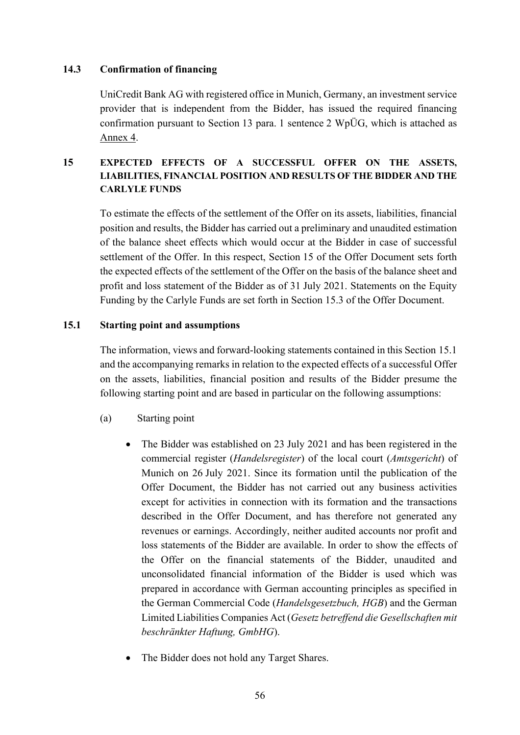#### **14.3 Confirmation of financing**

UniCredit Bank AG with registered office in Munich, Germany, an investment service provider that is independent from the Bidder, has issued the required financing confirmation pursuant to Section 13 para. 1 sentence 2 WpÜG, which is attached as Annex 4.

## <span id="page-55-1"></span>**15 EXPECTED EFFECTS OF A SUCCESSFUL OFFER ON THE ASSETS, LIABILITIES, FINANCIAL POSITION AND RESULTS OF THE BIDDER AND THE CARLYLE FUNDS**

To estimate the effects of the settlement of the Offer on its assets, liabilities, financial position and results, the Bidder has carried out a preliminary and unaudited estimation of the balance sheet effects which would occur at the Bidder in case of successful settlement of the Offer. In this respect, Section [15](#page-55-1) of the Offer Document sets forth the expected effects of the settlement of the Offer on the basis of the balance sheet and profit and loss statement of the Bidder as of 31 July 2021. Statements on the Equity Funding by the Carlyle Funds are set forth in Section [15.3](#page-58-0) of the Offer Document.

#### <span id="page-55-0"></span>**15.1 Starting point and assumptions**

The information, views and forward-looking statements contained in this Section [15.1](#page-55-0) and the accompanying remarks in relation to the expected effects of a successful Offer on the assets, liabilities, financial position and results of the Bidder presume the following starting point and are based in particular on the following assumptions:

- (a) Starting point
	- The Bidder was established on 23 July 2021 and has been registered in the commercial register (*Handelsregister*) of the local court (*Amtsgericht*) of Munich on 26 July 2021. Since its formation until the publication of the Offer Document, the Bidder has not carried out any business activities except for activities in connection with its formation and the transactions described in the Offer Document, and has therefore not generated any revenues or earnings. Accordingly, neither audited accounts nor profit and loss statements of the Bidder are available. In order to show the effects of the Offer on the financial statements of the Bidder, unaudited and unconsolidated financial information of the Bidder is used which was prepared in accordance with German accounting principles as specified in the German Commercial Code (*Handelsgesetzbuch, HGB*) and the German Limited Liabilities Companies Act (*Gesetz betreffend die Gesellschaften mit beschränkter Haftung, GmbHG*).
	- The Bidder does not hold any Target Shares.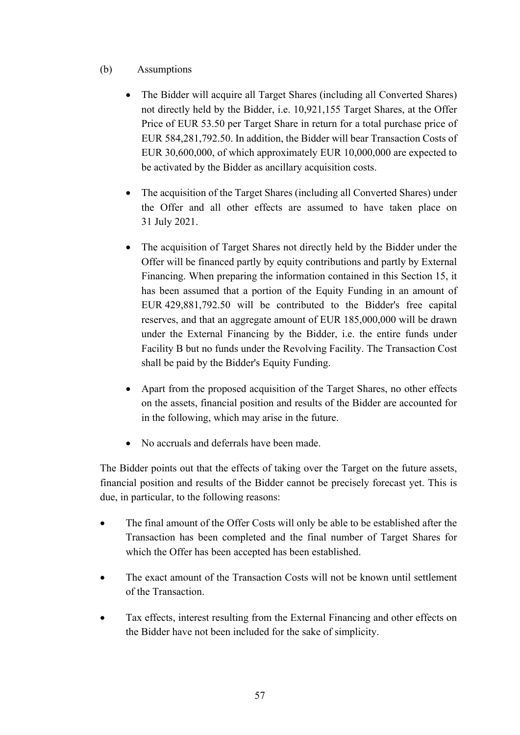## <span id="page-56-0"></span>(b) Assumptions

- The Bidder will acquire all Target Shares (including all Converted Shares) not directly held by the Bidder, i.e. 10,921,155 Target Shares, at the Offer Price of EUR 53.50 per Target Share in return for a total purchase price of EUR 584,281,792.50. In addition, the Bidder will bear Transaction Costs of EUR 30,600,000, of which approximately EUR 10,000,000 are expected to be activated by the Bidder as ancillary acquisition costs.
- The acquisition of the Target Shares (including all Converted Shares) under the Offer and all other effects are assumed to have taken place on 31 July 2021.
- The acquisition of Target Shares not directly held by the Bidder under the Offer will be financed partly by equity contributions and partly by External Financing. When preparing the information contained in this Section [15](#page-55-1), it has been assumed that a portion of the Equity Funding in an amount of EUR 429,881,792.50 will be contributed to the Bidder's free capital reserves, and that an aggregate amount of EUR 185,000,000 will be drawn under the External Financing by the Bidder, i.e. the entire funds under Facility B but no funds under the Revolving Facility. The Transaction Cost shall be paid by the Bidder's Equity Funding.
- Apart from the proposed acquisition of the Target Shares, no other effects on the assets, financial position and results of the Bidder are accounted for in the following, which may arise in the future.
- No accruals and deferrals have been made.

The Bidder points out that the effects of taking over the Target on the future assets, financial position and results of the Bidder cannot be precisely forecast yet. This is due, in particular, to the following reasons:

- The final amount of the Offer Costs will only be able to be established after the Transaction has been completed and the final number of Target Shares for which the Offer has been accepted has been established.
- The exact amount of the Transaction Costs will not be known until settlement of the Transaction.
- Tax effects, interest resulting from the External Financing and other effects on the Bidder have not been included for the sake of simplicity.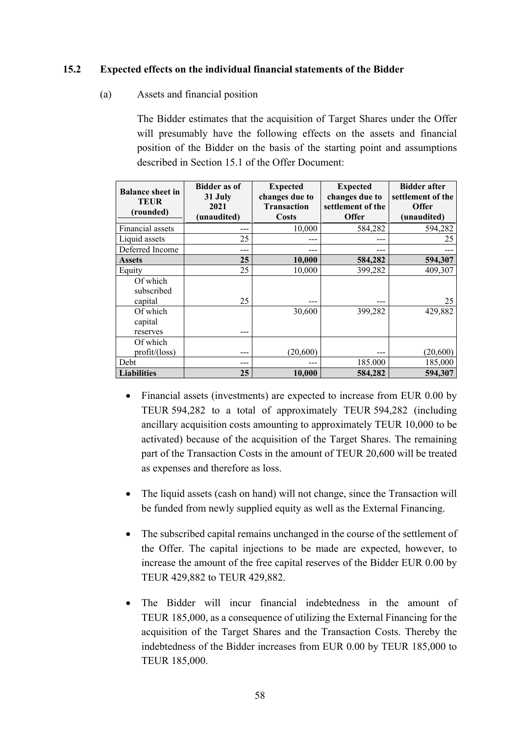### **15.2 Expected effects on the individual financial statements of the Bidder**

(a) Assets and financial position

The Bidder estimates that the acquisition of Target Shares under the Offer will presumably have the following effects on the assets and financial position of the Bidder on the basis of the starting point and assumptions described in Section [15.1](#page-55-0) of the Offer Document:

| <b>Balance sheet in</b><br><b>TEUR</b><br>(rounded) | <b>Bidder as of</b><br>31 July<br>2021<br>(unaudited) | <b>Expected</b><br>changes due to<br><b>Transaction</b><br>Costs | <b>Expected</b><br>changes due to<br>settlement of the<br><b>Offer</b> | <b>Bidder after</b><br>settlement of the<br><b>Offer</b><br>(unaudited) |
|-----------------------------------------------------|-------------------------------------------------------|------------------------------------------------------------------|------------------------------------------------------------------------|-------------------------------------------------------------------------|
| Financial assets                                    |                                                       | 10,000                                                           | 584,282                                                                | 594,282                                                                 |
| Liquid assets                                       | 25                                                    |                                                                  |                                                                        | 25                                                                      |
| Deferred Income                                     | ---                                                   |                                                                  |                                                                        |                                                                         |
| <b>Assets</b>                                       | 25                                                    | 10,000                                                           | 584,282                                                                | 594,307                                                                 |
| Equity                                              | 25                                                    | 10,000                                                           | 399,282                                                                | 409,307                                                                 |
| Of which<br>subscribed<br>capital                   | 25                                                    |                                                                  |                                                                        | 25                                                                      |
| Of which<br>capital<br>reserves                     | ---                                                   | 30,600                                                           | 399,282                                                                | 429,882                                                                 |
| Of which<br>$profit/(\text{loss})$                  | ---                                                   | (20, 600)                                                        |                                                                        | (20, 600)                                                               |
| Debt                                                | ---                                                   |                                                                  | 185.000                                                                | 185,000                                                                 |
| <b>Liabilities</b>                                  | 25                                                    | 10,000                                                           | 584,282                                                                | 594,307                                                                 |

- Financial assets (investments) are expected to increase from EUR 0.00 by TEUR 594,282 to a total of approximately TEUR 594,282 (including ancillary acquisition costs amounting to approximately TEUR 10,000 to be activated) because of the acquisition of the Target Shares. The remaining part of the Transaction Costs in the amount of TEUR 20,600 will be treated as expenses and therefore as loss.
- The liquid assets (cash on hand) will not change, since the Transaction will be funded from newly supplied equity as well as the External Financing.
- The subscribed capital remains unchanged in the course of the settlement of the Offer. The capital injections to be made are expected, however, to increase the amount of the free capital reserves of the Bidder EUR 0.00 by TEUR 429,882 to TEUR 429,882.
- The Bidder will incur financial indebtedness in the amount of TEUR 185,000, as a consequence of utilizing the External Financing for the acquisition of the Target Shares and the Transaction Costs. Thereby the indebtedness of the Bidder increases from EUR 0.00 by TEUR 185,000 to TEUR 185,000.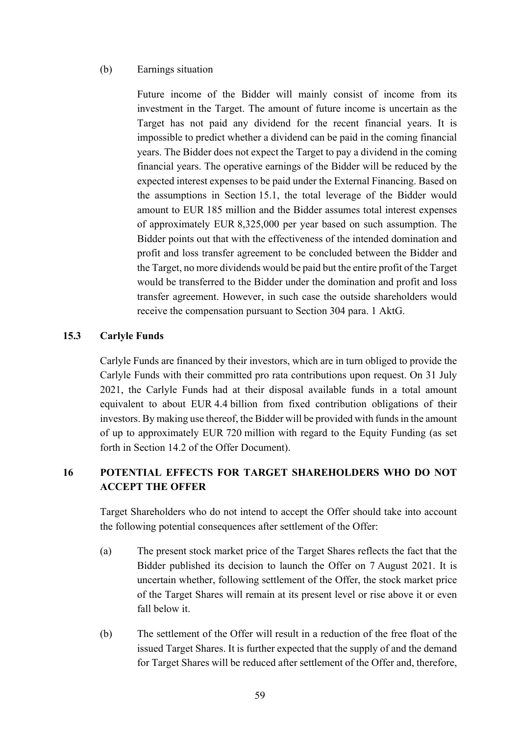#### (b) Earnings situation

Future income of the Bidder will mainly consist of income from its investment in the Target. The amount of future income is uncertain as the Target has not paid any dividend for the recent financial years. It is impossible to predict whether a dividend can be paid in the coming financial years. The Bidder does not expect the Target to pay a dividend in the coming financial years. The operative earnings of the Bidder will be reduced by the expected interest expenses to be paid under the External Financing. Based on the assumptions in Section [15.1](#page-55-0), the total leverage of the Bidder would amount to EUR 185 million and the Bidder assumes total interest expenses of approximately EUR 8,325,000 per year based on such assumption. The Bidder points out that with the effectiveness of the intended domination and profit and loss transfer agreement to be concluded between the Bidder and the Target, no more dividends would be paid but the entire profit of the Target would be transferred to the Bidder under the domination and profit and loss transfer agreement. However, in such case the outside shareholders would receive the compensation pursuant to Section 304 para. 1 AktG.

#### <span id="page-58-0"></span>**15.3 Carlyle Funds**

Carlyle Funds are financed by their investors, which are in turn obliged to provide the Carlyle Funds with their committed pro rata contributions upon request. On 31 July 2021, the Carlyle Funds had at their disposal available funds in a total amount equivalent to about EUR 4.4 billion from fixed contribution obligations of their investors. By making use thereof, the Bidder will be provided with funds in the amount of up to approximately EUR 720 million with regard to the Equity Funding (as set forth in Section [14.2](#page-53-0) of the Offer Document).

## **16 POTENTIAL EFFECTS FOR TARGET SHAREHOLDERS WHO DO NOT ACCEPT THE OFFER**

Target Shareholders who do not intend to accept the Offer should take into account the following potential consequences after settlement of the Offer:

- (a) The present stock market price of the Target Shares reflects the fact that the Bidder published its decision to launch the Offer on 7 August 2021. It is uncertain whether, following settlement of the Offer, the stock market price of the Target Shares will remain at its present level or rise above it or even fall below it.
- (b) The settlement of the Offer will result in a reduction of the free float of the issued Target Shares. It is further expected that the supply of and the demand for Target Shares will be reduced after settlement of the Offer and, therefore,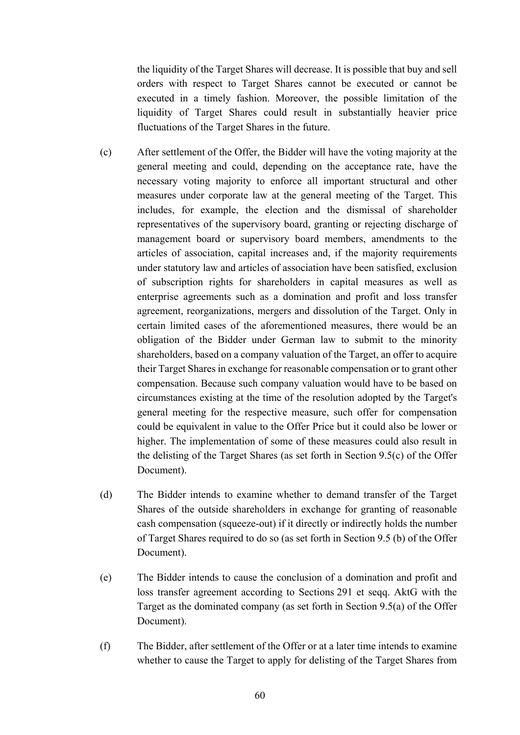the liquidity of the Target Shares will decrease. It is possible that buy and sell orders with respect to Target Shares cannot be executed or cannot be executed in a timely fashion. Moreover, the possible limitation of the liquidity of Target Shares could result in substantially heavier price fluctuations of the Target Shares in the future.

- (c) After settlement of the Offer, the Bidder will have the voting majority at the general meeting and could, depending on the acceptance rate, have the necessary voting majority to enforce all important structural and other measures under corporate law at the general meeting of the Target. This includes, for example, the election and the dismissal of shareholder representatives of the supervisory board, granting or rejecting discharge of management board or supervisory board members, amendments to the articles of association, capital increases and, if the majority requirements under statutory law and articles of association have been satisfied, exclusion of subscription rights for shareholders in capital measures as well as enterprise agreements such as a domination and profit and loss transfer agreement, reorganizations, mergers and dissolution of the Target. Only in certain limited cases of the aforementioned measures, there would be an obligation of the Bidder under German law to submit to the minority shareholders, based on a company valuation of the Target, an offer to acquire their Target Shares in exchange for reasonable compensation or to grant other compensation. Because such company valuation would have to be based on circumstances existing at the time of the resolution adopted by the Target's general meeting for the respective measure, such offer for compensation could be equivalent in value to the Offer Price but it could also be lower or higher. The implementation of some of these measures could also result in the delisting of the Target Shares (as set forth in Section [9.5](#page-35-0)[\(c\)](#page-37-2) of the Offer Document).
- (d) The Bidder intends to examine whether to demand transfer of the Target Shares of the outside shareholders in exchange for granting of reasonable cash compensation (squeeze-out) if it directly or indirectly holds the number of Target Shares required to do so (as set forth in Section 9.5 [\(b\)](#page-36-0) of the Offer Document).
- (e) The Bidder intends to cause the conclusion of a domination and profit and loss transfer agreement according to Sections 291 et seqq. AktG with the Target as the dominated company (as set forth in Section [9.5](#page-35-0)[\(a\)](#page-36-1) of the Offer Document).
- (f) The Bidder, after settlement of the Offer or at a later time intends to examine whether to cause the Target to apply for delisting of the Target Shares from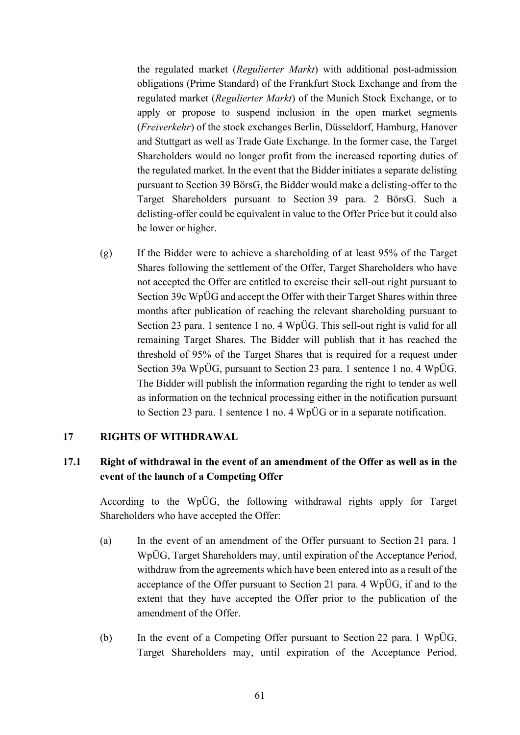the regulated market (*Regulierter Markt*) with additional post-admission obligations (Prime Standard) of the Frankfurt Stock Exchange and from the regulated market (*Regulierter Markt*) of the Munich Stock Exchange, or to apply or propose to suspend inclusion in the open market segments (*Freiverkehr*) of the stock exchanges Berlin, Düsseldorf, Hamburg, Hanover and Stuttgart as well as Trade Gate Exchange. In the former case, the Target Shareholders would no longer profit from the increased reporting duties of the regulated market. In the event that the Bidder initiates a separate delisting pursuant to Section 39 BörsG, the Bidder would make a delisting-offer to the Target Shareholders pursuant to Section 39 para. 2 BörsG. Such a delisting-offer could be equivalent in value to the Offer Price but it could also be lower or higher.

(g) If the Bidder were to achieve a shareholding of at least 95% of the Target Shares following the settlement of the Offer, Target Shareholders who have not accepted the Offer are entitled to exercise their sell-out right pursuant to Section 39c WpÜG and accept the Offer with their Target Shares within three months after publication of reaching the relevant shareholding pursuant to Section 23 para. 1 sentence 1 no. 4 WpÜG. This sell-out right is valid for all remaining Target Shares. The Bidder will publish that it has reached the threshold of 95% of the Target Shares that is required for a request under Section 39a WpÜG, pursuant to Section 23 para. 1 sentence 1 no. 4 WpÜG. The Bidder will publish the information regarding the right to tender as well as information on the technical processing either in the notification pursuant to Section 23 para. 1 sentence 1 no. 4 WpÜG or in a separate notification.

#### <span id="page-60-0"></span>**17 RIGHTS OF WITHDRAWAL**

### <span id="page-60-1"></span>**17.1 Right of withdrawal in the event of an amendment of the Offer as well as in the event of the launch of a Competing Offer**

According to the WpÜG, the following withdrawal rights apply for Target Shareholders who have accepted the Offer:

- (a) In the event of an amendment of the Offer pursuant to Section 21 para. 1 WpÜG, Target Shareholders may, until expiration of the Acceptance Period, withdraw from the agreements which have been entered into as a result of the acceptance of the Offer pursuant to Section 21 para. 4 WpÜG, if and to the extent that they have accepted the Offer prior to the publication of the amendment of the Offer.
- (b) In the event of a Competing Offer pursuant to Section 22 para. 1 WpÜG, Target Shareholders may, until expiration of the Acceptance Period,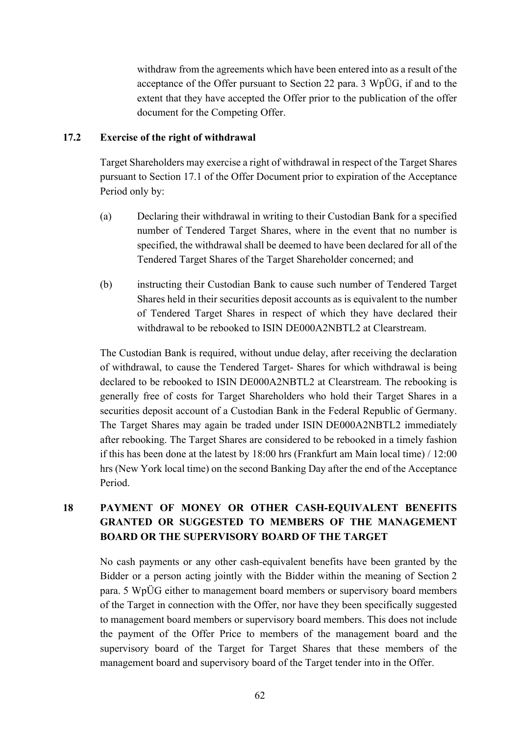withdraw from the agreements which have been entered into as a result of the acceptance of the Offer pursuant to Section 22 para. 3 WpÜG, if and to the extent that they have accepted the Offer prior to the publication of the offer document for the Competing Offer.

#### **17.2 Exercise of the right of withdrawal**

Target Shareholders may exercise a right of withdrawal in respect of the Target Shares pursuant to Section [17.1](#page-60-1) of the Offer Document prior to expiration of the Acceptance Period only by:

- (a) Declaring their withdrawal in writing to their Custodian Bank for a specified number of Tendered Target Shares, where in the event that no number is specified, the withdrawal shall be deemed to have been declared for all of the Tendered Target Shares of the Target Shareholder concerned; and
- (b) instructing their Custodian Bank to cause such number of Tendered Target Shares held in their securities deposit accounts as is equivalent to the number of Tendered Target Shares in respect of which they have declared their withdrawal to be rebooked to ISIN DE000A2NBTL2 at Clearstream.

The Custodian Bank is required, without undue delay, after receiving the declaration of withdrawal, to cause the Tendered Target- Shares for which withdrawal is being declared to be rebooked to ISIN DE000A2NBTL2 at Clearstream. The rebooking is generally free of costs for Target Shareholders who hold their Target Shares in a securities deposit account of a Custodian Bank in the Federal Republic of Germany. The Target Shares may again be traded under ISIN DE000A2NBTL2 immediately after rebooking. The Target Shares are considered to be rebooked in a timely fashion if this has been done at the latest by 18:00 hrs (Frankfurt am Main local time) / 12:00 hrs (New York local time) on the second Banking Day after the end of the Acceptance Period.

## **18 PAYMENT OF MONEY OR OTHER CASH-EQUIVALENT BENEFITS GRANTED OR SUGGESTED TO MEMBERS OF THE MANAGEMENT BOARD OR THE SUPERVISORY BOARD OF THE TARGET**

No cash payments or any other cash-equivalent benefits have been granted by the Bidder or a person acting jointly with the Bidder within the meaning of Section 2 para. 5 WpÜG either to management board members or supervisory board members of the Target in connection with the Offer, nor have they been specifically suggested to management board members or supervisory board members. This does not include the payment of the Offer Price to members of the management board and the supervisory board of the Target for Target Shares that these members of the management board and supervisory board of the Target tender into in the Offer.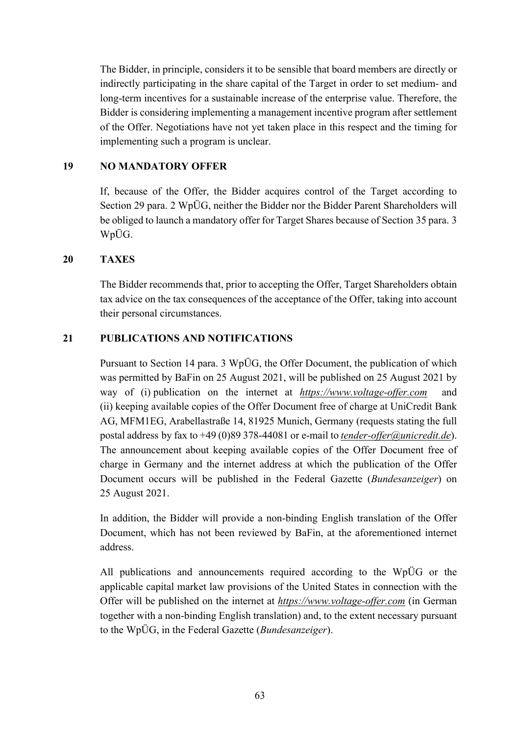The Bidder, in principle, considers it to be sensible that board members are directly or indirectly participating in the share capital of the Target in order to set medium- and long-term incentives for a sustainable increase of the enterprise value. Therefore, the Bidder is considering implementing a management incentive program after settlement of the Offer. Negotiations have not yet taken place in this respect and the timing for implementing such a program is unclear.

#### **19 NO MANDATORY OFFER**

If, because of the Offer, the Bidder acquires control of the Target according to Section 29 para. 2 WpÜG, neither the Bidder nor the Bidder Parent Shareholders will be obliged to launch a mandatory offer for Target Shares because of Section 35 para. 3 WpÜG.

#### **20 TAXES**

The Bidder recommends that, prior to accepting the Offer, Target Shareholders obtain tax advice on the tax consequences of the acceptance of the Offer, taking into account their personal circumstances.

### **21 PUBLICATIONS AND NOTIFICATIONS**

Pursuant to Section 14 para. 3 WpÜG, the Offer Document, the publication of which was permitted by BaFin on 25 August 2021, will be published on 25 August 2021 by way of (i) publication on the internet at *https://www.voltage-offer.com* and (ii) keeping available copies of the Offer Document free of charge at UniCredit Bank AG, MFM1EG, Arabellastraße 14, 81925 Munich, Germany (requests stating the full postal address by fax to +49 (0)89 378-44081 or e-mail to *[tender-offer@unicredit.de](mailto:tender-offer@unicredit.de)*). The announcement about keeping available copies of the Offer Document free of charge in Germany and the internet address at which the publication of the Offer Document occurs will be published in the Federal Gazette (*Bundesanzeiger*) on 25 August 2021.

In addition, the Bidder will provide a non-binding English translation of the Offer Document, which has not been reviewed by BaFin, at the aforementioned internet address.

All publications and announcements required according to the WpÜG or the applicable capital market law provisions of the United States in connection with the Offer will be published on the internet at *https://www.voltage-offer.com* (in German together with a non-binding English translation) and, to the extent necessary pursuant to the WpÜG, in the Federal Gazette (*Bundesanzeiger*).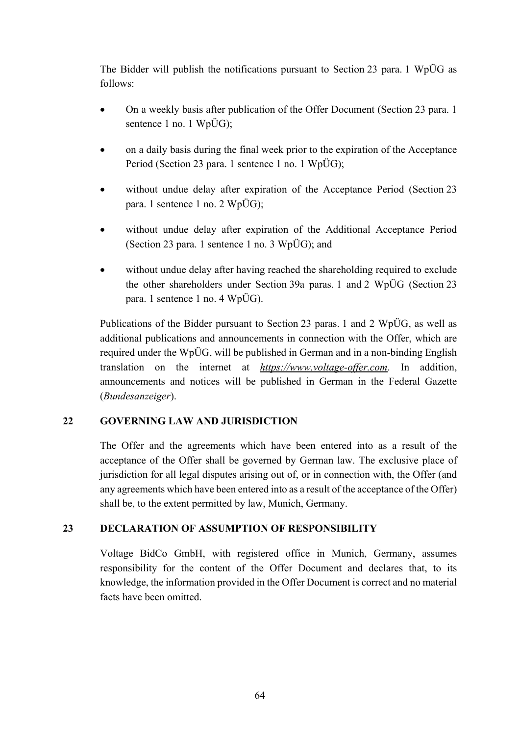The Bidder will publish the notifications pursuant to Section 23 para. 1 WpÜG as follows:

- On a weekly basis after publication of the Offer Document (Section 23 para. 1) sentence 1 no. 1 WpÜG);
- on a daily basis during the final week prior to the expiration of the Acceptance Period (Section 23 para. 1 sentence 1 no. 1 WpÜG);
- without undue delay after expiration of the Acceptance Period (Section 23 para. 1 sentence 1 no. 2 WpÜG);
- without undue delay after expiration of the Additional Acceptance Period (Section 23 para. 1 sentence 1 no. 3 WpÜG); and
- without undue delay after having reached the shareholding required to exclude the other shareholders under Section 39a paras. 1 and 2 WpÜG (Section 23 para. 1 sentence 1 no. 4 WpÜG).

Publications of the Bidder pursuant to Section 23 paras. 1 and 2 WpÜG, as well as additional publications and announcements in connection with the Offer, which are required under the WpÜG, will be published in German and in a non-binding English translation on the internet at *https://www.voltage-offer.com*. In addition, announcements and notices will be published in German in the Federal Gazette (*Bundesanzeiger*).

### **22 GOVERNING LAW AND JURISDICTION**

The Offer and the agreements which have been entered into as a result of the acceptance of the Offer shall be governed by German law. The exclusive place of jurisdiction for all legal disputes arising out of, or in connection with, the Offer (and any agreements which have been entered into as a result of the acceptance of the Offer) shall be, to the extent permitted by law, Munich, Germany.

### **23 DECLARATION OF ASSUMPTION OF RESPONSIBILITY**

Voltage BidCo GmbH, with registered office in Munich, Germany, assumes responsibility for the content of the Offer Document and declares that, to its knowledge, the information provided in the Offer Document is correct and no material facts have been omitted.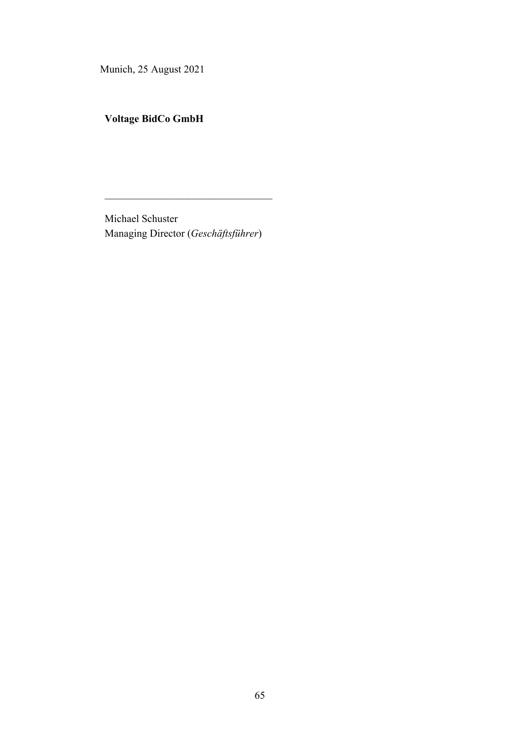Munich, 25 August 2021

**Voltage BidCo GmbH**

Michael Schuster Managing Director (*Geschäftsführer*)

 $\mathcal{L}=\mathcal{L}=\mathcal{L}=\mathcal{L}=\mathcal{L}=\mathcal{L}=\mathcal{L}=\mathcal{L}=\mathcal{L}=\mathcal{L}=\mathcal{L}=\mathcal{L}=\mathcal{L}=\mathcal{L}=\mathcal{L}=\mathcal{L}=\mathcal{L}=\mathcal{L}=\mathcal{L}=\mathcal{L}=\mathcal{L}=\mathcal{L}=\mathcal{L}=\mathcal{L}=\mathcal{L}=\mathcal{L}=\mathcal{L}=\mathcal{L}=\mathcal{L}=\mathcal{L}=\mathcal{L}=\mathcal{L}=\mathcal{L}=\mathcal{L}=\mathcal{L}=\mathcal{L}=\mathcal{$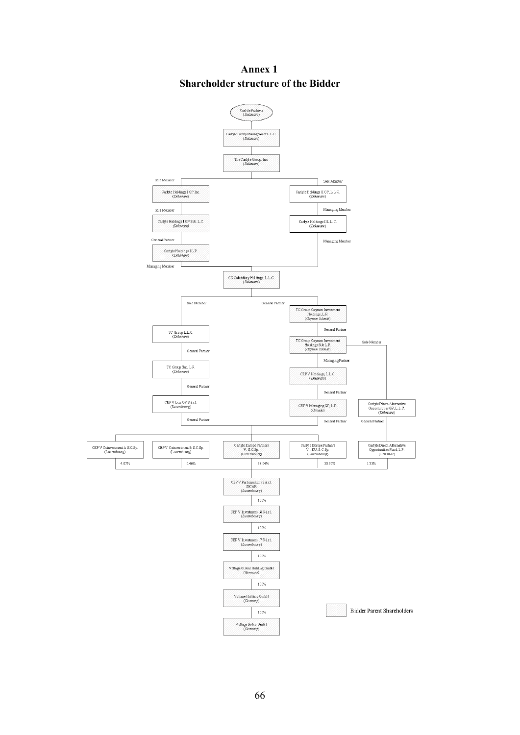

**Annex 1 Shareholder structure of the Bidder**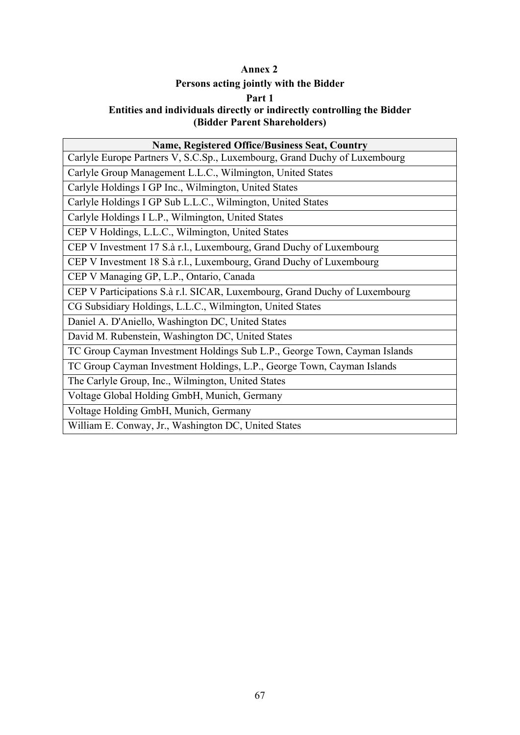## **Annex 2**

# **Persons acting jointly with the Bidder**

#### **Part 1**

### **Entities and individuals directly or indirectly controlling the Bidder (Bidder Parent Shareholders)**

| <b>Name, Registered Office/Business Seat, Country</b>                      |  |  |
|----------------------------------------------------------------------------|--|--|
| Carlyle Europe Partners V, S.C.Sp., Luxembourg, Grand Duchy of Luxembourg  |  |  |
| Carlyle Group Management L.L.C., Wilmington, United States                 |  |  |
| Carlyle Holdings I GP Inc., Wilmington, United States                      |  |  |
| Carlyle Holdings I GP Sub L.L.C., Wilmington, United States                |  |  |
| Carlyle Holdings I L.P., Wilmington, United States                         |  |  |
| CEP V Holdings, L.L.C., Wilmington, United States                          |  |  |
| CEP V Investment 17 S.à r.l., Luxembourg, Grand Duchy of Luxembourg        |  |  |
| CEP V Investment 18 S.à r.l., Luxembourg, Grand Duchy of Luxembourg        |  |  |
| CEP V Managing GP, L.P., Ontario, Canada                                   |  |  |
| CEP V Participations S.à r.l. SICAR, Luxembourg, Grand Duchy of Luxembourg |  |  |
| CG Subsidiary Holdings, L.L.C., Wilmington, United States                  |  |  |
| Daniel A. D'Aniello, Washington DC, United States                          |  |  |
| David M. Rubenstein, Washington DC, United States                          |  |  |
| TC Group Cayman Investment Holdings Sub L.P., George Town, Cayman Islands  |  |  |
| TC Group Cayman Investment Holdings, L.P., George Town, Cayman Islands     |  |  |
| The Carlyle Group, Inc., Wilmington, United States                         |  |  |
| Voltage Global Holding GmbH, Munich, Germany                               |  |  |
| Voltage Holding GmbH, Munich, Germany                                      |  |  |
| William E. Conway, Jr., Washington DC, United States                       |  |  |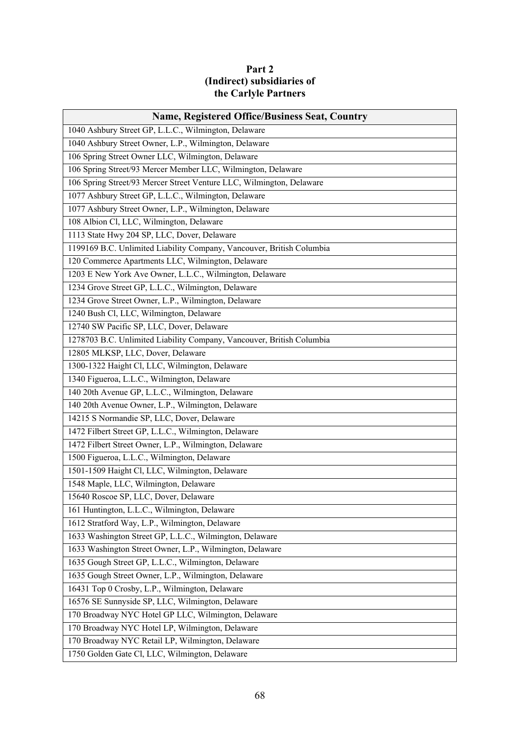## **Part 2 (Indirect) subsidiaries of the Carlyle Partners**

| <b>Name, Registered Office/Business Seat, Country</b>                 |  |  |
|-----------------------------------------------------------------------|--|--|
| 1040 Ashbury Street GP, L.L.C., Wilmington, Delaware                  |  |  |
| 1040 Ashbury Street Owner, L.P., Wilmington, Delaware                 |  |  |
| 106 Spring Street Owner LLC, Wilmington, Delaware                     |  |  |
| 106 Spring Street/93 Mercer Member LLC, Wilmington, Delaware          |  |  |
| 106 Spring Street/93 Mercer Street Venture LLC, Wilmington, Delaware  |  |  |
| 1077 Ashbury Street GP, L.L.C., Wilmington, Delaware                  |  |  |
| 1077 Ashbury Street Owner, L.P., Wilmington, Delaware                 |  |  |
| 108 Albion Cl, LLC, Wilmington, Delaware                              |  |  |
| 1113 State Hwy 204 SP, LLC, Dover, Delaware                           |  |  |
| 1199169 B.C. Unlimited Liability Company, Vancouver, British Columbia |  |  |
| 120 Commerce Apartments LLC, Wilmington, Delaware                     |  |  |
| 1203 E New York Ave Owner, L.L.C., Wilmington, Delaware               |  |  |
| 1234 Grove Street GP, L.L.C., Wilmington, Delaware                    |  |  |
| 1234 Grove Street Owner, L.P., Wilmington, Delaware                   |  |  |
| 1240 Bush Cl, LLC, Wilmington, Delaware                               |  |  |
| 12740 SW Pacific SP, LLC, Dover, Delaware                             |  |  |
| 1278703 B.C. Unlimited Liability Company, Vancouver, British Columbia |  |  |
| 12805 MLKSP, LLC, Dover, Delaware                                     |  |  |
| 1300-1322 Haight Cl, LLC, Wilmington, Delaware                        |  |  |
| 1340 Figueroa, L.L.C., Wilmington, Delaware                           |  |  |
| 140 20th Avenue GP, L.L.C., Wilmington, Delaware                      |  |  |
| 140 20th Avenue Owner, L.P., Wilmington, Delaware                     |  |  |
| 14215 S Normandie SP, LLC, Dover, Delaware                            |  |  |
| 1472 Filbert Street GP, L.L.C., Wilmington, Delaware                  |  |  |
| 1472 Filbert Street Owner, L.P., Wilmington, Delaware                 |  |  |
| 1500 Figueroa, L.L.C., Wilmington, Delaware                           |  |  |
| 1501-1509 Haight Cl, LLC, Wilmington, Delaware                        |  |  |
| 1548 Maple, LLC, Wilmington, Delaware                                 |  |  |
| 15640 Roscoe SP, LLC, Dover, Delaware                                 |  |  |
| 161 Huntington, L.L.C., Wilmington, Delaware                          |  |  |
| 1612 Stratford Way, L.P., Wilmington, Delaware                        |  |  |
| 1633 Washington Street GP, L.L.C., Wilmington, Delaware               |  |  |
| 1633 Washington Street Owner, L.P., Wilmington, Delaware              |  |  |
| 1635 Gough Street GP, L.L.C., Wilmington, Delaware                    |  |  |
| 1635 Gough Street Owner, L.P., Wilmington, Delaware                   |  |  |
| 16431 Top 0 Crosby, L.P., Wilmington, Delaware                        |  |  |
| 16576 SE Sunnyside SP, LLC, Wilmington, Delaware                      |  |  |
| 170 Broadway NYC Hotel GP LLC, Wilmington, Delaware                   |  |  |
| 170 Broadway NYC Hotel LP, Wilmington, Delaware                       |  |  |
| 170 Broadway NYC Retail LP, Wilmington, Delaware                      |  |  |
| 1750 Golden Gate Cl, LLC, Wilmington, Delaware                        |  |  |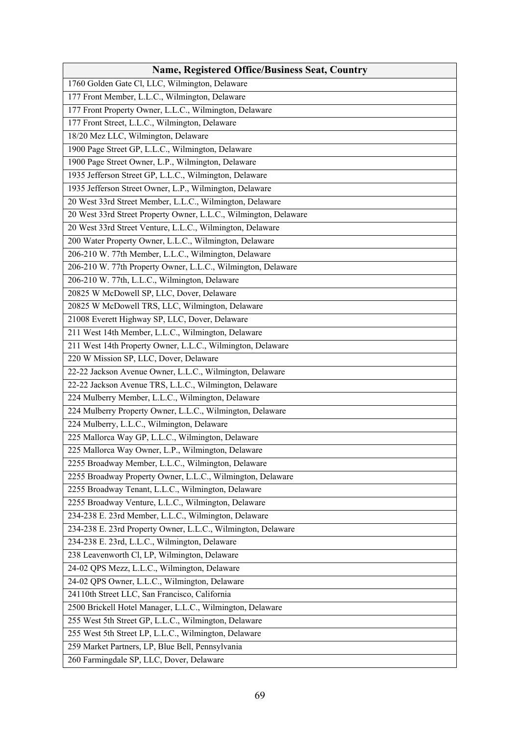| <b>Name, Registered Office/Business Seat, Country</b>            |  |  |
|------------------------------------------------------------------|--|--|
| 1760 Golden Gate Cl, LLC, Wilmington, Delaware                   |  |  |
| 177 Front Member, L.L.C., Wilmington, Delaware                   |  |  |
| 177 Front Property Owner, L.L.C., Wilmington, Delaware           |  |  |
| 177 Front Street, L.L.C., Wilmington, Delaware                   |  |  |
| 18/20 Mez LLC, Wilmington, Delaware                              |  |  |
| 1900 Page Street GP, L.L.C., Wilmington, Delaware                |  |  |
| 1900 Page Street Owner, L.P., Wilmington, Delaware               |  |  |
| 1935 Jefferson Street GP, L.L.C., Wilmington, Delaware           |  |  |
| 1935 Jefferson Street Owner, L.P., Wilmington, Delaware          |  |  |
| 20 West 33rd Street Member, L.L.C., Wilmington, Delaware         |  |  |
| 20 West 33rd Street Property Owner, L.L.C., Wilmington, Delaware |  |  |
| 20 West 33rd Street Venture, L.L.C., Wilmington, Delaware        |  |  |
| 200 Water Property Owner, L.L.C., Wilmington, Delaware           |  |  |
| 206-210 W. 77th Member, L.L.C., Wilmington, Delaware             |  |  |
| 206-210 W. 77th Property Owner, L.L.C., Wilmington, Delaware     |  |  |
| 206-210 W. 77th, L.L.C., Wilmington, Delaware                    |  |  |
| 20825 W McDowell SP, LLC, Dover, Delaware                        |  |  |
| 20825 W McDowell TRS, LLC, Wilmington, Delaware                  |  |  |
| 21008 Everett Highway SP, LLC, Dover, Delaware                   |  |  |
| 211 West 14th Member, L.L.C., Wilmington, Delaware               |  |  |
| 211 West 14th Property Owner, L.L.C., Wilmington, Delaware       |  |  |
| 220 W Mission SP, LLC, Dover, Delaware                           |  |  |
| 22-22 Jackson Avenue Owner, L.L.C., Wilmington, Delaware         |  |  |
| 22-22 Jackson Avenue TRS, L.L.C., Wilmington, Delaware           |  |  |
| 224 Mulberry Member, L.L.C., Wilmington, Delaware                |  |  |
| 224 Mulberry Property Owner, L.L.C., Wilmington, Delaware        |  |  |
| 224 Mulberry, L.L.C., Wilmington, Delaware                       |  |  |
| 225 Mallorca Way GP, L.L.C., Wilmington, Delaware                |  |  |
| 225 Mallorca Way Owner, L.P., Wilmington, Delaware               |  |  |
| 2255 Broadway Member, L.L.C., Wilmington, Delaware               |  |  |
| 2255 Broadway Property Owner, L.L.C., Wilmington, Delaware       |  |  |
| 2255 Broadway Tenant, L.L.C., Wilmington, Delaware               |  |  |
| 2255 Broadway Venture, L.L.C., Wilmington, Delaware              |  |  |
| 234-238 E. 23rd Member, L.L.C., Wilmington, Delaware             |  |  |
| 234-238 E. 23rd Property Owner, L.L.C., Wilmington, Delaware     |  |  |
| 234-238 E. 23rd, L.L.C., Wilmington, Delaware                    |  |  |
| 238 Leavenworth Cl, LP, Wilmington, Delaware                     |  |  |
| 24-02 QPS Mezz, L.L.C., Wilmington, Delaware                     |  |  |
| 24-02 QPS Owner, L.L.C., Wilmington, Delaware                    |  |  |
| 24110th Street LLC, San Francisco, California                    |  |  |
| 2500 Brickell Hotel Manager, L.L.C., Wilmington, Delaware        |  |  |
| 255 West 5th Street GP, L.L.C., Wilmington, Delaware             |  |  |
| 255 West 5th Street LP, L.L.C., Wilmington, Delaware             |  |  |
| 259 Market Partners, LP, Blue Bell, Pennsylvania                 |  |  |
| 260 Farmingdale SP, LLC, Dover, Delaware                         |  |  |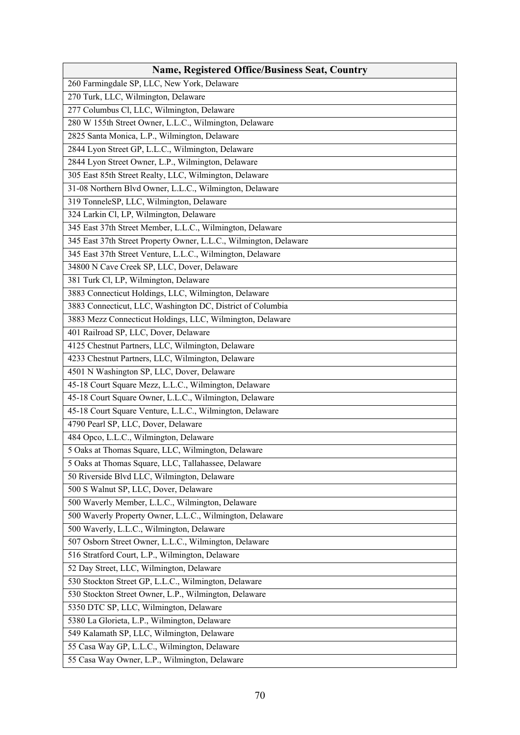| 260 Farmingdale SP, LLC, New York, Delaware<br>270 Turk, LLC, Wilmington, Delaware<br>277 Columbus Cl, LLC, Wilmington, Delaware<br>280 W 155th Street Owner, L.L.C., Wilmington, Delaware<br>2825 Santa Monica, L.P., Wilmington, Delaware<br>2844 Lyon Street GP, L.L.C., Wilmington, Delaware<br>2844 Lyon Street Owner, L.P., Wilmington, Delaware<br>305 East 85th Street Realty, LLC, Wilmington, Delaware<br>31-08 Northern Blvd Owner, L.L.C., Wilmington, Delaware<br>319 TonneleSP, LLC, Wilmington, Delaware |  |
|-------------------------------------------------------------------------------------------------------------------------------------------------------------------------------------------------------------------------------------------------------------------------------------------------------------------------------------------------------------------------------------------------------------------------------------------------------------------------------------------------------------------------|--|
|                                                                                                                                                                                                                                                                                                                                                                                                                                                                                                                         |  |
|                                                                                                                                                                                                                                                                                                                                                                                                                                                                                                                         |  |
|                                                                                                                                                                                                                                                                                                                                                                                                                                                                                                                         |  |
|                                                                                                                                                                                                                                                                                                                                                                                                                                                                                                                         |  |
|                                                                                                                                                                                                                                                                                                                                                                                                                                                                                                                         |  |
|                                                                                                                                                                                                                                                                                                                                                                                                                                                                                                                         |  |
|                                                                                                                                                                                                                                                                                                                                                                                                                                                                                                                         |  |
|                                                                                                                                                                                                                                                                                                                                                                                                                                                                                                                         |  |
|                                                                                                                                                                                                                                                                                                                                                                                                                                                                                                                         |  |
|                                                                                                                                                                                                                                                                                                                                                                                                                                                                                                                         |  |
| 324 Larkin Cl, LP, Wilmington, Delaware                                                                                                                                                                                                                                                                                                                                                                                                                                                                                 |  |
| 345 East 37th Street Member, L.L.C., Wilmington, Delaware                                                                                                                                                                                                                                                                                                                                                                                                                                                               |  |
| 345 East 37th Street Property Owner, L.L.C., Wilmington, Delaware                                                                                                                                                                                                                                                                                                                                                                                                                                                       |  |
| 345 East 37th Street Venture, L.L.C., Wilmington, Delaware                                                                                                                                                                                                                                                                                                                                                                                                                                                              |  |
| 34800 N Cave Creek SP, LLC, Dover, Delaware                                                                                                                                                                                                                                                                                                                                                                                                                                                                             |  |
| 381 Turk Cl, LP, Wilmington, Delaware                                                                                                                                                                                                                                                                                                                                                                                                                                                                                   |  |
| 3883 Connecticut Holdings, LLC, Wilmington, Delaware                                                                                                                                                                                                                                                                                                                                                                                                                                                                    |  |
| 3883 Connecticut, LLC, Washington DC, District of Columbia                                                                                                                                                                                                                                                                                                                                                                                                                                                              |  |
| 3883 Mezz Connecticut Holdings, LLC, Wilmington, Delaware                                                                                                                                                                                                                                                                                                                                                                                                                                                               |  |
| 401 Railroad SP, LLC, Dover, Delaware                                                                                                                                                                                                                                                                                                                                                                                                                                                                                   |  |
| 4125 Chestnut Partners, LLC, Wilmington, Delaware                                                                                                                                                                                                                                                                                                                                                                                                                                                                       |  |
| 4233 Chestnut Partners, LLC, Wilmington, Delaware                                                                                                                                                                                                                                                                                                                                                                                                                                                                       |  |
| 4501 N Washington SP, LLC, Dover, Delaware                                                                                                                                                                                                                                                                                                                                                                                                                                                                              |  |
| 45-18 Court Square Mezz, L.L.C., Wilmington, Delaware                                                                                                                                                                                                                                                                                                                                                                                                                                                                   |  |
| 45-18 Court Square Owner, L.L.C., Wilmington, Delaware                                                                                                                                                                                                                                                                                                                                                                                                                                                                  |  |
| 45-18 Court Square Venture, L.L.C., Wilmington, Delaware                                                                                                                                                                                                                                                                                                                                                                                                                                                                |  |
| 4790 Pearl SP, LLC, Dover, Delaware                                                                                                                                                                                                                                                                                                                                                                                                                                                                                     |  |
| 484 Opco, L.L.C., Wilmington, Delaware                                                                                                                                                                                                                                                                                                                                                                                                                                                                                  |  |
| 5 Oaks at Thomas Square, LLC, Wilmington, Delaware                                                                                                                                                                                                                                                                                                                                                                                                                                                                      |  |
| 5 Oaks at Thomas Square, LLC, Tallahassee, Delaware                                                                                                                                                                                                                                                                                                                                                                                                                                                                     |  |
| 50 Riverside Blvd LLC, Wilmington, Delaware                                                                                                                                                                                                                                                                                                                                                                                                                                                                             |  |
| 500 S Walnut SP, LLC, Dover, Delaware                                                                                                                                                                                                                                                                                                                                                                                                                                                                                   |  |
| 500 Waverly Member, L.L.C., Wilmington, Delaware                                                                                                                                                                                                                                                                                                                                                                                                                                                                        |  |
| 500 Waverly Property Owner, L.L.C., Wilmington, Delaware                                                                                                                                                                                                                                                                                                                                                                                                                                                                |  |
| 500 Waverly, L.L.C., Wilmington, Delaware                                                                                                                                                                                                                                                                                                                                                                                                                                                                               |  |
| 507 Osborn Street Owner, L.L.C., Wilmington, Delaware                                                                                                                                                                                                                                                                                                                                                                                                                                                                   |  |
| 516 Stratford Court, L.P., Wilmington, Delaware                                                                                                                                                                                                                                                                                                                                                                                                                                                                         |  |
| 52 Day Street, LLC, Wilmington, Delaware                                                                                                                                                                                                                                                                                                                                                                                                                                                                                |  |
| 530 Stockton Street GP, L.L.C., Wilmington, Delaware                                                                                                                                                                                                                                                                                                                                                                                                                                                                    |  |
| 530 Stockton Street Owner, L.P., Wilmington, Delaware                                                                                                                                                                                                                                                                                                                                                                                                                                                                   |  |
| 5350 DTC SP, LLC, Wilmington, Delaware                                                                                                                                                                                                                                                                                                                                                                                                                                                                                  |  |
| 5380 La Glorieta, L.P., Wilmington, Delaware                                                                                                                                                                                                                                                                                                                                                                                                                                                                            |  |
| 549 Kalamath SP, LLC, Wilmington, Delaware                                                                                                                                                                                                                                                                                                                                                                                                                                                                              |  |
| 55 Casa Way GP, L.L.C., Wilmington, Delaware                                                                                                                                                                                                                                                                                                                                                                                                                                                                            |  |
| 55 Casa Way Owner, L.P., Wilmington, Delaware                                                                                                                                                                                                                                                                                                                                                                                                                                                                           |  |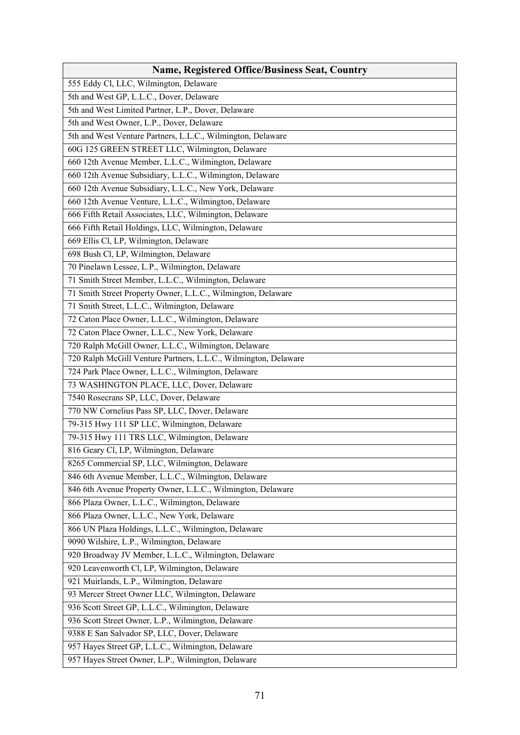| <b>Name, Registered Office/Business Seat, Country</b>           |  |
|-----------------------------------------------------------------|--|
| 555 Eddy Cl, LLC, Wilmington, Delaware                          |  |
| 5th and West GP, L.L.C., Dover, Delaware                        |  |
| 5th and West Limited Partner, L.P., Dover, Delaware             |  |
| 5th and West Owner, L.P., Dover, Delaware                       |  |
| 5th and West Venture Partners, L.L.C., Wilmington, Delaware     |  |
| 60G 125 GREEN STREET LLC, Wilmington, Delaware                  |  |
| 660 12th Avenue Member, L.L.C., Wilmington, Delaware            |  |
| 660 12th Avenue Subsidiary, L.L.C., Wilmington, Delaware        |  |
| 660 12th Avenue Subsidiary, L.L.C., New York, Delaware          |  |
| 660 12th Avenue Venture, L.L.C., Wilmington, Delaware           |  |
| 666 Fifth Retail Associates, LLC, Wilmington, Delaware          |  |
| 666 Fifth Retail Holdings, LLC, Wilmington, Delaware            |  |
| 669 Ellis Cl, LP, Wilmington, Delaware                          |  |
| 698 Bush Cl, LP, Wilmington, Delaware                           |  |
| 70 Pinelawn Lessee, L.P., Wilmington, Delaware                  |  |
| 71 Smith Street Member, L.L.C., Wilmington, Delaware            |  |
| 71 Smith Street Property Owner, L.L.C., Wilmington, Delaware    |  |
| 71 Smith Street, L.L.C., Wilmington, Delaware                   |  |
| 72 Caton Place Owner, L.L.C., Wilmington, Delaware              |  |
| 72 Caton Place Owner, L.L.C., New York, Delaware                |  |
| 720 Ralph McGill Owner, L.L.C., Wilmington, Delaware            |  |
| 720 Ralph McGill Venture Partners, L.L.C., Wilmington, Delaware |  |
| 724 Park Place Owner, L.L.C., Wilmington, Delaware              |  |
| 73 WASHINGTON PLACE, LLC, Dover, Delaware                       |  |
| 7540 Rosecrans SP, LLC, Dover, Delaware                         |  |
| 770 NW Cornelius Pass SP, LLC, Dover, Delaware                  |  |
| 79-315 Hwy 111 SP LLC, Wilmington, Delaware                     |  |
| 79-315 Hwy 111 TRS LLC, Wilmington, Delaware                    |  |
| 816 Geary Cl, LP, Wilmington, Delaware                          |  |
| 8265 Commercial SP, LLC, Wilmington, Delaware                   |  |
| 846 6th Avenue Member, L.L.C., Wilmington, Delaware             |  |
| 846 6th Avenue Property Owner, L.L.C., Wilmington, Delaware     |  |
| 866 Plaza Owner, L.L.C., Wilmington, Delaware                   |  |
| 866 Plaza Owner, L.L.C., New York, Delaware                     |  |
| 866 UN Plaza Holdings, L.L.C., Wilmington, Delaware             |  |
| 9090 Wilshire, L.P., Wilmington, Delaware                       |  |
| 920 Broadway JV Member, L.L.C., Wilmington, Delaware            |  |
| 920 Leavenworth Cl, LP, Wilmington, Delaware                    |  |
| 921 Muirlands, L.P., Wilmington, Delaware                       |  |
| 93 Mercer Street Owner LLC, Wilmington, Delaware                |  |
| 936 Scott Street GP, L.L.C., Wilmington, Delaware               |  |
| 936 Scott Street Owner, L.P., Wilmington, Delaware              |  |
| 9388 E San Salvador SP, LLC, Dover, Delaware                    |  |
| 957 Hayes Street GP, L.L.C., Wilmington, Delaware               |  |
| 957 Hayes Street Owner, L.P., Wilmington, Delaware              |  |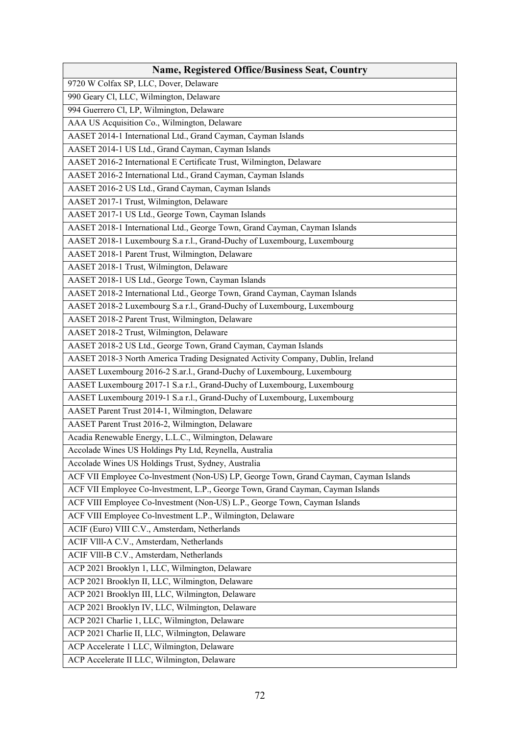| <b>Name, Registered Office/Business Seat, Country</b>                                 |  |  |
|---------------------------------------------------------------------------------------|--|--|
| 9720 W Colfax SP, LLC, Dover, Delaware                                                |  |  |
| 990 Geary Cl, LLC, Wilmington, Delaware                                               |  |  |
| 994 Guerrero Cl, LP, Wilmington, Delaware                                             |  |  |
| AAA US Acquisition Co., Wilmington, Delaware                                          |  |  |
| AASET 2014-1 International Ltd., Grand Cayman, Cayman Islands                         |  |  |
| AASET 2014-1 US Ltd., Grand Cayman, Cayman Islands                                    |  |  |
| AASET 2016-2 International E Certificate Trust, Wilmington, Delaware                  |  |  |
| AASET 2016-2 International Ltd., Grand Cayman, Cayman Islands                         |  |  |
| AASET 2016-2 US Ltd., Grand Cayman, Cayman Islands                                    |  |  |
| AASET 2017-1 Trust, Wilmington, Delaware                                              |  |  |
| AASET 2017-1 US Ltd., George Town, Cayman Islands                                     |  |  |
| AASET 2018-1 International Ltd., George Town, Grand Cayman, Cayman Islands            |  |  |
| AASET 2018-1 Luxembourg S.a r.l., Grand-Duchy of Luxembourg, Luxembourg               |  |  |
| AASET 2018-1 Parent Trust, Wilmington, Delaware                                       |  |  |
| AASET 2018-1 Trust, Wilmington, Delaware                                              |  |  |
| AASET 2018-1 US Ltd., George Town, Cayman Islands                                     |  |  |
| AASET 2018-2 International Ltd., George Town, Grand Cayman, Cayman Islands            |  |  |
| AASET 2018-2 Luxembourg S.a r.l., Grand-Duchy of Luxembourg, Luxembourg               |  |  |
| AASET 2018-2 Parent Trust, Wilmington, Delaware                                       |  |  |
| AASET 2018-2 Trust, Wilmington, Delaware                                              |  |  |
| AASET 2018-2 US Ltd., George Town, Grand Cayman, Cayman Islands                       |  |  |
| AASET 2018-3 North America Trading Designated Activity Company, Dublin, Ireland       |  |  |
| AASET Luxembourg 2016-2 S.ar.l., Grand-Duchy of Luxembourg, Luxembourg                |  |  |
| AASET Luxembourg 2017-1 S.a r.l., Grand-Duchy of Luxembourg, Luxembourg               |  |  |
| AASET Luxembourg 2019-1 S.a r.l., Grand-Duchy of Luxembourg, Luxembourg               |  |  |
| AASET Parent Trust 2014-1, Wilmington, Delaware                                       |  |  |
| AASET Parent Trust 2016-2, Wilmington, Delaware                                       |  |  |
| Acadia Renewable Energy, L.L.C., Wilmington, Delaware                                 |  |  |
| Accolade Wines US Holdings Pty Ltd, Reynella, Australia                               |  |  |
| Accolade Wines US Holdings Trust, Sydney, Australia                                   |  |  |
| ACF VII Employee Co-lnvestment (Non-US) LP, George Town, Grand Cayman, Cayman Islands |  |  |
| ACF VII Employee Co-lnvestment, L.P., George Town, Grand Cayman, Cayman Islands       |  |  |
| ACF VIII Employee Co-lnvestment (Non-US) L.P., George Town, Cayman Islands            |  |  |
| ACF VIII Employee Co-lnvestment L.P., Wilmington, Delaware                            |  |  |
| ACIF (Euro) VIII C.V., Amsterdam, Netherlands                                         |  |  |
| ACIF VIII-A C.V., Amsterdam, Netherlands                                              |  |  |
| ACIF VIII-B C.V., Amsterdam, Netherlands                                              |  |  |
| ACP 2021 Brooklyn 1, LLC, Wilmington, Delaware                                        |  |  |
| ACP 2021 Brooklyn II, LLC, Wilmington, Delaware                                       |  |  |
| ACP 2021 Brooklyn III, LLC, Wilmington, Delaware                                      |  |  |
| ACP 2021 Brooklyn IV, LLC, Wilmington, Delaware                                       |  |  |
| ACP 2021 Charlie 1, LLC, Wilmington, Delaware                                         |  |  |
| ACP 2021 Charlie II, LLC, Wilmington, Delaware                                        |  |  |
| ACP Accelerate 1 LLC, Wilmington, Delaware                                            |  |  |
| ACP Accelerate II LLC, Wilmington, Delaware                                           |  |  |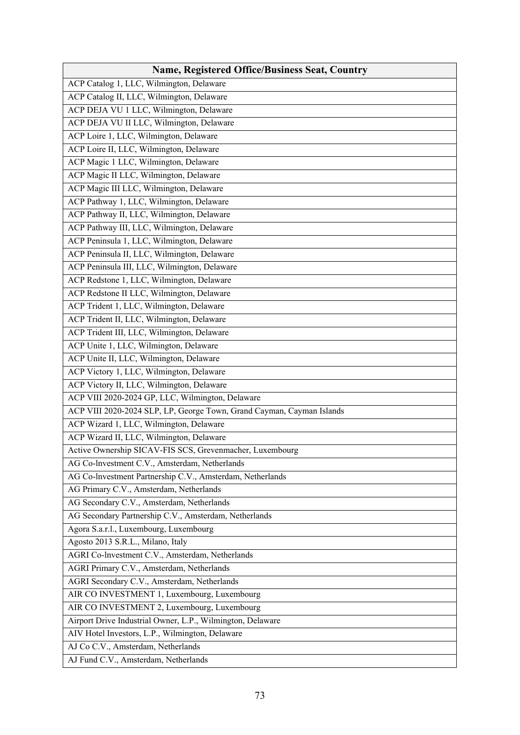| <b>Name, Registered Office/Business Seat, Country</b>                 |
|-----------------------------------------------------------------------|
| ACP Catalog 1, LLC, Wilmington, Delaware                              |
| ACP Catalog II, LLC, Wilmington, Delaware                             |
| ACP DEJA VU 1 LLC, Wilmington, Delaware                               |
| ACP DEJA VU II LLC, Wilmington, Delaware                              |
| ACP Loire 1, LLC, Wilmington, Delaware                                |
| ACP Loire II, LLC, Wilmington, Delaware                               |
| ACP Magic 1 LLC, Wilmington, Delaware                                 |
| ACP Magic II LLC, Wilmington, Delaware                                |
| ACP Magic III LLC, Wilmington, Delaware                               |
| ACP Pathway 1, LLC, Wilmington, Delaware                              |
| ACP Pathway II, LLC, Wilmington, Delaware                             |
| ACP Pathway III, LLC, Wilmington, Delaware                            |
| ACP Peninsula 1, LLC, Wilmington, Delaware                            |
| ACP Peninsula II, LLC, Wilmington, Delaware                           |
| ACP Peninsula III, LLC, Wilmington, Delaware                          |
| ACP Redstone 1, LLC, Wilmington, Delaware                             |
| ACP Redstone II LLC, Wilmington, Delaware                             |
| ACP Trident 1, LLC, Wilmington, Delaware                              |
| ACP Trident II, LLC, Wilmington, Delaware                             |
| ACP Trident III, LLC, Wilmington, Delaware                            |
| ACP Unite 1, LLC, Wilmington, Delaware                                |
| ACP Unite II, LLC, Wilmington, Delaware                               |
| ACP Victory 1, LLC, Wilmington, Delaware                              |
| ACP Victory II, LLC, Wilmington, Delaware                             |
| ACP VIII 2020-2024 GP, LLC, Wilmington, Delaware                      |
| ACP VIII 2020-2024 SLP, LP, George Town, Grand Cayman, Cayman Islands |
| ACP Wizard 1, LLC, Wilmington, Delaware                               |
| ACP Wizard II, LLC, Wilmington, Delaware                              |
| Active Ownership SICAV-FIS SCS, Grevenmacher, Luxembourg              |
| AG Co-lnvestment C.V., Amsterdam, Netherlands                         |
| AG Co-Investment Partnership C.V., Amsterdam, Netherlands             |
| AG Primary C.V., Amsterdam, Netherlands                               |
| AG Secondary C.V., Amsterdam, Netherlands                             |
| AG Secondary Partnership C.V., Amsterdam, Netherlands                 |
| Agora S.a.r.l., Luxembourg, Luxembourg                                |
| Agosto 2013 S.R.L., Milano, Italy                                     |
| AGRI Co-lnvestment C.V., Amsterdam, Netherlands                       |
| AGRI Primary C.V., Amsterdam, Netherlands                             |
| AGRI Secondary C.V., Amsterdam, Netherlands                           |
| AIR CO INVESTMENT 1, Luxembourg, Luxembourg                           |
| AIR CO INVESTMENT 2, Luxembourg, Luxembourg                           |
| Airport Drive Industrial Owner, L.P., Wilmington, Delaware            |
| AIV Hotel Investors, L.P., Wilmington, Delaware                       |
| AJ Co C.V., Amsterdam, Netherlands                                    |
| AJ Fund C.V., Amsterdam, Netherlands                                  |
|                                                                       |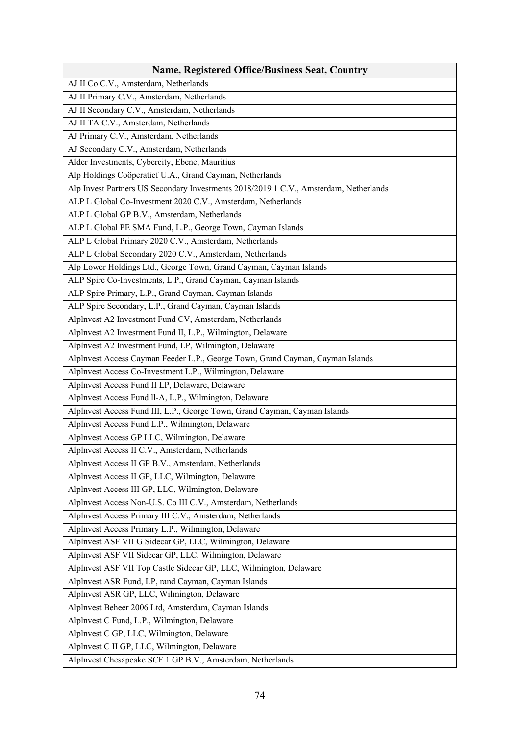| <b>Name, Registered Office/Business Seat, Country</b>                                 |
|---------------------------------------------------------------------------------------|
| AJ II Co C.V., Amsterdam, Netherlands                                                 |
| AJ II Primary C.V., Amsterdam, Netherlands                                            |
| AJ II Secondary C.V., Amsterdam, Netherlands                                          |
| AJ II TA C.V., Amsterdam, Netherlands                                                 |
| AJ Primary C.V., Amsterdam, Netherlands                                               |
| AJ Secondary C.V., Amsterdam, Netherlands                                             |
| Alder Investments, Cybercity, Ebene, Mauritius                                        |
| Alp Holdings Coöperatief U.A., Grand Cayman, Netherlands                              |
| Alp Invest Partners US Secondary Investments 2018/2019 1 C.V., Amsterdam, Netherlands |
| ALP L Global Co-Investment 2020 C.V., Amsterdam, Netherlands                          |
| ALP L Global GP B.V., Amsterdam, Netherlands                                          |
| ALP L Global PE SMA Fund, L.P., George Town, Cayman Islands                           |
| ALP L Global Primary 2020 C.V., Amsterdam, Netherlands                                |
| ALP L Global Secondary 2020 C.V., Amsterdam, Netherlands                              |
| Alp Lower Holdings Ltd., George Town, Grand Cayman, Cayman Islands                    |
| ALP Spire Co-Investments, L.P., Grand Cayman, Cayman Islands                          |
| ALP Spire Primary, L.P., Grand Cayman, Cayman Islands                                 |
| ALP Spire Secondary, L.P., Grand Cayman, Cayman Islands                               |
| Alplnvest A2 Investment Fund CV, Amsterdam, Netherlands                               |
| Alplnvest A2 Investment Fund II, L.P., Wilmington, Delaware                           |
| Alplnvest A2 Investment Fund, LP, Wilmington, Delaware                                |
| Alplnvest Access Cayman Feeder L.P., George Town, Grand Cayman, Cayman Islands        |
| Alplnvest Access Co-Investment L.P., Wilmington, Delaware                             |
| Alplnvest Access Fund II LP, Delaware, Delaware                                       |
| Alplnvest Access Fund ll-A, L.P., Wilmington, Delaware                                |
| Alplnvest Access Fund III, L.P., George Town, Grand Cayman, Cayman Islands            |
| Alplnvest Access Fund L.P., Wilmington, Delaware                                      |
| Alplnvest Access GP LLC, Wilmington, Delaware                                         |
| Alplnvest Access II C.V., Amsterdam, Netherlands                                      |
| Alplnvest Access II GP B.V., Amsterdam, Netherlands                                   |
| Alplnvest Access II GP, LLC, Wilmington, Delaware                                     |
| Alplnvest Access III GP, LLC, Wilmington, Delaware                                    |
| Alplnvest Access Non-U.S. Co III C.V., Amsterdam, Netherlands                         |
| Alplnvest Access Primary III C.V., Amsterdam, Netherlands                             |
| Alplnvest Access Primary L.P., Wilmington, Delaware                                   |
| Alplnvest ASF VII G Sidecar GP, LLC, Wilmington, Delaware                             |
| Alplnvest ASF VII Sidecar GP, LLC, Wilmington, Delaware                               |
| Alplnvest ASF VII Top Castle Sidecar GP, LLC, Wilmington, Delaware                    |
| Alplnvest ASR Fund, LP, rand Cayman, Cayman Islands                                   |
| Alplnvest ASR GP, LLC, Wilmington, Delaware                                           |
| Alplnvest Beheer 2006 Ltd, Amsterdam, Cayman Islands                                  |
| Alplnvest C Fund, L.P., Wilmington, Delaware                                          |
| Alplnvest C GP, LLC, Wilmington, Delaware                                             |
| Alplnvest C II GP, LLC, Wilmington, Delaware                                          |
| Alplnvest Chesapeake SCF 1 GP B.V., Amsterdam, Netherlands                            |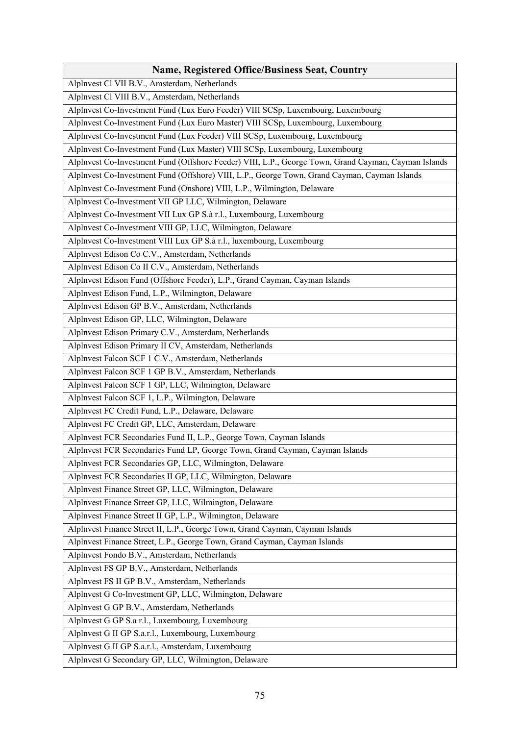| <b>Name, Registered Office/Business Seat, Country</b>                                                |
|------------------------------------------------------------------------------------------------------|
| Alplnvest Cl VII B.V., Amsterdam, Netherlands                                                        |
| Alplnvest Cl VIII B.V., Amsterdam, Netherlands                                                       |
| Alplnvest Co-Investment Fund (Lux Euro Feeder) VIII SCSp, Luxembourg, Luxembourg                     |
| Alplnvest Co-Investment Fund (Lux Euro Master) VIII SCSp, Luxembourg, Luxembourg                     |
| Alplnvest Co-Investment Fund (Lux Feeder) VIII SCSp, Luxembourg, Luxembourg                          |
| Alplnvest Co-Investment Fund (Lux Master) VIII SCSp, Luxembourg, Luxembourg                          |
| Alplnvest Co-Investment Fund (Offshore Feeder) VIII, L.P., George Town, Grand Cayman, Cayman Islands |
| Alplnvest Co-Investment Fund (Offshore) VIII, L.P., George Town, Grand Cayman, Cayman Islands        |
| Alplnvest Co-Investment Fund (Onshore) VIII, L.P., Wilmington, Delaware                              |
| Alplnvest Co-Investment VII GP LLC, Wilmington, Delaware                                             |
| Alplnvest Co-Investment VII Lux GP S.à r.l., Luxembourg, Luxembourg                                  |
| Alplnvest Co-Investment VIII GP, LLC, Wilmington, Delaware                                           |
| Alplnvest Co-Investment VIII Lux GP S.à r.l., luxembourg, Luxembourg                                 |
| Alplnvest Edison Co C.V., Amsterdam, Netherlands                                                     |
| Alplnvest Edison Co II C.V., Amsterdam, Netherlands                                                  |
| Alplnvest Edison Fund (Offshore Feeder), L.P., Grand Cayman, Cayman Islands                          |
| Alplnvest Edison Fund, L.P., Wilmington, Delaware                                                    |
| Alplnvest Edison GP B.V., Amsterdam, Netherlands                                                     |
| Alplnvest Edison GP, LLC, Wilmington, Delaware                                                       |
| Alplnvest Edison Primary C.V., Amsterdam, Netherlands                                                |
| Alplnvest Edison Primary II CV, Amsterdam, Netherlands                                               |
| Alplnvest Falcon SCF 1 C.V., Amsterdam, Netherlands                                                  |
| Alplnvest Falcon SCF 1 GP B.V., Amsterdam, Netherlands                                               |
| Alplnvest Falcon SCF 1 GP, LLC, Wilmington, Delaware                                                 |
| Alplnvest Falcon SCF 1, L.P., Wilmington, Delaware                                                   |
| Alplnvest FC Credit Fund, L.P., Delaware, Delaware                                                   |
| Alplnvest FC Credit GP, LLC, Amsterdam, Delaware                                                     |
| Alplnvest FCR Secondaries Fund II, L.P., George Town, Cayman Islands                                 |
| Alplnvest FCR Secondaries Fund LP, George Town, Grand Cayman, Cayman Islands                         |
| Alplnvest FCR Secondaries GP, LLC, Wilmington, Delaware                                              |
| Alplnvest FCR Secondaries II GP, LLC, Wilmington, Delaware                                           |
| Alplnvest Finance Street GP, LLC, Wilmington, Delaware                                               |
| Alplnvest Finance Street GP, LLC, Wilmington, Delaware                                               |
| Alplnvest Finance Street II GP, L.P., Wilmington, Delaware                                           |
| Alplnvest Finance Street II, L.P., George Town, Grand Cayman, Cayman Islands                         |
| Alplnvest Finance Street, L.P., George Town, Grand Cayman, Cayman Islands                            |
| Alplnvest Fondo B.V., Amsterdam, Netherlands                                                         |
| Alplnvest FS GP B.V., Amsterdam, Netherlands                                                         |
| Alplnvest FS II GP B.V., Amsterdam, Netherlands                                                      |
| Alplnvest G Co-lnvestment GP, LLC, Wilmington, Delaware                                              |
| Alplnvest G GP B.V., Amsterdam, Netherlands                                                          |
| Alplnvest G GP S.a r.l., Luxembourg, Luxembourg                                                      |
| Alplnvest G II GP S.a.r.l., Luxembourg, Luxembourg                                                   |
| Alplnvest G II GP S.a.r.l., Amsterdam, Luxembourg                                                    |
| Alplnvest G Secondary GP, LLC, Wilmington, Delaware                                                  |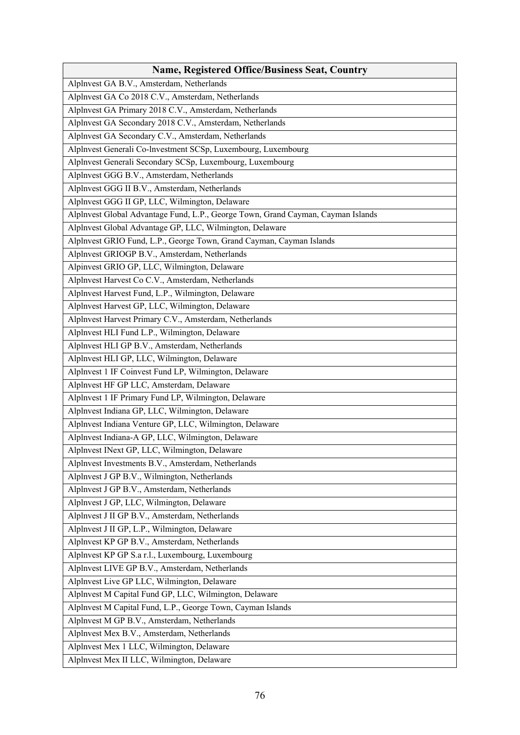| <b>Name, Registered Office/Business Seat, Country</b>                            |
|----------------------------------------------------------------------------------|
| Alplnvest GA B.V., Amsterdam, Netherlands                                        |
| Alplnvest GA Co 2018 C.V., Amsterdam, Netherlands                                |
| Alplnvest GA Primary 2018 C.V., Amsterdam, Netherlands                           |
| Alplnvest GA Secondary 2018 C.V., Amsterdam, Netherlands                         |
| Alplnvest GA Secondary C.V., Amsterdam, Netherlands                              |
| Alplnvest Generali Co-lnvestment SCSp, Luxembourg, Luxembourg                    |
| Alplnvest Generali Secondary SCSp, Luxembourg, Luxembourg                        |
| Alplnvest GGG B.V., Amsterdam, Netherlands                                       |
| Alplnvest GGG II B.V., Amsterdam, Netherlands                                    |
| Alplnvest GGG II GP, LLC, Wilmington, Delaware                                   |
| Alplnvest Global Advantage Fund, L.P., George Town, Grand Cayman, Cayman Islands |
| Alplnvest Global Advantage GP, LLC, Wilmington, Delaware                         |
| Alplnvest GRIO Fund, L.P., George Town, Grand Cayman, Cayman Islands             |
| Alplnvest GRIOGP B.V., Amsterdam, Netherlands                                    |
| Alpinvest GRIO GP, LLC, Wilmington, Delaware                                     |
| Alplnvest Harvest Co C.V., Amsterdam, Netherlands                                |
| Alplnvest Harvest Fund, L.P., Wilmington, Delaware                               |
| Alplnvest Harvest GP, LLC, Wilmington, Delaware                                  |
| Alplnvest Harvest Primary C.V., Amsterdam, Netherlands                           |
| Alplnvest HLI Fund L.P., Wilmington, Delaware                                    |
| Alplnvest HLI GP B.V., Amsterdam, Netherlands                                    |
| Alplnvest HLI GP, LLC, Wilmington, Delaware                                      |
| Alplnvest 1 IF Coinvest Fund LP, Wilmington, Delaware                            |
| Alplnvest HF GP LLC, Amsterdam, Delaware                                         |
| Alplnvest 1 IF Primary Fund LP, Wilmington, Delaware                             |
| Alplnvest Indiana GP, LLC, Wilmington, Delaware                                  |
| Alplnvest Indiana Venture GP, LLC, Wilmington, Delaware                          |
| Alplnvest Indiana-A GP, LLC, Wilmington, Delaware                                |
| Alplnvest INext GP, LLC, Wilmington, Delaware                                    |
| Alplnvest Investments B.V., Amsterdam, Netherlands                               |
| Alplnvest J GP B.V., Wilmington, Netherlands                                     |
| Alplnvest J GP B.V., Amsterdam, Netherlands                                      |
| Alplnvest J GP, LLC, Wilmington, Delaware                                        |
| Alplnvest J II GP B.V., Amsterdam, Netherlands                                   |
| Alplnvest J II GP, L.P., Wilmington, Delaware                                    |
| Alplnvest KP GP B.V., Amsterdam, Netherlands                                     |
| Alplnvest KP GP S.a r.l., Luxembourg, Luxembourg                                 |
| Alplnvest LIVE GP B.V., Amsterdam, Netherlands                                   |
| Alplnvest Live GP LLC, Wilmington, Delaware                                      |
| Alplnvest M Capital Fund GP, LLC, Wilmington, Delaware                           |
| Alplnvest M Capital Fund, L.P., George Town, Cayman Islands                      |
| Alplnvest M GP B.V., Amsterdam, Netherlands                                      |
| Alplnvest Mex B.V., Amsterdam, Netherlands                                       |
| Alplnvest Mex 1 LLC, Wilmington, Delaware                                        |
| Alplnvest Mex II LLC, Wilmington, Delaware                                       |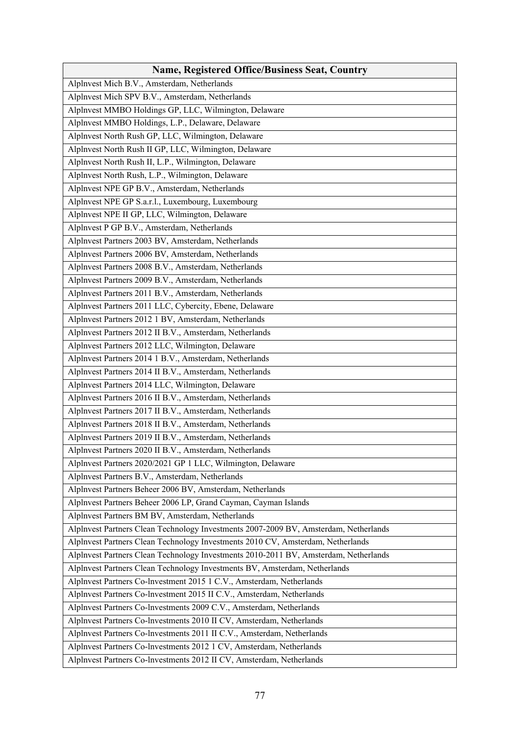| <b>Name, Registered Office/Business Seat, Country</b>                                |
|--------------------------------------------------------------------------------------|
| Alplnvest Mich B.V., Amsterdam, Netherlands                                          |
| Alplnvest Mich SPV B.V., Amsterdam, Netherlands                                      |
| Alplnvest MMBO Holdings GP, LLC, Wilmington, Delaware                                |
| Alplnvest MMBO Holdings, L.P., Delaware, Delaware                                    |
| Alplnvest North Rush GP, LLC, Wilmington, Delaware                                   |
| Alplnvest North Rush II GP, LLC, Wilmington, Delaware                                |
| Alplnvest North Rush II, L.P., Wilmington, Delaware                                  |
| Alplnvest North Rush, L.P., Wilmington, Delaware                                     |
| Alplnvest NPE GP B.V., Amsterdam, Netherlands                                        |
| Alplnvest NPE GP S.a.r.l., Luxembourg, Luxembourg                                    |
| Alplnvest NPE II GP, LLC, Wilmington, Delaware                                       |
| Alplnvest P GP B.V., Amsterdam, Netherlands                                          |
| Alplnvest Partners 2003 BV, Amsterdam, Netherlands                                   |
| Alplnvest Partners 2006 BV, Amsterdam, Netherlands                                   |
| Alplnvest Partners 2008 B.V., Amsterdam, Netherlands                                 |
| Alplnvest Partners 2009 B.V., Amsterdam, Netherlands                                 |
| Alplnvest Partners 2011 B.V., Amsterdam, Netherlands                                 |
| Alplnvest Partners 2011 LLC, Cybercity, Ebene, Delaware                              |
| Alplnvest Partners 2012 1 BV, Amsterdam, Netherlands                                 |
| Alplnvest Partners 2012 II B.V., Amsterdam, Netherlands                              |
| Alplnvest Partners 2012 LLC, Wilmington, Delaware                                    |
| Alplnvest Partners 2014 1 B.V., Amsterdam, Netherlands                               |
| Alplnvest Partners 2014 II B.V., Amsterdam, Netherlands                              |
| Alplnvest Partners 2014 LLC, Wilmington, Delaware                                    |
| Alplnvest Partners 2016 II B.V., Amsterdam, Netherlands                              |
| Alplnvest Partners 2017 II B.V., Amsterdam, Netherlands                              |
| Alplnvest Partners 2018 II B.V., Amsterdam, Netherlands                              |
| Alplnvest Partners 2019 II B.V., Amsterdam, Netherlands                              |
| Alplnvest Partners 2020 II B.V., Amsterdam, Netherlands                              |
| Alplnvest Partners 2020/2021 GP 1 LLC, Wilmington, Delaware                          |
| Alplnvest Partners B.V., Amsterdam, Netherlands                                      |
| Alplnvest Partners Beheer 2006 BV, Amsterdam, Netherlands                            |
| Alplnvest Partners Beheer 2006 LP, Grand Cayman, Cayman Islands                      |
| Alplnvest Partners BM BV, Amsterdam, Netherlands                                     |
| Alplnvest Partners Clean Technology Investments 2007-2009 BV, Amsterdam, Netherlands |
| Alplnvest Partners Clean Technology Investments 2010 CV, Amsterdam, Netherlands      |
| Alplnvest Partners Clean Technology Investments 2010-2011 BV, Amsterdam, Netherlands |
| Alplnvest Partners Clean Technology Investments BV, Amsterdam, Netherlands           |
| Alplnvest Partners Co-lnvestment 2015 1 C.V., Amsterdam, Netherlands                 |
| Alplnvest Partners Co-lnvestment 2015 II C.V., Amsterdam, Netherlands                |
| Alplnvest Partners Co-lnvestments 2009 C.V., Amsterdam, Netherlands                  |
| Alplnvest Partners Co-lnvestments 2010 II CV, Amsterdam, Netherlands                 |
| Alplnvest Partners Co-lnvestments 2011 II C.V., Amsterdam, Netherlands               |
| Alplnvest Partners Co-lnvestments 2012 1 CV, Amsterdam, Netherlands                  |
| Alplnvest Partners Co-lnvestments 2012 II CV, Amsterdam, Netherlands                 |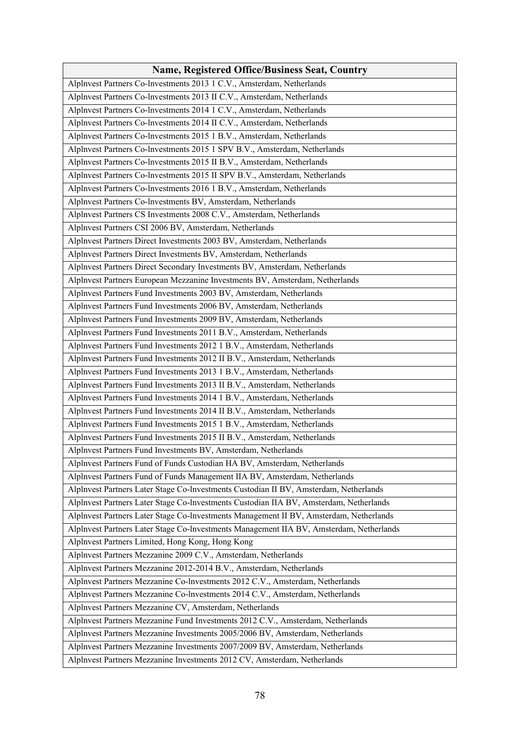| <b>Name, Registered Office/Business Seat, Country</b>                                   |
|-----------------------------------------------------------------------------------------|
| Alplnvest Partners Co-lnvestments 2013 1 C.V., Amsterdam, Netherlands                   |
| Alplnvest Partners Co-Investments 2013 II C.V., Amsterdam, Netherlands                  |
| Alplnvest Partners Co-lnvestments 2014 1 C.V., Amsterdam, Netherlands                   |
| Alplnvest Partners Co-lnvestments 2014 II C.V., Amsterdam, Netherlands                  |
| Alplnvest Partners Co-lnvestments 2015 1 B.V., Amsterdam, Netherlands                   |
| Alplnvest Partners Co-lnvestments 2015 1 SPV B.V., Amsterdam, Netherlands               |
| Alplnvest Partners Co-lnvestments 2015 II B.V., Amsterdam, Netherlands                  |
| Alplnvest Partners Co-lnvestments 2015 II SPV B.V., Amsterdam, Netherlands              |
| Alplnvest Partners Co-lnvestments 2016 1 B.V., Amsterdam, Netherlands                   |
| Alplnvest Partners Co-lnvestments BV, Amsterdam, Netherlands                            |
| Alplnvest Partners CS Investments 2008 C.V., Amsterdam, Netherlands                     |
| Alplnvest Partners CSI 2006 BV, Amsterdam, Netherlands                                  |
| Alplnvest Partners Direct Investments 2003 BV, Amsterdam, Netherlands                   |
| Alplnvest Partners Direct Investments BV, Amsterdam, Netherlands                        |
| Alplnvest Partners Direct Secondary Investments BV, Amsterdam, Netherlands              |
| Alplnvest Partners European Mezzanine Investments BV, Amsterdam, Netherlands            |
| Alplnvest Partners Fund Investments 2003 BV, Amsterdam, Netherlands                     |
| Alplnvest Partners Fund Investments 2006 BV, Amsterdam, Netherlands                     |
| Alplnvest Partners Fund Investments 2009 BV, Amsterdam, Netherlands                     |
| Alplnvest Partners Fund Investments 2011 B.V., Amsterdam, Netherlands                   |
| Alplnvest Partners Fund Investments 2012 1 B.V., Amsterdam, Netherlands                 |
| Alplnvest Partners Fund Investments 2012 II B.V., Amsterdam, Netherlands                |
| Alplnvest Partners Fund Investments 2013 1 B.V., Amsterdam, Netherlands                 |
| Alplnvest Partners Fund Investments 2013 II B.V., Amsterdam, Netherlands                |
| Alplnvest Partners Fund Investments 2014 1 B.V., Amsterdam, Netherlands                 |
| Alplnvest Partners Fund Investments 2014 II B.V., Amsterdam, Netherlands                |
| Alplnvest Partners Fund Investments 2015 1 B.V., Amsterdam, Netherlands                 |
| Alplnvest Partners Fund Investments 2015 II B.V., Amsterdam, Netherlands                |
| Alplnvest Partners Fund Investments BV, Amsterdam, Netherlands                          |
| Alplnvest Partners Fund of Funds Custodian HA BV, Amsterdam, Netherlands                |
| Alplnvest Partners Fund of Funds Management IIA BV, Amsterdam, Netherlands              |
| Alplnvest Partners Later Stage Co-Investments Custodian II BV, Amsterdam, Netherlands   |
| Alplnvest Partners Later Stage Co-Investments Custodian IIA BV, Amsterdam, Netherlands  |
| Alplnvest Partners Later Stage Co-lnvestments Management II BV, Amsterdam, Netherlands  |
| Alplnvest Partners Later Stage Co-Investments Management IIA BV, Amsterdam, Netherlands |
| Alplnvest Partners Limited, Hong Kong, Hong Kong                                        |
| Alplnvest Partners Mezzanine 2009 C.V., Amsterdam, Netherlands                          |
| Alplnvest Partners Mezzanine 2012-2014 B.V., Amsterdam, Netherlands                     |
| Alplnvest Partners Mezzanine Co-lnvestments 2012 C.V., Amsterdam, Netherlands           |
| Alplnvest Partners Mezzanine Co-lnvestments 2014 C.V., Amsterdam, Netherlands           |
| Alplnvest Partners Mezzanine CV, Amsterdam, Netherlands                                 |
| Alplnvest Partners Mezzanine Fund Investments 2012 C.V., Amsterdam, Netherlands         |
| Alplnvest Partners Mezzanine Investments 2005/2006 BV, Amsterdam, Netherlands           |
| Alplnvest Partners Mezzanine Investments 2007/2009 BV, Amsterdam, Netherlands           |
| Alplnvest Partners Mezzanine Investments 2012 CV, Amsterdam, Netherlands                |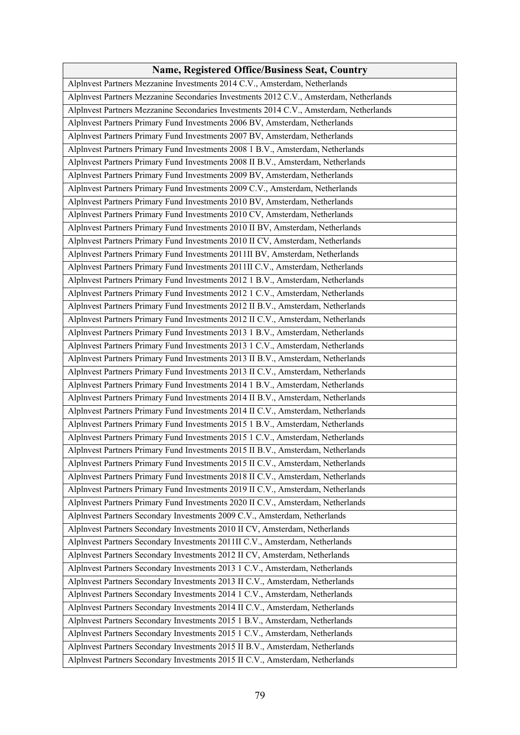| <b>Name, Registered Office/Business Seat, Country</b>                                  |
|----------------------------------------------------------------------------------------|
| Alplnvest Partners Mezzanine Investments 2014 C.V., Amsterdam, Netherlands             |
| Alplnvest Partners Mezzanine Secondaries Investments 2012 C.V., Amsterdam, Netherlands |
| Alplnvest Partners Mezzanine Secondaries Investments 2014 C.V., Amsterdam, Netherlands |
| Alplnvest Partners Primary Fund Investments 2006 BV, Amsterdam, Netherlands            |
| Alplnvest Partners Primary Fund Investments 2007 BV, Amsterdam, Netherlands            |
| Alplnvest Partners Primary Fund Investments 2008 1 B.V., Amsterdam, Netherlands        |
| Alplnvest Partners Primary Fund Investments 2008 II B.V., Amsterdam, Netherlands       |
| Alplnvest Partners Primary Fund Investments 2009 BV, Amsterdam, Netherlands            |
| Alplnvest Partners Primary Fund Investments 2009 C.V., Amsterdam, Netherlands          |
| Alplnvest Partners Primary Fund Investments 2010 BV, Amsterdam, Netherlands            |
| Alplnvest Partners Primary Fund Investments 2010 CV, Amsterdam, Netherlands            |
| Alplnvest Partners Primary Fund Investments 2010 II BV, Amsterdam, Netherlands         |
| Alplnvest Partners Primary Fund Investments 2010 II CV, Amsterdam, Netherlands         |
| Alplnvest Partners Primary Fund Investments 2011II BV, Amsterdam, Netherlands          |
| Alplnvest Partners Primary Fund Investments 2011II C.V., Amsterdam, Netherlands        |
| Alplnvest Partners Primary Fund Investments 2012 1 B.V., Amsterdam, Netherlands        |
| Alplnvest Partners Primary Fund Investments 2012 1 C.V., Amsterdam, Netherlands        |
| Alplnvest Partners Primary Fund Investments 2012 II B.V., Amsterdam, Netherlands       |
| Alplnvest Partners Primary Fund Investments 2012 II C.V., Amsterdam, Netherlands       |
| Alplnvest Partners Primary Fund Investments 2013 1 B.V., Amsterdam, Netherlands        |
| Alplnvest Partners Primary Fund Investments 2013 1 C.V., Amsterdam, Netherlands        |
| Alplnvest Partners Primary Fund Investments 2013 II B.V., Amsterdam, Netherlands       |
| Alplnvest Partners Primary Fund Investments 2013 II C.V., Amsterdam, Netherlands       |
| Alplnvest Partners Primary Fund Investments 2014 1 B.V., Amsterdam, Netherlands        |
| Alplnvest Partners Primary Fund Investments 2014 II B.V., Amsterdam, Netherlands       |
| Alplnvest Partners Primary Fund Investments 2014 II C.V., Amsterdam, Netherlands       |
| Alplnvest Partners Primary Fund Investments 2015 1 B.V., Amsterdam, Netherlands        |
| Alplnvest Partners Primary Fund Investments 2015 1 C.V., Amsterdam, Netherlands        |
| Alplnvest Partners Primary Fund Investments 2015 II B.V., Amsterdam, Netherlands       |
| Alplnvest Partners Primary Fund Investments 2015 II C.V., Amsterdam, Netherlands       |
| Alplnvest Partners Primary Fund Investments 2018 II C.V., Amsterdam, Netherlands       |
| Alplnvest Partners Primary Fund Investments 2019 II C.V., Amsterdam, Netherlands       |
| Alplnvest Partners Primary Fund Investments 2020 II C.V., Amsterdam, Netherlands       |
| Alplnvest Partners Secondary Investments 2009 C.V., Amsterdam, Netherlands             |
| Alplnvest Partners Secondary Investments 2010 II CV, Amsterdam, Netherlands            |
| Alplnvest Partners Secondary Investments 2011II C.V., Amsterdam, Netherlands           |
| Alplnvest Partners Secondary Investments 2012 II CV, Amsterdam, Netherlands            |
| Alplnvest Partners Secondary Investments 2013 1 C.V., Amsterdam, Netherlands           |
| Alplnvest Partners Secondary Investments 2013 II C.V., Amsterdam, Netherlands          |
| Alplnvest Partners Secondary Investments 2014 1 C.V., Amsterdam, Netherlands           |
| Alplnvest Partners Secondary Investments 2014 II C.V., Amsterdam, Netherlands          |
| Alplnvest Partners Secondary Investments 2015 1 B.V., Amsterdam, Netherlands           |
| Alplnvest Partners Secondary Investments 2015 1 C.V., Amsterdam, Netherlands           |
| Alplnvest Partners Secondary Investments 2015 II B.V., Amsterdam, Netherlands          |
| Alplnvest Partners Secondary Investments 2015 II C.V., Amsterdam, Netherlands          |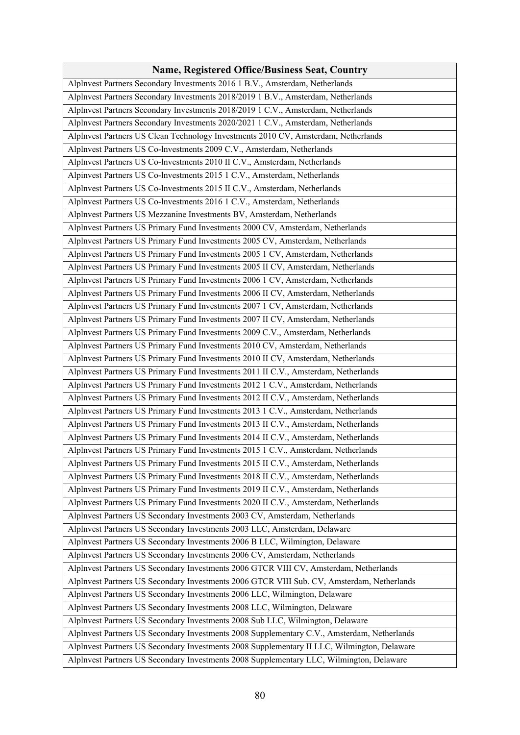| <b>Name, Registered Office/Business Seat, Country</b>                                       |
|---------------------------------------------------------------------------------------------|
| Alplnvest Partners Secondary Investments 2016 1 B.V., Amsterdam, Netherlands                |
| Alplnvest Partners Secondary Investments 2018/2019 1 B.V., Amsterdam, Netherlands           |
| Alplnvest Partners Secondary Investments 2018/2019 1 C.V., Amsterdam, Netherlands           |
| Alplnvest Partners Secondary Investments 2020/2021 1 C.V., Amsterdam, Netherlands           |
| Alplnvest Partners US Clean Technology Investments 2010 CV, Amsterdam, Netherlands          |
| Alplnvest Partners US Co-lnvestments 2009 C.V., Amsterdam, Netherlands                      |
| Alplnvest Partners US Co-lnvestments 2010 II C.V., Amsterdam, Netherlands                   |
| Alpinvest Partners US Co-lnvestments 2015 1 C.V., Amsterdam, Netherlands                    |
| Alplnvest Partners US Co-lnvestments 2015 II C.V., Amsterdam, Netherlands                   |
| Alplnvest Partners US Co-lnvestments 2016 1 C.V., Amsterdam, Netherlands                    |
| Alplnvest Partners US Mezzanine Investments BV, Amsterdam, Netherlands                      |
| Alplnvest Partners US Primary Fund Investments 2000 CV, Amsterdam, Netherlands              |
| Alplnvest Partners US Primary Fund Investments 2005 CV, Amsterdam, Netherlands              |
| Alplnvest Partners US Primary Fund Investments 2005 1 CV, Amsterdam, Netherlands            |
| Alplnvest Partners US Primary Fund Investments 2005 II CV, Amsterdam, Netherlands           |
| Alplnvest Partners US Primary Fund Investments 2006 1 CV, Amsterdam, Netherlands            |
| Alplnvest Partners US Primary Fund Investments 2006 II CV, Amsterdam, Netherlands           |
| Alplnvest Partners US Primary Fund Investments 2007 1 CV, Amsterdam, Netherlands            |
| Alplnvest Partners US Primary Fund Investments 2007 II CV, Amsterdam, Netherlands           |
| Alplnvest Partners US Primary Fund Investments 2009 C.V., Amsterdam, Netherlands            |
| Alplnvest Partners US Primary Fund Investments 2010 CV, Amsterdam, Netherlands              |
|                                                                                             |
| Alplnvest Partners US Primary Fund Investments 2010 II CV, Amsterdam, Netherlands           |
| Alplnvest Partners US Primary Fund Investments 2011 II C.V., Amsterdam, Netherlands         |
| Alplnvest Partners US Primary Fund Investments 2012 1 C.V., Amsterdam, Netherlands          |
| Alplnvest Partners US Primary Fund Investments 2012 II C.V., Amsterdam, Netherlands         |
| Alplnvest Partners US Primary Fund Investments 2013 1 C.V., Amsterdam, Netherlands          |
| Alplnvest Partners US Primary Fund Investments 2013 II C.V., Amsterdam, Netherlands         |
| Alplnvest Partners US Primary Fund Investments 2014 II C.V., Amsterdam, Netherlands         |
| Alplnvest Partners US Primary Fund Investments 2015 1 C.V., Amsterdam, Netherlands          |
| Alplnvest Partners US Primary Fund Investments 2015 II C.V., Amsterdam, Netherlands         |
| Alplnvest Partners US Primary Fund Investments 2018 II C.V., Amsterdam, Netherlands         |
| Alplnvest Partners US Primary Fund Investments 2019 II C.V., Amsterdam, Netherlands         |
| Alplnvest Partners US Primary Fund Investments 2020 II C.V., Amsterdam, Netherlands         |
| Alplnvest Partners US Secondary Investments 2003 CV, Amsterdam, Netherlands                 |
| Alplnvest Partners US Secondary Investments 2003 LLC, Amsterdam, Delaware                   |
| Alplnvest Partners US Secondary Investments 2006 B LLC, Wilmington, Delaware                |
| Alplnvest Partners US Secondary Investments 2006 CV, Amsterdam, Netherlands                 |
| Alplnvest Partners US Secondary Investments 2006 GTCR VIII CV, Amsterdam, Netherlands       |
| Alplnvest Partners US Secondary Investments 2006 GTCR VIII Sub. CV, Amsterdam, Netherlands  |
| Alplnvest Partners US Secondary Investments 2006 LLC, Wilmington, Delaware                  |
| Alplnvest Partners US Secondary Investments 2008 LLC, Wilmington, Delaware                  |
| Alplnvest Partners US Secondary Investments 2008 Sub LLC, Wilmington, Delaware              |
| Alplnvest Partners US Secondary Investments 2008 Supplementary C.V., Amsterdam, Netherlands |
| Alplnvest Partners US Secondary Investments 2008 Supplementary II LLC, Wilmington, Delaware |
| Alplnvest Partners US Secondary Investments 2008 Supplementary LLC, Wilmington, Delaware    |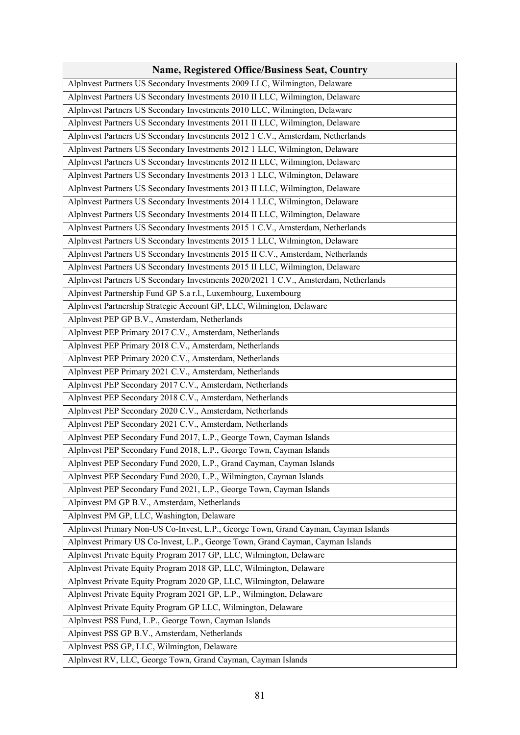| <b>Name, Registered Office/Business Seat, Country</b>                                |
|--------------------------------------------------------------------------------------|
| Alplnvest Partners US Secondary Investments 2009 LLC, Wilmington, Delaware           |
| Alplnvest Partners US Secondary Investments 2010 II LLC, Wilmington, Delaware        |
| Alplnvest Partners US Secondary Investments 2010 LLC, Wilmington, Delaware           |
| Alplnvest Partners US Secondary Investments 2011 II LLC, Wilmington, Delaware        |
| Alplnvest Partners US Secondary Investments 2012 1 C.V., Amsterdam, Netherlands      |
| Alplnvest Partners US Secondary Investments 2012 1 LLC, Wilmington, Delaware         |
| Alplnvest Partners US Secondary Investments 2012 II LLC, Wilmington, Delaware        |
| Alplnvest Partners US Secondary Investments 2013 1 LLC, Wilmington, Delaware         |
| Alplnvest Partners US Secondary Investments 2013 II LLC, Wilmington, Delaware        |
| Alplnvest Partners US Secondary Investments 2014 1 LLC, Wilmington, Delaware         |
| Alplnvest Partners US Secondary Investments 2014 II LLC, Wilmington, Delaware        |
| Alplnvest Partners US Secondary Investments 2015 1 C.V., Amsterdam, Netherlands      |
| Alplnvest Partners US Secondary Investments 2015 1 LLC, Wilmington, Delaware         |
| Alplnvest Partners US Secondary Investments 2015 II C.V., Amsterdam, Netherlands     |
| Alplnvest Partners US Secondary Investments 2015 II LLC, Wilmington, Delaware        |
| Alplnvest Partners US Secondary Investments 2020/2021 1 C.V., Amsterdam, Netherlands |
| Alpinvest Partnership Fund GP S.a r.l., Luxembourg, Luxembourg                       |
| Alplnvest Partnership Strategic Account GP, LLC, Wilmington, Delaware                |
| Alplnvest PEP GP B.V., Amsterdam, Netherlands                                        |
| Alplnvest PEP Primary 2017 C.V., Amsterdam, Netherlands                              |
| Alplnvest PEP Primary 2018 C.V., Amsterdam, Netherlands                              |
| Alplnvest PEP Primary 2020 C.V., Amsterdam, Netherlands                              |
| Alplnvest PEP Primary 2021 C.V., Amsterdam, Netherlands                              |
| Alplnvest PEP Secondary 2017 C.V., Amsterdam, Netherlands                            |
| Alplnvest PEP Secondary 2018 C.V., Amsterdam, Netherlands                            |
| Alplnvest PEP Secondary 2020 C.V., Amsterdam, Netherlands                            |
| Alplnvest PEP Secondary 2021 C.V., Amsterdam, Netherlands                            |
| Alplnvest PEP Secondary Fund 2017, L.P., George Town, Cayman Islands                 |
| Alplnvest PEP Secondary Fund 2018, L.P., George Town, Cayman Islands                 |
| Alplnvest PEP Secondary Fund 2020, L.P., Grand Cayman, Cayman Islands                |
| Alplnvest PEP Secondary Fund 2020, L.P., Wilmington, Cayman Islands                  |
| Alplnvest PEP Secondary Fund 2021, L.P., George Town, Cayman Islands                 |
| Alpinvest PM GP B.V., Amsterdam, Netherlands                                         |
| Alplnvest PM GP, LLC, Washington, Delaware                                           |
| Alplnvest Primary Non-US Co-Invest, L.P., George Town, Grand Cayman, Cayman Islands  |
| Alplnvest Primary US Co-Invest, L.P., George Town, Grand Cayman, Cayman Islands      |
| Alplnvest Private Equity Program 2017 GP, LLC, Wilmington, Delaware                  |
| Alplnvest Private Equity Program 2018 GP, LLC, Wilmington, Delaware                  |
| Alplnvest Private Equity Program 2020 GP, LLC, Wilmington, Delaware                  |
| Alplnvest Private Equity Program 2021 GP, L.P., Wilmington, Delaware                 |
| Alplnvest Private Equity Program GP LLC, Wilmington, Delaware                        |
| Alplnvest PSS Fund, L.P., George Town, Cayman Islands                                |
| Alpinvest PSS GP B.V., Amsterdam, Netherlands                                        |
| Alplnvest PSS GP, LLC, Wilmington, Delaware                                          |
| Alplnvest RV, LLC, George Town, Grand Cayman, Cayman Islands                         |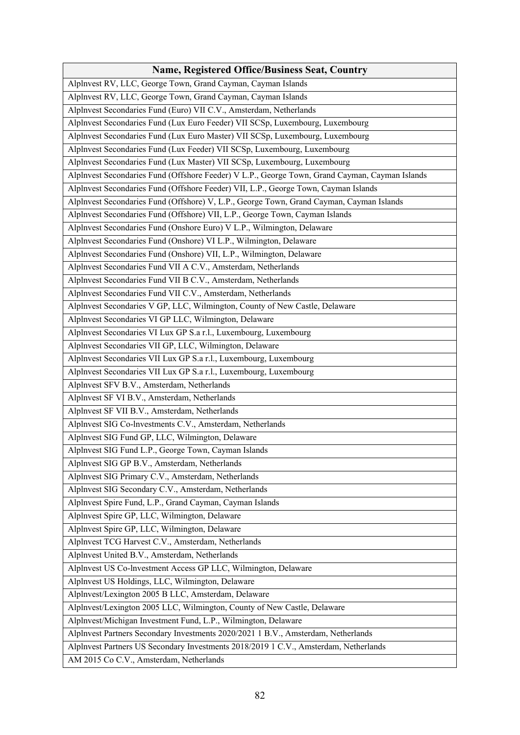| <b>Name, Registered Office/Business Seat, Country</b>                                          |
|------------------------------------------------------------------------------------------------|
| Alplnvest RV, LLC, George Town, Grand Cayman, Cayman Islands                                   |
| Alplnvest RV, LLC, George Town, Grand Cayman, Cayman Islands                                   |
| Alplnvest Secondaries Fund (Euro) VII C.V., Amsterdam, Netherlands                             |
| Alplnvest Secondaries Fund (Lux Euro Feeder) VII SCSp, Luxembourg, Luxembourg                  |
| Alplnvest Secondaries Fund (Lux Euro Master) VII SCSp, Luxembourg, Luxembourg                  |
| Alplnvest Secondaries Fund (Lux Feeder) VII SCSp, Luxembourg, Luxembourg                       |
| Alplnvest Secondaries Fund (Lux Master) VII SCSp, Luxembourg, Luxembourg                       |
| Alplnvest Secondaries Fund (Offshore Feeder) V L.P., George Town, Grand Cayman, Cayman Islands |
| Alplnvest Secondaries Fund (Offshore Feeder) VII, L.P., George Town, Cayman Islands            |
| Alplnvest Secondaries Fund (Offshore) V, L.P., George Town, Grand Cayman, Cayman Islands       |
| Alplnvest Secondaries Fund (Offshore) VII, L.P., George Town, Cayman Islands                   |
| Alplnvest Secondaries Fund (Onshore Euro) V L.P., Wilmington, Delaware                         |
| Alplnvest Secondaries Fund (Onshore) VI L.P., Wilmington, Delaware                             |
| Alplnvest Secondaries Fund (Onshore) VII, L.P., Wilmington, Delaware                           |
| Alplnvest Secondaries Fund VII A C.V., Amsterdam, Netherlands                                  |
| Alplnvest Secondaries Fund VII B C.V., Amsterdam, Netherlands                                  |
| Alplnvest Secondaries Fund VII C.V., Amsterdam, Netherlands                                    |
| Alplnvest Secondaries V GP, LLC, Wilmington, County of New Castle, Delaware                    |
| Alplnvest Secondaries VI GP LLC, Wilmington, Delaware                                          |
| Alplnvest Secondaries VI Lux GP S.a r.l., Luxembourg, Luxembourg                               |
| Alplnvest Secondaries VII GP, LLC, Wilmington, Delaware                                        |
| Alplnvest Secondaries VII Lux GP S.a r.l., Luxembourg, Luxembourg                              |
| Alplnvest Secondaries VII Lux GP S.a r.l., Luxembourg, Luxembourg                              |
| Alplnvest SFV B.V., Amsterdam, Netherlands                                                     |
| Alplnvest SF VI B.V., Amsterdam, Netherlands                                                   |
| Alplnvest SF VII B.V., Amsterdam, Netherlands                                                  |
| Alplnvest SIG Co-lnvestments C.V., Amsterdam, Netherlands                                      |
| Alplnvest SIG Fund GP, LLC, Wilmington, Delaware                                               |
| Alplnvest SIG Fund L.P., George Town, Cayman Islands                                           |
| Alplnvest SIG GP B.V., Amsterdam, Netherlands                                                  |
| Alplnvest SIG Primary C.V., Amsterdam, Netherlands                                             |
| Alplnvest SIG Secondary C.V., Amsterdam, Netherlands                                           |
| Alplnvest Spire Fund, L.P., Grand Cayman, Cayman Islands                                       |
| Alplnvest Spire GP, LLC, Wilmington, Delaware                                                  |
| Alplnvest Spire GP, LLC, Wilmington, Delaware                                                  |
| Alplnvest TCG Harvest C.V., Amsterdam, Netherlands                                             |
| Alplnvest United B.V., Amsterdam, Netherlands                                                  |
| Alplnvest US Co-lnvestment Access GP LLC, Wilmington, Delaware                                 |
| Alplnvest US Holdings, LLC, Wilmington, Delaware                                               |
| Alplnvest/Lexington 2005 B LLC, Amsterdam, Delaware                                            |
| Alplnvest/Lexington 2005 LLC, Wilmington, County of New Castle, Delaware                       |
| Alplnvest/Michigan Investment Fund, L.P., Wilmington, Delaware                                 |
| Alplnvest Partners Secondary Investments 2020/2021 1 B.V., Amsterdam, Netherlands              |
| Alplnvest Partners US Secondary Investments 2018/2019 1 C.V., Amsterdam, Netherlands           |
| AM 2015 Co C.V., Amsterdam, Netherlands                                                        |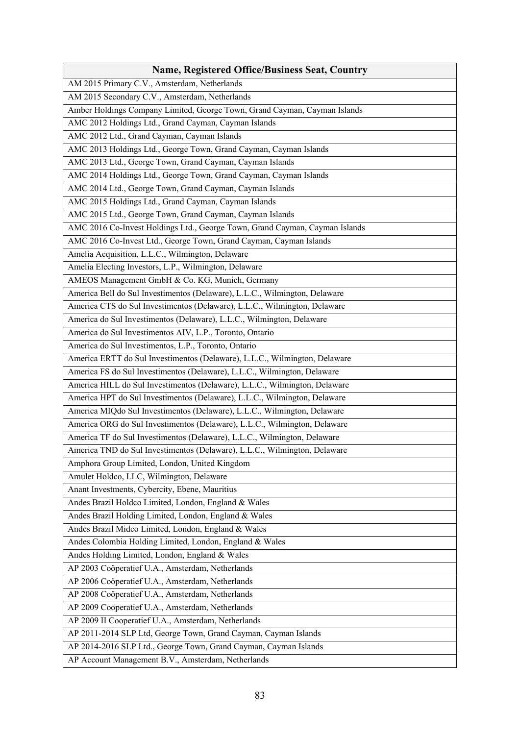| <b>Name, Registered Office/Business Seat, Country</b>                       |
|-----------------------------------------------------------------------------|
| AM 2015 Primary C.V., Amsterdam, Netherlands                                |
| AM 2015 Secondary C.V., Amsterdam, Netherlands                              |
| Amber Holdings Company Limited, George Town, Grand Cayman, Cayman Islands   |
| AMC 2012 Holdings Ltd., Grand Cayman, Cayman Islands                        |
| AMC 2012 Ltd., Grand Cayman, Cayman Islands                                 |
| AMC 2013 Holdings Ltd., George Town, Grand Cayman, Cayman Islands           |
| AMC 2013 Ltd., George Town, Grand Cayman, Cayman Islands                    |
| AMC 2014 Holdings Ltd., George Town, Grand Cayman, Cayman Islands           |
| AMC 2014 Ltd., George Town, Grand Cayman, Cayman Islands                    |
| AMC 2015 Holdings Ltd., Grand Cayman, Cayman Islands                        |
| AMC 2015 Ltd., George Town, Grand Cayman, Cayman Islands                    |
| AMC 2016 Co-Invest Holdings Ltd., George Town, Grand Cayman, Cayman Islands |
| AMC 2016 Co-Invest Ltd., George Town, Grand Cayman, Cayman Islands          |
| Amelia Acquisition, L.L.C., Wilmington, Delaware                            |
| Amelia Electing Investors, L.P., Wilmington, Delaware                       |
| AMEOS Management GmbH & Co. KG, Munich, Germany                             |
| America Bell do Sul Investimentos (Delaware), L.L.C., Wilmington, Delaware  |
| America CTS do Sul Investimentos (Delaware), L.L.C., Wilmington, Delaware   |
| America do Sul Investimentos (Delaware), L.L.C., Wilmington, Delaware       |
| America do Sul Investimentos AIV, L.P., Toronto, Ontario                    |
| America do Sul Investimentos, L.P., Toronto, Ontario                        |
| America ERTT do Sul Investimentos (Delaware), L.L.C., Wilmington, Delaware  |
| America FS do Sul Investimentos (Delaware), L.L.C., Wilmington, Delaware    |
| America HILL do Sul Investimentos (Delaware), L.L.C., Wilmington, Delaware  |
| America HPT do Sul Investimentos (Delaware), L.L.C., Wilmington, Delaware   |
| America MIQdo Sul Investimentos (Delaware), L.L.C., Wilmington, Delaware    |
| America ORG do Sul Investimentos (Delaware), L.L.C., Wilmington, Delaware   |
| America TF do Sul Investimentos (Delaware), L.L.C., Wilmington, Delaware    |
| America TND do Sul Investimentos (Delaware), L.L.C., Wilmington, Delaware   |
| Amphora Group Limited, London, United Kingdom                               |
| Amulet Holdco, LLC, Wilmington, Delaware                                    |
| Anant Investments, Cybercity, Ebene, Mauritius                              |
| Andes Brazil Holdco Limited, London, England & Wales                        |
| Andes Brazil Holding Limited, London, England & Wales                       |
| Andes Brazil Midco Limited, London, England & Wales                         |
| Andes Colombia Holding Limited, London, England & Wales                     |
| Andes Holding Limited, London, England & Wales                              |
| AP 2003 Coöperatief U.A., Amsterdam, Netherlands                            |
| AP 2006 Coöperatief U.A., Amsterdam, Netherlands                            |
| AP 2008 Coöperatief U.A., Amsterdam, Netherlands                            |
| AP 2009 Cooperatief U.A., Amsterdam, Netherlands                            |
| AP 2009 II Cooperatief U.A., Amsterdam, Netherlands                         |
| AP 2011-2014 SLP Ltd, George Town, Grand Cayman, Cayman Islands             |
| AP 2014-2016 SLP Ltd., George Town, Grand Cayman, Cayman Islands            |
| AP Account Management B.V., Amsterdam, Netherlands                          |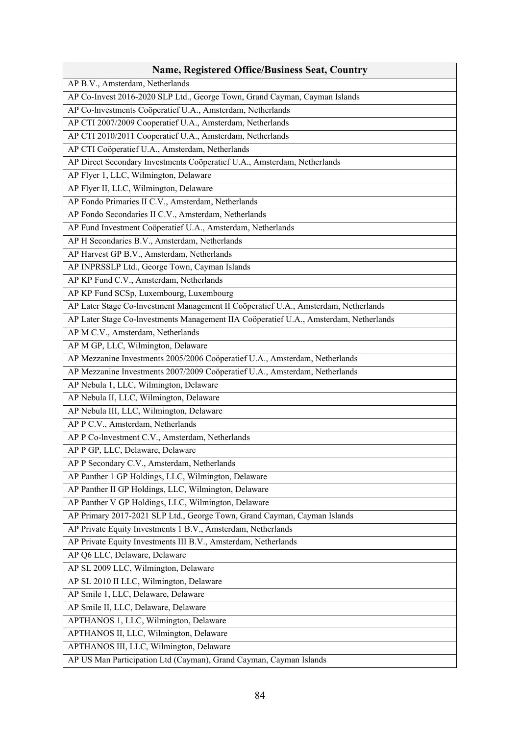| <b>Name, Registered Office/Business Seat, Country</b>                                 |
|---------------------------------------------------------------------------------------|
| AP B.V., Amsterdam, Netherlands                                                       |
| AP Co-Invest 2016-2020 SLP Ltd., George Town, Grand Cayman, Cayman Islands            |
| AP Co-lnvestments Coöperatief U.A., Amsterdam, Netherlands                            |
| AP CTI 2007/2009 Cooperatief U.A., Amsterdam, Netherlands                             |
| AP CTI 2010/2011 Cooperatief U.A., Amsterdam, Netherlands                             |
| AP CTI Coöperatief U.A., Amsterdam, Netherlands                                       |
| AP Direct Secondary Investments Coöperatief U.A., Amsterdam, Netherlands              |
| AP Flyer 1, LLC, Wilmington, Delaware                                                 |
| AP Flyer II, LLC, Wilmington, Delaware                                                |
| AP Fondo Primaries II C.V., Amsterdam, Netherlands                                    |
| AP Fondo Secondaries II C.V., Amsterdam, Netherlands                                  |
| AP Fund Investment Coöperatief U.A., Amsterdam, Netherlands                           |
| AP H Secondaries B.V., Amsterdam, Netherlands                                         |
| AP Harvest GP B.V., Amsterdam, Netherlands                                            |
| AP INPRSSLP Ltd., George Town, Cayman Islands                                         |
| AP KP Fund C.V., Amsterdam, Netherlands                                               |
| AP KP Fund SCSp, Luxembourg, Luxembourg                                               |
| AP Later Stage Co-Investment Management II Coöperatief U.A., Amsterdam, Netherlands   |
| AP Later Stage Co-lnvestments Management IIA Coöperatief U.A., Amsterdam, Netherlands |
| AP M C.V., Amsterdam, Netherlands                                                     |
| AP M GP, LLC, Wilmington, Delaware                                                    |
| AP Mezzanine Investments 2005/2006 Coöperatief U.A., Amsterdam, Netherlands           |
| AP Mezzanine Investments 2007/2009 Coöperatief U.A., Amsterdam, Netherlands           |
| AP Nebula 1, LLC, Wilmington, Delaware                                                |
| AP Nebula II, LLC, Wilmington, Delaware                                               |
| AP Nebula III, LLC, Wilmington, Delaware                                              |
| AP P C.V., Amsterdam, Netherlands                                                     |
| AP P Co-lnvestment C.V., Amsterdam, Netherlands                                       |
| AP P GP, LLC, Delaware, Delaware                                                      |
| AP P Secondary C.V., Amsterdam, Netherlands                                           |
| AP Panther 1 GP Holdings, LLC, Wilmington, Delaware                                   |
| AP Panther II GP Holdings, LLC, Wilmington, Delaware                                  |
| AP Panther V GP Holdings, LLC, Wilmington, Delaware                                   |
| AP Primary 2017-2021 SLP Ltd., George Town, Grand Cayman, Cayman Islands              |
| AP Private Equity Investments 1 B.V., Amsterdam, Netherlands                          |
| AP Private Equity Investments III B.V., Amsterdam, Netherlands                        |
| AP Q6 LLC, Delaware, Delaware                                                         |
| AP SL 2009 LLC, Wilmington, Delaware                                                  |
| AP SL 2010 II LLC, Wilmington, Delaware                                               |
| AP Smile 1, LLC, Delaware, Delaware                                                   |
| AP Smile II, LLC, Delaware, Delaware                                                  |
| APTHANOS 1, LLC, Wilmington, Delaware                                                 |
| APTHANOS II, LLC, Wilmington, Delaware                                                |
| APTHANOS III, LLC, Wilmington, Delaware                                               |
| AP US Man Participation Ltd (Cayman), Grand Cayman, Cayman Islands                    |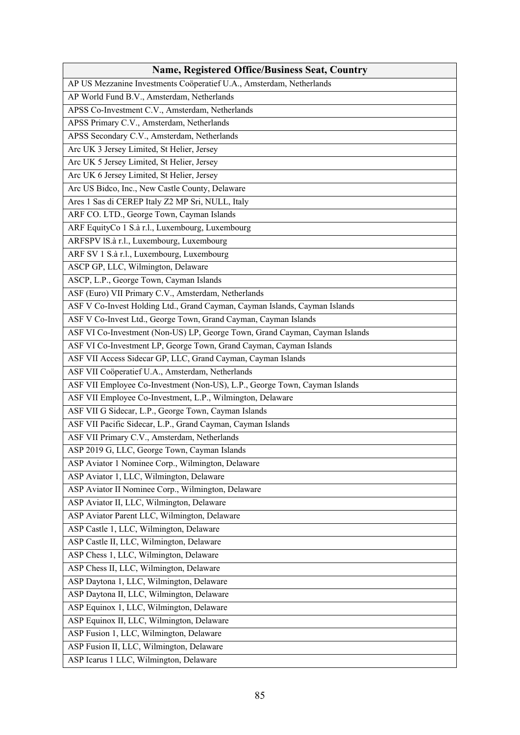| <b>Name, Registered Office/Business Seat, Country</b>                       |
|-----------------------------------------------------------------------------|
| AP US Mezzanine Investments Coöperatief U.A., Amsterdam, Netherlands        |
| AP World Fund B.V., Amsterdam, Netherlands                                  |
| APSS Co-Investment C.V., Amsterdam, Netherlands                             |
| APSS Primary C.V., Amsterdam, Netherlands                                   |
| APSS Secondary C.V., Amsterdam, Netherlands                                 |
| Arc UK 3 Jersey Limited, St Helier, Jersey                                  |
| Arc UK 5 Jersey Limited, St Helier, Jersey                                  |
| Arc UK 6 Jersey Limited, St Helier, Jersey                                  |
| Arc US Bidco, Inc., New Castle County, Delaware                             |
| Ares 1 Sas di CEREP Italy Z2 MP Sri, NULL, Italy                            |
| ARF CO. LTD., George Town, Cayman Islands                                   |
| ARF EquityCo 1 S.à r.l., Luxembourg, Luxembourg                             |
| ARFSPV IS.à r.l., Luxembourg, Luxembourg                                    |
| ARF SV 1 S.à r.l., Luxembourg, Luxembourg                                   |
| ASCP GP, LLC, Wilmington, Delaware                                          |
| ASCP, L.P., George Town, Cayman Islands                                     |
| ASF (Euro) VII Primary C.V., Amsterdam, Netherlands                         |
| ASF V Co-Invest Holding Ltd., Grand Cayman, Cayman Islands, Cayman Islands  |
| ASF V Co-Invest Ltd., George Town, Grand Cayman, Cayman Islands             |
| ASF VI Co-Investment (Non-US) LP, George Town, Grand Cayman, Cayman Islands |
| ASF VI Co-Investment LP, George Town, Grand Cayman, Cayman Islands          |
| ASF VII Access Sidecar GP, LLC, Grand Cayman, Cayman Islands                |
| ASF VII Coöperatief U.A., Amsterdam, Netherlands                            |
| ASF VII Employee Co-Investment (Non-US), L.P., George Town, Cayman Islands  |
| ASF VII Employee Co-Investment, L.P., Wilmington, Delaware                  |
| ASF VII G Sidecar, L.P., George Town, Cayman Islands                        |
| ASF VII Pacific Sidecar, L.P., Grand Cayman, Cayman Islands                 |
| ASF VII Primary C.V., Amsterdam, Netherlands                                |
| ASP 2019 G, LLC, George Town, Cayman Islands                                |
| ASP Aviator 1 Nominee Corp., Wilmington, Delaware                           |
| ASP Aviator 1, LLC, Wilmington, Delaware                                    |
| ASP Aviator II Nominee Corp., Wilmington, Delaware                          |
| ASP Aviator II, LLC, Wilmington, Delaware                                   |
| ASP Aviator Parent LLC, Wilmington, Delaware                                |
| ASP Castle 1, LLC, Wilmington, Delaware                                     |
| ASP Castle II, LLC, Wilmington, Delaware                                    |
| ASP Chess 1, LLC, Wilmington, Delaware                                      |
| ASP Chess II, LLC, Wilmington, Delaware                                     |
| ASP Daytona 1, LLC, Wilmington, Delaware                                    |
| ASP Daytona II, LLC, Wilmington, Delaware                                   |
| ASP Equinox 1, LLC, Wilmington, Delaware                                    |
| ASP Equinox II, LLC, Wilmington, Delaware                                   |
| ASP Fusion 1, LLC, Wilmington, Delaware                                     |
| ASP Fusion II, LLC, Wilmington, Delaware                                    |
| ASP Icarus 1 LLC, Wilmington, Delaware                                      |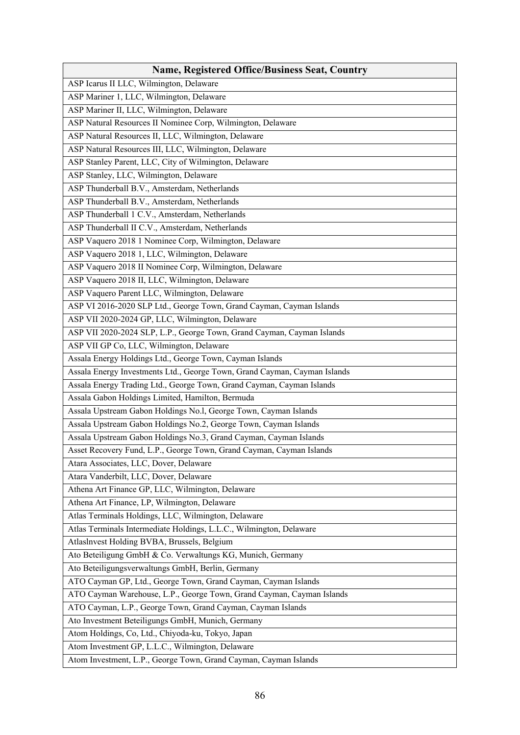| ASP Icarus II LLC, Wilmington, Delaware<br>ASP Mariner 1, LLC, Wilmington, Delaware<br>ASP Mariner II, LLC, Wilmington, Delaware<br>ASP Natural Resources II Nominee Corp, Wilmington, Delaware<br>ASP Natural Resources II, LLC, Wilmington, Delaware<br>ASP Natural Resources III, LLC, Wilmington, Delaware<br>ASP Stanley Parent, LLC, City of Wilmington, Delaware<br>ASP Stanley, LLC, Wilmington, Delaware<br>ASP Thunderball B.V., Amsterdam, Netherlands<br>ASP Thunderball B.V., Amsterdam, Netherlands<br>ASP Thunderball 1 C.V., Amsterdam, Netherlands<br>ASP Thunderball II C.V., Amsterdam, Netherlands<br>ASP Vaquero 2018 1 Nominee Corp, Wilmington, Delaware<br>ASP Vaquero 2018 1, LLC, Wilmington, Delaware<br>ASP Vaquero 2018 II Nominee Corp, Wilmington, Delaware<br>ASP Vaquero 2018 II, LLC, Wilmington, Delaware<br>ASP Vaquero Parent LLC, Wilmington, Delaware<br>ASP VI 2016-2020 SLP Ltd., George Town, Grand Cayman, Cayman Islands<br>ASP VII 2020-2024 GP, LLC, Wilmington, Delaware |
|-------------------------------------------------------------------------------------------------------------------------------------------------------------------------------------------------------------------------------------------------------------------------------------------------------------------------------------------------------------------------------------------------------------------------------------------------------------------------------------------------------------------------------------------------------------------------------------------------------------------------------------------------------------------------------------------------------------------------------------------------------------------------------------------------------------------------------------------------------------------------------------------------------------------------------------------------------------------------------------------------------------------------|
|                                                                                                                                                                                                                                                                                                                                                                                                                                                                                                                                                                                                                                                                                                                                                                                                                                                                                                                                                                                                                         |
|                                                                                                                                                                                                                                                                                                                                                                                                                                                                                                                                                                                                                                                                                                                                                                                                                                                                                                                                                                                                                         |
|                                                                                                                                                                                                                                                                                                                                                                                                                                                                                                                                                                                                                                                                                                                                                                                                                                                                                                                                                                                                                         |
|                                                                                                                                                                                                                                                                                                                                                                                                                                                                                                                                                                                                                                                                                                                                                                                                                                                                                                                                                                                                                         |
|                                                                                                                                                                                                                                                                                                                                                                                                                                                                                                                                                                                                                                                                                                                                                                                                                                                                                                                                                                                                                         |
|                                                                                                                                                                                                                                                                                                                                                                                                                                                                                                                                                                                                                                                                                                                                                                                                                                                                                                                                                                                                                         |
|                                                                                                                                                                                                                                                                                                                                                                                                                                                                                                                                                                                                                                                                                                                                                                                                                                                                                                                                                                                                                         |
|                                                                                                                                                                                                                                                                                                                                                                                                                                                                                                                                                                                                                                                                                                                                                                                                                                                                                                                                                                                                                         |
|                                                                                                                                                                                                                                                                                                                                                                                                                                                                                                                                                                                                                                                                                                                                                                                                                                                                                                                                                                                                                         |
|                                                                                                                                                                                                                                                                                                                                                                                                                                                                                                                                                                                                                                                                                                                                                                                                                                                                                                                                                                                                                         |
|                                                                                                                                                                                                                                                                                                                                                                                                                                                                                                                                                                                                                                                                                                                                                                                                                                                                                                                                                                                                                         |
|                                                                                                                                                                                                                                                                                                                                                                                                                                                                                                                                                                                                                                                                                                                                                                                                                                                                                                                                                                                                                         |
|                                                                                                                                                                                                                                                                                                                                                                                                                                                                                                                                                                                                                                                                                                                                                                                                                                                                                                                                                                                                                         |
|                                                                                                                                                                                                                                                                                                                                                                                                                                                                                                                                                                                                                                                                                                                                                                                                                                                                                                                                                                                                                         |
|                                                                                                                                                                                                                                                                                                                                                                                                                                                                                                                                                                                                                                                                                                                                                                                                                                                                                                                                                                                                                         |
|                                                                                                                                                                                                                                                                                                                                                                                                                                                                                                                                                                                                                                                                                                                                                                                                                                                                                                                                                                                                                         |
|                                                                                                                                                                                                                                                                                                                                                                                                                                                                                                                                                                                                                                                                                                                                                                                                                                                                                                                                                                                                                         |
|                                                                                                                                                                                                                                                                                                                                                                                                                                                                                                                                                                                                                                                                                                                                                                                                                                                                                                                                                                                                                         |
|                                                                                                                                                                                                                                                                                                                                                                                                                                                                                                                                                                                                                                                                                                                                                                                                                                                                                                                                                                                                                         |
| ASP VII 2020-2024 SLP, L.P., George Town, Grand Cayman, Cayman Islands                                                                                                                                                                                                                                                                                                                                                                                                                                                                                                                                                                                                                                                                                                                                                                                                                                                                                                                                                  |
| ASP VII GP Co, LLC, Wilmington, Delaware                                                                                                                                                                                                                                                                                                                                                                                                                                                                                                                                                                                                                                                                                                                                                                                                                                                                                                                                                                                |
| Assala Energy Holdings Ltd., George Town, Cayman Islands                                                                                                                                                                                                                                                                                                                                                                                                                                                                                                                                                                                                                                                                                                                                                                                                                                                                                                                                                                |
| Assala Energy Investments Ltd., George Town, Grand Cayman, Cayman Islands                                                                                                                                                                                                                                                                                                                                                                                                                                                                                                                                                                                                                                                                                                                                                                                                                                                                                                                                               |
| Assala Energy Trading Ltd., George Town, Grand Cayman, Cayman Islands                                                                                                                                                                                                                                                                                                                                                                                                                                                                                                                                                                                                                                                                                                                                                                                                                                                                                                                                                   |
| Assala Gabon Holdings Limited, Hamilton, Bermuda                                                                                                                                                                                                                                                                                                                                                                                                                                                                                                                                                                                                                                                                                                                                                                                                                                                                                                                                                                        |
| Assala Upstream Gabon Holdings No.l, George Town, Cayman Islands                                                                                                                                                                                                                                                                                                                                                                                                                                                                                                                                                                                                                                                                                                                                                                                                                                                                                                                                                        |
| Assala Upstream Gabon Holdings No.2, George Town, Cayman Islands                                                                                                                                                                                                                                                                                                                                                                                                                                                                                                                                                                                                                                                                                                                                                                                                                                                                                                                                                        |
| Assala Upstream Gabon Holdings No.3, Grand Cayman, Cayman Islands                                                                                                                                                                                                                                                                                                                                                                                                                                                                                                                                                                                                                                                                                                                                                                                                                                                                                                                                                       |
| Asset Recovery Fund, L.P., George Town, Grand Cayman, Cayman Islands                                                                                                                                                                                                                                                                                                                                                                                                                                                                                                                                                                                                                                                                                                                                                                                                                                                                                                                                                    |
| Atara Associates, LLC, Dover, Delaware                                                                                                                                                                                                                                                                                                                                                                                                                                                                                                                                                                                                                                                                                                                                                                                                                                                                                                                                                                                  |
| Atara Vanderbilt, LLC, Dover, Delaware                                                                                                                                                                                                                                                                                                                                                                                                                                                                                                                                                                                                                                                                                                                                                                                                                                                                                                                                                                                  |
| Athena Art Finance GP, LLC, Wilmington, Delaware                                                                                                                                                                                                                                                                                                                                                                                                                                                                                                                                                                                                                                                                                                                                                                                                                                                                                                                                                                        |
| Athena Art Finance, LP, Wilmington, Delaware                                                                                                                                                                                                                                                                                                                                                                                                                                                                                                                                                                                                                                                                                                                                                                                                                                                                                                                                                                            |
| Atlas Terminals Holdings, LLC, Wilmington, Delaware                                                                                                                                                                                                                                                                                                                                                                                                                                                                                                                                                                                                                                                                                                                                                                                                                                                                                                                                                                     |
| Atlas Terminals Intermediate Holdings, L.L.C., Wilmington, Delaware                                                                                                                                                                                                                                                                                                                                                                                                                                                                                                                                                                                                                                                                                                                                                                                                                                                                                                                                                     |
| Atlaslnvest Holding BVBA, Brussels, Belgium                                                                                                                                                                                                                                                                                                                                                                                                                                                                                                                                                                                                                                                                                                                                                                                                                                                                                                                                                                             |
| Ato Beteiligung GmbH & Co. Verwaltungs KG, Munich, Germany                                                                                                                                                                                                                                                                                                                                                                                                                                                                                                                                                                                                                                                                                                                                                                                                                                                                                                                                                              |
| Ato Beteiligungsverwaltungs GmbH, Berlin, Germany                                                                                                                                                                                                                                                                                                                                                                                                                                                                                                                                                                                                                                                                                                                                                                                                                                                                                                                                                                       |
| ATO Cayman GP, Ltd., George Town, Grand Cayman, Cayman Islands                                                                                                                                                                                                                                                                                                                                                                                                                                                                                                                                                                                                                                                                                                                                                                                                                                                                                                                                                          |
| ATO Cayman Warehouse, L.P., George Town, Grand Cayman, Cayman Islands                                                                                                                                                                                                                                                                                                                                                                                                                                                                                                                                                                                                                                                                                                                                                                                                                                                                                                                                                   |
| ATO Cayman, L.P., George Town, Grand Cayman, Cayman Islands                                                                                                                                                                                                                                                                                                                                                                                                                                                                                                                                                                                                                                                                                                                                                                                                                                                                                                                                                             |
| Ato Investment Beteiligungs GmbH, Munich, Germany                                                                                                                                                                                                                                                                                                                                                                                                                                                                                                                                                                                                                                                                                                                                                                                                                                                                                                                                                                       |
| Atom Holdings, Co, Ltd., Chiyoda-ku, Tokyo, Japan                                                                                                                                                                                                                                                                                                                                                                                                                                                                                                                                                                                                                                                                                                                                                                                                                                                                                                                                                                       |
| Atom Investment GP, L.L.C., Wilmington, Delaware                                                                                                                                                                                                                                                                                                                                                                                                                                                                                                                                                                                                                                                                                                                                                                                                                                                                                                                                                                        |
| Atom Investment, L.P., George Town, Grand Cayman, Cayman Islands                                                                                                                                                                                                                                                                                                                                                                                                                                                                                                                                                                                                                                                                                                                                                                                                                                                                                                                                                        |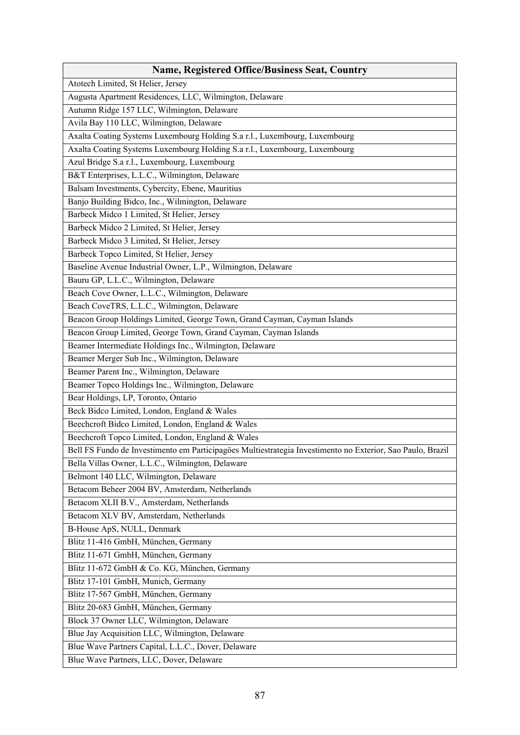| <b>Name, Registered Office/Business Seat, Country</b>                                                      |
|------------------------------------------------------------------------------------------------------------|
| Atotech Limited, St Helier, Jersey                                                                         |
| Augusta Apartment Residences, LLC, Wilmington, Delaware                                                    |
| Autumn Ridge 157 LLC, Wilmington, Delaware                                                                 |
| Avila Bay 110 LLC, Wilmington, Delaware                                                                    |
| Axalta Coating Systems Luxembourg Holding S.a r.l., Luxembourg, Luxembourg                                 |
| Axalta Coating Systems Luxembourg Holding S.a r.l., Luxembourg, Luxembourg                                 |
| Azul Bridge S.a r.l., Luxembourg, Luxembourg                                                               |
| B&T Enterprises, L.L.C., Wilmington, Delaware                                                              |
| Balsam Investments, Cybercity, Ebene, Mauritius                                                            |
| Banjo Building Bidco, Inc., Wilmington, Delaware                                                           |
| Barbeck Midco 1 Limited, St Helier, Jersey                                                                 |
| Barbeck Midco 2 Limited, St Helier, Jersey                                                                 |
| Barbeck Midco 3 Limited, St Helier, Jersey                                                                 |
| Barbeck Topco Limited, St Helier, Jersey                                                                   |
| Baseline Avenue Industrial Owner, L.P., Wilmington, Delaware                                               |
| Bauru GP, L.L.C., Wilmington, Delaware                                                                     |
| Beach Cove Owner, L.L.C., Wilmington, Delaware                                                             |
| Beach CoveTRS, L.L.C., Wilmington, Delaware                                                                |
| Beacon Group Holdings Limited, George Town, Grand Cayman, Cayman Islands                                   |
| Beacon Group Limited, George Town, Grand Cayman, Cayman Islands                                            |
| Beamer Intermediate Holdings Inc., Wilmington, Delaware                                                    |
| Beamer Merger Sub Inc., Wilmington, Delaware                                                               |
| Beamer Parent Inc., Wilmington, Delaware                                                                   |
| Beamer Topco Holdings Inc., Wilmington, Delaware                                                           |
| Bear Holdings, LP, Toronto, Ontario                                                                        |
| Beck Bidco Limited, London, England & Wales                                                                |
| Beechcroft Bidco Limited, London, England & Wales                                                          |
| Beechcroft Topco Limited, London, England & Wales                                                          |
| Bell FS Fundo de Investimento em Participagöes Multiestrategia Investimento no Exterior, Sao Paulo, Brazil |
| Bella Villas Owner, L.L.C., Wilmington, Delaware                                                           |
| Belmont 140 LLC, Wilmington, Delaware                                                                      |
| Betacom Beheer 2004 BV, Amsterdam, Netherlands                                                             |
| Betacom XLII B.V., Amsterdam, Netherlands                                                                  |
| Betacom XLV BV, Amsterdam, Netherlands                                                                     |
| B-House ApS, NULL, Denmark                                                                                 |
| Blitz 11-416 GmbH, München, Germany                                                                        |
| Blitz 11-671 GmbH, München, Germany                                                                        |
| Blitz 11-672 GmbH & Co. KG, München, Germany                                                               |
| Blitz 17-101 GmbH, Munich, Germany                                                                         |
| Blitz 17-567 GmbH, München, Germany                                                                        |
| Blitz 20-683 GmbH, München, Germany                                                                        |
| Block 37 Owner LLC, Wilmington, Delaware                                                                   |
| Blue Jay Acquisition LLC, Wilmington, Delaware                                                             |
| Blue Wave Partners Capital, L.L.C., Dover, Delaware                                                        |
| Blue Wave Partners, LLC, Dover, Delaware                                                                   |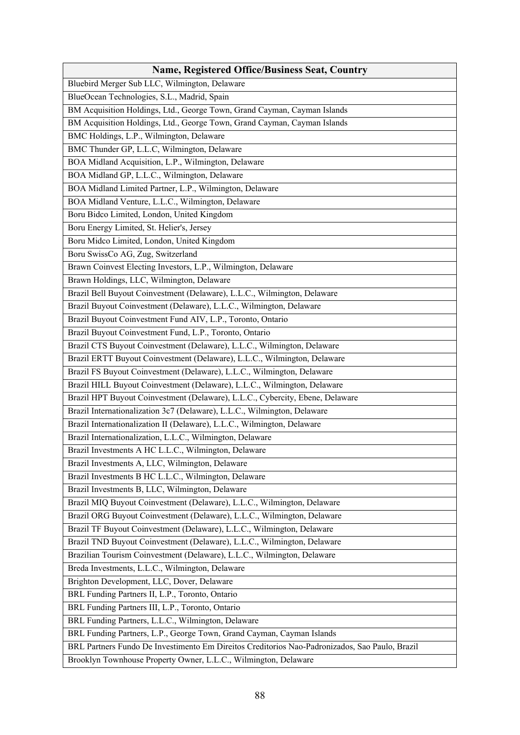| <b>Name, Registered Office/Business Seat, Country</b>                                                  |
|--------------------------------------------------------------------------------------------------------|
| Bluebird Merger Sub LLC, Wilmington, Delaware                                                          |
| BlueOcean Technologies, S.L., Madrid, Spain                                                            |
| BM Acquisition Holdings, Ltd., George Town, Grand Cayman, Cayman Islands                               |
| BM Acquisition Holdings, Ltd., George Town, Grand Cayman, Cayman Islands                               |
| BMC Holdings, L.P., Wilmington, Delaware                                                               |
| BMC Thunder GP, L.L.C, Wilmington, Delaware                                                            |
| BOA Midland Acquisition, L.P., Wilmington, Delaware                                                    |
| BOA Midland GP, L.L.C., Wilmington, Delaware                                                           |
| BOA Midland Limited Partner, L.P., Wilmington, Delaware                                                |
| BOA Midland Venture, L.L.C., Wilmington, Delaware                                                      |
| Boru Bidco Limited, London, United Kingdom                                                             |
| Boru Energy Limited, St. Helier's, Jersey                                                              |
| Boru Midco Limited, London, United Kingdom                                                             |
| Boru SwissCo AG, Zug, Switzerland                                                                      |
| Brawn Coinvest Electing Investors, L.P., Wilmington, Delaware                                          |
| Brawn Holdings, LLC, Wilmington, Delaware                                                              |
| Brazil Bell Buyout Coinvestment (Delaware), L.L.C., Wilmington, Delaware                               |
| Brazil Buyout Coinvestment (Delaware), L.L.C., Wilmington, Delaware                                    |
| Brazil Buyout Coinvestment Fund AIV, L.P., Toronto, Ontario                                            |
| Brazil Buyout Coinvestment Fund, L.P., Toronto, Ontario                                                |
| Brazil CTS Buyout Coinvestment (Delaware), L.L.C., Wilmington, Delaware                                |
| Brazil ERTT Buyout Coinvestment (Delaware), L.L.C., Wilmington, Delaware                               |
| Brazil FS Buyout Coinvestment (Delaware), L.L.C., Wilmington, Delaware                                 |
| Brazil HILL Buyout Coinvestment (Delaware), L.L.C., Wilmington, Delaware                               |
| Brazil HPT Buyout Coinvestment (Delaware), L.L.C., Cybercity, Ebene, Delaware                          |
| Brazil Internationalization 3c7 (Delaware), L.L.C., Wilmington, Delaware                               |
| Brazil Internationalization II (Delaware), L.L.C., Wilmington, Delaware                                |
| Brazil Internationalization, L.L.C., Wilmington, Delaware                                              |
| Brazil Investments A HC L.L.C., Wilmington, Delaware                                                   |
| Brazil Investments A, LLC, Wilmington, Delaware                                                        |
| Brazil Investments B HC L.L.C., Wilmington, Delaware                                                   |
| Brazil Investments B, LLC, Wilmington, Delaware                                                        |
| Brazil MIQ Buyout Coinvestment (Delaware), L.L.C., Wilmington, Delaware                                |
| Brazil ORG Buyout Coinvestment (Delaware), L.L.C., Wilmington, Delaware                                |
| Brazil TF Buyout Coinvestment (Delaware), L.L.C., Wilmington, Delaware                                 |
| Brazil TND Buyout Coinvestment (Delaware), L.L.C., Wilmington, Delaware                                |
| Brazilian Tourism Coinvestment (Delaware), L.L.C., Wilmington, Delaware                                |
| Breda Investments, L.L.C., Wilmington, Delaware                                                        |
| Brighton Development, LLC, Dover, Delaware                                                             |
| BRL Funding Partners II, L.P., Toronto, Ontario                                                        |
|                                                                                                        |
| BRL Funding Partners III, L.P., Toronto, Ontario<br>BRL Funding Partners, L.L.C., Wilmington, Delaware |
|                                                                                                        |
| BRL Funding Partners, L.P., George Town, Grand Cayman, Cayman Islands                                  |
| BRL Partners Fundo De Investimento Em Direitos Creditorios Nao-Padronizados, Sao Paulo, Brazil         |
| Brooklyn Townhouse Property Owner, L.L.C., Wilmington, Delaware                                        |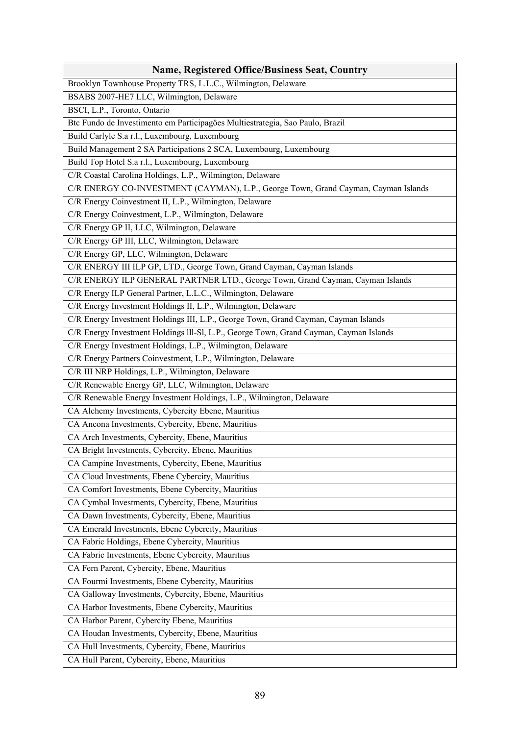| <b>Name, Registered Office/Business Seat, Country</b>                                  |
|----------------------------------------------------------------------------------------|
| Brooklyn Townhouse Property TRS, L.L.C., Wilmington, Delaware                          |
| BSABS 2007-HE7 LLC, Wilmington, Delaware                                               |
| BSCI, L.P., Toronto, Ontario                                                           |
| Btc Fundo de Investimento em Participagöes Multiestrategia, Sao Paulo, Brazil          |
| Build Carlyle S.a r.l., Luxembourg, Luxembourg                                         |
| Build Management 2 SA Participations 2 SCA, Luxembourg, Luxembourg                     |
| Build Top Hotel S.a r.l., Luxembourg, Luxembourg                                       |
| C/R Coastal Carolina Holdings, L.P., Wilmington, Delaware                              |
| C/R ENERGY CO-INVESTMENT (CAYMAN), L.P., George Town, Grand Cayman, Cayman Islands     |
| C/R Energy Coinvestment II, L.P., Wilmington, Delaware                                 |
| C/R Energy Coinvestment, L.P., Wilmington, Delaware                                    |
| C/R Energy GP II, LLC, Wilmington, Delaware                                            |
| C/R Energy GP III, LLC, Wilmington, Delaware                                           |
| C/R Energy GP, LLC, Wilmington, Delaware                                               |
| C/R ENERGY III ILP GP, LTD., George Town, Grand Cayman, Cayman Islands                 |
| C/R ENERGY ILP GENERAL PARTNER LTD., George Town, Grand Cayman, Cayman Islands         |
| C/R Energy ILP General Partner, L.L.C., Wilmington, Delaware                           |
| C/R Energy Investment Holdings II, L.P., Wilmington, Delaware                          |
| C/R Energy Investment Holdings III, L.P., George Town, Grand Cayman, Cayman Islands    |
| C/R Energy Investment Holdings III-SI, L.P., George Town, Grand Cayman, Cayman Islands |
| C/R Energy Investment Holdings, L.P., Wilmington, Delaware                             |
| C/R Energy Partners Coinvestment, L.P., Wilmington, Delaware                           |
| C/R III NRP Holdings, L.P., Wilmington, Delaware                                       |
| C/R Renewable Energy GP, LLC, Wilmington, Delaware                                     |
| C/R Renewable Energy Investment Holdings, L.P., Wilmington, Delaware                   |
| CA Alchemy Investments, Cybercity Ebene, Mauritius                                     |
| CA Ancona Investments, Cybercity, Ebene, Mauritius                                     |
| CA Arch Investments, Cybercity, Ebene, Mauritius                                       |
| CA Bright Investments, Cybercity, Ebene, Mauritius                                     |
| CA Campine Investments, Cybercity, Ebene, Mauritius                                    |
| CA Cloud Investments, Ebene Cybercity, Mauritius                                       |
| CA Comfort Investments, Ebene Cybercity, Mauritius                                     |
| CA Cymbal Investments, Cybercity, Ebene, Mauritius                                     |
| CA Dawn Investments, Cybercity, Ebene, Mauritius                                       |
| CA Emerald Investments, Ebene Cybercity, Mauritius                                     |
| CA Fabric Holdings, Ebene Cybercity, Mauritius                                         |
| CA Fabric Investments, Ebene Cybercity, Mauritius                                      |
| CA Fern Parent, Cybercity, Ebene, Mauritius                                            |
| CA Fourmi Investments, Ebene Cybercity, Mauritius                                      |
| CA Galloway Investments, Cybercity, Ebene, Mauritius                                   |
| CA Harbor Investments, Ebene Cybercity, Mauritius                                      |
| CA Harbor Parent, Cybercity Ebene, Mauritius                                           |
| CA Houdan Investments, Cybercity, Ebene, Mauritius                                     |
| CA Hull Investments, Cybercity, Ebene, Mauritius                                       |
| CA Hull Parent, Cybercity, Ebene, Mauritius                                            |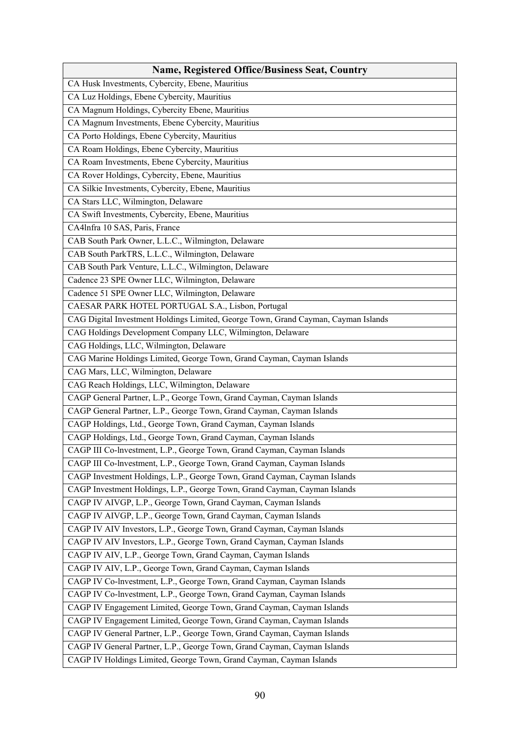| <b>Name, Registered Office/Business Seat, Country</b>                              |
|------------------------------------------------------------------------------------|
| CA Husk Investments, Cybercity, Ebene, Mauritius                                   |
| CA Luz Holdings, Ebene Cybercity, Mauritius                                        |
| CA Magnum Holdings, Cybercity Ebene, Mauritius                                     |
| CA Magnum Investments, Ebene Cybercity, Mauritius                                  |
| CA Porto Holdings, Ebene Cybercity, Mauritius                                      |
| CA Roam Holdings, Ebene Cybercity, Mauritius                                       |
| CA Roam Investments, Ebene Cybercity, Mauritius                                    |
| CA Rover Holdings, Cybercity, Ebene, Mauritius                                     |
| CA Silkie Investments, Cybercity, Ebene, Mauritius                                 |
| CA Stars LLC, Wilmington, Delaware                                                 |
| CA Swift Investments, Cybercity, Ebene, Mauritius                                  |
| CA4Infra 10 SAS, Paris, France                                                     |
| CAB South Park Owner, L.L.C., Wilmington, Delaware                                 |
| CAB South ParkTRS, L.L.C., Wilmington, Delaware                                    |
| CAB South Park Venture, L.L.C., Wilmington, Delaware                               |
| Cadence 23 SPE Owner LLC, Wilmington, Delaware                                     |
| Cadence 51 SPE Owner LLC, Wilmington, Delaware                                     |
| CAESAR PARK HOTEL PORTUGAL S.A., Lisbon, Portugal                                  |
| CAG Digital Investment Holdings Limited, George Town, Grand Cayman, Cayman Islands |
| CAG Holdings Development Company LLC, Wilmington, Delaware                         |
| CAG Holdings, LLC, Wilmington, Delaware                                            |
| CAG Marine Holdings Limited, George Town, Grand Cayman, Cayman Islands             |
| CAG Mars, LLC, Wilmington, Delaware                                                |
| CAG Reach Holdings, LLC, Wilmington, Delaware                                      |
| CAGP General Partner, L.P., George Town, Grand Cayman, Cayman Islands              |
| CAGP General Partner, L.P., George Town, Grand Cayman, Cayman Islands              |
| CAGP Holdings, Ltd., George Town, Grand Cayman, Cayman Islands                     |
| CAGP Holdings, Ltd., George Town, Grand Cayman, Cayman Islands                     |
| CAGP III Co-lnvestment, L.P., George Town, Grand Cayman, Cayman Islands            |
| CAGP III Co-Investment, L.P., George Town, Grand Cayman, Cayman Islands            |
| CAGP Investment Holdings, L.P., George Town, Grand Cayman, Cayman Islands          |
| CAGP Investment Holdings, L.P., George Town, Grand Cayman, Cayman Islands          |
| CAGP IV AIVGP, L.P., George Town, Grand Cayman, Cayman Islands                     |
| CAGP IV AIVGP, L.P., George Town, Grand Cayman, Cayman Islands                     |
| CAGP IV AIV Investors, L.P., George Town, Grand Cayman, Cayman Islands             |
| CAGP IV AIV Investors, L.P., George Town, Grand Cayman, Cayman Islands             |
| CAGP IV AIV, L.P., George Town, Grand Cayman, Cayman Islands                       |
| CAGP IV AIV, L.P., George Town, Grand Cayman, Cayman Islands                       |
| CAGP IV Co-lnvestment, L.P., George Town, Grand Cayman, Cayman Islands             |
| CAGP IV Co-lnvestment, L.P., George Town, Grand Cayman, Cayman Islands             |
| CAGP IV Engagement Limited, George Town, Grand Cayman, Cayman Islands              |
| CAGP IV Engagement Limited, George Town, Grand Cayman, Cayman Islands              |
| CAGP IV General Partner, L.P., George Town, Grand Cayman, Cayman Islands           |
| CAGP IV General Partner, L.P., George Town, Grand Cayman, Cayman Islands           |
| CAGP IV Holdings Limited, George Town, Grand Cayman, Cayman Islands                |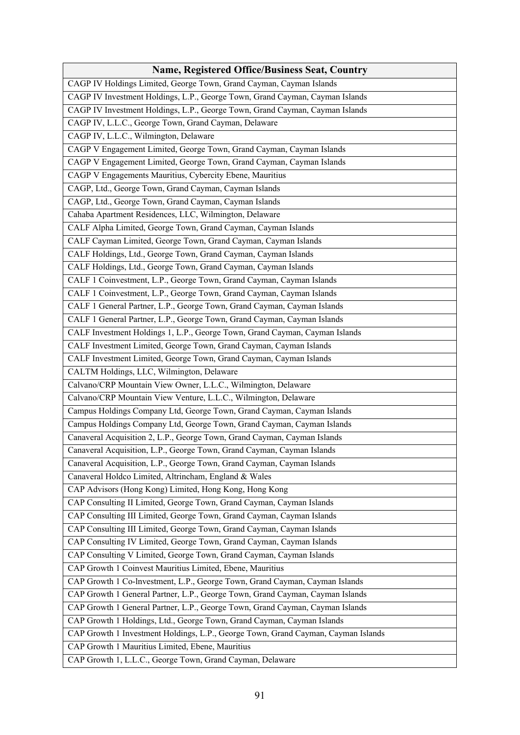| <b>Name, Registered Office/Business Seat, Country</b>                             |
|-----------------------------------------------------------------------------------|
| CAGP IV Holdings Limited, George Town, Grand Cayman, Cayman Islands               |
| CAGP IV Investment Holdings, L.P., George Town, Grand Cayman, Cayman Islands      |
| CAGP IV Investment Holdings, L.P., George Town, Grand Cayman, Cayman Islands      |
| CAGP IV, L.L.C., George Town, Grand Cayman, Delaware                              |
| CAGP IV, L.L.C., Wilmington, Delaware                                             |
| CAGP V Engagement Limited, George Town, Grand Cayman, Cayman Islands              |
| CAGP V Engagement Limited, George Town, Grand Cayman, Cayman Islands              |
| CAGP V Engagements Mauritius, Cybercity Ebene, Mauritius                          |
| CAGP, Ltd., George Town, Grand Cayman, Cayman Islands                             |
| CAGP, Ltd., George Town, Grand Cayman, Cayman Islands                             |
| Cahaba Apartment Residences, LLC, Wilmington, Delaware                            |
| CALF Alpha Limited, George Town, Grand Cayman, Cayman Islands                     |
| CALF Cayman Limited, George Town, Grand Cayman, Cayman Islands                    |
| CALF Holdings, Ltd., George Town, Grand Cayman, Cayman Islands                    |
| CALF Holdings, Ltd., George Town, Grand Cayman, Cayman Islands                    |
| CALF 1 Coinvestment, L.P., George Town, Grand Cayman, Cayman Islands              |
| CALF 1 Coinvestment, L.P., George Town, Grand Cayman, Cayman Islands              |
| CALF 1 General Partner, L.P., George Town, Grand Cayman, Cayman Islands           |
| CALF 1 General Partner, L.P., George Town, Grand Cayman, Cayman Islands           |
| CALF Investment Holdings 1, L.P., George Town, Grand Cayman, Cayman Islands       |
| CALF Investment Limited, George Town, Grand Cayman, Cayman Islands                |
| CALF Investment Limited, George Town, Grand Cayman, Cayman Islands                |
| CALTM Holdings, LLC, Wilmington, Delaware                                         |
| Calvano/CRP Mountain View Owner, L.L.C., Wilmington, Delaware                     |
| Calvano/CRP Mountain View Venture, L.L.C., Wilmington, Delaware                   |
| Campus Holdings Company Ltd, George Town, Grand Cayman, Cayman Islands            |
| Campus Holdings Company Ltd, George Town, Grand Cayman, Cayman Islands            |
| Canaveral Acquisition 2, L.P., George Town, Grand Cayman, Cayman Islands          |
| Canaveral Acquisition, L.P., George Town, Grand Cayman, Cayman Islands            |
| Canaveral Acquisition, L.P., George Town, Grand Cayman, Cayman Islands            |
| Canaveral Holdco Limited, Altrincham, England & Wales                             |
| CAP Advisors (Hong Kong) Limited, Hong Kong, Hong Kong                            |
| CAP Consulting II Limited, George Town, Grand Cayman, Cayman Islands              |
| CAP Consulting III Limited, George Town, Grand Cayman, Cayman Islands             |
| CAP Consulting III Limited, George Town, Grand Cayman, Cayman Islands             |
| CAP Consulting IV Limited, George Town, Grand Cayman, Cayman Islands              |
| CAP Consulting V Limited, George Town, Grand Cayman, Cayman Islands               |
| CAP Growth 1 Coinvest Mauritius Limited, Ebene, Mauritius                         |
| CAP Growth 1 Co-Investment, L.P., George Town, Grand Cayman, Cayman Islands       |
| CAP Growth 1 General Partner, L.P., George Town, Grand Cayman, Cayman Islands     |
| CAP Growth 1 General Partner, L.P., George Town, Grand Cayman, Cayman Islands     |
| CAP Growth 1 Holdings, Ltd., George Town, Grand Cayman, Cayman Islands            |
| CAP Growth 1 Investment Holdings, L.P., George Town, Grand Cayman, Cayman Islands |
| CAP Growth 1 Mauritius Limited, Ebene, Mauritius                                  |
| CAP Growth 1, L.L.C., George Town, Grand Cayman, Delaware                         |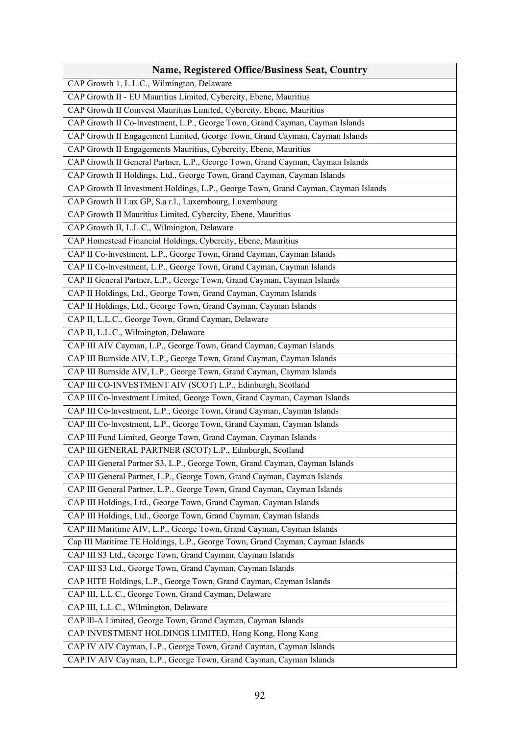| <b>Name, Registered Office/Business Seat, Country</b>                              |
|------------------------------------------------------------------------------------|
| CAP Growth 1, L.L.C., Wilmington, Delaware                                         |
| CAP Growth II - EU Mauritius Limited, Cybercity, Ebene, Mauritius                  |
| CAP Growth II Coinvest Mauritius Limited, Cybercity, Ebene, Mauritius              |
| CAP Growth II Co-lnvestment, L.P., George Town, Grand Cayman, Cayman Islands       |
| CAP Growth II Engagement Limited, George Town, Grand Cayman, Cayman Islands        |
| CAP Growth II Engagements Mauritius, Cybercity, Ebene, Mauritius                   |
| CAP Growth II General Partner, L.P., George Town, Grand Cayman, Cayman Islands     |
| CAP Growth II Holdings, Ltd., George Town, Grand Cayman, Cayman Islands            |
| CAP Growth II Investment Holdings, L.P., George Town, Grand Cayman, Cayman Islands |
| CAP Growth II Lux GP, S.a r.l., Luxembourg, Luxembourg                             |
| CAP Growth II Mauritius Limited, Cybercity, Ebene, Mauritius                       |
| CAP Growth II, L.L.C., Wilmington, Delaware                                        |
| CAP Homestead Financial Holdings, Cybercity, Ebene, Mauritius                      |
| CAP II Co-Investment, L.P., George Town, Grand Cayman, Cayman Islands              |
| CAP II Co-Investment, L.P., George Town, Grand Cayman, Cayman Islands              |
| CAP II General Partner, L.P., George Town, Grand Cayman, Cayman Islands            |
| CAP II Holdings, Ltd., George Town, Grand Cayman, Cayman Islands                   |
| CAP II Holdings, Ltd., George Town, Grand Cayman, Cayman Islands                   |
| CAP II, L.L.C., George Town, Grand Cayman, Delaware                                |
| CAP II, L.L.C., Wilmington, Delaware                                               |
| CAP III AIV Cayman, L.P., George Town, Grand Cayman, Cayman Islands                |
| CAP III Burnside AIV, L.P., George Town, Grand Cayman, Cayman Islands              |
| CAP III Burnside AIV, L.P., George Town, Grand Cayman, Cayman Islands              |
| CAP III CO-INVESTMENT AIV (SCOT) L.P., Edinburgh, Scotland                         |
| CAP III Co-lnvestment Limited, George Town, Grand Cayman, Cayman Islands           |
| CAP III Co-lnvestment, L.P., George Town, Grand Cayman, Cayman Islands             |
| CAP III Co-lnvestment, L.P., George Town, Grand Cayman, Cayman Islands             |
| CAP III Fund Limited, George Town, Grand Cayman, Cayman Islands                    |
| CAP III GENERAL PARTNER (SCOT) L.P., Edinburgh, Scotland                           |
| CAP III General Partner S3, L.P., George Town, Grand Cayman, Cayman Islands        |
| CAP III General Partner, L.P., George Town, Grand Cayman, Cayman Islands           |
| CAP III General Partner, L.P., George Town, Grand Cayman, Cayman Islands           |
| CAP III Holdings, Ltd., George Town, Grand Cayman, Cayman Islands                  |
| CAP III Holdings, Ltd., George Town, Grand Cayman, Cayman Islands                  |
| CAP III Maritime AIV, L.P., George Town, Grand Cayman, Cayman Islands              |
| Cap III Maritime TE Holdings, L.P., George Town, Grand Cayman, Cayman Islands      |
| CAP III S3 Ltd., George Town, Grand Cayman, Cayman Islands                         |
| CAP III S3 Ltd., George Town, Grand Cayman, Cayman Islands                         |
| CAP HITE Holdings, L.P., George Town, Grand Cayman, Cayman Islands                 |
| CAP III, L.L.C., George Town, Grand Cayman, Delaware                               |
| CAP III, L.L.C., Wilmington, Delaware                                              |
| CAP III-A Limited, George Town, Grand Cayman, Cayman Islands                       |
| CAP INVESTMENT HOLDINGS LIMITED, Hong Kong, Hong Kong                              |
| CAP IV AIV Cayman, L.P., George Town, Grand Cayman, Cayman Islands                 |
| CAP IV AIV Cayman, L.P., George Town, Grand Cayman, Cayman Islands                 |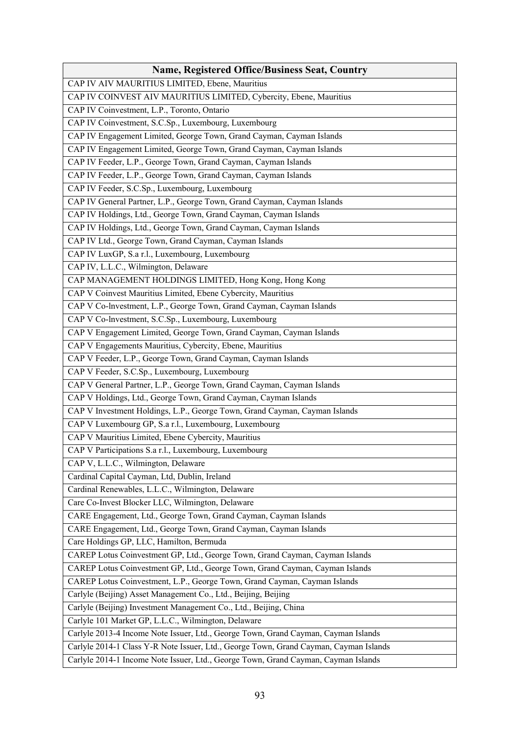| <b>Name, Registered Office/Business Seat, Country</b>                                 |
|---------------------------------------------------------------------------------------|
| CAP IV AIV MAURITIUS LIMITED, Ebene, Mauritius                                        |
| CAP IV COINVEST AIV MAURITIUS LIMITED, Cybercity, Ebene, Mauritius                    |
| CAP IV Coinvestment, L.P., Toronto, Ontario                                           |
| CAP IV Coinvestment, S.C.Sp., Luxembourg, Luxembourg                                  |
| CAP IV Engagement Limited, George Town, Grand Cayman, Cayman Islands                  |
| CAP IV Engagement Limited, George Town, Grand Cayman, Cayman Islands                  |
| CAP IV Feeder, L.P., George Town, Grand Cayman, Cayman Islands                        |
| CAP IV Feeder, L.P., George Town, Grand Cayman, Cayman Islands                        |
| CAP IV Feeder, S.C.Sp., Luxembourg, Luxembourg                                        |
| CAP IV General Partner, L.P., George Town, Grand Cayman, Cayman Islands               |
| CAP IV Holdings, Ltd., George Town, Grand Cayman, Cayman Islands                      |
| CAP IV Holdings, Ltd., George Town, Grand Cayman, Cayman Islands                      |
| CAP IV Ltd., George Town, Grand Cayman, Cayman Islands                                |
| CAP IV LuxGP, S.a r.l., Luxembourg, Luxembourg                                        |
| CAP IV, L.L.C., Wilmington, Delaware                                                  |
| CAP MANAGEMENT HOLDINGS LIMITED, Hong Kong, Hong Kong                                 |
| CAP V Coinvest Mauritius Limited, Ebene Cybercity, Mauritius                          |
| CAP V Co-Investment, L.P., George Town, Grand Cayman, Cayman Islands                  |
| CAP V Co-lnvestment, S.C.Sp., Luxembourg, Luxembourg                                  |
| CAP V Engagement Limited, George Town, Grand Cayman, Cayman Islands                   |
| CAP V Engagements Mauritius, Cybercity, Ebene, Mauritius                              |
| CAP V Feeder, L.P., George Town, Grand Cayman, Cayman Islands                         |
| CAP V Feeder, S.C.Sp., Luxembourg, Luxembourg                                         |
| CAP V General Partner, L.P., George Town, Grand Cayman, Cayman Islands                |
| CAP V Holdings, Ltd., George Town, Grand Cayman, Cayman Islands                       |
| CAP V Investment Holdings, L.P., George Town, Grand Cayman, Cayman Islands            |
| CAP V Luxembourg GP, S.a r.l., Luxembourg, Luxembourg                                 |
| CAP V Mauritius Limited, Ebene Cybercity, Mauritius                                   |
| CAP V Participations S.a r.l., Luxembourg, Luxembourg                                 |
| CAP V, L.L.C., Wilmington, Delaware                                                   |
| Cardinal Capital Cayman, Ltd, Dublin, Ireland                                         |
| Cardinal Renewables, L.L.C., Wilmington, Delaware                                     |
| Care Co-Invest Blocker LLC, Wilmington, Delaware                                      |
| CARE Engagement, Ltd., George Town, Grand Cayman, Cayman Islands                      |
| CARE Engagement, Ltd., George Town, Grand Cayman, Cayman Islands                      |
| Care Holdings GP, LLC, Hamilton, Bermuda                                              |
| CAREP Lotus Coinvestment GP, Ltd., George Town, Grand Cayman, Cayman Islands          |
| CAREP Lotus Coinvestment GP, Ltd., George Town, Grand Cayman, Cayman Islands          |
| CAREP Lotus Coinvestment, L.P., George Town, Grand Cayman, Cayman Islands             |
| Carlyle (Beijing) Asset Management Co., Ltd., Beijing, Beijing                        |
| Carlyle (Beijing) Investment Management Co., Ltd., Beijing, China                     |
| Carlyle 101 Market GP, L.L.C., Wilmington, Delaware                                   |
| Carlyle 2013-4 Income Note Issuer, Ltd., George Town, Grand Cayman, Cayman Islands    |
| Carlyle 2014-1 Class Y-R Note Issuer, Ltd., George Town, Grand Cayman, Cayman Islands |
| Carlyle 2014-1 Income Note Issuer, Ltd., George Town, Grand Cayman, Cayman Islands    |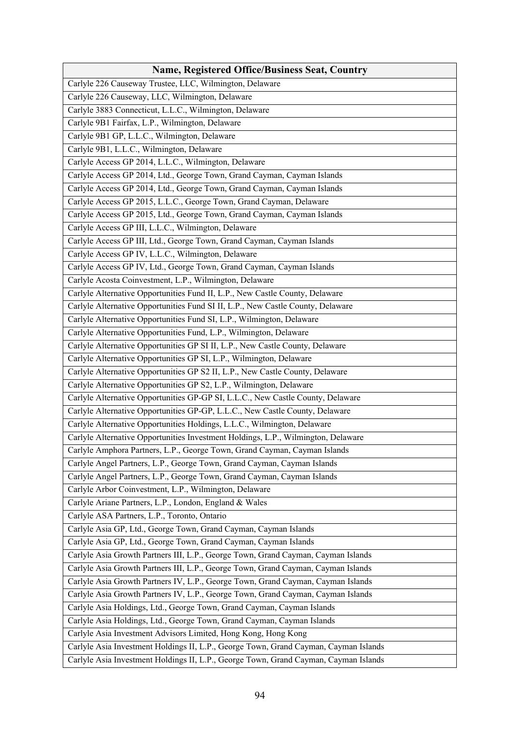| <b>Name, Registered Office/Business Seat, Country</b>                                |
|--------------------------------------------------------------------------------------|
| Carlyle 226 Causeway Trustee, LLC, Wilmington, Delaware                              |
| Carlyle 226 Causeway, LLC, Wilmington, Delaware                                      |
| Carlyle 3883 Connecticut, L.L.C., Wilmington, Delaware                               |
| Carlyle 9B1 Fairfax, L.P., Wilmington, Delaware                                      |
| Carlyle 9B1 GP, L.L.C., Wilmington, Delaware                                         |
| Carlyle 9B1, L.L.C., Wilmington, Delaware                                            |
| Carlyle Access GP 2014, L.L.C., Wilmington, Delaware                                 |
| Carlyle Access GP 2014, Ltd., George Town, Grand Cayman, Cayman Islands              |
| Carlyle Access GP 2014, Ltd., George Town, Grand Cayman, Cayman Islands              |
| Carlyle Access GP 2015, L.L.C., George Town, Grand Cayman, Delaware                  |
| Carlyle Access GP 2015, Ltd., George Town, Grand Cayman, Cayman Islands              |
| Carlyle Access GP III, L.L.C., Wilmington, Delaware                                  |
| Carlyle Access GP III, Ltd., George Town, Grand Cayman, Cayman Islands               |
| Carlyle Access GP IV, L.L.C., Wilmington, Delaware                                   |
| Carlyle Access GP IV, Ltd., George Town, Grand Cayman, Cayman Islands                |
| Carlyle Acosta Coinvestment, L.P., Wilmington, Delaware                              |
| Carlyle Alternative Opportunities Fund II, L.P., New Castle County, Delaware         |
| Carlyle Alternative Opportunities Fund SI II, L.P., New Castle County, Delaware      |
| Carlyle Alternative Opportunities Fund SI, L.P., Wilmington, Delaware                |
| Carlyle Alternative Opportunities Fund, L.P., Wilmington, Delaware                   |
| Carlyle Alternative Opportunities GP SI II, L.P., New Castle County, Delaware        |
| Carlyle Alternative Opportunities GP SI, L.P., Wilmington, Delaware                  |
| Carlyle Alternative Opportunities GP S2 II, L.P., New Castle County, Delaware        |
| Carlyle Alternative Opportunities GP S2, L.P., Wilmington, Delaware                  |
| Carlyle Alternative Opportunities GP-GP SI, L.L.C., New Castle County, Delaware      |
| Carlyle Alternative Opportunities GP-GP, L.L.C., New Castle County, Delaware         |
| Carlyle Alternative Opportunities Holdings, L.L.C., Wilmington, Delaware             |
| Carlyle Alternative Opportunities Investment Holdings, L.P., Wilmington, Delaware    |
| Carlyle Amphora Partners, L.P., George Town, Grand Cayman, Cayman Islands            |
| Carlyle Angel Partners, L.P., George Town, Grand Cayman, Cayman Islands              |
| Carlyle Angel Partners, L.P., George Town, Grand Cayman, Cayman Islands              |
| Carlyle Arbor Coinvestment, L.P., Wilmington, Delaware                               |
| Carlyle Ariane Partners, L.P., London, England & Wales                               |
| Carlyle ASA Partners, L.P., Toronto, Ontario                                         |
| Carlyle Asia GP, Ltd., George Town, Grand Cayman, Cayman Islands                     |
| Carlyle Asia GP, Ltd., George Town, Grand Cayman, Cayman Islands                     |
| Carlyle Asia Growth Partners III, L.P., George Town, Grand Cayman, Cayman Islands    |
| Carlyle Asia Growth Partners III, L.P., George Town, Grand Cayman, Cayman Islands    |
| Carlyle Asia Growth Partners IV, L.P., George Town, Grand Cayman, Cayman Islands     |
| Carlyle Asia Growth Partners IV, L.P., George Town, Grand Cayman, Cayman Islands     |
| Carlyle Asia Holdings, Ltd., George Town, Grand Cayman, Cayman Islands               |
| Carlyle Asia Holdings, Ltd., George Town, Grand Cayman, Cayman Islands               |
| Carlyle Asia Investment Advisors Limited, Hong Kong, Hong Kong                       |
| Carlyle Asia Investment Holdings II, L.P., George Town, Grand Cayman, Cayman Islands |
| Carlyle Asia Investment Holdings II, L.P., George Town, Grand Cayman, Cayman Islands |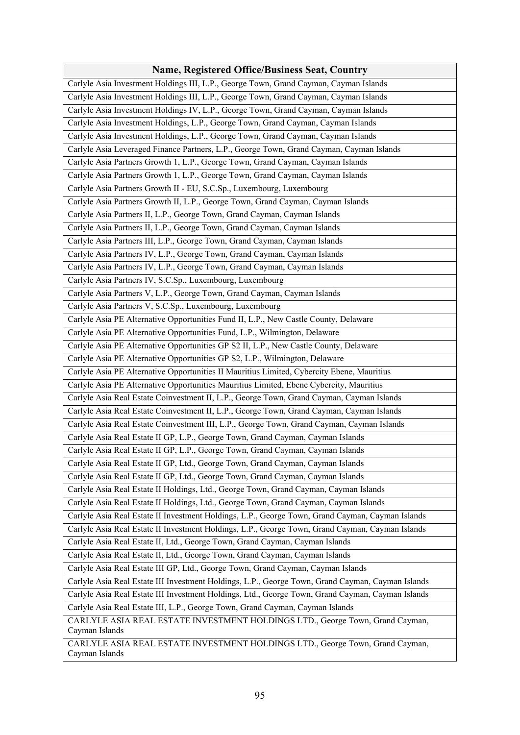| <b>Name, Registered Office/Business Seat, Country</b>                                             |
|---------------------------------------------------------------------------------------------------|
| Carlyle Asia Investment Holdings III, L.P., George Town, Grand Cayman, Cayman Islands             |
| Carlyle Asia Investment Holdings III, L.P., George Town, Grand Cayman, Cayman Islands             |
| Carlyle Asia Investment Holdings IV, L.P., George Town, Grand Cayman, Cayman Islands              |
| Carlyle Asia Investment Holdings, L.P., George Town, Grand Cayman, Cayman Islands                 |
| Carlyle Asia Investment Holdings, L.P., George Town, Grand Cayman, Cayman Islands                 |
| Carlyle Asia Leveraged Finance Partners, L.P., George Town, Grand Cayman, Cayman Islands          |
| Carlyle Asia Partners Growth 1, L.P., George Town, Grand Cayman, Cayman Islands                   |
| Carlyle Asia Partners Growth 1, L.P., George Town, Grand Cayman, Cayman Islands                   |
| Carlyle Asia Partners Growth II - EU, S.C.Sp., Luxembourg, Luxembourg                             |
| Carlyle Asia Partners Growth II, L.P., George Town, Grand Cayman, Cayman Islands                  |
| Carlyle Asia Partners II, L.P., George Town, Grand Cayman, Cayman Islands                         |
| Carlyle Asia Partners II, L.P., George Town, Grand Cayman, Cayman Islands                         |
| Carlyle Asia Partners III, L.P., George Town, Grand Cayman, Cayman Islands                        |
| Carlyle Asia Partners IV, L.P., George Town, Grand Cayman, Cayman Islands                         |
| Carlyle Asia Partners IV, L.P., George Town, Grand Cayman, Cayman Islands                         |
| Carlyle Asia Partners IV, S.C.Sp., Luxembourg, Luxembourg                                         |
| Carlyle Asia Partners V, L.P., George Town, Grand Cayman, Cayman Islands                          |
| Carlyle Asia Partners V, S.C.Sp., Luxembourg, Luxembourg                                          |
| Carlyle Asia PE Alternative Opportunities Fund II, L.P., New Castle County, Delaware              |
| Carlyle Asia PE Alternative Opportunities Fund, L.P., Wilmington, Delaware                        |
| Carlyle Asia PE Alternative Opportunities GP S2 II, L.P., New Castle County, Delaware             |
| Carlyle Asia PE Alternative Opportunities GP S2, L.P., Wilmington, Delaware                       |
| Carlyle Asia PE Alternative Opportunities II Mauritius Limited, Cybercity Ebene, Mauritius        |
| Carlyle Asia PE Alternative Opportunities Mauritius Limited, Ebene Cybercity, Mauritius           |
| Carlyle Asia Real Estate Coinvestment II, L.P., George Town, Grand Cayman, Cayman Islands         |
| Carlyle Asia Real Estate Coinvestment II, L.P., George Town, Grand Cayman, Cayman Islands         |
| Carlyle Asia Real Estate Coinvestment III, L.P., George Town, Grand Cayman, Cayman Islands        |
| Carlyle Asia Real Estate II GP, L.P., George Town, Grand Cayman, Cayman Islands                   |
| Carlyle Asia Real Estate II GP, L.P., George Town, Grand Cayman, Cayman Islands                   |
| Carlyle Asia Real Estate II GP, Ltd., George Town, Grand Cayman, Cayman Islands                   |
| Carlyle Asia Real Estate II GP, Ltd., George Town, Grand Cayman, Cayman Islands                   |
| Carlyle Asia Real Estate II Holdings, Ltd., George Town, Grand Cayman, Cayman Islands             |
| Carlyle Asia Real Estate II Holdings, Ltd., George Town, Grand Cayman, Cayman Islands             |
| Carlyle Asia Real Estate II Investment Holdings, L.P., George Town, Grand Cayman, Cayman Islands  |
| Carlyle Asia Real Estate II Investment Holdings, L.P., George Town, Grand Cayman, Cayman Islands  |
| Carlyle Asia Real Estate II, Ltd., George Town, Grand Cayman, Cayman Islands                      |
| Carlyle Asia Real Estate II, Ltd., George Town, Grand Cayman, Cayman Islands                      |
| Carlyle Asia Real Estate III GP, Ltd., George Town, Grand Cayman, Cayman Islands                  |
| Carlyle Asia Real Estate III Investment Holdings, L.P., George Town, Grand Cayman, Cayman Islands |
| Carlyle Asia Real Estate III Investment Holdings, Ltd., George Town, Grand Cayman, Cayman Islands |
| Carlyle Asia Real Estate III, L.P., George Town, Grand Cayman, Cayman Islands                     |
| CARLYLE ASIA REAL ESTATE INVESTMENT HOLDINGS LTD., George Town, Grand Cayman,                     |
| Cayman Islands                                                                                    |
| CARLYLE ASIA REAL ESTATE INVESTMENT HOLDINGS LTD., George Town, Grand Cayman,                     |
| Cayman Islands                                                                                    |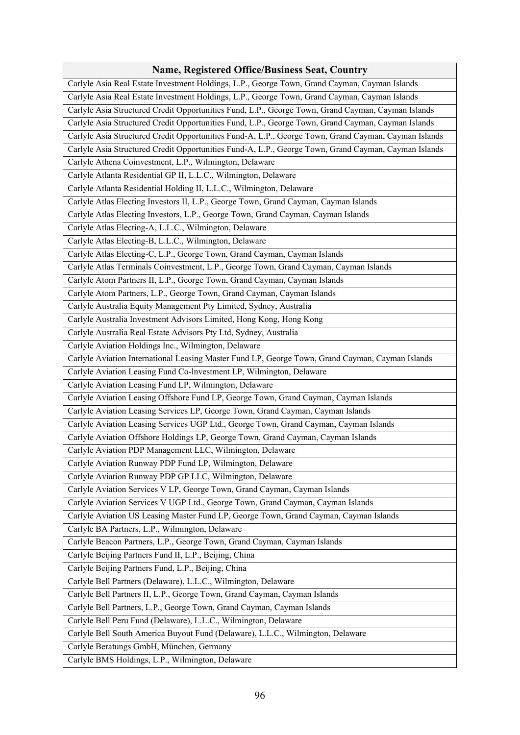| <b>Name, Registered Office/Business Seat, Country</b>                                                |
|------------------------------------------------------------------------------------------------------|
| Carlyle Asia Real Estate Investment Holdings, L.P., George Town, Grand Cayman, Cayman Islands        |
| Carlyle Asia Real Estate Investment Holdings, L.P., George Town, Grand Cayman, Cayman Islands        |
| Carlyle Asia Structured Credit Opportunities Fund, L.P., George Town, Grand Cayman, Cayman Islands   |
| Carlyle Asia Structured Credit Opportunities Fund, L.P., George Town, Grand Cayman, Cayman Islands   |
| Carlyle Asia Structured Credit Opportunities Fund-A, L.P., George Town, Grand Cayman, Cayman Islands |
| Carlyle Asia Structured Credit Opportunities Fund-A, L.P., George Town, Grand Cayman, Cayman Islands |
| Carlyle Athena Coinvestment, L.P., Wilmington, Delaware                                              |
| Carlyle Atlanta Residential GP II, L.L.C., Wilmington, Delaware                                      |
| Carlyle Atlanta Residential Holding II, L.L.C., Wilmington, Delaware                                 |
| Carlyle Atlas Electing Investors II, L.P., George Town, Grand Cayman, Cayman Islands                 |
| Carlyle Atlas Electing Investors, L.P., George Town, Grand Cayman, Cayman Islands                    |
| Carlyle Atlas Electing-A, L.L.C., Wilmington, Delaware                                               |
| Carlyle Atlas Electing-B, L.L.C., Wilmington, Delaware                                               |
| Carlyle Atlas Electing-C, L.P., George Town, Grand Cayman, Cayman Islands                            |
| Carlyle Atlas Terminals Coinvestment, L.P., George Town, Grand Cayman, Cayman Islands                |
| Carlyle Atom Partners II, L.P., George Town, Grand Cayman, Cayman Islands                            |
| Carlyle Atom Partners, L.P., George Town, Grand Cayman, Cayman Islands                               |
| Carlyle Australia Equity Management Pty Limited, Sydney, Australia                                   |
| Carlyle Australia Investment Advisors Limited, Hong Kong, Hong Kong                                  |
| Carlyle Australia Real Estate Advisors Pty Ltd, Sydney, Australia                                    |
| Carlyle Aviation Holdings Inc., Wilmington, Delaware                                                 |
| Carlyle Aviation International Leasing Master Fund LP, George Town, Grand Cayman, Cayman Islands     |
| Carlyle Aviation Leasing Fund Co-lnvestment LP, Wilmington, Delaware                                 |
| Carlyle Aviation Leasing Fund LP, Wilmington, Delaware                                               |
| Carlyle Aviation Leasing Offshore Fund LP, George Town, Grand Cayman, Cayman Islands                 |
| Carlyle Aviation Leasing Services LP, George Town, Grand Cayman, Cayman Islands                      |
| Carlyle Aviation Leasing Services UGP Ltd., George Town, Grand Cayman, Cayman Islands                |
| Carlyle Aviation Offshore Holdings LP, George Town, Grand Cayman, Cayman Islands                     |
| Carlyle Aviation PDP Management LLC, Wilmington, Delaware                                            |
| Carlyle Aviation Runway PDP Fund LP, Wilmington, Delaware                                            |
| Carlyle Aviation Runway PDP GP LLC, Wilmington, Delaware                                             |
| Carlyle Aviation Services V LP, George Town, Grand Cayman, Cayman Islands                            |
| Carlyle Aviation Services V UGP Ltd., George Town, Grand Cayman, Cayman Islands                      |
| Carlyle Aviation US Leasing Master Fund LP, George Town, Grand Cayman, Cayman Islands                |
| Carlyle BA Partners, L.P., Wilmington, Delaware                                                      |
| Carlyle Beacon Partners, L.P., George Town, Grand Cayman, Cayman Islands                             |
| Carlyle Beijing Partners Fund II, L.P., Beijing, China                                               |
| Carlyle Beijing Partners Fund, L.P., Beijing, China                                                  |
| Carlyle Bell Partners (Delaware), L.L.C., Wilmington, Delaware                                       |
| Carlyle Bell Partners II, L.P., George Town, Grand Cayman, Cayman Islands                            |
| Carlyle Bell Partners, L.P., George Town, Grand Cayman, Cayman Islands                               |
| Carlyle Bell Peru Fund (Delaware), L.L.C., Wilmington, Delaware                                      |
| Carlyle Bell South America Buyout Fund (Delaware), L.L.C., Wilmington, Delaware                      |
| Carlyle Beratungs GmbH, München, Germany                                                             |
| Carlyle BMS Holdings, L.P., Wilmington, Delaware                                                     |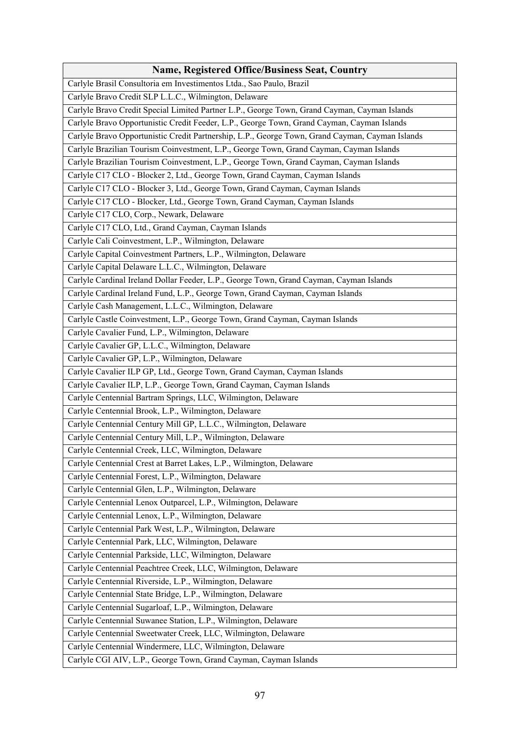| <b>Name, Registered Office/Business Seat, Country</b>                                           |
|-------------------------------------------------------------------------------------------------|
| Carlyle Brasil Consultoria em Investimentos Ltda., Sao Paulo, Brazil                            |
| Carlyle Bravo Credit SLP L.L.C., Wilmington, Delaware                                           |
| Carlyle Bravo Credit Special Limited Partner L.P., George Town, Grand Cayman, Cayman Islands    |
| Carlyle Bravo Opportunistic Credit Feeder, L.P., George Town, Grand Cayman, Cayman Islands      |
| Carlyle Bravo Opportunistic Credit Partnership, L.P., George Town, Grand Cayman, Cayman Islands |
| Carlyle Brazilian Tourism Coinvestment, L.P., George Town, Grand Cayman, Cayman Islands         |
| Carlyle Brazilian Tourism Coinvestment, L.P., George Town, Grand Cayman, Cayman Islands         |
| Carlyle C17 CLO - Blocker 2, Ltd., George Town, Grand Cayman, Cayman Islands                    |
| Carlyle C17 CLO - Blocker 3, Ltd., George Town, Grand Cayman, Cayman Islands                    |
| Carlyle C17 CLO - Blocker, Ltd., George Town, Grand Cayman, Cayman Islands                      |
| Carlyle C17 CLO, Corp., Newark, Delaware                                                        |
| Carlyle C17 CLO, Ltd., Grand Cayman, Cayman Islands                                             |
| Carlyle Cali Coinvestment, L.P., Wilmington, Delaware                                           |
| Carlyle Capital Coinvestment Partners, L.P., Wilmington, Delaware                               |
| Carlyle Capital Delaware L.L.C., Wilmington, Delaware                                           |
| Carlyle Cardinal Ireland Dollar Feeder, L.P., George Town, Grand Cayman, Cayman Islands         |
| Carlyle Cardinal Ireland Fund, L.P., George Town, Grand Cayman, Cayman Islands                  |
| Carlyle Cash Management, L.L.C., Wilmington, Delaware                                           |
| Carlyle Castle Coinvestment, L.P., George Town, Grand Cayman, Cayman Islands                    |
| Carlyle Cavalier Fund, L.P., Wilmington, Delaware                                               |
| Carlyle Cavalier GP, L.L.C., Wilmington, Delaware                                               |
| Carlyle Cavalier GP, L.P., Wilmington, Delaware                                                 |
| Carlyle Cavalier ILP GP, Ltd., George Town, Grand Cayman, Cayman Islands                        |
| Carlyle Cavalier ILP, L.P., George Town, Grand Cayman, Cayman Islands                           |
| Carlyle Centennial Bartram Springs, LLC, Wilmington, Delaware                                   |
| Carlyle Centennial Brook, L.P., Wilmington, Delaware                                            |
| Carlyle Centennial Century Mill GP, L.L.C., Wilmington, Delaware                                |
| Carlyle Centennial Century Mill, L.P., Wilmington, Delaware                                     |
| Carlyle Centennial Creek, LLC, Wilmington, Delaware                                             |
| Carlyle Centennial Crest at Barret Lakes, L.P., Wilmington, Delaware                            |
| Carlyle Centennial Forest, L.P., Wilmington, Delaware                                           |
| Carlyle Centennial Glen, L.P., Wilmington, Delaware                                             |
| Carlyle Centennial Lenox Outparcel, L.P., Wilmington, Delaware                                  |
| Carlyle Centennial Lenox, L.P., Wilmington, Delaware                                            |
| Carlyle Centennial Park West, L.P., Wilmington, Delaware                                        |
| Carlyle Centennial Park, LLC, Wilmington, Delaware                                              |
| Carlyle Centennial Parkside, LLC, Wilmington, Delaware                                          |
| Carlyle Centennial Peachtree Creek, LLC, Wilmington, Delaware                                   |
| Carlyle Centennial Riverside, L.P., Wilmington, Delaware                                        |
| Carlyle Centennial State Bridge, L.P., Wilmington, Delaware                                     |
| Carlyle Centennial Sugarloaf, L.P., Wilmington, Delaware                                        |
| Carlyle Centennial Suwanee Station, L.P., Wilmington, Delaware                                  |
| Carlyle Centennial Sweetwater Creek, LLC, Wilmington, Delaware                                  |
| Carlyle Centennial Windermere, LLC, Wilmington, Delaware                                        |
| Carlyle CGI AIV, L.P., George Town, Grand Cayman, Cayman Islands                                |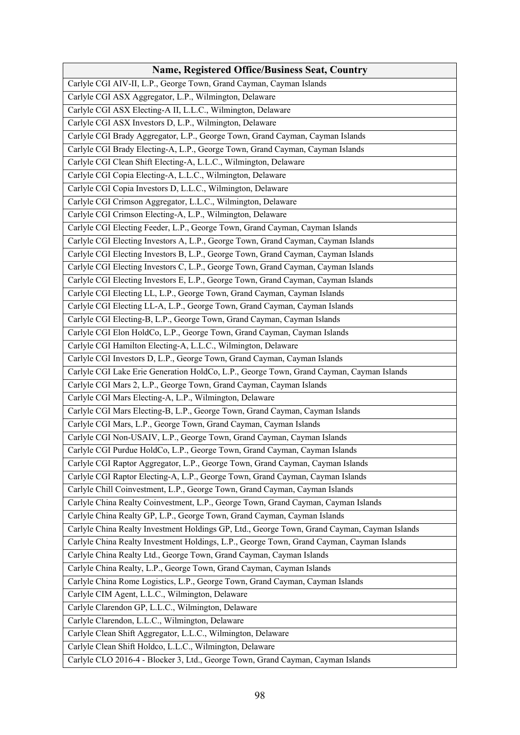| <b>Name, Registered Office/Business Seat, Country</b>                                        |
|----------------------------------------------------------------------------------------------|
| Carlyle CGI AIV-II, L.P., George Town, Grand Cayman, Cayman Islands                          |
| Carlyle CGI ASX Aggregator, L.P., Wilmington, Delaware                                       |
| Carlyle CGI ASX Electing-A II, L.L.C., Wilmington, Delaware                                  |
| Carlyle CGI ASX Investors D, L.P., Wilmington, Delaware                                      |
| Carlyle CGI Brady Aggregator, L.P., George Town, Grand Cayman, Cayman Islands                |
| Carlyle CGI Brady Electing-A, L.P., George Town, Grand Cayman, Cayman Islands                |
| Carlyle CGI Clean Shift Electing-A, L.L.C., Wilmington, Delaware                             |
| Carlyle CGI Copia Electing-A, L.L.C., Wilmington, Delaware                                   |
| Carlyle CGI Copia Investors D, L.L.C., Wilmington, Delaware                                  |
| Carlyle CGI Crimson Aggregator, L.L.C., Wilmington, Delaware                                 |
| Carlyle CGI Crimson Electing-A, L.P., Wilmington, Delaware                                   |
| Carlyle CGI Electing Feeder, L.P., George Town, Grand Cayman, Cayman Islands                 |
| Carlyle CGI Electing Investors A, L.P., George Town, Grand Cayman, Cayman Islands            |
| Carlyle CGI Electing Investors B, L.P., George Town, Grand Cayman, Cayman Islands            |
| Carlyle CGI Electing Investors C, L.P., George Town, Grand Cayman, Cayman Islands            |
| Carlyle CGI Electing Investors E, L.P., George Town, Grand Cayman, Cayman Islands            |
| Carlyle CGI Electing LL, L.P., George Town, Grand Cayman, Cayman Islands                     |
| Carlyle CGI Electing LL-A, L.P., George Town, Grand Cayman, Cayman Islands                   |
| Carlyle CGI Electing-B, L.P., George Town, Grand Cayman, Cayman Islands                      |
| Carlyle CGI Elon HoldCo, L.P., George Town, Grand Cayman, Cayman Islands                     |
| Carlyle CGI Hamilton Electing-A, L.L.C., Wilmington, Delaware                                |
| Carlyle CGI Investors D, L.P., George Town, Grand Cayman, Cayman Islands                     |
| Carlyle CGI Lake Erie Generation HoldCo, L.P., George Town, Grand Cayman, Cayman Islands     |
| Carlyle CGI Mars 2, L.P., George Town, Grand Cayman, Cayman Islands                          |
| Carlyle CGI Mars Electing-A, L.P., Wilmington, Delaware                                      |
| Carlyle CGI Mars Electing-B, L.P., George Town, Grand Cayman, Cayman Islands                 |
| Carlyle CGI Mars, L.P., George Town, Grand Cayman, Cayman Islands                            |
| Carlyle CGI Non-USAIV, L.P., George Town, Grand Cayman, Cayman Islands                       |
| Carlyle CGI Purdue HoldCo, L.P., George Town, Grand Cayman, Cayman Islands                   |
| Carlyle CGI Raptor Aggregator, L.P., George Town, Grand Cayman, Cayman Islands               |
| Carlyle CGI Raptor Electing-A, L.P., George Town, Grand Cayman, Cayman Islands               |
| Carlyle Chill Coinvestment, L.P., George Town, Grand Cayman, Cayman Islands                  |
| Carlyle China Realty Coinvestment, L.P., George Town, Grand Cayman, Cayman Islands           |
| Carlyle China Realty GP, L.P., George Town, Grand Cayman, Cayman Islands                     |
| Carlyle China Realty Investment Holdings GP, Ltd., George Town, Grand Cayman, Cayman Islands |
| Carlyle China Realty Investment Holdings, L.P., George Town, Grand Cayman, Cayman Islands    |
| Carlyle China Realty Ltd., George Town, Grand Cayman, Cayman Islands                         |
| Carlyle China Realty, L.P., George Town, Grand Cayman, Cayman Islands                        |
| Carlyle China Rome Logistics, L.P., George Town, Grand Cayman, Cayman Islands                |
| Carlyle CIM Agent, L.L.C., Wilmington, Delaware                                              |
| Carlyle Clarendon GP, L.L.C., Wilmington, Delaware                                           |
| Carlyle Clarendon, L.L.C., Wilmington, Delaware                                              |
| Carlyle Clean Shift Aggregator, L.L.C., Wilmington, Delaware                                 |
| Carlyle Clean Shift Holdco, L.L.C., Wilmington, Delaware                                     |
| Carlyle CLO 2016-4 - Blocker 3, Ltd., George Town, Grand Cayman, Cayman Islands              |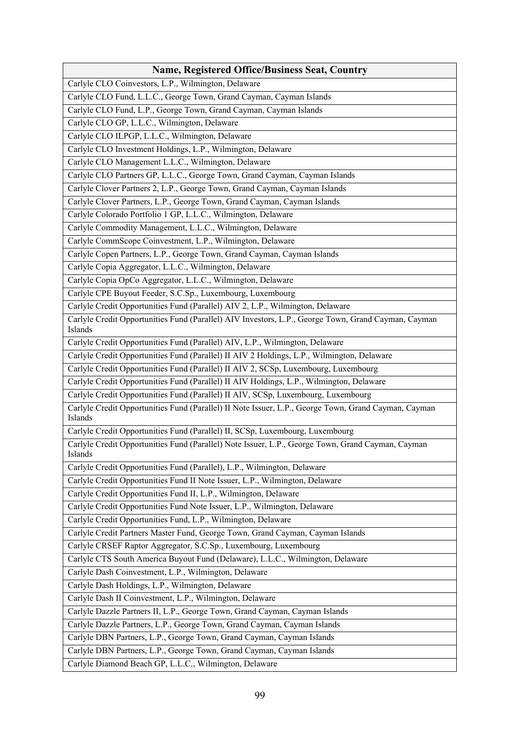| Name, Registered Office/Business Seat, Country                                                                  |
|-----------------------------------------------------------------------------------------------------------------|
| Carlyle CLO Coinvestors, L.P., Wilmington, Delaware                                                             |
| Carlyle CLO Fund, L.L.C., George Town, Grand Cayman, Cayman Islands                                             |
| Carlyle CLO Fund, L.P., George Town, Grand Cayman, Cayman Islands                                               |
| Carlyle CLO GP, L.L.C., Wilmington, Delaware                                                                    |
| Carlyle CLO ILPGP, L.L.C., Wilmington, Delaware                                                                 |
| Carlyle CLO Investment Holdings, L.P., Wilmington, Delaware                                                     |
| Carlyle CLO Management L.L.C., Wilmington, Delaware                                                             |
| Carlyle CLO Partners GP, L.L.C., George Town, Grand Cayman, Cayman Islands                                      |
| Carlyle Clover Partners 2, L.P., George Town, Grand Cayman, Cayman Islands                                      |
| Carlyle Clover Partners, L.P., George Town, Grand Cayman, Cayman Islands                                        |
| Carlyle Colorado Portfolio 1 GP, L.L.C., Wilmington, Delaware                                                   |
| Carlyle Commodity Management, L.L.C., Wilmington, Delaware                                                      |
| Carlyle CommScope Coinvestment, L.P., Wilmington, Delaware                                                      |
| Carlyle Copen Partners, L.P., George Town, Grand Cayman, Cayman Islands                                         |
| Carlyle Copia Aggregator, L.L.C., Wilmington, Delaware                                                          |
| Carlyle Copia OpCo Aggregator, L.L.C., Wilmington, Delaware                                                     |
| Carlyle CPE Buyout Feeder, S.C.Sp., Luxembourg, Luxembourg                                                      |
| Carlyle Credit Opportunities Fund (Parallel) AIV 2, L.P., Wilmington, Delaware                                  |
| Carlyle Credit Opportunities Fund (Parallel) AIV Investors, L.P., George Town, Grand Cayman, Cayman<br>Islands  |
| Carlyle Credit Opportunities Fund (Parallel) AIV, L.P., Wilmington, Delaware                                    |
| Carlyle Credit Opportunities Fund (Parallel) II AIV 2 Holdings, L.P., Wilmington, Delaware                      |
| Carlyle Credit Opportunities Fund (Parallel) II AIV 2, SCSp, Luxembourg, Luxembourg                             |
| Carlyle Credit Opportunities Fund (Parallel) II AIV Holdings, L.P., Wilmington, Delaware                        |
| Carlyle Credit Opportunities Fund (Parallel) II AIV, SCSp, Luxembourg, Luxembourg                               |
| Carlyle Credit Opportunities Fund (Parallel) II Note Issuer, L.P., George Town, Grand Cayman, Cayman<br>Islands |
| Carlyle Credit Opportunities Fund (Parallel) II, SCSp, Luxembourg, Luxembourg                                   |
| Carlyle Credit Opportunities Fund (Parallel) Note Issuer, L.P., George Town, Grand Cayman, Cayman<br>Islands    |
| Carlyle Credit Opportunities Fund (Parallel), L.P., Wilmington, Delaware                                        |
| Carlyle Credit Opportunities Fund II Note Issuer, L.P., Wilmington, Delaware                                    |
| Carlyle Credit Opportunities Fund II, L.P., Wilmington, Delaware                                                |
| Carlyle Credit Opportunities Fund Note Issuer, L.P., Wilmington, Delaware                                       |
| Carlyle Credit Opportunities Fund, L.P., Wilmington, Delaware                                                   |
| Carlyle Credit Partners Master Fund, George Town, Grand Cayman, Cayman Islands                                  |
| Carlyle CRSEF Raptor Aggregator, S.C.Sp., Luxembourg, Luxembourg                                                |
| Carlyle CTS South America Buyout Fund (Delaware), L.L.C., Wilmington, Delaware                                  |
| Carlyle Dash Coinvestment, L.P., Wilmington, Delaware                                                           |
| Carlyle Dash Holdings, L.P., Wilmington, Delaware                                                               |
| Carlyle Dash II Coinvestment, L.P., Wilmington, Delaware                                                        |
| Carlyle Dazzle Partners II, L.P., George Town, Grand Cayman, Cayman Islands                                     |
| Carlyle Dazzle Partners, L.P., George Town, Grand Cayman, Cayman Islands                                        |
| Carlyle DBN Partners, L.P., George Town, Grand Cayman, Cayman Islands                                           |
| Carlyle DBN Partners, L.P., George Town, Grand Cayman, Cayman Islands                                           |
| Carlyle Diamond Beach GP, L.L.C., Wilmington, Delaware                                                          |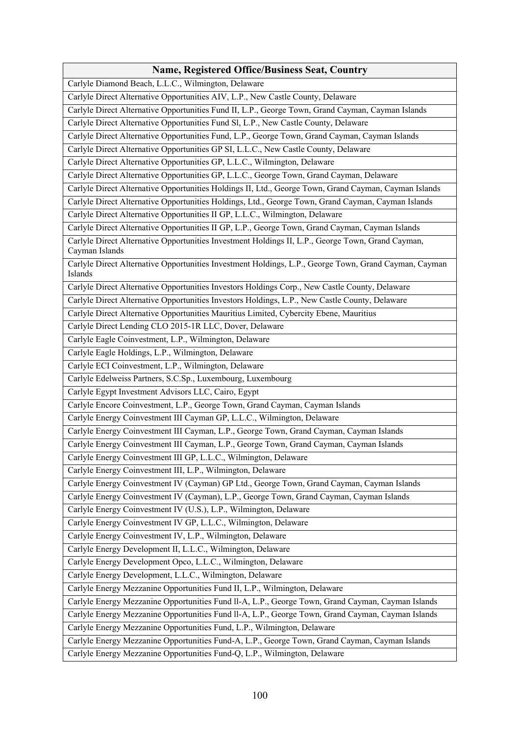| <b>Name, Registered Office/Business Seat, Country</b>                                                               |
|---------------------------------------------------------------------------------------------------------------------|
| Carlyle Diamond Beach, L.L.C., Wilmington, Delaware                                                                 |
| Carlyle Direct Alternative Opportunities AIV, L.P., New Castle County, Delaware                                     |
| Carlyle Direct Alternative Opportunities Fund II, L.P., George Town, Grand Cayman, Cayman Islands                   |
| Carlyle Direct Alternative Opportunities Fund Sl, L.P., New Castle County, Delaware                                 |
| Carlyle Direct Alternative Opportunities Fund, L.P., George Town, Grand Cayman, Cayman Islands                      |
| Carlyle Direct Alternative Opportunities GP SI, L.L.C., New Castle County, Delaware                                 |
| Carlyle Direct Alternative Opportunities GP, L.L.C., Wilmington, Delaware                                           |
| Carlyle Direct Alternative Opportunities GP, L.L.C., George Town, Grand Cayman, Delaware                            |
| Carlyle Direct Alternative Opportunities Holdings II, Ltd., George Town, Grand Cayman, Cayman Islands               |
| Carlyle Direct Alternative Opportunities Holdings, Ltd., George Town, Grand Cayman, Cayman Islands                  |
| Carlyle Direct Alternative Opportunities II GP, L.L.C., Wilmington, Delaware                                        |
| Carlyle Direct Alternative Opportunities II GP, L.P., George Town, Grand Cayman, Cayman Islands                     |
| Carlyle Direct Alternative Opportunities Investment Holdings II, L.P., George Town, Grand Cayman,<br>Cayman Islands |
| Carlyle Direct Alternative Opportunities Investment Holdings, L.P., George Town, Grand Cayman, Cayman<br>Islands    |
| Carlyle Direct Alternative Opportunities Investors Holdings Corp., New Castle County, Delaware                      |
| Carlyle Direct Alternative Opportunities Investors Holdings, L.P., New Castle County, Delaware                      |
| Carlyle Direct Alternative Opportunities Mauritius Limited, Cybercity Ebene, Mauritius                              |
| Carlyle Direct Lending CLO 2015-1R LLC, Dover, Delaware                                                             |
| Carlyle Eagle Coinvestment, L.P., Wilmington, Delaware                                                              |
| Carlyle Eagle Holdings, L.P., Wilmington, Delaware                                                                  |
| Carlyle ECI Coinvestment, L.P., Wilmington, Delaware                                                                |
| Carlyle Edelweiss Partners, S.C.Sp., Luxembourg, Luxembourg                                                         |
| Carlyle Egypt Investment Advisors LLC, Cairo, Egypt                                                                 |
| Carlyle Encore Coinvestment, L.P., George Town, Grand Cayman, Cayman Islands                                        |
| Carlyle Energy Coinvestment III Cayman GP, L.L.C., Wilmington, Delaware                                             |
| Carlyle Energy Coinvestment III Cayman, L.P., George Town, Grand Cayman, Cayman Islands                             |
| Carlyle Energy Coinvestment III Cayman, L.P., George Town, Grand Cayman, Cayman Islands                             |
| Carlyle Energy Coinvestment III GP, L.L.C., Wilmington, Delaware                                                    |
| Carlyle Energy Coinvestment III, L.P., Wilmington, Delaware                                                         |
| Carlyle Energy Coinvestment IV (Cayman) GP Ltd., George Town, Grand Cayman, Cayman Islands                          |
| Carlyle Energy Coinvestment IV (Cayman), L.P., George Town, Grand Cayman, Cayman Islands                            |
| Carlyle Energy Coinvestment IV (U.S.), L.P., Wilmington, Delaware                                                   |
| Carlyle Energy Coinvestment IV GP, L.L.C., Wilmington, Delaware                                                     |
| Carlyle Energy Coinvestment IV, L.P., Wilmington, Delaware                                                          |
| Carlyle Energy Development II, L.L.C., Wilmington, Delaware                                                         |
| Carlyle Energy Development Opco, L.L.C., Wilmington, Delaware                                                       |
| Carlyle Energy Development, L.L.C., Wilmington, Delaware                                                            |
| Carlyle Energy Mezzanine Opportunities Fund II, L.P., Wilmington, Delaware                                          |
| Carlyle Energy Mezzanine Opportunities Fund II-A, L.P., George Town, Grand Cayman, Cayman Islands                   |
| Carlyle Energy Mezzanine Opportunities Fund Il-A, L.P., George Town, Grand Cayman, Cayman Islands                   |
| Carlyle Energy Mezzanine Opportunities Fund, L.P., Wilmington, Delaware                                             |
| Carlyle Energy Mezzanine Opportunities Fund-A, L.P., George Town, Grand Cayman, Cayman Islands                      |
| Carlyle Energy Mezzanine Opportunities Fund-Q, L.P., Wilmington, Delaware                                           |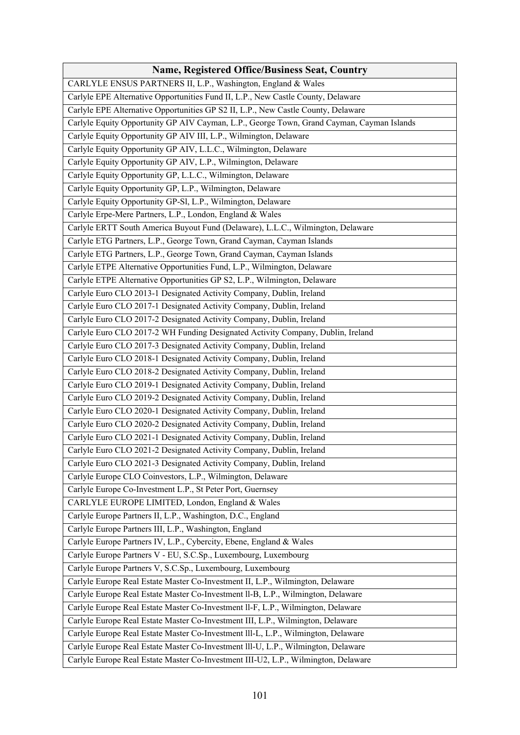| <b>Name, Registered Office/Business Seat, Country</b>                                     |
|-------------------------------------------------------------------------------------------|
| CARLYLE ENSUS PARTNERS II, L.P., Washington, England & Wales                              |
| Carlyle EPE Alternative Opportunities Fund II, L.P., New Castle County, Delaware          |
| Carlyle EPE Alternative Opportunities GP S2 II, L.P., New Castle County, Delaware         |
| Carlyle Equity Opportunity GP AIV Cayman, L.P., George Town, Grand Cayman, Cayman Islands |
| Carlyle Equity Opportunity GP AIV III, L.P., Wilmington, Delaware                         |
| Carlyle Equity Opportunity GP AIV, L.L.C., Wilmington, Delaware                           |
| Carlyle Equity Opportunity GP AIV, L.P., Wilmington, Delaware                             |
| Carlyle Equity Opportunity GP, L.L.C., Wilmington, Delaware                               |
| Carlyle Equity Opportunity GP, L.P., Wilmington, Delaware                                 |
| Carlyle Equity Opportunity GP-Sl, L.P., Wilmington, Delaware                              |
| Carlyle Erpe-Mere Partners, L.P., London, England & Wales                                 |
| Carlyle ERTT South America Buyout Fund (Delaware), L.L.C., Wilmington, Delaware           |
| Carlyle ETG Partners, L.P., George Town, Grand Cayman, Cayman Islands                     |
| Carlyle ETG Partners, L.P., George Town, Grand Cayman, Cayman Islands                     |
| Carlyle ETPE Alternative Opportunities Fund, L.P., Wilmington, Delaware                   |
| Carlyle ETPE Alternative Opportunities GP S2, L.P., Wilmington, Delaware                  |
| Carlyle Euro CLO 2013-1 Designated Activity Company, Dublin, Ireland                      |
| Carlyle Euro CLO 2017-1 Designated Activity Company, Dublin, Ireland                      |
| Carlyle Euro CLO 2017-2 Designated Activity Company, Dublin, Ireland                      |
| Carlyle Euro CLO 2017-2 WH Funding Designated Activity Company, Dublin, Ireland           |
| Carlyle Euro CLO 2017-3 Designated Activity Company, Dublin, Ireland                      |
| Carlyle Euro CLO 2018-1 Designated Activity Company, Dublin, Ireland                      |
| Carlyle Euro CLO 2018-2 Designated Activity Company, Dublin, Ireland                      |
| Carlyle Euro CLO 2019-1 Designated Activity Company, Dublin, Ireland                      |
| Carlyle Euro CLO 2019-2 Designated Activity Company, Dublin, Ireland                      |
| Carlyle Euro CLO 2020-1 Designated Activity Company, Dublin, Ireland                      |
| Carlyle Euro CLO 2020-2 Designated Activity Company, Dublin, Ireland                      |
| Carlyle Euro CLO 2021-1 Designated Activity Company, Dublin, Ireland                      |
| Carlyle Euro CLO 2021-2 Designated Activity Company, Dublin, Ireland                      |
| Carlyle Euro CLO 2021-3 Designated Activity Company, Dublin, Ireland                      |
| Carlyle Europe CLO Coinvestors, L.P., Wilmington, Delaware                                |
| Carlyle Europe Co-Investment L.P., St Peter Port, Guernsey                                |
| CARLYLE EUROPE LIMITED, London, England & Wales                                           |
| Carlyle Europe Partners II, L.P., Washington, D.C., England                               |
| Carlyle Europe Partners III, L.P., Washington, England                                    |
| Carlyle Europe Partners IV, L.P., Cybercity, Ebene, England & Wales                       |
| Carlyle Europe Partners V - EU, S.C.Sp., Luxembourg, Luxembourg                           |
| Carlyle Europe Partners V, S.C.Sp., Luxembourg, Luxembourg                                |
| Carlyle Europe Real Estate Master Co-Investment II, L.P., Wilmington, Delaware            |
| Carlyle Europe Real Estate Master Co-Investment ll-B, L.P., Wilmington, Delaware          |
| Carlyle Europe Real Estate Master Co-Investment ll-F, L.P., Wilmington, Delaware          |
| Carlyle Europe Real Estate Master Co-Investment III, L.P., Wilmington, Delaware           |
| Carlyle Europe Real Estate Master Co-Investment III-L, L.P., Wilmington, Delaware         |
| Carlyle Europe Real Estate Master Co-Investment III-U, L.P., Wilmington, Delaware         |
| Carlyle Europe Real Estate Master Co-Investment III-U2, L.P., Wilmington, Delaware        |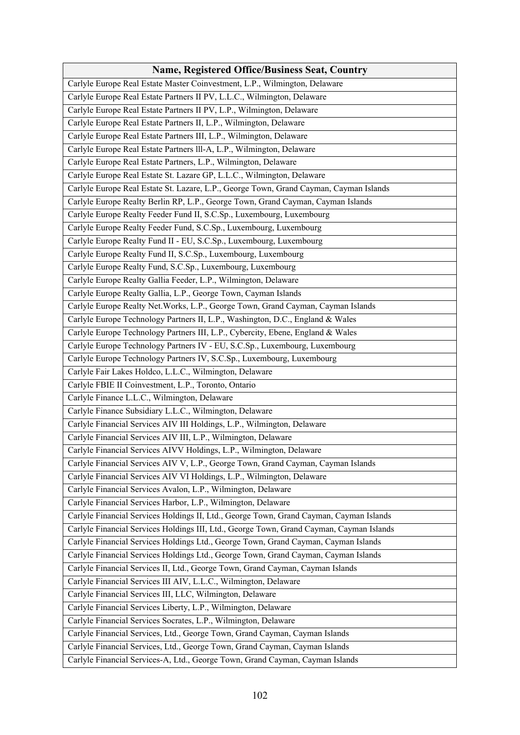| Name, Registered Office/Business Seat, Country                                           |
|------------------------------------------------------------------------------------------|
| Carlyle Europe Real Estate Master Coinvestment, L.P., Wilmington, Delaware               |
| Carlyle Europe Real Estate Partners II PV, L.L.C., Wilmington, Delaware                  |
| Carlyle Europe Real Estate Partners II PV, L.P., Wilmington, Delaware                    |
| Carlyle Europe Real Estate Partners II, L.P., Wilmington, Delaware                       |
| Carlyle Europe Real Estate Partners III, L.P., Wilmington, Delaware                      |
| Carlyle Europe Real Estate Partners III-A, L.P., Wilmington, Delaware                    |
| Carlyle Europe Real Estate Partners, L.P., Wilmington, Delaware                          |
| Carlyle Europe Real Estate St. Lazare GP, L.L.C., Wilmington, Delaware                   |
| Carlyle Europe Real Estate St. Lazare, L.P., George Town, Grand Cayman, Cayman Islands   |
| Carlyle Europe Realty Berlin RP, L.P., George Town, Grand Cayman, Cayman Islands         |
| Carlyle Europe Realty Feeder Fund II, S.C.Sp., Luxembourg, Luxembourg                    |
| Carlyle Europe Realty Feeder Fund, S.C.Sp., Luxembourg, Luxembourg                       |
| Carlyle Europe Realty Fund II - EU, S.C.Sp., Luxembourg, Luxembourg                      |
| Carlyle Europe Realty Fund II, S.C.Sp., Luxembourg, Luxembourg                           |
| Carlyle Europe Realty Fund, S.C.Sp., Luxembourg, Luxembourg                              |
| Carlyle Europe Realty Gallia Feeder, L.P., Wilmington, Delaware                          |
| Carlyle Europe Realty Gallia, L.P., George Town, Cayman Islands                          |
| Carlyle Europe Realty Net. Works, L.P., George Town, Grand Cayman, Cayman Islands        |
| Carlyle Europe Technology Partners II, L.P., Washington, D.C., England & Wales           |
| Carlyle Europe Technology Partners III, L.P., Cybercity, Ebene, England & Wales          |
| Carlyle Europe Technology Partners IV - EU, S.C.Sp., Luxembourg, Luxembourg              |
| Carlyle Europe Technology Partners IV, S.C.Sp., Luxembourg, Luxembourg                   |
| Carlyle Fair Lakes Holdco, L.L.C., Wilmington, Delaware                                  |
| Carlyle FBIE II Coinvestment, L.P., Toronto, Ontario                                     |
| Carlyle Finance L.L.C., Wilmington, Delaware                                             |
| Carlyle Finance Subsidiary L.L.C., Wilmington, Delaware                                  |
| Carlyle Financial Services AIV III Holdings, L.P., Wilmington, Delaware                  |
| Carlyle Financial Services AIV III, L.P., Wilmington, Delaware                           |
| Carlyle Financial Services AIVV Holdings, L.P., Wilmington, Delaware                     |
| Carlyle Financial Services AIV V, L.P., George Town, Grand Cayman, Cayman Islands        |
| Carlyle Financial Services AIV VI Holdings, L.P., Wilmington, Delaware                   |
| Carlyle Financial Services Avalon, L.P., Wilmington, Delaware                            |
| Carlyle Financial Services Harbor, L.P., Wilmington, Delaware                            |
| Carlyle Financial Services Holdings II, Ltd., George Town, Grand Cayman, Cayman Islands  |
| Carlyle Financial Services Holdings III, Ltd., George Town, Grand Cayman, Cayman Islands |
| Carlyle Financial Services Holdings Ltd., George Town, Grand Cayman, Cayman Islands      |
| Carlyle Financial Services Holdings Ltd., George Town, Grand Cayman, Cayman Islands      |
| Carlyle Financial Services II, Ltd., George Town, Grand Cayman, Cayman Islands           |
| Carlyle Financial Services III AIV, L.L.C., Wilmington, Delaware                         |
| Carlyle Financial Services III, LLC, Wilmington, Delaware                                |
| Carlyle Financial Services Liberty, L.P., Wilmington, Delaware                           |
| Carlyle Financial Services Socrates, L.P., Wilmington, Delaware                          |
| Carlyle Financial Services, Ltd., George Town, Grand Cayman, Cayman Islands              |
| Carlyle Financial Services, Ltd., George Town, Grand Cayman, Cayman Islands              |
| Carlyle Financial Services-A, Ltd., George Town, Grand Cayman, Cayman Islands            |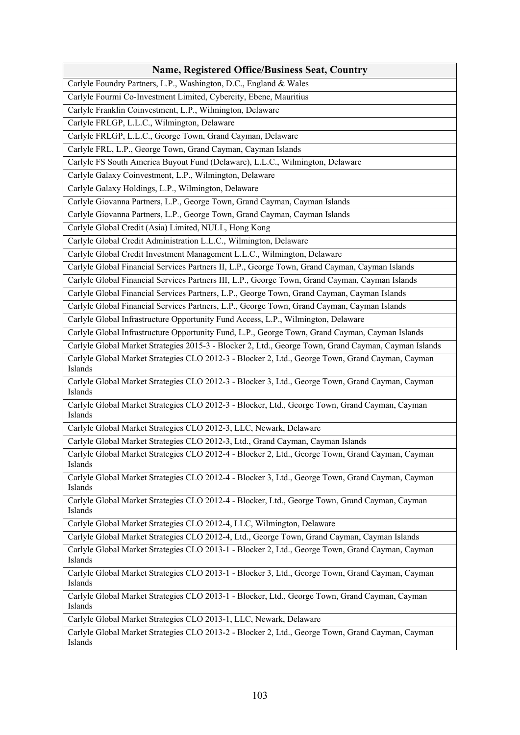| <b>Name, Registered Office/Business Seat, Country</b>                                                       |
|-------------------------------------------------------------------------------------------------------------|
| Carlyle Foundry Partners, L.P., Washington, D.C., England & Wales                                           |
| Carlyle Fourmi Co-Investment Limited, Cybercity, Ebene, Mauritius                                           |
| Carlyle Franklin Coinvestment, L.P., Wilmington, Delaware                                                   |
| Carlyle FRLGP, L.L.C., Wilmington, Delaware                                                                 |
| Carlyle FRLGP, L.L.C., George Town, Grand Cayman, Delaware                                                  |
| Carlyle FRL, L.P., George Town, Grand Cayman, Cayman Islands                                                |
| Carlyle FS South America Buyout Fund (Delaware), L.L.C., Wilmington, Delaware                               |
| Carlyle Galaxy Coinvestment, L.P., Wilmington, Delaware                                                     |
| Carlyle Galaxy Holdings, L.P., Wilmington, Delaware                                                         |
| Carlyle Giovanna Partners, L.P., George Town, Grand Cayman, Cayman Islands                                  |
| Carlyle Giovanna Partners, L.P., George Town, Grand Cayman, Cayman Islands                                  |
| Carlyle Global Credit (Asia) Limited, NULL, Hong Kong                                                       |
| Carlyle Global Credit Administration L.L.C., Wilmington, Delaware                                           |
| Carlyle Global Credit Investment Management L.L.C., Wilmington, Delaware                                    |
| Carlyle Global Financial Services Partners II, L.P., George Town, Grand Cayman, Cayman Islands              |
| Carlyle Global Financial Services Partners III, L.P., George Town, Grand Cayman, Cayman Islands             |
| Carlyle Global Financial Services Partners, L.P., George Town, Grand Cayman, Cayman Islands                 |
| Carlyle Global Financial Services Partners, L.P., George Town, Grand Cayman, Cayman Islands                 |
| Carlyle Global Infrastructure Opportunity Fund Access, L.P., Wilmington, Delaware                           |
| Carlyle Global Infrastructure Opportunity Fund, L.P., George Town, Grand Cayman, Cayman Islands             |
| Carlyle Global Market Strategies 2015-3 - Blocker 2, Ltd., George Town, Grand Cayman, Cayman Islands        |
| Carlyle Global Market Strategies CLO 2012-3 - Blocker 2, Ltd., George Town, Grand Cayman, Cayman<br>Islands |
| Carlyle Global Market Strategies CLO 2012-3 - Blocker 3, Ltd., George Town, Grand Cayman, Cayman<br>Islands |
| Carlyle Global Market Strategies CLO 2012-3 - Blocker, Ltd., George Town, Grand Cayman, Cayman<br>Islands   |
| Carlyle Global Market Strategies CLO 2012-3, LLC, Newark, Delaware                                          |
| Carlyle Global Market Strategies CLO 2012-3, Ltd., Grand Cayman, Cayman Islands                             |
| Carlyle Global Market Strategies CLO 2012-4 - Blocker 2, Ltd., George Town, Grand Cayman, Cayman<br>Islands |
| Carlyle Global Market Strategies CLO 2012-4 - Blocker 3, Ltd., George Town, Grand Cayman, Cayman<br>Islands |
| Carlyle Global Market Strategies CLO 2012-4 - Blocker, Ltd., George Town, Grand Cayman, Cayman<br>Islands   |
| Carlyle Global Market Strategies CLO 2012-4, LLC, Wilmington, Delaware                                      |
| Carlyle Global Market Strategies CLO 2012-4, Ltd., George Town, Grand Cayman, Cayman Islands                |
| Carlyle Global Market Strategies CLO 2013-1 - Blocker 2, Ltd., George Town, Grand Cayman, Cayman<br>Islands |
| Carlyle Global Market Strategies CLO 2013-1 - Blocker 3, Ltd., George Town, Grand Cayman, Cayman<br>Islands |
| Carlyle Global Market Strategies CLO 2013-1 - Blocker, Ltd., George Town, Grand Cayman, Cayman<br>Islands   |
| Carlyle Global Market Strategies CLO 2013-1, LLC, Newark, Delaware                                          |
| Carlyle Global Market Strategies CLO 2013-2 - Blocker 2, Ltd., George Town, Grand Cayman, Cayman<br>Islands |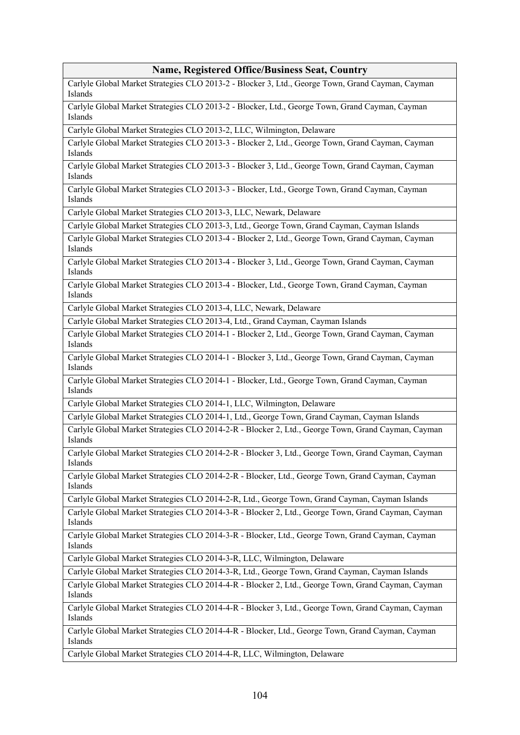## **Name, Registered Office/Business Seat, Country**

Carlyle Global Market Strategies CLO 2013-2 - Blocker 3, Ltd., George Town, Grand Cayman, Cayman Islands

Carlyle Global Market Strategies CLO 2013-2 - Blocker, Ltd., George Town, Grand Cayman, Cayman Islands

Carlyle Global Market Strategies CLO 2013-2, LLC, Wilmington, Delaware

Carlyle Global Market Strategies CLO 2013-3 - Blocker 2, Ltd., George Town, Grand Cayman, Cayman Islands

Carlyle Global Market Strategies CLO 2013-3 - Blocker 3, Ltd., George Town, Grand Cayman, Cayman Islands

Carlyle Global Market Strategies CLO 2013-3 - Blocker, Ltd., George Town, Grand Cayman, Cayman Islands

Carlyle Global Market Strategies CLO 2013-3, LLC, Newark, Delaware

Carlyle Global Market Strategies CLO 2013-3, Ltd., George Town, Grand Cayman, Cayman Islands

Carlyle Global Market Strategies CLO 2013-4 - Blocker 2, Ltd., George Town, Grand Cayman, Cayman Islands

Carlyle Global Market Strategies CLO 2013-4 - Blocker 3, Ltd., George Town, Grand Cayman, Cayman Islands

Carlyle Global Market Strategies CLO 2013-4 - Blocker, Ltd., George Town, Grand Cayman, Cayman Islands

Carlyle Global Market Strategies CLO 2013-4, LLC, Newark, Delaware

Carlyle Global Market Strategies CLO 2013-4, Ltd., Grand Cayman, Cayman Islands

Carlyle Global Market Strategies CLO 2014-1 - Blocker 2, Ltd., George Town, Grand Cayman, Cayman Islands

Carlyle Global Market Strategies CLO 2014-1 - Blocker 3, Ltd., George Town, Grand Cayman, Cayman Islands

Carlyle Global Market Strategies CLO 2014-1 - Blocker, Ltd., George Town, Grand Cayman, Cayman Islands

Carlyle Global Market Strategies CLO 2014-1, LLC, Wilmington, Delaware

Carlyle Global Market Strategies CLO 2014-1, Ltd., George Town, Grand Cayman, Cayman Islands

Carlyle Global Market Strategies CLO 2014-2-R - Blocker 2, Ltd., George Town, Grand Cayman, Cayman Islands

Carlyle Global Market Strategies CLO 2014-2-R - Blocker 3, Ltd., George Town, Grand Cayman, Cayman Islands

Carlyle Global Market Strategies CLO 2014-2-R - Blocker, Ltd., George Town, Grand Cayman, Cayman Islands

Carlyle Global Market Strategies CLO 2014-2-R, Ltd., George Town, Grand Cayman, Cayman Islands

Carlyle Global Market Strategies CLO 2014-3-R - Blocker 2, Ltd., George Town, Grand Cayman, Cayman Islands

Carlyle Global Market Strategies CLO 2014-3-R - Blocker, Ltd., George Town, Grand Cayman, Cayman Islands

Carlyle Global Market Strategies CLO 2014-3-R, LLC, Wilmington, Delaware

Carlyle Global Market Strategies CLO 2014-3-R, Ltd., George Town, Grand Cayman, Cayman Islands

Carlyle Global Market Strategies CLO 2014-4-R - Blocker 2, Ltd., George Town, Grand Cayman, Cayman Islands

Carlyle Global Market Strategies CLO 2014-4-R - Blocker 3, Ltd., George Town, Grand Cayman, Cayman Islands

Carlyle Global Market Strategies CLO 2014-4-R - Blocker, Ltd., George Town, Grand Cayman, Cayman Islands

Carlyle Global Market Strategies CLO 2014-4-R, LLC, Wilmington, Delaware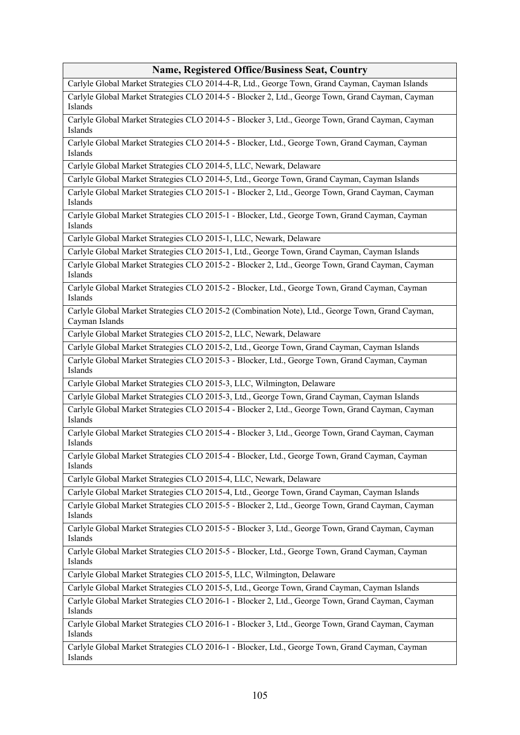## **Name, Registered Office/Business Seat, Country**

Carlyle Global Market Strategies CLO 2014-4-R, Ltd., George Town, Grand Cayman, Cayman Islands

Carlyle Global Market Strategies CLO 2014-5 - Blocker 2, Ltd., George Town, Grand Cayman, Cayman Islands

Carlyle Global Market Strategies CLO 2014-5 - Blocker 3, Ltd., George Town, Grand Cayman, Cayman Islands

Carlyle Global Market Strategies CLO 2014-5 - Blocker, Ltd., George Town, Grand Cayman, Cayman Islands

Carlyle Global Market Strategies CLO 2014-5, LLC, Newark, Delaware

Carlyle Global Market Strategies CLO 2014-5, Ltd., George Town, Grand Cayman, Cayman Islands

Carlyle Global Market Strategies CLO 2015-1 - Blocker 2, Ltd., George Town, Grand Cayman, Cayman Islands

Carlyle Global Market Strategies CLO 2015-1 - Blocker, Ltd., George Town, Grand Cayman, Cayman Islands

Carlyle Global Market Strategies CLO 2015-1, LLC, Newark, Delaware

Carlyle Global Market Strategies CLO 2015-1, Ltd., George Town, Grand Cayman, Cayman Islands

Carlyle Global Market Strategies CLO 2015-2 - Blocker 2, Ltd., George Town, Grand Cayman, Cayman Islands

Carlyle Global Market Strategies CLO 2015-2 - Blocker, Ltd., George Town, Grand Cayman, Cayman Islands

Carlyle Global Market Strategies CLO 2015-2 (Combination Note), Ltd., George Town, Grand Cayman, Cayman Islands

Carlyle Global Market Strategies CLO 2015-2, LLC, Newark, Delaware

Carlyle Global Market Strategies CLO 2015-2, Ltd., George Town, Grand Cayman, Cayman Islands

Carlyle Global Market Strategies CLO 2015-3 - Blocker, Ltd., George Town, Grand Cayman, Cayman Islands

Carlyle Global Market Strategies CLO 2015-3, LLC, Wilmington, Delaware

Carlyle Global Market Strategies CLO 2015-3, Ltd., George Town, Grand Cayman, Cayman Islands

Carlyle Global Market Strategies CLO 2015-4 - Blocker 2, Ltd., George Town, Grand Cayman, Cayman Islands

Carlyle Global Market Strategies CLO 2015-4 - Blocker 3, Ltd., George Town, Grand Cayman, Cayman Islands

Carlyle Global Market Strategies CLO 2015-4 - Blocker, Ltd., George Town, Grand Cayman, Cayman Islands

Carlyle Global Market Strategies CLO 2015-4, LLC, Newark, Delaware

Carlyle Global Market Strategies CLO 2015-4, Ltd., George Town, Grand Cayman, Cayman Islands

Carlyle Global Market Strategies CLO 2015-5 - Blocker 2, Ltd., George Town, Grand Cayman, Cayman Islands

Carlyle Global Market Strategies CLO 2015-5 - Blocker 3, Ltd., George Town, Grand Cayman, Cayman Islands

Carlyle Global Market Strategies CLO 2015-5 - Blocker, Ltd., George Town, Grand Cayman, Cayman Islands

Carlyle Global Market Strategies CLO 2015-5, LLC, Wilmington, Delaware

Carlyle Global Market Strategies CLO 2015-5, Ltd., George Town, Grand Cayman, Cayman Islands

Carlyle Global Market Strategies CLO 2016-1 - Blocker 2, Ltd., George Town, Grand Cayman, Cayman Islands

Carlyle Global Market Strategies CLO 2016-1 - Blocker 3, Ltd., George Town, Grand Cayman, Cayman Islands

Carlyle Global Market Strategies CLO 2016-1 - Blocker, Ltd., George Town, Grand Cayman, Cayman Islands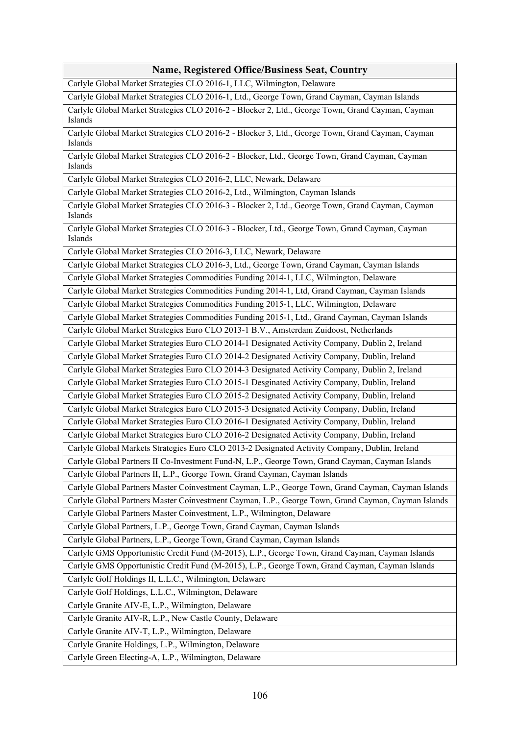## **Name, Registered Office/Business Seat, Country**

Carlyle Global Market Strategies CLO 2016-1, LLC, Wilmington, Delaware

Carlyle Global Market Strategies CLO 2016-1, Ltd., George Town, Grand Cayman, Cayman Islands

Carlyle Global Market Strategies CLO 2016-2 - Blocker 2, Ltd., George Town, Grand Cayman, Cayman Islands

Carlyle Global Market Strategies CLO 2016-2 - Blocker 3, Ltd., George Town, Grand Cayman, Cayman Islands

Carlyle Global Market Strategies CLO 2016-2 - Blocker, Ltd., George Town, Grand Cayman, Cayman Islands

Carlyle Global Market Strategies CLO 2016-2, LLC, Newark, Delaware

Carlyle Global Market Strategies CLO 2016-2, Ltd., Wilmington, Cayman Islands

Carlyle Global Market Strategies CLO 2016-3 - Blocker 2, Ltd., George Town, Grand Cayman, Cayman Islands

Carlyle Global Market Strategies CLO 2016-3 - Blocker, Ltd., George Town, Grand Cayman, Cayman Islands

Carlyle Global Market Strategies CLO 2016-3, LLC, Newark, Delaware

Carlyle Global Market Strategies CLO 2016-3, Ltd., George Town, Grand Cayman, Cayman Islands

Carlyle Global Market Strategies Commodities Funding 2014-1, LLC, Wilmington, Delaware

Carlyle Global Market Strategies Commodities Funding 2014-1, Ltd, Grand Cayman, Cayman Islands

Carlyle Global Market Strategies Commodities Funding 2015-1, LLC, Wilmington, Delaware

Carlyle Global Market Strategies Commodities Funding 2015-1, Ltd., Grand Cayman, Cayman Islands

Carlyle Global Market Strategies Euro CLO 2013-1 B.V., Amsterdam Zuidoost, Netherlands

Carlyle Global Market Strategies Euro CLO 2014-1 Designated Activity Company, Dublin 2, Ireland

Carlyle Global Market Strategies Euro CLO 2014-2 Designated Activity Company, Dublin, Ireland

Carlyle Global Market Strategies Euro CLO 2014-3 Designated Activity Company, Dublin 2, Ireland

Carlyle Global Market Strategies Euro CLO 2015-1 Desginated Activity Company, Dublin, Ireland

Carlyle Global Market Strategies Euro CLO 2015-2 Designated Activity Company, Dublin, Ireland

Carlyle Global Market Strategies Euro CLO 2015-3 Designated Activity Company, Dublin, Ireland

Carlyle Global Market Strategies Euro CLO 2016-1 Designated Activity Company, Dublin, Ireland

Carlyle Global Market Strategies Euro CLO 2016-2 Designated Activity Company, Dublin, Ireland

Carlyle Global Markets Strategies Euro CLO 2013-2 Designated Activity Company, Dublin, Ireland

Carlyle Global Partners II Co-Investment Fund-N, L.P., George Town, Grand Cayman, Cayman Islands

Carlyle Global Partners II, L.P., George Town, Grand Cayman, Cayman Islands

Carlyle Global Partners Master Coinvestment Cayman, L.P., George Town, Grand Cayman, Cayman Islands Carlyle Global Partners Master Coinvestment Cayman, L.P., George Town, Grand Cayman, Cayman Islands

Carlyle Global Partners Master Coinvestment, L.P., Wilmington, Delaware

Carlyle Global Partners, L.P., George Town, Grand Cayman, Cayman Islands

Carlyle Global Partners, L.P., George Town, Grand Cayman, Cayman Islands

Carlyle GMS Opportunistic Credit Fund (M-2015), L.P., George Town, Grand Cayman, Cayman Islands

Carlyle GMS Opportunistic Credit Fund (M-2015), L.P., George Town, Grand Cayman, Cayman Islands

Carlyle Golf Holdings II, L.L.C., Wilmington, Delaware

Carlyle Golf Holdings, L.L.C., Wilmington, Delaware

Carlyle Granite AIV-E, L.P., Wilmington, Delaware

Carlyle Granite AIV-R, L.P., New Castle County, Delaware

Carlyle Granite AIV-T, L.P., Wilmington, Delaware

Carlyle Granite Holdings, L.P., Wilmington, Delaware

Carlyle Green Electing-A, L.P., Wilmington, Delaware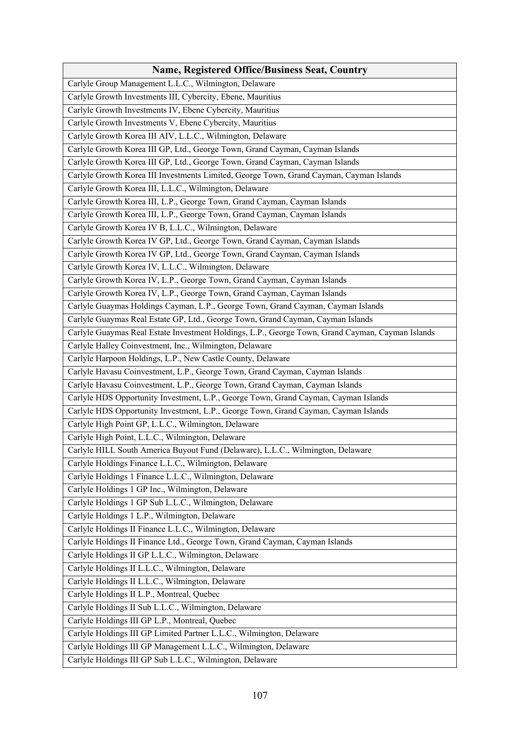| <b>Name, Registered Office/Business Seat, Country</b>                                            |
|--------------------------------------------------------------------------------------------------|
| Carlyle Group Management L.L.C., Wilmington, Delaware                                            |
| Carlyle Growth Investments III, Cybercity, Ebene, Mauritius                                      |
| Carlyle Growth Investments IV, Ebene Cybercity, Mauritius                                        |
| Carlyle Growth Investments V, Ebene Cybercity, Mauritius                                         |
| Carlyle Growth Korea III AIV, L.L.C., Wilmington, Delaware                                       |
| Carlyle Growth Korea III GP, Ltd., George Town, Grand Cayman, Cayman Islands                     |
| Carlyle Growth Korea III GP, Ltd., George Town, Grand Cayman, Cayman Islands                     |
| Carlyle Growth Korea III Investments Limited, George Town, Grand Cayman, Cayman Islands          |
| Carlyle Growth Korea III, L.L.C., Wilmington, Delaware                                           |
| Carlyle Growth Korea III, L.P., George Town, Grand Cayman, Cayman Islands                        |
| Carlyle Growth Korea III, L.P., George Town, Grand Cayman, Cayman Islands                        |
| Carlyle Growth Korea IV B, L.L.C., Wilmington, Delaware                                          |
| Carlyle Growth Korea IV GP, Ltd., George Town, Grand Cayman, Cayman Islands                      |
| Carlyle Growth Korea IV GP, Ltd., George Town, Grand Cayman, Cayman Islands                      |
| Carlyle Growth Korea IV, L.L.C., Wilmington, Delaware                                            |
| Carlyle Growth Korea IV, L.P., George Town, Grand Cayman, Cayman Islands                         |
| Carlyle Growth Korea IV, L.P., George Town, Grand Cayman, Cayman Islands                         |
| Carlyle Guaymas Holdings Cayman, L.P., George Town, Grand Cayman, Cayman Islands                 |
| Carlyle Guaymas Real Estate GP, Ltd., George Town, Grand Cayman, Cayman Islands                  |
| Carlyle Guaymas Real Estate Investment Holdings, L.P., George Town, Grand Cayman, Cayman Islands |
| Carlyle Halley Coinvestment, Inc., Wilmington, Delaware                                          |
| Carlyle Harpoon Holdings, L.P., New Castle County, Delaware                                      |
| Carlyle Havasu Coinvestment, L.P., George Town, Grand Cayman, Cayman Islands                     |
| Carlyle Havasu Coinvestment, L.P., George Town, Grand Cayman, Cayman Islands                     |
| Carlyle HDS Opportunity Investment, L.P., George Town, Grand Cayman, Cayman Islands              |
| Carlyle HDS Opportunity Investment, L.P., George Town, Grand Cayman, Cayman Islands              |
| Carlyle High Point GP, L.L.C., Wilmington, Delaware                                              |
| Carlyle High Point, L.L.C., Wilmington, Delaware                                                 |
| Carlyle HILL South America Buyout Fund (Delaware), L.L.C., Wilmington, Delaware                  |
| Carlyle Holdings Finance L.L.C., Wilmington, Delaware                                            |
| Carlyle Holdings 1 Finance L.L.C., Wilmington, Delaware                                          |
| Carlyle Holdings 1 GP Inc., Wilmington, Delaware                                                 |
| Carlyle Holdings 1 GP Sub L.L.C., Wilmington, Delaware                                           |
| Carlyle Holdings 1 L.P., Wilmington, Delaware                                                    |
| Carlyle Holdings II Finance L.L.C., Wilmington, Delaware                                         |
| Carlyle Holdings II Finance Ltd., George Town, Grand Cayman, Cayman Islands                      |
| Carlyle Holdings II GP L.L.C., Wilmington, Delaware                                              |
| Carlyle Holdings II L.L.C., Wilmington, Delaware                                                 |
| Carlyle Holdings II L.L.C., Wilmington, Delaware                                                 |
| Carlyle Holdings II L.P., Montreal, Quebec                                                       |
| Carlyle Holdings II Sub L.L.C., Wilmington, Delaware                                             |
| Carlyle Holdings III GP L.P., Montreal, Quebec                                                   |
| Carlyle Holdings III GP Limited Partner L.L.C., Wilmington, Delaware                             |
| Carlyle Holdings III GP Management L.L.C., Wilmington, Delaware                                  |
| Carlyle Holdings III GP Sub L.L.C., Wilmington, Delaware                                         |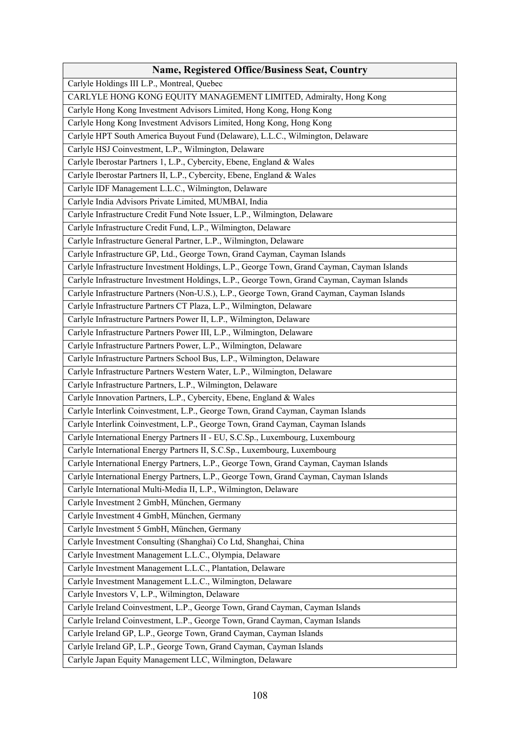| Name, Registered Office/Business Seat, Country                                              |
|---------------------------------------------------------------------------------------------|
| Carlyle Holdings III L.P., Montreal, Quebec                                                 |
| CARLYLE HONG KONG EQUITY MANAGEMENT LIMITED, Admiralty, Hong Kong                           |
| Carlyle Hong Kong Investment Advisors Limited, Hong Kong, Hong Kong                         |
| Carlyle Hong Kong Investment Advisors Limited, Hong Kong, Hong Kong                         |
| Carlyle HPT South America Buyout Fund (Delaware), L.L.C., Wilmington, Delaware              |
| Carlyle HSJ Coinvestment, L.P., Wilmington, Delaware                                        |
| Carlyle Iberostar Partners 1, L.P., Cybercity, Ebene, England & Wales                       |
| Carlyle Iberostar Partners II, L.P., Cybercity, Ebene, England & Wales                      |
| Carlyle IDF Management L.L.C., Wilmington, Delaware                                         |
| Carlyle India Advisors Private Limited, MUMBAI, India                                       |
| Carlyle Infrastructure Credit Fund Note Issuer, L.P., Wilmington, Delaware                  |
| Carlyle Infrastructure Credit Fund, L.P., Wilmington, Delaware                              |
| Carlyle Infrastructure General Partner, L.P., Wilmington, Delaware                          |
| Carlyle Infrastructure GP, Ltd., George Town, Grand Cayman, Cayman Islands                  |
| Carlyle Infrastructure Investment Holdings, L.P., George Town, Grand Cayman, Cayman Islands |
| Carlyle Infrastructure Investment Holdings, L.P., George Town, Grand Cayman, Cayman Islands |
| Carlyle Infrastructure Partners (Non-U.S.), L.P., George Town, Grand Cayman, Cayman Islands |
| Carlyle Infrastructure Partners CT Plaza, L.P., Wilmington, Delaware                        |
| Carlyle Infrastructure Partners Power II, L.P., Wilmington, Delaware                        |
| Carlyle Infrastructure Partners Power III, L.P., Wilmington, Delaware                       |
| Carlyle Infrastructure Partners Power, L.P., Wilmington, Delaware                           |
| Carlyle Infrastructure Partners School Bus, L.P., Wilmington, Delaware                      |
| Carlyle Infrastructure Partners Western Water, L.P., Wilmington, Delaware                   |
| Carlyle Infrastructure Partners, L.P., Wilmington, Delaware                                 |
| Carlyle Innovation Partners, L.P., Cybercity, Ebene, England & Wales                        |
| Carlyle Interlink Coinvestment, L.P., George Town, Grand Cayman, Cayman Islands             |
| Carlyle Interlink Coinvestment, L.P., George Town, Grand Cayman, Cayman Islands             |
| Carlyle International Energy Partners II - EU, S.C.Sp., Luxembourg, Luxembourg              |
| Carlyle International Energy Partners II, S.C.Sp., Luxembourg, Luxembourg                   |
| Carlyle International Energy Partners, L.P., George Town, Grand Cayman, Cayman Islands      |
| Carlyle International Energy Partners, L.P., George Town, Grand Cayman, Cayman Islands      |
| Carlyle International Multi-Media II, L.P., Wilmington, Delaware                            |
| Carlyle Investment 2 GmbH, München, Germany                                                 |
| Carlyle Investment 4 GmbH, München, Germany                                                 |
| Carlyle Investment 5 GmbH, München, Germany                                                 |
| Carlyle Investment Consulting (Shanghai) Co Ltd, Shanghai, China                            |
| Carlyle Investment Management L.L.C., Olympia, Delaware                                     |
| Carlyle Investment Management L.L.C., Plantation, Delaware                                  |
| Carlyle Investment Management L.L.C., Wilmington, Delaware                                  |
| Carlyle Investors V, L.P., Wilmington, Delaware                                             |
| Carlyle Ireland Coinvestment, L.P., George Town, Grand Cayman, Cayman Islands               |
| Carlyle Ireland Coinvestment, L.P., George Town, Grand Cayman, Cayman Islands               |
| Carlyle Ireland GP, L.P., George Town, Grand Cayman, Cayman Islands                         |
| Carlyle Ireland GP, L.P., George Town, Grand Cayman, Cayman Islands                         |
| Carlyle Japan Equity Management LLC, Wilmington, Delaware                                   |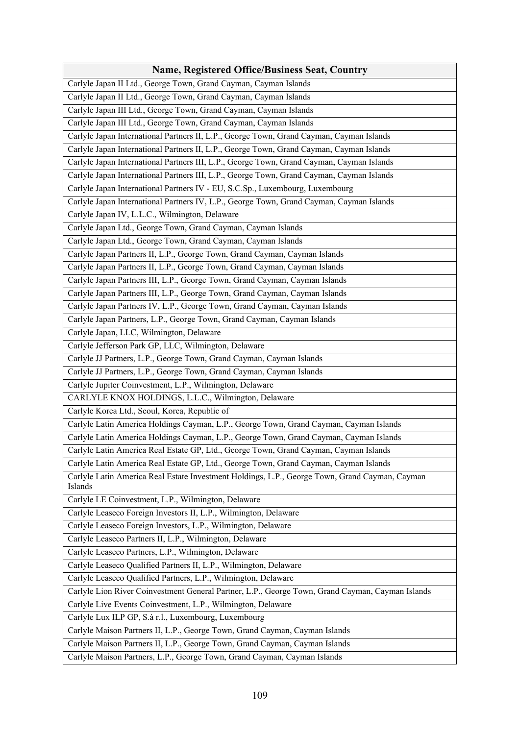| <b>Name, Registered Office/Business Seat, Country</b>                                                     |
|-----------------------------------------------------------------------------------------------------------|
| Carlyle Japan II Ltd., George Town, Grand Cayman, Cayman Islands                                          |
| Carlyle Japan II Ltd., George Town, Grand Cayman, Cayman Islands                                          |
| Carlyle Japan III Ltd., George Town, Grand Cayman, Cayman Islands                                         |
| Carlyle Japan III Ltd., George Town, Grand Cayman, Cayman Islands                                         |
| Carlyle Japan International Partners II, L.P., George Town, Grand Cayman, Cayman Islands                  |
| Carlyle Japan International Partners II, L.P., George Town, Grand Cayman, Cayman Islands                  |
| Carlyle Japan International Partners III, L.P., George Town, Grand Cayman, Cayman Islands                 |
| Carlyle Japan International Partners III, L.P., George Town, Grand Cayman, Cayman Islands                 |
| Carlyle Japan International Partners IV - EU, S.C.Sp., Luxembourg, Luxembourg                             |
| Carlyle Japan International Partners IV, L.P., George Town, Grand Cayman, Cayman Islands                  |
| Carlyle Japan IV, L.L.C., Wilmington, Delaware                                                            |
| Carlyle Japan Ltd., George Town, Grand Cayman, Cayman Islands                                             |
| Carlyle Japan Ltd., George Town, Grand Cayman, Cayman Islands                                             |
| Carlyle Japan Partners II, L.P., George Town, Grand Cayman, Cayman Islands                                |
| Carlyle Japan Partners II, L.P., George Town, Grand Cayman, Cayman Islands                                |
| Carlyle Japan Partners III, L.P., George Town, Grand Cayman, Cayman Islands                               |
| Carlyle Japan Partners III, L.P., George Town, Grand Cayman, Cayman Islands                               |
| Carlyle Japan Partners IV, L.P., George Town, Grand Cayman, Cayman Islands                                |
| Carlyle Japan Partners, L.P., George Town, Grand Cayman, Cayman Islands                                   |
| Carlyle Japan, LLC, Wilmington, Delaware                                                                  |
| Carlyle Jefferson Park GP, LLC, Wilmington, Delaware                                                      |
| Carlyle JJ Partners, L.P., George Town, Grand Cayman, Cayman Islands                                      |
| Carlyle JJ Partners, L.P., George Town, Grand Cayman, Cayman Islands                                      |
| Carlyle Jupiter Coinvestment, L.P., Wilmington, Delaware                                                  |
| CARLYLE KNOX HOLDINGS, L.L.C., Wilmington, Delaware                                                       |
| Carlyle Korea Ltd., Seoul, Korea, Republic of                                                             |
| Carlyle Latin America Holdings Cayman, L.P., George Town, Grand Cayman, Cayman Islands                    |
| Carlyle Latin America Holdings Cayman, L.P., George Town, Grand Cayman, Cayman Islands                    |
| Carlyle Latin America Real Estate GP, Ltd., George Town, Grand Cayman, Cayman Islands                     |
| Carlyle Latin America Real Estate GP, Ltd., George Town, Grand Cayman, Cayman Islands                     |
| Carlyle Latin America Real Estate Investment Holdings, L.P., George Town, Grand Cayman, Cayman<br>Islands |
| Carlyle LE Coinvestment, L.P., Wilmington, Delaware                                                       |
| Carlyle Leaseco Foreign Investors II, L.P., Wilmington, Delaware                                          |
| Carlyle Leaseco Foreign Investors, L.P., Wilmington, Delaware                                             |
| Carlyle Leaseco Partners II, L.P., Wilmington, Delaware                                                   |
| Carlyle Leaseco Partners, L.P., Wilmington, Delaware                                                      |
| Carlyle Leaseco Qualified Partners II, L.P., Wilmington, Delaware                                         |
| Carlyle Leaseco Qualified Partners, L.P., Wilmington, Delaware                                            |
| Carlyle Lion River Coinvestment General Partner, L.P., George Town, Grand Cayman, Cayman Islands          |
| Carlyle Live Events Coinvestment, L.P., Wilmington, Delaware                                              |
| Carlyle Lux ILP GP, S.à r.l., Luxembourg, Luxembourg                                                      |
| Carlyle Maison Partners II, L.P., George Town, Grand Cayman, Cayman Islands                               |
| Carlyle Maison Partners II, L.P., George Town, Grand Cayman, Cayman Islands                               |
| Carlyle Maison Partners, L.P., George Town, Grand Cayman, Cayman Islands                                  |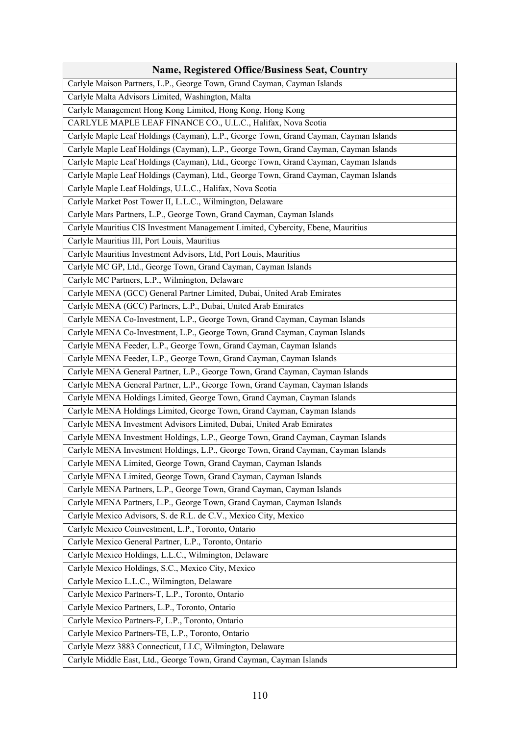| <b>Name, Registered Office/Business Seat, Country</b>                                 |
|---------------------------------------------------------------------------------------|
| Carlyle Maison Partners, L.P., George Town, Grand Cayman, Cayman Islands              |
| Carlyle Malta Advisors Limited, Washington, Malta                                     |
| Carlyle Management Hong Kong Limited, Hong Kong, Hong Kong                            |
| CARLYLE MAPLE LEAF FINANCE CO., U.L.C., Halifax, Nova Scotia                          |
| Carlyle Maple Leaf Holdings (Cayman), L.P., George Town, Grand Cayman, Cayman Islands |
| Carlyle Maple Leaf Holdings (Cayman), L.P., George Town, Grand Cayman, Cayman Islands |
| Carlyle Maple Leaf Holdings (Cayman), Ltd., George Town, Grand Cayman, Cayman Islands |
| Carlyle Maple Leaf Holdings (Cayman), Ltd., George Town, Grand Cayman, Cayman Islands |
| Carlyle Maple Leaf Holdings, U.L.C., Halifax, Nova Scotia                             |
| Carlyle Market Post Tower II, L.L.C., Wilmington, Delaware                            |
| Carlyle Mars Partners, L.P., George Town, Grand Cayman, Cayman Islands                |
| Carlyle Mauritius CIS Investment Management Limited, Cybercity, Ebene, Mauritius      |
| Carlyle Mauritius III, Port Louis, Mauritius                                          |
| Carlyle Mauritius Investment Advisors, Ltd, Port Louis, Mauritius                     |
| Carlyle MC GP, Ltd., George Town, Grand Cayman, Cayman Islands                        |
| Carlyle MC Partners, L.P., Wilmington, Delaware                                       |
| Carlyle MENA (GCC) General Partner Limited, Dubai, United Arab Emirates               |
| Carlyle MENA (GCC) Partners, L.P., Dubai, United Arab Emirates                        |
| Carlyle MENA Co-Investment, L.P., George Town, Grand Cayman, Cayman Islands           |
| Carlyle MENA Co-Investment, L.P., George Town, Grand Cayman, Cayman Islands           |
| Carlyle MENA Feeder, L.P., George Town, Grand Cayman, Cayman Islands                  |
| Carlyle MENA Feeder, L.P., George Town, Grand Cayman, Cayman Islands                  |
| Carlyle MENA General Partner, L.P., George Town, Grand Cayman, Cayman Islands         |
| Carlyle MENA General Partner, L.P., George Town, Grand Cayman, Cayman Islands         |
| Carlyle MENA Holdings Limited, George Town, Grand Cayman, Cayman Islands              |
| Carlyle MENA Holdings Limited, George Town, Grand Cayman, Cayman Islands              |
| Carlyle MENA Investment Advisors Limited, Dubai, United Arab Emirates                 |
| Carlyle MENA Investment Holdings, L.P., George Town, Grand Cayman, Cayman Islands     |
| Carlyle MENA Investment Holdings, L.P., George Town, Grand Cayman, Cayman Islands     |
| Carlyle MENA Limited, George Town, Grand Cayman, Cayman Islands                       |
| Carlyle MENA Limited, George Town, Grand Cayman, Cayman Islands                       |
| Carlyle MENA Partners, L.P., George Town, Grand Cayman, Cayman Islands                |
| Carlyle MENA Partners, L.P., George Town, Grand Cayman, Cayman Islands                |
| Carlyle Mexico Advisors, S. de R.L. de C.V., Mexico City, Mexico                      |
| Carlyle Mexico Coinvestment, L.P., Toronto, Ontario                                   |
| Carlyle Mexico General Partner, L.P., Toronto, Ontario                                |
| Carlyle Mexico Holdings, L.L.C., Wilmington, Delaware                                 |
| Carlyle Mexico Holdings, S.C., Mexico City, Mexico                                    |
| Carlyle Mexico L.L.C., Wilmington, Delaware                                           |
| Carlyle Mexico Partners-T, L.P., Toronto, Ontario                                     |
| Carlyle Mexico Partners, L.P., Toronto, Ontario                                       |
| Carlyle Mexico Partners-F, L.P., Toronto, Ontario                                     |
| Carlyle Mexico Partners-TE, L.P., Toronto, Ontario                                    |
| Carlyle Mezz 3883 Connecticut, LLC, Wilmington, Delaware                              |
| Carlyle Middle East, Ltd., George Town, Grand Cayman, Cayman Islands                  |
|                                                                                       |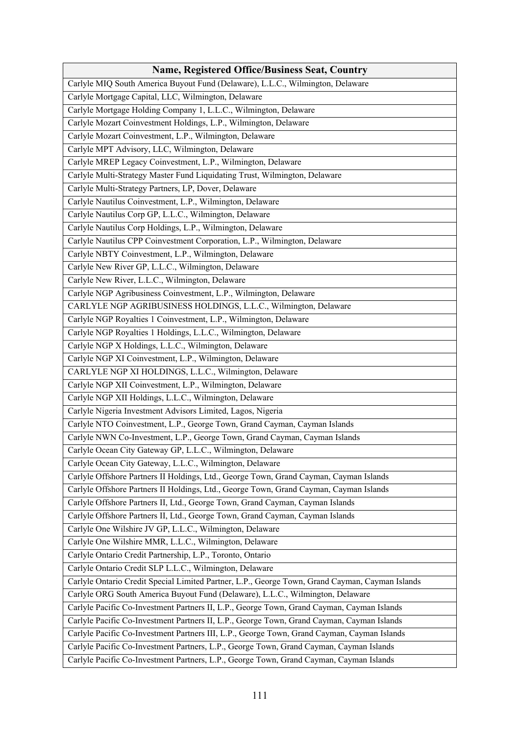| <b>Name, Registered Office/Business Seat, Country</b>                                           |
|-------------------------------------------------------------------------------------------------|
| Carlyle MIQ South America Buyout Fund (Delaware), L.L.C., Wilmington, Delaware                  |
| Carlyle Mortgage Capital, LLC, Wilmington, Delaware                                             |
| Carlyle Mortgage Holding Company 1, L.L.C., Wilmington, Delaware                                |
| Carlyle Mozart Coinvestment Holdings, L.P., Wilmington, Delaware                                |
| Carlyle Mozart Coinvestment, L.P., Wilmington, Delaware                                         |
| Carlyle MPT Advisory, LLC, Wilmington, Delaware                                                 |
| Carlyle MREP Legacy Coinvestment, L.P., Wilmington, Delaware                                    |
| Carlyle Multi-Strategy Master Fund Liquidating Trust, Wilmington, Delaware                      |
| Carlyle Multi-Strategy Partners, LP, Dover, Delaware                                            |
| Carlyle Nautilus Coinvestment, L.P., Wilmington, Delaware                                       |
| Carlyle Nautilus Corp GP, L.L.C., Wilmington, Delaware                                          |
| Carlyle Nautilus Corp Holdings, L.P., Wilmington, Delaware                                      |
| Carlyle Nautilus CPP Coinvestment Corporation, L.P., Wilmington, Delaware                       |
| Carlyle NBTY Coinvestment, L.P., Wilmington, Delaware                                           |
| Carlyle New River GP, L.L.C., Wilmington, Delaware                                              |
| Carlyle New River, L.L.C., Wilmington, Delaware                                                 |
| Carlyle NGP Agribusiness Coinvestment, L.P., Wilmington, Delaware                               |
| CARLYLE NGP AGRIBUSINESS HOLDINGS, L.L.C., Wilmington, Delaware                                 |
| Carlyle NGP Royalties 1 Coinvestment, L.P., Wilmington, Delaware                                |
| Carlyle NGP Royalties 1 Holdings, L.L.C., Wilmington, Delaware                                  |
| Carlyle NGP X Holdings, L.L.C., Wilmington, Delaware                                            |
| Carlyle NGP XI Coinvestment, L.P., Wilmington, Delaware                                         |
| CARLYLE NGP XI HOLDINGS, L.L.C., Wilmington, Delaware                                           |
| Carlyle NGP XII Coinvestment, L.P., Wilmington, Delaware                                        |
| Carlyle NGP XII Holdings, L.L.C., Wilmington, Delaware                                          |
| Carlyle Nigeria Investment Advisors Limited, Lagos, Nigeria                                     |
| Carlyle NTO Coinvestment, L.P., George Town, Grand Cayman, Cayman Islands                       |
| Carlyle NWN Co-Investment, L.P., George Town, Grand Cayman, Cayman Islands                      |
| Carlyle Ocean City Gateway GP, L.L.C., Wilmington, Delaware                                     |
| Carlyle Ocean City Gateway, L.L.C., Wilmington, Delaware                                        |
| Carlyle Offshore Partners II Holdings, Ltd., George Town, Grand Cayman, Cayman Islands          |
| Carlyle Offshore Partners II Holdings, Ltd., George Town, Grand Cayman, Cayman Islands          |
| Carlyle Offshore Partners II, Ltd., George Town, Grand Cayman, Cayman Islands                   |
| Carlyle Offshore Partners II, Ltd., George Town, Grand Cayman, Cayman Islands                   |
| Carlyle One Wilshire JV GP, L.L.C., Wilmington, Delaware                                        |
| Carlyle One Wilshire MMR, L.L.C., Wilmington, Delaware                                          |
| Carlyle Ontario Credit Partnership, L.P., Toronto, Ontario                                      |
| Carlyle Ontario Credit SLP L.L.C., Wilmington, Delaware                                         |
| Carlyle Ontario Credit Special Limited Partner, L.P., George Town, Grand Cayman, Cayman Islands |
| Carlyle ORG South America Buyout Fund (Delaware), L.L.C., Wilmington, Delaware                  |
| Carlyle Pacific Co-Investment Partners II, L.P., George Town, Grand Cayman, Cayman Islands      |
| Carlyle Pacific Co-Investment Partners II, L.P., George Town, Grand Cayman, Cayman Islands      |
| Carlyle Pacific Co-Investment Partners III, L.P., George Town, Grand Cayman, Cayman Islands     |
| Carlyle Pacific Co-Investment Partners, L.P., George Town, Grand Cayman, Cayman Islands         |
| Carlyle Pacific Co-Investment Partners, L.P., George Town, Grand Cayman, Cayman Islands         |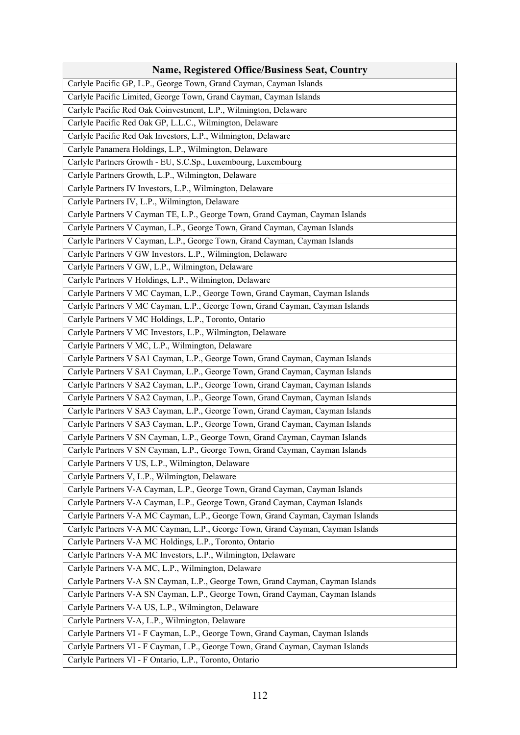| Name, Registered Office/Business Seat, Country                                  |
|---------------------------------------------------------------------------------|
| Carlyle Pacific GP, L.P., George Town, Grand Cayman, Cayman Islands             |
| Carlyle Pacific Limited, George Town, Grand Cayman, Cayman Islands              |
| Carlyle Pacific Red Oak Coinvestment, L.P., Wilmington, Delaware                |
| Carlyle Pacific Red Oak GP, L.L.C., Wilmington, Delaware                        |
| Carlyle Pacific Red Oak Investors, L.P., Wilmington, Delaware                   |
| Carlyle Panamera Holdings, L.P., Wilmington, Delaware                           |
| Carlyle Partners Growth - EU, S.C.Sp., Luxembourg, Luxembourg                   |
| Carlyle Partners Growth, L.P., Wilmington, Delaware                             |
| Carlyle Partners IV Investors, L.P., Wilmington, Delaware                       |
| Carlyle Partners IV, L.P., Wilmington, Delaware                                 |
| Carlyle Partners V Cayman TE, L.P., George Town, Grand Cayman, Cayman Islands   |
| Carlyle Partners V Cayman, L.P., George Town, Grand Cayman, Cayman Islands      |
| Carlyle Partners V Cayman, L.P., George Town, Grand Cayman, Cayman Islands      |
| Carlyle Partners V GW Investors, L.P., Wilmington, Delaware                     |
| Carlyle Partners V GW, L.P., Wilmington, Delaware                               |
| Carlyle Partners V Holdings, L.P., Wilmington, Delaware                         |
| Carlyle Partners V MC Cayman, L.P., George Town, Grand Cayman, Cayman Islands   |
| Carlyle Partners V MC Cayman, L.P., George Town, Grand Cayman, Cayman Islands   |
| Carlyle Partners V MC Holdings, L.P., Toronto, Ontario                          |
| Carlyle Partners V MC Investors, L.P., Wilmington, Delaware                     |
| Carlyle Partners V MC, L.P., Wilmington, Delaware                               |
| Carlyle Partners V SA1 Cayman, L.P., George Town, Grand Cayman, Cayman Islands  |
| Carlyle Partners V SA1 Cayman, L.P., George Town, Grand Cayman, Cayman Islands  |
| Carlyle Partners V SA2 Cayman, L.P., George Town, Grand Cayman, Cayman Islands  |
| Carlyle Partners V SA2 Cayman, L.P., George Town, Grand Cayman, Cayman Islands  |
| Carlyle Partners V SA3 Cayman, L.P., George Town, Grand Cayman, Cayman Islands  |
| Carlyle Partners V SA3 Cayman, L.P., George Town, Grand Cayman, Cayman Islands  |
| Carlyle Partners V SN Cayman, L.P., George Town, Grand Cayman, Cayman Islands   |
| Carlyle Partners V SN Cayman, L.P., George Town, Grand Cayman, Cayman Islands   |
| Carlyle Partners V US, L.P., Wilmington, Delaware                               |
| Carlyle Partners V, L.P., Wilmington, Delaware                                  |
| Carlyle Partners V-A Cayman, L.P., George Town, Grand Cayman, Cayman Islands    |
| Carlyle Partners V-A Cayman, L.P., George Town, Grand Cayman, Cayman Islands    |
| Carlyle Partners V-A MC Cayman, L.P., George Town, Grand Cayman, Cayman Islands |
| Carlyle Partners V-A MC Cayman, L.P., George Town, Grand Cayman, Cayman Islands |
| Carlyle Partners V-A MC Holdings, L.P., Toronto, Ontario                        |
| Carlyle Partners V-A MC Investors, L.P., Wilmington, Delaware                   |
| Carlyle Partners V-A MC, L.P., Wilmington, Delaware                             |
| Carlyle Partners V-A SN Cayman, L.P., George Town, Grand Cayman, Cayman Islands |
| Carlyle Partners V-A SN Cayman, L.P., George Town, Grand Cayman, Cayman Islands |
| Carlyle Partners V-A US, L.P., Wilmington, Delaware                             |
| Carlyle Partners V-A, L.P., Wilmington, Delaware                                |
| Carlyle Partners VI - F Cayman, L.P., George Town, Grand Cayman, Cayman Islands |
| Carlyle Partners VI - F Cayman, L.P., George Town, Grand Cayman, Cayman Islands |
| Carlyle Partners VI - F Ontario, L.P., Toronto, Ontario                         |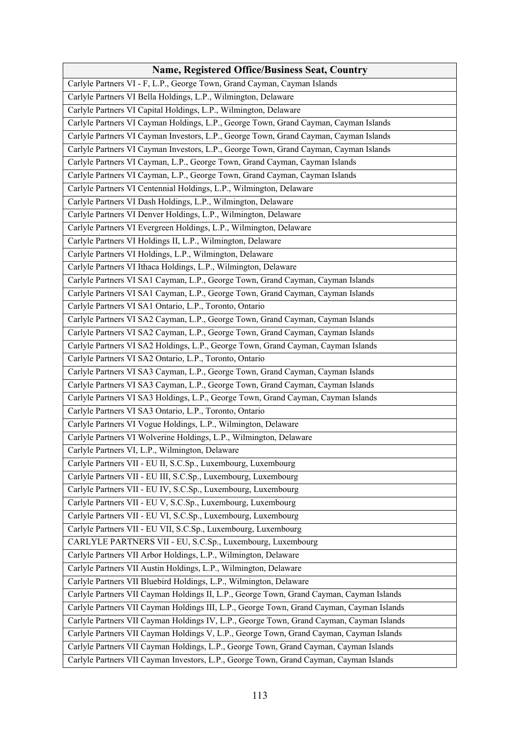| <b>Name, Registered Office/Business Seat, Country</b>                                     |
|-------------------------------------------------------------------------------------------|
| Carlyle Partners VI - F, L.P., George Town, Grand Cayman, Cayman Islands                  |
| Carlyle Partners VI Bella Holdings, L.P., Wilmington, Delaware                            |
| Carlyle Partners VI Capital Holdings, L.P., Wilmington, Delaware                          |
| Carlyle Partners VI Cayman Holdings, L.P., George Town, Grand Cayman, Cayman Islands      |
| Carlyle Partners VI Cayman Investors, L.P., George Town, Grand Cayman, Cayman Islands     |
| Carlyle Partners VI Cayman Investors, L.P., George Town, Grand Cayman, Cayman Islands     |
| Carlyle Partners VI Cayman, L.P., George Town, Grand Cayman, Cayman Islands               |
| Carlyle Partners VI Cayman, L.P., George Town, Grand Cayman, Cayman Islands               |
| Carlyle Partners VI Centennial Holdings, L.P., Wilmington, Delaware                       |
| Carlyle Partners VI Dash Holdings, L.P., Wilmington, Delaware                             |
| Carlyle Partners VI Denver Holdings, L.P., Wilmington, Delaware                           |
| Carlyle Partners VI Evergreen Holdings, L.P., Wilmington, Delaware                        |
| Carlyle Partners VI Holdings II, L.P., Wilmington, Delaware                               |
| Carlyle Partners VI Holdings, L.P., Wilmington, Delaware                                  |
| Carlyle Partners VI Ithaca Holdings, L.P., Wilmington, Delaware                           |
| Carlyle Partners VI SA1 Cayman, L.P., George Town, Grand Cayman, Cayman Islands           |
| Carlyle Partners VI SA1 Cayman, L.P., George Town, Grand Cayman, Cayman Islands           |
| Carlyle Partners VI SA1 Ontario, L.P., Toronto, Ontario                                   |
| Carlyle Partners VI SA2 Cayman, L.P., George Town, Grand Cayman, Cayman Islands           |
| Carlyle Partners VI SA2 Cayman, L.P., George Town, Grand Cayman, Cayman Islands           |
| Carlyle Partners VI SA2 Holdings, L.P., George Town, Grand Cayman, Cayman Islands         |
| Carlyle Partners VI SA2 Ontario, L.P., Toronto, Ontario                                   |
| Carlyle Partners VI SA3 Cayman, L.P., George Town, Grand Cayman, Cayman Islands           |
| Carlyle Partners VI SA3 Cayman, L.P., George Town, Grand Cayman, Cayman Islands           |
| Carlyle Partners VI SA3 Holdings, L.P., George Town, Grand Cayman, Cayman Islands         |
| Carlyle Partners VI SA3 Ontario, L.P., Toronto, Ontario                                   |
| Carlyle Partners VI Vogue Holdings, L.P., Wilmington, Delaware                            |
| Carlyle Partners VI Wolverine Holdings, L.P., Wilmington, Delaware                        |
| Carlyle Partners VI, L.P., Wilmington, Delaware                                           |
| Carlyle Partners VII - EU II, S.C.Sp., Luxembourg, Luxembourg                             |
| Carlyle Partners VII - EU III, S.C.Sp., Luxembourg, Luxembourg                            |
| Carlyle Partners VII - EU IV, S.C.Sp., Luxembourg, Luxembourg                             |
| Carlyle Partners VII - EU V, S.C.Sp., Luxembourg, Luxembourg                              |
| Carlyle Partners VII - EU VI, S.C.Sp., Luxembourg, Luxembourg                             |
| Carlyle Partners VII - EU VII, S.C.Sp., Luxembourg, Luxembourg                            |
| CARLYLE PARTNERS VII - EU, S.C.Sp., Luxembourg, Luxembourg                                |
| Carlyle Partners VII Arbor Holdings, L.P., Wilmington, Delaware                           |
| Carlyle Partners VII Austin Holdings, L.P., Wilmington, Delaware                          |
| Carlyle Partners VII Bluebird Holdings, L.P., Wilmington, Delaware                        |
| Carlyle Partners VII Cayman Holdings II, L.P., George Town, Grand Cayman, Cayman Islands  |
| Carlyle Partners VII Cayman Holdings III, L.P., George Town, Grand Cayman, Cayman Islands |
| Carlyle Partners VII Cayman Holdings IV, L.P., George Town, Grand Cayman, Cayman Islands  |
| Carlyle Partners VII Cayman Holdings V, L.P., George Town, Grand Cayman, Cayman Islands   |
| Carlyle Partners VII Cayman Holdings, L.P., George Town, Grand Cayman, Cayman Islands     |
| Carlyle Partners VII Cayman Investors, L.P., George Town, Grand Cayman, Cayman Islands    |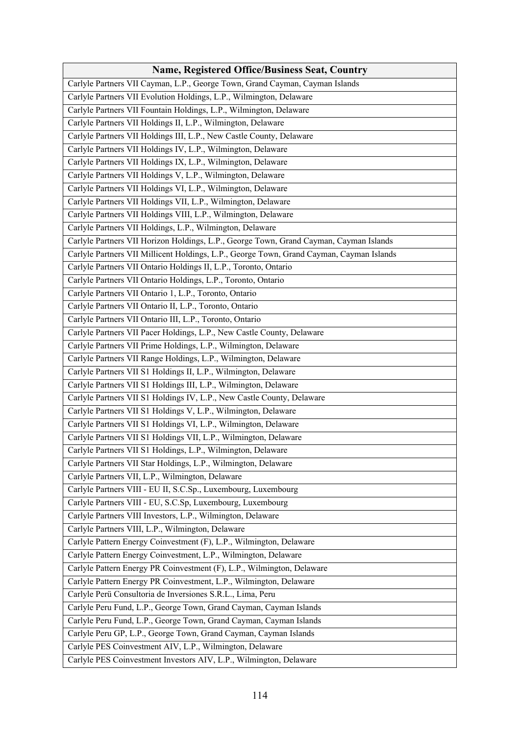| <b>Name, Registered Office/Business Seat, Country</b>                                    |
|------------------------------------------------------------------------------------------|
| Carlyle Partners VII Cayman, L.P., George Town, Grand Cayman, Cayman Islands             |
| Carlyle Partners VII Evolution Holdings, L.P., Wilmington, Delaware                      |
| Carlyle Partners VII Fountain Holdings, L.P., Wilmington, Delaware                       |
| Carlyle Partners VII Holdings II, L.P., Wilmington, Delaware                             |
| Carlyle Partners VII Holdings III, L.P., New Castle County, Delaware                     |
| Carlyle Partners VII Holdings IV, L.P., Wilmington, Delaware                             |
| Carlyle Partners VII Holdings IX, L.P., Wilmington, Delaware                             |
| Carlyle Partners VII Holdings V, L.P., Wilmington, Delaware                              |
| Carlyle Partners VII Holdings VI, L.P., Wilmington, Delaware                             |
| Carlyle Partners VII Holdings VII, L.P., Wilmington, Delaware                            |
| Carlyle Partners VII Holdings VIII, L.P., Wilmington, Delaware                           |
| Carlyle Partners VII Holdings, L.P., Wilmington, Delaware                                |
| Carlyle Partners VII Horizon Holdings, L.P., George Town, Grand Cayman, Cayman Islands   |
| Carlyle Partners VII Millicent Holdings, L.P., George Town, Grand Cayman, Cayman Islands |
| Carlyle Partners VII Ontario Holdings II, L.P., Toronto, Ontario                         |
| Carlyle Partners VII Ontario Holdings, L.P., Toronto, Ontario                            |
| Carlyle Partners VII Ontario 1, L.P., Toronto, Ontario                                   |
| Carlyle Partners VII Ontario II, L.P., Toronto, Ontario                                  |
| Carlyle Partners VII Ontario III, L.P., Toronto, Ontario                                 |
| Carlyle Partners VII Pacer Holdings, L.P., New Castle County, Delaware                   |
| Carlyle Partners VII Prime Holdings, L.P., Wilmington, Delaware                          |
| Carlyle Partners VII Range Holdings, L.P., Wilmington, Delaware                          |
| Carlyle Partners VII S1 Holdings II, L.P., Wilmington, Delaware                          |
| Carlyle Partners VII S1 Holdings III, L.P., Wilmington, Delaware                         |
| Carlyle Partners VII S1 Holdings IV, L.P., New Castle County, Delaware                   |
| Carlyle Partners VII S1 Holdings V, L.P., Wilmington, Delaware                           |
| Carlyle Partners VII S1 Holdings VI, L.P., Wilmington, Delaware                          |
| Carlyle Partners VII S1 Holdings VII, L.P., Wilmington, Delaware                         |
| Carlyle Partners VII S1 Holdings, L.P., Wilmington, Delaware                             |
| Carlyle Partners VII Star Holdings, L.P., Wilmington, Delaware                           |
| Carlyle Partners VII, L.P., Wilmington, Delaware                                         |
| Carlyle Partners VIII - EU II, S.C.Sp., Luxembourg, Luxembourg                           |
| Carlyle Partners VIII - EU, S.C.Sp, Luxembourg, Luxembourg                               |
| Carlyle Partners VIII Investors, L.P., Wilmington, Delaware                              |
| Carlyle Partners VIII, L.P., Wilmington, Delaware                                        |
| Carlyle Pattern Energy Coinvestment (F), L.P., Wilmington, Delaware                      |
| Carlyle Pattern Energy Coinvestment, L.P., Wilmington, Delaware                          |
| Carlyle Pattern Energy PR Coinvestment (F), L.P., Wilmington, Delaware                   |
| Carlyle Pattern Energy PR Coinvestment, L.P., Wilmington, Delaware                       |
| Carlyle Perü Consultoria de Inversiones S.R.L., Lima, Peru                               |
| Carlyle Peru Fund, L.P., George Town, Grand Cayman, Cayman Islands                       |
| Carlyle Peru Fund, L.P., George Town, Grand Cayman, Cayman Islands                       |
| Carlyle Peru GP, L.P., George Town, Grand Cayman, Cayman Islands                         |
| Carlyle PES Coinvestment AIV, L.P., Wilmington, Delaware                                 |
| Carlyle PES Coinvestment Investors AIV, L.P., Wilmington, Delaware                       |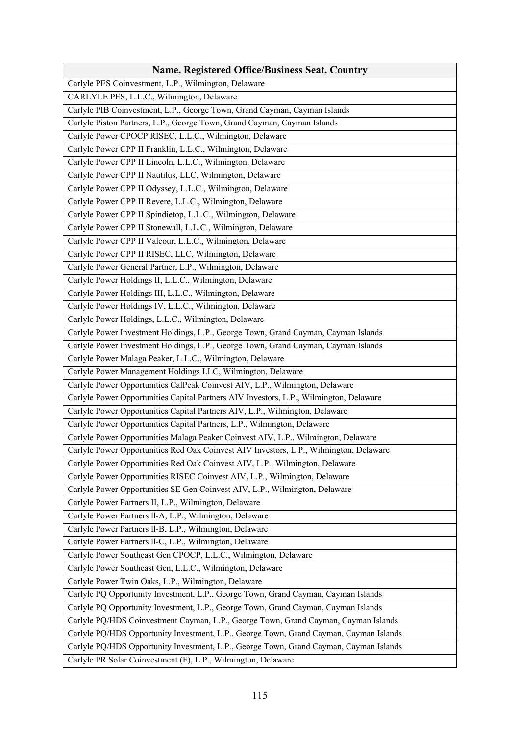| Name, Registered Office/Business Seat, Country                                         |
|----------------------------------------------------------------------------------------|
| Carlyle PES Coinvestment, L.P., Wilmington, Delaware                                   |
| CARLYLE PES, L.L.C., Wilmington, Delaware                                              |
| Carlyle PIB Coinvestment, L.P., George Town, Grand Cayman, Cayman Islands              |
| Carlyle Piston Partners, L.P., George Town, Grand Cayman, Cayman Islands               |
| Carlyle Power CPOCP RISEC, L.L.C., Wilmington, Delaware                                |
| Carlyle Power CPP II Franklin, L.L.C., Wilmington, Delaware                            |
| Carlyle Power CPP II Lincoln, L.L.C., Wilmington, Delaware                             |
| Carlyle Power CPP II Nautilus, LLC, Wilmington, Delaware                               |
| Carlyle Power CPP II Odyssey, L.L.C., Wilmington, Delaware                             |
| Carlyle Power CPP II Revere, L.L.C., Wilmington, Delaware                              |
| Carlyle Power CPP II Spindietop, L.L.C., Wilmington, Delaware                          |
| Carlyle Power CPP II Stonewall, L.L.C., Wilmington, Delaware                           |
| Carlyle Power CPP II Valcour, L.L.C., Wilmington, Delaware                             |
| Carlyle Power CPP II RISEC, LLC, Wilmington, Delaware                                  |
| Carlyle Power General Partner, L.P., Wilmington, Delaware                              |
| Carlyle Power Holdings II, L.L.C., Wilmington, Delaware                                |
| Carlyle Power Holdings III, L.L.C., Wilmington, Delaware                               |
| Carlyle Power Holdings IV, L.L.C., Wilmington, Delaware                                |
| Carlyle Power Holdings, L.L.C., Wilmington, Delaware                                   |
| Carlyle Power Investment Holdings, L.P., George Town, Grand Cayman, Cayman Islands     |
| Carlyle Power Investment Holdings, L.P., George Town, Grand Cayman, Cayman Islands     |
| Carlyle Power Malaga Peaker, L.L.C., Wilmington, Delaware                              |
| Carlyle Power Management Holdings LLC, Wilmington, Delaware                            |
| Carlyle Power Opportunities CalPeak Coinvest AIV, L.P., Wilmington, Delaware           |
| Carlyle Power Opportunities Capital Partners AIV Investors, L.P., Wilmington, Delaware |
| Carlyle Power Opportunities Capital Partners AIV, L.P., Wilmington, Delaware           |
| Carlyle Power Opportunities Capital Partners, L.P., Wilmington, Delaware               |
| Carlyle Power Opportunities Malaga Peaker Coinvest AIV, L.P., Wilmington, Delaware     |
| Carlyle Power Opportunities Red Oak Coinvest AIV Investors, L.P., Wilmington, Delaware |
| Carlyle Power Opportunities Red Oak Coinvest AIV, L.P., Wilmington, Delaware           |
| Carlyle Power Opportunities RISEC Coinvest AIV, L.P., Wilmington, Delaware             |
| Carlyle Power Opportunities SE Gen Coinvest AIV, L.P., Wilmington, Delaware            |
| Carlyle Power Partners II, L.P., Wilmington, Delaware                                  |
| Carlyle Power Partners ll-A, L.P., Wilmington, Delaware                                |
| Carlyle Power Partners ll-B, L.P., Wilmington, Delaware                                |
| Carlyle Power Partners ll-C, L.P., Wilmington, Delaware                                |
| Carlyle Power Southeast Gen CPOCP, L.L.C., Wilmington, Delaware                        |
| Carlyle Power Southeast Gen, L.L.C., Wilmington, Delaware                              |
| Carlyle Power Twin Oaks, L.P., Wilmington, Delaware                                    |
| Carlyle PQ Opportunity Investment, L.P., George Town, Grand Cayman, Cayman Islands     |
| Carlyle PQ Opportunity Investment, L.P., George Town, Grand Cayman, Cayman Islands     |
| Carlyle PQ/HDS Coinvestment Cayman, L.P., George Town, Grand Cayman, Cayman Islands    |
| Carlyle PQ/HDS Opportunity Investment, L.P., George Town, Grand Cayman, Cayman Islands |
| Carlyle PQ/HDS Opportunity Investment, L.P., George Town, Grand Cayman, Cayman Islands |
| Carlyle PR Solar Coinvestment (F), L.P., Wilmington, Delaware                          |
|                                                                                        |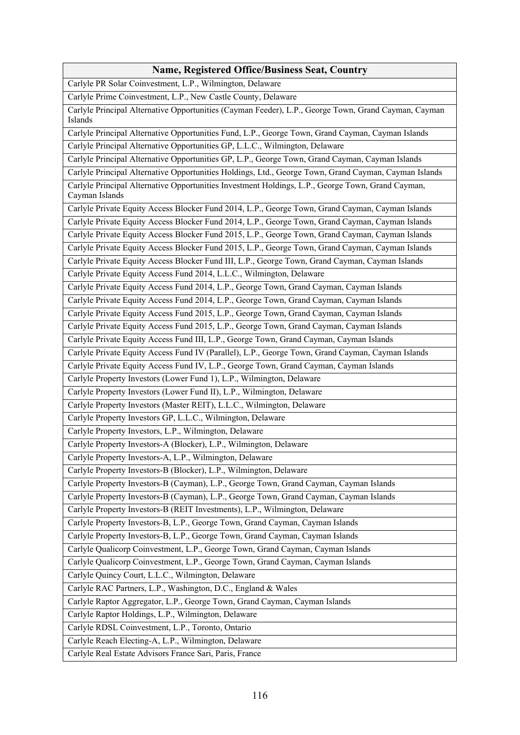| <b>Name, Registered Office/Business Seat, Country</b>                                                               |
|---------------------------------------------------------------------------------------------------------------------|
| Carlyle PR Solar Coinvestment, L.P., Wilmington, Delaware                                                           |
| Carlyle Prime Coinvestment, L.P., New Castle County, Delaware                                                       |
| Carlyle Principal Alternative Opportunities (Cayman Feeder), L.P., George Town, Grand Cayman, Cayman<br>Islands     |
| Carlyle Principal Alternative Opportunities Fund, L.P., George Town, Grand Cayman, Cayman Islands                   |
| Carlyle Principal Alternative Opportunities GP, L.L.C., Wilmington, Delaware                                        |
| Carlyle Principal Alternative Opportunities GP, L.P., George Town, Grand Cayman, Cayman Islands                     |
| Carlyle Principal Alternative Opportunities Holdings, Ltd., George Town, Grand Cayman, Cayman Islands               |
| Carlyle Principal Alternative Opportunities Investment Holdings, L.P., George Town, Grand Cayman,<br>Cayman Islands |
| Carlyle Private Equity Access Blocker Fund 2014, L.P., George Town, Grand Cayman, Cayman Islands                    |
| Carlyle Private Equity Access Blocker Fund 2014, L.P., George Town, Grand Cayman, Cayman Islands                    |
| Carlyle Private Equity Access Blocker Fund 2015, L.P., George Town, Grand Cayman, Cayman Islands                    |
| Carlyle Private Equity Access Blocker Fund 2015, L.P., George Town, Grand Cayman, Cayman Islands                    |
| Carlyle Private Equity Access Blocker Fund III, L.P., George Town, Grand Cayman, Cayman Islands                     |
| Carlyle Private Equity Access Fund 2014, L.L.C., Wilmington, Delaware                                               |
| Carlyle Private Equity Access Fund 2014, L.P., George Town, Grand Cayman, Cayman Islands                            |
| Carlyle Private Equity Access Fund 2014, L.P., George Town, Grand Cayman, Cayman Islands                            |
| Carlyle Private Equity Access Fund 2015, L.P., George Town, Grand Cayman, Cayman Islands                            |
| Carlyle Private Equity Access Fund 2015, L.P., George Town, Grand Cayman, Cayman Islands                            |
| Carlyle Private Equity Access Fund III, L.P., George Town, Grand Cayman, Cayman Islands                             |
| Carlyle Private Equity Access Fund IV (Parallel), L.P., George Town, Grand Cayman, Cayman Islands                   |
| Carlyle Private Equity Access Fund IV, L.P., George Town, Grand Cayman, Cayman Islands                              |
| Carlyle Property Investors (Lower Fund 1), L.P., Wilmington, Delaware                                               |
| Carlyle Property Investors (Lower Fund II), L.P., Wilmington, Delaware                                              |
| Carlyle Property Investors (Master REIT), L.L.C., Wilmington, Delaware                                              |
| Carlyle Property Investors GP, L.L.C., Wilmington, Delaware                                                         |
| Carlyle Property Investors, L.P., Wilmington, Delaware                                                              |
| Carlyle Property Investors-A (Blocker), L.P., Wilmington, Delaware                                                  |
| Carlyle Property Investors-A, L.P., Wilmington, Delaware                                                            |
| Carlyle Property Investors-B (Blocker), L.P., Wilmington, Delaware                                                  |
| Carlyle Property Investors-B (Cayman), L.P., George Town, Grand Cayman, Cayman Islands                              |
| Carlyle Property Investors-B (Cayman), L.P., George Town, Grand Cayman, Cayman Islands                              |
| Carlyle Property Investors-B (REIT Investments), L.P., Wilmington, Delaware                                         |
| Carlyle Property Investors-B, L.P., George Town, Grand Cayman, Cayman Islands                                       |
| Carlyle Property Investors-B, L.P., George Town, Grand Cayman, Cayman Islands                                       |
| Carlyle Qualicorp Coinvestment, L.P., George Town, Grand Cayman, Cayman Islands                                     |
| Carlyle Qualicorp Coinvestment, L.P., George Town, Grand Cayman, Cayman Islands                                     |
| Carlyle Quincy Court, L.L.C., Wilmington, Delaware                                                                  |
| Carlyle RAC Partners, L.P., Washington, D.C., England & Wales                                                       |
| Carlyle Raptor Aggregator, L.P., George Town, Grand Cayman, Cayman Islands                                          |
| Carlyle Raptor Holdings, L.P., Wilmington, Delaware                                                                 |
| Carlyle RDSL Coinvestment, L.P., Toronto, Ontario                                                                   |
| Carlyle Reach Electing-A, L.P., Wilmington, Delaware                                                                |
| Carlyle Real Estate Advisors France Sari, Paris, France                                                             |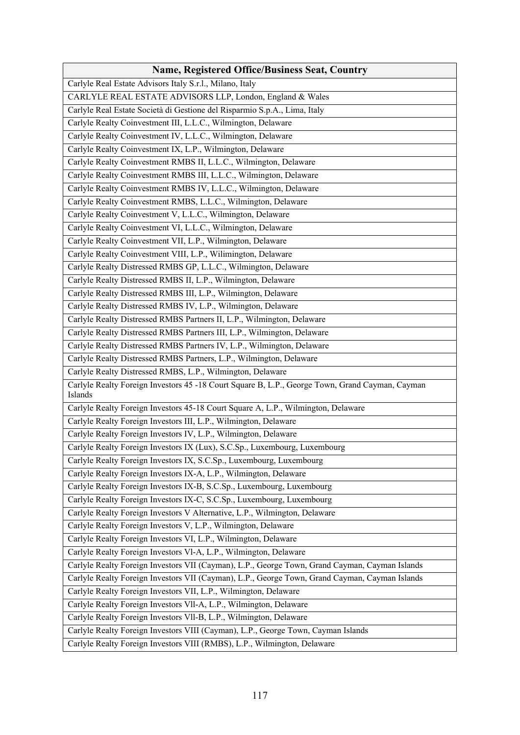| <b>Name, Registered Office/Business Seat, Country</b>                                                      |
|------------------------------------------------------------------------------------------------------------|
| Carlyle Real Estate Advisors Italy S.r.l., Milano, Italy                                                   |
| CARLYLE REAL ESTATE ADVISORS LLP, London, England & Wales                                                  |
| Carlyle Real Estate Società di Gestione del Risparmio S.p.A., Lima, Italy                                  |
| Carlyle Realty Coinvestment III, L.L.C., Wilmington, Delaware                                              |
| Carlyle Realty Coinvestment IV, L.L.C., Wilmington, Delaware                                               |
| Carlyle Realty Coinvestment IX, L.P., Wilmington, Delaware                                                 |
| Carlyle Realty Coinvestment RMBS II, L.L.C., Wilmington, Delaware                                          |
| Carlyle Realty Coinvestment RMBS III, L.L.C., Wilmington, Delaware                                         |
| Carlyle Realty Coinvestment RMBS IV, L.L.C., Wilmington, Delaware                                          |
| Carlyle Realty Coinvestment RMBS, L.L.C., Wilmington, Delaware                                             |
| Carlyle Realty Coinvestment V, L.L.C., Wilmington, Delaware                                                |
| Carlyle Realty Coinvestment VI, L.L.C., Wilmington, Delaware                                               |
| Carlyle Realty Coinvestment VII, L.P., Wilmington, Delaware                                                |
| Carlyle Realty Coinvestment VIII, L.P., Wilimington, Delaware                                              |
| Carlyle Realty Distressed RMBS GP, L.L.C., Wilmington, Delaware                                            |
| Carlyle Realty Distressed RMBS II, L.P., Wilmington, Delaware                                              |
| Carlyle Realty Distressed RMBS III, L.P., Wilmington, Delaware                                             |
| Carlyle Realty Distressed RMBS IV, L.P., Wilmington, Delaware                                              |
| Carlyle Realty Distressed RMBS Partners II, L.P., Wilmington, Delaware                                     |
| Carlyle Realty Distressed RMBS Partners III, L.P., Wilmington, Delaware                                    |
| Carlyle Realty Distressed RMBS Partners IV, L.P., Wilmington, Delaware                                     |
| Carlyle Realty Distressed RMBS Partners, L.P., Wilmington, Delaware                                        |
| Carlyle Realty Distressed RMBS, L.P., Wilmington, Delaware                                                 |
| Carlyle Realty Foreign Investors 45 -18 Court Square B, L.P., George Town, Grand Cayman, Cayman<br>Islands |
| Carlyle Realty Foreign Investors 45-18 Court Square A, L.P., Wilmington, Delaware                          |
| Carlyle Realty Foreign Investors III, L.P., Wilmington, Delaware                                           |
| Carlyle Realty Foreign Investors IV, L.P., Wilmington, Delaware                                            |
| Carlyle Realty Foreign Investors IX (Lux), S.C.Sp., Luxembourg, Luxembourg                                 |
| Carlyle Realty Foreign Investors IX, S.C.Sp., Luxembourg, Luxembourg                                       |
| Carlyle Realty Foreign Investors IX-A, L.P., Wilmington, Delaware                                          |
| Carlyle Realty Foreign Investors IX-B, S.C.Sp., Luxembourg, Luxembourg                                     |
| Carlyle Realty Foreign Investors IX-C, S.C.Sp., Luxembourg, Luxembourg                                     |
| Carlyle Realty Foreign Investors V Alternative, L.P., Wilmington, Delaware                                 |
| Carlyle Realty Foreign Investors V, L.P., Wilmington, Delaware                                             |
| Carlyle Realty Foreign Investors VI, L.P., Wilmington, Delaware                                            |
| Carlyle Realty Foreign Investors Vl-A, L.P., Wilmington, Delaware                                          |
| Carlyle Realty Foreign Investors VII (Cayman), L.P., George Town, Grand Cayman, Cayman Islands             |
| Carlyle Realty Foreign Investors VII (Cayman), L.P., George Town, Grand Cayman, Cayman Islands             |
| Carlyle Realty Foreign Investors VII, L.P., Wilmington, Delaware                                           |
| Carlyle Realty Foreign Investors VII-A, L.P., Wilmington, Delaware                                         |
| Carlyle Realty Foreign Investors VII-B, L.P., Wilmington, Delaware                                         |
| Carlyle Realty Foreign Investors VIII (Cayman), L.P., George Town, Cayman Islands                          |
| Carlyle Realty Foreign Investors VIII (RMBS), L.P., Wilmington, Delaware                                   |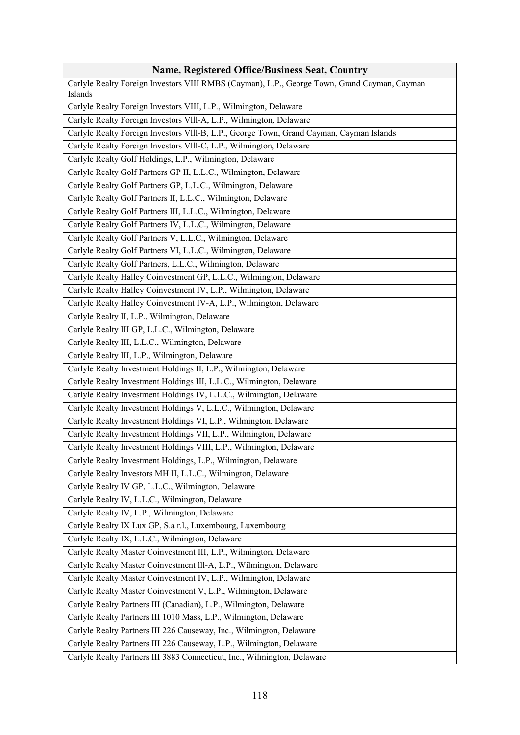| <b>Name, Registered Office/Business Seat, Country</b>                                                   |
|---------------------------------------------------------------------------------------------------------|
| Carlyle Realty Foreign Investors VIII RMBS (Cayman), L.P., George Town, Grand Cayman, Cayman<br>Islands |
| Carlyle Realty Foreign Investors VIII, L.P., Wilmington, Delaware                                       |
| Carlyle Realty Foreign Investors VIII-A, L.P., Wilmington, Delaware                                     |
| Carlyle Realty Foreign Investors VIII-B, L.P., George Town, Grand Cayman, Cayman Islands                |
| Carlyle Realty Foreign Investors VIII-C, L.P., Wilmington, Delaware                                     |
| Carlyle Realty Golf Holdings, L.P., Wilmington, Delaware                                                |
| Carlyle Realty Golf Partners GP II, L.L.C., Wilmington, Delaware                                        |
| Carlyle Realty Golf Partners GP, L.L.C., Wilmington, Delaware                                           |
| Carlyle Realty Golf Partners II, L.L.C., Wilmington, Delaware                                           |
| Carlyle Realty Golf Partners III, L.L.C., Wilmington, Delaware                                          |
| Carlyle Realty Golf Partners IV, L.L.C., Wilmington, Delaware                                           |
| Carlyle Realty Golf Partners V, L.L.C., Wilmington, Delaware                                            |
| Carlyle Realty Golf Partners VI, L.L.C., Wilmington, Delaware                                           |
| Carlyle Realty Golf Partners, L.L.C., Wilmington, Delaware                                              |
| Carlyle Realty Halley Coinvestment GP, L.L.C., Wilmington, Delaware                                     |
| Carlyle Realty Halley Coinvestment IV, L.P., Wilmington, Delaware                                       |
| Carlyle Realty Halley Coinvestment IV-A, L.P., Wilmington, Delaware                                     |
| Carlyle Realty II, L.P., Wilmington, Delaware                                                           |
| Carlyle Realty III GP, L.L.C., Wilmington, Delaware                                                     |
| Carlyle Realty III, L.L.C., Wilmington, Delaware                                                        |
| Carlyle Realty III, L.P., Wilmington, Delaware                                                          |
| Carlyle Realty Investment Holdings II, L.P., Wilmington, Delaware                                       |
| Carlyle Realty Investment Holdings III, L.L.C., Wilmington, Delaware                                    |
| Carlyle Realty Investment Holdings IV, L.L.C., Wilmington, Delaware                                     |
| Carlyle Realty Investment Holdings V, L.L.C., Wilmington, Delaware                                      |
| Carlyle Realty Investment Holdings VI, L.P., Wilmington, Delaware                                       |
| Carlyle Realty Investment Holdings VII, L.P., Wilmington, Delaware                                      |
| Carlyle Realty Investment Holdings VIII, L.P., Wilmington, Delaware                                     |
| Carlyle Realty Investment Holdings, L.P., Wilmington, Delaware                                          |
| Carlyle Realty Investors MH II, L.L.C., Wilmington, Delaware                                            |
| Carlyle Realty IV GP, L.L.C., Wilmington, Delaware                                                      |
| Carlyle Realty IV, L.L.C., Wilmington, Delaware                                                         |
| Carlyle Realty IV, L.P., Wilmington, Delaware                                                           |
| Carlyle Realty IX Lux GP, S.a r.l., Luxembourg, Luxembourg                                              |
| Carlyle Realty IX, L.L.C., Wilmington, Delaware                                                         |
| Carlyle Realty Master Coinvestment III, L.P., Wilmington, Delaware                                      |
| Carlyle Realty Master Coinvestment III-A, L.P., Wilmington, Delaware                                    |
| Carlyle Realty Master Coinvestment IV, L.P., Wilmington, Delaware                                       |
| Carlyle Realty Master Coinvestment V, L.P., Wilmington, Delaware                                        |
| Carlyle Realty Partners III (Canadian), L.P., Wilmington, Delaware                                      |
| Carlyle Realty Partners III 1010 Mass, L.P., Wilmington, Delaware                                       |
| Carlyle Realty Partners III 226 Causeway, Inc., Wilmington, Delaware                                    |
| Carlyle Realty Partners III 226 Causeway, L.P., Wilmington, Delaware                                    |
| Carlyle Realty Partners III 3883 Connecticut, Inc., Wilmington, Delaware                                |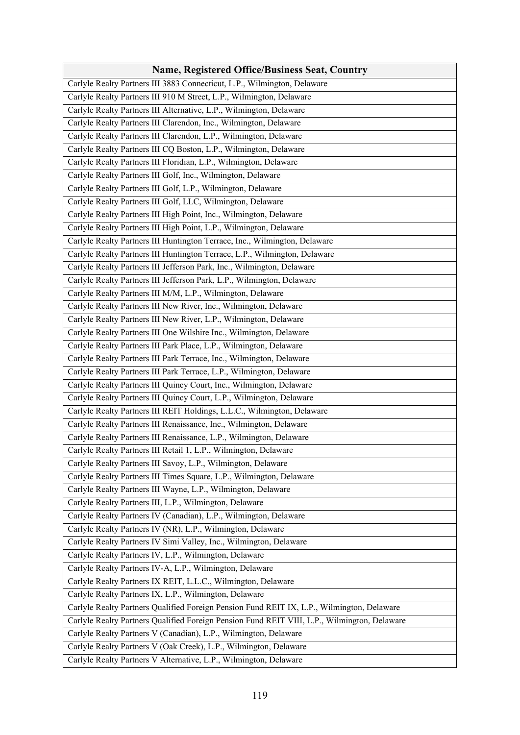| <b>Name, Registered Office/Business Seat, Country</b>                                        |
|----------------------------------------------------------------------------------------------|
| Carlyle Realty Partners III 3883 Connecticut, L.P., Wilmington, Delaware                     |
| Carlyle Realty Partners III 910 M Street, L.P., Wilmington, Delaware                         |
| Carlyle Realty Partners III Alternative, L.P., Wilmington, Delaware                          |
| Carlyle Realty Partners III Clarendon, Inc., Wilmington, Delaware                            |
| Carlyle Realty Partners III Clarendon, L.P., Wilmington, Delaware                            |
| Carlyle Realty Partners III CQ Boston, L.P., Wilmington, Delaware                            |
| Carlyle Realty Partners III Floridian, L.P., Wilmington, Delaware                            |
| Carlyle Realty Partners III Golf, Inc., Wilmington, Delaware                                 |
| Carlyle Realty Partners III Golf, L.P., Wilmington, Delaware                                 |
| Carlyle Realty Partners III Golf, LLC, Wilmington, Delaware                                  |
| Carlyle Realty Partners III High Point, Inc., Wilmington, Delaware                           |
| Carlyle Realty Partners III High Point, L.P., Wilmington, Delaware                           |
| Carlyle Realty Partners III Huntington Terrace, Inc., Wilmington, Delaware                   |
| Carlyle Realty Partners III Huntington Terrace, L.P., Wilmington, Delaware                   |
| Carlyle Realty Partners III Jefferson Park, Inc., Wilmington, Delaware                       |
| Carlyle Realty Partners III Jefferson Park, L.P., Wilmington, Delaware                       |
| Carlyle Realty Partners III M/M, L.P., Wilmington, Delaware                                  |
| Carlyle Realty Partners III New River, Inc., Wilmington, Delaware                            |
| Carlyle Realty Partners III New River, L.P., Wilmington, Delaware                            |
| Carlyle Realty Partners III One Wilshire Inc., Wilmington, Delaware                          |
| Carlyle Realty Partners III Park Place, L.P., Wilmington, Delaware                           |
| Carlyle Realty Partners III Park Terrace, Inc., Wilmington, Delaware                         |
| Carlyle Realty Partners III Park Terrace, L.P., Wilmington, Delaware                         |
| Carlyle Realty Partners III Quincy Court, Inc., Wilmington, Delaware                         |
| Carlyle Realty Partners III Quincy Court, L.P., Wilmington, Delaware                         |
| Carlyle Realty Partners III REIT Holdings, L.L.C., Wilmington, Delaware                      |
|                                                                                              |
| Carlyle Realty Partners III Renaissance, Inc., Wilmington, Delaware                          |
| Carlyle Realty Partners III Renaissance, L.P., Wilmington, Delaware                          |
| Carlyle Realty Partners III Retail 1, L.P., Wilmington, Delaware                             |
| Carlyle Realty Partners III Savoy, L.P., Wilmington, Delaware                                |
| Carlyle Realty Partners III Times Square, L.P., Wilmington, Delaware                         |
| Carlyle Realty Partners III Wayne, L.P., Wilmington, Delaware                                |
| Carlyle Realty Partners III, L.P., Wilmington, Delaware                                      |
| Carlyle Realty Partners IV (Canadian), L.P., Wilmington, Delaware                            |
| Carlyle Realty Partners IV (NR), L.P., Wilmington, Delaware                                  |
| Carlyle Realty Partners IV Simi Valley, Inc., Wilmington, Delaware                           |
| Carlyle Realty Partners IV, L.P., Wilmington, Delaware                                       |
| Carlyle Realty Partners IV-A, L.P., Wilmington, Delaware                                     |
| Carlyle Realty Partners IX REIT, L.L.C., Wilmington, Delaware                                |
| Carlyle Realty Partners IX, L.P., Wilmington, Delaware                                       |
| Carlyle Realty Partners Qualified Foreign Pension Fund REIT IX, L.P., Wilmington, Delaware   |
| Carlyle Realty Partners Qualified Foreign Pension Fund REIT VIII, L.P., Wilmington, Delaware |
| Carlyle Realty Partners V (Canadian), L.P., Wilmington, Delaware                             |
| Carlyle Realty Partners V (Oak Creek), L.P., Wilmington, Delaware                            |
| Carlyle Realty Partners V Alternative, L.P., Wilmington, Delaware                            |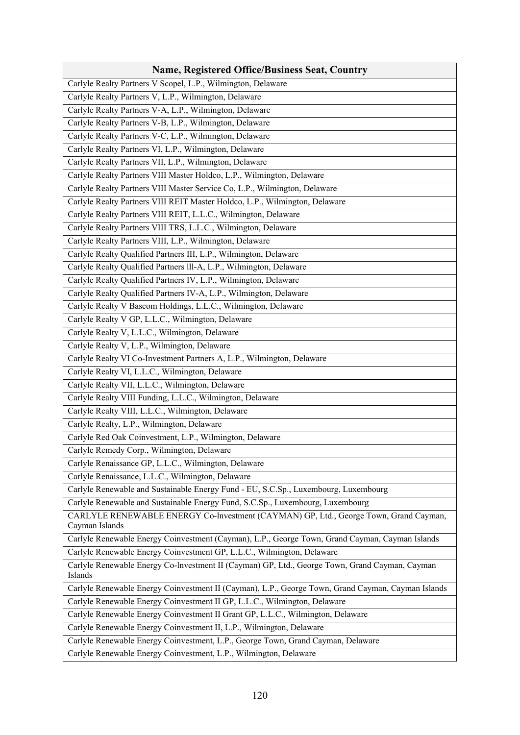| <b>Name, Registered Office/Business Seat, Country</b>                                                     |
|-----------------------------------------------------------------------------------------------------------|
| Carlyle Realty Partners V Scopel, L.P., Wilmington, Delaware                                              |
| Carlyle Realty Partners V, L.P., Wilmington, Delaware                                                     |
| Carlyle Realty Partners V-A, L.P., Wilmington, Delaware                                                   |
| Carlyle Realty Partners V-B, L.P., Wilmington, Delaware                                                   |
| Carlyle Realty Partners V-C, L.P., Wilmington, Delaware                                                   |
| Carlyle Realty Partners VI, L.P., Wilmington, Delaware                                                    |
| Carlyle Realty Partners VII, L.P., Wilmington, Delaware                                                   |
| Carlyle Realty Partners VIII Master Holdco, L.P., Wilmington, Delaware                                    |
| Carlyle Realty Partners VIII Master Service Co, L.P., Wilmington, Delaware                                |
| Carlyle Realty Partners VIII REIT Master Holdco, L.P., Wilmington, Delaware                               |
| Carlyle Realty Partners VIII REIT, L.L.C., Wilmington, Delaware                                           |
| Carlyle Realty Partners VIII TRS, L.L.C., Wilmington, Delaware                                            |
| Carlyle Realty Partners VIII, L.P., Wilmington, Delaware                                                  |
| Carlyle Realty Qualified Partners III, L.P., Wilmington, Delaware                                         |
| Carlyle Realty Qualified Partners III-A, L.P., Wilmington, Delaware                                       |
| Carlyle Realty Qualified Partners IV, L.P., Wilmington, Delaware                                          |
| Carlyle Realty Qualified Partners IV-A, L.P., Wilmington, Delaware                                        |
| Carlyle Realty V Bascom Holdings, L.L.C., Wilmington, Delaware                                            |
| Carlyle Realty V GP, L.L.C., Wilmington, Delaware                                                         |
| Carlyle Realty V, L.L.C., Wilmington, Delaware                                                            |
| Carlyle Realty V, L.P., Wilmington, Delaware                                                              |
| Carlyle Realty VI Co-Investment Partners A, L.P., Wilmington, Delaware                                    |
| Carlyle Realty VI, L.L.C., Wilmington, Delaware                                                           |
| Carlyle Realty VII, L.L.C., Wilmington, Delaware                                                          |
| Carlyle Realty VIII Funding, L.L.C., Wilmington, Delaware                                                 |
| Carlyle Realty VIII, L.L.C., Wilmington, Delaware                                                         |
| Carlyle Realty, L.P., Wilmington, Delaware                                                                |
| Carlyle Red Oak Coinvestment, L.P., Wilmington, Delaware                                                  |
| Carlyle Remedy Corp., Wilmington, Delaware                                                                |
| Carlyle Renaissance GP, L.L.C., Wilmington, Delaware                                                      |
| Carlyle Renaissance, L.L.C., Wilmington, Delaware                                                         |
| Carlyle Renewable and Sustainable Energy Fund - EU, S.C.Sp., Luxembourg, Luxembourg                       |
| Carlyle Renewable and Sustainable Energy Fund, S.C.Sp., Luxembourg, Luxembourg                            |
| CARLYLE RENEWABLE ENERGY Co-lnvestment (CAYMAN) GP, Ltd., George Town, Grand Cayman,<br>Cayman Islands    |
| Carlyle Renewable Energy Coinvestment (Cayman), L.P., George Town, Grand Cayman, Cayman Islands           |
| Carlyle Renewable Energy Coinvestment GP, L.L.C., Wilmington, Delaware                                    |
| Carlyle Renewable Energy Co-lnvestment II (Cayman) GP, Ltd., George Town, Grand Cayman, Cayman<br>Islands |
| Carlyle Renewable Energy Coinvestment II (Cayman), L.P., George Town, Grand Cayman, Cayman Islands        |
| Carlyle Renewable Energy Coinvestment II GP, L.L.C., Wilmington, Delaware                                 |
| Carlyle Renewable Energy Coinvestment II Grant GP, L.L.C., Wilmington, Delaware                           |
| Carlyle Renewable Energy Coinvestment II, L.P., Wilmington, Delaware                                      |
| Carlyle Renewable Energy Coinvestment, L.P., George Town, Grand Cayman, Delaware                          |
| Carlyle Renewable Energy Coinvestment, L.P., Wilmington, Delaware                                         |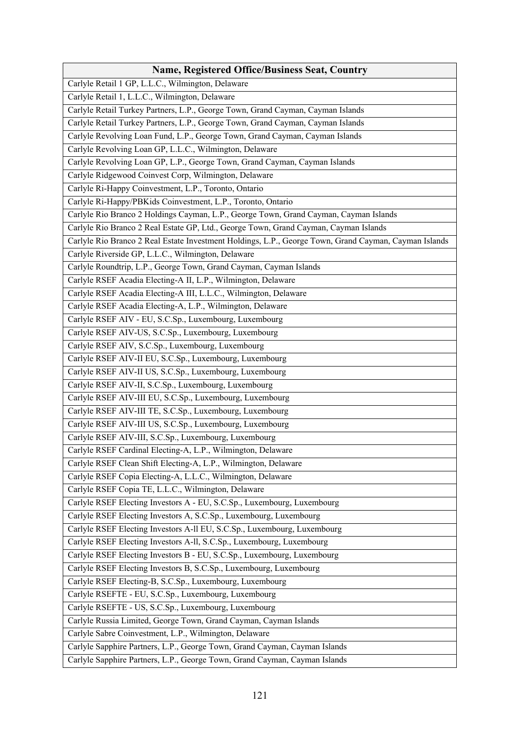| <b>Name, Registered Office/Business Seat, Country</b>                                                 |
|-------------------------------------------------------------------------------------------------------|
| Carlyle Retail 1 GP, L.L.C., Wilmington, Delaware                                                     |
| Carlyle Retail 1, L.L.C., Wilmington, Delaware                                                        |
| Carlyle Retail Turkey Partners, L.P., George Town, Grand Cayman, Cayman Islands                       |
| Carlyle Retail Turkey Partners, L.P., George Town, Grand Cayman, Cayman Islands                       |
| Carlyle Revolving Loan Fund, L.P., George Town, Grand Cayman, Cayman Islands                          |
| Carlyle Revolving Loan GP, L.L.C., Wilmington, Delaware                                               |
| Carlyle Revolving Loan GP, L.P., George Town, Grand Cayman, Cayman Islands                            |
| Carlyle Ridgewood Coinvest Corp, Wilmington, Delaware                                                 |
| Carlyle Ri-Happy Coinvestment, L.P., Toronto, Ontario                                                 |
| Carlyle Ri-Happy/PBKids Coinvestment, L.P., Toronto, Ontario                                          |
| Carlyle Rio Branco 2 Holdings Cayman, L.P., George Town, Grand Cayman, Cayman Islands                 |
| Carlyle Rio Branco 2 Real Estate GP, Ltd., George Town, Grand Cayman, Cayman Islands                  |
| Carlyle Rio Branco 2 Real Estate Investment Holdings, L.P., George Town, Grand Cayman, Cayman Islands |
| Carlyle Riverside GP, L.L.C., Wilmington, Delaware                                                    |
| Carlyle Roundtrip, L.P., George Town, Grand Cayman, Cayman Islands                                    |
| Carlyle RSEF Acadia Electing-A II, L.P., Wilmington, Delaware                                         |
| Carlyle RSEF Acadia Electing-A III, L.L.C., Wilmington, Delaware                                      |
| Carlyle RSEF Acadia Electing-A, L.P., Wilmington, Delaware                                            |
| Carlyle RSEF AIV - EU, S.C.Sp., Luxembourg, Luxembourg                                                |
| Carlyle RSEF AIV-US, S.C.Sp., Luxembourg, Luxembourg                                                  |
| Carlyle RSEF AIV, S.C.Sp., Luxembourg, Luxembourg                                                     |
| Carlyle RSEF AIV-II EU, S.C.Sp., Luxembourg, Luxembourg                                               |
| Carlyle RSEF AIV-II US, S.C.Sp., Luxembourg, Luxembourg                                               |
| Carlyle RSEF AIV-II, S.C.Sp., Luxembourg, Luxembourg                                                  |
| Carlyle RSEF AIV-III EU, S.C.Sp., Luxembourg, Luxembourg                                              |
| Carlyle RSEF AIV-III TE, S.C.Sp., Luxembourg, Luxembourg                                              |
| Carlyle RSEF AIV-III US, S.C.Sp., Luxembourg, Luxembourg                                              |
| Carlyle RSEF AIV-III, S.C.Sp., Luxembourg, Luxembourg                                                 |
| Carlyle RSEF Cardinal Electing-A, L.P., Wilmington, Delaware                                          |
| Carlyle RSEF Clean Shift Electing-A, L.P., Wilmington, Delaware                                       |
| Carlyle RSEF Copia Electing-A, L.L.C., Wilmington, Delaware                                           |
| Carlyle RSEF Copia TE, L.L.C., Wilmington, Delaware                                                   |
| Carlyle RSEF Electing Investors A - EU, S.C.Sp., Luxembourg, Luxembourg                               |
| Carlyle RSEF Electing Investors A, S.C.Sp., Luxembourg, Luxembourg                                    |
| Carlyle RSEF Electing Investors A-Il EU, S.C.Sp., Luxembourg, Luxembourg                              |
| Carlyle RSEF Electing Investors A-Il, S.C.Sp., Luxembourg, Luxembourg                                 |
| Carlyle RSEF Electing Investors B - EU, S.C.Sp., Luxembourg, Luxembourg                               |
| Carlyle RSEF Electing Investors B, S.C.Sp., Luxembourg, Luxembourg                                    |
| Carlyle RSEF Electing-B, S.C.Sp., Luxembourg, Luxembourg                                              |
| Carlyle RSEFTE - EU, S.C.Sp., Luxembourg, Luxembourg                                                  |
| Carlyle RSEFTE - US, S.C.Sp., Luxembourg, Luxembourg                                                  |
| Carlyle Russia Limited, George Town, Grand Cayman, Cayman Islands                                     |
| Carlyle Sabre Coinvestment, L.P., Wilmington, Delaware                                                |
| Carlyle Sapphire Partners, L.P., George Town, Grand Cayman, Cayman Islands                            |
| Carlyle Sapphire Partners, L.P., George Town, Grand Cayman, Cayman Islands                            |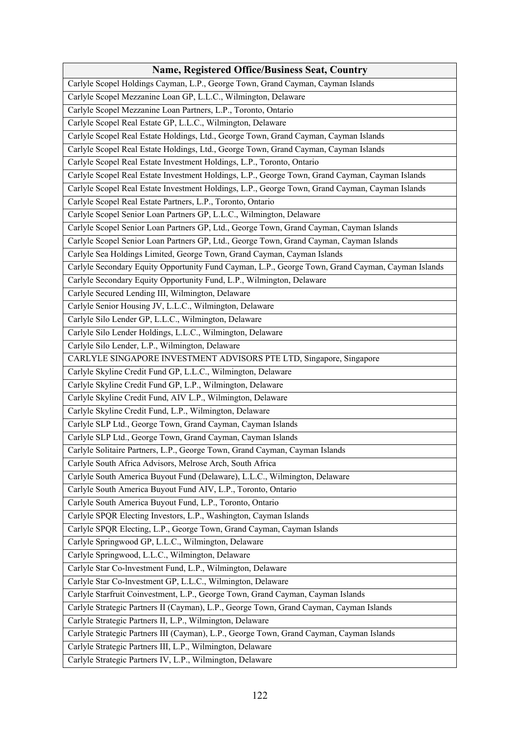| <b>Name, Registered Office/Business Seat, Country</b>                                             |
|---------------------------------------------------------------------------------------------------|
| Carlyle Scopel Holdings Cayman, L.P., George Town, Grand Cayman, Cayman Islands                   |
| Carlyle Scopel Mezzanine Loan GP, L.L.C., Wilmington, Delaware                                    |
| Carlyle Scopel Mezzanine Loan Partners, L.P., Toronto, Ontario                                    |
| Carlyle Scopel Real Estate GP, L.L.C., Wilmington, Delaware                                       |
| Carlyle Scopel Real Estate Holdings, Ltd., George Town, Grand Cayman, Cayman Islands              |
| Carlyle Scopel Real Estate Holdings, Ltd., George Town, Grand Cayman, Cayman Islands              |
| Carlyle Scopel Real Estate Investment Holdings, L.P., Toronto, Ontario                            |
| Carlyle Scopel Real Estate Investment Holdings, L.P., George Town, Grand Cayman, Cayman Islands   |
| Carlyle Scopel Real Estate Investment Holdings, L.P., George Town, Grand Cayman, Cayman Islands   |
| Carlyle Scopel Real Estate Partners, L.P., Toronto, Ontario                                       |
| Carlyle Scopel Senior Loan Partners GP, L.L.C., Wilmington, Delaware                              |
| Carlyle Scopel Senior Loan Partners GP, Ltd., George Town, Grand Cayman, Cayman Islands           |
| Carlyle Scopel Senior Loan Partners GP, Ltd., George Town, Grand Cayman, Cayman Islands           |
| Carlyle Sea Holdings Limited, George Town, Grand Cayman, Cayman Islands                           |
| Carlyle Secondary Equity Opportunity Fund Cayman, L.P., George Town, Grand Cayman, Cayman Islands |
| Carlyle Secondary Equity Opportunity Fund, L.P., Wilmington, Delaware                             |
| Carlyle Secured Lending III, Wilmington, Delaware                                                 |
| Carlyle Senior Housing JV, L.L.C., Wilmington, Delaware                                           |
| Carlyle Silo Lender GP, L.L.C., Wilmington, Delaware                                              |
| Carlyle Silo Lender Holdings, L.L.C., Wilmington, Delaware                                        |
| Carlyle Silo Lender, L.P., Wilmington, Delaware                                                   |
| CARLYLE SINGAPORE INVESTMENT ADVISORS PTE LTD, Singapore, Singapore                               |
| Carlyle Skyline Credit Fund GP, L.L.C., Wilmington, Delaware                                      |
| Carlyle Skyline Credit Fund GP, L.P., Wilmington, Delaware                                        |
| Carlyle Skyline Credit Fund, AIV L.P., Wilmington, Delaware                                       |
| Carlyle Skyline Credit Fund, L.P., Wilmington, Delaware                                           |
| Carlyle SLP Ltd., George Town, Grand Cayman, Cayman Islands                                       |
| Carlyle SLP Ltd., George Town, Grand Cayman, Cayman Islands                                       |
| Carlyle Solitaire Partners, L.P., George Town, Grand Cayman, Cayman Islands                       |
| Carlyle South Africa Advisors, Melrose Arch, South Africa                                         |
| Carlyle South America Buyout Fund (Delaware), L.L.C., Wilmington, Delaware                        |
| Carlyle South America Buyout Fund AIV, L.P., Toronto, Ontario                                     |
| Carlyle South America Buyout Fund, L.P., Toronto, Ontario                                         |
| Carlyle SPQR Electing Investors, L.P., Washington, Cayman Islands                                 |
| Carlyle SPQR Electing, L.P., George Town, Grand Cayman, Cayman Islands                            |
| Carlyle Springwood GP, L.L.C., Wilmington, Delaware                                               |
| Carlyle Springwood, L.L.C., Wilmington, Delaware                                                  |
| Carlyle Star Co-lnvestment Fund, L.P., Wilmington, Delaware                                       |
| Carlyle Star Co-lnvestment GP, L.L.C., Wilmington, Delaware                                       |
| Carlyle Starfruit Coinvestment, L.P., George Town, Grand Cayman, Cayman Islands                   |
| Carlyle Strategic Partners II (Cayman), L.P., George Town, Grand Cayman, Cayman Islands           |
| Carlyle Strategic Partners II, L.P., Wilmington, Delaware                                         |
| Carlyle Strategic Partners III (Cayman), L.P., George Town, Grand Cayman, Cayman Islands          |
| Carlyle Strategic Partners III, L.P., Wilmington, Delaware                                        |
| Carlyle Strategic Partners IV, L.P., Wilmington, Delaware                                         |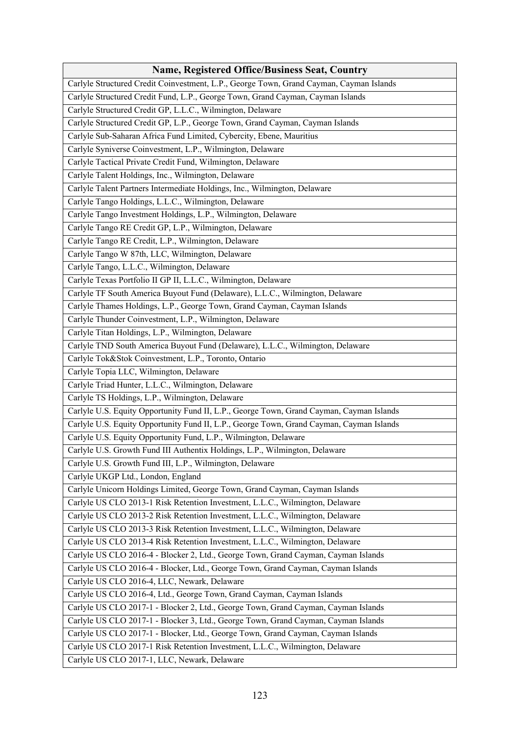| <b>Name, Registered Office/Business Seat, Country</b>                                    |
|------------------------------------------------------------------------------------------|
| Carlyle Structured Credit Coinvestment, L.P., George Town, Grand Cayman, Cayman Islands  |
| Carlyle Structured Credit Fund, L.P., George Town, Grand Cayman, Cayman Islands          |
| Carlyle Structured Credit GP, L.L.C., Wilmington, Delaware                               |
| Carlyle Structured Credit GP, L.P., George Town, Grand Cayman, Cayman Islands            |
| Carlyle Sub-Saharan Africa Fund Limited, Cybercity, Ebene, Mauritius                     |
| Carlyle Syniverse Coinvestment, L.P., Wilmington, Delaware                               |
| Carlyle Tactical Private Credit Fund, Wilmington, Delaware                               |
| Carlyle Talent Holdings, Inc., Wilmington, Delaware                                      |
| Carlyle Talent Partners Intermediate Holdings, Inc., Wilmington, Delaware                |
| Carlyle Tango Holdings, L.L.C., Wilmington, Delaware                                     |
| Carlyle Tango Investment Holdings, L.P., Wilmington, Delaware                            |
| Carlyle Tango RE Credit GP, L.P., Wilmington, Delaware                                   |
| Carlyle Tango RE Credit, L.P., Wilmington, Delaware                                      |
| Carlyle Tango W 87th, LLC, Wilmington, Delaware                                          |
| Carlyle Tango, L.L.C., Wilmington, Delaware                                              |
| Carlyle Texas Portfolio II GP II, L.L.C., Wilmington, Delaware                           |
| Carlyle TF South America Buyout Fund (Delaware), L.L.C., Wilmington, Delaware            |
| Carlyle Thames Holdings, L.P., George Town, Grand Cayman, Cayman Islands                 |
| Carlyle Thunder Coinvestment, L.P., Wilmington, Delaware                                 |
| Carlyle Titan Holdings, L.P., Wilmington, Delaware                                       |
| Carlyle TND South America Buyout Fund (Delaware), L.L.C., Wilmington, Delaware           |
| Carlyle Tok&Stok Coinvestment, L.P., Toronto, Ontario                                    |
| Carlyle Topia LLC, Wilmington, Delaware                                                  |
| Carlyle Triad Hunter, L.L.C., Wilmington, Delaware                                       |
| Carlyle TS Holdings, L.P., Wilmington, Delaware                                          |
| Carlyle U.S. Equity Opportunity Fund II, L.P., George Town, Grand Cayman, Cayman Islands |
| Carlyle U.S. Equity Opportunity Fund II, L.P., George Town, Grand Cayman, Cayman Islands |
| Carlyle U.S. Equity Opportunity Fund, L.P., Wilmington, Delaware                         |
| Carlyle U.S. Growth Fund III Authentix Holdings, L.P., Wilmington, Delaware              |
| Carlyle U.S. Growth Fund III, L.P., Wilmington, Delaware                                 |
| Carlyle UKGP Ltd., London, England                                                       |
| Carlyle Unicorn Holdings Limited, George Town, Grand Cayman, Cayman Islands              |
| Carlyle US CLO 2013-1 Risk Retention Investment, L.L.C., Wilmington, Delaware            |
| Carlyle US CLO 2013-2 Risk Retention Investment, L.L.C., Wilmington, Delaware            |
| Carlyle US CLO 2013-3 Risk Retention Investment, L.L.C., Wilmington, Delaware            |
| Carlyle US CLO 2013-4 Risk Retention Investment, L.L.C., Wilmington, Delaware            |
| Carlyle US CLO 2016-4 - Blocker 2, Ltd., George Town, Grand Cayman, Cayman Islands       |
| Carlyle US CLO 2016-4 - Blocker, Ltd., George Town, Grand Cayman, Cayman Islands         |
| Carlyle US CLO 2016-4, LLC, Newark, Delaware                                             |
| Carlyle US CLO 2016-4, Ltd., George Town, Grand Cayman, Cayman Islands                   |
| Carlyle US CLO 2017-1 - Blocker 2, Ltd., George Town, Grand Cayman, Cayman Islands       |
| Carlyle US CLO 2017-1 - Blocker 3, Ltd., George Town, Grand Cayman, Cayman Islands       |
| Carlyle US CLO 2017-1 - Blocker, Ltd., George Town, Grand Cayman, Cayman Islands         |
| Carlyle US CLO 2017-1 Risk Retention Investment, L.L.C., Wilmington, Delaware            |
| Carlyle US CLO 2017-1, LLC, Newark, Delaware                                             |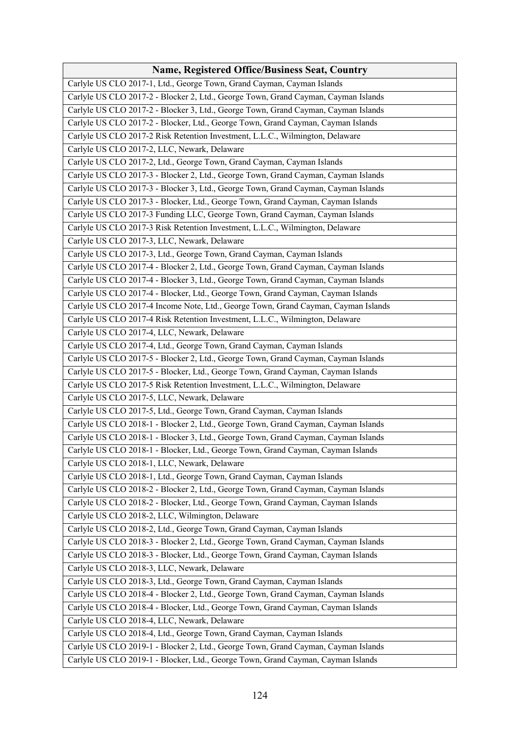| <b>Name, Registered Office/Business Seat, Country</b>                              |
|------------------------------------------------------------------------------------|
| Carlyle US CLO 2017-1, Ltd., George Town, Grand Cayman, Cayman Islands             |
| Carlyle US CLO 2017-2 - Blocker 2, Ltd., George Town, Grand Cayman, Cayman Islands |
| Carlyle US CLO 2017-2 - Blocker 3, Ltd., George Town, Grand Cayman, Cayman Islands |
| Carlyle US CLO 2017-2 - Blocker, Ltd., George Town, Grand Cayman, Cayman Islands   |
| Carlyle US CLO 2017-2 Risk Retention Investment, L.L.C., Wilmington, Delaware      |
| Carlyle US CLO 2017-2, LLC, Newark, Delaware                                       |
| Carlyle US CLO 2017-2, Ltd., George Town, Grand Cayman, Cayman Islands             |
| Carlyle US CLO 2017-3 - Blocker 2, Ltd., George Town, Grand Cayman, Cayman Islands |
| Carlyle US CLO 2017-3 - Blocker 3, Ltd., George Town, Grand Cayman, Cayman Islands |
| Carlyle US CLO 2017-3 - Blocker, Ltd., George Town, Grand Cayman, Cayman Islands   |
| Carlyle US CLO 2017-3 Funding LLC, George Town, Grand Cayman, Cayman Islands       |
| Carlyle US CLO 2017-3 Risk Retention Investment, L.L.C., Wilmington, Delaware      |
| Carlyle US CLO 2017-3, LLC, Newark, Delaware                                       |
| Carlyle US CLO 2017-3, Ltd., George Town, Grand Cayman, Cayman Islands             |
| Carlyle US CLO 2017-4 - Blocker 2, Ltd., George Town, Grand Cayman, Cayman Islands |
| Carlyle US CLO 2017-4 - Blocker 3, Ltd., George Town, Grand Cayman, Cayman Islands |
|                                                                                    |
| Carlyle US CLO 2017-4 - Blocker, Ltd., George Town, Grand Cayman, Cayman Islands   |
| Carlyle US CLO 2017-4 Income Note, Ltd., George Town, Grand Cayman, Cayman Islands |
| Carlyle US CLO 2017-4 Risk Retention Investment, L.L.C., Wilmington, Delaware      |
| Carlyle US CLO 2017-4, LLC, Newark, Delaware                                       |
| Carlyle US CLO 2017-4, Ltd., George Town, Grand Cayman, Cayman Islands             |
| Carlyle US CLO 2017-5 - Blocker 2, Ltd., George Town, Grand Cayman, Cayman Islands |
| Carlyle US CLO 2017-5 - Blocker, Ltd., George Town, Grand Cayman, Cayman Islands   |
| Carlyle US CLO 2017-5 Risk Retention Investment, L.L.C., Wilmington, Delaware      |
| Carlyle US CLO 2017-5, LLC, Newark, Delaware                                       |
| Carlyle US CLO 2017-5, Ltd., George Town, Grand Cayman, Cayman Islands             |
| Carlyle US CLO 2018-1 - Blocker 2, Ltd., George Town, Grand Cayman, Cayman Islands |
| Carlyle US CLO 2018-1 - Blocker 3, Ltd., George Town, Grand Cayman, Cayman Islands |
| Carlyle US CLO 2018-1 - Blocker, Ltd., George Town, Grand Cayman, Cayman Islands   |
| Carlyle US CLO 2018-1, LLC, Newark, Delaware                                       |
| Carlyle US CLO 2018-1, Ltd., George Town, Grand Cayman, Cayman Islands             |
| Carlyle US CLO 2018-2 - Blocker 2, Ltd., George Town, Grand Cayman, Cayman Islands |
| Carlyle US CLO 2018-2 - Blocker, Ltd., George Town, Grand Cayman, Cayman Islands   |
| Carlyle US CLO 2018-2, LLC, Wilmington, Delaware                                   |
| Carlyle US CLO 2018-2, Ltd., George Town, Grand Cayman, Cayman Islands             |
| Carlyle US CLO 2018-3 - Blocker 2, Ltd., George Town, Grand Cayman, Cayman Islands |
| Carlyle US CLO 2018-3 - Blocker, Ltd., George Town, Grand Cayman, Cayman Islands   |
| Carlyle US CLO 2018-3, LLC, Newark, Delaware                                       |
| Carlyle US CLO 2018-3, Ltd., George Town, Grand Cayman, Cayman Islands             |
| Carlyle US CLO 2018-4 - Blocker 2, Ltd., George Town, Grand Cayman, Cayman Islands |
| Carlyle US CLO 2018-4 - Blocker, Ltd., George Town, Grand Cayman, Cayman Islands   |
| Carlyle US CLO 2018-4, LLC, Newark, Delaware                                       |
| Carlyle US CLO 2018-4, Ltd., George Town, Grand Cayman, Cayman Islands             |
| Carlyle US CLO 2019-1 - Blocker 2, Ltd., George Town, Grand Cayman, Cayman Islands |
| Carlyle US CLO 2019-1 - Blocker, Ltd., George Town, Grand Cayman, Cayman Islands   |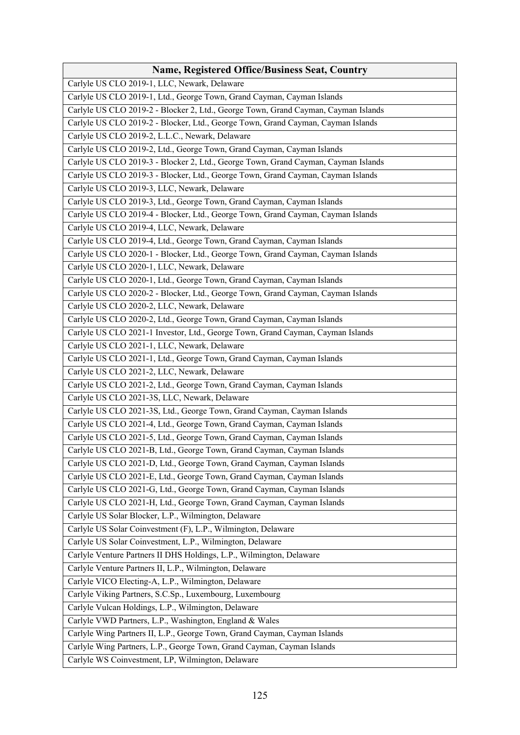| Carlyle US CLO 2019-1, LLC, Newark, Delaware                                       |
|------------------------------------------------------------------------------------|
| Carlyle US CLO 2019-1, Ltd., George Town, Grand Cayman, Cayman Islands             |
| Carlyle US CLO 2019-2 - Blocker 2, Ltd., George Town, Grand Cayman, Cayman Islands |
| Carlyle US CLO 2019-2 - Blocker, Ltd., George Town, Grand Cayman, Cayman Islands   |
| Carlyle US CLO 2019-2, L.L.C., Newark, Delaware                                    |
| Carlyle US CLO 2019-2, Ltd., George Town, Grand Cayman, Cayman Islands             |
| Carlyle US CLO 2019-3 - Blocker 2, Ltd., George Town, Grand Cayman, Cayman Islands |
| Carlyle US CLO 2019-3 - Blocker, Ltd., George Town, Grand Cayman, Cayman Islands   |
| Carlyle US CLO 2019-3, LLC, Newark, Delaware                                       |
| Carlyle US CLO 2019-3, Ltd., George Town, Grand Cayman, Cayman Islands             |
| Carlyle US CLO 2019-4 - Blocker, Ltd., George Town, Grand Cayman, Cayman Islands   |
| Carlyle US CLO 2019-4, LLC, Newark, Delaware                                       |
| Carlyle US CLO 2019-4, Ltd., George Town, Grand Cayman, Cayman Islands             |
| Carlyle US CLO 2020-1 - Blocker, Ltd., George Town, Grand Cayman, Cayman Islands   |
| Carlyle US CLO 2020-1, LLC, Newark, Delaware                                       |
| Carlyle US CLO 2020-1, Ltd., George Town, Grand Cayman, Cayman Islands             |
| Carlyle US CLO 2020-2 - Blocker, Ltd., George Town, Grand Cayman, Cayman Islands   |
| Carlyle US CLO 2020-2, LLC, Newark, Delaware                                       |
| Carlyle US CLO 2020-2, Ltd., George Town, Grand Cayman, Cayman Islands             |
| Carlyle US CLO 2021-1 Investor, Ltd., George Town, Grand Cayman, Cayman Islands    |
| Carlyle US CLO 2021-1, LLC, Newark, Delaware                                       |
| Carlyle US CLO 2021-1, Ltd., George Town, Grand Cayman, Cayman Islands             |
| Carlyle US CLO 2021-2, LLC, Newark, Delaware                                       |
| Carlyle US CLO 2021-2, Ltd., George Town, Grand Cayman, Cayman Islands             |
| Carlyle US CLO 2021-3S, LLC, Newark, Delaware                                      |
| Carlyle US CLO 2021-3S, Ltd., George Town, Grand Cayman, Cayman Islands            |
| Carlyle US CLO 2021-4, Ltd., George Town, Grand Cayman, Cayman Islands             |
| Carlyle US CLO 2021-5, Ltd., George Town, Grand Cayman, Cayman Islands             |
| Carlyle US CLO 2021-B, Ltd., George Town, Grand Cayman, Cayman Islands             |
| Carlyle US CLO 2021-D, Ltd., George Town, Grand Cayman, Cayman Islands             |
| Carlyle US CLO 2021-E, Ltd., George Town, Grand Cayman, Cayman Islands             |
| Carlyle US CLO 2021-G, Ltd., George Town, Grand Cayman, Cayman Islands             |
| Carlyle US CLO 2021-H, Ltd., George Town, Grand Cayman, Cayman Islands             |
| Carlyle US Solar Blocker, L.P., Wilmington, Delaware                               |
| Carlyle US Solar Coinvestment (F), L.P., Wilmington, Delaware                      |
| Carlyle US Solar Coinvestment, L.P., Wilmington, Delaware                          |
| Carlyle Venture Partners II DHS Holdings, L.P., Wilmington, Delaware               |
| Carlyle Venture Partners II, L.P., Wilmington, Delaware                            |
| Carlyle VICO Electing-A, L.P., Wilmington, Delaware                                |
| Carlyle Viking Partners, S.C.Sp., Luxembourg, Luxembourg                           |
| Carlyle Vulcan Holdings, L.P., Wilmington, Delaware                                |
| Carlyle VWD Partners, L.P., Washington, England & Wales                            |
| Carlyle Wing Partners II, L.P., George Town, Grand Cayman, Cayman Islands          |
| Carlyle Wing Partners, L.P., George Town, Grand Cayman, Cayman Islands             |
| Carlyle WS Coinvestment, LP, Wilmington, Delaware                                  |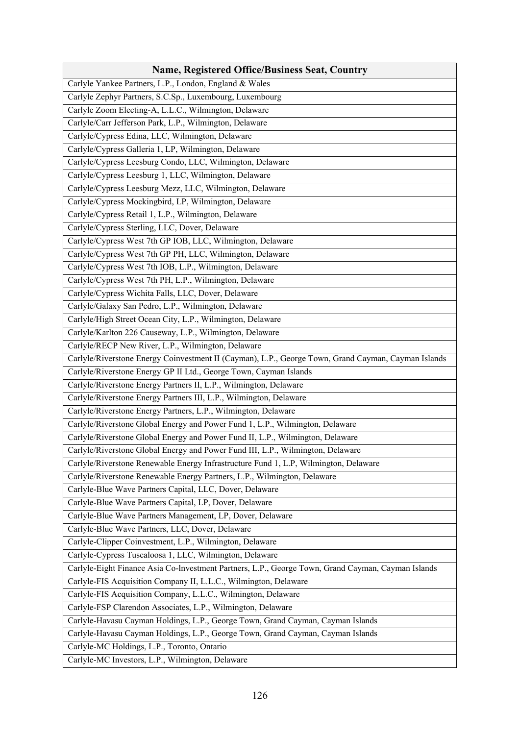| <b>Name, Registered Office/Business Seat, Country</b>                                               |
|-----------------------------------------------------------------------------------------------------|
| Carlyle Yankee Partners, L.P., London, England & Wales                                              |
| Carlyle Zephyr Partners, S.C.Sp., Luxembourg, Luxembourg                                            |
| Carlyle Zoom Electing-A, L.L.C., Wilmington, Delaware                                               |
| Carlyle/Carr Jefferson Park, L.P., Wilmington, Delaware                                             |
| Carlyle/Cypress Edina, LLC, Wilmington, Delaware                                                    |
| Carlyle/Cypress Galleria 1, LP, Wilmington, Delaware                                                |
| Carlyle/Cypress Leesburg Condo, LLC, Wilmington, Delaware                                           |
| Carlyle/Cypress Leesburg 1, LLC, Wilmington, Delaware                                               |
| Carlyle/Cypress Leesburg Mezz, LLC, Wilmington, Delaware                                            |
| Carlyle/Cypress Mockingbird, LP, Wilmington, Delaware                                               |
| Carlyle/Cypress Retail 1, L.P., Wilmington, Delaware                                                |
| Carlyle/Cypress Sterling, LLC, Dover, Delaware                                                      |
| Carlyle/Cypress West 7th GP IOB, LLC, Wilmington, Delaware                                          |
| Carlyle/Cypress West 7th GP PH, LLC, Wilmington, Delaware                                           |
| Carlyle/Cypress West 7th IOB, L.P., Wilmington, Delaware                                            |
| Carlyle/Cypress West 7th PH, L.P., Wilmington, Delaware                                             |
| Carlyle/Cypress Wichita Falls, LLC, Dover, Delaware                                                 |
| Carlyle/Galaxy San Pedro, L.P., Wilmington, Delaware                                                |
| Carlyle/High Street Ocean City, L.P., Wilmington, Delaware                                          |
| Carlyle/Karlton 226 Causeway, L.P., Wilmington, Delaware                                            |
| Carlyle/RECP New River, L.P., Wilmington, Delaware                                                  |
| Carlyle/Riverstone Energy Coinvestment II (Cayman), L.P., George Town, Grand Cayman, Cayman Islands |
| Carlyle/Riverstone Energy GP II Ltd., George Town, Cayman Islands                                   |
| Carlyle/Riverstone Energy Partners II, L.P., Wilmington, Delaware                                   |
| Carlyle/Riverstone Energy Partners III, L.P., Wilmington, Delaware                                  |
| Carlyle/Riverstone Energy Partners, L.P., Wilmington, Delaware                                      |
| Carlyle/Riverstone Global Energy and Power Fund 1, L.P., Wilmington, Delaware                       |
| Carlyle/Riverstone Global Energy and Power Fund II, L.P., Wilmington, Delaware                      |
| Carlyle/Riverstone Global Energy and Power Fund III, L.P., Wilmington, Delaware                     |
| Carlyle/Riverstone Renewable Energy Infrastructure Fund 1, L.P, Wilmington, Delaware                |
| Carlyle/Riverstone Renewable Energy Partners, L.P., Wilmington, Delaware                            |
| Carlyle-Blue Wave Partners Capital, LLC, Dover, Delaware                                            |
| Carlyle-Blue Wave Partners Capital, LP, Dover, Delaware                                             |
| Carlyle-Blue Wave Partners Management, LP, Dover, Delaware                                          |
| Carlyle-Blue Wave Partners, LLC, Dover, Delaware                                                    |
| Carlyle-Clipper Coinvestment, L.P., Wilmington, Delaware                                            |
| Carlyle-Cypress Tuscaloosa 1, LLC, Wilmington, Delaware                                             |
| Carlyle-Eight Finance Asia Co-Investment Partners, L.P., George Town, Grand Cayman, Cayman Islands  |
| Carlyle-FIS Acquisition Company II, L.L.C., Wilmington, Delaware                                    |
| Carlyle-FIS Acquisition Company, L.L.C., Wilmington, Delaware                                       |
| Carlyle-FSP Clarendon Associates, L.P., Wilmington, Delaware                                        |
| Carlyle-Havasu Cayman Holdings, L.P., George Town, Grand Cayman, Cayman Islands                     |
| Carlyle-Havasu Cayman Holdings, L.P., George Town, Grand Cayman, Cayman Islands                     |
| Carlyle-MC Holdings, L.P., Toronto, Ontario                                                         |
| Carlyle-MC Investors, L.P., Wilmington, Delaware                                                    |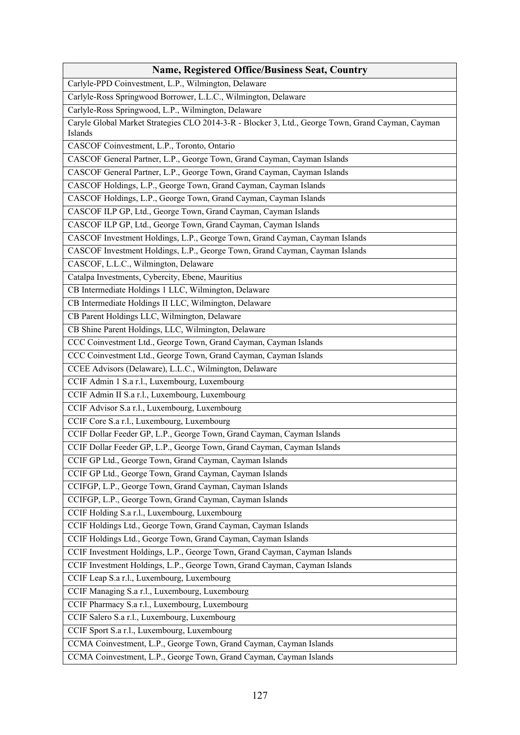| <b>Name, Registered Office/Business Seat, Country</b>                                                        |
|--------------------------------------------------------------------------------------------------------------|
| Carlyle-PPD Coinvestment, L.P., Wilmington, Delaware                                                         |
| Carlyle-Ross Springwood Borrower, L.L.C., Wilmington, Delaware                                               |
| Carlyle-Ross Springwood, L.P., Wilmington, Delaware                                                          |
| Caryle Global Market Strategies CLO 2014-3-R - Blocker 3, Ltd., George Town, Grand Cayman, Cayman<br>Islands |
| CASCOF Coinvestment, L.P., Toronto, Ontario                                                                  |
| CASCOF General Partner, L.P., George Town, Grand Cayman, Cayman Islands                                      |
| CASCOF General Partner, L.P., George Town, Grand Cayman, Cayman Islands                                      |
| CASCOF Holdings, L.P., George Town, Grand Cayman, Cayman Islands                                             |
| CASCOF Holdings, L.P., George Town, Grand Cayman, Cayman Islands                                             |
| CASCOF ILP GP, Ltd., George Town, Grand Cayman, Cayman Islands                                               |
| CASCOF ILP GP, Ltd., George Town, Grand Cayman, Cayman Islands                                               |
| CASCOF Investment Holdings, L.P., George Town, Grand Cayman, Cayman Islands                                  |
| CASCOF Investment Holdings, L.P., George Town, Grand Cayman, Cayman Islands                                  |
| CASCOF, L.L.C., Wilmington, Delaware                                                                         |
| Catalpa Investments, Cybercity, Ebene, Mauritius                                                             |
| CB Intermediate Holdings 1 LLC, Wilmington, Delaware                                                         |
| CB Intermediate Holdings II LLC, Wilmington, Delaware                                                        |
| CB Parent Holdings LLC, Wilmington, Delaware                                                                 |
| CB Shine Parent Holdings, LLC, Wilmington, Delaware                                                          |
| CCC Coinvestment Ltd., George Town, Grand Cayman, Cayman Islands                                             |
| CCC Coinvestment Ltd., George Town, Grand Cayman, Cayman Islands                                             |
| CCEE Advisors (Delaware), L.L.C., Wilmington, Delaware                                                       |
| CCIF Admin 1 S.a r.l., Luxembourg, Luxembourg                                                                |
| CCIF Admin II S.a r.l., Luxembourg, Luxembourg                                                               |
| CCIF Advisor S.a r.l., Luxembourg, Luxembourg                                                                |
| CCIF Core S.a r.l., Luxembourg, Luxembourg                                                                   |
| CCIF Dollar Feeder GP, L.P., George Town, Grand Cayman, Cayman Islands                                       |
| CCIF Dollar Feeder GP, L.P., George Town, Grand Cayman, Cayman Islands                                       |
| CCIF GP Ltd., George Town, Grand Cayman, Cayman Islands                                                      |
| CCIF GP Ltd., George Town, Grand Cayman, Cayman Islands                                                      |
| CCIFGP, L.P., George Town, Grand Cayman, Cayman Islands                                                      |
| CCIFGP, L.P., George Town, Grand Cayman, Cayman Islands                                                      |
| CCIF Holding S.a r.l., Luxembourg, Luxembourg                                                                |
| CCIF Holdings Ltd., George Town, Grand Cayman, Cayman Islands                                                |
| CCIF Holdings Ltd., George Town, Grand Cayman, Cayman Islands                                                |
| CCIF Investment Holdings, L.P., George Town, Grand Cayman, Cayman Islands                                    |
| CCIF Investment Holdings, L.P., George Town, Grand Cayman, Cayman Islands                                    |
| CCIF Leap S.a r.l., Luxembourg, Luxembourg                                                                   |
| CCIF Managing S.a r.l., Luxembourg, Luxembourg                                                               |
| CCIF Pharmacy S.a r.l., Luxembourg, Luxembourg                                                               |
| CCIF Salero S.a r.l., Luxembourg, Luxembourg                                                                 |
| CCIF Sport S.a r.l., Luxembourg, Luxembourg                                                                  |
| CCMA Coinvestment, L.P., George Town, Grand Cayman, Cayman Islands                                           |
| CCMA Coinvestment, L.P., George Town, Grand Cayman, Cayman Islands                                           |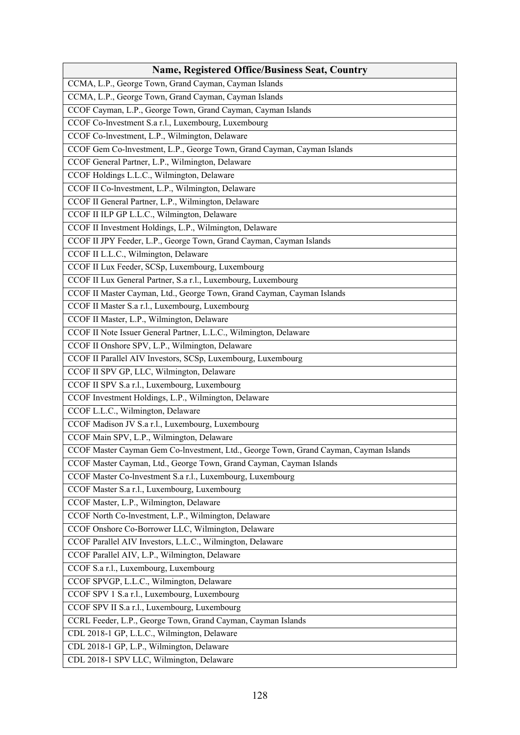| <b>Name, Registered Office/Business Seat, Country</b>                                 |
|---------------------------------------------------------------------------------------|
| CCMA, L.P., George Town, Grand Cayman, Cayman Islands                                 |
| CCMA, L.P., George Town, Grand Cayman, Cayman Islands                                 |
| CCOF Cayman, L.P., George Town, Grand Cayman, Cayman Islands                          |
| CCOF Co-lnvestment S.a r.l., Luxembourg, Luxembourg                                   |
| CCOF Co-lnvestment, L.P., Wilmington, Delaware                                        |
| CCOF Gem Co-Investment, L.P., George Town, Grand Cayman, Cayman Islands               |
| CCOF General Partner, L.P., Wilmington, Delaware                                      |
| CCOF Holdings L.L.C., Wilmington, Delaware                                            |
| CCOF II Co-lnvestment, L.P., Wilmington, Delaware                                     |
| CCOF II General Partner, L.P., Wilmington, Delaware                                   |
| CCOF II ILP GP L.L.C., Wilmington, Delaware                                           |
| CCOF II Investment Holdings, L.P., Wilmington, Delaware                               |
| CCOF II JPY Feeder, L.P., George Town, Grand Cayman, Cayman Islands                   |
| CCOF II L.L.C., Wilmington, Delaware                                                  |
| CCOF II Lux Feeder, SCSp, Luxembourg, Luxembourg                                      |
| CCOF II Lux General Partner, S.a r.l., Luxembourg, Luxembourg                         |
| CCOF II Master Cayman, Ltd., George Town, Grand Cayman, Cayman Islands                |
| CCOF II Master S.a r.l., Luxembourg, Luxembourg                                       |
| CCOF II Master, L.P., Wilmington, Delaware                                            |
| CCOF II Note Issuer General Partner, L.L.C., Wilmington, Delaware                     |
| CCOF II Onshore SPV, L.P., Wilmington, Delaware                                       |
| CCOF II Parallel AIV Investors, SCSp, Luxembourg, Luxembourg                          |
| CCOF II SPV GP, LLC, Wilmington, Delaware                                             |
| CCOF II SPV S.a r.l., Luxembourg, Luxembourg                                          |
| CCOF Investment Holdings, L.P., Wilmington, Delaware                                  |
| CCOF L.L.C., Wilmington, Delaware                                                     |
| CCOF Madison JV S.a r.l., Luxembourg, Luxembourg                                      |
| CCOF Main SPV, L.P., Wilmington, Delaware                                             |
| CCOF Master Cayman Gem Co-lnvestment, Ltd., George Town, Grand Cayman, Cayman Islands |
| CCOF Master Cayman, Ltd., George Town, Grand Cayman, Cayman Islands                   |
| CCOF Master Co-lnvestment S.a r.l., Luxembourg, Luxembourg                            |
| CCOF Master S.a r.l., Luxembourg, Luxembourg                                          |
| CCOF Master, L.P., Wilmington, Delaware                                               |
| CCOF North Co-lnvestment, L.P., Wilmington, Delaware                                  |
| CCOF Onshore Co-Borrower LLC, Wilmington, Delaware                                    |
| CCOF Parallel AIV Investors, L.L.C., Wilmington, Delaware                             |
| CCOF Parallel AIV, L.P., Wilmington, Delaware                                         |
| CCOF S.a r.l., Luxembourg, Luxembourg                                                 |
| CCOF SPVGP, L.L.C., Wilmington, Delaware                                              |
| CCOF SPV 1 S.a r.l., Luxembourg, Luxembourg                                           |
| CCOF SPV II S.a r.l., Luxembourg, Luxembourg                                          |
| CCRL Feeder, L.P., George Town, Grand Cayman, Cayman Islands                          |
| CDL 2018-1 GP, L.L.C., Wilmington, Delaware                                           |
| CDL 2018-1 GP, L.P., Wilmington, Delaware                                             |
| CDL 2018-1 SPV LLC, Wilmington, Delaware                                              |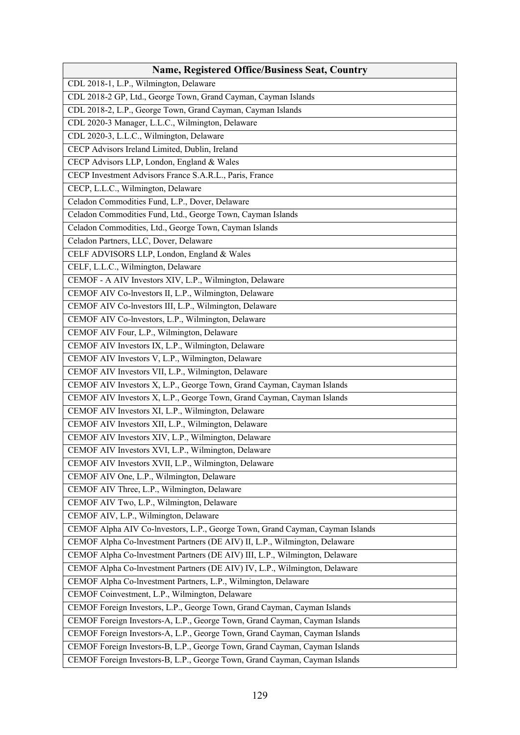| <b>Name, Registered Office/Business Seat, Country</b>                         |
|-------------------------------------------------------------------------------|
| CDL 2018-1, L.P., Wilmington, Delaware                                        |
| CDL 2018-2 GP, Ltd., George Town, Grand Cayman, Cayman Islands                |
| CDL 2018-2, L.P., George Town, Grand Cayman, Cayman Islands                   |
| CDL 2020-3 Manager, L.L.C., Wilmington, Delaware                              |
| CDL 2020-3, L.L.C., Wilmington, Delaware                                      |
| CECP Advisors Ireland Limited, Dublin, Ireland                                |
| CECP Advisors LLP, London, England & Wales                                    |
| CECP Investment Advisors France S.A.R.L., Paris, France                       |
| CECP, L.L.C., Wilmington, Delaware                                            |
| Celadon Commodities Fund, L.P., Dover, Delaware                               |
| Celadon Commodities Fund, Ltd., George Town, Cayman Islands                   |
| Celadon Commodities, Ltd., George Town, Cayman Islands                        |
| Celadon Partners, LLC, Dover, Delaware                                        |
| CELF ADVISORS LLP, London, England & Wales                                    |
| CELF, L.L.C., Wilmington, Delaware                                            |
| CEMOF - A AIV Investors XIV, L.P., Wilmington, Delaware                       |
| CEMOF AIV Co-lnvestors II, L.P., Wilmington, Delaware                         |
| CEMOF AIV Co-lnvestors III, L.P., Wilmington, Delaware                        |
| CEMOF AIV Co-lnvestors, L.P., Wilmington, Delaware                            |
| CEMOF AIV Four, L.P., Wilmington, Delaware                                    |
| CEMOF AIV Investors IX, L.P., Wilmington, Delaware                            |
| CEMOF AIV Investors V, L.P., Wilmington, Delaware                             |
| CEMOF AIV Investors VII, L.P., Wilmington, Delaware                           |
| CEMOF AIV Investors X, L.P., George Town, Grand Cayman, Cayman Islands        |
| CEMOF AIV Investors X, L.P., George Town, Grand Cayman, Cayman Islands        |
| CEMOF AIV Investors XI, L.P., Wilmington, Delaware                            |
| CEMOF AIV Investors XII, L.P., Wilmington, Delaware                           |
| CEMOF AIV Investors XIV, L.P., Wilmington, Delaware                           |
| CEMOF AIV Investors XVI, L.P., Wilmington, Delaware                           |
| CEMOF AIV Investors XVII, L.P., Wilmington, Delaware                          |
| CEMOF AIV One, L.P., Wilmington, Delaware                                     |
| CEMOF AIV Three, L.P., Wilmington, Delaware                                   |
| CEMOF AIV Two, L.P., Wilmington, Delaware                                     |
| CEMOF AIV, L.P., Wilmington, Delaware                                         |
| CEMOF Alpha AIV Co-lnvestors, L.P., George Town, Grand Cayman, Cayman Islands |
| CEMOF Alpha Co-lnvestment Partners (DE AIV) II, L.P., Wilmington, Delaware    |
| CEMOF Alpha Co-lnvestment Partners (DE AIV) III, L.P., Wilmington, Delaware   |
| CEMOF Alpha Co-lnvestment Partners (DE AIV) IV, L.P., Wilmington, Delaware    |
| CEMOF Alpha Co-lnvestment Partners, L.P., Wilmington, Delaware                |
| CEMOF Coinvestment, L.P., Wilmington, Delaware                                |
| CEMOF Foreign Investors, L.P., George Town, Grand Cayman, Cayman Islands      |
| CEMOF Foreign Investors-A, L.P., George Town, Grand Cayman, Cayman Islands    |
| CEMOF Foreign Investors-A, L.P., George Town, Grand Cayman, Cayman Islands    |
| CEMOF Foreign Investors-B, L.P., George Town, Grand Cayman, Cayman Islands    |
| CEMOF Foreign Investors-B, L.P., George Town, Grand Cayman, Cayman Islands    |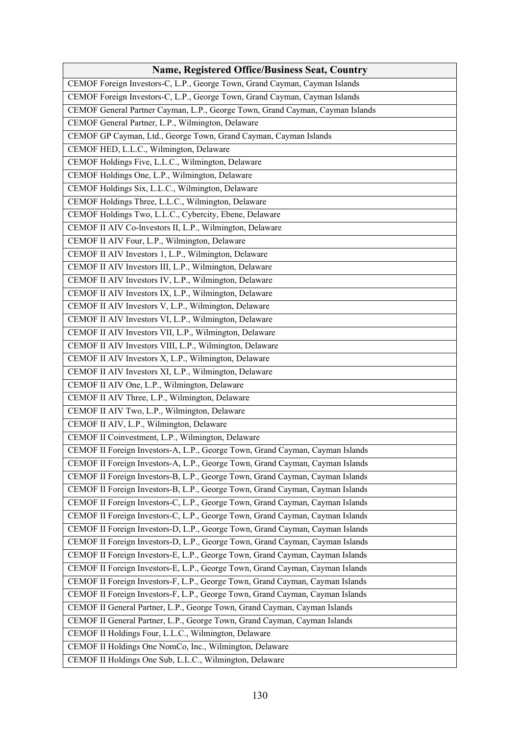| <b>Name, Registered Office/Business Seat, Country</b>                         |
|-------------------------------------------------------------------------------|
| CEMOF Foreign Investors-C, L.P., George Town, Grand Cayman, Cayman Islands    |
| CEMOF Foreign Investors-C, L.P., George Town, Grand Cayman, Cayman Islands    |
| CEMOF General Partner Cayman, L.P., George Town, Grand Cayman, Cayman Islands |
| CEMOF General Partner, L.P., Wilmington, Delaware                             |
| CEMOF GP Cayman, Ltd., George Town, Grand Cayman, Cayman Islands              |
| CEMOF HED, L.L.C., Wilmington, Delaware                                       |
| CEMOF Holdings Five, L.L.C., Wilmington, Delaware                             |
| CEMOF Holdings One, L.P., Wilmington, Delaware                                |
| CEMOF Holdings Six, L.L.C., Wilmington, Delaware                              |
| CEMOF Holdings Three, L.L.C., Wilmington, Delaware                            |
| CEMOF Holdings Two, L.L.C., Cybercity, Ebene, Delaware                        |
| CEMOF II AIV Co-lnvestors II, L.P., Wilmington, Delaware                      |
| CEMOF II AIV Four, L.P., Wilmington, Delaware                                 |
| CEMOF II AIV Investors 1, L.P., Wilmington, Delaware                          |
| CEMOF II AIV Investors III, L.P., Wilmington, Delaware                        |
| CEMOF II AIV Investors IV, L.P., Wilmington, Delaware                         |
| CEMOF II AIV Investors IX, L.P., Wilmington, Delaware                         |
| CEMOF II AIV Investors V, L.P., Wilmington, Delaware                          |
| CEMOF II AIV Investors VI, L.P., Wilmington, Delaware                         |
| CEMOF II AIV Investors VII, L.P., Wilmington, Delaware                        |
| CEMOF II AIV Investors VIII, L.P., Wilmington, Delaware                       |
| CEMOF II AIV Investors X, L.P., Wilmington, Delaware                          |
| CEMOF II AIV Investors XI, L.P., Wilmington, Delaware                         |
| CEMOF II AIV One, L.P., Wilmington, Delaware                                  |
| CEMOF II AIV Three, L.P., Wilmington, Delaware                                |
| CEMOF II AIV Two, L.P., Wilmington, Delaware                                  |
| CEMOF II AIV, L.P., Wilmington, Delaware                                      |
| CEMOF II Coinvestment, L.P., Wilmington, Delaware                             |
| CEMOF II Foreign Investors-A, L.P., George Town, Grand Cayman, Cayman Islands |
| CEMOF II Foreign Investors-A, L.P., George Town, Grand Cayman, Cayman Islands |
| CEMOF II Foreign Investors-B, L.P., George Town, Grand Cayman, Cayman Islands |
| CEMOF II Foreign Investors-B, L.P., George Town, Grand Cayman, Cayman Islands |
| CEMOF II Foreign Investors-C, L.P., George Town, Grand Cayman, Cayman Islands |
| CEMOF II Foreign Investors-C, L.P., George Town, Grand Cayman, Cayman Islands |
| CEMOF II Foreign Investors-D, L.P., George Town, Grand Cayman, Cayman Islands |
| CEMOF II Foreign Investors-D, L.P., George Town, Grand Cayman, Cayman Islands |
| CEMOF II Foreign Investors-E, L.P., George Town, Grand Cayman, Cayman Islands |
| CEMOF II Foreign Investors-E, L.P., George Town, Grand Cayman, Cayman Islands |
| CEMOF II Foreign Investors-F, L.P., George Town, Grand Cayman, Cayman Islands |
| CEMOF II Foreign Investors-F, L.P., George Town, Grand Cayman, Cayman Islands |
| CEMOF II General Partner, L.P., George Town, Grand Cayman, Cayman Islands     |
| CEMOF II General Partner, L.P., George Town, Grand Cayman, Cayman Islands     |
| CEMOF II Holdings Four, L.L.C., Wilmington, Delaware                          |
| CEMOF II Holdings One NomCo, Inc., Wilmington, Delaware                       |
| CEMOF II Holdings One Sub, L.L.C., Wilmington, Delaware                       |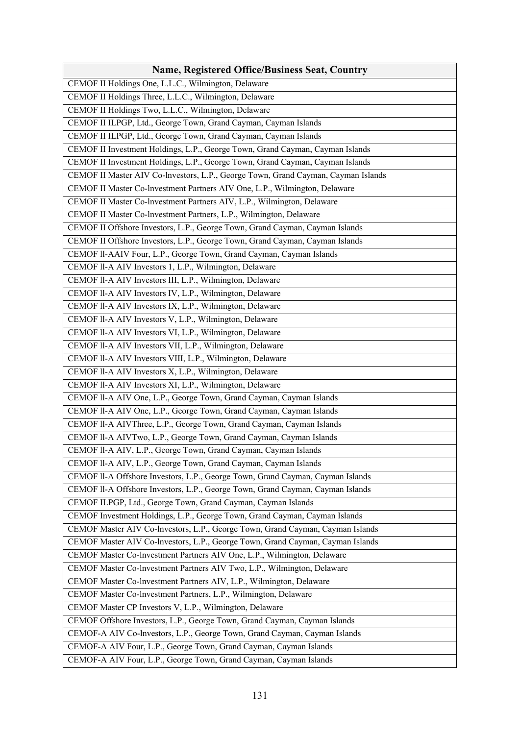| <b>Name, Registered Office/Business Seat, Country</b>                             |
|-----------------------------------------------------------------------------------|
| CEMOF II Holdings One, L.L.C., Wilmington, Delaware                               |
| CEMOF II Holdings Three, L.L.C., Wilmington, Delaware                             |
| CEMOF II Holdings Two, L.L.C., Wilmington, Delaware                               |
| CEMOF II ILPGP, Ltd., George Town, Grand Cayman, Cayman Islands                   |
| CEMOF II ILPGP, Ltd., George Town, Grand Cayman, Cayman Islands                   |
| CEMOF II Investment Holdings, L.P., George Town, Grand Cayman, Cayman Islands     |
| CEMOF II Investment Holdings, L.P., George Town, Grand Cayman, Cayman Islands     |
| CEMOF II Master AIV Co-lnvestors, L.P., George Town, Grand Cayman, Cayman Islands |
| CEMOF II Master Co-lnvestment Partners AIV One, L.P., Wilmington, Delaware        |
| CEMOF II Master Co-lnvestment Partners AIV, L.P., Wilmington, Delaware            |
| CEMOF II Master Co-lnvestment Partners, L.P., Wilmington, Delaware                |
| CEMOF II Offshore Investors, L.P., George Town, Grand Cayman, Cayman Islands      |
| CEMOF II Offshore Investors, L.P., George Town, Grand Cayman, Cayman Islands      |
| CEMOF II-AAIV Four, L.P., George Town, Grand Cayman, Cayman Islands               |
| CEMOF II-A AIV Investors 1, L.P., Wilmington, Delaware                            |
| CEMOF II-A AIV Investors III, L.P., Wilmington, Delaware                          |
| CEMOF II-A AIV Investors IV, L.P., Wilmington, Delaware                           |
| CEMOF II-A AIV Investors IX, L.P., Wilmington, Delaware                           |
| CEMOF II-A AIV Investors V, L.P., Wilmington, Delaware                            |
| CEMOF II-A AIV Investors VI, L.P., Wilmington, Delaware                           |
| CEMOF II-A AIV Investors VII, L.P., Wilmington, Delaware                          |
| CEMOF II-A AIV Investors VIII, L.P., Wilmington, Delaware                         |
| CEMOF II-A AIV Investors X, L.P., Wilmington, Delaware                            |
| CEMOF II-A AIV Investors XI, L.P., Wilmington, Delaware                           |
| CEMOF II-A AIV One, L.P., George Town, Grand Cayman, Cayman Islands               |
| CEMOF II-A AIV One, L.P., George Town, Grand Cayman, Cayman Islands               |
| CEMOF II-A AIVThree, L.P., George Town, Grand Cayman, Cayman Islands              |
| CEMOF II-A AIVTwo, L.P., George Town, Grand Cayman, Cayman Islands                |
| CEMOF II-A AIV, L.P., George Town, Grand Cayman, Cayman Islands                   |
| CEMOF II-A AIV, L.P., George Town, Grand Cayman, Cayman Islands                   |
| CEMOF II-A Offshore Investors, L.P., George Town, Grand Cayman, Cayman Islands    |
| CEMOF II-A Offshore Investors, L.P., George Town, Grand Cayman, Cayman Islands    |
| CEMOF ILPGP, Ltd., George Town, Grand Cayman, Cayman Islands                      |
| CEMOF Investment Holdings, L.P., George Town, Grand Cayman, Cayman Islands        |
| CEMOF Master AIV Co-lnvestors, L.P., George Town, Grand Cayman, Cayman Islands    |
| CEMOF Master AIV Co-lnvestors, L.P., George Town, Grand Cayman, Cayman Islands    |
| CEMOF Master Co-Investment Partners AIV One, L.P., Wilmington, Delaware           |
| CEMOF Master Co-lnvestment Partners AIV Two, L.P., Wilmington, Delaware           |
| CEMOF Master Co-lnvestment Partners AIV, L.P., Wilmington, Delaware               |
| CEMOF Master Co-Investment Partners, L.P., Wilmington, Delaware                   |
| CEMOF Master CP Investors V, L.P., Wilmington, Delaware                           |
| CEMOF Offshore Investors, L.P., George Town, Grand Cayman, Cayman Islands         |
| CEMOF-A AIV Co-lnvestors, L.P., George Town, Grand Cayman, Cayman Islands         |
| CEMOF-A AIV Four, L.P., George Town, Grand Cayman, Cayman Islands                 |
| CEMOF-A AIV Four, L.P., George Town, Grand Cayman, Cayman Islands                 |
|                                                                                   |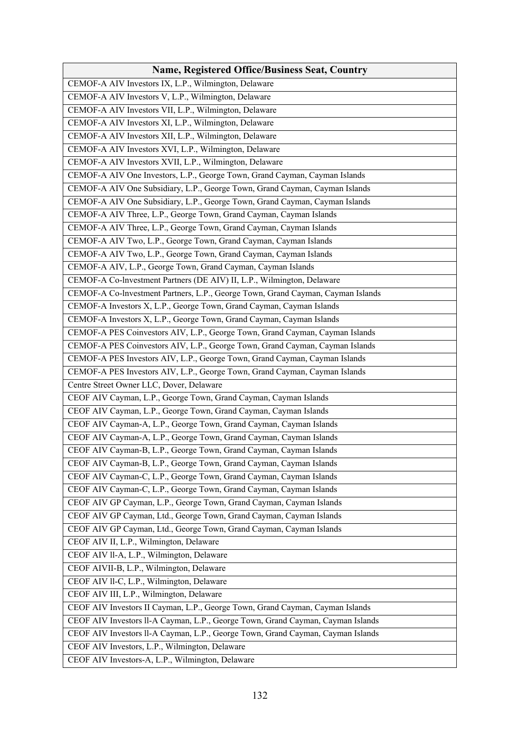| <b>Name, Registered Office/Business Seat, Country</b>                           |
|---------------------------------------------------------------------------------|
| CEMOF-A AIV Investors IX, L.P., Wilmington, Delaware                            |
| CEMOF-A AIV Investors V, L.P., Wilmington, Delaware                             |
| CEMOF-A AIV Investors VII, L.P., Wilmington, Delaware                           |
| CEMOF-A AIV Investors XI, L.P., Wilmington, Delaware                            |
| CEMOF-A AIV Investors XII, L.P., Wilmington, Delaware                           |
| CEMOF-A AIV Investors XVI, L.P., Wilmington, Delaware                           |
| CEMOF-A AIV Investors XVII, L.P., Wilmington, Delaware                          |
| CEMOF-A AIV One Investors, L.P., George Town, Grand Cayman, Cayman Islands      |
| CEMOF-A AIV One Subsidiary, L.P., George Town, Grand Cayman, Cayman Islands     |
| CEMOF-A AIV One Subsidiary, L.P., George Town, Grand Cayman, Cayman Islands     |
| CEMOF-A AIV Three, L.P., George Town, Grand Cayman, Cayman Islands              |
| CEMOF-A AIV Three, L.P., George Town, Grand Cayman, Cayman Islands              |
| CEMOF-A AIV Two, L.P., George Town, Grand Cayman, Cayman Islands                |
| CEMOF-A AIV Two, L.P., George Town, Grand Cayman, Cayman Islands                |
| CEMOF-A AIV, L.P., George Town, Grand Cayman, Cayman Islands                    |
| CEMOF-A Co-lnvestment Partners (DE AIV) II, L.P., Wilmington, Delaware          |
| CEMOF-A Co-Investment Partners, L.P., George Town, Grand Cayman, Cayman Islands |
| CEMOF-A Investors X, L.P., George Town, Grand Cayman, Cayman Islands            |
| CEMOF-A Investors X, L.P., George Town, Grand Cayman, Cayman Islands            |
| CEMOF-A PES Coinvestors AIV, L.P., George Town, Grand Cayman, Cayman Islands    |
| CEMOF-A PES Coinvestors AIV, L.P., George Town, Grand Cayman, Cayman Islands    |
| CEMOF-A PES Investors AIV, L.P., George Town, Grand Cayman, Cayman Islands      |
| CEMOF-A PES Investors AIV, L.P., George Town, Grand Cayman, Cayman Islands      |
| Centre Street Owner LLC, Dover, Delaware                                        |
| CEOF AIV Cayman, L.P., George Town, Grand Cayman, Cayman Islands                |
| CEOF AIV Cayman, L.P., George Town, Grand Cayman, Cayman Islands                |
| CEOF AIV Cayman-A, L.P., George Town, Grand Cayman, Cayman Islands              |
| CEOF AIV Cayman-A, L.P., George Town, Grand Cayman, Cayman Islands              |
| CEOF AIV Cayman-B, L.P., George Town, Grand Cayman, Cayman Islands              |
| CEOF AIV Cayman-B, L.P., George Town, Grand Cayman, Cayman Islands              |
| CEOF AIV Cayman-C, L.P., George Town, Grand Cayman, Cayman Islands              |
| CEOF AIV Cayman-C, L.P., George Town, Grand Cayman, Cayman Islands              |
| CEOF AIV GP Cayman, L.P., George Town, Grand Cayman, Cayman Islands             |
| CEOF AIV GP Cayman, Ltd., George Town, Grand Cayman, Cayman Islands             |
| CEOF AIV GP Cayman, Ltd., George Town, Grand Cayman, Cayman Islands             |
| CEOF AIV II, L.P., Wilmington, Delaware                                         |
| CEOF AIV ll-A, L.P., Wilmington, Delaware                                       |
| CEOF AIVII-B, L.P., Wilmington, Delaware                                        |
| CEOF AIV ll-C, L.P., Wilmington, Delaware                                       |
| CEOF AIV III, L.P., Wilmington, Delaware                                        |
| CEOF AIV Investors II Cayman, L.P., George Town, Grand Cayman, Cayman Islands   |
| CEOF AIV Investors II-A Cayman, L.P., George Town, Grand Cayman, Cayman Islands |
| CEOF AIV Investors ll-A Cayman, L.P., George Town, Grand Cayman, Cayman Islands |
| CEOF AIV Investors, L.P., Wilmington, Delaware                                  |
| CEOF AIV Investors-A, L.P., Wilmington, Delaware                                |
|                                                                                 |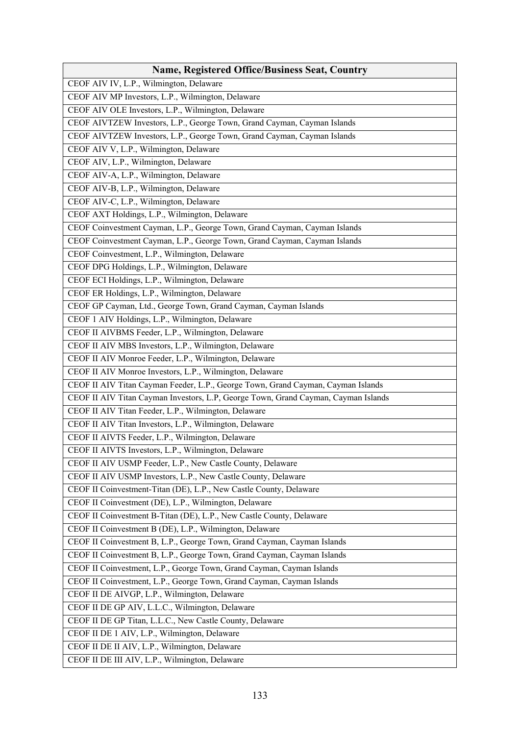| <b>Name, Registered Office/Business Seat, Country</b>                              |
|------------------------------------------------------------------------------------|
| CEOF AIV IV, L.P., Wilmington, Delaware                                            |
| CEOF AIV MP Investors, L.P., Wilmington, Delaware                                  |
| CEOF AIV OLE Investors, L.P., Wilmington, Delaware                                 |
| CEOF AIVTZEW Investors, L.P., George Town, Grand Cayman, Cayman Islands            |
| CEOF AIVTZEW Investors, L.P., George Town, Grand Cayman, Cayman Islands            |
| CEOF AIV V, L.P., Wilmington, Delaware                                             |
| CEOF AIV, L.P., Wilmington, Delaware                                               |
| CEOF AIV-A, L.P., Wilmington, Delaware                                             |
| CEOF AIV-B, L.P., Wilmington, Delaware                                             |
| CEOF AIV-C, L.P., Wilmington, Delaware                                             |
| CEOF AXT Holdings, L.P., Wilmington, Delaware                                      |
| CEOF Coinvestment Cayman, L.P., George Town, Grand Cayman, Cayman Islands          |
| CEOF Coinvestment Cayman, L.P., George Town, Grand Cayman, Cayman Islands          |
| CEOF Coinvestment, L.P., Wilmington, Delaware                                      |
| CEOF DPG Holdings, L.P., Wilmington, Delaware                                      |
| CEOF ECI Holdings, L.P., Wilmington, Delaware                                      |
| CEOF ER Holdings, L.P., Wilmington, Delaware                                       |
| CEOF GP Cayman, Ltd., George Town, Grand Cayman, Cayman Islands                    |
| CEOF 1 AIV Holdings, L.P., Wilmington, Delaware                                    |
| CEOF II AIVBMS Feeder, L.P., Wilmington, Delaware                                  |
| CEOF II AIV MBS Investors, L.P., Wilmington, Delaware                              |
| CEOF II AIV Monroe Feeder, L.P., Wilmington, Delaware                              |
| CEOF II AIV Monroe Investors, L.P., Wilmington, Delaware                           |
| CEOF II AIV Titan Cayman Feeder, L.P., George Town, Grand Cayman, Cayman Islands   |
| CEOF II AIV Titan Cayman Investors, L.P, George Town, Grand Cayman, Cayman Islands |
| CEOF II AIV Titan Feeder, L.P., Wilmington, Delaware                               |
| CEOF II AIV Titan Investors, L.P., Wilmington, Delaware                            |
| CEOF II AIVTS Feeder, L.P., Wilmington, Delaware                                   |
| CEOF II AIVTS Investors, L.P., Wilmington, Delaware                                |
| CEOF II AIV USMP Feeder, L.P., New Castle County, Delaware                         |
| CEOF II AIV USMP Investors, L.P., New Castle County, Delaware                      |
| CEOF II Coinvestment-Titan (DE), L.P., New Castle County, Delaware                 |
| CEOF II Coinvestment (DE), L.P., Wilmington, Delaware                              |
| CEOF II Coinvestment B-Titan (DE), L.P., New Castle County, Delaware               |
| CEOF II Coinvestment B (DE), L.P., Wilmington, Delaware                            |
| CEOF II Coinvestment B, L.P., George Town, Grand Cayman, Cayman Islands            |
| CEOF II Coinvestment B, L.P., George Town, Grand Cayman, Cayman Islands            |
| CEOF II Coinvestment, L.P., George Town, Grand Cayman, Cayman Islands              |
| CEOF II Coinvestment, L.P., George Town, Grand Cayman, Cayman Islands              |
| CEOF II DE AIVGP, L.P., Wilmington, Delaware                                       |
| CEOF II DE GP AIV, L.L.C., Wilmington, Delaware                                    |
| CEOF II DE GP Titan, L.L.C., New Castle County, Delaware                           |
| CEOF II DE 1 AIV, L.P., Wilmington, Delaware                                       |
| CEOF II DE II AIV, L.P., Wilmington, Delaware                                      |
| CEOF II DE III AIV, L.P., Wilmington, Delaware                                     |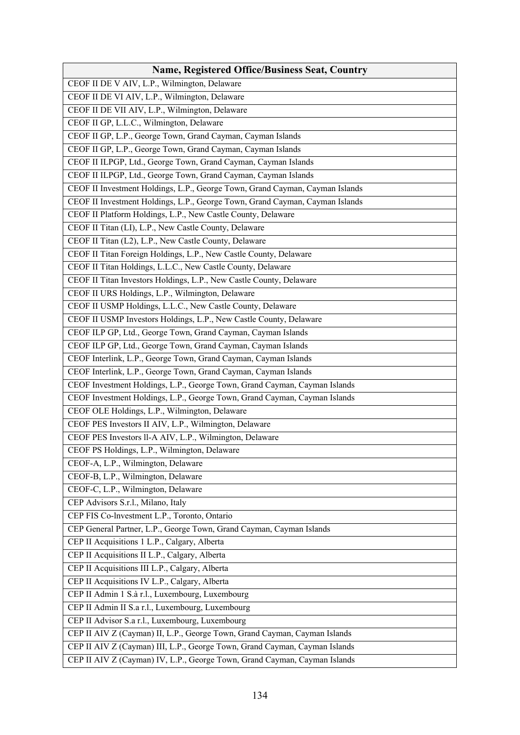| <b>Name, Registered Office/Business Seat, Country</b>                        |
|------------------------------------------------------------------------------|
| CEOF II DE V AIV, L.P., Wilmington, Delaware                                 |
| CEOF II DE VI AIV, L.P., Wilmington, Delaware                                |
| CEOF II DE VII AIV, L.P., Wilmington, Delaware                               |
| CEOF II GP, L.L.C., Wilmington, Delaware                                     |
| CEOF II GP, L.P., George Town, Grand Cayman, Cayman Islands                  |
| CEOF II GP, L.P., George Town, Grand Cayman, Cayman Islands                  |
| CEOF II ILPGP, Ltd., George Town, Grand Cayman, Cayman Islands               |
| CEOF II ILPGP, Ltd., George Town, Grand Cayman, Cayman Islands               |
| CEOF II Investment Holdings, L.P., George Town, Grand Cayman, Cayman Islands |
| CEOF II Investment Holdings, L.P., George Town, Grand Cayman, Cayman Islands |
| CEOF II Platform Holdings, L.P., New Castle County, Delaware                 |
| CEOF II Titan (LI), L.P., New Castle County, Delaware                        |
| CEOF II Titan (L2), L.P., New Castle County, Delaware                        |
| CEOF II Titan Foreign Holdings, L.P., New Castle County, Delaware            |
| CEOF II Titan Holdings, L.L.C., New Castle County, Delaware                  |
| CEOF II Titan Investors Holdings, L.P., New Castle County, Delaware          |
| CEOF II URS Holdings, L.P., Wilmington, Delaware                             |
| CEOF II USMP Holdings, L.L.C., New Castle County, Delaware                   |
| CEOF II USMP Investors Holdings, L.P., New Castle County, Delaware           |
| CEOF ILP GP, Ltd., George Town, Grand Cayman, Cayman Islands                 |
| CEOF ILP GP, Ltd., George Town, Grand Cayman, Cayman Islands                 |
| CEOF Interlink, L.P., George Town, Grand Cayman, Cayman Islands              |
| CEOF Interlink, L.P., George Town, Grand Cayman, Cayman Islands              |
| CEOF Investment Holdings, L.P., George Town, Grand Cayman, Cayman Islands    |
| CEOF Investment Holdings, L.P., George Town, Grand Cayman, Cayman Islands    |
| CEOF OLE Holdings, L.P., Wilmington, Delaware                                |
| CEOF PES Investors II AIV, L.P., Wilmington, Delaware                        |
| CEOF PES Investors ll-A AIV, L.P., Wilmington, Delaware                      |
| CEOF PS Holdings, L.P., Wilmington, Delaware                                 |
| CEOF-A, L.P., Wilmington, Delaware                                           |
| CEOF-B, L.P., Wilmington, Delaware                                           |
| CEOF-C, L.P., Wilmington, Delaware                                           |
| CEP Advisors S.r.l., Milano, Italy                                           |
| CEP FIS Co-Investment L.P., Toronto, Ontario                                 |
| CEP General Partner, L.P., George Town, Grand Cayman, Cayman Islands         |
| CEP II Acquisitions 1 L.P., Calgary, Alberta                                 |
| CEP II Acquisitions II L.P., Calgary, Alberta                                |
| CEP II Acquisitions III L.P., Calgary, Alberta                               |
| CEP II Acquisitions IV L.P., Calgary, Alberta                                |
| CEP II Admin 1 S.à r.l., Luxembourg, Luxembourg                              |
| CEP II Admin II S.a r.l., Luxembourg, Luxembourg                             |
| CEP II Advisor S.a r.l., Luxembourg, Luxembourg                              |
| CEP II AIV Z (Cayman) II, L.P., George Town, Grand Cayman, Cayman Islands    |
| CEP II AIV Z (Cayman) III, L.P., George Town, Grand Cayman, Cayman Islands   |
| CEP II AIV Z (Cayman) IV, L.P., George Town, Grand Cayman, Cayman Islands    |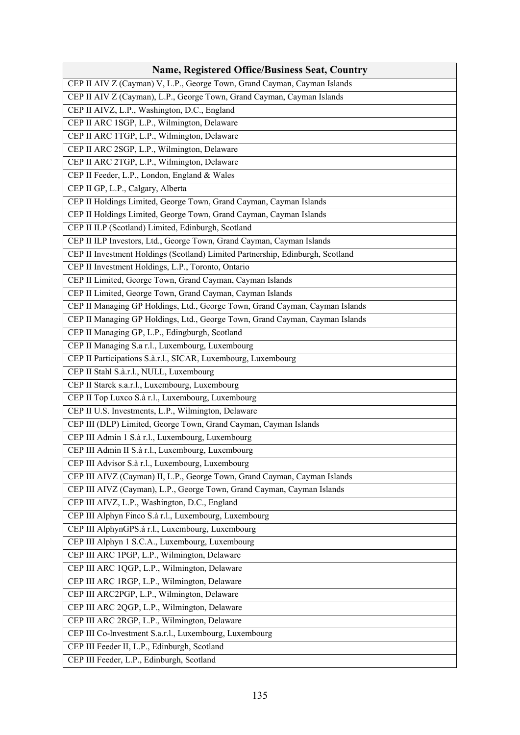| <b>Name, Registered Office/Business Seat, Country</b>                          |
|--------------------------------------------------------------------------------|
| CEP II AIV Z (Cayman) V, L.P., George Town, Grand Cayman, Cayman Islands       |
| CEP II AIV Z (Cayman), L.P., George Town, Grand Cayman, Cayman Islands         |
| CEP II AIVZ, L.P., Washington, D.C., England                                   |
| CEP II ARC 1SGP, L.P., Wilmington, Delaware                                    |
| CEP II ARC 1TGP, L.P., Wilmington, Delaware                                    |
| CEP II ARC 2SGP, L.P., Wilmington, Delaware                                    |
| CEP II ARC 2TGP, L.P., Wilmington, Delaware                                    |
| CEP II Feeder, L.P., London, England & Wales                                   |
| CEP II GP, L.P., Calgary, Alberta                                              |
| CEP II Holdings Limited, George Town, Grand Cayman, Cayman Islands             |
| CEP II Holdings Limited, George Town, Grand Cayman, Cayman Islands             |
| CEP II ILP (Scotland) Limited, Edinburgh, Scotland                             |
| CEP II ILP Investors, Ltd., George Town, Grand Cayman, Cayman Islands          |
| CEP II Investment Holdings (Scotland) Limited Partnership, Edinburgh, Scotland |
| CEP II Investment Holdings, L.P., Toronto, Ontario                             |
| CEP II Limited, George Town, Grand Cayman, Cayman Islands                      |
| CEP II Limited, George Town, Grand Cayman, Cayman Islands                      |
| CEP II Managing GP Holdings, Ltd., George Town, Grand Cayman, Cayman Islands   |
| CEP II Managing GP Holdings, Ltd., George Town, Grand Cayman, Cayman Islands   |
| CEP II Managing GP, L.P., Edingburgh, Scotland                                 |
| CEP II Managing S.a r.l., Luxembourg, Luxembourg                               |
| CEP II Participations S.à.r.l., SICAR, Luxembourg, Luxembourg                  |
| CEP II Stahl S.à.r.l., NULL, Luxembourg                                        |
| CEP II Starck s.a.r.l., Luxembourg, Luxembourg                                 |
| CEP II Top Luxco S.à r.l., Luxembourg, Luxembourg                              |
| CEP II U.S. Investments, L.P., Wilmington, Delaware                            |
| CEP III (DLP) Limited, George Town, Grand Cayman, Cayman Islands               |
| CEP III Admin 1 S.à r.l., Luxembourg, Luxembourg                               |
| CEP III Admin II S.à r.l., Luxembourg, Luxembourg                              |
| CEP III Advisor S.à r.l., Luxembourg, Luxembourg                               |
| CEP III AIVZ (Cayman) II, L.P., George Town, Grand Cayman, Cayman Islands      |
| CEP III AIVZ (Cayman), L.P., George Town, Grand Cayman, Cayman Islands         |
| CEP III AIVZ, L.P., Washington, D.C., England                                  |
| CEP III Alphyn Finco S.à r.l., Luxembourg, Luxembourg                          |
| CEP III AlphynGPS.à r.l., Luxembourg, Luxembourg                               |
| CEP III Alphyn 1 S.C.A., Luxembourg, Luxembourg                                |
| CEP III ARC 1PGP, L.P., Wilmington, Delaware                                   |
| CEP III ARC 1QGP, L.P., Wilmington, Delaware                                   |
| CEP III ARC 1RGP, L.P., Wilmington, Delaware                                   |
| CEP III ARC2PGP, L.P., Wilmington, Delaware                                    |
| CEP III ARC 2QGP, L.P., Wilmington, Delaware                                   |
| CEP III ARC 2RGP, L.P., Wilmington, Delaware                                   |
| CEP III Co-lnvestment S.a.r.l., Luxembourg, Luxembourg                         |
| CEP III Feeder II, L.P., Edinburgh, Scotland                                   |
| CEP III Feeder, L.P., Edinburgh, Scotland                                      |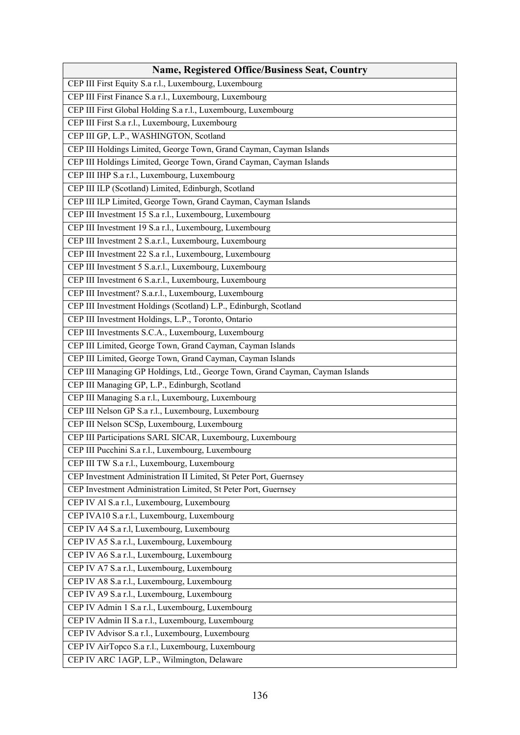| <b>Name, Registered Office/Business Seat, Country</b>                         |
|-------------------------------------------------------------------------------|
| CEP III First Equity S.a r.l., Luxembourg, Luxembourg                         |
| CEP III First Finance S.a r.l., Luxembourg, Luxembourg                        |
| CEP III First Global Holding S.a r.l., Luxembourg, Luxembourg                 |
| CEP III First S.a r.l., Luxembourg, Luxembourg                                |
| CEP III GP, L.P., WASHINGTON, Scotland                                        |
| CEP III Holdings Limited, George Town, Grand Cayman, Cayman Islands           |
| CEP III Holdings Limited, George Town, Grand Cayman, Cayman Islands           |
| CEP III IHP S.a r.l., Luxembourg, Luxembourg                                  |
| CEP III ILP (Scotland) Limited, Edinburgh, Scotland                           |
| CEP III ILP Limited, George Town, Grand Cayman, Cayman Islands                |
| CEP III Investment 15 S.a r.l., Luxembourg, Luxembourg                        |
| CEP III Investment 19 S.a r.l., Luxembourg, Luxembourg                        |
| CEP III Investment 2 S.a.r.l., Luxembourg, Luxembourg                         |
| CEP III Investment 22 S.a r.l., Luxembourg, Luxembourg                        |
| CEP III Investment 5 S.a.r.l., Luxembourg, Luxembourg                         |
| CEP III Investment 6 S.a.r.l., Luxembourg, Luxembourg                         |
| CEP III Investment? S.a.r.l., Luxembourg, Luxembourg                          |
| CEP III Investment Holdings (Scotland) L.P., Edinburgh, Scotland              |
| CEP III Investment Holdings, L.P., Toronto, Ontario                           |
| CEP III Investments S.C.A., Luxembourg, Luxembourg                            |
| CEP III Limited, George Town, Grand Cayman, Cayman Islands                    |
| CEP III Limited, George Town, Grand Cayman, Cayman Islands                    |
| CEP III Managing GP Holdings, Ltd., George Town, Grand Cayman, Cayman Islands |
| CEP III Managing GP, L.P., Edinburgh, Scotland                                |
| CEP III Managing S.a r.l., Luxembourg, Luxembourg                             |
| CEP III Nelson GP S.a r.l., Luxembourg, Luxembourg                            |
| CEP III Nelson SCSp, Luxembourg, Luxembourg                                   |
| CEP III Participations SARL SICAR, Luxembourg, Luxembourg                     |
| CEP III Pucchini S.a r.l., Luxembourg, Luxembourg                             |
| CEP III TW S.a r.l., Luxembourg, Luxembourg                                   |
| CEP Investment Administration II Limited, St Peter Port, Guernsey             |
| CEP Investment Administration Limited, St Peter Port, Guernsey                |
| CEP IV Al S.a r.l., Luxembourg, Luxembourg                                    |
| CEP IVA10 S.a r.l., Luxembourg, Luxembourg                                    |
| CEP IV A4 S.a r.l, Luxembourg, Luxembourg                                     |
| CEP IV A5 S.a r.l., Luxembourg, Luxembourg                                    |
| CEP IV A6 S.a r.l., Luxembourg, Luxembourg                                    |
| CEP IV A7 S.a r.l., Luxembourg, Luxembourg                                    |
| CEP IV A8 S.a r.l., Luxembourg, Luxembourg                                    |
| CEP IV A9 S.a r.l., Luxembourg, Luxembourg                                    |
| CEP IV Admin 1 S.a r.l., Luxembourg, Luxembourg                               |
| CEP IV Admin II S.a r.l., Luxembourg, Luxembourg                              |
| CEP IV Advisor S.a r.l., Luxembourg, Luxembourg                               |
| CEP IV AirTopco S.a r.l., Luxembourg, Luxembourg                              |
| CEP IV ARC 1AGP, L.P., Wilmington, Delaware                                   |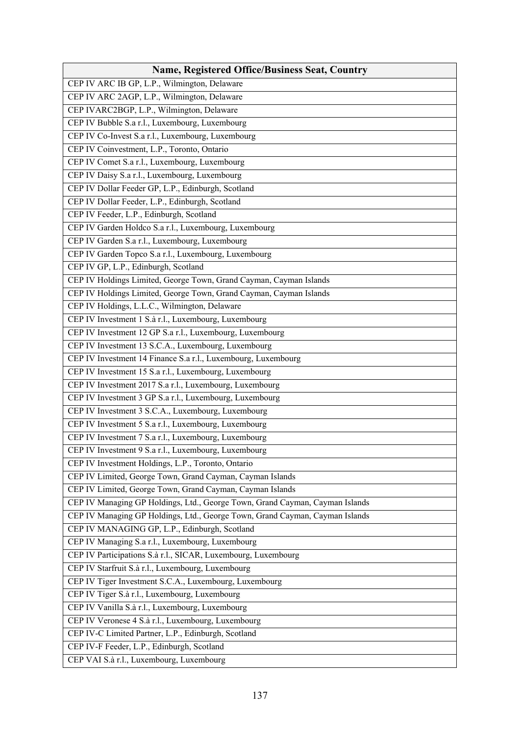| <b>Name, Registered Office/Business Seat, Country</b>                        |
|------------------------------------------------------------------------------|
| CEP IV ARC IB GP, L.P., Wilmington, Delaware                                 |
| CEP IV ARC 2AGP, L.P., Wilmington, Delaware                                  |
| CEP IVARC2BGP, L.P., Wilmington, Delaware                                    |
| CEP IV Bubble S.a r.l., Luxembourg, Luxembourg                               |
| CEP IV Co-Invest S.a r.l., Luxembourg, Luxembourg                            |
| CEP IV Coinvestment, L.P., Toronto, Ontario                                  |
| CEP IV Comet S.a r.l., Luxembourg, Luxembourg                                |
| CEP IV Daisy S.a r.l., Luxembourg, Luxembourg                                |
| CEP IV Dollar Feeder GP, L.P., Edinburgh, Scotland                           |
| CEP IV Dollar Feeder, L.P., Edinburgh, Scotland                              |
| CEP IV Feeder, L.P., Edinburgh, Scotland                                     |
| CEP IV Garden Holdco S.a r.l., Luxembourg, Luxembourg                        |
| CEP IV Garden S.a r.l., Luxembourg, Luxembourg                               |
| CEP IV Garden Topco S.a r.l., Luxembourg, Luxembourg                         |
| CEP IV GP, L.P., Edinburgh, Scotland                                         |
| CEP IV Holdings Limited, George Town, Grand Cayman, Cayman Islands           |
| CEP IV Holdings Limited, George Town, Grand Cayman, Cayman Islands           |
| CEP IV Holdings, L.L.C., Wilmington, Delaware                                |
| CEP IV Investment 1 S.à r.l., Luxembourg, Luxembourg                         |
| CEP IV Investment 12 GP S.a r.l., Luxembourg, Luxembourg                     |
| CEP IV Investment 13 S.C.A., Luxembourg, Luxembourg                          |
| CEP IV Investment 14 Finance S.a r.l., Luxembourg, Luxembourg                |
| CEP IV Investment 15 S.a r.l., Luxembourg, Luxembourg                        |
| CEP IV Investment 2017 S.a r.l., Luxembourg, Luxembourg                      |
| CEP IV Investment 3 GP S.a r.l., Luxembourg, Luxembourg                      |
| CEP IV Investment 3 S.C.A., Luxembourg, Luxembourg                           |
| CEP IV Investment 5 S.a r.l., Luxembourg, Luxembourg                         |
| CEP IV Investment 7 S.a r.l., Luxembourg, Luxembourg                         |
| CEP IV Investment 9 S.a r.l., Luxembourg, Luxembourg                         |
| CEP IV Investment Holdings, L.P., Toronto, Ontario                           |
| CEP IV Limited, George Town, Grand Cayman, Cayman Islands                    |
| CEP IV Limited, George Town, Grand Cayman, Cayman Islands                    |
| CEP IV Managing GP Holdings, Ltd., George Town, Grand Cayman, Cayman Islands |
| CEP IV Managing GP Holdings, Ltd., George Town, Grand Cayman, Cayman Islands |
| CEP IV MANAGING GP, L.P., Edinburgh, Scotland                                |
| CEP IV Managing S.a r.l., Luxembourg, Luxembourg                             |
| CEP IV Participations S.à r.l., SICAR, Luxembourg, Luxembourg                |
| CEP IV Starfruit S.à r.l., Luxembourg, Luxembourg                            |
| CEP IV Tiger Investment S.C.A., Luxembourg, Luxembourg                       |
| CEP IV Tiger S.à r.l., Luxembourg, Luxembourg                                |
| CEP IV Vanilla S.à r.l., Luxembourg, Luxembourg                              |
| CEP IV Veronese 4 S.à r.l., Luxembourg, Luxembourg                           |
| CEP IV-C Limited Partner, L.P., Edinburgh, Scotland                          |
| CEP IV-F Feeder, L.P., Edinburgh, Scotland                                   |
| CEP VAI S.à r.l., Luxembourg, Luxembourg                                     |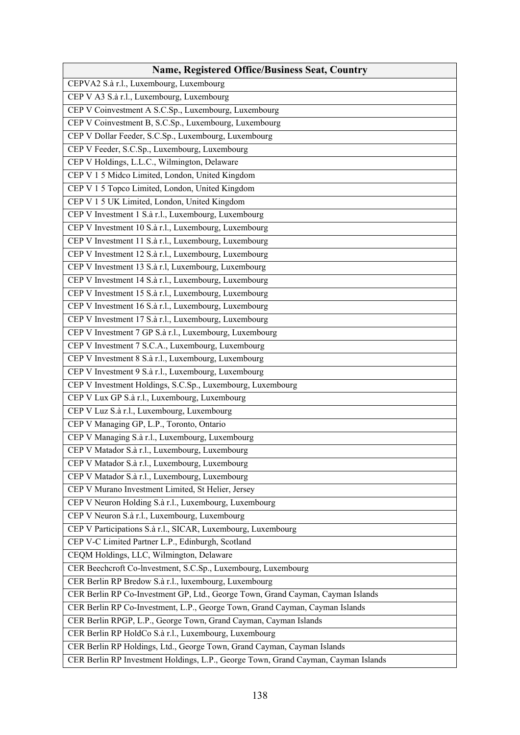| <b>Name, Registered Office/Business Seat, Country</b>                              |
|------------------------------------------------------------------------------------|
| CEPVA2 S.à r.l., Luxembourg, Luxembourg                                            |
| CEP V A3 S.à r.l., Luxembourg, Luxembourg                                          |
| CEP V Coinvestment A S.C.Sp., Luxembourg, Luxembourg                               |
| CEP V Coinvestment B, S.C.Sp., Luxembourg, Luxembourg                              |
| CEP V Dollar Feeder, S.C.Sp., Luxembourg, Luxembourg                               |
| CEP V Feeder, S.C.Sp., Luxembourg, Luxembourg                                      |
| CEP V Holdings, L.L.C., Wilmington, Delaware                                       |
| CEP V 1 5 Midco Limited, London, United Kingdom                                    |
| CEP V 1 5 Topco Limited, London, United Kingdom                                    |
| CEP V 1 5 UK Limited, London, United Kingdom                                       |
| CEP V Investment 1 S.à r.l., Luxembourg, Luxembourg                                |
| CEP V Investment 10 S.à r.l., Luxembourg, Luxembourg                               |
| CEP V Investment 11 S.à r.l., Luxembourg, Luxembourg                               |
| CEP V Investment 12 S.à r.l., Luxembourg, Luxembourg                               |
| CEP V Investment 13 S.à r.l, Luxembourg, Luxembourg                                |
| CEP V Investment 14 S.à r.l., Luxembourg, Luxembourg                               |
| CEP V Investment 15 S.à r.l., Luxembourg, Luxembourg                               |
| CEP V Investment 16 S.à r.l., Luxembourg, Luxembourg                               |
| CEP V Investment 17 S.à r.l., Luxembourg, Luxembourg                               |
| CEP V Investment 7 GP S.à r.l., Luxembourg, Luxembourg                             |
| CEP V Investment 7 S.C.A., Luxembourg, Luxembourg                                  |
| CEP V Investment 8 S.à r.l., Luxembourg, Luxembourg                                |
| CEP V Investment 9 S.à r.l., Luxembourg, Luxembourg                                |
| CEP V Investment Holdings, S.C.Sp., Luxembourg, Luxembourg                         |
| CEP V Lux GP S.à r.l., Luxembourg, Luxembourg                                      |
| CEP V Luz S.à r.l., Luxembourg, Luxembourg                                         |
| CEP V Managing GP, L.P., Toronto, Ontario                                          |
| CEP V Managing S.à r.l., Luxembourg, Luxembourg                                    |
| CEP V Matador S.à r.l., Luxembourg, Luxembourg                                     |
| CEP V Matador S.à r.l., Luxembourg, Luxembourg                                     |
| CEP V Matador S.à r.l., Luxembourg, Luxembourg                                     |
| CEP V Murano Investment Limited, St Helier, Jersey                                 |
| CEP V Neuron Holding S.à r.l., Luxembourg, Luxembourg                              |
| CEP V Neuron S.à r.l., Luxembourg, Luxembourg                                      |
| CEP V Participations S.à r.l., SICAR, Luxembourg, Luxembourg                       |
| CEP V-C Limited Partner L.P., Edinburgh, Scotland                                  |
| CEQM Holdings, LLC, Wilmington, Delaware                                           |
| CER Beechcroft Co-Investment, S.C.Sp., Luxembourg, Luxembourg                      |
| CER Berlin RP Bredow S.à r.l., luxembourg, Luxembourg                              |
| CER Berlin RP Co-Investment GP, Ltd., George Town, Grand Cayman, Cayman Islands    |
| CER Berlin RP Co-Investment, L.P., George Town, Grand Cayman, Cayman Islands       |
| CER Berlin RPGP, L.P., George Town, Grand Cayman, Cayman Islands                   |
| CER Berlin RP HoldCo S.à r.l., Luxembourg, Luxembourg                              |
| CER Berlin RP Holdings, Ltd., George Town, Grand Cayman, Cayman Islands            |
| CER Berlin RP Investment Holdings, L.P., George Town, Grand Cayman, Cayman Islands |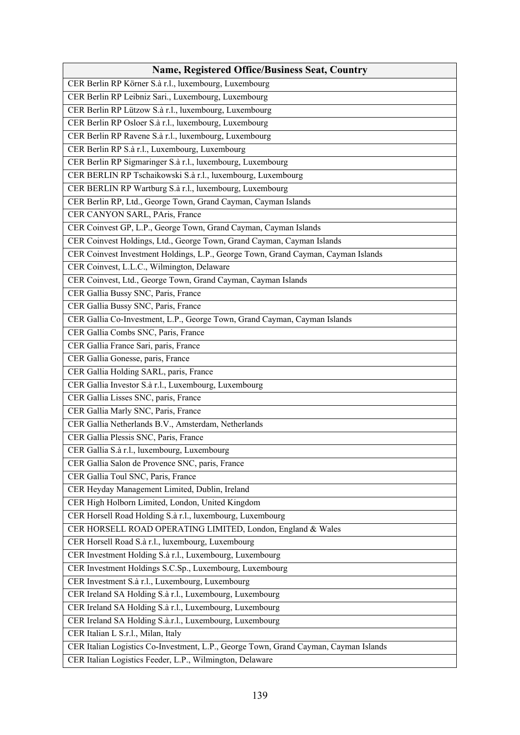| <b>Name, Registered Office/Business Seat, Country</b>                                |
|--------------------------------------------------------------------------------------|
| CER Berlin RP Körner S.à r.l., luxembourg, Luxembourg                                |
| CER Berlin RP Leibniz Sari., Luxembourg, Luxembourg                                  |
| CER Berlin RP Lützow S.à r.l., luxembourg, Luxembourg                                |
| CER Berlin RP Osloer S.à r.l., luxembourg, Luxembourg                                |
| CER Berlin RP Ravene S.à r.l., luxembourg, Luxembourg                                |
| CER Berlin RP S.à r.l., Luxembourg, Luxembourg                                       |
| CER Berlin RP Sigmaringer S.à r.l., luxembourg, Luxembourg                           |
| CER BERLIN RP Tschaikowski S.à r.l., luxembourg, Luxembourg                          |
| CER BERLIN RP Wartburg S.à r.l., luxembourg, Luxembourg                              |
| CER Berlin RP, Ltd., George Town, Grand Cayman, Cayman Islands                       |
| CER CANYON SARL, PAris, France                                                       |
| CER Coinvest GP, L.P., George Town, Grand Cayman, Cayman Islands                     |
| CER Coinvest Holdings, Ltd., George Town, Grand Cayman, Cayman Islands               |
| CER Coinvest Investment Holdings, L.P., George Town, Grand Cayman, Cayman Islands    |
| CER Coinvest, L.L.C., Wilmington, Delaware                                           |
| CER Coinvest, Ltd., George Town, Grand Cayman, Cayman Islands                        |
| CER Gallia Bussy SNC, Paris, France                                                  |
| CER Gallia Bussy SNC, Paris, France                                                  |
| CER Gallia Co-Investment, L.P., George Town, Grand Cayman, Cayman Islands            |
| CER Gallia Combs SNC, Paris, France                                                  |
| CER Gallia France Sari, paris, France                                                |
| CER Gallia Gonesse, paris, France                                                    |
| CER Gallia Holding SARL, paris, France                                               |
| CER Gallia Investor S.à r.l., Luxembourg, Luxembourg                                 |
| CER Gallia Lisses SNC, paris, France                                                 |
| CER Gallia Marly SNC, Paris, France                                                  |
| CER Gallia Netherlands B.V., Amsterdam, Netherlands                                  |
| CER Gallia Plessis SNC, Paris, France                                                |
| CER Gallia S.à r.l., luxembourg, Luxembourg                                          |
| CER Gallia Salon de Provence SNC, paris, France                                      |
| CER Gallia Toul SNC, Paris, France                                                   |
| CER Heyday Management Limited, Dublin, Ireland                                       |
| CER High Holborn Limited, London, United Kingdom                                     |
| CER Horsell Road Holding S.à r.l., luxembourg, Luxembourg                            |
| CER HORSELL ROAD OPERATING LIMITED, London, England & Wales                          |
| CER Horsell Road S.à r.l., luxembourg, Luxembourg                                    |
| CER Investment Holding S.à r.l., Luxembourg, Luxembourg                              |
| CER Investment Holdings S.C.Sp., Luxembourg, Luxembourg                              |
| CER Investment S.à r.l., Luxembourg, Luxembourg                                      |
| CER Ireland SA Holding S.à r.l., Luxembourg, Luxembourg                              |
| CER Ireland SA Holding S.à r.l., Luxembourg, Luxembourg                              |
| CER Ireland SA Holding S.à.r.l., Luxembourg, Luxembourg                              |
| CER Italian L S.r.l., Milan, Italy                                                   |
| CER Italian Logistics Co-Investment, L.P., George Town, Grand Cayman, Cayman Islands |
| CER Italian Logistics Feeder, L.P., Wilmington, Delaware                             |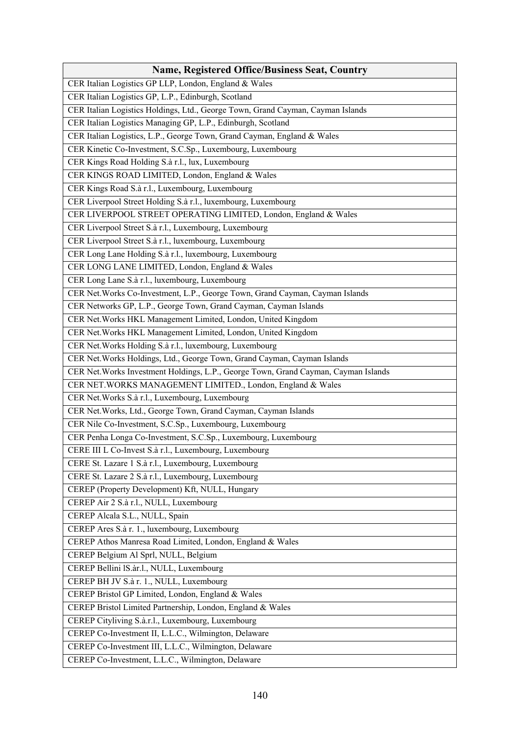| <b>Name, Registered Office/Business Seat, Country</b>                               |
|-------------------------------------------------------------------------------------|
| CER Italian Logistics GP LLP, London, England & Wales                               |
| CER Italian Logistics GP, L.P., Edinburgh, Scotland                                 |
| CER Italian Logistics Holdings, Ltd., George Town, Grand Cayman, Cayman Islands     |
| CER Italian Logistics Managing GP, L.P., Edinburgh, Scotland                        |
| CER Italian Logistics, L.P., George Town, Grand Cayman, England & Wales             |
| CER Kinetic Co-Investment, S.C.Sp., Luxembourg, Luxembourg                          |
| CER Kings Road Holding S.à r.l., lux, Luxembourg                                    |
| CER KINGS ROAD LIMITED, London, England & Wales                                     |
| CER Kings Road S.à r.l., Luxembourg, Luxembourg                                     |
| CER Liverpool Street Holding S.à r.l., luxembourg, Luxembourg                       |
| CER LIVERPOOL STREET OPERATING LIMITED, London, England & Wales                     |
| CER Liverpool Street S.à r.l., Luxembourg, Luxembourg                               |
| CER Liverpool Street S.à r.l., luxembourg, Luxembourg                               |
| CER Long Lane Holding S.à r.l., luxembourg, Luxembourg                              |
| CER LONG LANE LIMITED, London, England & Wales                                      |
| CER Long Lane S.à r.l., luxembourg, Luxembourg                                      |
| CER Net. Works Co-Investment, L.P., George Town, Grand Cayman, Cayman Islands       |
| CER Networks GP, L.P., George Town, Grand Cayman, Cayman Islands                    |
| CER Net. Works HKL Management Limited, London, United Kingdom                       |
| CER Net. Works HKL Management Limited, London, United Kingdom                       |
| CER Net. Works Holding S.à r.l., luxembourg, Luxembourg                             |
| CER Net. Works Holdings, Ltd., George Town, Grand Cayman, Cayman Islands            |
| CER Net. Works Investment Holdings, L.P., George Town, Grand Cayman, Cayman Islands |
| CER NET. WORKS MANAGEMENT LIMITED., London, England & Wales                         |
| CER Net. Works S.à r.l., Luxembourg, Luxembourg                                     |
| CER Net. Works, Ltd., George Town, Grand Cayman, Cayman Islands                     |
| CER Nile Co-Investment, S.C.Sp., Luxembourg, Luxembourg                             |
| CER Penha Longa Co-Investment, S.C.Sp., Luxembourg, Luxembourg                      |
| CERE III L Co-Invest S.à r.l., Luxembourg, Luxembourg                               |
| CERE St. Lazare 1 S.à r.l., Luxembourg, Luxembourg                                  |
| CERE St. Lazare 2 S.à r.l., Luxembourg, Luxembourg                                  |
| CEREP (Property Development) Kft, NULL, Hungary                                     |
| CEREP Air 2 S.à r.l., NULL, Luxembourg                                              |
| CEREP Alcala S.L., NULL, Spain                                                      |
| CEREP Ares S.à r. 1., luxembourg, Luxembourg                                        |
| CEREP Athos Manresa Road Limited, London, England & Wales                           |
| CEREP Belgium Al Sprl, NULL, Belgium                                                |
| CEREP Bellini IS.àr.l., NULL, Luxembourg                                            |
| CEREP BH JV S.à r. 1., NULL, Luxembourg                                             |
| CEREP Bristol GP Limited, London, England & Wales                                   |
| CEREP Bristol Limited Partnership, London, England & Wales                          |
| CEREP Cityliving S.à.r.l., Luxembourg, Luxembourg                                   |
| CEREP Co-Investment II, L.L.C., Wilmington, Delaware                                |
| CEREP Co-Investment III, L.L.C., Wilmington, Delaware                               |
| CEREP Co-Investment, L.L.C., Wilmington, Delaware                                   |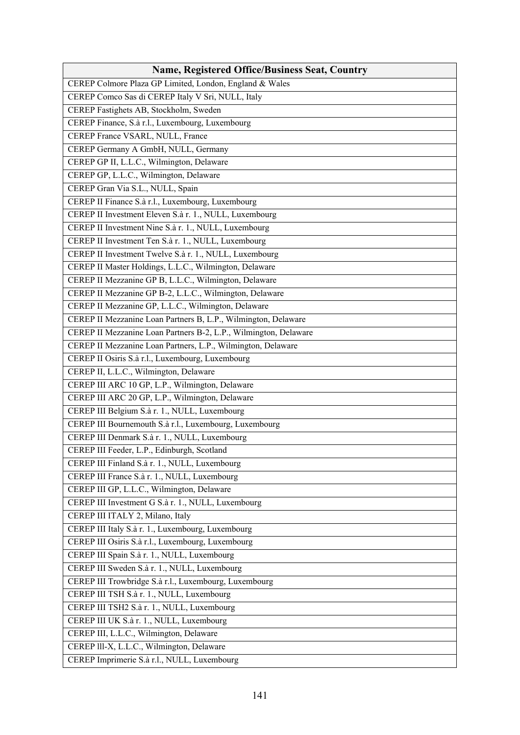| <b>Name, Registered Office/Business Seat, Country</b>            |
|------------------------------------------------------------------|
| CEREP Colmore Plaza GP Limited, London, England & Wales          |
| CEREP Comco Sas di CEREP Italy V Sri, NULL, Italy                |
| CEREP Fastighets AB, Stockholm, Sweden                           |
| CEREP Finance, S.à r.l., Luxembourg, Luxembourg                  |
| CEREP France VSARL, NULL, France                                 |
| CEREP Germany A GmbH, NULL, Germany                              |
| CEREP GP II, L.L.C., Wilmington, Delaware                        |
| CEREP GP, L.L.C., Wilmington, Delaware                           |
| CEREP Gran Via S.L., NULL, Spain                                 |
| CEREP II Finance S.à r.l., Luxembourg, Luxembourg                |
| CEREP II Investment Eleven S.à r. 1., NULL, Luxembourg           |
| CEREP II Investment Nine S.à r. 1., NULL, Luxembourg             |
| CEREP II Investment Ten S.à r. 1., NULL, Luxembourg              |
| CEREP II Investment Twelve S.à r. 1., NULL, Luxembourg           |
| CEREP II Master Holdings, L.L.C., Wilmington, Delaware           |
| CEREP II Mezzanine GP B, L.L.C., Wilmington, Delaware            |
| CEREP II Mezzanine GP B-2, L.L.C., Wilmington, Delaware          |
| CEREP II Mezzanine GP, L.L.C., Wilmington, Delaware              |
| CEREP II Mezzanine Loan Partners B, L.P., Wilmington, Delaware   |
| CEREP II Mezzanine Loan Partners B-2, L.P., Wilmington, Delaware |
| CEREP II Mezzanine Loan Partners, L.P., Wilmington, Delaware     |
| CEREP II Osiris S.à r.l., Luxembourg, Luxembourg                 |
| CEREP II, L.L.C., Wilmington, Delaware                           |
| CEREP III ARC 10 GP, L.P., Wilmington, Delaware                  |
| CEREP III ARC 20 GP, L.P., Wilmington, Delaware                  |
| CEREP III Belgium S.à r. 1., NULL, Luxembourg                    |
| CEREP III Bournemouth S.à r.l., Luxembourg, Luxembourg           |
| CEREP III Denmark S.à r. 1., NULL, Luxembourg                    |
| CEREP III Feeder, L.P., Edinburgh, Scotland                      |
| CEREP III Finland S.à r. 1., NULL, Luxembourg                    |
| CEREP III France S.à r. 1., NULL, Luxembourg                     |
| CEREP III GP, L.L.C., Wilmington, Delaware                       |
| CEREP III Investment G S.à r. 1., NULL, Luxembourg               |
| CEREP III ITALY 2, Milano, Italy                                 |
| CEREP III Italy S.à r. 1., Luxembourg, Luxembourg                |
| CEREP III Osiris S.à r.l., Luxembourg, Luxembourg                |
| CEREP III Spain S.à r. 1., NULL, Luxembourg                      |
| CEREP III Sweden S.à r. 1., NULL, Luxembourg                     |
| CEREP III Trowbridge S.à r.l., Luxembourg, Luxembourg            |
| CEREP III TSH S.à r. 1., NULL, Luxembourg                        |
| CEREP III TSH2 S.à r. 1., NULL, Luxembourg                       |
| CEREP III UK S.à r. 1., NULL, Luxembourg                         |
| CEREP III, L.L.C., Wilmington, Delaware                          |
| CEREP III-X, L.L.C., Wilmington, Delaware                        |
| CEREP Imprimerie S.à r.l., NULL, Luxembourg                      |
|                                                                  |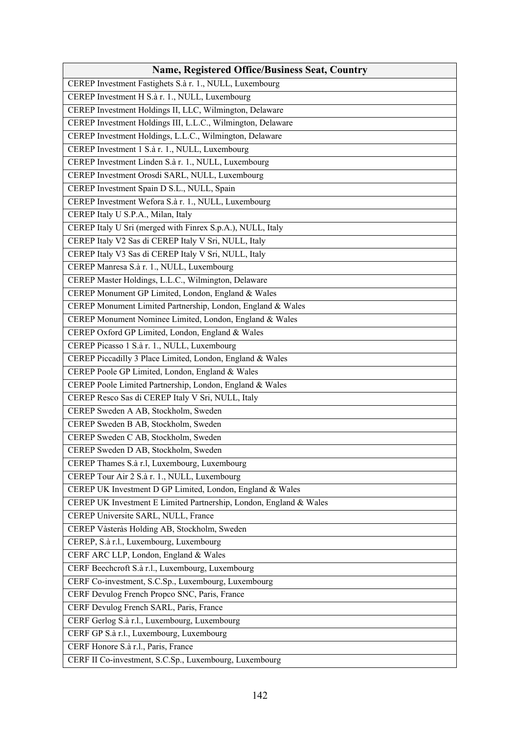| CEREP Investment Fastighets S.à r. 1., NULL, Luxembourg<br>CEREP Investment H S.à r. 1., NULL, Luxembourg<br>CEREP Investment Holdings II, LLC, Wilmington, Delaware<br>CEREP Investment Holdings III, L.L.C., Wilmington, Delaware<br>CEREP Investment Holdings, L.L.C., Wilmington, Delaware<br>CEREP Investment 1 S.à r. 1., NULL, Luxembourg<br>CEREP Investment Linden S.à r. 1., NULL, Luxembourg<br>CEREP Investment Orosdi SARL, NULL, Luxembourg<br>CEREP Investment Spain D S.L., NULL, Spain<br>CEREP Investment Wefora S.à r. 1., NULL, Luxembourg<br>CEREP Italy U S.P.A., Milan, Italy<br>CEREP Italy U Sri (merged with Finrex S.p.A.), NULL, Italy<br>CEREP Italy V2 Sas di CEREP Italy V Sri, NULL, Italy<br>CEREP Italy V3 Sas di CEREP Italy V Sri, NULL, Italy<br>CEREP Manresa S.à r. 1., NULL, Luxembourg<br>CEREP Master Holdings, L.L.C., Wilmington, Delaware<br>CEREP Monument GP Limited, London, England & Wales<br>CEREP Monument Limited Partnership, London, England & Wales<br>CEREP Monument Nominee Limited, London, England & Wales<br>CEREP Oxford GP Limited, London, England & Wales<br>CEREP Picasso 1 S.à r. 1., NULL, Luxembourg<br>CEREP Piccadilly 3 Place Limited, London, England & Wales<br>CEREP Poole GP Limited, London, England & Wales<br>CEREP Poole Limited Partnership, London, England & Wales<br>CEREP Resco Sas di CEREP Italy V Sri, NULL, Italy<br>CEREP Sweden A AB, Stockholm, Sweden<br>CEREP Sweden B AB, Stockholm, Sweden<br>CEREP Sweden C AB, Stockholm, Sweden<br>CEREP Sweden D AB, Stockholm, Sweden<br>CEREP Thames S.à r.l, Luxembourg, Luxembourg<br>CEREP Tour Air 2 S.à r. 1., NULL, Luxembourg<br>CEREP UK Investment D GP Limited, London, England & Wales<br>CEREP UK Investment E Limited Partnership, London, England & Wales<br>CEREP Universite SARL, NULL, France<br>CEREP Vàsteràs Holding AB, Stockholm, Sweden<br>CEREP, S.à r.l., Luxembourg, Luxembourg<br>CERF ARC LLP, London, England & Wales<br>CERF Beechcroft S.à r.l., Luxembourg, Luxembourg<br>CERF Co-investment, S.C.Sp., Luxembourg, Luxembourg<br>CERF Devulog French Propco SNC, Paris, France<br>CERF Devulog French SARL, Paris, France<br>CERF Gerlog S.à r.l., Luxembourg, Luxembourg<br>CERF GP S.à r.l., Luxembourg, Luxembourg<br>CERF Honore S.à r.l., Paris, France | <b>Name, Registered Office/Business Seat, Country</b> |
|------------------------------------------------------------------------------------------------------------------------------------------------------------------------------------------------------------------------------------------------------------------------------------------------------------------------------------------------------------------------------------------------------------------------------------------------------------------------------------------------------------------------------------------------------------------------------------------------------------------------------------------------------------------------------------------------------------------------------------------------------------------------------------------------------------------------------------------------------------------------------------------------------------------------------------------------------------------------------------------------------------------------------------------------------------------------------------------------------------------------------------------------------------------------------------------------------------------------------------------------------------------------------------------------------------------------------------------------------------------------------------------------------------------------------------------------------------------------------------------------------------------------------------------------------------------------------------------------------------------------------------------------------------------------------------------------------------------------------------------------------------------------------------------------------------------------------------------------------------------------------------------------------------------------------------------------------------------------------------------------------------------------------------------------------------------------------------------------------------------------------------------------------------------------------------------------------------------------------------------------------------------------------------------------------------------------------------|-------------------------------------------------------|
|                                                                                                                                                                                                                                                                                                                                                                                                                                                                                                                                                                                                                                                                                                                                                                                                                                                                                                                                                                                                                                                                                                                                                                                                                                                                                                                                                                                                                                                                                                                                                                                                                                                                                                                                                                                                                                                                                                                                                                                                                                                                                                                                                                                                                                                                                                                                    |                                                       |
|                                                                                                                                                                                                                                                                                                                                                                                                                                                                                                                                                                                                                                                                                                                                                                                                                                                                                                                                                                                                                                                                                                                                                                                                                                                                                                                                                                                                                                                                                                                                                                                                                                                                                                                                                                                                                                                                                                                                                                                                                                                                                                                                                                                                                                                                                                                                    |                                                       |
|                                                                                                                                                                                                                                                                                                                                                                                                                                                                                                                                                                                                                                                                                                                                                                                                                                                                                                                                                                                                                                                                                                                                                                                                                                                                                                                                                                                                                                                                                                                                                                                                                                                                                                                                                                                                                                                                                                                                                                                                                                                                                                                                                                                                                                                                                                                                    |                                                       |
|                                                                                                                                                                                                                                                                                                                                                                                                                                                                                                                                                                                                                                                                                                                                                                                                                                                                                                                                                                                                                                                                                                                                                                                                                                                                                                                                                                                                                                                                                                                                                                                                                                                                                                                                                                                                                                                                                                                                                                                                                                                                                                                                                                                                                                                                                                                                    |                                                       |
|                                                                                                                                                                                                                                                                                                                                                                                                                                                                                                                                                                                                                                                                                                                                                                                                                                                                                                                                                                                                                                                                                                                                                                                                                                                                                                                                                                                                                                                                                                                                                                                                                                                                                                                                                                                                                                                                                                                                                                                                                                                                                                                                                                                                                                                                                                                                    |                                                       |
|                                                                                                                                                                                                                                                                                                                                                                                                                                                                                                                                                                                                                                                                                                                                                                                                                                                                                                                                                                                                                                                                                                                                                                                                                                                                                                                                                                                                                                                                                                                                                                                                                                                                                                                                                                                                                                                                                                                                                                                                                                                                                                                                                                                                                                                                                                                                    |                                                       |
|                                                                                                                                                                                                                                                                                                                                                                                                                                                                                                                                                                                                                                                                                                                                                                                                                                                                                                                                                                                                                                                                                                                                                                                                                                                                                                                                                                                                                                                                                                                                                                                                                                                                                                                                                                                                                                                                                                                                                                                                                                                                                                                                                                                                                                                                                                                                    |                                                       |
|                                                                                                                                                                                                                                                                                                                                                                                                                                                                                                                                                                                                                                                                                                                                                                                                                                                                                                                                                                                                                                                                                                                                                                                                                                                                                                                                                                                                                                                                                                                                                                                                                                                                                                                                                                                                                                                                                                                                                                                                                                                                                                                                                                                                                                                                                                                                    |                                                       |
|                                                                                                                                                                                                                                                                                                                                                                                                                                                                                                                                                                                                                                                                                                                                                                                                                                                                                                                                                                                                                                                                                                                                                                                                                                                                                                                                                                                                                                                                                                                                                                                                                                                                                                                                                                                                                                                                                                                                                                                                                                                                                                                                                                                                                                                                                                                                    |                                                       |
|                                                                                                                                                                                                                                                                                                                                                                                                                                                                                                                                                                                                                                                                                                                                                                                                                                                                                                                                                                                                                                                                                                                                                                                                                                                                                                                                                                                                                                                                                                                                                                                                                                                                                                                                                                                                                                                                                                                                                                                                                                                                                                                                                                                                                                                                                                                                    |                                                       |
|                                                                                                                                                                                                                                                                                                                                                                                                                                                                                                                                                                                                                                                                                                                                                                                                                                                                                                                                                                                                                                                                                                                                                                                                                                                                                                                                                                                                                                                                                                                                                                                                                                                                                                                                                                                                                                                                                                                                                                                                                                                                                                                                                                                                                                                                                                                                    |                                                       |
|                                                                                                                                                                                                                                                                                                                                                                                                                                                                                                                                                                                                                                                                                                                                                                                                                                                                                                                                                                                                                                                                                                                                                                                                                                                                                                                                                                                                                                                                                                                                                                                                                                                                                                                                                                                                                                                                                                                                                                                                                                                                                                                                                                                                                                                                                                                                    |                                                       |
|                                                                                                                                                                                                                                                                                                                                                                                                                                                                                                                                                                                                                                                                                                                                                                                                                                                                                                                                                                                                                                                                                                                                                                                                                                                                                                                                                                                                                                                                                                                                                                                                                                                                                                                                                                                                                                                                                                                                                                                                                                                                                                                                                                                                                                                                                                                                    |                                                       |
|                                                                                                                                                                                                                                                                                                                                                                                                                                                                                                                                                                                                                                                                                                                                                                                                                                                                                                                                                                                                                                                                                                                                                                                                                                                                                                                                                                                                                                                                                                                                                                                                                                                                                                                                                                                                                                                                                                                                                                                                                                                                                                                                                                                                                                                                                                                                    |                                                       |
|                                                                                                                                                                                                                                                                                                                                                                                                                                                                                                                                                                                                                                                                                                                                                                                                                                                                                                                                                                                                                                                                                                                                                                                                                                                                                                                                                                                                                                                                                                                                                                                                                                                                                                                                                                                                                                                                                                                                                                                                                                                                                                                                                                                                                                                                                                                                    |                                                       |
|                                                                                                                                                                                                                                                                                                                                                                                                                                                                                                                                                                                                                                                                                                                                                                                                                                                                                                                                                                                                                                                                                                                                                                                                                                                                                                                                                                                                                                                                                                                                                                                                                                                                                                                                                                                                                                                                                                                                                                                                                                                                                                                                                                                                                                                                                                                                    |                                                       |
|                                                                                                                                                                                                                                                                                                                                                                                                                                                                                                                                                                                                                                                                                                                                                                                                                                                                                                                                                                                                                                                                                                                                                                                                                                                                                                                                                                                                                                                                                                                                                                                                                                                                                                                                                                                                                                                                                                                                                                                                                                                                                                                                                                                                                                                                                                                                    |                                                       |
|                                                                                                                                                                                                                                                                                                                                                                                                                                                                                                                                                                                                                                                                                                                                                                                                                                                                                                                                                                                                                                                                                                                                                                                                                                                                                                                                                                                                                                                                                                                                                                                                                                                                                                                                                                                                                                                                                                                                                                                                                                                                                                                                                                                                                                                                                                                                    |                                                       |
|                                                                                                                                                                                                                                                                                                                                                                                                                                                                                                                                                                                                                                                                                                                                                                                                                                                                                                                                                                                                                                                                                                                                                                                                                                                                                                                                                                                                                                                                                                                                                                                                                                                                                                                                                                                                                                                                                                                                                                                                                                                                                                                                                                                                                                                                                                                                    |                                                       |
|                                                                                                                                                                                                                                                                                                                                                                                                                                                                                                                                                                                                                                                                                                                                                                                                                                                                                                                                                                                                                                                                                                                                                                                                                                                                                                                                                                                                                                                                                                                                                                                                                                                                                                                                                                                                                                                                                                                                                                                                                                                                                                                                                                                                                                                                                                                                    |                                                       |
|                                                                                                                                                                                                                                                                                                                                                                                                                                                                                                                                                                                                                                                                                                                                                                                                                                                                                                                                                                                                                                                                                                                                                                                                                                                                                                                                                                                                                                                                                                                                                                                                                                                                                                                                                                                                                                                                                                                                                                                                                                                                                                                                                                                                                                                                                                                                    |                                                       |
|                                                                                                                                                                                                                                                                                                                                                                                                                                                                                                                                                                                                                                                                                                                                                                                                                                                                                                                                                                                                                                                                                                                                                                                                                                                                                                                                                                                                                                                                                                                                                                                                                                                                                                                                                                                                                                                                                                                                                                                                                                                                                                                                                                                                                                                                                                                                    |                                                       |
|                                                                                                                                                                                                                                                                                                                                                                                                                                                                                                                                                                                                                                                                                                                                                                                                                                                                                                                                                                                                                                                                                                                                                                                                                                                                                                                                                                                                                                                                                                                                                                                                                                                                                                                                                                                                                                                                                                                                                                                                                                                                                                                                                                                                                                                                                                                                    |                                                       |
|                                                                                                                                                                                                                                                                                                                                                                                                                                                                                                                                                                                                                                                                                                                                                                                                                                                                                                                                                                                                                                                                                                                                                                                                                                                                                                                                                                                                                                                                                                                                                                                                                                                                                                                                                                                                                                                                                                                                                                                                                                                                                                                                                                                                                                                                                                                                    |                                                       |
|                                                                                                                                                                                                                                                                                                                                                                                                                                                                                                                                                                                                                                                                                                                                                                                                                                                                                                                                                                                                                                                                                                                                                                                                                                                                                                                                                                                                                                                                                                                                                                                                                                                                                                                                                                                                                                                                                                                                                                                                                                                                                                                                                                                                                                                                                                                                    |                                                       |
|                                                                                                                                                                                                                                                                                                                                                                                                                                                                                                                                                                                                                                                                                                                                                                                                                                                                                                                                                                                                                                                                                                                                                                                                                                                                                                                                                                                                                                                                                                                                                                                                                                                                                                                                                                                                                                                                                                                                                                                                                                                                                                                                                                                                                                                                                                                                    |                                                       |
|                                                                                                                                                                                                                                                                                                                                                                                                                                                                                                                                                                                                                                                                                                                                                                                                                                                                                                                                                                                                                                                                                                                                                                                                                                                                                                                                                                                                                                                                                                                                                                                                                                                                                                                                                                                                                                                                                                                                                                                                                                                                                                                                                                                                                                                                                                                                    |                                                       |
|                                                                                                                                                                                                                                                                                                                                                                                                                                                                                                                                                                                                                                                                                                                                                                                                                                                                                                                                                                                                                                                                                                                                                                                                                                                                                                                                                                                                                                                                                                                                                                                                                                                                                                                                                                                                                                                                                                                                                                                                                                                                                                                                                                                                                                                                                                                                    |                                                       |
|                                                                                                                                                                                                                                                                                                                                                                                                                                                                                                                                                                                                                                                                                                                                                                                                                                                                                                                                                                                                                                                                                                                                                                                                                                                                                                                                                                                                                                                                                                                                                                                                                                                                                                                                                                                                                                                                                                                                                                                                                                                                                                                                                                                                                                                                                                                                    |                                                       |
|                                                                                                                                                                                                                                                                                                                                                                                                                                                                                                                                                                                                                                                                                                                                                                                                                                                                                                                                                                                                                                                                                                                                                                                                                                                                                                                                                                                                                                                                                                                                                                                                                                                                                                                                                                                                                                                                                                                                                                                                                                                                                                                                                                                                                                                                                                                                    |                                                       |
|                                                                                                                                                                                                                                                                                                                                                                                                                                                                                                                                                                                                                                                                                                                                                                                                                                                                                                                                                                                                                                                                                                                                                                                                                                                                                                                                                                                                                                                                                                                                                                                                                                                                                                                                                                                                                                                                                                                                                                                                                                                                                                                                                                                                                                                                                                                                    |                                                       |
|                                                                                                                                                                                                                                                                                                                                                                                                                                                                                                                                                                                                                                                                                                                                                                                                                                                                                                                                                                                                                                                                                                                                                                                                                                                                                                                                                                                                                                                                                                                                                                                                                                                                                                                                                                                                                                                                                                                                                                                                                                                                                                                                                                                                                                                                                                                                    |                                                       |
|                                                                                                                                                                                                                                                                                                                                                                                                                                                                                                                                                                                                                                                                                                                                                                                                                                                                                                                                                                                                                                                                                                                                                                                                                                                                                                                                                                                                                                                                                                                                                                                                                                                                                                                                                                                                                                                                                                                                                                                                                                                                                                                                                                                                                                                                                                                                    |                                                       |
|                                                                                                                                                                                                                                                                                                                                                                                                                                                                                                                                                                                                                                                                                                                                                                                                                                                                                                                                                                                                                                                                                                                                                                                                                                                                                                                                                                                                                                                                                                                                                                                                                                                                                                                                                                                                                                                                                                                                                                                                                                                                                                                                                                                                                                                                                                                                    |                                                       |
|                                                                                                                                                                                                                                                                                                                                                                                                                                                                                                                                                                                                                                                                                                                                                                                                                                                                                                                                                                                                                                                                                                                                                                                                                                                                                                                                                                                                                                                                                                                                                                                                                                                                                                                                                                                                                                                                                                                                                                                                                                                                                                                                                                                                                                                                                                                                    |                                                       |
|                                                                                                                                                                                                                                                                                                                                                                                                                                                                                                                                                                                                                                                                                                                                                                                                                                                                                                                                                                                                                                                                                                                                                                                                                                                                                                                                                                                                                                                                                                                                                                                                                                                                                                                                                                                                                                                                                                                                                                                                                                                                                                                                                                                                                                                                                                                                    |                                                       |
|                                                                                                                                                                                                                                                                                                                                                                                                                                                                                                                                                                                                                                                                                                                                                                                                                                                                                                                                                                                                                                                                                                                                                                                                                                                                                                                                                                                                                                                                                                                                                                                                                                                                                                                                                                                                                                                                                                                                                                                                                                                                                                                                                                                                                                                                                                                                    |                                                       |
|                                                                                                                                                                                                                                                                                                                                                                                                                                                                                                                                                                                                                                                                                                                                                                                                                                                                                                                                                                                                                                                                                                                                                                                                                                                                                                                                                                                                                                                                                                                                                                                                                                                                                                                                                                                                                                                                                                                                                                                                                                                                                                                                                                                                                                                                                                                                    |                                                       |
|                                                                                                                                                                                                                                                                                                                                                                                                                                                                                                                                                                                                                                                                                                                                                                                                                                                                                                                                                                                                                                                                                                                                                                                                                                                                                                                                                                                                                                                                                                                                                                                                                                                                                                                                                                                                                                                                                                                                                                                                                                                                                                                                                                                                                                                                                                                                    |                                                       |
|                                                                                                                                                                                                                                                                                                                                                                                                                                                                                                                                                                                                                                                                                                                                                                                                                                                                                                                                                                                                                                                                                                                                                                                                                                                                                                                                                                                                                                                                                                                                                                                                                                                                                                                                                                                                                                                                                                                                                                                                                                                                                                                                                                                                                                                                                                                                    |                                                       |
|                                                                                                                                                                                                                                                                                                                                                                                                                                                                                                                                                                                                                                                                                                                                                                                                                                                                                                                                                                                                                                                                                                                                                                                                                                                                                                                                                                                                                                                                                                                                                                                                                                                                                                                                                                                                                                                                                                                                                                                                                                                                                                                                                                                                                                                                                                                                    |                                                       |
|                                                                                                                                                                                                                                                                                                                                                                                                                                                                                                                                                                                                                                                                                                                                                                                                                                                                                                                                                                                                                                                                                                                                                                                                                                                                                                                                                                                                                                                                                                                                                                                                                                                                                                                                                                                                                                                                                                                                                                                                                                                                                                                                                                                                                                                                                                                                    |                                                       |
|                                                                                                                                                                                                                                                                                                                                                                                                                                                                                                                                                                                                                                                                                                                                                                                                                                                                                                                                                                                                                                                                                                                                                                                                                                                                                                                                                                                                                                                                                                                                                                                                                                                                                                                                                                                                                                                                                                                                                                                                                                                                                                                                                                                                                                                                                                                                    |                                                       |
|                                                                                                                                                                                                                                                                                                                                                                                                                                                                                                                                                                                                                                                                                                                                                                                                                                                                                                                                                                                                                                                                                                                                                                                                                                                                                                                                                                                                                                                                                                                                                                                                                                                                                                                                                                                                                                                                                                                                                                                                                                                                                                                                                                                                                                                                                                                                    |                                                       |
| CERF II Co-investment, S.C.Sp., Luxembourg, Luxembourg                                                                                                                                                                                                                                                                                                                                                                                                                                                                                                                                                                                                                                                                                                                                                                                                                                                                                                                                                                                                                                                                                                                                                                                                                                                                                                                                                                                                                                                                                                                                                                                                                                                                                                                                                                                                                                                                                                                                                                                                                                                                                                                                                                                                                                                                             |                                                       |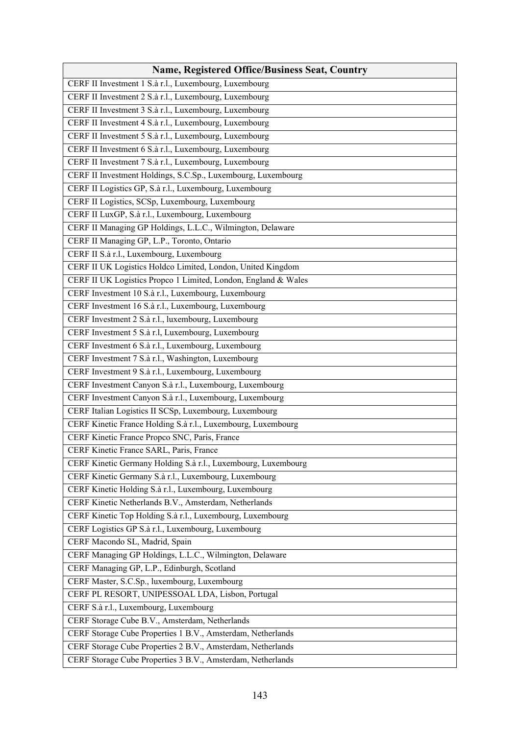| <b>Name, Registered Office/Business Seat, Country</b>          |
|----------------------------------------------------------------|
| CERF II Investment 1 S.à r.l., Luxembourg, Luxembourg          |
| CERF II Investment 2 S.à r.l., Luxembourg, Luxembourg          |
| CERF II Investment 3 S.à r.l., Luxembourg, Luxembourg          |
| CERF II Investment 4 S.à r.l., Luxembourg, Luxembourg          |
| CERF II Investment 5 S.à r.l., Luxembourg, Luxembourg          |
| CERF II Investment 6 S.à r.l., Luxembourg, Luxembourg          |
| CERF II Investment 7 S.à r.l., Luxembourg, Luxembourg          |
| CERF II Investment Holdings, S.C.Sp., Luxembourg, Luxembourg   |
| CERF II Logistics GP, S.à r.l., Luxembourg, Luxembourg         |
| CERF II Logistics, SCSp, Luxembourg, Luxembourg                |
| CERF II LuxGP, S.à r.l., Luxembourg, Luxembourg                |
| CERF II Managing GP Holdings, L.L.C., Wilmington, Delaware     |
| CERF II Managing GP, L.P., Toronto, Ontario                    |
| CERF II S.à r.l., Luxembourg, Luxembourg                       |
| CERF II UK Logistics Holdco Limited, London, United Kingdom    |
| CERF II UK Logistics Propco 1 Limited, London, England & Wales |
| CERF Investment 10 S.à r.l., Luxembourg, Luxembourg            |
| CERF Investment 16 S.à r.l., Luxembourg, Luxembourg            |
| CERF Investment 2 S.à r.l., luxembourg, Luxembourg             |
| CERF Investment 5 S.à r.l, Luxembourg, Luxembourg              |
| CERF Investment 6 S.à r.l., Luxembourg, Luxembourg             |
| CERF Investment 7 S.à r.l., Washington, Luxembourg             |
| CERF Investment 9 S.à r.l., Luxembourg, Luxembourg             |
| CERF Investment Canyon S.à r.l., Luxembourg, Luxembourg        |
| CERF Investment Canyon S.à r.l., Luxembourg, Luxembourg        |
| CERF Italian Logistics II SCSp, Luxembourg, Luxembourg         |
| CERF Kinetic France Holding S.à r.l., Luxembourg, Luxembourg   |
| CERF Kinetic France Propco SNC, Paris, France                  |
| CERF Kinetic France SARL, Paris, France                        |
| CERF Kinetic Germany Holding S.à r.l., Luxembourg, Luxembourg  |
| CERF Kinetic Germany S.à r.l., Luxembourg, Luxembourg          |
| CERF Kinetic Holding S.à r.l., Luxembourg, Luxembourg          |
| CERF Kinetic Netherlands B.V., Amsterdam, Netherlands          |
| CERF Kinetic Top Holding S.à r.l., Luxembourg, Luxembourg      |
| CERF Logistics GP S.à r.l., Luxembourg, Luxembourg             |
| CERF Macondo SL, Madrid, Spain                                 |
| CERF Managing GP Holdings, L.L.C., Wilmington, Delaware        |
| CERF Managing GP, L.P., Edinburgh, Scotland                    |
| CERF Master, S.C.Sp., luxembourg, Luxembourg                   |
| CERF PL RESORT, UNIPESSOAL LDA, Lisbon, Portugal               |
| CERF S.à r.l., Luxembourg, Luxembourg                          |
| CERF Storage Cube B.V., Amsterdam, Netherlands                 |
| CERF Storage Cube Properties 1 B.V., Amsterdam, Netherlands    |
| CERF Storage Cube Properties 2 B.V., Amsterdam, Netherlands    |
| CERF Storage Cube Properties 3 B.V., Amsterdam, Netherlands    |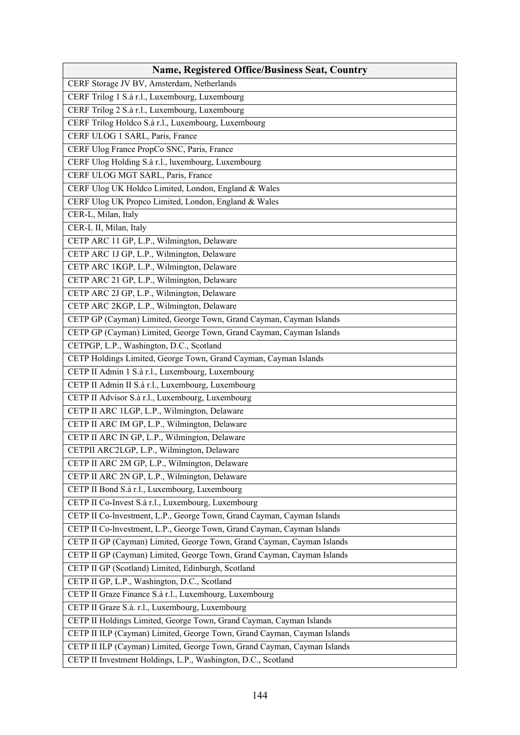| <b>Name, Registered Office/Business Seat, Country</b>                   |
|-------------------------------------------------------------------------|
| CERF Storage JV BV, Amsterdam, Netherlands                              |
| CERF Trilog 1 S.à r.l., Luxembourg, Luxembourg                          |
| CERF Trilog 2 S.à r.l., Luxembourg, Luxembourg                          |
| CERF Trilog Holdco S.à r.l., Luxembourg, Luxembourg                     |
| CERF ULOG 1 SARL, Paris, France                                         |
| CERF Ulog France PropCo SNC, Paris, France                              |
| CERF Ulog Holding S.à r.l., luxembourg, Luxembourg                      |
| CERF ULOG MGT SARL, Paris, France                                       |
| CERF Ulog UK Holdco Limited, London, England & Wales                    |
| CERF Ulog UK Propco Limited, London, England & Wales                    |
| CER-L, Milan, Italy                                                     |
| CER-L II, Milan, Italy                                                  |
| CETP ARC 11 GP, L.P., Wilmington, Delaware                              |
| CETP ARC 1J GP, L.P., Wilmington, Delaware                              |
| CETP ARC 1KGP, L.P., Wilmington, Delaware                               |
| CETP ARC 21 GP, L.P., Wilmington, Delaware                              |
| CETP ARC 2J GP, L.P., Wilmington, Delaware                              |
| CETP ARC 2KGP, L.P., Wilmington, Delaware                               |
| CETP GP (Cayman) Limited, George Town, Grand Cayman, Cayman Islands     |
| CETP GP (Cayman) Limited, George Town, Grand Cayman, Cayman Islands     |
| CETPGP, L.P., Washington, D.C., Scotland                                |
| CETP Holdings Limited, George Town, Grand Cayman, Cayman Islands        |
| CETP II Admin 1 S.à r.l., Luxembourg, Luxembourg                        |
| CETP II Admin II S.à r.l., Luxembourg, Luxembourg                       |
| CETP II Advisor S.à r.l., Luxembourg, Luxembourg                        |
| CETP II ARC 1LGP, L.P., Wilmington, Delaware                            |
| CETP II ARC IM GP, L.P., Wilmington, Delaware                           |
| CETP II ARC IN GP, L.P., Wilmington, Delaware                           |
| CETPII ARC2LGP, L.P., Wilmington, Delaware                              |
| CETP II ARC 2M GP, L.P., Wilmington, Delaware                           |
| CETP II ARC 2N GP, L.P., Wilmington, Delaware                           |
| CETP II Bond S.à r.l., Luxembourg, Luxembourg                           |
| CETP II Co-Invest S.à r.l., Luxembourg, Luxembourg                      |
| CETP II Co-lnvestment, L.P., George Town, Grand Cayman, Cayman Islands  |
| CETP II Co-lnvestment, L.P., George Town, Grand Cayman, Cayman Islands  |
| CETP II GP (Cayman) Limited, George Town, Grand Cayman, Cayman Islands  |
| CETP II GP (Cayman) Limited, George Town, Grand Cayman, Cayman Islands  |
| CETP II GP (Scotland) Limited, Edinburgh, Scotland                      |
| CETP II GP, L.P., Washington, D.C., Scotland                            |
| CETP II Graze Finance S.à r.l., Luxembourg, Luxembourg                  |
| CETP II Graze S.à. r.l., Luxembourg, Luxembourg                         |
| CETP II Holdings Limited, George Town, Grand Cayman, Cayman Islands     |
| CETP II ILP (Cayman) Limited, George Town, Grand Cayman, Cayman Islands |
| CETP II ILP (Cayman) Limited, George Town, Grand Cayman, Cayman Islands |
| CETP II Investment Holdings, L.P., Washington, D.C., Scotland           |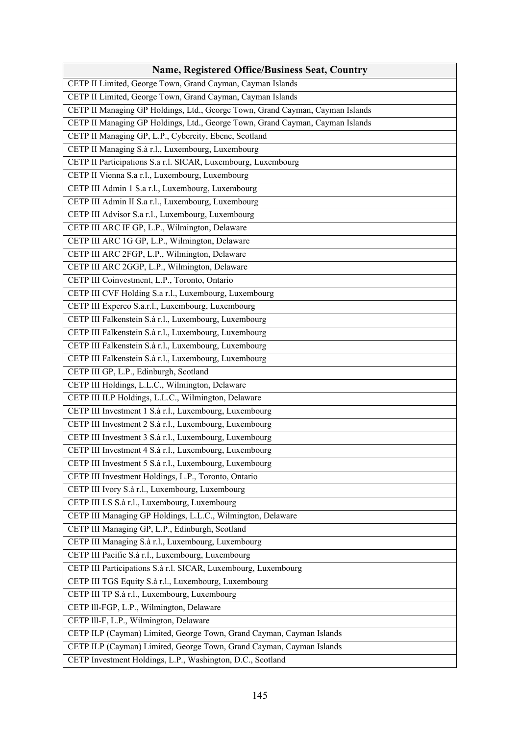| <b>Name, Registered Office/Business Seat, Country</b>                         |
|-------------------------------------------------------------------------------|
| CETP II Limited, George Town, Grand Cayman, Cayman Islands                    |
| CETP II Limited, George Town, Grand Cayman, Cayman Islands                    |
| CETP II Managing GP Holdings, Ltd., George Town, Grand Cayman, Cayman Islands |
| CETP II Managing GP Holdings, Ltd., George Town, Grand Cayman, Cayman Islands |
| CETP II Managing GP, L.P., Cybercity, Ebene, Scotland                         |
| CETP II Managing S.à r.l., Luxembourg, Luxembourg                             |
| CETP II Participations S.a r.l. SICAR, Luxembourg, Luxembourg                 |
| CETP II Vienna S.a r.l., Luxembourg, Luxembourg                               |
| CETP III Admin 1 S.a r.l., Luxembourg, Luxembourg                             |
| CETP III Admin II S.a r.l., Luxembourg, Luxembourg                            |
| CETP III Advisor S.a r.l., Luxembourg, Luxembourg                             |
| CETP III ARC IF GP, L.P., Wilmington, Delaware                                |
| CETP III ARC 1G GP, L.P., Wilmington, Delaware                                |
| CETP III ARC 2FGP, L.P., Wilmington, Delaware                                 |
| CETP III ARC 2GGP, L.P., Wilmington, Delaware                                 |
| CETP III Coinvestment, L.P., Toronto, Ontario                                 |
| CETP III CVF Holding S.a r.l., Luxembourg, Luxembourg                         |
| CETP III Expereo S.a.r.l., Luxembourg, Luxembourg                             |
| CETP III Falkenstein S.à r.l., Luxembourg, Luxembourg                         |
| CETP III Falkenstein S.à r.l., Luxembourg, Luxembourg                         |
| CETP III Falkenstein S.à r.l., Luxembourg, Luxembourg                         |
| CETP III Falkenstein S.à r.l., Luxembourg, Luxembourg                         |
| CETP III GP, L.P., Edinburgh, Scotland                                        |
| CETP III Holdings, L.L.C., Wilmington, Delaware                               |
| CETP III ILP Holdings, L.L.C., Wilmington, Delaware                           |
| CETP III Investment 1 S.à r.l., Luxembourg, Luxembourg                        |
| CETP III Investment 2 S.à r.l., Luxembourg, Luxembourg                        |
| CETP III Investment 3 S.à r.l., Luxembourg, Luxembourg                        |
| CETP III Investment 4 S.à r.l., Luxembourg, Luxembourg                        |
| CETP III Investment 5 S.à r.l., Luxembourg, Luxembourg                        |
| CETP III Investment Holdings, L.P., Toronto, Ontario                          |
| CETP III Ivory S.à r.l., Luxembourg, Luxembourg                               |
| CETP III LS S.à r.l., Luxembourg, Luxembourg                                  |
| CETP III Managing GP Holdings, L.L.C., Wilmington, Delaware                   |
| CETP III Managing GP, L.P., Edinburgh, Scotland                               |
| CETP III Managing S.à r.l., Luxembourg, Luxembourg                            |
| CETP III Pacific S.à r.l., Luxembourg, Luxembourg                             |
| CETP III Participations S.à r.l. SICAR, Luxembourg, Luxembourg                |
| CETP III TGS Equity S.à r.l., Luxembourg, Luxembourg                          |
| CETP III TP S.à r.l., Luxembourg, Luxembourg                                  |
| CETP III-FGP, L.P., Wilmington, Delaware                                      |
| CETP III-F, L.P., Wilmington, Delaware                                        |
| CETP ILP (Cayman) Limited, George Town, Grand Cayman, Cayman Islands          |
| CETP ILP (Cayman) Limited, George Town, Grand Cayman, Cayman Islands          |
| CETP Investment Holdings, L.P., Washington, D.C., Scotland                    |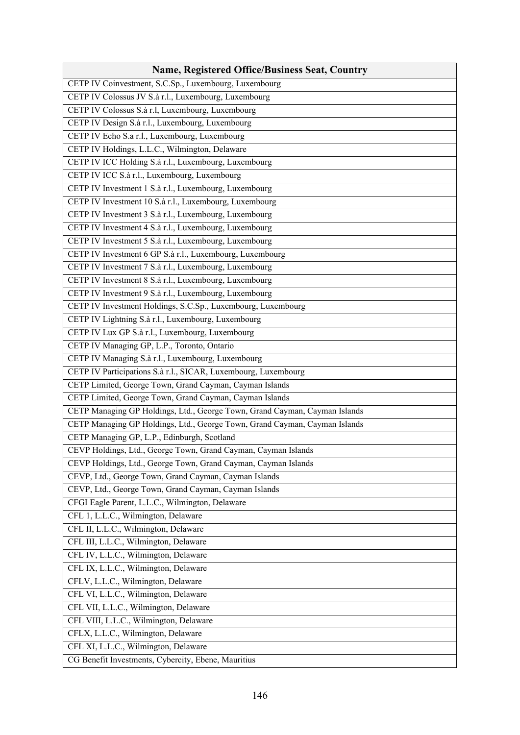| <b>Name, Registered Office/Business Seat, Country</b>                      |
|----------------------------------------------------------------------------|
| CETP IV Coinvestment, S.C.Sp., Luxembourg, Luxembourg                      |
| CETP IV Colossus JV S.à r.l., Luxembourg, Luxembourg                       |
| CETP IV Colossus S.à r.l, Luxembourg, Luxembourg                           |
| CETP IV Design S.à r.l., Luxembourg, Luxembourg                            |
| CETP IV Echo S.a r.l., Luxembourg, Luxembourg                              |
| CETP IV Holdings, L.L.C., Wilmington, Delaware                             |
| CETP IV ICC Holding S.à r.l., Luxembourg, Luxembourg                       |
| CETP IV ICC S.à r.l., Luxembourg, Luxembourg                               |
| CETP IV Investment 1 S.à r.l., Luxembourg, Luxembourg                      |
| CETP IV Investment 10 S.à r.l., Luxembourg, Luxembourg                     |
| CETP IV Investment 3 S.à r.l., Luxembourg, Luxembourg                      |
| CETP IV Investment 4 S.à r.l., Luxembourg, Luxembourg                      |
| CETP IV Investment 5 S.à r.l., Luxembourg, Luxembourg                      |
| CETP IV Investment 6 GP S.à r.l., Luxembourg, Luxembourg                   |
| CETP IV Investment 7 S.à r.l., Luxembourg, Luxembourg                      |
| CETP IV Investment 8 S.à r.l., Luxembourg, Luxembourg                      |
| CETP IV Investment 9 S.à r.l., Luxembourg, Luxembourg                      |
| CETP IV Investment Holdings, S.C.Sp., Luxembourg, Luxembourg               |
| CETP IV Lightning S.à r.l., Luxembourg, Luxembourg                         |
| CETP IV Lux GP S.à r.l., Luxembourg, Luxembourg                            |
| CETP IV Managing GP, L.P., Toronto, Ontario                                |
| CETP IV Managing S.à r.l., Luxembourg, Luxembourg                          |
| CETP IV Participations S.à r.l., SICAR, Luxembourg, Luxembourg             |
| CETP Limited, George Town, Grand Cayman, Cayman Islands                    |
| CETP Limited, George Town, Grand Cayman, Cayman Islands                    |
| CETP Managing GP Holdings, Ltd., George Town, Grand Cayman, Cayman Islands |
| CETP Managing GP Holdings, Ltd., George Town, Grand Cayman, Cayman Islands |
| CETP Managing GP, L.P., Edinburgh, Scotland                                |
| CEVP Holdings, Ltd., George Town, Grand Cayman, Cayman Islands             |
| CEVP Holdings, Ltd., George Town, Grand Cayman, Cayman Islands             |
| CEVP, Ltd., George Town, Grand Cayman, Cayman Islands                      |
| CEVP, Ltd., George Town, Grand Cayman, Cayman Islands                      |
| CFGI Eagle Parent, L.L.C., Wilmington, Delaware                            |
| CFL 1, L.L.C., Wilmington, Delaware                                        |
| CFL II, L.L.C., Wilmington, Delaware                                       |
| CFL III, L.L.C., Wilmington, Delaware                                      |
| CFL IV, L.L.C., Wilmington, Delaware                                       |
| CFL IX, L.L.C., Wilmington, Delaware                                       |
| CFLV, L.L.C., Wilmington, Delaware                                         |
| CFL VI, L.L.C., Wilmington, Delaware                                       |
| CFL VII, L.L.C., Wilmington, Delaware                                      |
| CFL VIII, L.L.C., Wilmington, Delaware                                     |
| CFLX, L.L.C., Wilmington, Delaware                                         |
| CFL XI, L.L.C., Wilmington, Delaware                                       |
| CG Benefit Investments, Cybercity, Ebene, Mauritius                        |
|                                                                            |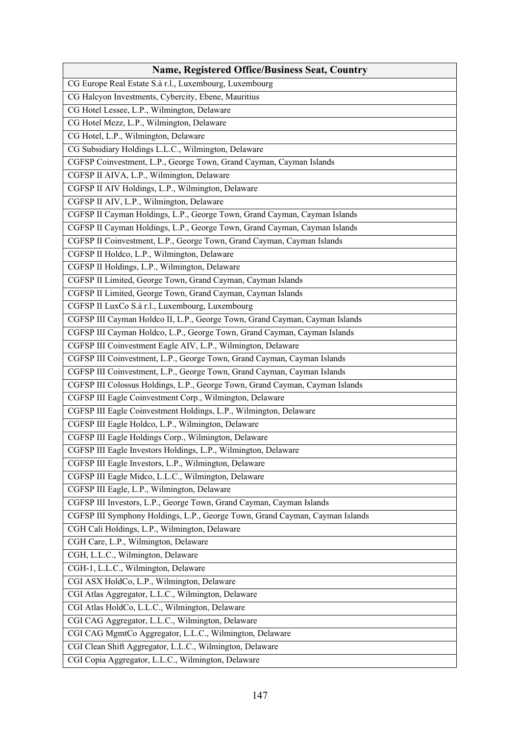| <b>Name, Registered Office/Business Seat, Country</b>                        |
|------------------------------------------------------------------------------|
| CG Europe Real Estate S.à r.l., Luxembourg, Luxembourg                       |
| CG Halcyon Investments, Cybercity, Ebene, Mauritius                          |
| CG Hotel Lessee, L.P., Wilmington, Delaware                                  |
| CG Hotel Mezz, L.P., Wilmington, Delaware                                    |
| CG Hotel, L.P., Wilmington, Delaware                                         |
| CG Subsidiary Holdings L.L.C., Wilmington, Delaware                          |
| CGFSP Coinvestment, L.P., George Town, Grand Cayman, Cayman Islands          |
| CGFSP II AIVA, L.P., Wilmington, Delaware                                    |
| CGFSP II AIV Holdings, L.P., Wilmington, Delaware                            |
| CGFSP II AIV, L.P., Wilmington, Delaware                                     |
| CGFSP II Cayman Holdings, L.P., George Town, Grand Cayman, Cayman Islands    |
| CGFSP II Cayman Holdings, L.P., George Town, Grand Cayman, Cayman Islands    |
| CGFSP II Coinvestment, L.P., George Town, Grand Cayman, Cayman Islands       |
| CGFSP II Holdco, L.P., Wilmington, Delaware                                  |
| CGFSP II Holdings, L.P., Wilmington, Delaware                                |
| CGFSP II Limited, George Town, Grand Cayman, Cayman Islands                  |
| CGFSP II Limited, George Town, Grand Cayman, Cayman Islands                  |
| CGFSP II LuxCo S.à r.l., Luxembourg, Luxembourg                              |
| CGFSP III Cayman Holdco II, L.P., George Town, Grand Cayman, Cayman Islands  |
| CGFSP III Cayman Holdco, L.P., George Town, Grand Cayman, Cayman Islands     |
| CGFSP III Coinvestment Eagle AIV, L.P., Wilmington, Delaware                 |
| CGFSP III Coinvestment, L.P., George Town, Grand Cayman, Cayman Islands      |
| CGFSP III Coinvestment, L.P., George Town, Grand Cayman, Cayman Islands      |
| CGFSP III Colossus Holdings, L.P., George Town, Grand Cayman, Cayman Islands |
| CGFSP III Eagle Coinvestment Corp., Wilmington, Delaware                     |
| CGFSP III Eagle Coinvestment Holdings, L.P., Wilmington, Delaware            |
| CGFSP III Eagle Holdco, L.P., Wilmington, Delaware                           |
| CGFSP III Eagle Holdings Corp., Wilmington, Delaware                         |
| CGFSP III Eagle Investors Holdings, L.P., Wilmington, Delaware               |
| CGFSP III Eagle Investors, L.P., Wilmington, Delaware                        |
| CGFSP III Eagle Midco, L.L.C., Wilmington, Delaware                          |
| CGFSP III Eagle, L.P., Wilmington, Delaware                                  |
| CGFSP III Investors, L.P., George Town, Grand Cayman, Cayman Islands         |
| CGFSP III Symphony Holdings, L.P., George Town, Grand Cayman, Cayman Islands |
| CGH Cali Holdings, L.P., Wilmington, Delaware                                |
| CGH Care, L.P., Wilmington, Delaware                                         |
| CGH, L.L.C., Wilmington, Delaware                                            |
| CGH-1, L.L.C., Wilmington, Delaware                                          |
| CGI ASX HoldCo, L.P., Wilmington, Delaware                                   |
| CGI Atlas Aggregator, L.L.C., Wilmington, Delaware                           |
| CGI Atlas HoldCo, L.L.C., Wilmington, Delaware                               |
| CGI CAG Aggregator, L.L.C., Wilmington, Delaware                             |
| CGI CAG MgmtCo Aggregator, L.L.C., Wilmington, Delaware                      |
| CGI Clean Shift Aggregator, L.L.C., Wilmington, Delaware                     |
| CGI Copia Aggregator, L.L.C., Wilmington, Delaware                           |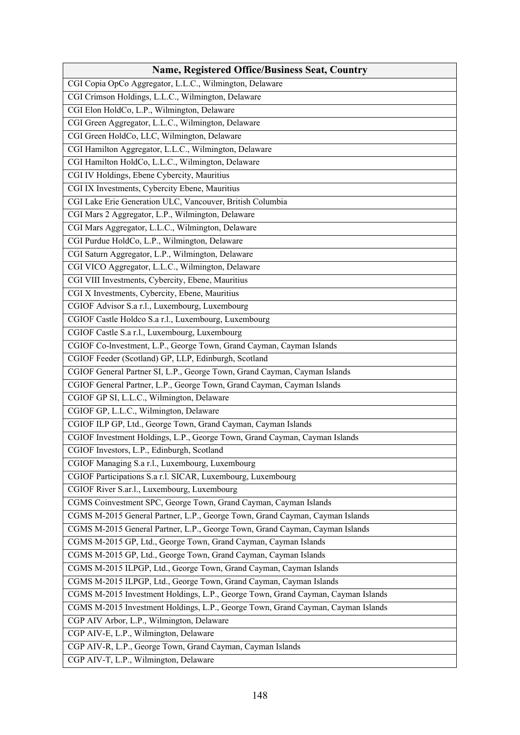| <b>Name, Registered Office/Business Seat, Country</b>                            |
|----------------------------------------------------------------------------------|
| CGI Copia OpCo Aggregator, L.L.C., Wilmington, Delaware                          |
| CGI Crimson Holdings, L.L.C., Wilmington, Delaware                               |
| CGI Elon HoldCo, L.P., Wilmington, Delaware                                      |
| CGI Green Aggregator, L.L.C., Wilmington, Delaware                               |
| CGI Green HoldCo, LLC, Wilmington, Delaware                                      |
| CGI Hamilton Aggregator, L.L.C., Wilmington, Delaware                            |
| CGI Hamilton HoldCo, L.L.C., Wilmington, Delaware                                |
| CGI IV Holdings, Ebene Cybercity, Mauritius                                      |
| CGI IX Investments, Cybercity Ebene, Mauritius                                   |
| CGI Lake Erie Generation ULC, Vancouver, British Columbia                        |
| CGI Mars 2 Aggregator, L.P., Wilmington, Delaware                                |
| CGI Mars Aggregator, L.L.C., Wilmington, Delaware                                |
| CGI Purdue HoldCo, L.P., Wilmington, Delaware                                    |
| CGI Saturn Aggregator, L.P., Wilmington, Delaware                                |
| CGI VICO Aggregator, L.L.C., Wilmington, Delaware                                |
| CGI VIII Investments, Cybercity, Ebene, Mauritius                                |
| CGI X Investments, Cybercity, Ebene, Mauritius                                   |
| CGIOF Advisor S.a r.l., Luxembourg, Luxembourg                                   |
| CGIOF Castle Holdco S.a r.l., Luxembourg, Luxembourg                             |
| CGIOF Castle S.a r.l., Luxembourg, Luxembourg                                    |
| CGIOF Co-Investment, L.P., George Town, Grand Cayman, Cayman Islands             |
| CGIOF Feeder (Scotland) GP, LLP, Edinburgh, Scotland                             |
| CGIOF General Partner SI, L.P., George Town, Grand Cayman, Cayman Islands        |
| CGIOF General Partner, L.P., George Town, Grand Cayman, Cayman Islands           |
| CGIOF GP SI, L.L.C., Wilmington, Delaware                                        |
| CGIOF GP, L.L.C., Wilmington, Delaware                                           |
| CGIOF ILP GP, Ltd., George Town, Grand Cayman, Cayman Islands                    |
| CGIOF Investment Holdings, L.P., George Town, Grand Cayman, Cayman Islands       |
| CGIOF Investors, L.P., Edinburgh, Scotland                                       |
| CGIOF Managing S.a r.l., Luxembourg, Luxembourg                                  |
| CGIOF Participations S.a r.l. SICAR, Luxembourg, Luxembourg                      |
| CGIOF River S.ar.l., Luxembourg, Luxembourg                                      |
| CGMS Coinvestment SPC, George Town, Grand Cayman, Cayman Islands                 |
| CGMS M-2015 General Partner, L.P., George Town, Grand Cayman, Cayman Islands     |
| CGMS M-2015 General Partner, L.P., George Town, Grand Cayman, Cayman Islands     |
| CGMS M-2015 GP, Ltd., George Town, Grand Cayman, Cayman Islands                  |
| CGMS M-2015 GP, Ltd., George Town, Grand Cayman, Cayman Islands                  |
| CGMS M-2015 ILPGP, Ltd., George Town, Grand Cayman, Cayman Islands               |
| CGMS M-2015 ILPGP, Ltd., George Town, Grand Cayman, Cayman Islands               |
| CGMS M-2015 Investment Holdings, L.P., George Town, Grand Cayman, Cayman Islands |
| CGMS M-2015 Investment Holdings, L.P., George Town, Grand Cayman, Cayman Islands |
| CGP AIV Arbor, L.P., Wilmington, Delaware                                        |
| CGP AIV-E, L.P., Wilmington, Delaware                                            |
| CGP AIV-R, L.P., George Town, Grand Cayman, Cayman Islands                       |
| CGP AIV-T, L.P., Wilmington, Delaware                                            |
|                                                                                  |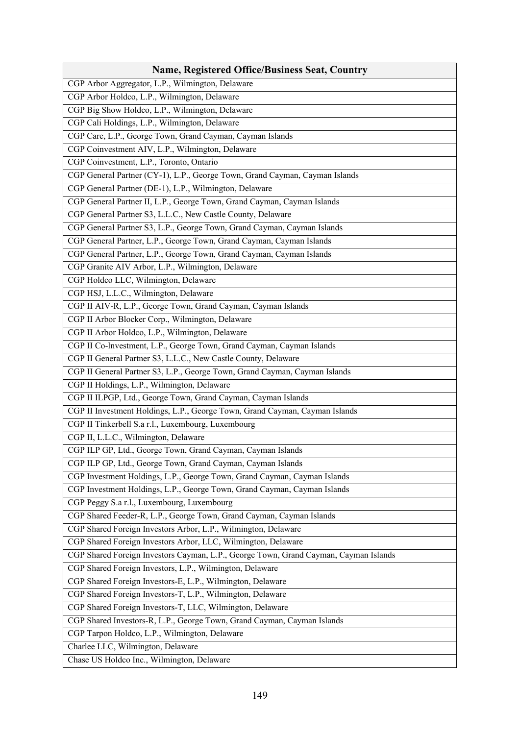| <b>Name, Registered Office/Business Seat, Country</b>                                |
|--------------------------------------------------------------------------------------|
| CGP Arbor Aggregator, L.P., Wilmington, Delaware                                     |
| CGP Arbor Holdco, L.P., Wilmington, Delaware                                         |
| CGP Big Show Holdco, L.P., Wilmington, Delaware                                      |
| CGP Cali Holdings, L.P., Wilmington, Delaware                                        |
| CGP Care, L.P., George Town, Grand Cayman, Cayman Islands                            |
| CGP Coinvestment AIV, L.P., Wilmington, Delaware                                     |
| CGP Coinvestment, L.P., Toronto, Ontario                                             |
| CGP General Partner (CY-1), L.P., George Town, Grand Cayman, Cayman Islands          |
| CGP General Partner (DE-1), L.P., Wilmington, Delaware                               |
| CGP General Partner II, L.P., George Town, Grand Cayman, Cayman Islands              |
| CGP General Partner S3, L.L.C., New Castle County, Delaware                          |
| CGP General Partner S3, L.P., George Town, Grand Cayman, Cayman Islands              |
| CGP General Partner, L.P., George Town, Grand Cayman, Cayman Islands                 |
| CGP General Partner, L.P., George Town, Grand Cayman, Cayman Islands                 |
| CGP Granite AIV Arbor, L.P., Wilmington, Delaware                                    |
| CGP Holdco LLC, Wilmington, Delaware                                                 |
| CGP HSJ, L.L.C., Wilmington, Delaware                                                |
| CGP II AIV-R, L.P., George Town, Grand Cayman, Cayman Islands                        |
| CGP II Arbor Blocker Corp., Wilmington, Delaware                                     |
| CGP II Arbor Holdco, L.P., Wilmington, Delaware                                      |
| CGP II Co-Investment, L.P., George Town, Grand Cayman, Cayman Islands                |
| CGP II General Partner S3, L.L.C., New Castle County, Delaware                       |
| CGP II General Partner S3, L.P., George Town, Grand Cayman, Cayman Islands           |
| CGP II Holdings, L.P., Wilmington, Delaware                                          |
| CGP II ILPGP, Ltd., George Town, Grand Cayman, Cayman Islands                        |
| CGP II Investment Holdings, L.P., George Town, Grand Cayman, Cayman Islands          |
| CGP II Tinkerbell S.a r.l., Luxembourg, Luxembourg                                   |
| CGP II, L.L.C., Wilmington, Delaware                                                 |
| CGP ILP GP, Ltd., George Town, Grand Cayman, Cayman Islands                          |
| CGP ILP GP, Ltd., George Town, Grand Cayman, Cayman Islands                          |
| CGP Investment Holdings, L.P., George Town, Grand Cayman, Cayman Islands             |
| CGP Investment Holdings, L.P., George Town, Grand Cayman, Cayman Islands             |
| CGP Peggy S.a r.l., Luxembourg, Luxembourg                                           |
| CGP Shared Feeder-R, L.P., George Town, Grand Cayman, Cayman Islands                 |
| CGP Shared Foreign Investors Arbor, L.P., Wilmington, Delaware                       |
| CGP Shared Foreign Investors Arbor, LLC, Wilmington, Delaware                        |
| CGP Shared Foreign Investors Cayman, L.P., George Town, Grand Cayman, Cayman Islands |
| CGP Shared Foreign Investors, L.P., Wilmington, Delaware                             |
| CGP Shared Foreign Investors-E, L.P., Wilmington, Delaware                           |
| CGP Shared Foreign Investors-T, L.P., Wilmington, Delaware                           |
| CGP Shared Foreign Investors-T, LLC, Wilmington, Delaware                            |
| CGP Shared Investors-R, L.P., George Town, Grand Cayman, Cayman Islands              |
| CGP Tarpon Holdco, L.P., Wilmington, Delaware                                        |
| Charlee LLC, Wilmington, Delaware                                                    |
| Chase US Holdco Inc., Wilmington, Delaware                                           |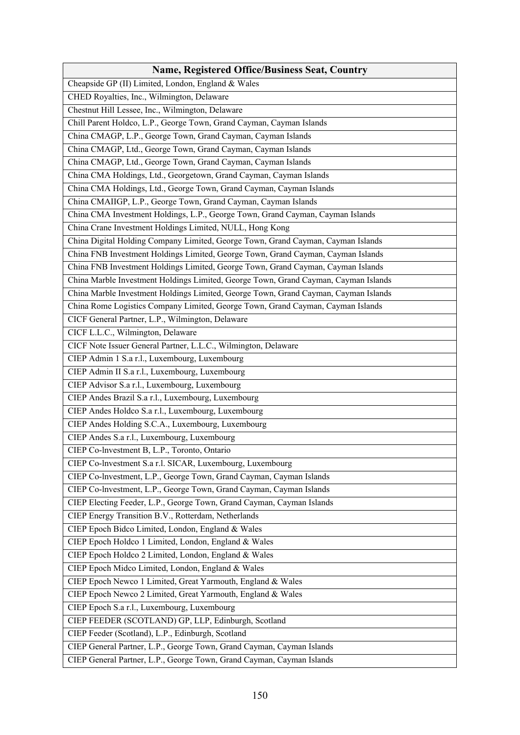| <b>Name, Registered Office/Business Seat, Country</b>                               |
|-------------------------------------------------------------------------------------|
| Cheapside GP (II) Limited, London, England & Wales                                  |
| CHED Royalties, Inc., Wilmington, Delaware                                          |
| Chestnut Hill Lessee, Inc., Wilmington, Delaware                                    |
| Chill Parent Holdco, L.P., George Town, Grand Cayman, Cayman Islands                |
| China CMAGP, L.P., George Town, Grand Cayman, Cayman Islands                        |
| China CMAGP, Ltd., George Town, Grand Cayman, Cayman Islands                        |
| China CMAGP, Ltd., George Town, Grand Cayman, Cayman Islands                        |
| China CMA Holdings, Ltd., Georgetown, Grand Cayman, Cayman Islands                  |
| China CMA Holdings, Ltd., George Town, Grand Cayman, Cayman Islands                 |
| China CMAIIGP, L.P., George Town, Grand Cayman, Cayman Islands                      |
| China CMA Investment Holdings, L.P., George Town, Grand Cayman, Cayman Islands      |
| China Crane Investment Holdings Limited, NULL, Hong Kong                            |
| China Digital Holding Company Limited, George Town, Grand Cayman, Cayman Islands    |
| China FNB Investment Holdings Limited, George Town, Grand Cayman, Cayman Islands    |
| China FNB Investment Holdings Limited, George Town, Grand Cayman, Cayman Islands    |
| China Marble Investment Holdings Limited, George Town, Grand Cayman, Cayman Islands |
| China Marble Investment Holdings Limited, George Town, Grand Cayman, Cayman Islands |
| China Rome Logistics Company Limited, George Town, Grand Cayman, Cayman Islands     |
| CICF General Partner, L.P., Wilmington, Delaware                                    |
| CICF L.L.C., Wilmington, Delaware                                                   |
| CICF Note Issuer General Partner, L.L.C., Wilmington, Delaware                      |
| CIEP Admin 1 S.a r.l., Luxembourg, Luxembourg                                       |
| CIEP Admin II S.a r.l., Luxembourg, Luxembourg                                      |
| CIEP Advisor S.a r.l., Luxembourg, Luxembourg                                       |
| CIEP Andes Brazil S.a r.l., Luxembourg, Luxembourg                                  |
| CIEP Andes Holdco S.a r.l., Luxembourg, Luxembourg                                  |
| CIEP Andes Holding S.C.A., Luxembourg, Luxembourg                                   |
| CIEP Andes S.a r.l., Luxembourg, Luxembourg                                         |
| CIEP Co-lnvestment B, L.P., Toronto, Ontario                                        |
| CIEP Co-lnvestment S.a r.l. SICAR, Luxembourg, Luxembourg                           |
| CIEP Co-Investment, L.P., George Town, Grand Cayman, Cayman Islands                 |
| CIEP Co-Investment, L.P., George Town, Grand Cayman, Cayman Islands                 |
| CIEP Electing Feeder, L.P., George Town, Grand Cayman, Cayman Islands               |
| CIEP Energy Transition B.V., Rotterdam, Netherlands                                 |
| CIEP Epoch Bidco Limited, London, England & Wales                                   |
| CIEP Epoch Holdco 1 Limited, London, England & Wales                                |
| CIEP Epoch Holdco 2 Limited, London, England & Wales                                |
| CIEP Epoch Midco Limited, London, England & Wales                                   |
| CIEP Epoch Newco 1 Limited, Great Yarmouth, England & Wales                         |
| CIEP Epoch Newco 2 Limited, Great Yarmouth, England & Wales                         |
| CIEP Epoch S.a r.l., Luxembourg, Luxembourg                                         |
| CIEP FEEDER (SCOTLAND) GP, LLP, Edinburgh, Scotland                                 |
| CIEP Feeder (Scotland), L.P., Edinburgh, Scotland                                   |
| CIEP General Partner, L.P., George Town, Grand Cayman, Cayman Islands               |
| CIEP General Partner, L.P., George Town, Grand Cayman, Cayman Islands               |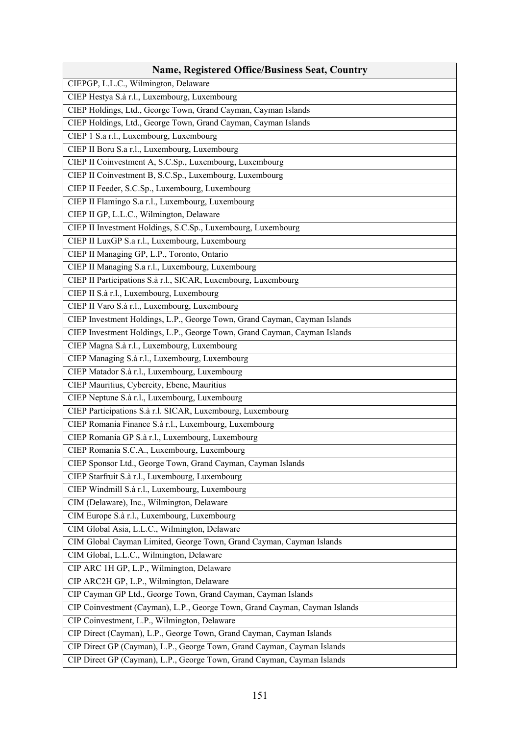| <b>Name, Registered Office/Business Seat, Country</b>                      |
|----------------------------------------------------------------------------|
| CIEPGP, L.L.C., Wilmington, Delaware                                       |
| CIEP Hestya S.à r.l., Luxembourg, Luxembourg                               |
| CIEP Holdings, Ltd., George Town, Grand Cayman, Cayman Islands             |
| CIEP Holdings, Ltd., George Town, Grand Cayman, Cayman Islands             |
| CIEP 1 S.a r.l., Luxembourg, Luxembourg                                    |
| CIEP II Boru S.a r.l., Luxembourg, Luxembourg                              |
| CIEP II Coinvestment A, S.C.Sp., Luxembourg, Luxembourg                    |
| CIEP II Coinvestment B, S.C.Sp., Luxembourg, Luxembourg                    |
| CIEP II Feeder, S.C.Sp., Luxembourg, Luxembourg                            |
| CIEP II Flamingo S.a r.l., Luxembourg, Luxembourg                          |
| CIEP II GP, L.L.C., Wilmington, Delaware                                   |
| CIEP II Investment Holdings, S.C.Sp., Luxembourg, Luxembourg               |
| CIEP II LuxGP S.a r.l., Luxembourg, Luxembourg                             |
| CIEP II Managing GP, L.P., Toronto, Ontario                                |
| CIEP II Managing S.a r.l., Luxembourg, Luxembourg                          |
| CIEP II Participations S.à r.l., SICAR, Luxembourg, Luxembourg             |
| CIEP II S.à r.l., Luxembourg, Luxembourg                                   |
| CIEP II Varo S.à r.l., Luxembourg, Luxembourg                              |
| CIEP Investment Holdings, L.P., George Town, Grand Cayman, Cayman Islands  |
| CIEP Investment Holdings, L.P., George Town, Grand Cayman, Cayman Islands  |
| CIEP Magna S.à r.l., Luxembourg, Luxembourg                                |
| CIEP Managing S.à r.l., Luxembourg, Luxembourg                             |
| CIEP Matador S.à r.l., Luxembourg, Luxembourg                              |
| CIEP Mauritius, Cybercity, Ebene, Mauritius                                |
| CIEP Neptune S.à r.l., Luxembourg, Luxembourg                              |
| CIEP Participations S.à r.l. SICAR, Luxembourg, Luxembourg                 |
| CIEP Romania Finance S.à r.l., Luxembourg, Luxembourg                      |
| CIEP Romania GP S.à r.l., Luxembourg, Luxembourg                           |
| CIEP Romania S.C.A., Luxembourg, Luxembourg                                |
| CIEP Sponsor Ltd., George Town, Grand Cayman, Cayman Islands               |
| CIEP Starfruit S.à r.l., Luxembourg, Luxembourg                            |
| CIEP Windmill S.à r.l., Luxembourg, Luxembourg                             |
| CIM (Delaware), Inc., Wilmington, Delaware                                 |
| CIM Europe S.à r.l., Luxembourg, Luxembourg                                |
| CIM Global Asia, L.L.C., Wilmington, Delaware                              |
| CIM Global Cayman Limited, George Town, Grand Cayman, Cayman Islands       |
| CIM Global, L.L.C., Wilmington, Delaware                                   |
| CIP ARC 1H GP, L.P., Wilmington, Delaware                                  |
| CIP ARC2H GP, L.P., Wilmington, Delaware                                   |
| CIP Cayman GP Ltd., George Town, Grand Cayman, Cayman Islands              |
| CIP Coinvestment (Cayman), L.P., George Town, Grand Cayman, Cayman Islands |
| CIP Coinvestment, L.P., Wilmington, Delaware                               |
| CIP Direct (Cayman), L.P., George Town, Grand Cayman, Cayman Islands       |
| CIP Direct GP (Cayman), L.P., George Town, Grand Cayman, Cayman Islands    |
| CIP Direct GP (Cayman), L.P., George Town, Grand Cayman, Cayman Islands    |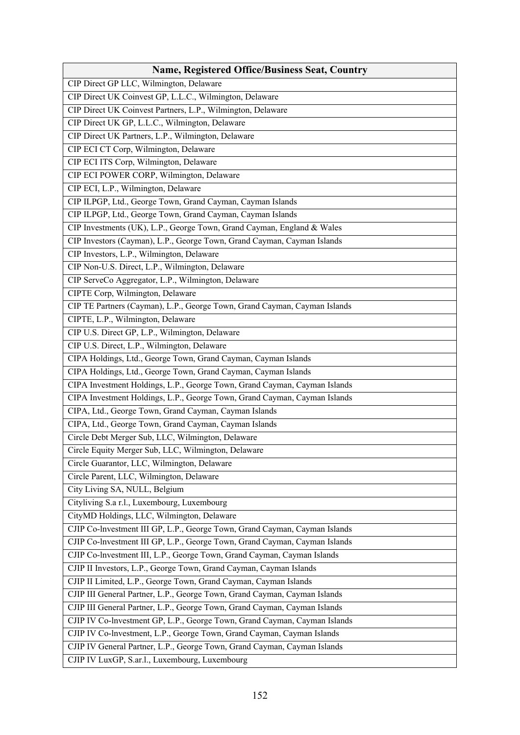| <b>Name, Registered Office/Business Seat, Country</b>                      |
|----------------------------------------------------------------------------|
| CIP Direct GP LLC, Wilmington, Delaware                                    |
| CIP Direct UK Coinvest GP, L.L.C., Wilmington, Delaware                    |
| CIP Direct UK Coinvest Partners, L.P., Wilmington, Delaware                |
| CIP Direct UK GP, L.L.C., Wilmington, Delaware                             |
| CIP Direct UK Partners, L.P., Wilmington, Delaware                         |
| CIP ECI CT Corp, Wilmington, Delaware                                      |
| CIP ECI ITS Corp, Wilmington, Delaware                                     |
| CIP ECI POWER CORP, Wilmington, Delaware                                   |
| CIP ECI, L.P., Wilmington, Delaware                                        |
| CIP ILPGP, Ltd., George Town, Grand Cayman, Cayman Islands                 |
| CIP ILPGP, Ltd., George Town, Grand Cayman, Cayman Islands                 |
| CIP Investments (UK), L.P., George Town, Grand Cayman, England & Wales     |
| CIP Investors (Cayman), L.P., George Town, Grand Cayman, Cayman Islands    |
| CIP Investors, L.P., Wilmington, Delaware                                  |
| CIP Non-U.S. Direct, L.P., Wilmington, Delaware                            |
| CIP ServeCo Aggregator, L.P., Wilmington, Delaware                         |
| CIPTE Corp, Wilmington, Delaware                                           |
| CIP TE Partners (Cayman), L.P., George Town, Grand Cayman, Cayman Islands  |
| CIPTE, L.P., Wilmington, Delaware                                          |
| CIP U.S. Direct GP, L.P., Wilmington, Delaware                             |
| CIP U.S. Direct, L.P., Wilmington, Delaware                                |
| CIPA Holdings, Ltd., George Town, Grand Cayman, Cayman Islands             |
| CIPA Holdings, Ltd., George Town, Grand Cayman, Cayman Islands             |
| CIPA Investment Holdings, L.P., George Town, Grand Cayman, Cayman Islands  |
| CIPA Investment Holdings, L.P., George Town, Grand Cayman, Cayman Islands  |
| CIPA, Ltd., George Town, Grand Cayman, Cayman Islands                      |
| CIPA, Ltd., George Town, Grand Cayman, Cayman Islands                      |
| Circle Debt Merger Sub, LLC, Wilmington, Delaware                          |
| Circle Equity Merger Sub, LLC, Wilmington, Delaware                        |
| Circle Guarantor, LLC, Wilmington, Delaware                                |
| Circle Parent, LLC, Wilmington, Delaware                                   |
| City Living SA, NULL, Belgium                                              |
| Cityliving S.a r.l., Luxembourg, Luxembourg                                |
| CityMD Holdings, LLC, Wilmington, Delaware                                 |
| CJIP Co-lnvestment III GP, L.P., George Town, Grand Cayman, Cayman Islands |
| CJIP Co-lnvestment III GP, L.P., George Town, Grand Cayman, Cayman Islands |
| CJIP Co-lnvestment III, L.P., George Town, Grand Cayman, Cayman Islands    |
| CJIP II Investors, L.P., George Town, Grand Cayman, Cayman Islands         |
| CJIP II Limited, L.P., George Town, Grand Cayman, Cayman Islands           |
| CJIP III General Partner, L.P., George Town, Grand Cayman, Cayman Islands  |
| CJIP III General Partner, L.P., George Town, Grand Cayman, Cayman Islands  |
| CJIP IV Co-lnvestment GP, L.P., George Town, Grand Cayman, Cayman Islands  |
| CJIP IV Co-Investment, L.P., George Town, Grand Cayman, Cayman Islands     |
| CJIP IV General Partner, L.P., George Town, Grand Cayman, Cayman Islands   |
| CJIP IV LuxGP, S.ar.l., Luxembourg, Luxembourg                             |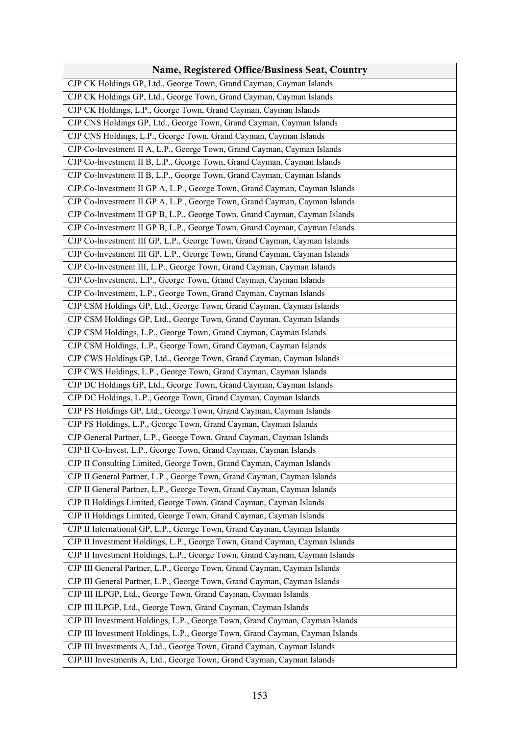| <b>Name, Registered Office/Business Seat, Country</b>                        |
|------------------------------------------------------------------------------|
| CJP CK Holdings GP, Ltd., George Town, Grand Cayman, Cayman Islands          |
| CJP CK Holdings GP, Ltd., George Town, Grand Cayman, Cayman Islands          |
| CJP CK Holdings, L.P., George Town, Grand Cayman, Cayman Islands             |
| CJP CNS Holdings GP, Ltd., George Town, Grand Cayman, Cayman Islands         |
| CJP CNS Holdings, L.P., George Town, Grand Cayman, Cayman Islands            |
| CJP Co-lnvestment II A, L.P., George Town, Grand Cayman, Cayman Islands      |
| CJP Co-Investment II B, L.P., George Town, Grand Cayman, Cayman Islands      |
| CJP Co-Investment II B, L.P., George Town, Grand Cayman, Cayman Islands      |
| CJP Co-Investment II GP A, L.P., George Town, Grand Cayman, Cayman Islands   |
| CJP Co-lnvestment II GP A, L.P., George Town, Grand Cayman, Cayman Islands   |
| CJP Co-Investment II GP B, L.P., George Town, Grand Cayman, Cayman Islands   |
| CJP Co-Investment II GP B, L.P., George Town, Grand Cayman, Cayman Islands   |
| CJP Co-Investment III GP, L.P., George Town, Grand Cayman, Cayman Islands    |
| CJP Co-Investment III GP, L.P., George Town, Grand Cayman, Cayman Islands    |
| CJP Co-lnvestment III, L.P., George Town, Grand Cayman, Cayman Islands       |
| CJP Co-lnvestment, L.P., George Town, Grand Cayman, Cayman Islands           |
| CJP Co-lnvestment, L.P., George Town, Grand Cayman, Cayman Islands           |
| CJP CSM Holdings GP, Ltd., George Town, Grand Cayman, Cayman Islands         |
| CJP CSM Holdings GP, Ltd., George Town, Grand Cayman, Cayman Islands         |
| CJP CSM Holdings, L.P., George Town, Grand Cayman, Cayman Islands            |
| CJP CSM Holdings, L.P., George Town, Grand Cayman, Cayman Islands            |
| CJP CWS Holdings GP, Ltd., George Town, Grand Cayman, Cayman Islands         |
| CJP CWS Holdings, L.P., George Town, Grand Cayman, Cayman Islands            |
| CJP DC Holdings GP, Ltd., George Town, Grand Cayman, Cayman Islands          |
| CJP DC Holdings, L.P., George Town, Grand Cayman, Cayman Islands             |
| CJP FS Holdings GP, Ltd., George Town, Grand Cayman, Cayman Islands          |
| CJP FS Holdings, L.P., George Town, Grand Cayman, Cayman Islands             |
| CJP General Partner, L.P., George Town, Grand Cayman, Cayman Islands         |
| CJP II Co-Invest, L.P., George Town, Grand Cayman, Cayman Islands            |
| CJP II Consulting Limited, George Town, Grand Cayman, Cayman Islands         |
| CJP II General Partner, L.P., George Town, Grand Cayman, Cayman Islands      |
| CJP II General Partner, L.P., George Town, Grand Cayman, Cayman Islands      |
| CJP II Holdings Limited, George Town, Grand Cayman, Cayman Islands           |
| CJP II Holdings Limited, George Town, Grand Cayman, Cayman Islands           |
| CJP II International GP, L.P., George Town, Grand Cayman, Cayman Islands     |
| CJP II Investment Holdings, L.P., George Town, Grand Cayman, Cayman Islands  |
| CJP II Investment Holdings, L.P., George Town, Grand Cayman, Cayman Islands  |
| CJP III General Partner, L.P., George Town, Grand Cayman, Cayman Islands     |
| CJP III General Partner, L.P., George Town, Grand Cayman, Cayman Islands     |
| CJP III ILPGP, Ltd., George Town, Grand Cayman, Cayman Islands               |
| CJP III ILPGP, Ltd., George Town, Grand Cayman, Cayman Islands               |
| CJP III Investment Holdings, L.P., George Town, Grand Cayman, Cayman Islands |
| CJP III Investment Holdings, L.P., George Town, Grand Cayman, Cayman Islands |
| CJP III Investments A, Ltd., George Town, Grand Cayman, Cayman Islands       |
| CJP III Investments A, Ltd., George Town, Grand Cayman, Cayman Islands       |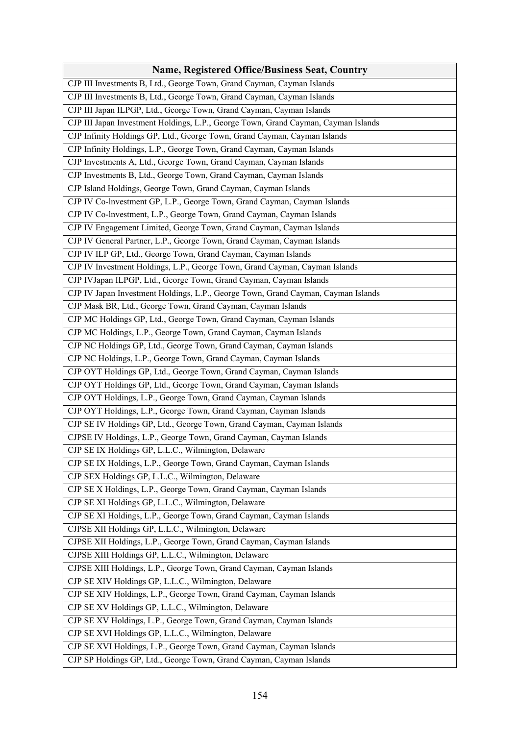| <b>Name, Registered Office/Business Seat, Country</b>                              |
|------------------------------------------------------------------------------------|
| CJP III Investments B, Ltd., George Town, Grand Cayman, Cayman Islands             |
| CJP III Investments B, Ltd., George Town, Grand Cayman, Cayman Islands             |
| CJP III Japan ILPGP, Ltd., George Town, Grand Cayman, Cayman Islands               |
| CJP III Japan Investment Holdings, L.P., George Town, Grand Cayman, Cayman Islands |
| CJP Infinity Holdings GP, Ltd., George Town, Grand Cayman, Cayman Islands          |
| CJP Infinity Holdings, L.P., George Town, Grand Cayman, Cayman Islands             |
| CJP Investments A, Ltd., George Town, Grand Cayman, Cayman Islands                 |
| CJP Investments B, Ltd., George Town, Grand Cayman, Cayman Islands                 |
| CJP Island Holdings, George Town, Grand Cayman, Cayman Islands                     |
| CJP IV Co-lnvestment GP, L.P., George Town, Grand Cayman, Cayman Islands           |
| CJP IV Co-lnvestment, L.P., George Town, Grand Cayman, Cayman Islands              |
| CJP IV Engagement Limited, George Town, Grand Cayman, Cayman Islands               |
| CJP IV General Partner, L.P., George Town, Grand Cayman, Cayman Islands            |
| CJP IV ILP GP, Ltd., George Town, Grand Cayman, Cayman Islands                     |
| CJP IV Investment Holdings, L.P., George Town, Grand Cayman, Cayman Islands        |
| CJP IVJapan ILPGP, Ltd., George Town, Grand Cayman, Cayman Islands                 |
| CJP IV Japan Investment Holdings, L.P., George Town, Grand Cayman, Cayman Islands  |
| CJP Mask BR, Ltd., George Town, Grand Cayman, Cayman Islands                       |
| CJP MC Holdings GP, Ltd., George Town, Grand Cayman, Cayman Islands                |
| CJP MC Holdings, L.P., George Town, Grand Cayman, Cayman Islands                   |
| CJP NC Holdings GP, Ltd., George Town, Grand Cayman, Cayman Islands                |
| CJP NC Holdings, L.P., George Town, Grand Cayman, Cayman Islands                   |
| CJP OYT Holdings GP, Ltd., George Town, Grand Cayman, Cayman Islands               |
| CJP OYT Holdings GP, Ltd., George Town, Grand Cayman, Cayman Islands               |
| CJP OYT Holdings, L.P., George Town, Grand Cayman, Cayman Islands                  |
| CJP OYT Holdings, L.P., George Town, Grand Cayman, Cayman Islands                  |
| CJP SE IV Holdings GP, Ltd., George Town, Grand Cayman, Cayman Islands             |
| CJPSE IV Holdings, L.P., George Town, Grand Cayman, Cayman Islands                 |
| CJP SE IX Holdings GP, L.L.C., Wilmington, Delaware                                |
| CJP SE IX Holdings, L.P., George Town, Grand Cayman, Cayman Islands                |
| CJP SEX Holdings GP, L.L.C., Wilmington, Delaware                                  |
| CJP SE X Holdings, L.P., George Town, Grand Cayman, Cayman Islands                 |
| CJP SE XI Holdings GP, L.L.C., Wilmington, Delaware                                |
| CJP SE XI Holdings, L.P., George Town, Grand Cayman, Cayman Islands                |
| CJPSE XII Holdings GP, L.L.C., Wilmington, Delaware                                |
| CJPSE XII Holdings, L.P., George Town, Grand Cayman, Cayman Islands                |
| CJPSE XIII Holdings GP, L.L.C., Wilmington, Delaware                               |
| CJPSE XIII Holdings, L.P., George Town, Grand Cayman, Cayman Islands               |
| CJP SE XIV Holdings GP, L.L.C., Wilmington, Delaware                               |
| CJP SE XIV Holdings, L.P., George Town, Grand Cayman, Cayman Islands               |
| CJP SE XV Holdings GP, L.L.C., Wilmington, Delaware                                |
| CJP SE XV Holdings, L.P., George Town, Grand Cayman, Cayman Islands                |
| CJP SE XVI Holdings GP, L.L.C., Wilmington, Delaware                               |
| CJP SE XVI Holdings, L.P., George Town, Grand Cayman, Cayman Islands               |
| CJP SP Holdings GP, Ltd., George Town, Grand Cayman, Cayman Islands                |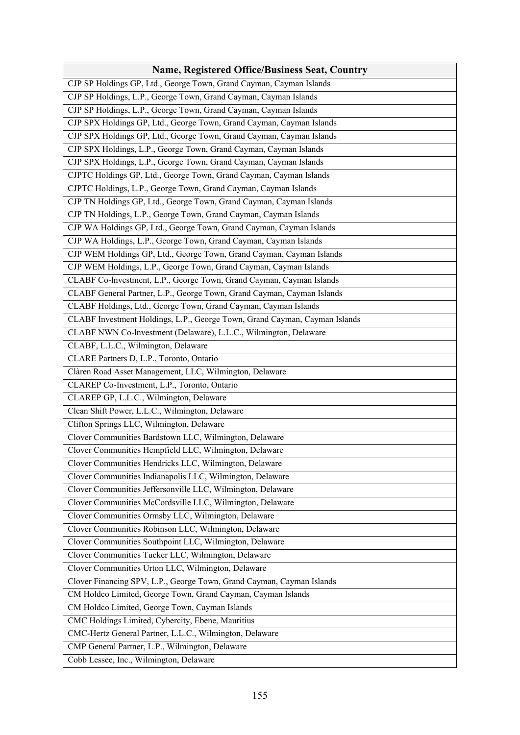| <b>Name, Registered Office/Business Seat, Country</b>                      |
|----------------------------------------------------------------------------|
| CJP SP Holdings GP, Ltd., George Town, Grand Cayman, Cayman Islands        |
| CJP SP Holdings, L.P., George Town, Grand Cayman, Cayman Islands           |
| CJP SP Holdings, L.P., George Town, Grand Cayman, Cayman Islands           |
| CJP SPX Holdings GP, Ltd., George Town, Grand Cayman, Cayman Islands       |
| CJP SPX Holdings GP, Ltd., George Town, Grand Cayman, Cayman Islands       |
| CJP SPX Holdings, L.P., George Town, Grand Cayman, Cayman Islands          |
| CJP SPX Holdings, L.P., George Town, Grand Cayman, Cayman Islands          |
| CJPTC Holdings GP, Ltd., George Town, Grand Cayman, Cayman Islands         |
| CJPTC Holdings, L.P., George Town, Grand Cayman, Cayman Islands            |
| CJP TN Holdings GP, Ltd., George Town, Grand Cayman, Cayman Islands        |
| CJP TN Holdings, L.P., George Town, Grand Cayman, Cayman Islands           |
| CJP WA Holdings GP, Ltd., George Town, Grand Cayman, Cayman Islands        |
| CJP WA Holdings, L.P., George Town, Grand Cayman, Cayman Islands           |
| CJP WEM Holdings GP, Ltd., George Town, Grand Cayman, Cayman Islands       |
| CJP WEM Holdings, L.P., George Town, Grand Cayman, Cayman Islands          |
| CLABF Co-Investment, L.P., George Town, Grand Cayman, Cayman Islands       |
| CLABF General Partner, L.P., George Town, Grand Cayman, Cayman Islands     |
| CLABF Holdings, Ltd., George Town, Grand Cayman, Cayman Islands            |
| CLABF Investment Holdings, L.P., George Town, Grand Cayman, Cayman Islands |
| CLABF NWN Co-lnvestment (Delaware), L.L.C., Wilmington, Delaware           |
| CLABF, L.L.C., Wilmington, Delaware                                        |
| CLARE Partners D, L.P., Toronto, Ontario                                   |
| Clàren Road Asset Management, LLC, Wilmington, Delaware                    |
| CLAREP Co-Investment, L.P., Toronto, Ontario                               |
| CLAREP GP, L.L.C., Wilmington, Delaware                                    |
| Clean Shift Power, L.L.C., Wilmington, Delaware                            |
| Clifton Springs LLC, Wilmington, Delaware                                  |
| Clover Communities Bardstown LLC, Wilmington, Delaware                     |
| Clover Communities Hempfield LLC, Wilmington, Delaware                     |
| Clover Communities Hendricks LLC, Wilmington, Delaware                     |
| Clover Communities Indianapolis LLC, Wilmington, Delaware                  |
| Clover Communities Jeffersonville LLC, Wilmington, Delaware                |
| Clover Communities McCordsville LLC, Wilmington, Delaware                  |
| Clover Communities Ormsby LLC, Wilmington, Delaware                        |
| Clover Communities Robinson LLC, Wilmington, Delaware                      |
| Clover Communities Southpoint LLC, Wilmington, Delaware                    |
| Clover Communities Tucker LLC, Wilmington, Delaware                        |
| Clover Communities Urton LLC, Wilmington, Delaware                         |
| Clover Financing SPV, L.P., George Town, Grand Cayman, Cayman Islands      |
| CM Holdco Limited, George Town, Grand Cayman, Cayman Islands               |
| CM Holdco Limited, George Town, Cayman Islands                             |
| CMC Holdings Limited, Cybercity, Ebene, Mauritius                          |
| CMC-Hertz General Partner, L.L.C., Wilmington, Delaware                    |
| CMP General Partner, L.P., Wilmington, Delaware                            |
| Cobb Lessee, Inc., Wilmington, Delaware                                    |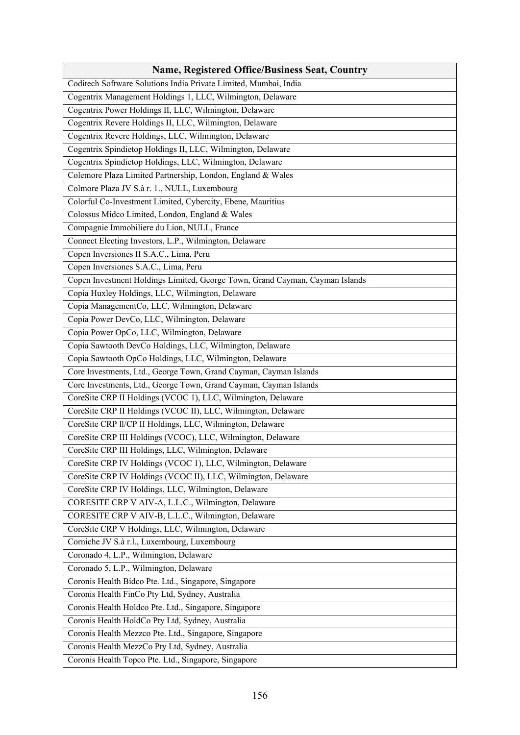| <b>Name, Registered Office/Business Seat, Country</b>                        |
|------------------------------------------------------------------------------|
| Coditech Software Solutions India Private Limited, Mumbai, India             |
| Cogentrix Management Holdings 1, LLC, Wilmington, Delaware                   |
| Cogentrix Power Holdings II, LLC, Wilmington, Delaware                       |
| Cogentrix Revere Holdings II, LLC, Wilmington, Delaware                      |
| Cogentrix Revere Holdings, LLC, Wilmington, Delaware                         |
| Cogentrix Spindietop Holdings II, LLC, Wilmington, Delaware                  |
| Cogentrix Spindietop Holdings, LLC, Wilmington, Delaware                     |
| Colemore Plaza Limited Partnership, London, England & Wales                  |
| Colmore Plaza JV S.à r. 1., NULL, Luxembourg                                 |
| Colorful Co-Investment Limited, Cybercity, Ebene, Mauritius                  |
| Colossus Midco Limited, London, England & Wales                              |
| Compagnie Immobiliere du Lion, NULL, France                                  |
| Connect Electing Investors, L.P., Wilmington, Delaware                       |
| Copen Inversiones II S.A.C., Lima, Peru                                      |
| Copen Inversiones S.A.C., Lima, Peru                                         |
| Copen Investment Holdings Limited, George Town, Grand Cayman, Cayman Islands |
| Copia Huxley Holdings, LLC, Wilmington, Delaware                             |
| Copia ManagementCo, LLC, Wilmington, Delaware                                |
| Copia Power DevCo, LLC, Wilmington, Delaware                                 |
| Copia Power OpCo, LLC, Wilmington, Delaware                                  |
| Copia Sawtooth DevCo Holdings, LLC, Wilmington, Delaware                     |
| Copia Sawtooth OpCo Holdings, LLC, Wilmington, Delaware                      |
| Core Investments, Ltd., George Town, Grand Cayman, Cayman Islands            |
| Core Investments, Ltd., George Town, Grand Cayman, Cayman Islands            |
| CoreSite CRP II Holdings (VCOC 1), LLC, Wilmington, Delaware                 |
| CoreSite CRP II Holdings (VCOC II), LLC, Wilmington, Delaware                |
| CoreSite CRP II/CP II Holdings, LLC, Wilmington, Delaware                    |
| CoreSite CRP III Holdings (VCOC), LLC, Wilmington, Delaware                  |
| CoreSite CRP III Holdings, LLC, Wilmington, Delaware                         |
| CoreSite CRP IV Holdings (VCOC 1), LLC, Wilmington, Delaware                 |
| CoreSite CRP IV Holdings (VCOC II), LLC, Wilmington, Delaware                |
| CoreSite CRP IV Holdings, LLC, Wilmington, Delaware                          |
| CORESITE CRP V AIV-A, L.L.C., Wilmington, Delaware                           |
| CORESITE CRP V AIV-B, L.L.C., Wilmington, Delaware                           |
| CoreSite CRP V Holdings, LLC, Wilmington, Delaware                           |
| Corniche JV S.à r.l., Luxembourg, Luxembourg                                 |
| Coronado 4, L.P., Wilmington, Delaware                                       |
| Coronado 5, L.P., Wilmington, Delaware                                       |
| Coronis Health Bidco Pte. Ltd., Singapore, Singapore                         |
| Coronis Health FinCo Pty Ltd, Sydney, Australia                              |
| Coronis Health Holdco Pte. Ltd., Singapore, Singapore                        |
| Coronis Health HoldCo Pty Ltd, Sydney, Australia                             |
| Coronis Health Mezzco Pte. Ltd., Singapore, Singapore                        |
| Coronis Health MezzCo Pty Ltd, Sydney, Australia                             |
| Coronis Health Topco Pte. Ltd., Singapore, Singapore                         |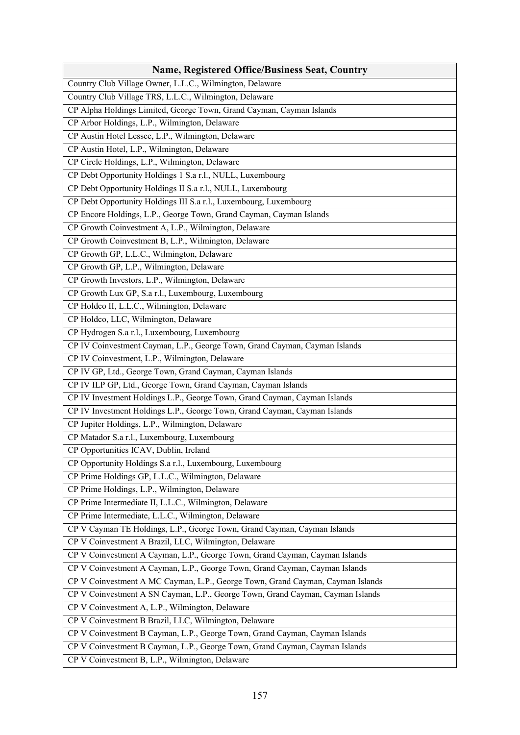| <b>Name, Registered Office/Business Seat, Country</b>                          |
|--------------------------------------------------------------------------------|
| Country Club Village Owner, L.L.C., Wilmington, Delaware                       |
| Country Club Village TRS, L.L.C., Wilmington, Delaware                         |
| CP Alpha Holdings Limited, George Town, Grand Cayman, Cayman Islands           |
| CP Arbor Holdings, L.P., Wilmington, Delaware                                  |
| CP Austin Hotel Lessee, L.P., Wilmington, Delaware                             |
| CP Austin Hotel, L.P., Wilmington, Delaware                                    |
| CP Circle Holdings, L.P., Wilmington, Delaware                                 |
| CP Debt Opportunity Holdings 1 S.a r.l., NULL, Luxembourg                      |
| CP Debt Opportunity Holdings II S.a r.l., NULL, Luxembourg                     |
| CP Debt Opportunity Holdings III S.a r.l., Luxembourg, Luxembourg              |
| CP Encore Holdings, L.P., George Town, Grand Cayman, Cayman Islands            |
| CP Growth Coinvestment A, L.P., Wilmington, Delaware                           |
| CP Growth Coinvestment B, L.P., Wilmington, Delaware                           |
| CP Growth GP, L.L.C., Wilmington, Delaware                                     |
| CP Growth GP, L.P., Wilmington, Delaware                                       |
| CP Growth Investors, L.P., Wilmington, Delaware                                |
| CP Growth Lux GP, S.a r.l., Luxembourg, Luxembourg                             |
| CP Holdco II, L.L.C., Wilmington, Delaware                                     |
| CP Holdco, LLC, Wilmington, Delaware                                           |
| CP Hydrogen S.a r.l., Luxembourg, Luxembourg                                   |
| CP IV Coinvestment Cayman, L.P., George Town, Grand Cayman, Cayman Islands     |
| CP IV Coinvestment, L.P., Wilmington, Delaware                                 |
| CP IV GP, Ltd., George Town, Grand Cayman, Cayman Islands                      |
| CP IV ILP GP, Ltd., George Town, Grand Cayman, Cayman Islands                  |
| CP IV Investment Holdings L.P., George Town, Grand Cayman, Cayman Islands      |
| CP IV Investment Holdings L.P., George Town, Grand Cayman, Cayman Islands      |
| CP Jupiter Holdings, L.P., Wilmington, Delaware                                |
| CP Matador S.a r.l., Luxembourg, Luxembourg                                    |
| CP Opportunities ICAV, Dublin, Ireland                                         |
| CP Opportunity Holdings S.a r.l., Luxembourg, Luxembourg                       |
| CP Prime Holdings GP, L.L.C., Wilmington, Delaware                             |
| CP Prime Holdings, L.P., Wilmington, Delaware                                  |
| CP Prime Intermediate II, L.L.C., Wilmington, Delaware                         |
| CP Prime Intermediate, L.L.C., Wilmington, Delaware                            |
| CP V Cayman TE Holdings, L.P., George Town, Grand Cayman, Cayman Islands       |
| CP V Coinvestment A Brazil, LLC, Wilmington, Delaware                          |
| CP V Coinvestment A Cayman, L.P., George Town, Grand Cayman, Cayman Islands    |
| CP V Coinvestment A Cayman, L.P., George Town, Grand Cayman, Cayman Islands    |
| CP V Coinvestment A MC Cayman, L.P., George Town, Grand Cayman, Cayman Islands |
| CP V Coinvestment A SN Cayman, L.P., George Town, Grand Cayman, Cayman Islands |
| CP V Coinvestment A, L.P., Wilmington, Delaware                                |
| CP V Coinvestment B Brazil, LLC, Wilmington, Delaware                          |
| CP V Coinvestment B Cayman, L.P., George Town, Grand Cayman, Cayman Islands    |
| CP V Coinvestment B Cayman, L.P., George Town, Grand Cayman, Cayman Islands    |
| CP V Coinvestment B, L.P., Wilmington, Delaware                                |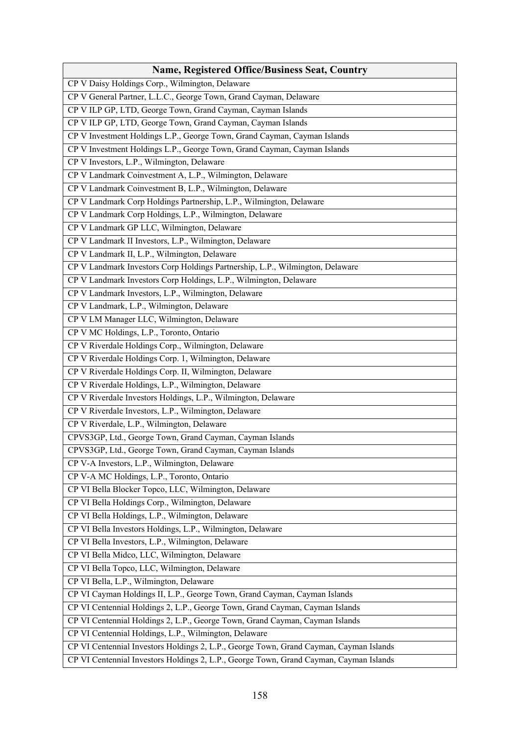| <b>Name, Registered Office/Business Seat, Country</b>                                  |
|----------------------------------------------------------------------------------------|
| CP V Daisy Holdings Corp., Wilmington, Delaware                                        |
| CP V General Partner, L.L.C., George Town, Grand Cayman, Delaware                      |
| CP V ILP GP, LTD, George Town, Grand Cayman, Cayman Islands                            |
| CP V ILP GP, LTD, George Town, Grand Cayman, Cayman Islands                            |
| CP V Investment Holdings L.P., George Town, Grand Cayman, Cayman Islands               |
| CP V Investment Holdings L.P., George Town, Grand Cayman, Cayman Islands               |
| CP V Investors, L.P., Wilmington, Delaware                                             |
| CP V Landmark Coinvestment A, L.P., Wilmington, Delaware                               |
| CP V Landmark Coinvestment B, L.P., Wilmington, Delaware                               |
| CP V Landmark Corp Holdings Partnership, L.P., Wilmington, Delaware                    |
| CP V Landmark Corp Holdings, L.P., Wilmington, Delaware                                |
| CP V Landmark GP LLC, Wilmington, Delaware                                             |
| CP V Landmark II Investors, L.P., Wilmington, Delaware                                 |
| CP V Landmark II, L.P., Wilmington, Delaware                                           |
| CP V Landmark Investors Corp Holdings Partnership, L.P., Wilmington, Delaware          |
| CP V Landmark Investors Corp Holdings, L.P., Wilmington, Delaware                      |
| CP V Landmark Investors, L.P., Wilmington, Delaware                                    |
| CP V Landmark, L.P., Wilmington, Delaware                                              |
| CP V LM Manager LLC, Wilmington, Delaware                                              |
| CP V MC Holdings, L.P., Toronto, Ontario                                               |
| CP V Riverdale Holdings Corp., Wilmington, Delaware                                    |
| CP V Riverdale Holdings Corp. 1, Wilmington, Delaware                                  |
| CP V Riverdale Holdings Corp. II, Wilmington, Delaware                                 |
| CP V Riverdale Holdings, L.P., Wilmington, Delaware                                    |
| CP V Riverdale Investors Holdings, L.P., Wilmington, Delaware                          |
| CP V Riverdale Investors, L.P., Wilmington, Delaware                                   |
| CP V Riverdale, L.P., Wilmington, Delaware                                             |
| CPVS3GP, Ltd., George Town, Grand Cayman, Cayman Islands                               |
| CPVS3GP, Ltd., George Town, Grand Cayman, Cayman Islands                               |
| CP V-A Investors, L.P., Wilmington, Delaware                                           |
| CP V-A MC Holdings, L.P., Toronto, Ontario                                             |
| CP VI Bella Blocker Topco, LLC, Wilmington, Delaware                                   |
| CP VI Bella Holdings Corp., Wilmington, Delaware                                       |
| CP VI Bella Holdings, L.P., Wilmington, Delaware                                       |
| CP VI Bella Investors Holdings, L.P., Wilmington, Delaware                             |
| CP VI Bella Investors, L.P., Wilmington, Delaware                                      |
| CP VI Bella Midco, LLC, Wilmington, Delaware                                           |
| CP VI Bella Topco, LLC, Wilmington, Delaware                                           |
| CP VI Bella, L.P., Wilmington, Delaware                                                |
| CP VI Cayman Holdings II, L.P., George Town, Grand Cayman, Cayman Islands              |
| CP VI Centennial Holdings 2, L.P., George Town, Grand Cayman, Cayman Islands           |
| CP VI Centennial Holdings 2, L.P., George Town, Grand Cayman, Cayman Islands           |
| CP VI Centennial Holdings, L.P., Wilmington, Delaware                                  |
| CP VI Centennial Investors Holdings 2, L.P., George Town, Grand Cayman, Cayman Islands |
| CP VI Centennial Investors Holdings 2, L.P., George Town, Grand Cayman, Cayman Islands |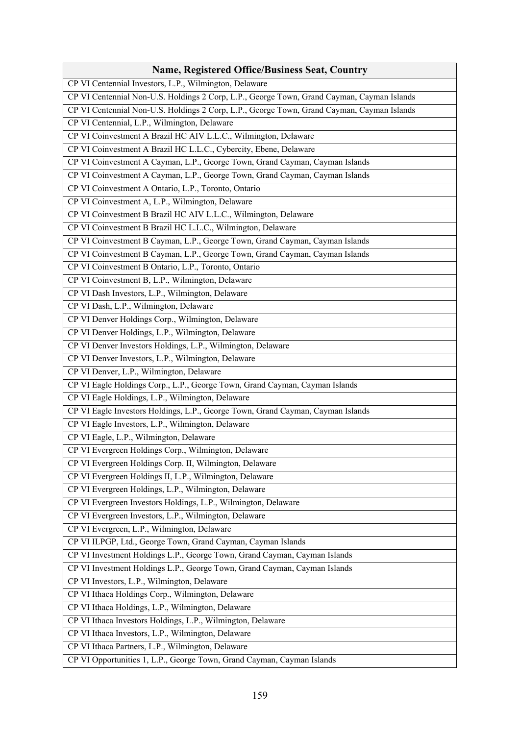| <b>Name, Registered Office/Business Seat, Country</b>                                      |
|--------------------------------------------------------------------------------------------|
| CP VI Centennial Investors, L.P., Wilmington, Delaware                                     |
| CP VI Centennial Non-U.S. Holdings 2 Corp, L.P., George Town, Grand Cayman, Cayman Islands |
| CP VI Centennial Non-U.S. Holdings 2 Corp, L.P., George Town, Grand Cayman, Cayman Islands |
| CP VI Centennial, L.P., Wilmington, Delaware                                               |
| CP VI Coinvestment A Brazil HC AIV L.L.C., Wilmington, Delaware                            |
| CP VI Coinvestment A Brazil HC L.L.C., Cybercity, Ebene, Delaware                          |
| CP VI Coinvestment A Cayman, L.P., George Town, Grand Cayman, Cayman Islands               |
| CP VI Coinvestment A Cayman, L.P., George Town, Grand Cayman, Cayman Islands               |
| CP VI Coinvestment A Ontario, L.P., Toronto, Ontario                                       |
| CP VI Coinvestment A, L.P., Wilmington, Delaware                                           |
| CP VI Coinvestment B Brazil HC AIV L.L.C., Wilmington, Delaware                            |
| CP VI Coinvestment B Brazil HC L.L.C., Wilmington, Delaware                                |
| CP VI Coinvestment B Cayman, L.P., George Town, Grand Cayman, Cayman Islands               |
| CP VI Coinvestment B Cayman, L.P., George Town, Grand Cayman, Cayman Islands               |
| CP VI Coinvestment B Ontario, L.P., Toronto, Ontario                                       |
| CP VI Coinvestment B, L.P., Wilmington, Delaware                                           |
| CP VI Dash Investors, L.P., Wilmington, Delaware                                           |
| CP VI Dash, L.P., Wilmington, Delaware                                                     |
| CP VI Denver Holdings Corp., Wilmington, Delaware                                          |
| CP VI Denver Holdings, L.P., Wilmington, Delaware                                          |
| CP VI Denver Investors Holdings, L.P., Wilmington, Delaware                                |
| CP VI Denver Investors, L.P., Wilmington, Delaware                                         |
| CP VI Denver, L.P., Wilmington, Delaware                                                   |
| CP VI Eagle Holdings Corp., L.P., George Town, Grand Cayman, Cayman Islands                |
| CP VI Eagle Holdings, L.P., Wilmington, Delaware                                           |
| CP VI Eagle Investors Holdings, L.P., George Town, Grand Cayman, Cayman Islands            |
| CP VI Eagle Investors, L.P., Wilmington, Delaware                                          |
| CP VI Eagle, L.P., Wilmington, Delaware                                                    |
| CP VI Evergreen Holdings Corp., Wilmington, Delaware                                       |
| CP VI Evergreen Holdings Corp. II, Wilmington, Delaware                                    |
| CP VI Evergreen Holdings II, L.P., Wilmington, Delaware                                    |
| CP VI Evergreen Holdings, L.P., Wilmington, Delaware                                       |
| CP VI Evergreen Investors Holdings, L.P., Wilmington, Delaware                             |
| CP VI Evergreen Investors, L.P., Wilmington, Delaware                                      |
| CP VI Evergreen, L.P., Wilmington, Delaware                                                |
| CP VI ILPGP, Ltd., George Town, Grand Cayman, Cayman Islands                               |
| CP VI Investment Holdings L.P., George Town, Grand Cayman, Cayman Islands                  |
| CP VI Investment Holdings L.P., George Town, Grand Cayman, Cayman Islands                  |
| CP VI Investors, L.P., Wilmington, Delaware                                                |
| CP VI Ithaca Holdings Corp., Wilmington, Delaware                                          |
| CP VI Ithaca Holdings, L.P., Wilmington, Delaware                                          |
| CP VI Ithaca Investors Holdings, L.P., Wilmington, Delaware                                |
| CP VI Ithaca Investors, L.P., Wilmington, Delaware                                         |
| CP VI Ithaca Partners, L.P., Wilmington, Delaware                                          |
| CP VI Opportunities 1, L.P., George Town, Grand Cayman, Cayman Islands                     |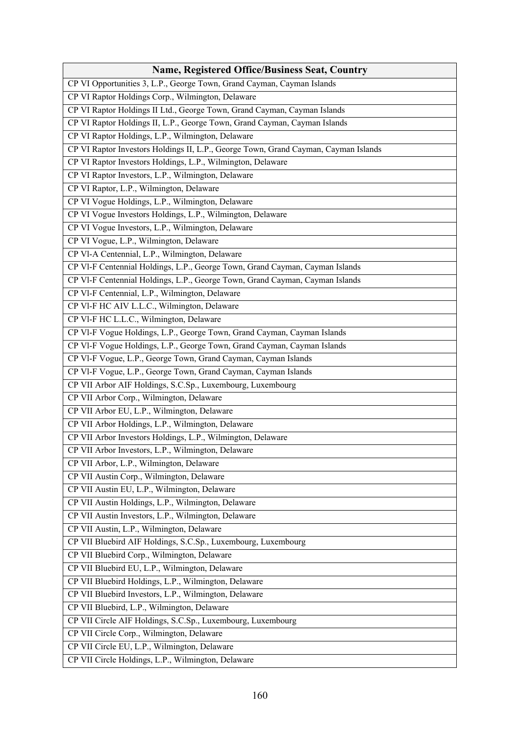| <b>Name, Registered Office/Business Seat, Country</b>                               |
|-------------------------------------------------------------------------------------|
| CP VI Opportunities 3, L.P., George Town, Grand Cayman, Cayman Islands              |
| CP VI Raptor Holdings Corp., Wilmington, Delaware                                   |
| CP VI Raptor Holdings II Ltd., George Town, Grand Cayman, Cayman Islands            |
| CP VI Raptor Holdings II, L.P., George Town, Grand Cayman, Cayman Islands           |
| CP VI Raptor Holdings, L.P., Wilmington, Delaware                                   |
| CP VI Raptor Investors Holdings II, L.P., George Town, Grand Cayman, Cayman Islands |
| CP VI Raptor Investors Holdings, L.P., Wilmington, Delaware                         |
| CP VI Raptor Investors, L.P., Wilmington, Delaware                                  |
| CP VI Raptor, L.P., Wilmington, Delaware                                            |
| CP VI Vogue Holdings, L.P., Wilmington, Delaware                                    |
| CP VI Vogue Investors Holdings, L.P., Wilmington, Delaware                          |
| CP VI Vogue Investors, L.P., Wilmington, Delaware                                   |
| CP VI Vogue, L.P., Wilmington, Delaware                                             |
| CP Vl-A Centennial, L.P., Wilmington, Delaware                                      |
| CP VI-F Centennial Holdings, L.P., George Town, Grand Cayman, Cayman Islands        |
| CP VI-F Centennial Holdings, L.P., George Town, Grand Cayman, Cayman Islands        |
| CP Vl-F Centennial, L.P., Wilmington, Delaware                                      |
| CP Vl-F HC AIV L.L.C., Wilmington, Delaware                                         |
| CP VI-F HC L.L.C., Wilmington, Delaware                                             |
| CP VI-F Vogue Holdings, L.P., George Town, Grand Cayman, Cayman Islands             |
| CP VI-F Vogue Holdings, L.P., George Town, Grand Cayman, Cayman Islands             |
| CP Vl-F Vogue, L.P., George Town, Grand Cayman, Cayman Islands                      |
| CP Vl-F Vogue, L.P., George Town, Grand Cayman, Cayman Islands                      |
| CP VII Arbor AIF Holdings, S.C.Sp., Luxembourg, Luxembourg                          |
| CP VII Arbor Corp., Wilmington, Delaware                                            |
| CP VII Arbor EU, L.P., Wilmington, Delaware                                         |
| CP VII Arbor Holdings, L.P., Wilmington, Delaware                                   |
| CP VII Arbor Investors Holdings, L.P., Wilmington, Delaware                         |
| CP VII Arbor Investors, L.P., Wilmington, Delaware                                  |
| CP VII Arbor, L.P., Wilmington, Delaware                                            |
| CP VII Austin Corp., Wilmington, Delaware                                           |
| CP VII Austin EU, L.P., Wilmington, Delaware                                        |
| CP VII Austin Holdings, L.P., Wilmington, Delaware                                  |
| CP VII Austin Investors, L.P., Wilmington, Delaware                                 |
| CP VII Austin, L.P., Wilmington, Delaware                                           |
| CP VII Bluebird AIF Holdings, S.C.Sp., Luxembourg, Luxembourg                       |
| CP VII Bluebird Corp., Wilmington, Delaware                                         |
| CP VII Bluebird EU, L.P., Wilmington, Delaware                                      |
| CP VII Bluebird Holdings, L.P., Wilmington, Delaware                                |
| CP VII Bluebird Investors, L.P., Wilmington, Delaware                               |
| CP VII Bluebird, L.P., Wilmington, Delaware                                         |
| CP VII Circle AIF Holdings, S.C.Sp., Luxembourg, Luxembourg                         |
| CP VII Circle Corp., Wilmington, Delaware                                           |
| CP VII Circle EU, L.P., Wilmington, Delaware                                        |
| CP VII Circle Holdings, L.P., Wilmington, Delaware                                  |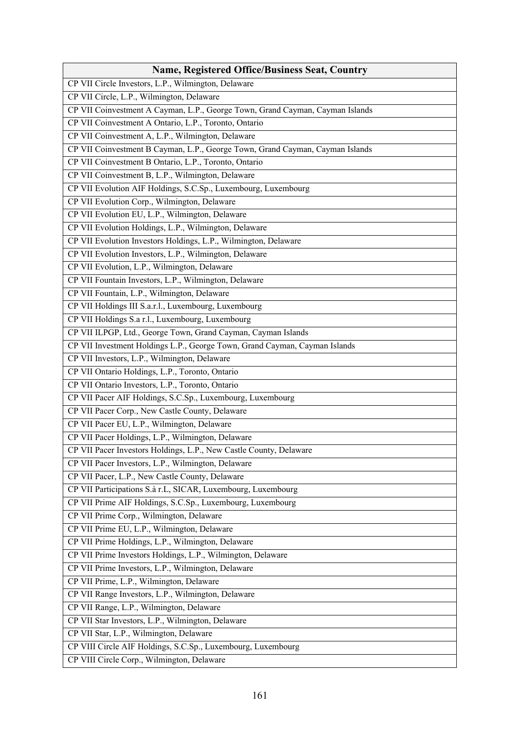| <b>Name, Registered Office/Business Seat, Country</b>                         |
|-------------------------------------------------------------------------------|
| CP VII Circle Investors, L.P., Wilmington, Delaware                           |
| CP VII Circle, L.P., Wilmington, Delaware                                     |
| CP VII Coinvestment A Cayman, L.P., George Town, Grand Cayman, Cayman Islands |
| CP VII Coinvestment A Ontario, L.P., Toronto, Ontario                         |
| CP VII Coinvestment A, L.P., Wilmington, Delaware                             |
| CP VII Coinvestment B Cayman, L.P., George Town, Grand Cayman, Cayman Islands |
| CP VII Coinvestment B Ontario, L.P., Toronto, Ontario                         |
| CP VII Coinvestment B, L.P., Wilmington, Delaware                             |
| CP VII Evolution AIF Holdings, S.C.Sp., Luxembourg, Luxembourg                |
| CP VII Evolution Corp., Wilmington, Delaware                                  |
| CP VII Evolution EU, L.P., Wilmington, Delaware                               |
| CP VII Evolution Holdings, L.P., Wilmington, Delaware                         |
| CP VII Evolution Investors Holdings, L.P., Wilmington, Delaware               |
| CP VII Evolution Investors, L.P., Wilmington, Delaware                        |
| CP VII Evolution, L.P., Wilmington, Delaware                                  |
| CP VII Fountain Investors, L.P., Wilmington, Delaware                         |
| CP VII Fountain, L.P., Wilmington, Delaware                                   |
| CP VII Holdings III S.a.r.l., Luxembourg, Luxembourg                          |
| CP VII Holdings S.a r.l., Luxembourg, Luxembourg                              |
| CP VII ILPGP, Ltd., George Town, Grand Cayman, Cayman Islands                 |
| CP VII Investment Holdings L.P., George Town, Grand Cayman, Cayman Islands    |
| CP VII Investors, L.P., Wilmington, Delaware                                  |
| CP VII Ontario Holdings, L.P., Toronto, Ontario                               |
| CP VII Ontario Investors, L.P., Toronto, Ontario                              |
| CP VII Pacer AIF Holdings, S.C.Sp., Luxembourg, Luxembourg                    |
| CP VII Pacer Corp., New Castle County, Delaware                               |
| CP VII Pacer EU, L.P., Wilmington, Delaware                                   |
| CP VII Pacer Holdings, L.P., Wilmington, Delaware                             |
| CP VII Pacer Investors Holdings, L.P., New Castle County, Delaware            |
| CP VII Pacer Investors, L.P., Wilmington, Delaware                            |
| CP VII Pacer, L.P., New Castle County, Delaware                               |
| CP VII Participations S.à r.L, SICAR, Luxembourg, Luxembourg                  |
| CP VII Prime AIF Holdings, S.C.Sp., Luxembourg, Luxembourg                    |
| CP VII Prime Corp., Wilmington, Delaware                                      |
| CP VII Prime EU, L.P., Wilmington, Delaware                                   |
| CP VII Prime Holdings, L.P., Wilmington, Delaware                             |
| CP VII Prime Investors Holdings, L.P., Wilmington, Delaware                   |
| CP VII Prime Investors, L.P., Wilmington, Delaware                            |
| CP VII Prime, L.P., Wilmington, Delaware                                      |
| CP VII Range Investors, L.P., Wilmington, Delaware                            |
| CP VII Range, L.P., Wilmington, Delaware                                      |
| CP VII Star Investors, L.P., Wilmington, Delaware                             |
| CP VII Star, L.P., Wilmington, Delaware                                       |
| CP VIII Circle AIF Holdings, S.C.Sp., Luxembourg, Luxembourg                  |
| CP VIII Circle Corp., Wilmington, Delaware                                    |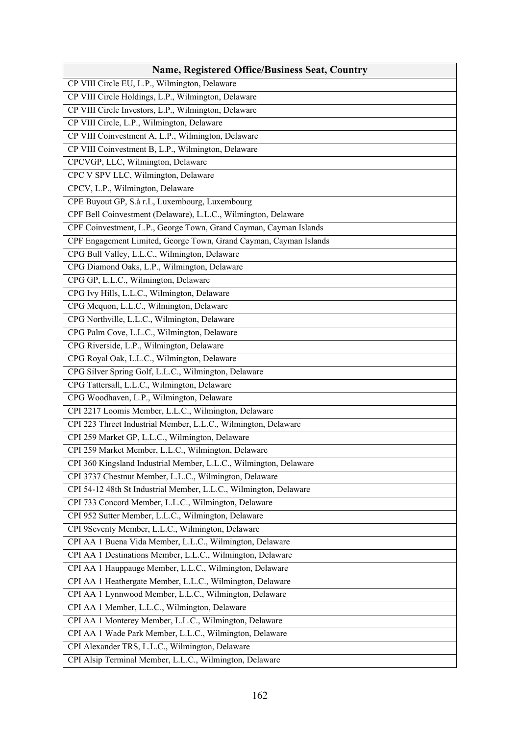| <b>Name, Registered Office/Business Seat, Country</b>             |
|-------------------------------------------------------------------|
| CP VIII Circle EU, L.P., Wilmington, Delaware                     |
| CP VIII Circle Holdings, L.P., Wilmington, Delaware               |
| CP VIII Circle Investors, L.P., Wilmington, Delaware              |
| CP VIII Circle, L.P., Wilmington, Delaware                        |
| CP VIII Coinvestment A, L.P., Wilmington, Delaware                |
| CP VIII Coinvestment B, L.P., Wilmington, Delaware                |
| CPCVGP, LLC, Wilmington, Delaware                                 |
| CPC V SPV LLC, Wilmington, Delaware                               |
| CPCV, L.P., Wilmington, Delaware                                  |
| CPE Buyout GP, S.à r.L, Luxembourg, Luxembourg                    |
| CPF Bell Coinvestment (Delaware), L.L.C., Wilmington, Delaware    |
| CPF Coinvestment, L.P., George Town, Grand Cayman, Cayman Islands |
| CPF Engagement Limited, George Town, Grand Cayman, Cayman Islands |
| CPG Bull Valley, L.L.C., Wilmington, Delaware                     |
| CPG Diamond Oaks, L.P., Wilmington, Delaware                      |
| CPG GP, L.L.C., Wilmington, Delaware                              |
| CPG Ivy Hills, L.L.C., Wilmington, Delaware                       |
| CPG Mequon, L.L.C., Wilmington, Delaware                          |
| CPG Northville, L.L.C., Wilmington, Delaware                      |
| CPG Palm Cove, L.L.C., Wilmington, Delaware                       |
| CPG Riverside, L.P., Wilmington, Delaware                         |
| CPG Royal Oak, L.L.C., Wilmington, Delaware                       |
| CPG Silver Spring Golf, L.L.C., Wilmington, Delaware              |
| CPG Tattersall, L.L.C., Wilmington, Delaware                      |
| CPG Woodhaven, L.P., Wilmington, Delaware                         |
| CPI 2217 Loomis Member, L.L.C., Wilmington, Delaware              |
| CPI 223 Threet Industrial Member, L.L.C., Wilmington, Delaware    |
| CPI 259 Market GP, L.L.C., Wilmington, Delaware                   |
| CPI 259 Market Member, L.L.C., Wilmington, Delaware               |
| CPI 360 Kingsland Industrial Member, L.L.C., Wilmington, Delaware |
| CPI 3737 Chestnut Member, L.L.C., Wilmington, Delaware            |
| CPI 54-12 48th St Industrial Member, L.L.C., Wilmington, Delaware |
| CPI 733 Concord Member, L.L.C., Wilmington, Delaware              |
| CPI 952 Sutter Member, L.L.C., Wilmington, Delaware               |
| CPI 9Seventy Member, L.L.C., Wilmington, Delaware                 |
| CPI AA 1 Buena Vida Member, L.L.C., Wilmington, Delaware          |
| CPI AA 1 Destinations Member, L.L.C., Wilmington, Delaware        |
| CPI AA 1 Hauppauge Member, L.L.C., Wilmington, Delaware           |
| CPI AA 1 Heathergate Member, L.L.C., Wilmington, Delaware         |
| CPI AA 1 Lynnwood Member, L.L.C., Wilmington, Delaware            |
| CPI AA 1 Member, L.L.C., Wilmington, Delaware                     |
| CPI AA 1 Monterey Member, L.L.C., Wilmington, Delaware            |
| CPI AA 1 Wade Park Member, L.L.C., Wilmington, Delaware           |
| CPI Alexander TRS, L.L.C., Wilmington, Delaware                   |
| CPI Alsip Terminal Member, L.L.C., Wilmington, Delaware           |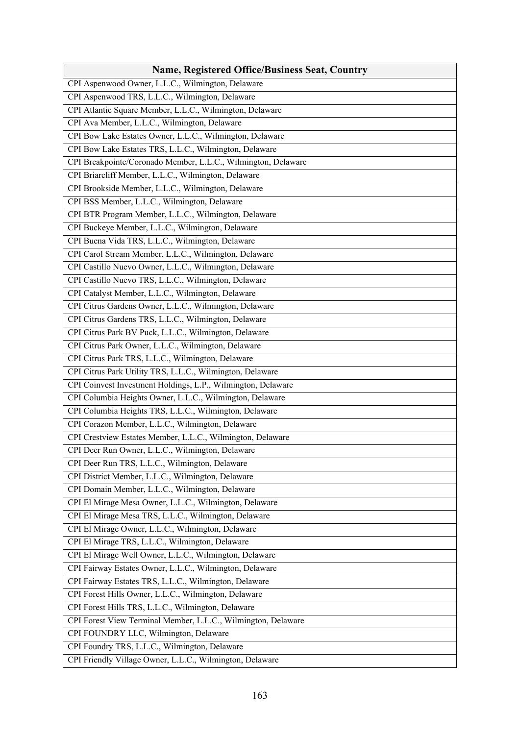| <b>Name, Registered Office/Business Seat, Country</b>         |
|---------------------------------------------------------------|
| CPI Aspenwood Owner, L.L.C., Wilmington, Delaware             |
| CPI Aspenwood TRS, L.L.C., Wilmington, Delaware               |
| CPI Atlantic Square Member, L.L.C., Wilmington, Delaware      |
| CPI Ava Member, L.L.C., Wilmington, Delaware                  |
| CPI Bow Lake Estates Owner, L.L.C., Wilmington, Delaware      |
| CPI Bow Lake Estates TRS, L.L.C., Wilmington, Delaware        |
| CPI Breakpointe/Coronado Member, L.L.C., Wilmington, Delaware |
| CPI Briarcliff Member, L.L.C., Wilmington, Delaware           |
| CPI Brookside Member, L.L.C., Wilmington, Delaware            |
| CPI BSS Member, L.L.C., Wilmington, Delaware                  |
| CPI BTR Program Member, L.L.C., Wilmington, Delaware          |
| CPI Buckeye Member, L.L.C., Wilmington, Delaware              |
| CPI Buena Vida TRS, L.L.C., Wilmington, Delaware              |
| CPI Carol Stream Member, L.L.C., Wilmington, Delaware         |
| CPI Castillo Nuevo Owner, L.L.C., Wilmington, Delaware        |
| CPI Castillo Nuevo TRS, L.L.C., Wilmington, Delaware          |
| CPI Catalyst Member, L.L.C., Wilmington, Delaware             |
| CPI Citrus Gardens Owner, L.L.C., Wilmington, Delaware        |
| CPI Citrus Gardens TRS, L.L.C., Wilmington, Delaware          |
| CPI Citrus Park BV Puck, L.L.C., Wilmington, Delaware         |
| CPI Citrus Park Owner, L.L.C., Wilmington, Delaware           |
| CPI Citrus Park TRS, L.L.C., Wilmington, Delaware             |
| CPI Citrus Park Utility TRS, L.L.C., Wilmington, Delaware     |
| CPI Coinvest Investment Holdings, L.P., Wilmington, Delaware  |
| CPI Columbia Heights Owner, L.L.C., Wilmington, Delaware      |
| CPI Columbia Heights TRS, L.L.C., Wilmington, Delaware        |
| CPI Corazon Member, L.L.C., Wilmington, Delaware              |
| CPI Crestview Estates Member, L.L.C., Wilmington, Delaware    |
| CPI Deer Run Owner, L.L.C., Wilmington, Delaware              |
| CPI Deer Run TRS, L.L.C., Wilmington, Delaware                |
| CPI District Member, L.L.C., Wilmington, Delaware             |
| CPI Domain Member, L.L.C., Wilmington, Delaware               |
| CPI El Mirage Mesa Owner, L.L.C., Wilmington, Delaware        |
| CPI El Mirage Mesa TRS, L.L.C., Wilmington, Delaware          |
| CPI El Mirage Owner, L.L.C., Wilmington, Delaware             |
| CPI El Mirage TRS, L.L.C., Wilmington, Delaware               |
| CPI El Mirage Well Owner, L.L.C., Wilmington, Delaware        |
| CPI Fairway Estates Owner, L.L.C., Wilmington, Delaware       |
| CPI Fairway Estates TRS, L.L.C., Wilmington, Delaware         |
| CPI Forest Hills Owner, L.L.C., Wilmington, Delaware          |
| CPI Forest Hills TRS, L.L.C., Wilmington, Delaware            |
| CPI Forest View Terminal Member, L.L.C., Wilmington, Delaware |
| CPI FOUNDRY LLC, Wilmington, Delaware                         |
| CPI Foundry TRS, L.L.C., Wilmington, Delaware                 |
| CPI Friendly Village Owner, L.L.C., Wilmington, Delaware      |
|                                                               |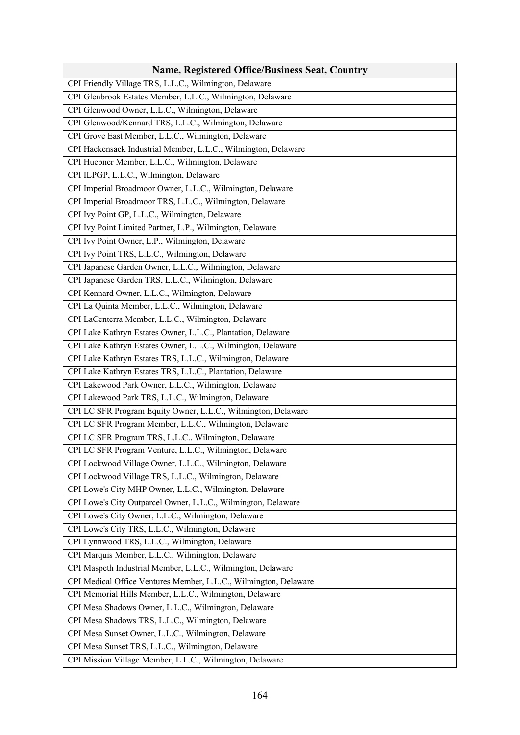| <b>Name, Registered Office/Business Seat, Country</b>            |
|------------------------------------------------------------------|
| CPI Friendly Village TRS, L.L.C., Wilmington, Delaware           |
| CPI Glenbrook Estates Member, L.L.C., Wilmington, Delaware       |
| CPI Glenwood Owner, L.L.C., Wilmington, Delaware                 |
| CPI Glenwood/Kennard TRS, L.L.C., Wilmington, Delaware           |
| CPI Grove East Member, L.L.C., Wilmington, Delaware              |
| CPI Hackensack Industrial Member, L.L.C., Wilmington, Delaware   |
| CPI Huebner Member, L.L.C., Wilmington, Delaware                 |
| CPI ILPGP, L.L.C., Wilmington, Delaware                          |
| CPI Imperial Broadmoor Owner, L.L.C., Wilmington, Delaware       |
| CPI Imperial Broadmoor TRS, L.L.C., Wilmington, Delaware         |
| CPI Ivy Point GP, L.L.C., Wilmington, Delaware                   |
| CPI Ivy Point Limited Partner, L.P., Wilmington, Delaware        |
| CPI Ivy Point Owner, L.P., Wilmington, Delaware                  |
| CPI Ivy Point TRS, L.L.C., Wilmington, Delaware                  |
| CPI Japanese Garden Owner, L.L.C., Wilmington, Delaware          |
| CPI Japanese Garden TRS, L.L.C., Wilmington, Delaware            |
| CPI Kennard Owner, L.L.C., Wilmington, Delaware                  |
| CPI La Quinta Member, L.L.C., Wilmington, Delaware               |
| CPI LaCenterra Member, L.L.C., Wilmington, Delaware              |
| CPI Lake Kathryn Estates Owner, L.L.C., Plantation, Delaware     |
| CPI Lake Kathryn Estates Owner, L.L.C., Wilmington, Delaware     |
| CPI Lake Kathryn Estates TRS, L.L.C., Wilmington, Delaware       |
| CPI Lake Kathryn Estates TRS, L.L.C., Plantation, Delaware       |
| CPI Lakewood Park Owner, L.L.C., Wilmington, Delaware            |
| CPI Lakewood Park TRS, L.L.C., Wilmington, Delaware              |
| CPI LC SFR Program Equity Owner, L.L.C., Wilmington, Delaware    |
| CPI LC SFR Program Member, L.L.C., Wilmington, Delaware          |
| CPI LC SFR Program TRS, L.L.C., Wilmington, Delaware             |
| CPI LC SFR Program Venture, L.L.C., Wilmington, Delaware         |
| CPI Lockwood Village Owner, L.L.C., Wilmington, Delaware         |
| CPI Lockwood Village TRS, L.L.C., Wilmington, Delaware           |
| CPI Lowe's City MHP Owner, L.L.C., Wilmington, Delaware          |
| CPI Lowe's City Outparcel Owner, L.L.C., Wilmington, Delaware    |
| CPI Lowe's City Owner, L.L.C., Wilmington, Delaware              |
| CPI Lowe's City TRS, L.L.C., Wilmington, Delaware                |
| CPI Lynnwood TRS, L.L.C., Wilmington, Delaware                   |
| CPI Marquis Member, L.L.C., Wilmington, Delaware                 |
| CPI Maspeth Industrial Member, L.L.C., Wilmington, Delaware      |
| CPI Medical Office Ventures Member, L.L.C., Wilmington, Delaware |
| CPI Memorial Hills Member, L.L.C., Wilmington, Delaware          |
| CPI Mesa Shadows Owner, L.L.C., Wilmington, Delaware             |
| CPI Mesa Shadows TRS, L.L.C., Wilmington, Delaware               |
| CPI Mesa Sunset Owner, L.L.C., Wilmington, Delaware              |
| CPI Mesa Sunset TRS, L.L.C., Wilmington, Delaware                |
| CPI Mission Village Member, L.L.C., Wilmington, Delaware         |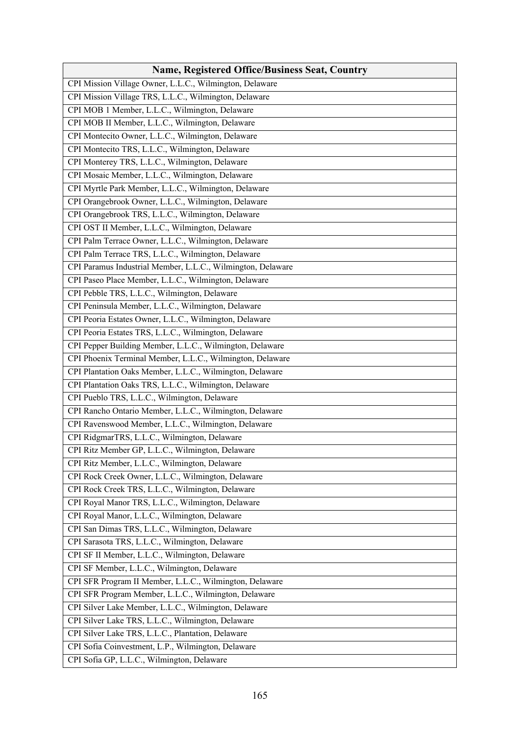| <b>Name, Registered Office/Business Seat, Country</b>       |
|-------------------------------------------------------------|
| CPI Mission Village Owner, L.L.C., Wilmington, Delaware     |
| CPI Mission Village TRS, L.L.C., Wilmington, Delaware       |
| CPI MOB 1 Member, L.L.C., Wilmington, Delaware              |
| CPI MOB II Member, L.L.C., Wilmington, Delaware             |
| CPI Montecito Owner, L.L.C., Wilmington, Delaware           |
| CPI Montecito TRS, L.L.C., Wilmington, Delaware             |
| CPI Monterey TRS, L.L.C., Wilmington, Delaware              |
| CPI Mosaic Member, L.L.C., Wilmington, Delaware             |
| CPI Myrtle Park Member, L.L.C., Wilmington, Delaware        |
| CPI Orangebrook Owner, L.L.C., Wilmington, Delaware         |
| CPI Orangebrook TRS, L.L.C., Wilmington, Delaware           |
| CPI OST II Member, L.L.C., Wilmington, Delaware             |
| CPI Palm Terrace Owner, L.L.C., Wilmington, Delaware        |
| CPI Palm Terrace TRS, L.L.C., Wilmington, Delaware          |
| CPI Paramus Industrial Member, L.L.C., Wilmington, Delaware |
| CPI Paseo Place Member, L.L.C., Wilmington, Delaware        |
| CPI Pebble TRS, L.L.C., Wilmington, Delaware                |
| CPI Peninsula Member, L.L.C., Wilmington, Delaware          |
| CPI Peoria Estates Owner, L.L.C., Wilmington, Delaware      |
| CPI Peoria Estates TRS, L.L.C., Wilmington, Delaware        |
| CPI Pepper Building Member, L.L.C., Wilmington, Delaware    |
| CPI Phoenix Terminal Member, L.L.C., Wilmington, Delaware   |
| CPI Plantation Oaks Member, L.L.C., Wilmington, Delaware    |
| CPI Plantation Oaks TRS, L.L.C., Wilmington, Delaware       |
| CPI Pueblo TRS, L.L.C., Wilmington, Delaware                |
| CPI Rancho Ontario Member, L.L.C., Wilmington, Delaware     |
| CPI Ravenswood Member, L.L.C., Wilmington, Delaware         |
| CPI RidgmarTRS, L.L.C., Wilmington, Delaware                |
| CPI Ritz Member GP, L.L.C., Wilmington, Delaware            |
| CPI Ritz Member, L.L.C., Wilmington, Delaware               |
| CPI Rock Creek Owner, L.L.C., Wilmington, Delaware          |
| CPI Rock Creek TRS, L.L.C., Wilmington, Delaware            |
| CPI Royal Manor TRS, L.L.C., Wilmington, Delaware           |
| CPI Royal Manor, L.L.C., Wilmington, Delaware               |
| CPI San Dimas TRS, L.L.C., Wilmington, Delaware             |
| CPI Sarasota TRS, L.L.C., Wilmington, Delaware              |
| CPI SF II Member, L.L.C., Wilmington, Delaware              |
| CPI SF Member, L.L.C., Wilmington, Delaware                 |
| CPI SFR Program II Member, L.L.C., Wilmington, Delaware     |
| CPI SFR Program Member, L.L.C., Wilmington, Delaware        |
| CPI Silver Lake Member, L.L.C., Wilmington, Delaware        |
| CPI Silver Lake TRS, L.L.C., Wilmington, Delaware           |
| CPI Silver Lake TRS, L.L.C., Plantation, Delaware           |
| CPI Sofia Coinvestment, L.P., Wilmington, Delaware          |
| CPI Sofia GP, L.L.C., Wilmington, Delaware                  |
|                                                             |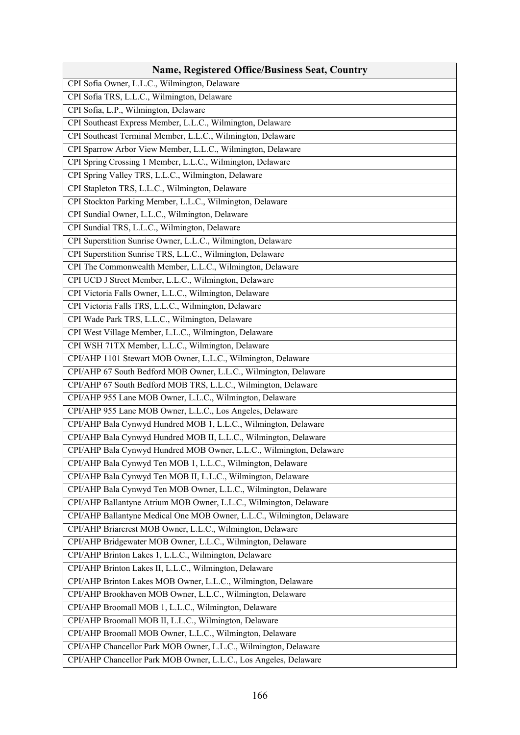| <b>Name, Registered Office/Business Seat, Country</b>                  |
|------------------------------------------------------------------------|
| CPI Sofia Owner, L.L.C., Wilmington, Delaware                          |
| CPI Sofia TRS, L.L.C., Wilmington, Delaware                            |
| CPI Sofia, L.P., Wilmington, Delaware                                  |
| CPI Southeast Express Member, L.L.C., Wilmington, Delaware             |
| CPI Southeast Terminal Member, L.L.C., Wilmington, Delaware            |
| CPI Sparrow Arbor View Member, L.L.C., Wilmington, Delaware            |
| CPI Spring Crossing 1 Member, L.L.C., Wilmington, Delaware             |
| CPI Spring Valley TRS, L.L.C., Wilmington, Delaware                    |
| CPI Stapleton TRS, L.L.C., Wilmington, Delaware                        |
| CPI Stockton Parking Member, L.L.C., Wilmington, Delaware              |
| CPI Sundial Owner, L.L.C., Wilmington, Delaware                        |
| CPI Sundial TRS, L.L.C., Wilmington, Delaware                          |
| CPI Superstition Sunrise Owner, L.L.C., Wilmington, Delaware           |
| CPI Superstition Sunrise TRS, L.L.C., Wilmington, Delaware             |
| CPI The Commonwealth Member, L.L.C., Wilmington, Delaware              |
| CPI UCD J Street Member, L.L.C., Wilmington, Delaware                  |
| CPI Victoria Falls Owner, L.L.C., Wilmington, Delaware                 |
| CPI Victoria Falls TRS, L.L.C., Wilmington, Delaware                   |
| CPI Wade Park TRS, L.L.C., Wilmington, Delaware                        |
| CPI West Village Member, L.L.C., Wilmington, Delaware                  |
| CPI WSH 71TX Member, L.L.C., Wilmington, Delaware                      |
| CPI/AHP 1101 Stewart MOB Owner, L.L.C., Wilmington, Delaware           |
| CPI/AHP 67 South Bedford MOB Owner, L.L.C., Wilmington, Delaware       |
| CPI/AHP 67 South Bedford MOB TRS, L.L.C., Wilmington, Delaware         |
| CPI/AHP 955 Lane MOB Owner, L.L.C., Wilmington, Delaware               |
| CPI/AHP 955 Lane MOB Owner, L.L.C., Los Angeles, Delaware              |
| CPI/AHP Bala Cynwyd Hundred MOB 1, L.L.C., Wilmington, Delaware        |
| CPI/AHP Bala Cynwyd Hundred MOB II, L.L.C., Wilmington, Delaware       |
| CPI/AHP Bala Cynwyd Hundred MOB Owner, L.L.C., Wilmington, Delaware    |
| CPI/AHP Bala Cynwyd Ten MOB 1, L.L.C., Wilmington, Delaware            |
| CPI/AHP Bala Cynwyd Ten MOB II, L.L.C., Wilmington, Delaware           |
| CPI/AHP Bala Cynwyd Ten MOB Owner, L.L.C., Wilmington, Delaware        |
| CPI/AHP Ballantyne Atrium MOB Owner, L.L.C., Wilmington, Delaware      |
| CPI/AHP Ballantyne Medical One MOB Owner, L.L.C., Wilmington, Delaware |
| CPI/AHP Briarcrest MOB Owner, L.L.C., Wilmington, Delaware             |
| CPI/AHP Bridgewater MOB Owner, L.L.C., Wilmington, Delaware            |
| CPI/AHP Brinton Lakes 1, L.L.C., Wilmington, Delaware                  |
| CPI/AHP Brinton Lakes II, L.L.C., Wilmington, Delaware                 |
| CPI/AHP Brinton Lakes MOB Owner, L.L.C., Wilmington, Delaware          |
| CPI/AHP Brookhaven MOB Owner, L.L.C., Wilmington, Delaware             |
| CPI/AHP Broomall MOB 1, L.L.C., Wilmington, Delaware                   |
| CPI/AHP Broomall MOB II, L.L.C., Wilmington, Delaware                  |
| CPI/AHP Broomall MOB Owner, L.L.C., Wilmington, Delaware               |
| CPI/AHP Chancellor Park MOB Owner, L.L.C., Wilmington, Delaware        |
| CPI/AHP Chancellor Park MOB Owner, L.L.C., Los Angeles, Delaware       |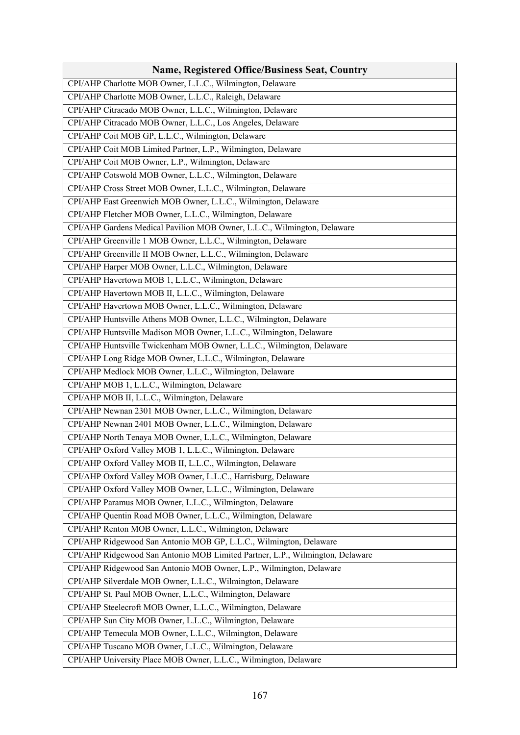| <b>Name, Registered Office/Business Seat, Country</b>                         |
|-------------------------------------------------------------------------------|
| CPI/AHP Charlotte MOB Owner, L.L.C., Wilmington, Delaware                     |
| CPI/AHP Charlotte MOB Owner, L.L.C., Raleigh, Delaware                        |
| CPI/AHP Citracado MOB Owner, L.L.C., Wilmington, Delaware                     |
| CPI/AHP Citracado MOB Owner, L.L.C., Los Angeles, Delaware                    |
| CPI/AHP Coit MOB GP, L.L.C., Wilmington, Delaware                             |
| CPI/AHP Coit MOB Limited Partner, L.P., Wilmington, Delaware                  |
| CPI/AHP Coit MOB Owner, L.P., Wilmington, Delaware                            |
| CPI/AHP Cotswold MOB Owner, L.L.C., Wilmington, Delaware                      |
| CPI/AHP Cross Street MOB Owner, L.L.C., Wilmington, Delaware                  |
| CPI/AHP East Greenwich MOB Owner, L.L.C., Wilmington, Delaware                |
| CPI/AHP Fletcher MOB Owner, L.L.C., Wilmington, Delaware                      |
| CPI/AHP Gardens Medical Pavilion MOB Owner, L.L.C., Wilmington, Delaware      |
| CPI/AHP Greenville 1 MOB Owner, L.L.C., Wilmington, Delaware                  |
| CPI/AHP Greenville II MOB Owner, L.L.C., Wilmington, Delaware                 |
| CPI/AHP Harper MOB Owner, L.L.C., Wilmington, Delaware                        |
| CPI/AHP Havertown MOB 1, L.L.C., Wilmington, Delaware                         |
| CPI/AHP Havertown MOB II, L.L.C., Wilmington, Delaware                        |
| CPI/AHP Havertown MOB Owner, L.L.C., Wilmington, Delaware                     |
| CPI/AHP Huntsville Athens MOB Owner, L.L.C., Wilmington, Delaware             |
| CPI/AHP Huntsville Madison MOB Owner, L.L.C., Wilmington, Delaware            |
| CPI/AHP Huntsville Twickenham MOB Owner, L.L.C., Wilmington, Delaware         |
| CPI/AHP Long Ridge MOB Owner, L.L.C., Wilmington, Delaware                    |
| CPI/AHP Medlock MOB Owner, L.L.C., Wilmington, Delaware                       |
| CPI/AHP MOB 1, L.L.C., Wilmington, Delaware                                   |
| CPI/AHP MOB II, L.L.C., Wilmington, Delaware                                  |
| CPI/AHP Newnan 2301 MOB Owner, L.L.C., Wilmington, Delaware                   |
| CPI/AHP Newnan 2401 MOB Owner, L.L.C., Wilmington, Delaware                   |
| CPI/AHP North Tenaya MOB Owner, L.L.C., Wilmington, Delaware                  |
| CPI/AHP Oxford Valley MOB 1, L.L.C., Wilmington, Delaware                     |
| CPI/AHP Oxford Valley MOB II, L.L.C., Wilmington, Delaware                    |
| CPI/AHP Oxford Valley MOB Owner, L.L.C., Harrisburg, Delaware                 |
| CPI/AHP Oxford Valley MOB Owner, L.L.C., Wilmington, Delaware                 |
| CPI/AHP Paramus MOB Owner, L.L.C., Wilmington, Delaware                       |
| CPI/AHP Quentin Road MOB Owner, L.L.C., Wilmington, Delaware                  |
| CPI/AHP Renton MOB Owner, L.L.C., Wilmington, Delaware                        |
| CPI/AHP Ridgewood San Antonio MOB GP, L.L.C., Wilmington, Delaware            |
| CPI/AHP Ridgewood San Antonio MOB Limited Partner, L.P., Wilmington, Delaware |
| CPI/AHP Ridgewood San Antonio MOB Owner, L.P., Wilmington, Delaware           |
| CPI/AHP Silverdale MOB Owner, L.L.C., Wilmington, Delaware                    |
| CPI/AHP St. Paul MOB Owner, L.L.C., Wilmington, Delaware                      |
| CPI/AHP Steelecroft MOB Owner, L.L.C., Wilmington, Delaware                   |
| CPI/AHP Sun City MOB Owner, L.L.C., Wilmington, Delaware                      |
| CPI/AHP Temecula MOB Owner, L.L.C., Wilmington, Delaware                      |
| CPI/AHP Tuscano MOB Owner, L.L.C., Wilmington, Delaware                       |
| CPI/AHP University Place MOB Owner, L.L.C., Wilmington, Delaware              |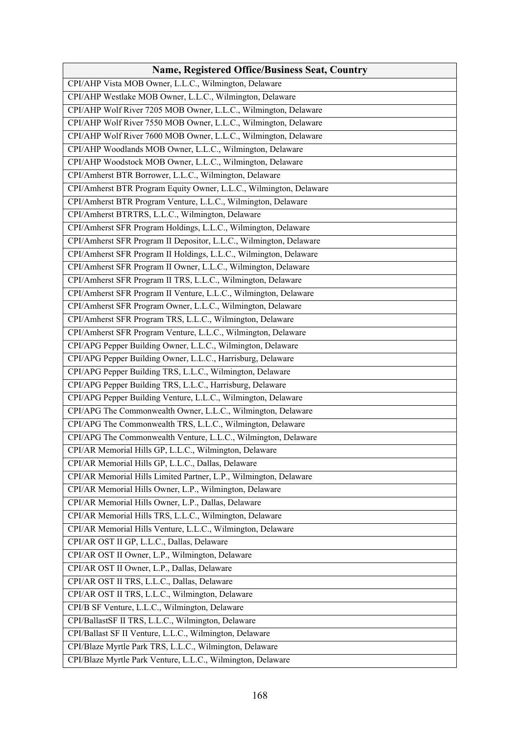| <b>Name, Registered Office/Business Seat, Country</b>              |
|--------------------------------------------------------------------|
| CPI/AHP Vista MOB Owner, L.L.C., Wilmington, Delaware              |
| CPI/AHP Westlake MOB Owner, L.L.C., Wilmington, Delaware           |
| CPI/AHP Wolf River 7205 MOB Owner, L.L.C., Wilmington, Delaware    |
| CPI/AHP Wolf River 7550 MOB Owner, L.L.C., Wilmington, Delaware    |
| CPI/AHP Wolf River 7600 MOB Owner, L.L.C., Wilmington, Delaware    |
| CPI/AHP Woodlands MOB Owner, L.L.C., Wilmington, Delaware          |
| CPI/AHP Woodstock MOB Owner, L.L.C., Wilmington, Delaware          |
| CPI/Amherst BTR Borrower, L.L.C., Wilmington, Delaware             |
| CPI/Amherst BTR Program Equity Owner, L.L.C., Wilmington, Delaware |
| CPI/Amherst BTR Program Venture, L.L.C., Wilmington, Delaware      |
| CPI/Amherst BTRTRS, L.L.C., Wilmington, Delaware                   |
| CPI/Amherst SFR Program Holdings, L.L.C., Wilmington, Delaware     |
| CPI/Amherst SFR Program II Depositor, L.L.C., Wilmington, Delaware |
| CPI/Amherst SFR Program II Holdings, L.L.C., Wilmington, Delaware  |
| CPI/Amherst SFR Program II Owner, L.L.C., Wilmington, Delaware     |
| CPI/Amherst SFR Program II TRS, L.L.C., Wilmington, Delaware       |
| CPI/Amherst SFR Program II Venture, L.L.C., Wilmington, Delaware   |
| CPI/Amherst SFR Program Owner, L.L.C., Wilmington, Delaware        |
| CPI/Amherst SFR Program TRS, L.L.C., Wilmington, Delaware          |
| CPI/Amherst SFR Program Venture, L.L.C., Wilmington, Delaware      |
| CPI/APG Pepper Building Owner, L.L.C., Wilmington, Delaware        |
| CPI/APG Pepper Building Owner, L.L.C., Harrisburg, Delaware        |
| CPI/APG Pepper Building TRS, L.L.C., Wilmington, Delaware          |
| CPI/APG Pepper Building TRS, L.L.C., Harrisburg, Delaware          |
| CPI/APG Pepper Building Venture, L.L.C., Wilmington, Delaware      |
| CPI/APG The Commonwealth Owner, L.L.C., Wilmington, Delaware       |
| CPI/APG The Commonwealth TRS, L.L.C., Wilmington, Delaware         |
| CPI/APG The Commonwealth Venture, L.L.C., Wilmington, Delaware     |
| CPI/AR Memorial Hills GP, L.L.C., Wilmington, Delaware             |
| CPI/AR Memorial Hills GP, L.L.C., Dallas, Delaware                 |
| CPI/AR Memorial Hills Limited Partner, L.P., Wilmington, Delaware  |
| CPI/AR Memorial Hills Owner, L.P., Wilmington, Delaware            |
| CPI/AR Memorial Hills Owner, L.P., Dallas, Delaware                |
| CPI/AR Memorial Hills TRS, L.L.C., Wilmington, Delaware            |
| CPI/AR Memorial Hills Venture, L.L.C., Wilmington, Delaware        |
| CPI/AR OST II GP, L.L.C., Dallas, Delaware                         |
| CPI/AR OST II Owner, L.P., Wilmington, Delaware                    |
| CPI/AR OST II Owner, L.P., Dallas, Delaware                        |
| CPI/AR OST II TRS, L.L.C., Dallas, Delaware                        |
| CPI/AR OST II TRS, L.L.C., Wilmington, Delaware                    |
| CPI/B SF Venture, L.L.C., Wilmington, Delaware                     |
| CPI/BallastSF II TRS, L.L.C., Wilmington, Delaware                 |
| CPI/Ballast SF II Venture, L.L.C., Wilmington, Delaware            |
| CPI/Blaze Myrtle Park TRS, L.L.C., Wilmington, Delaware            |
| CPI/Blaze Myrtle Park Venture, L.L.C., Wilmington, Delaware        |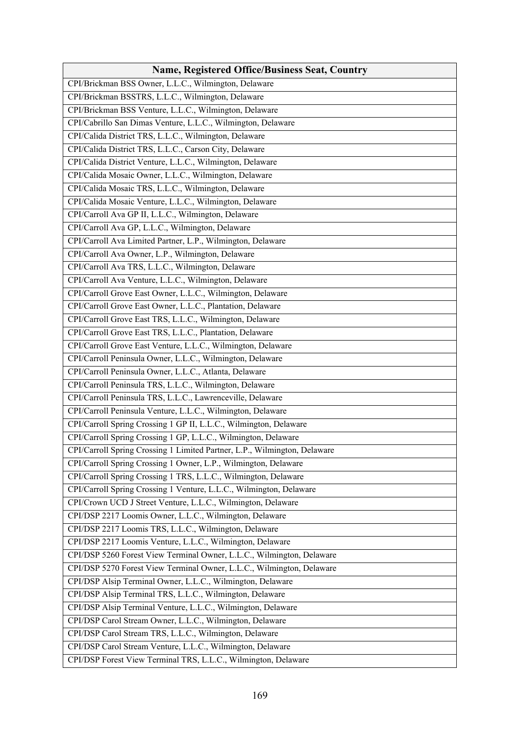| <b>Name, Registered Office/Business Seat, Country</b>                     |
|---------------------------------------------------------------------------|
| CPI/Brickman BSS Owner, L.L.C., Wilmington, Delaware                      |
| CPI/Brickman BSSTRS, L.L.C., Wilmington, Delaware                         |
| CPI/Brickman BSS Venture, L.L.C., Wilmington, Delaware                    |
| CPI/Cabrillo San Dimas Venture, L.L.C., Wilmington, Delaware              |
| CPI/Calida District TRS, L.L.C., Wilmington, Delaware                     |
| CPI/Calida District TRS, L.L.C., Carson City, Delaware                    |
| CPI/Calida District Venture, L.L.C., Wilmington, Delaware                 |
| CPI/Calida Mosaic Owner, L.L.C., Wilmington, Delaware                     |
| CPI/Calida Mosaic TRS, L.L.C., Wilmington, Delaware                       |
| CPI/Calida Mosaic Venture, L.L.C., Wilmington, Delaware                   |
| CPI/Carroll Ava GP II, L.L.C., Wilmington, Delaware                       |
| CPI/Carroll Ava GP, L.L.C., Wilmington, Delaware                          |
| CPI/Carroll Ava Limited Partner, L.P., Wilmington, Delaware               |
| CPI/Carroll Ava Owner, L.P., Wilmington, Delaware                         |
| CPI/Carroll Ava TRS, L.L.C., Wilmington, Delaware                         |
| CPI/Carroll Ava Venture, L.L.C., Wilmington, Delaware                     |
| CPI/Carroll Grove East Owner, L.L.C., Wilmington, Delaware                |
| CPI/Carroll Grove East Owner, L.L.C., Plantation, Delaware                |
| CPI/Carroll Grove East TRS, L.L.C., Wilmington, Delaware                  |
| CPI/Carroll Grove East TRS, L.L.C., Plantation, Delaware                  |
| CPI/Carroll Grove East Venture, L.L.C., Wilmington, Delaware              |
| CPI/Carroll Peninsula Owner, L.L.C., Wilmington, Delaware                 |
| CPI/Carroll Peninsula Owner, L.L.C., Atlanta, Delaware                    |
| CPI/Carroll Peninsula TRS, L.L.C., Wilmington, Delaware                   |
| CPI/Carroll Peninsula TRS, L.L.C., Lawrenceville, Delaware                |
| CPI/Carroll Peninsula Venture, L.L.C., Wilmington, Delaware               |
| CPI/Carroll Spring Crossing 1 GP II, L.L.C., Wilmington, Delaware         |
| CPI/Carroll Spring Crossing 1 GP, L.L.C., Wilmington, Delaware            |
| CPI/Carroll Spring Crossing 1 Limited Partner, L.P., Wilmington, Delaware |
| CPI/Carroll Spring Crossing 1 Owner, L.P., Wilmington, Delaware           |
| CPI/Carroll Spring Crossing 1 TRS, L.L.C., Wilmington, Delaware           |
| CPI/Carroll Spring Crossing 1 Venture, L.L.C., Wilmington, Delaware       |
| CPI/Crown UCD J Street Venture, L.L.C., Wilmington, Delaware              |
| CPI/DSP 2217 Loomis Owner, L.L.C., Wilmington, Delaware                   |
| CPI/DSP 2217 Loomis TRS, L.L.C., Wilmington, Delaware                     |
| CPI/DSP 2217 Loomis Venture, L.L.C., Wilmington, Delaware                 |
| CPI/DSP 5260 Forest View Terminal Owner, L.L.C., Wilmington, Delaware     |
| CPI/DSP 5270 Forest View Terminal Owner, L.L.C., Wilmington, Delaware     |
| CPI/DSP Alsip Terminal Owner, L.L.C., Wilmington, Delaware                |
| CPI/DSP Alsip Terminal TRS, L.L.C., Wilmington, Delaware                  |
| CPI/DSP Alsip Terminal Venture, L.L.C., Wilmington, Delaware              |
| CPI/DSP Carol Stream Owner, L.L.C., Wilmington, Delaware                  |
| CPI/DSP Carol Stream TRS, L.L.C., Wilmington, Delaware                    |
| CPI/DSP Carol Stream Venture, L.L.C., Wilmington, Delaware                |
| CPI/DSP Forest View Terminal TRS, L.L.C., Wilmington, Delaware            |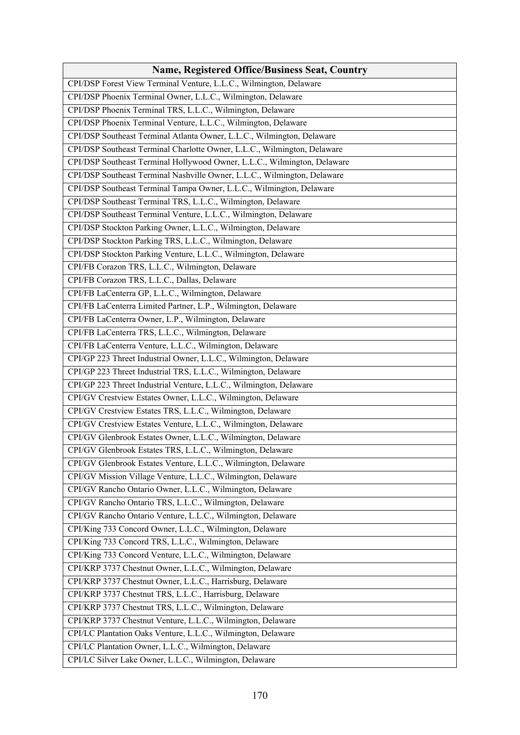| Name, Registered Office/Business Seat, Country                           |
|--------------------------------------------------------------------------|
| CPI/DSP Forest View Terminal Venture, L.L.C., Wilmington, Delaware       |
| CPI/DSP Phoenix Terminal Owner, L.L.C., Wilmington, Delaware             |
| CPI/DSP Phoenix Terminal TRS, L.L.C., Wilmington, Delaware               |
| CPI/DSP Phoenix Terminal Venture, L.L.C., Wilmington, Delaware           |
| CPI/DSP Southeast Terminal Atlanta Owner, L.L.C., Wilmington, Delaware   |
| CPI/DSP Southeast Terminal Charlotte Owner, L.L.C., Wilmington, Delaware |
| CPI/DSP Southeast Terminal Hollywood Owner, L.L.C., Wilmington, Delaware |
| CPI/DSP Southeast Terminal Nashville Owner, L.L.C., Wilmington, Delaware |
| CPI/DSP Southeast Terminal Tampa Owner, L.L.C., Wilmington, Delaware     |
| CPI/DSP Southeast Terminal TRS, L.L.C., Wilmington, Delaware             |
| CPI/DSP Southeast Terminal Venture, L.L.C., Wilmington, Delaware         |
| CPI/DSP Stockton Parking Owner, L.L.C., Wilmington, Delaware             |
| CPI/DSP Stockton Parking TRS, L.L.C., Wilmington, Delaware               |
| CPI/DSP Stockton Parking Venture, L.L.C., Wilmington, Delaware           |
| CPI/FB Corazon TRS, L.L.C., Wilmington, Delaware                         |
| CPI/FB Corazon TRS, L.L.C., Dallas, Delaware                             |
| CPI/FB LaCenterra GP, L.L.C., Wilmington, Delaware                       |
| CPI/FB LaCenterra Limited Partner, L.P., Wilmington, Delaware            |
| CPI/FB LaCenterra Owner, L.P., Wilmington, Delaware                      |
| CPI/FB LaCenterra TRS, L.L.C., Wilmington, Delaware                      |
| CPI/FB LaCenterra Venture, L.L.C., Wilmington, Delaware                  |
| CPI/GP 223 Threet Industrial Owner, L.L.C., Wilmington, Delaware         |
| CPI/GP 223 Threet Industrial TRS, L.L.C., Wilmington, Delaware           |
| CPI/GP 223 Threet Industrial Venture, L.L.C., Wilmington, Delaware       |
| CPI/GV Crestview Estates Owner, L.L.C., Wilmington, Delaware             |
| CPI/GV Crestview Estates TRS, L.L.C., Wilmington, Delaware               |
| CPI/GV Crestview Estates Venture, L.L.C., Wilmington, Delaware           |
| CPI/GV Glenbrook Estates Owner, L.L.C., Wilmington, Delaware             |
| CPI/GV Glenbrook Estates TRS, L.L.C., Wilmington, Delaware               |
| CPI/GV Glenbrook Estates Venture, L.L.C., Wilmington, Delaware           |
| CPI/GV Mission Village Venture, L.L.C., Wilmington, Delaware             |
| CPI/GV Rancho Ontario Owner, L.L.C., Wilmington, Delaware                |
| CPI/GV Rancho Ontario TRS, L.L.C., Wilmington, Delaware                  |
| CPI/GV Rancho Ontario Venture, L.L.C., Wilmington, Delaware              |
| CPI/King 733 Concord Owner, L.L.C., Wilmington, Delaware                 |
| CPI/King 733 Concord TRS, L.L.C., Wilmington, Delaware                   |
| CPI/King 733 Concord Venture, L.L.C., Wilmington, Delaware               |
| CPI/KRP 3737 Chestnut Owner, L.L.C., Wilmington, Delaware                |
| CPI/KRP 3737 Chestnut Owner, L.L.C., Harrisburg, Delaware                |
| CPI/KRP 3737 Chestnut TRS, L.L.C., Harrisburg, Delaware                  |
| CPI/KRP 3737 Chestnut TRS, L.L.C., Wilmington, Delaware                  |
| CPI/KRP 3737 Chestnut Venture, L.L.C., Wilmington, Delaware              |
| CPI/LC Plantation Oaks Venture, L.L.C., Wilmington, Delaware             |
| CPI/LC Plantation Owner, L.L.C., Wilmington, Delaware                    |
| CPI/LC Silver Lake Owner, L.L.C., Wilmington, Delaware                   |
|                                                                          |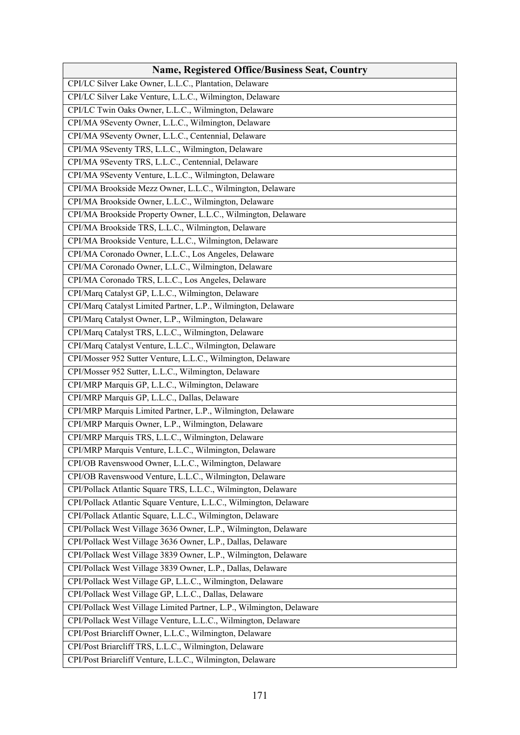| <b>Name, Registered Office/Business Seat, Country</b>                |
|----------------------------------------------------------------------|
| CPI/LC Silver Lake Owner, L.L.C., Plantation, Delaware               |
| CPI/LC Silver Lake Venture, L.L.C., Wilmington, Delaware             |
| CPI/LC Twin Oaks Owner, L.L.C., Wilmington, Delaware                 |
| CPI/MA 9Seventy Owner, L.L.C., Wilmington, Delaware                  |
| CPI/MA 9Seventy Owner, L.L.C., Centennial, Delaware                  |
| CPI/MA 9Seventy TRS, L.L.C., Wilmington, Delaware                    |
| CPI/MA 9Seventy TRS, L.L.C., Centennial, Delaware                    |
| CPI/MA 9Seventy Venture, L.L.C., Wilmington, Delaware                |
| CPI/MA Brookside Mezz Owner, L.L.C., Wilmington, Delaware            |
| CPI/MA Brookside Owner, L.L.C., Wilmington, Delaware                 |
| CPI/MA Brookside Property Owner, L.L.C., Wilmington, Delaware        |
| CPI/MA Brookside TRS, L.L.C., Wilmington, Delaware                   |
| CPI/MA Brookside Venture, L.L.C., Wilmington, Delaware               |
| CPI/MA Coronado Owner, L.L.C., Los Angeles, Delaware                 |
| CPI/MA Coronado Owner, L.L.C., Wilmington, Delaware                  |
| CPI/MA Coronado TRS, L.L.C., Los Angeles, Delaware                   |
| CPI/Marq Catalyst GP, L.L.C., Wilmington, Delaware                   |
| CPI/Marq Catalyst Limited Partner, L.P., Wilmington, Delaware        |
| CPI/Marq Catalyst Owner, L.P., Wilmington, Delaware                  |
| CPI/Marq Catalyst TRS, L.L.C., Wilmington, Delaware                  |
| CPI/Marq Catalyst Venture, L.L.C., Wilmington, Delaware              |
| CPI/Mosser 952 Sutter Venture, L.L.C., Wilmington, Delaware          |
| CPI/Mosser 952 Sutter, L.L.C., Wilmington, Delaware                  |
| CPI/MRP Marquis GP, L.L.C., Wilmington, Delaware                     |
| CPI/MRP Marquis GP, L.L.C., Dallas, Delaware                         |
| CPI/MRP Marquis Limited Partner, L.P., Wilmington, Delaware          |
| CPI/MRP Marquis Owner, L.P., Wilmington, Delaware                    |
| CPI/MRP Marquis TRS, L.L.C., Wilmington, Delaware                    |
| CPI/MRP Marquis Venture, L.L.C., Wilmington, Delaware                |
| CPI/OB Ravenswood Owner, L.L.C., Wilmington, Delaware                |
| CPI/OB Ravenswood Venture, L.L.C., Wilmington, Delaware              |
| CPI/Pollack Atlantic Square TRS, L.L.C., Wilmington, Delaware        |
| CPI/Pollack Atlantic Square Venture, L.L.C., Wilmington, Delaware    |
| CPI/Pollack Atlantic Square, L.L.C., Wilmington, Delaware            |
| CPI/Pollack West Village 3636 Owner, L.P., Wilmington, Delaware      |
| CPI/Pollack West Village 3636 Owner, L.P., Dallas, Delaware          |
| CPI/Pollack West Village 3839 Owner, L.P., Wilmington, Delaware      |
| CPI/Pollack West Village 3839 Owner, L.P., Dallas, Delaware          |
| CPI/Pollack West Village GP, L.L.C., Wilmington, Delaware            |
| CPI/Pollack West Village GP, L.L.C., Dallas, Delaware                |
| CPI/Pollack West Village Limited Partner, L.P., Wilmington, Delaware |
| CPI/Pollack West Village Venture, L.L.C., Wilmington, Delaware       |
| CPI/Post Briarcliff Owner, L.L.C., Wilmington, Delaware              |
| CPI/Post Briarcliff TRS, L.L.C., Wilmington, Delaware                |
| CPI/Post Briarcliff Venture, L.L.C., Wilmington, Delaware            |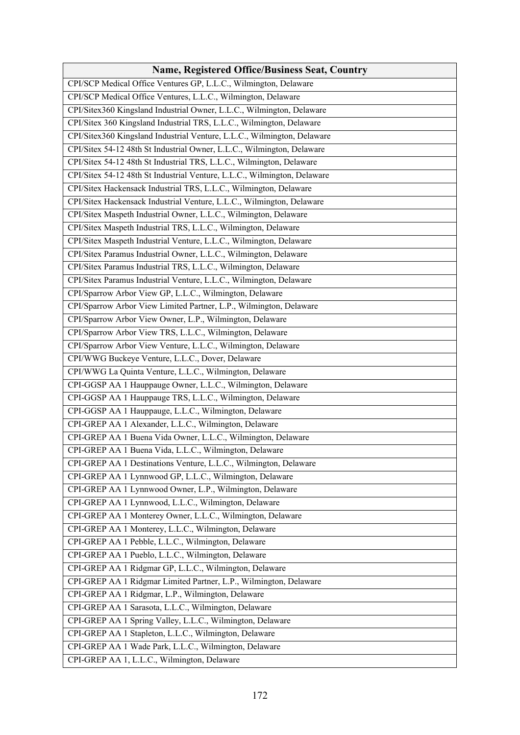| <b>Name, Registered Office/Business Seat, Country</b>                    |
|--------------------------------------------------------------------------|
| CPI/SCP Medical Office Ventures GP, L.L.C., Wilmington, Delaware         |
| CPI/SCP Medical Office Ventures, L.L.C., Wilmington, Delaware            |
| CPI/Sitex360 Kingsland Industrial Owner, L.L.C., Wilmington, Delaware    |
| CPI/Sitex 360 Kingsland Industrial TRS, L.L.C., Wilmington, Delaware     |
| CPI/Sitex360 Kingsland Industrial Venture, L.L.C., Wilmington, Delaware  |
| CPI/Sitex 54-12 48th St Industrial Owner, L.L.C., Wilmington, Delaware   |
| CPI/Sitex 54-12 48th St Industrial TRS, L.L.C., Wilmington, Delaware     |
| CPI/Sitex 54-12 48th St Industrial Venture, L.L.C., Wilmington, Delaware |
| CPI/Sitex Hackensack Industrial TRS, L.L.C., Wilmington, Delaware        |
| CPI/Sitex Hackensack Industrial Venture, L.L.C., Wilmington, Delaware    |
| CPI/Sitex Maspeth Industrial Owner, L.L.C., Wilmington, Delaware         |
| CPI/Sitex Maspeth Industrial TRS, L.L.C., Wilmington, Delaware           |
| CPI/Sitex Maspeth Industrial Venture, L.L.C., Wilmington, Delaware       |
| CPI/Sitex Paramus Industrial Owner, L.L.C., Wilmington, Delaware         |
| CPI/Sitex Paramus Industrial TRS, L.L.C., Wilmington, Delaware           |
| CPI/Sitex Paramus Industrial Venture, L.L.C., Wilmington, Delaware       |
| CPI/Sparrow Arbor View GP, L.L.C., Wilmington, Delaware                  |
| CPI/Sparrow Arbor View Limited Partner, L.P., Wilmington, Delaware       |
| CPI/Sparrow Arbor View Owner, L.P., Wilmington, Delaware                 |
| CPI/Sparrow Arbor View TRS, L.L.C., Wilmington, Delaware                 |
| CPI/Sparrow Arbor View Venture, L.L.C., Wilmington, Delaware             |
| CPI/WWG Buckeye Venture, L.L.C., Dover, Delaware                         |
| CPI/WWG La Quinta Venture, L.L.C., Wilmington, Delaware                  |
| CPI-GGSP AA 1 Hauppauge Owner, L.L.C., Wilmington, Delaware              |
| CPI-GGSP AA 1 Hauppauge TRS, L.L.C., Wilmington, Delaware                |
| CPI-GGSP AA 1 Hauppauge, L.L.C., Wilmington, Delaware                    |
| CPI-GREP AA 1 Alexander, L.L.C., Wilmington, Delaware                    |
| CPI-GREP AA 1 Buena Vida Owner, L.L.C., Wilmington, Delaware             |
| CPI-GREP AA 1 Buena Vida, L.L.C., Wilmington, Delaware                   |
| CPI-GREP AA 1 Destinations Venture, L.L.C., Wilmington, Delaware         |
| CPI-GREP AA 1 Lynnwood GP, L.L.C., Wilmington, Delaware                  |
| CPI-GREP AA 1 Lynnwood Owner, L.P., Wilmington, Delaware                 |
| CPI-GREP AA 1 Lynnwood, L.L.C., Wilmington, Delaware                     |
| CPI-GREP AA 1 Monterey Owner, L.L.C., Wilmington, Delaware               |
| CPI-GREP AA 1 Monterey, L.L.C., Wilmington, Delaware                     |
| CPI-GREP AA 1 Pebble, L.L.C., Wilmington, Delaware                       |
| CPI-GREP AA 1 Pueblo, L.L.C., Wilmington, Delaware                       |
| CPI-GREP AA 1 Ridgmar GP, L.L.C., Wilmington, Delaware                   |
| CPI-GREP AA 1 Ridgmar Limited Partner, L.P., Wilmington, Delaware        |
| CPI-GREP AA 1 Ridgmar, L.P., Wilmington, Delaware                        |
| CPI-GREP AA 1 Sarasota, L.L.C., Wilmington, Delaware                     |
| CPI-GREP AA 1 Spring Valley, L.L.C., Wilmington, Delaware                |
| CPI-GREP AA 1 Stapleton, L.L.C., Wilmington, Delaware                    |
| CPI-GREP AA 1 Wade Park, L.L.C., Wilmington, Delaware                    |
| CPI-GREP AA 1, L.L.C., Wilmington, Delaware                              |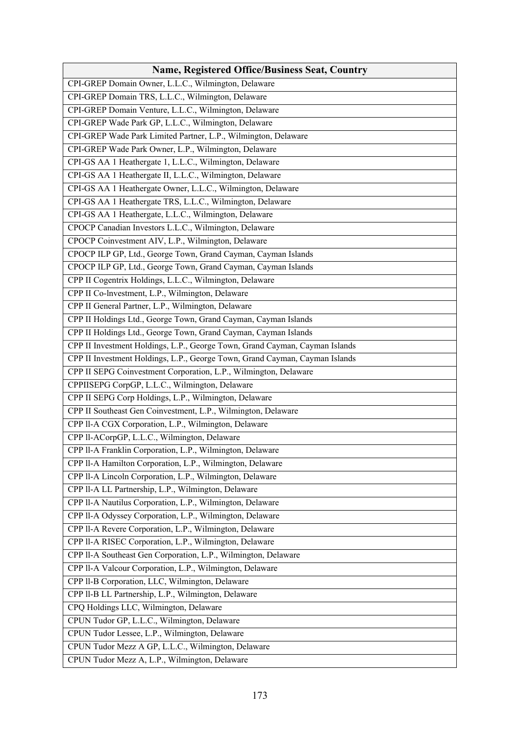| <b>Name, Registered Office/Business Seat, Country</b>                       |
|-----------------------------------------------------------------------------|
| CPI-GREP Domain Owner, L.L.C., Wilmington, Delaware                         |
| CPI-GREP Domain TRS, L.L.C., Wilmington, Delaware                           |
| CPI-GREP Domain Venture, L.L.C., Wilmington, Delaware                       |
| CPI-GREP Wade Park GP, L.L.C., Wilmington, Delaware                         |
| CPI-GREP Wade Park Limited Partner, L.P., Wilmington, Delaware              |
| CPI-GREP Wade Park Owner, L.P., Wilmington, Delaware                        |
| CPI-GS AA 1 Heathergate 1, L.L.C., Wilmington, Delaware                     |
| CPI-GS AA 1 Heathergate II, L.L.C., Wilmington, Delaware                    |
| CPI-GS AA 1 Heathergate Owner, L.L.C., Wilmington, Delaware                 |
| CPI-GS AA 1 Heathergate TRS, L.L.C., Wilmington, Delaware                   |
| CPI-GS AA 1 Heathergate, L.L.C., Wilmington, Delaware                       |
| CPOCP Canadian Investors L.L.C., Wilmington, Delaware                       |
| CPOCP Coinvestment AIV, L.P., Wilmington, Delaware                          |
| CPOCP ILP GP, Ltd., George Town, Grand Cayman, Cayman Islands               |
| CPOCP ILP GP, Ltd., George Town, Grand Cayman, Cayman Islands               |
| CPP II Cogentrix Holdings, L.L.C., Wilmington, Delaware                     |
| CPP II Co-lnvestment, L.P., Wilmington, Delaware                            |
| CPP II General Partner, L.P., Wilmington, Delaware                          |
| CPP II Holdings Ltd., George Town, Grand Cayman, Cayman Islands             |
| CPP II Holdings Ltd., George Town, Grand Cayman, Cayman Islands             |
| CPP II Investment Holdings, L.P., George Town, Grand Cayman, Cayman Islands |
| CPP II Investment Holdings, L.P., George Town, Grand Cayman, Cayman Islands |
| CPP II SEPG Coinvestment Corporation, L.P., Wilmington, Delaware            |
| CPPIISEPG CorpGP, L.L.C., Wilmington, Delaware                              |
| CPP II SEPG Corp Holdings, L.P., Wilmington, Delaware                       |
| CPP II Southeast Gen Coinvestment, L.P., Wilmington, Delaware               |
| CPP Il-A CGX Corporation, L.P., Wilmington, Delaware                        |
| CPP ll-ACorpGP, L.L.C., Wilmington, Delaware                                |
| CPP II-A Franklin Corporation, L.P., Wilmington, Delaware                   |
| CPP II-A Hamilton Corporation, L.P., Wilmington, Delaware                   |
| CPP Il-A Lincoln Corporation, L.P., Wilmington, Delaware                    |
| CPP II-A LL Partnership, L.P., Wilmington, Delaware                         |
| CPP II-A Nautilus Corporation, L.P., Wilmington, Delaware                   |
| CPP II-A Odyssey Corporation, L.P., Wilmington, Delaware                    |
| CPP Il-A Revere Corporation, L.P., Wilmington, Delaware                     |
| CPP II-A RISEC Corporation, L.P., Wilmington, Delaware                      |
| CPP II-A Southeast Gen Corporation, L.P., Wilmington, Delaware              |
| CPP II-A Valcour Corporation, L.P., Wilmington, Delaware                    |
| CPP Il-B Corporation, LLC, Wilmington, Delaware                             |
| CPP II-B LL Partnership, L.P., Wilmington, Delaware                         |
| CPQ Holdings LLC, Wilmington, Delaware                                      |
| CPUN Tudor GP, L.L.C., Wilmington, Delaware                                 |
| CPUN Tudor Lessee, L.P., Wilmington, Delaware                               |
| CPUN Tudor Mezz A GP, L.L.C., Wilmington, Delaware                          |
| CPUN Tudor Mezz A, L.P., Wilmington, Delaware                               |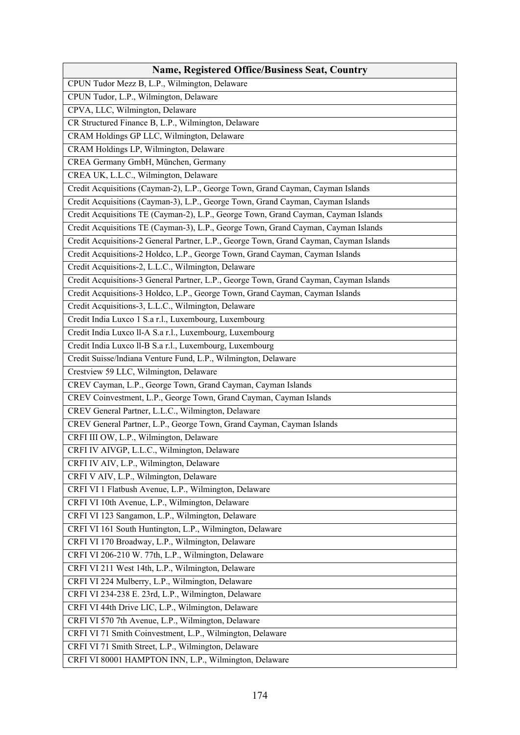| <b>Name, Registered Office/Business Seat, Country</b>                                  |
|----------------------------------------------------------------------------------------|
| CPUN Tudor Mezz B, L.P., Wilmington, Delaware                                          |
| CPUN Tudor, L.P., Wilmington, Delaware                                                 |
| CPVA, LLC, Wilmington, Delaware                                                        |
| CR Structured Finance B, L.P., Wilmington, Delaware                                    |
| CRAM Holdings GP LLC, Wilmington, Delaware                                             |
| CRAM Holdings LP, Wilmington, Delaware                                                 |
| CREA Germany GmbH, München, Germany                                                    |
| CREA UK, L.L.C., Wilmington, Delaware                                                  |
| Credit Acquisitions (Cayman-2), L.P., George Town, Grand Cayman, Cayman Islands        |
| Credit Acquisitions (Cayman-3), L.P., George Town, Grand Cayman, Cayman Islands        |
| Credit Acquisitions TE (Cayman-2), L.P., George Town, Grand Cayman, Cayman Islands     |
| Credit Acquisitions TE (Cayman-3), L.P., George Town, Grand Cayman, Cayman Islands     |
| Credit Acquisitions-2 General Partner, L.P., George Town, Grand Cayman, Cayman Islands |
| Credit Acquisitions-2 Holdco, L.P., George Town, Grand Cayman, Cayman Islands          |
| Credit Acquisitions-2, L.L.C., Wilmington, Delaware                                    |
| Credit Acquisitions-3 General Partner, L.P., George Town, Grand Cayman, Cayman Islands |
| Credit Acquisitions-3 Holdco, L.P., George Town, Grand Cayman, Cayman Islands          |
| Credit Acquisitions-3, L.L.C., Wilmington, Delaware                                    |
| Credit India Luxco 1 S.a r.l., Luxembourg, Luxembourg                                  |
| Credit India Luxco ll-A S.a r.l., Luxembourg, Luxembourg                               |
| Credit India Luxco ll-B S.a r.l., Luxembourg, Luxembourg                               |
| Credit Suisse/Indiana Venture Fund, L.P., Wilmington, Delaware                         |
| Crestview 59 LLC, Wilmington, Delaware                                                 |
| CREV Cayman, L.P., George Town, Grand Cayman, Cayman Islands                           |
| CREV Coinvestment, L.P., George Town, Grand Cayman, Cayman Islands                     |
| CREV General Partner, L.L.C., Wilmington, Delaware                                     |
| CREV General Partner, L.P., George Town, Grand Cayman, Cayman Islands                  |
| CRFI III OW, L.P., Wilmington, Delaware                                                |
| CRFI IV AIVGP, L.L.C., Wilmington, Delaware                                            |
| CRFI IV AIV, L.P., Wilmington, Delaware                                                |
| CRFI V AIV, L.P., Wilmington, Delaware                                                 |
| CRFI VI 1 Flatbush Avenue, L.P., Wilmington, Delaware                                  |
| CRFI VI 10th Avenue, L.P., Wilmington, Delaware                                        |
| CRFI VI 123 Sangamon, L.P., Wilmington, Delaware                                       |
| CRFI VI 161 South Huntington, L.P., Wilmington, Delaware                               |
| CRFI VI 170 Broadway, L.P., Wilmington, Delaware                                       |
| CRFI VI 206-210 W. 77th, L.P., Wilmington, Delaware                                    |
| CRFI VI 211 West 14th, L.P., Wilmington, Delaware                                      |
| CRFI VI 224 Mulberry, L.P., Wilmington, Delaware                                       |
| CRFI VI 234-238 E. 23rd, L.P., Wilmington, Delaware                                    |
| CRFI VI 44th Drive LIC, L.P., Wilmington, Delaware                                     |
| CRFI VI 570 7th Avenue, L.P., Wilmington, Delaware                                     |
| CRFI VI 71 Smith Coinvestment, L.P., Wilmington, Delaware                              |
| CRFI VI 71 Smith Street, L.P., Wilmington, Delaware                                    |
| CRFI VI 80001 HAMPTON INN, L.P., Wilmington, Delaware                                  |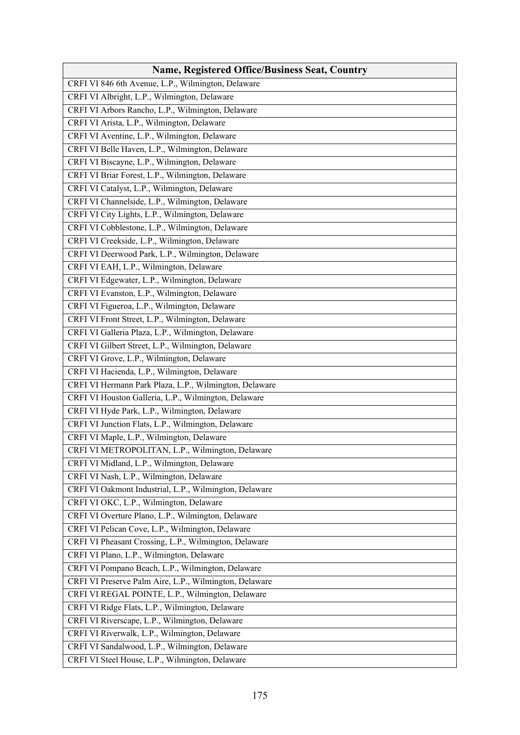| <b>Name, Registered Office/Business Seat, Country</b>  |
|--------------------------------------------------------|
| CRFI VI 846 6th Avenue, L.P., Wilmington, Delaware     |
| CRFI VI Albright, L.P., Wilmington, Delaware           |
| CRFI VI Arbors Rancho, L.P., Wilmington, Delaware      |
| CRFI VI Arista, L.P., Wilmington, Delaware             |
| CRFI VI Aventine, L.P., Wilmington, Delaware           |
| CRFI VI Belle Haven, L.P., Wilmington, Delaware        |
| CRFI VI Biscayne, L.P., Wilmington, Delaware           |
| CRFI VI Briar Forest, L.P., Wilmington, Delaware       |
| CRFI VI Catalyst, L.P., Wilmington, Delaware           |
| CRFI VI Channelside, L.P., Wilmington, Delaware        |
| CRFI VI City Lights, L.P., Wilmington, Delaware        |
| CRFI VI Cobblestone, L.P., Wilmington, Delaware        |
| CRFI VI Creekside, L.P., Wilmington, Delaware          |
| CRFI VI Deerwood Park, L.P., Wilmington, Delaware      |
| CRFI VI EAH, L.P., Wilmington, Delaware                |
| CRFI VI Edgewater, L.P., Wilmington, Delaware          |
| CRFI VI Evanston, L.P., Wilmington, Delaware           |
| CRFI VI Figueroa, L.P., Wilmington, Delaware           |
| CRFI VI Front Street, L.P., Wilmington, Delaware       |
| CRFI VI Galleria Plaza, L.P., Wilmington, Delaware     |
| CRFI VI Gilbert Street, L.P., Wilmington, Delaware     |
| CRFI VI Grove, L.P., Wilmington, Delaware              |
| CRFI VI Hacienda, L.P., Wilmington, Delaware           |
| CRFI VI Hermann Park Plaza, L.P., Wilmington, Delaware |
| CRFI VI Houston Galleria, L.P., Wilmington, Delaware   |
| CRFI VI Hyde Park, L.P., Wilmington, Delaware          |
| CRFI VI Junction Flats, L.P., Wilmington, Delaware     |
| CRFI VI Maple, L.P., Wilmington, Delaware              |
| CRFI VI METROPOLITAN, L.P., Wilmington, Delaware       |
| CRFI VI Midland, L.P., Wilmington, Delaware            |
| CRFI VI Nash, L.P., Wilmington, Delaware               |
| CRFI VI Oakmont Industrial, L.P., Wilmington, Delaware |
| CRFI VI OKC, L.P., Wilmington, Delaware                |
| CRFI VI Overture Plano, L.P., Wilmington, Delaware     |
| CRFI VI Pelican Cove, L.P., Wilmington, Delaware       |
| CRFI VI Pheasant Crossing, L.P., Wilmington, Delaware  |
| CRFI VI Plano, L.P., Wilmington, Delaware              |
| CRFI VI Pompano Beach, L.P., Wilmington, Delaware      |
| CRFI VI Preserve Palm Aire, L.P., Wilmington, Delaware |
| CRFI VI REGAL POINTE, L.P., Wilmington, Delaware       |
| CRFI VI Ridge Flats, L.P., Wilmington, Delaware        |
| CRFI VI Riverscape, L.P., Wilmington, Delaware         |
| CRFI VI Riverwalk, L.P., Wilmington, Delaware          |
| CRFI VI Sandalwood, L.P., Wilmington, Delaware         |
| CRFI VI Steel House, L.P., Wilmington, Delaware        |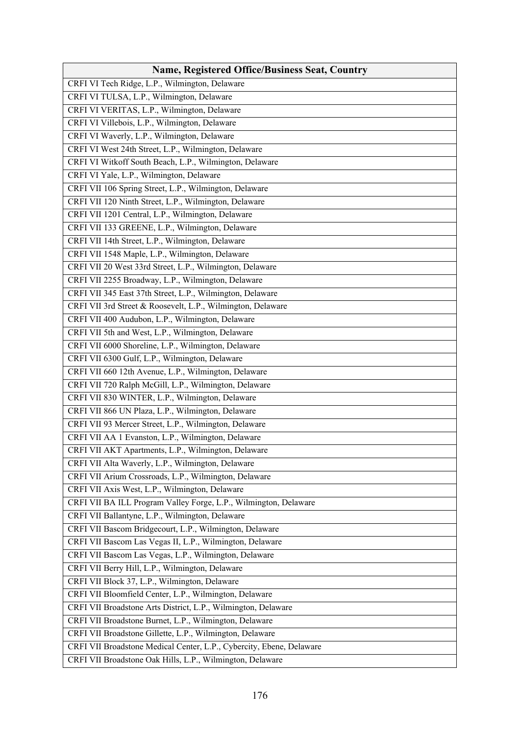| CRFI VI Tech Ridge, L.P., Wilmington, Delaware<br>CRFI VI TULSA, L.P., Wilmington, Delaware<br>CRFI VI VERITAS, L.P., Wilmington, Delaware<br>CRFI VI Villebois, L.P., Wilmington, Delaware<br>CRFI VI Waverly, L.P., Wilmington, Delaware<br>CRFI VI West 24th Street, L.P., Wilmington, Delaware<br>CRFI VI Witkoff South Beach, L.P., Wilmington, Delaware<br>CRFI VI Yale, L.P., Wilmington, Delaware<br>CRFI VII 106 Spring Street, L.P., Wilmington, Delaware<br>CRFI VII 120 Ninth Street, L.P., Wilmington, Delaware<br>CRFI VII 1201 Central, L.P., Wilmington, Delaware<br>CRFI VII 133 GREENE, L.P., Wilmington, Delaware<br>CRFI VII 14th Street, L.P., Wilmington, Delaware<br>CRFI VII 1548 Maple, L.P., Wilmington, Delaware<br>CRFI VII 20 West 33rd Street, L.P., Wilmington, Delaware<br>CRFI VII 2255 Broadway, L.P., Wilmington, Delaware<br>CRFI VII 345 East 37th Street, L.P., Wilmington, Delaware<br>CRFI VII 3rd Street & Roosevelt, L.P., Wilmington, Delaware<br>CRFI VII 400 Audubon, L.P., Wilmington, Delaware<br>CRFI VII 5th and West, L.P., Wilmington, Delaware<br>CRFI VII 6000 Shoreline, L.P., Wilmington, Delaware<br>CRFI VII 6300 Gulf, L.P., Wilmington, Delaware<br>CRFI VII 660 12th Avenue, L.P., Wilmington, Delaware<br>CRFI VII 720 Ralph McGill, L.P., Wilmington, Delaware<br>CRFI VII 830 WINTER, L.P., Wilmington, Delaware<br>CRFI VII 866 UN Plaza, L.P., Wilmington, Delaware<br>CRFI VII 93 Mercer Street, L.P., Wilmington, Delaware<br>CRFI VII AA 1 Evanston, L.P., Wilmington, Delaware<br>CRFI VII AKT Apartments, L.P., Wilmington, Delaware<br>CRFI VII Alta Waverly, L.P., Wilmington, Delaware<br>CRFI VII Arium Crossroads, L.P., Wilmington, Delaware<br>CRFI VII Axis West, L.P., Wilmington, Delaware<br>CRFI VII BA ILL Program Valley Forge, L.P., Wilmington, Delaware<br>CRFI VII Ballantyne, L.P., Wilmington, Delaware<br>CRFI VII Bascom Bridgecourt, L.P., Wilmington, Delaware<br>CRFI VII Bascom Las Vegas II, L.P., Wilmington, Delaware<br>CRFI VII Bascom Las Vegas, L.P., Wilmington, Delaware<br>CRFI VII Berry Hill, L.P., Wilmington, Delaware<br>CRFI VII Block 37, L.P., Wilmington, Delaware<br>CRFI VII Bloomfield Center, L.P., Wilmington, Delaware<br>CRFI VII Broadstone Arts District, L.P., Wilmington, Delaware<br>CRFI VII Broadstone Burnet, L.P., Wilmington, Delaware | <b>Name, Registered Office/Business Seat, Country</b>    |
|----------------------------------------------------------------------------------------------------------------------------------------------------------------------------------------------------------------------------------------------------------------------------------------------------------------------------------------------------------------------------------------------------------------------------------------------------------------------------------------------------------------------------------------------------------------------------------------------------------------------------------------------------------------------------------------------------------------------------------------------------------------------------------------------------------------------------------------------------------------------------------------------------------------------------------------------------------------------------------------------------------------------------------------------------------------------------------------------------------------------------------------------------------------------------------------------------------------------------------------------------------------------------------------------------------------------------------------------------------------------------------------------------------------------------------------------------------------------------------------------------------------------------------------------------------------------------------------------------------------------------------------------------------------------------------------------------------------------------------------------------------------------------------------------------------------------------------------------------------------------------------------------------------------------------------------------------------------------------------------------------------------------------------------------------------------------------------------------------------------------------------------------------------------------------------------------------------------------------------------------------------------------------------------------------------------------------------------------------------------------------|----------------------------------------------------------|
|                                                                                                                                                                                                                                                                                                                                                                                                                                                                                                                                                                                                                                                                                                                                                                                                                                                                                                                                                                                                                                                                                                                                                                                                                                                                                                                                                                                                                                                                                                                                                                                                                                                                                                                                                                                                                                                                                                                                                                                                                                                                                                                                                                                                                                                                                                                                                                            |                                                          |
|                                                                                                                                                                                                                                                                                                                                                                                                                                                                                                                                                                                                                                                                                                                                                                                                                                                                                                                                                                                                                                                                                                                                                                                                                                                                                                                                                                                                                                                                                                                                                                                                                                                                                                                                                                                                                                                                                                                                                                                                                                                                                                                                                                                                                                                                                                                                                                            |                                                          |
|                                                                                                                                                                                                                                                                                                                                                                                                                                                                                                                                                                                                                                                                                                                                                                                                                                                                                                                                                                                                                                                                                                                                                                                                                                                                                                                                                                                                                                                                                                                                                                                                                                                                                                                                                                                                                                                                                                                                                                                                                                                                                                                                                                                                                                                                                                                                                                            |                                                          |
|                                                                                                                                                                                                                                                                                                                                                                                                                                                                                                                                                                                                                                                                                                                                                                                                                                                                                                                                                                                                                                                                                                                                                                                                                                                                                                                                                                                                                                                                                                                                                                                                                                                                                                                                                                                                                                                                                                                                                                                                                                                                                                                                                                                                                                                                                                                                                                            |                                                          |
|                                                                                                                                                                                                                                                                                                                                                                                                                                                                                                                                                                                                                                                                                                                                                                                                                                                                                                                                                                                                                                                                                                                                                                                                                                                                                                                                                                                                                                                                                                                                                                                                                                                                                                                                                                                                                                                                                                                                                                                                                                                                                                                                                                                                                                                                                                                                                                            |                                                          |
|                                                                                                                                                                                                                                                                                                                                                                                                                                                                                                                                                                                                                                                                                                                                                                                                                                                                                                                                                                                                                                                                                                                                                                                                                                                                                                                                                                                                                                                                                                                                                                                                                                                                                                                                                                                                                                                                                                                                                                                                                                                                                                                                                                                                                                                                                                                                                                            |                                                          |
|                                                                                                                                                                                                                                                                                                                                                                                                                                                                                                                                                                                                                                                                                                                                                                                                                                                                                                                                                                                                                                                                                                                                                                                                                                                                                                                                                                                                                                                                                                                                                                                                                                                                                                                                                                                                                                                                                                                                                                                                                                                                                                                                                                                                                                                                                                                                                                            |                                                          |
|                                                                                                                                                                                                                                                                                                                                                                                                                                                                                                                                                                                                                                                                                                                                                                                                                                                                                                                                                                                                                                                                                                                                                                                                                                                                                                                                                                                                                                                                                                                                                                                                                                                                                                                                                                                                                                                                                                                                                                                                                                                                                                                                                                                                                                                                                                                                                                            |                                                          |
|                                                                                                                                                                                                                                                                                                                                                                                                                                                                                                                                                                                                                                                                                                                                                                                                                                                                                                                                                                                                                                                                                                                                                                                                                                                                                                                                                                                                                                                                                                                                                                                                                                                                                                                                                                                                                                                                                                                                                                                                                                                                                                                                                                                                                                                                                                                                                                            |                                                          |
|                                                                                                                                                                                                                                                                                                                                                                                                                                                                                                                                                                                                                                                                                                                                                                                                                                                                                                                                                                                                                                                                                                                                                                                                                                                                                                                                                                                                                                                                                                                                                                                                                                                                                                                                                                                                                                                                                                                                                                                                                                                                                                                                                                                                                                                                                                                                                                            |                                                          |
|                                                                                                                                                                                                                                                                                                                                                                                                                                                                                                                                                                                                                                                                                                                                                                                                                                                                                                                                                                                                                                                                                                                                                                                                                                                                                                                                                                                                                                                                                                                                                                                                                                                                                                                                                                                                                                                                                                                                                                                                                                                                                                                                                                                                                                                                                                                                                                            |                                                          |
|                                                                                                                                                                                                                                                                                                                                                                                                                                                                                                                                                                                                                                                                                                                                                                                                                                                                                                                                                                                                                                                                                                                                                                                                                                                                                                                                                                                                                                                                                                                                                                                                                                                                                                                                                                                                                                                                                                                                                                                                                                                                                                                                                                                                                                                                                                                                                                            |                                                          |
|                                                                                                                                                                                                                                                                                                                                                                                                                                                                                                                                                                                                                                                                                                                                                                                                                                                                                                                                                                                                                                                                                                                                                                                                                                                                                                                                                                                                                                                                                                                                                                                                                                                                                                                                                                                                                                                                                                                                                                                                                                                                                                                                                                                                                                                                                                                                                                            |                                                          |
|                                                                                                                                                                                                                                                                                                                                                                                                                                                                                                                                                                                                                                                                                                                                                                                                                                                                                                                                                                                                                                                                                                                                                                                                                                                                                                                                                                                                                                                                                                                                                                                                                                                                                                                                                                                                                                                                                                                                                                                                                                                                                                                                                                                                                                                                                                                                                                            |                                                          |
|                                                                                                                                                                                                                                                                                                                                                                                                                                                                                                                                                                                                                                                                                                                                                                                                                                                                                                                                                                                                                                                                                                                                                                                                                                                                                                                                                                                                                                                                                                                                                                                                                                                                                                                                                                                                                                                                                                                                                                                                                                                                                                                                                                                                                                                                                                                                                                            |                                                          |
|                                                                                                                                                                                                                                                                                                                                                                                                                                                                                                                                                                                                                                                                                                                                                                                                                                                                                                                                                                                                                                                                                                                                                                                                                                                                                                                                                                                                                                                                                                                                                                                                                                                                                                                                                                                                                                                                                                                                                                                                                                                                                                                                                                                                                                                                                                                                                                            |                                                          |
|                                                                                                                                                                                                                                                                                                                                                                                                                                                                                                                                                                                                                                                                                                                                                                                                                                                                                                                                                                                                                                                                                                                                                                                                                                                                                                                                                                                                                                                                                                                                                                                                                                                                                                                                                                                                                                                                                                                                                                                                                                                                                                                                                                                                                                                                                                                                                                            |                                                          |
|                                                                                                                                                                                                                                                                                                                                                                                                                                                                                                                                                                                                                                                                                                                                                                                                                                                                                                                                                                                                                                                                                                                                                                                                                                                                                                                                                                                                                                                                                                                                                                                                                                                                                                                                                                                                                                                                                                                                                                                                                                                                                                                                                                                                                                                                                                                                                                            |                                                          |
|                                                                                                                                                                                                                                                                                                                                                                                                                                                                                                                                                                                                                                                                                                                                                                                                                                                                                                                                                                                                                                                                                                                                                                                                                                                                                                                                                                                                                                                                                                                                                                                                                                                                                                                                                                                                                                                                                                                                                                                                                                                                                                                                                                                                                                                                                                                                                                            |                                                          |
|                                                                                                                                                                                                                                                                                                                                                                                                                                                                                                                                                                                                                                                                                                                                                                                                                                                                                                                                                                                                                                                                                                                                                                                                                                                                                                                                                                                                                                                                                                                                                                                                                                                                                                                                                                                                                                                                                                                                                                                                                                                                                                                                                                                                                                                                                                                                                                            |                                                          |
|                                                                                                                                                                                                                                                                                                                                                                                                                                                                                                                                                                                                                                                                                                                                                                                                                                                                                                                                                                                                                                                                                                                                                                                                                                                                                                                                                                                                                                                                                                                                                                                                                                                                                                                                                                                                                                                                                                                                                                                                                                                                                                                                                                                                                                                                                                                                                                            |                                                          |
|                                                                                                                                                                                                                                                                                                                                                                                                                                                                                                                                                                                                                                                                                                                                                                                                                                                                                                                                                                                                                                                                                                                                                                                                                                                                                                                                                                                                                                                                                                                                                                                                                                                                                                                                                                                                                                                                                                                                                                                                                                                                                                                                                                                                                                                                                                                                                                            |                                                          |
|                                                                                                                                                                                                                                                                                                                                                                                                                                                                                                                                                                                                                                                                                                                                                                                                                                                                                                                                                                                                                                                                                                                                                                                                                                                                                                                                                                                                                                                                                                                                                                                                                                                                                                                                                                                                                                                                                                                                                                                                                                                                                                                                                                                                                                                                                                                                                                            |                                                          |
|                                                                                                                                                                                                                                                                                                                                                                                                                                                                                                                                                                                                                                                                                                                                                                                                                                                                                                                                                                                                                                                                                                                                                                                                                                                                                                                                                                                                                                                                                                                                                                                                                                                                                                                                                                                                                                                                                                                                                                                                                                                                                                                                                                                                                                                                                                                                                                            |                                                          |
|                                                                                                                                                                                                                                                                                                                                                                                                                                                                                                                                                                                                                                                                                                                                                                                                                                                                                                                                                                                                                                                                                                                                                                                                                                                                                                                                                                                                                                                                                                                                                                                                                                                                                                                                                                                                                                                                                                                                                                                                                                                                                                                                                                                                                                                                                                                                                                            |                                                          |
|                                                                                                                                                                                                                                                                                                                                                                                                                                                                                                                                                                                                                                                                                                                                                                                                                                                                                                                                                                                                                                                                                                                                                                                                                                                                                                                                                                                                                                                                                                                                                                                                                                                                                                                                                                                                                                                                                                                                                                                                                                                                                                                                                                                                                                                                                                                                                                            |                                                          |
|                                                                                                                                                                                                                                                                                                                                                                                                                                                                                                                                                                                                                                                                                                                                                                                                                                                                                                                                                                                                                                                                                                                                                                                                                                                                                                                                                                                                                                                                                                                                                                                                                                                                                                                                                                                                                                                                                                                                                                                                                                                                                                                                                                                                                                                                                                                                                                            |                                                          |
|                                                                                                                                                                                                                                                                                                                                                                                                                                                                                                                                                                                                                                                                                                                                                                                                                                                                                                                                                                                                                                                                                                                                                                                                                                                                                                                                                                                                                                                                                                                                                                                                                                                                                                                                                                                                                                                                                                                                                                                                                                                                                                                                                                                                                                                                                                                                                                            |                                                          |
|                                                                                                                                                                                                                                                                                                                                                                                                                                                                                                                                                                                                                                                                                                                                                                                                                                                                                                                                                                                                                                                                                                                                                                                                                                                                                                                                                                                                                                                                                                                                                                                                                                                                                                                                                                                                                                                                                                                                                                                                                                                                                                                                                                                                                                                                                                                                                                            |                                                          |
|                                                                                                                                                                                                                                                                                                                                                                                                                                                                                                                                                                                                                                                                                                                                                                                                                                                                                                                                                                                                                                                                                                                                                                                                                                                                                                                                                                                                                                                                                                                                                                                                                                                                                                                                                                                                                                                                                                                                                                                                                                                                                                                                                                                                                                                                                                                                                                            |                                                          |
|                                                                                                                                                                                                                                                                                                                                                                                                                                                                                                                                                                                                                                                                                                                                                                                                                                                                                                                                                                                                                                                                                                                                                                                                                                                                                                                                                                                                                                                                                                                                                                                                                                                                                                                                                                                                                                                                                                                                                                                                                                                                                                                                                                                                                                                                                                                                                                            |                                                          |
|                                                                                                                                                                                                                                                                                                                                                                                                                                                                                                                                                                                                                                                                                                                                                                                                                                                                                                                                                                                                                                                                                                                                                                                                                                                                                                                                                                                                                                                                                                                                                                                                                                                                                                                                                                                                                                                                                                                                                                                                                                                                                                                                                                                                                                                                                                                                                                            |                                                          |
|                                                                                                                                                                                                                                                                                                                                                                                                                                                                                                                                                                                                                                                                                                                                                                                                                                                                                                                                                                                                                                                                                                                                                                                                                                                                                                                                                                                                                                                                                                                                                                                                                                                                                                                                                                                                                                                                                                                                                                                                                                                                                                                                                                                                                                                                                                                                                                            |                                                          |
|                                                                                                                                                                                                                                                                                                                                                                                                                                                                                                                                                                                                                                                                                                                                                                                                                                                                                                                                                                                                                                                                                                                                                                                                                                                                                                                                                                                                                                                                                                                                                                                                                                                                                                                                                                                                                                                                                                                                                                                                                                                                                                                                                                                                                                                                                                                                                                            |                                                          |
|                                                                                                                                                                                                                                                                                                                                                                                                                                                                                                                                                                                                                                                                                                                                                                                                                                                                                                                                                                                                                                                                                                                                                                                                                                                                                                                                                                                                                                                                                                                                                                                                                                                                                                                                                                                                                                                                                                                                                                                                                                                                                                                                                                                                                                                                                                                                                                            |                                                          |
|                                                                                                                                                                                                                                                                                                                                                                                                                                                                                                                                                                                                                                                                                                                                                                                                                                                                                                                                                                                                                                                                                                                                                                                                                                                                                                                                                                                                                                                                                                                                                                                                                                                                                                                                                                                                                                                                                                                                                                                                                                                                                                                                                                                                                                                                                                                                                                            |                                                          |
|                                                                                                                                                                                                                                                                                                                                                                                                                                                                                                                                                                                                                                                                                                                                                                                                                                                                                                                                                                                                                                                                                                                                                                                                                                                                                                                                                                                                                                                                                                                                                                                                                                                                                                                                                                                                                                                                                                                                                                                                                                                                                                                                                                                                                                                                                                                                                                            |                                                          |
|                                                                                                                                                                                                                                                                                                                                                                                                                                                                                                                                                                                                                                                                                                                                                                                                                                                                                                                                                                                                                                                                                                                                                                                                                                                                                                                                                                                                                                                                                                                                                                                                                                                                                                                                                                                                                                                                                                                                                                                                                                                                                                                                                                                                                                                                                                                                                                            |                                                          |
|                                                                                                                                                                                                                                                                                                                                                                                                                                                                                                                                                                                                                                                                                                                                                                                                                                                                                                                                                                                                                                                                                                                                                                                                                                                                                                                                                                                                                                                                                                                                                                                                                                                                                                                                                                                                                                                                                                                                                                                                                                                                                                                                                                                                                                                                                                                                                                            |                                                          |
|                                                                                                                                                                                                                                                                                                                                                                                                                                                                                                                                                                                                                                                                                                                                                                                                                                                                                                                                                                                                                                                                                                                                                                                                                                                                                                                                                                                                                                                                                                                                                                                                                                                                                                                                                                                                                                                                                                                                                                                                                                                                                                                                                                                                                                                                                                                                                                            |                                                          |
|                                                                                                                                                                                                                                                                                                                                                                                                                                                                                                                                                                                                                                                                                                                                                                                                                                                                                                                                                                                                                                                                                                                                                                                                                                                                                                                                                                                                                                                                                                                                                                                                                                                                                                                                                                                                                                                                                                                                                                                                                                                                                                                                                                                                                                                                                                                                                                            |                                                          |
|                                                                                                                                                                                                                                                                                                                                                                                                                                                                                                                                                                                                                                                                                                                                                                                                                                                                                                                                                                                                                                                                                                                                                                                                                                                                                                                                                                                                                                                                                                                                                                                                                                                                                                                                                                                                                                                                                                                                                                                                                                                                                                                                                                                                                                                                                                                                                                            |                                                          |
|                                                                                                                                                                                                                                                                                                                                                                                                                                                                                                                                                                                                                                                                                                                                                                                                                                                                                                                                                                                                                                                                                                                                                                                                                                                                                                                                                                                                                                                                                                                                                                                                                                                                                                                                                                                                                                                                                                                                                                                                                                                                                                                                                                                                                                                                                                                                                                            | CRFI VII Broadstone Gillette, L.P., Wilmington, Delaware |
| CRFI VII Broadstone Medical Center, L.P., Cybercity, Ebene, Delaware                                                                                                                                                                                                                                                                                                                                                                                                                                                                                                                                                                                                                                                                                                                                                                                                                                                                                                                                                                                                                                                                                                                                                                                                                                                                                                                                                                                                                                                                                                                                                                                                                                                                                                                                                                                                                                                                                                                                                                                                                                                                                                                                                                                                                                                                                                       |                                                          |
| CRFI VII Broadstone Oak Hills, L.P., Wilmington, Delaware                                                                                                                                                                                                                                                                                                                                                                                                                                                                                                                                                                                                                                                                                                                                                                                                                                                                                                                                                                                                                                                                                                                                                                                                                                                                                                                                                                                                                                                                                                                                                                                                                                                                                                                                                                                                                                                                                                                                                                                                                                                                                                                                                                                                                                                                                                                  |                                                          |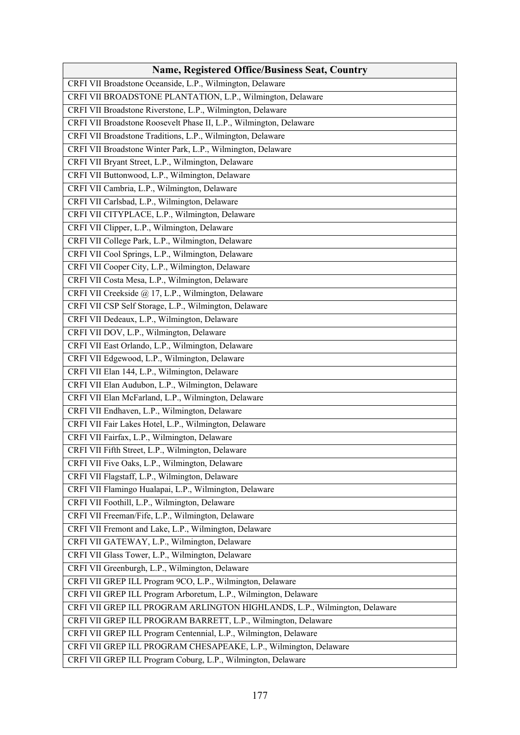| <b>Name, Registered Office/Business Seat, Country</b>                     |
|---------------------------------------------------------------------------|
| CRFI VII Broadstone Oceanside, L.P., Wilmington, Delaware                 |
| CRFI VII BROADSTONE PLANTATION, L.P., Wilmington, Delaware                |
| CRFI VII Broadstone Riverstone, L.P., Wilmington, Delaware                |
| CRFI VII Broadstone Roosevelt Phase II, L.P., Wilmington, Delaware        |
| CRFI VII Broadstone Traditions, L.P., Wilmington, Delaware                |
| CRFI VII Broadstone Winter Park, L.P., Wilmington, Delaware               |
| CRFI VII Bryant Street, L.P., Wilmington, Delaware                        |
| CRFI VII Buttonwood, L.P., Wilmington, Delaware                           |
| CRFI VII Cambria, L.P., Wilmington, Delaware                              |
| CRFI VII Carlsbad, L.P., Wilmington, Delaware                             |
| CRFI VII CITYPLACE, L.P., Wilmington, Delaware                            |
| CRFI VII Clipper, L.P., Wilmington, Delaware                              |
| CRFI VII College Park, L.P., Wilmington, Delaware                         |
| CRFI VII Cool Springs, L.P., Wilmington, Delaware                         |
| CRFI VII Cooper City, L.P., Wilmington, Delaware                          |
| CRFI VII Costa Mesa, L.P., Wilmington, Delaware                           |
| CRFI VII Creekside @ 17, L.P., Wilmington, Delaware                       |
| CRFI VII CSP Self Storage, L.P., Wilmington, Delaware                     |
| CRFI VII Dedeaux, L.P., Wilmington, Delaware                              |
| CRFI VII DOV, L.P., Wilmington, Delaware                                  |
| CRFI VII East Orlando, L.P., Wilmington, Delaware                         |
| CRFI VII Edgewood, L.P., Wilmington, Delaware                             |
| CRFI VII Elan 144, L.P., Wilmington, Delaware                             |
| CRFI VII Elan Audubon, L.P., Wilmington, Delaware                         |
| CRFI VII Elan McFarland, L.P., Wilmington, Delaware                       |
| CRFI VII Endhaven, L.P., Wilmington, Delaware                             |
| CRFI VII Fair Lakes Hotel, L.P., Wilmington, Delaware                     |
| CRFI VII Fairfax, L.P., Wilmington, Delaware                              |
| CRFI VII Fifth Street, L.P., Wilmington, Delaware                         |
| CRFI VII Five Oaks, L.P., Wilmington, Delaware                            |
| CRFI VII Flagstaff, L.P., Wilmington, Delaware                            |
| CRFI VII Flamingo Hualapai, L.P., Wilmington, Delaware                    |
| CRFI VII Foothill, L.P., Wilmington, Delaware                             |
| CRFI VII Freeman/Fife, L.P., Wilmington, Delaware                         |
| CRFI VII Fremont and Lake, L.P., Wilmington, Delaware                     |
| CRFI VII GATEWAY, L.P., Wilmington, Delaware                              |
| CRFI VII Glass Tower, L.P., Wilmington, Delaware                          |
| CRFI VII Greenburgh, L.P., Wilmington, Delaware                           |
| CRFI VII GREP ILL Program 9CO, L.P., Wilmington, Delaware                 |
| CRFI VII GREP ILL Program Arboretum, L.P., Wilmington, Delaware           |
| CRFI VII GREP ILL PROGRAM ARLINGTON HIGHLANDS, L.P., Wilmington, Delaware |
| CRFI VII GREP ILL PROGRAM BARRETT, L.P., Wilmington, Delaware             |
| CRFI VII GREP ILL Program Centennial, L.P., Wilmington, Delaware          |
| CRFI VII GREP ILL PROGRAM CHESAPEAKE, L.P., Wilmington, Delaware          |
| CRFI VII GREP ILL Program Coburg, L.P., Wilmington, Delaware              |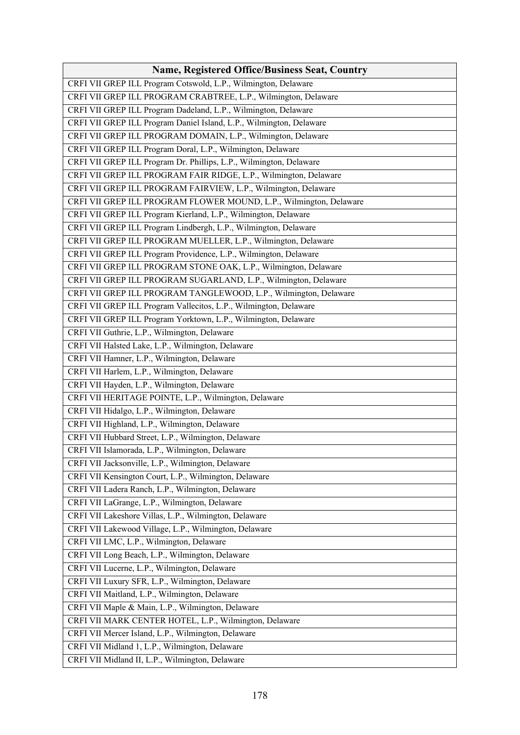| <b>Name, Registered Office/Business Seat, Country</b>               |
|---------------------------------------------------------------------|
| CRFI VII GREP ILL Program Cotswold, L.P., Wilmington, Delaware      |
| CRFI VII GREP ILL PROGRAM CRABTREE, L.P., Wilmington, Delaware      |
| CRFI VII GREP ILL Program Dadeland, L.P., Wilmington, Delaware      |
| CRFI VII GREP ILL Program Daniel Island, L.P., Wilmington, Delaware |
| CRFI VII GREP ILL PROGRAM DOMAIN, L.P., Wilmington, Delaware        |
| CRFI VII GREP ILL Program Doral, L.P., Wilmington, Delaware         |
| CRFI VII GREP ILL Program Dr. Phillips, L.P., Wilmington, Delaware  |
| CRFI VII GREP ILL PROGRAM FAIR RIDGE, L.P., Wilmington, Delaware    |
| CRFI VII GREP ILL PROGRAM FAIRVIEW, L.P., Wilmington, Delaware      |
| CRFI VII GREP ILL PROGRAM FLOWER MOUND, L.P., Wilmington, Delaware  |
| CRFI VII GREP ILL Program Kierland, L.P., Wilmington, Delaware      |
| CRFI VII GREP ILL Program Lindbergh, L.P., Wilmington, Delaware     |
| CRFI VII GREP ILL PROGRAM MUELLER, L.P., Wilmington, Delaware       |
| CRFI VII GREP ILL Program Providence, L.P., Wilmington, Delaware    |
| CRFI VII GREP ILL PROGRAM STONE OAK, L.P., Wilmington, Delaware     |
| CRFI VII GREP ILL PROGRAM SUGARLAND, L.P., Wilmington, Delaware     |
| CRFI VII GREP ILL PROGRAM TANGLEWOOD, L.P., Wilmington, Delaware    |
| CRFI VII GREP ILL Program Vallecitos, L.P., Wilmington, Delaware    |
| CRFI VII GREP ILL Program Yorktown, L.P., Wilmington, Delaware      |
| CRFI VII Guthrie, L.P., Wilmington, Delaware                        |
| CRFI VII Halsted Lake, L.P., Wilmington, Delaware                   |
| CRFI VII Hamner, L.P., Wilmington, Delaware                         |
| CRFI VII Harlem, L.P., Wilmington, Delaware                         |
| CRFI VII Hayden, L.P., Wilmington, Delaware                         |
| CRFI VII HERITAGE POINTE, L.P., Wilmington, Delaware                |
| CRFI VII Hidalgo, L.P., Wilmington, Delaware                        |
| CRFI VII Highland, L.P., Wilmington, Delaware                       |
| CRFI VII Hubbard Street, L.P., Wilmington, Delaware                 |
| CRFI VII Islamorada, L.P., Wilmington, Delaware                     |
| CRFI VII Jacksonville, L.P., Wilmington, Delaware                   |
| CRFI VII Kensington Court, L.P., Wilmington, Delaware               |
| CRFI VII Ladera Ranch, L.P., Wilmington, Delaware                   |
| CRFI VII LaGrange, L.P., Wilmington, Delaware                       |
| CRFI VII Lakeshore Villas, L.P., Wilmington, Delaware               |
| CRFI VII Lakewood Village, L.P., Wilmington, Delaware               |
| CRFI VII LMC, L.P., Wilmington, Delaware                            |
| CRFI VII Long Beach, L.P., Wilmington, Delaware                     |
| CRFI VII Lucerne, L.P., Wilmington, Delaware                        |
| CRFI VII Luxury SFR, L.P., Wilmington, Delaware                     |
| CRFI VII Maitland, L.P., Wilmington, Delaware                       |
| CRFI VII Maple & Main, L.P., Wilmington, Delaware                   |
| CRFI VII MARK CENTER HOTEL, L.P., Wilmington, Delaware              |
| CRFI VII Mercer Island, L.P., Wilmington, Delaware                  |
| CRFI VII Midland 1, L.P., Wilmington, Delaware                      |
| CRFI VII Midland II, L.P., Wilmington, Delaware                     |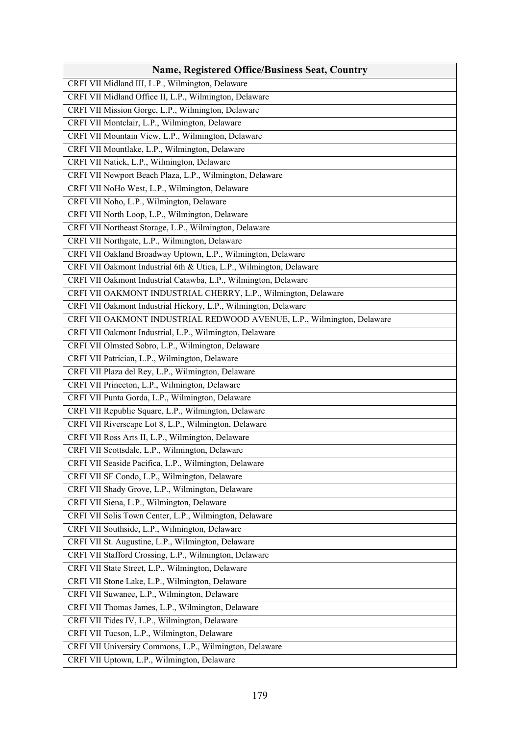| <b>Name, Registered Office/Business Seat, Country</b>                  |
|------------------------------------------------------------------------|
| CRFI VII Midland III, L.P., Wilmington, Delaware                       |
| CRFI VII Midland Office II, L.P., Wilmington, Delaware                 |
| CRFI VII Mission Gorge, L.P., Wilmington, Delaware                     |
| CRFI VII Montclair, L.P., Wilmington, Delaware                         |
| CRFI VII Mountain View, L.P., Wilmington, Delaware                     |
| CRFI VII Mountlake, L.P., Wilmington, Delaware                         |
| CRFI VII Natick, L.P., Wilmington, Delaware                            |
| CRFI VII Newport Beach Plaza, L.P., Wilmington, Delaware               |
| CRFI VII NoHo West, L.P., Wilmington, Delaware                         |
| CRFI VII Noho, L.P., Wilmington, Delaware                              |
| CRFI VII North Loop, L.P., Wilmington, Delaware                        |
| CRFI VII Northeast Storage, L.P., Wilmington, Delaware                 |
| CRFI VII Northgate, L.P., Wilmington, Delaware                         |
| CRFI VII Oakland Broadway Uptown, L.P., Wilmington, Delaware           |
| CRFI VII Oakmont Industrial 6th & Utica, L.P., Wilmington, Delaware    |
| CRFI VII Oakmont Industrial Catawba, L.P., Wilmington, Delaware        |
| CRFI VII OAKMONT INDUSTRIAL CHERRY, L.P., Wilmington, Delaware         |
| CRFI VII Oakmont Industrial Hickory, L.P., Wilmington, Delaware        |
| CRFI VII OAKMONT INDUSTRIAL REDWOOD AVENUE, L.P., Wilmington, Delaware |
| CRFI VII Oakmont Industrial, L.P., Wilmington, Delaware                |
| CRFI VII Olmsted Sobro, L.P., Wilmington, Delaware                     |
| CRFI VII Patrician, L.P., Wilmington, Delaware                         |
| CRFI VII Plaza del Rey, L.P., Wilmington, Delaware                     |
| CRFI VII Princeton, L.P., Wilmington, Delaware                         |
| CRFI VII Punta Gorda, L.P., Wilmington, Delaware                       |
| CRFI VII Republic Square, L.P., Wilmington, Delaware                   |
| CRFI VII Riverscape Lot 8, L.P., Wilmington, Delaware                  |
| CRFI VII Ross Arts II, L.P., Wilmington, Delaware                      |
| CRFI VII Scottsdale, L.P., Wilmington, Delaware                        |
| CRFI VII Seaside Pacifica, L.P., Wilmington, Delaware                  |
| CRFI VII SF Condo, L.P., Wilmington, Delaware                          |
| CRFI VII Shady Grove, L.P., Wilmington, Delaware                       |
| CRFI VII Siena, L.P., Wilmington, Delaware                             |
| CRFI VII Solis Town Center, L.P., Wilmington, Delaware                 |
| CRFI VII Southside, L.P., Wilmington, Delaware                         |
| CRFI VII St. Augustine, L.P., Wilmington, Delaware                     |
| CRFI VII Stafford Crossing, L.P., Wilmington, Delaware                 |
| CRFI VII State Street, L.P., Wilmington, Delaware                      |
| CRFI VII Stone Lake, L.P., Wilmington, Delaware                        |
| CRFI VII Suwanee, L.P., Wilmington, Delaware                           |
| CRFI VII Thomas James, L.P., Wilmington, Delaware                      |
| CRFI VII Tides IV, L.P., Wilmington, Delaware                          |
| CRFI VII Tucson, L.P., Wilmington, Delaware                            |
| CRFI VII University Commons, L.P., Wilmington, Delaware                |
| CRFI VII Uptown, L.P., Wilmington, Delaware                            |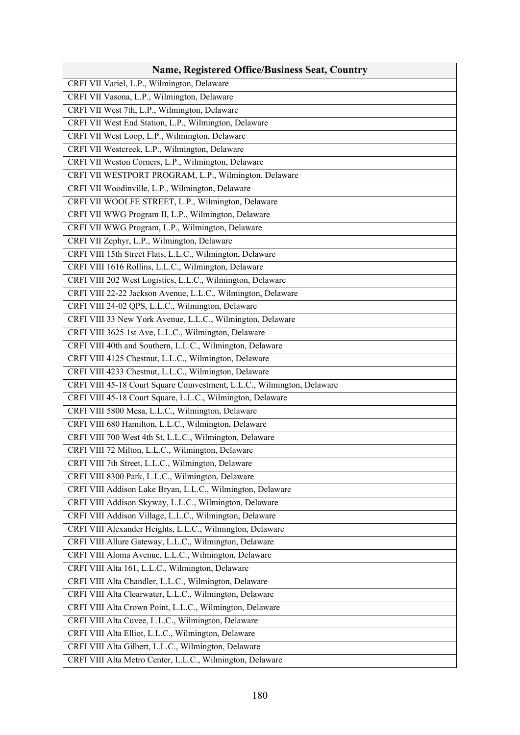| Name, Registered Office/Business Seat, Country                          |
|-------------------------------------------------------------------------|
| CRFI VII Variel, L.P., Wilmington, Delaware                             |
| CRFI VII Vasona, L.P., Wilmington, Delaware                             |
| CRFI VII West 7th, L.P., Wilmington, Delaware                           |
| CRFI VII West End Station, L.P., Wilmington, Delaware                   |
| CRFI VII West Loop, L.P., Wilmington, Delaware                          |
| CRFI VII Westcreek, L.P., Wilmington, Delaware                          |
| CRFI VII Weston Corners, L.P., Wilmington, Delaware                     |
| CRFI VII WESTPORT PROGRAM, L.P., Wilmington, Delaware                   |
| CRFI VII Woodinville, L.P., Wilmington, Delaware                        |
| CRFI VII WOOLFE STREET, L.P., Wilmington, Delaware                      |
| CRFI VII WWG Program II, L.P., Wilmington, Delaware                     |
| CRFI VII WWG Program, L.P., Wilmington, Delaware                        |
| CRFI VII Zephyr, L.P., Wilmington, Delaware                             |
| CRFI VIII 15th Street Flats, L.L.C., Wilmington, Delaware               |
| CRFI VIII 1616 Rollins, L.L.C., Wilmington, Delaware                    |
| CRFI VIII 202 West Logistics, L.L.C., Wilmington, Delaware              |
| CRFI VIII 22-22 Jackson Avenue, L.L.C., Wilmington, Delaware            |
| CRFI VIII 24-02 QPS, L.L.C., Wilmington, Delaware                       |
| CRFI VIII 33 New York Avenue, L.L.C., Wilmington, Delaware              |
| CRFI VIII 3625 1st Ave, L.L.C., Wilmington, Delaware                    |
| CRFI VIII 40th and Southern, L.L.C., Wilmington, Delaware               |
| CRFI VIII 4125 Chestnut, L.L.C., Wilmington, Delaware                   |
| CRFI VIII 4233 Chestnut, L.L.C., Wilmington, Delaware                   |
| CRFI VIII 45-18 Court Square Coinvestment, L.L.C., Wilmington, Delaware |
| CRFI VIII 45-18 Court Square, L.L.C., Wilmington, Delaware              |
| CRFI VIII 5800 Mesa, L.L.C., Wilmington, Delaware                       |
| CRFI VIII 680 Hamilton, L.L.C., Wilmington, Delaware                    |
| CRFI VIII 700 West 4th St, L.L.C., Wilmington, Delaware                 |
| CRFI VIII 72 Milton, L.L.C., Wilmington, Delaware                       |
| CRFI VIII 7th Street, L.L.C., Wilmington, Delaware                      |
| CRFI VIII 8300 Park, L.L.C., Wilmington, Delaware                       |
| CRFI VIII Addison Lake Bryan, L.L.C., Wilmington, Delaware              |
| CRFI VIII Addison Skyway, L.L.C., Wilmington, Delaware                  |
| CRFI VIII Addison Village, L.L.C., Wilmington, Delaware                 |
| CRFI VIII Alexander Heights, L.L.C., Wilmington, Delaware               |
| CRFI VIII Allure Gateway, L.L.C., Wilmington, Delaware                  |
| CRFI VIII Aloma Avenue, L.L.C., Wilmington, Delaware                    |
| CRFI VIII Alta 161, L.L.C., Wilmington, Delaware                        |
| CRFI VIII Alta Chandler, L.L.C., Wilmington, Delaware                   |
| CRFI VIII Alta Clearwater, L.L.C., Wilmington, Delaware                 |
| CRFI VIII Alta Crown Point, L.L.C., Wilmington, Delaware                |
| CRFI VIII Alta Cuvee, L.L.C., Wilmington, Delaware                      |
| CRFI VIII Alta Elliot, L.L.C., Wilmington, Delaware                     |
| CRFI VIII Alta Gilbert, L.L.C., Wilmington, Delaware                    |
| CRFI VIII Alta Metro Center, L.L.C., Wilmington, Delaware               |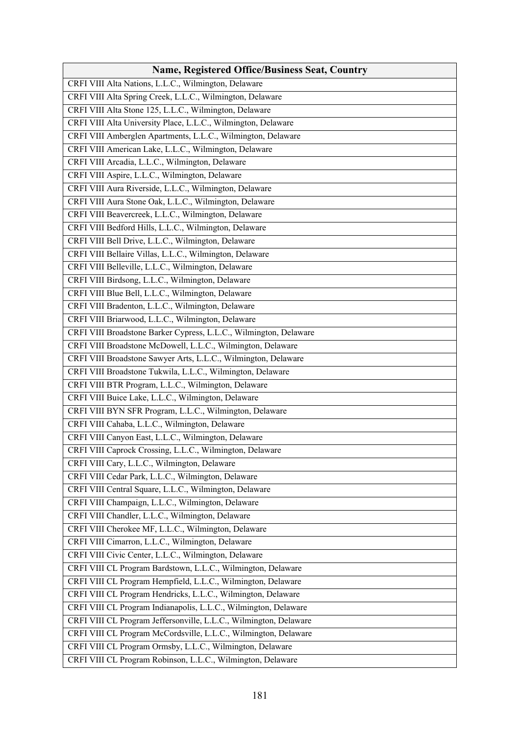| <b>Name, Registered Office/Business Seat, Country</b>             |
|-------------------------------------------------------------------|
| CRFI VIII Alta Nations, L.L.C., Wilmington, Delaware              |
| CRFI VIII Alta Spring Creek, L.L.C., Wilmington, Delaware         |
| CRFI VIII Alta Stone 125, L.L.C., Wilmington, Delaware            |
| CRFI VIII Alta University Place, L.L.C., Wilmington, Delaware     |
| CRFI VIII Amberglen Apartments, L.L.C., Wilmington, Delaware      |
| CRFI VIII American Lake, L.L.C., Wilmington, Delaware             |
| CRFI VIII Arcadia, L.L.C., Wilmington, Delaware                   |
| CRFI VIII Aspire, L.L.C., Wilmington, Delaware                    |
| CRFI VIII Aura Riverside, L.L.C., Wilmington, Delaware            |
| CRFI VIII Aura Stone Oak, L.L.C., Wilmington, Delaware            |
| CRFI VIII Beavercreek, L.L.C., Wilmington, Delaware               |
| CRFI VIII Bedford Hills, L.L.C., Wilmington, Delaware             |
| CRFI VIII Bell Drive, L.L.C., Wilmington, Delaware                |
| CRFI VIII Bellaire Villas, L.L.C., Wilmington, Delaware           |
| CRFI VIII Belleville, L.L.C., Wilmington, Delaware                |
| CRFI VIII Birdsong, L.L.C., Wilmington, Delaware                  |
| CRFI VIII Blue Bell, L.L.C., Wilmington, Delaware                 |
| CRFI VIII Bradenton, L.L.C., Wilmington, Delaware                 |
| CRFI VIII Briarwood, L.L.C., Wilmington, Delaware                 |
| CRFI VIII Broadstone Barker Cypress, L.L.C., Wilmington, Delaware |
| CRFI VIII Broadstone McDowell, L.L.C., Wilmington, Delaware       |
| CRFI VIII Broadstone Sawyer Arts, L.L.C., Wilmington, Delaware    |
| CRFI VIII Broadstone Tukwila, L.L.C., Wilmington, Delaware        |
| CRFI VIII BTR Program, L.L.C., Wilmington, Delaware               |
| CRFI VIII Buice Lake, L.L.C., Wilmington, Delaware                |
| CRFI VIII BYN SFR Program, L.L.C., Wilmington, Delaware           |
| CRFI VIII Cahaba, L.L.C., Wilmington, Delaware                    |
| CRFI VIII Canyon East, L.L.C., Wilmington, Delaware               |
| CRFI VIII Caprock Crossing, L.L.C., Wilmington, Delaware          |
| CRFI VIII Cary, L.L.C., Wilmington, Delaware                      |
| CRFI VIII Cedar Park, L.L.C., Wilmington, Delaware                |
| CRFI VIII Central Square, L.L.C., Wilmington, Delaware            |
| CRFI VIII Champaign, L.L.C., Wilmington, Delaware                 |
| CRFI VIII Chandler, L.L.C., Wilmington, Delaware                  |
| CRFI VIII Cherokee MF, L.L.C., Wilmington, Delaware               |
| CRFI VIII Cimarron, L.L.C., Wilmington, Delaware                  |
| CRFI VIII Civic Center, L.L.C., Wilmington, Delaware              |
| CRFI VIII CL Program Bardstown, L.L.C., Wilmington, Delaware      |
| CRFI VIII CL Program Hempfield, L.L.C., Wilmington, Delaware      |
| CRFI VIII CL Program Hendricks, L.L.C., Wilmington, Delaware      |
| CRFI VIII CL Program Indianapolis, L.L.C., Wilmington, Delaware   |
| CRFI VIII CL Program Jeffersonville, L.L.C., Wilmington, Delaware |
| CRFI VIII CL Program McCordsville, L.L.C., Wilmington, Delaware   |
|                                                                   |
| CRFI VIII CL Program Ormsby, L.L.C., Wilmington, Delaware         |
| CRFI VIII CL Program Robinson, L.L.C., Wilmington, Delaware       |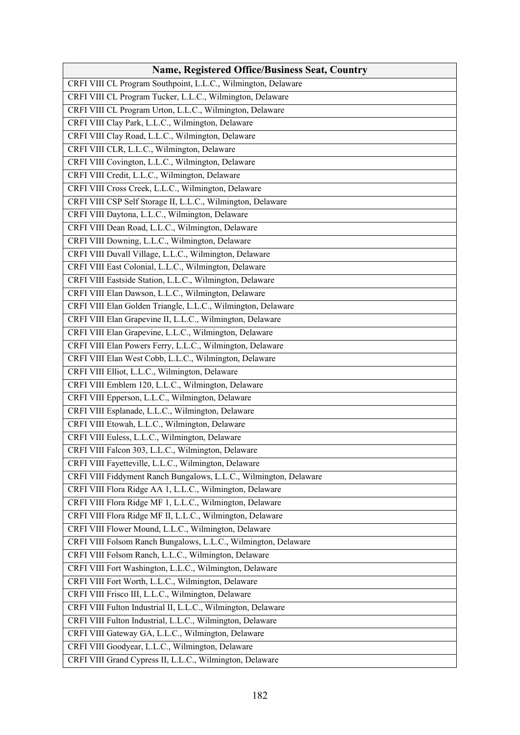| <b>Name, Registered Office/Business Seat, Country</b>             |
|-------------------------------------------------------------------|
| CRFI VIII CL Program Southpoint, L.L.C., Wilmington, Delaware     |
| CRFI VIII CL Program Tucker, L.L.C., Wilmington, Delaware         |
| CRFI VIII CL Program Urton, L.L.C., Wilmington, Delaware          |
| CRFI VIII Clay Park, L.L.C., Wilmington, Delaware                 |
| CRFI VIII Clay Road, L.L.C., Wilmington, Delaware                 |
| CRFI VIII CLR, L.L.C., Wilmington, Delaware                       |
| CRFI VIII Covington, L.L.C., Wilmington, Delaware                 |
| CRFI VIII Credit, L.L.C., Wilmington, Delaware                    |
| CRFI VIII Cross Creek, L.L.C., Wilmington, Delaware               |
| CRFI VIII CSP Self Storage II, L.L.C., Wilmington, Delaware       |
| CRFI VIII Daytona, L.L.C., Wilmington, Delaware                   |
| CRFI VIII Dean Road, L.L.C., Wilmington, Delaware                 |
| CRFI VIII Downing, L.L.C., Wilmington, Delaware                   |
| CRFI VIII Duvall Village, L.L.C., Wilmington, Delaware            |
| CRFI VIII East Colonial, L.L.C., Wilmington, Delaware             |
| CRFI VIII Eastside Station, L.L.C., Wilmington, Delaware          |
| CRFI VIII Elan Dawson, L.L.C., Wilmington, Delaware               |
| CRFI VIII Elan Golden Triangle, L.L.C., Wilmington, Delaware      |
| CRFI VIII Elan Grapevine II, L.L.C., Wilmington, Delaware         |
| CRFI VIII Elan Grapevine, L.L.C., Wilmington, Delaware            |
| CRFI VIII Elan Powers Ferry, L.L.C., Wilmington, Delaware         |
| CRFI VIII Elan West Cobb, L.L.C., Wilmington, Delaware            |
| CRFI VIII Elliot, L.L.C., Wilmington, Delaware                    |
| CRFI VIII Emblem 120, L.L.C., Wilmington, Delaware                |
| CRFI VIII Epperson, L.L.C., Wilmington, Delaware                  |
| CRFI VIII Esplanade, L.L.C., Wilmington, Delaware                 |
| CRFI VIII Etowah, L.L.C., Wilmington, Delaware                    |
| CRFI VIII Euless, L.L.C., Wilmington, Delaware                    |
| CRFI VIII Falcon 303, L.L.C., Wilmington, Delaware                |
| CRFI VIII Fayetteville, L.L.C., Wilmington, Delaware              |
| CRFI VIII Fiddyment Ranch Bungalows, L.L.C., Wilmington, Delaware |
| CRFI VIII Flora Ridge AA 1, L.L.C., Wilmington, Delaware          |
| CRFI VIII Flora Ridge MF 1, L.L.C., Wilmington, Delaware          |
| CRFI VIII Flora Ridge MF II, L.L.C., Wilmington, Delaware         |
| CRFI VIII Flower Mound, L.L.C., Wilmington, Delaware              |
| CRFI VIII Folsom Ranch Bungalows, L.L.C., Wilmington, Delaware    |
| CRFI VIII Folsom Ranch, L.L.C., Wilmington, Delaware              |
| CRFI VIII Fort Washington, L.L.C., Wilmington, Delaware           |
| CRFI VIII Fort Worth, L.L.C., Wilmington, Delaware                |
| CRFI VIII Frisco III, L.L.C., Wilmington, Delaware                |
| CRFI VIII Fulton Industrial II, L.L.C., Wilmington, Delaware      |
| CRFI VIII Fulton Industrial, L.L.C., Wilmington, Delaware         |
| CRFI VIII Gateway GA, L.L.C., Wilmington, Delaware                |
| CRFI VIII Goodyear, L.L.C., Wilmington, Delaware                  |
| CRFI VIII Grand Cypress II, L.L.C., Wilmington, Delaware          |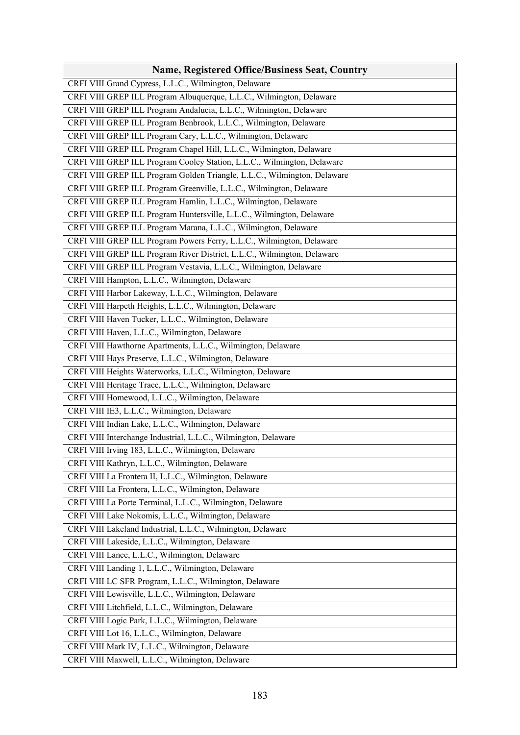| <b>Name, Registered Office/Business Seat, Country</b>                    |
|--------------------------------------------------------------------------|
| CRFI VIII Grand Cypress, L.L.C., Wilmington, Delaware                    |
| CRFI VIII GREP ILL Program Albuquerque, L.L.C., Wilmington, Delaware     |
| CRFI VIII GREP ILL Program Andalucia, L.L.C., Wilmington, Delaware       |
| CRFI VIII GREP ILL Program Benbrook, L.L.C., Wilmington, Delaware        |
| CRFI VIII GREP ILL Program Cary, L.L.C., Wilmington, Delaware            |
| CRFI VIII GREP ILL Program Chapel Hill, L.L.C., Wilmington, Delaware     |
| CRFI VIII GREP ILL Program Cooley Station, L.L.C., Wilmington, Delaware  |
| CRFI VIII GREP ILL Program Golden Triangle, L.L.C., Wilmington, Delaware |
| CRFI VIII GREP ILL Program Greenville, L.L.C., Wilmington, Delaware      |
| CRFI VIII GREP ILL Program Hamlin, L.L.C., Wilmington, Delaware          |
| CRFI VIII GREP ILL Program Huntersville, L.L.C., Wilmington, Delaware    |
| CRFI VIII GREP ILL Program Marana, L.L.C., Wilmington, Delaware          |
| CRFI VIII GREP ILL Program Powers Ferry, L.L.C., Wilmington, Delaware    |
| CRFI VIII GREP ILL Program River District, L.L.C., Wilmington, Delaware  |
| CRFI VIII GREP ILL Program Vestavia, L.L.C., Wilmington, Delaware        |
| CRFI VIII Hampton, L.L.C., Wilmington, Delaware                          |
| CRFI VIII Harbor Lakeway, L.L.C., Wilmington, Delaware                   |
| CRFI VIII Harpeth Heights, L.L.C., Wilmington, Delaware                  |
| CRFI VIII Haven Tucker, L.L.C., Wilmington, Delaware                     |
| CRFI VIII Haven, L.L.C., Wilmington, Delaware                            |
| CRFI VIII Hawthorne Apartments, L.L.C., Wilmington, Delaware             |
| CRFI VIII Hays Preserve, L.L.C., Wilmington, Delaware                    |
| CRFI VIII Heights Waterworks, L.L.C., Wilmington, Delaware               |
| CRFI VIII Heritage Trace, L.L.C., Wilmington, Delaware                   |
| CRFI VIII Homewood, L.L.C., Wilmington, Delaware                         |
| CRFI VIII IE3, L.L.C., Wilmington, Delaware                              |
| CRFI VIII Indian Lake, L.L.C., Wilmington, Delaware                      |
| CRFI VIII Interchange Industrial, L.L.C., Wilmington, Delaware           |
| CRFI VIII Irving 183, L.L.C., Wilmington, Delaware                       |
| CRFI VIII Kathryn, L.L.C., Wilmington, Delaware                          |
| CRFI VIII La Frontera II, L.L.C., Wilmington, Delaware                   |
| CRFI VIII La Frontera, L.L.C., Wilmington, Delaware                      |
| CRFI VIII La Porte Terminal, L.L.C., Wilmington, Delaware                |
| CRFI VIII Lake Nokomis, L.L.C., Wilmington, Delaware                     |
| CRFI VIII Lakeland Industrial, L.L.C., Wilmington, Delaware              |
| CRFI VIII Lakeside, L.L.C., Wilmington, Delaware                         |
| CRFI VIII Lance, L.L.C., Wilmington, Delaware                            |
| CRFI VIII Landing 1, L.L.C., Wilmington, Delaware                        |
| CRFI VIII LC SFR Program, L.L.C., Wilmington, Delaware                   |
| CRFI VIII Lewisville, L.L.C., Wilmington, Delaware                       |
| CRFI VIII Litchfield, L.L.C., Wilmington, Delaware                       |
| CRFI VIII Logic Park, L.L.C., Wilmington, Delaware                       |
| CRFI VIII Lot 16, L.L.C., Wilmington, Delaware                           |
| CRFI VIII Mark IV, L.L.C., Wilmington, Delaware                          |
| CRFI VIII Maxwell, L.L.C., Wilmington, Delaware                          |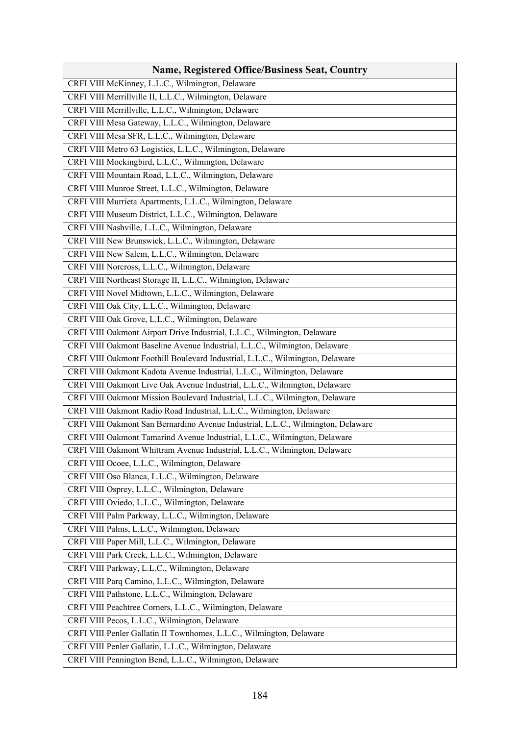| <b>Name, Registered Office/Business Seat, Country</b>                            |
|----------------------------------------------------------------------------------|
| CRFI VIII McKinney, L.L.C., Wilmington, Delaware                                 |
| CRFI VIII Merrillville II, L.L.C., Wilmington, Delaware                          |
| CRFI VIII Merrillville, L.L.C., Wilmington, Delaware                             |
| CRFI VIII Mesa Gateway, L.L.C., Wilmington, Delaware                             |
| CRFI VIII Mesa SFR, L.L.C., Wilmington, Delaware                                 |
| CRFI VIII Metro 63 Logistics, L.L.C., Wilmington, Delaware                       |
| CRFI VIII Mockingbird, L.L.C., Wilmington, Delaware                              |
| CRFI VIII Mountain Road, L.L.C., Wilmington, Delaware                            |
| CRFI VIII Munroe Street, L.L.C., Wilmington, Delaware                            |
| CRFI VIII Murrieta Apartments, L.L.C., Wilmington, Delaware                      |
| CRFI VIII Museum District, L.L.C., Wilmington, Delaware                          |
| CRFI VIII Nashville, L.L.C., Wilmington, Delaware                                |
| CRFI VIII New Brunswick, L.L.C., Wilmington, Delaware                            |
| CRFI VIII New Salem, L.L.C., Wilmington, Delaware                                |
| CRFI VIII Norcross, L.L.C., Wilmington, Delaware                                 |
| CRFI VIII Northeast Storage II, L.L.C., Wilmington, Delaware                     |
| CRFI VIII Novel Midtown, L.L.C., Wilmington, Delaware                            |
| CRFI VIII Oak City, L.L.C., Wilmington, Delaware                                 |
| CRFI VIII Oak Grove, L.L.C., Wilmington, Delaware                                |
| CRFI VIII Oakmont Airport Drive Industrial, L.L.C., Wilmington, Delaware         |
| CRFI VIII Oakmont Baseline Avenue Industrial, L.L.C., Wilmington, Delaware       |
| CRFI VIII Oakmont Foothill Boulevard Industrial, L.L.C., Wilmington, Delaware    |
| CRFI VIII Oakmont Kadota Avenue Industrial, L.L.C., Wilmington, Delaware         |
| CRFI VIII Oakmont Live Oak Avenue Industrial, L.L.C., Wilmington, Delaware       |
| CRFI VIII Oakmont Mission Boulevard Industrial, L.L.C., Wilmington, Delaware     |
| CRFI VIII Oakmont Radio Road Industrial, L.L.C., Wilmington, Delaware            |
| CRFI VIII Oakmont San Bernardino Avenue Industrial, L.L.C., Wilmington, Delaware |
| CRFI VIII Oakmont Tamarind Avenue Industrial, L.L.C., Wilmington, Delaware       |
| CRFI VIII Oakmont Whittram Avenue Industrial, L.L.C., Wilmington, Delaware       |
| CRFI VIII Ocoee, L.L.C., Wilmington, Delaware                                    |
| CRFI VIII Oso Blanca, L.L.C., Wilmington, Delaware                               |
| CRFI VIII Osprey, L.L.C., Wilmington, Delaware                                   |
| CRFI VIII Oviedo, L.L.C., Wilmington, Delaware                                   |
| CRFI VIII Palm Parkway, L.L.C., Wilmington, Delaware                             |
| CRFI VIII Palms, L.L.C., Wilmington, Delaware                                    |
| CRFI VIII Paper Mill, L.L.C., Wilmington, Delaware                               |
| CRFI VIII Park Creek, L.L.C., Wilmington, Delaware                               |
| CRFI VIII Parkway, L.L.C., Wilmington, Delaware                                  |
| CRFI VIII Parq Camino, L.L.C., Wilmington, Delaware                              |
| CRFI VIII Pathstone, L.L.C., Wilmington, Delaware                                |
| CRFI VIII Peachtree Corners, L.L.C., Wilmington, Delaware                        |
| CRFI VIII Pecos, L.L.C., Wilmington, Delaware                                    |
| CRFI VIII Penler Gallatin II Townhomes, L.L.C., Wilmington, Delaware             |
| CRFI VIII Penler Gallatin, L.L.C., Wilmington, Delaware                          |
| CRFI VIII Pennington Bend, L.L.C., Wilmington, Delaware                          |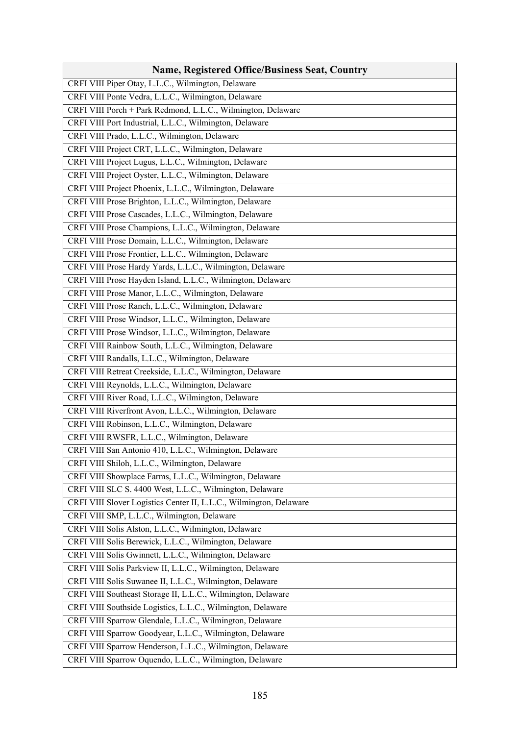| <b>Name, Registered Office/Business Seat, Country</b>              |
|--------------------------------------------------------------------|
| CRFI VIII Piper Otay, L.L.C., Wilmington, Delaware                 |
| CRFI VIII Ponte Vedra, L.L.C., Wilmington, Delaware                |
| CRFI VIII Porch + Park Redmond, L.L.C., Wilmington, Delaware       |
| CRFI VIII Port Industrial, L.L.C., Wilmington, Delaware            |
| CRFI VIII Prado, L.L.C., Wilmington, Delaware                      |
| CRFI VIII Project CRT, L.L.C., Wilmington, Delaware                |
| CRFI VIII Project Lugus, L.L.C., Wilmington, Delaware              |
| CRFI VIII Project Oyster, L.L.C., Wilmington, Delaware             |
| CRFI VIII Project Phoenix, L.L.C., Wilmington, Delaware            |
| CRFI VIII Prose Brighton, L.L.C., Wilmington, Delaware             |
| CRFI VIII Prose Cascades, L.L.C., Wilmington, Delaware             |
| CRFI VIII Prose Champions, L.L.C., Wilmington, Delaware            |
| CRFI VIII Prose Domain, L.L.C., Wilmington, Delaware               |
| CRFI VIII Prose Frontier, L.L.C., Wilmington, Delaware             |
| CRFI VIII Prose Hardy Yards, L.L.C., Wilmington, Delaware          |
| CRFI VIII Prose Hayden Island, L.L.C., Wilmington, Delaware        |
| CRFI VIII Prose Manor, L.L.C., Wilmington, Delaware                |
| CRFI VIII Prose Ranch, L.L.C., Wilmington, Delaware                |
| CRFI VIII Prose Windsor, L.L.C., Wilmington, Delaware              |
| CRFI VIII Prose Windsor, L.L.C., Wilmington, Delaware              |
| CRFI VIII Rainbow South, L.L.C., Wilmington, Delaware              |
| CRFI VIII Randalls, L.L.C., Wilmington, Delaware                   |
| CRFI VIII Retreat Creekside, L.L.C., Wilmington, Delaware          |
| CRFI VIII Reynolds, L.L.C., Wilmington, Delaware                   |
| CRFI VIII River Road, L.L.C., Wilmington, Delaware                 |
| CRFI VIII Riverfront Avon, L.L.C., Wilmington, Delaware            |
| CRFI VIII Robinson, L.L.C., Wilmington, Delaware                   |
| CRFI VIII RWSFR, L.L.C., Wilmington, Delaware                      |
| CRFI VIII San Antonio 410, L.L.C., Wilmington, Delaware            |
| CRFI VIII Shiloh, L.L.C., Wilmington, Delaware                     |
| CRFI VIII Showplace Farms, L.L.C., Wilmington, Delaware            |
| CRFI VIII SLC S. 4400 West, L.L.C., Wilmington, Delaware           |
| CRFI VIII Slover Logistics Center II, L.L.C., Wilmington, Delaware |
| CRFI VIII SMP, L.L.C., Wilmington, Delaware                        |
| CRFI VIII Solis Alston, L.L.C., Wilmington, Delaware               |
| CRFI VIII Solis Berewick, L.L.C., Wilmington, Delaware             |
| CRFI VIII Solis Gwinnett, L.L.C., Wilmington, Delaware             |
| CRFI VIII Solis Parkview II, L.L.C., Wilmington, Delaware          |
| CRFI VIII Solis Suwanee II, L.L.C., Wilmington, Delaware           |
| CRFI VIII Southeast Storage II, L.L.C., Wilmington, Delaware       |
| CRFI VIII Southside Logistics, L.L.C., Wilmington, Delaware        |
| CRFI VIII Sparrow Glendale, L.L.C., Wilmington, Delaware           |
| CRFI VIII Sparrow Goodyear, L.L.C., Wilmington, Delaware           |
| CRFI VIII Sparrow Henderson, L.L.C., Wilmington, Delaware          |
| CRFI VIII Sparrow Oquendo, L.L.C., Wilmington, Delaware            |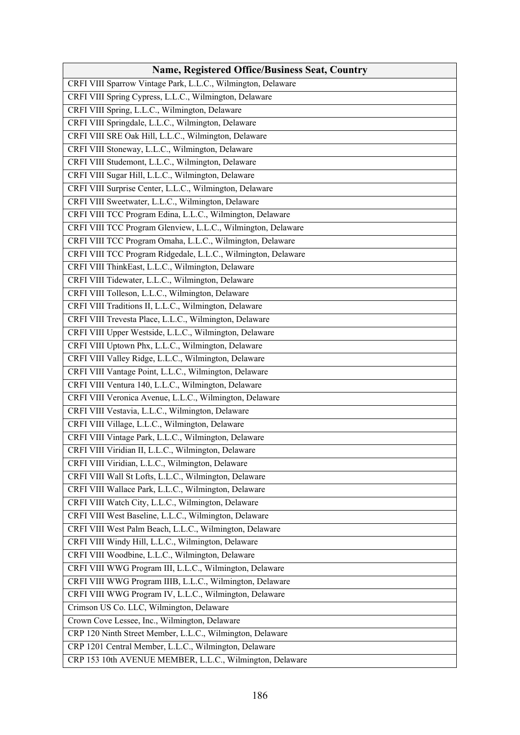| <b>Name, Registered Office/Business Seat, Country</b>         |
|---------------------------------------------------------------|
| CRFI VIII Sparrow Vintage Park, L.L.C., Wilmington, Delaware  |
| CRFI VIII Spring Cypress, L.L.C., Wilmington, Delaware        |
| CRFI VIII Spring, L.L.C., Wilmington, Delaware                |
| CRFI VIII Springdale, L.L.C., Wilmington, Delaware            |
| CRFI VIII SRE Oak Hill, L.L.C., Wilmington, Delaware          |
| CRFI VIII Stoneway, L.L.C., Wilmington, Delaware              |
| CRFI VIII Studemont, L.L.C., Wilmington, Delaware             |
| CRFI VIII Sugar Hill, L.L.C., Wilmington, Delaware            |
| CRFI VIII Surprise Center, L.L.C., Wilmington, Delaware       |
| CRFI VIII Sweetwater, L.L.C., Wilmington, Delaware            |
| CRFI VIII TCC Program Edina, L.L.C., Wilmington, Delaware     |
| CRFI VIII TCC Program Glenview, L.L.C., Wilmington, Delaware  |
| CRFI VIII TCC Program Omaha, L.L.C., Wilmington, Delaware     |
| CRFI VIII TCC Program Ridgedale, L.L.C., Wilmington, Delaware |
| CRFI VIII ThinkEast, L.L.C., Wilmington, Delaware             |
| CRFI VIII Tidewater, L.L.C., Wilmington, Delaware             |
| CRFI VIII Tolleson, L.L.C., Wilmington, Delaware              |
| CRFI VIII Traditions II, L.L.C., Wilmington, Delaware         |
| CRFI VIII Trevesta Place, L.L.C., Wilmington, Delaware        |
| CRFI VIII Upper Westside, L.L.C., Wilmington, Delaware        |
| CRFI VIII Uptown Phx, L.L.C., Wilmington, Delaware            |
| CRFI VIII Valley Ridge, L.L.C., Wilmington, Delaware          |
| CRFI VIII Vantage Point, L.L.C., Wilmington, Delaware         |
| CRFI VIII Ventura 140, L.L.C., Wilmington, Delaware           |
| CRFI VIII Veronica Avenue, L.L.C., Wilmington, Delaware       |
| CRFI VIII Vestavia, L.L.C., Wilmington, Delaware              |
| CRFI VIII Village, L.L.C., Wilmington, Delaware               |
| CRFI VIII Vintage Park, L.L.C., Wilmington, Delaware          |
| CRFI VIII Viridian II, L.L.C., Wilmington, Delaware           |
| CRFI VIII Viridian, L.L.C., Wilmington, Delaware              |
| CRFI VIII Wall St Lofts, L.L.C., Wilmington, Delaware         |
| CRFI VIII Wallace Park, L.L.C., Wilmington, Delaware          |
| CRFI VIII Watch City, L.L.C., Wilmington, Delaware            |
| CRFI VIII West Baseline, L.L.C., Wilmington, Delaware         |
| CRFI VIII West Palm Beach, L.L.C., Wilmington, Delaware       |
| CRFI VIII Windy Hill, L.L.C., Wilmington, Delaware            |
| CRFI VIII Woodbine, L.L.C., Wilmington, Delaware              |
| CRFI VIII WWG Program III, L.L.C., Wilmington, Delaware       |
| CRFI VIII WWG Program IIIB, L.L.C., Wilmington, Delaware      |
| CRFI VIII WWG Program IV, L.L.C., Wilmington, Delaware        |
| Crimson US Co. LLC, Wilmington, Delaware                      |
| Crown Cove Lessee, Inc., Wilmington, Delaware                 |
| CRP 120 Ninth Street Member, L.L.C., Wilmington, Delaware     |
| CRP 1201 Central Member, L.L.C., Wilmington, Delaware         |
| CRP 153 10th AVENUE MEMBER, L.L.C., Wilmington, Delaware      |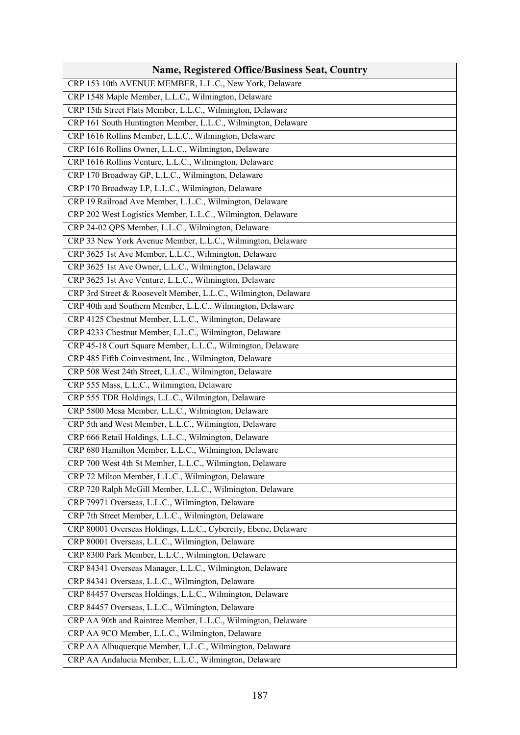| <b>Name, Registered Office/Business Seat, Country</b>           |
|-----------------------------------------------------------------|
| CRP 153 10th AVENUE MEMBER, L.L.C., New York, Delaware          |
| CRP 1548 Maple Member, L.L.C., Wilmington, Delaware             |
| CRP 15th Street Flats Member, L.L.C., Wilmington, Delaware      |
| CRP 161 South Huntington Member, L.L.C., Wilmington, Delaware   |
| CRP 1616 Rollins Member, L.L.C., Wilmington, Delaware           |
| CRP 1616 Rollins Owner, L.L.C., Wilmington, Delaware            |
| CRP 1616 Rollins Venture, L.L.C., Wilmington, Delaware          |
| CRP 170 Broadway GP, L.L.C., Wilmington, Delaware               |
| CRP 170 Broadway LP, L.L.C., Wilmington, Delaware               |
| CRP 19 Railroad Ave Member, L.L.C., Wilmington, Delaware        |
| CRP 202 West Logistics Member, L.L.C., Wilmington, Delaware     |
| CRP 24-02 QPS Member, L.L.C., Wilmington, Delaware              |
| CRP 33 New York Avenue Member, L.L.C., Wilmington, Delaware     |
| CRP 3625 1st Ave Member, L.L.C., Wilmington, Delaware           |
| CRP 3625 1st Ave Owner, L.L.C., Wilmington, Delaware            |
| CRP 3625 1st Ave Venture, L.L.C., Wilmington, Delaware          |
| CRP 3rd Street & Roosevelt Member, L.L.C., Wilmington, Delaware |
| CRP 40th and Southern Member, L.L.C., Wilmington, Delaware      |
| CRP 4125 Chestnut Member, L.L.C., Wilmington, Delaware          |
| CRP 4233 Chestnut Member, L.L.C., Wilmington, Delaware          |
| CRP 45-18 Court Square Member, L.L.C., Wilmington, Delaware     |
| CRP 485 Fifth Coinvestment, Inc., Wilmington, Delaware          |
| CRP 508 West 24th Street, L.L.C., Wilmington, Delaware          |
| CRP 555 Mass, L.L.C., Wilmington, Delaware                      |
| CRP 555 TDR Holdings, L.L.C., Wilmington, Delaware              |
| CRP 5800 Mesa Member, L.L.C., Wilmington, Delaware              |
| CRP 5th and West Member, L.L.C., Wilmington, Delaware           |
| CRP 666 Retail Holdings, L.L.C., Wilmington, Delaware           |
| CRP 680 Hamilton Member, L.L.C., Wilmington, Delaware           |
| CRP 700 West 4th St Member, L.L.C., Wilmington, Delaware        |
| CRP 72 Milton Member, L.L.C., Wilmington, Delaware              |
| CRP 720 Ralph McGill Member, L.L.C., Wilmington, Delaware       |
| CRP 79971 Overseas, L.L.C., Wilmington, Delaware                |
| CRP 7th Street Member, L.L.C., Wilmington, Delaware             |
| CRP 80001 Overseas Holdings, L.L.C., Cybercity, Ebene, Delaware |
| CRP 80001 Overseas, L.L.C., Wilmington, Delaware                |
| CRP 8300 Park Member, L.L.C., Wilmington, Delaware              |
| CRP 84341 Overseas Manager, L.L.C., Wilmington, Delaware        |
| CRP 84341 Overseas, L.L.C., Wilmington, Delaware                |
| CRP 84457 Overseas Holdings, L.L.C., Wilmington, Delaware       |
| CRP 84457 Overseas, L.L.C., Wilmington, Delaware                |
| CRP AA 90th and Raintree Member, L.L.C., Wilmington, Delaware   |
| CRP AA 9CO Member, L.L.C., Wilmington, Delaware                 |
| CRP AA Albuquerque Member, L.L.C., Wilmington, Delaware         |
| CRP AA Andalucia Member, L.L.C., Wilmington, Delaware           |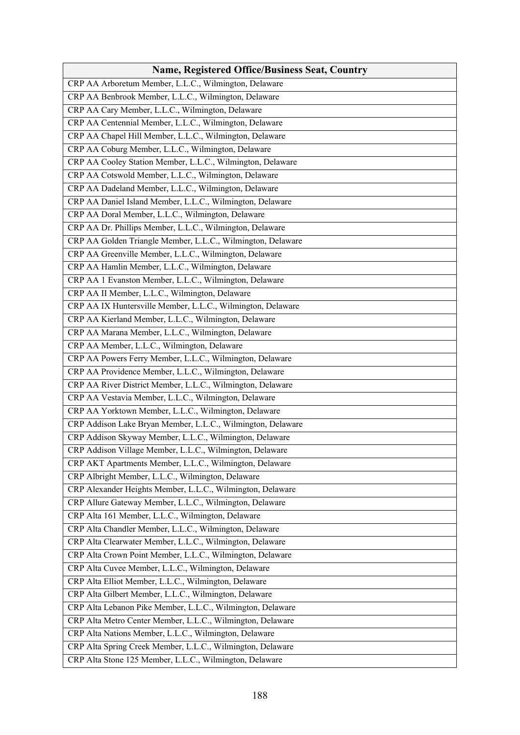| <b>Name, Registered Office/Business Seat, Country</b>       |
|-------------------------------------------------------------|
| CRP AA Arboretum Member, L.L.C., Wilmington, Delaware       |
| CRP AA Benbrook Member, L.L.C., Wilmington, Delaware        |
| CRP AA Cary Member, L.L.C., Wilmington, Delaware            |
| CRP AA Centennial Member, L.L.C., Wilmington, Delaware      |
| CRP AA Chapel Hill Member, L.L.C., Wilmington, Delaware     |
| CRP AA Coburg Member, L.L.C., Wilmington, Delaware          |
| CRP AA Cooley Station Member, L.L.C., Wilmington, Delaware  |
| CRP AA Cotswold Member, L.L.C., Wilmington, Delaware        |
| CRP AA Dadeland Member, L.L.C., Wilmington, Delaware        |
| CRP AA Daniel Island Member, L.L.C., Wilmington, Delaware   |
| CRP AA Doral Member, L.L.C., Wilmington, Delaware           |
| CRP AA Dr. Phillips Member, L.L.C., Wilmington, Delaware    |
| CRP AA Golden Triangle Member, L.L.C., Wilmington, Delaware |
| CRP AA Greenville Member, L.L.C., Wilmington, Delaware      |
| CRP AA Hamlin Member, L.L.C., Wilmington, Delaware          |
| CRP AA 1 Evanston Member, L.L.C., Wilmington, Delaware      |
| CRP AA II Member, L.L.C., Wilmington, Delaware              |
| CRP AA IX Huntersville Member, L.L.C., Wilmington, Delaware |
| CRP AA Kierland Member, L.L.C., Wilmington, Delaware        |
| CRP AA Marana Member, L.L.C., Wilmington, Delaware          |
| CRP AA Member, L.L.C., Wilmington, Delaware                 |
| CRP AA Powers Ferry Member, L.L.C., Wilmington, Delaware    |
| CRP AA Providence Member, L.L.C., Wilmington, Delaware      |
| CRP AA River District Member, L.L.C., Wilmington, Delaware  |
| CRP AA Vestavia Member, L.L.C., Wilmington, Delaware        |
| CRP AA Yorktown Member, L.L.C., Wilmington, Delaware        |
| CRP Addison Lake Bryan Member, L.L.C., Wilmington, Delaware |
| CRP Addison Skyway Member, L.L.C., Wilmington, Delaware     |
| CRP Addison Village Member, L.L.C., Wilmington, Delaware    |
| CRP AKT Apartments Member, L.L.C., Wilmington, Delaware     |
| CRP Albright Member, L.L.C., Wilmington, Delaware           |
| CRP Alexander Heights Member, L.L.C., Wilmington, Delaware  |
| CRP Allure Gateway Member, L.L.C., Wilmington, Delaware     |
| CRP Alta 161 Member, L.L.C., Wilmington, Delaware           |
| CRP Alta Chandler Member, L.L.C., Wilmington, Delaware      |
| CRP Alta Clearwater Member, L.L.C., Wilmington, Delaware    |
| CRP Alta Crown Point Member, L.L.C., Wilmington, Delaware   |
| CRP Alta Cuvee Member, L.L.C., Wilmington, Delaware         |
| CRP Alta Elliot Member, L.L.C., Wilmington, Delaware        |
| CRP Alta Gilbert Member, L.L.C., Wilmington, Delaware       |
| CRP Alta Lebanon Pike Member, L.L.C., Wilmington, Delaware  |
| CRP Alta Metro Center Member, L.L.C., Wilmington, Delaware  |
| CRP Alta Nations Member, L.L.C., Wilmington, Delaware       |
| CRP Alta Spring Creek Member, L.L.C., Wilmington, Delaware  |
| CRP Alta Stone 125 Member, L.L.C., Wilmington, Delaware     |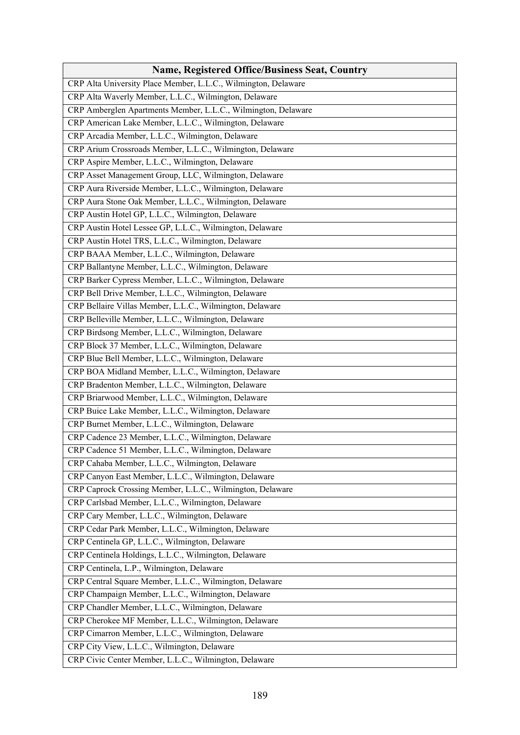| <b>Name, Registered Office/Business Seat, Country</b>          |
|----------------------------------------------------------------|
| CRP Alta University Place Member, L.L.C., Wilmington, Delaware |
| CRP Alta Waverly Member, L.L.C., Wilmington, Delaware          |
| CRP Amberglen Apartments Member, L.L.C., Wilmington, Delaware  |
| CRP American Lake Member, L.L.C., Wilmington, Delaware         |
| CRP Arcadia Member, L.L.C., Wilmington, Delaware               |
| CRP Arium Crossroads Member, L.L.C., Wilmington, Delaware      |
| CRP Aspire Member, L.L.C., Wilmington, Delaware                |
| CRP Asset Management Group, LLC, Wilmington, Delaware          |
| CRP Aura Riverside Member, L.L.C., Wilmington, Delaware        |
| CRP Aura Stone Oak Member, L.L.C., Wilmington, Delaware        |
| CRP Austin Hotel GP, L.L.C., Wilmington, Delaware              |
| CRP Austin Hotel Lessee GP, L.L.C., Wilmington, Delaware       |
| CRP Austin Hotel TRS, L.L.C., Wilmington, Delaware             |
| CRP BAAA Member, L.L.C., Wilmington, Delaware                  |
| CRP Ballantyne Member, L.L.C., Wilmington, Delaware            |
| CRP Barker Cypress Member, L.L.C., Wilmington, Delaware        |
| CRP Bell Drive Member, L.L.C., Wilmington, Delaware            |
| CRP Bellaire Villas Member, L.L.C., Wilmington, Delaware       |
| CRP Belleville Member, L.L.C., Wilmington, Delaware            |
| CRP Birdsong Member, L.L.C., Wilmington, Delaware              |
| CRP Block 37 Member, L.L.C., Wilmington, Delaware              |
| CRP Blue Bell Member, L.L.C., Wilmington, Delaware             |
| CRP BOA Midland Member, L.L.C., Wilmington, Delaware           |
| CRP Bradenton Member, L.L.C., Wilmington, Delaware             |
| CRP Briarwood Member, L.L.C., Wilmington, Delaware             |
| CRP Buice Lake Member, L.L.C., Wilmington, Delaware            |
| CRP Burnet Member, L.L.C., Wilmington, Delaware                |
| CRP Cadence 23 Member, L.L.C., Wilmington, Delaware            |
| CRP Cadence 51 Member, L.L.C., Wilmington, Delaware            |
| CRP Cahaba Member, L.L.C., Wilmington, Delaware                |
| CRP Canyon East Member, L.L.C., Wilmington, Delaware           |
| CRP Caprock Crossing Member, L.L.C., Wilmington, Delaware      |
| CRP Carlsbad Member, L.L.C., Wilmington, Delaware              |
| CRP Cary Member, L.L.C., Wilmington, Delaware                  |
| CRP Cedar Park Member, L.L.C., Wilmington, Delaware            |
| CRP Centinela GP, L.L.C., Wilmington, Delaware                 |
| CRP Centinela Holdings, L.L.C., Wilmington, Delaware           |
| CRP Centinela, L.P., Wilmington, Delaware                      |
| CRP Central Square Member, L.L.C., Wilmington, Delaware        |
| CRP Champaign Member, L.L.C., Wilmington, Delaware             |
| CRP Chandler Member, L.L.C., Wilmington, Delaware              |
| CRP Cherokee MF Member, L.L.C., Wilmington, Delaware           |
| CRP Cimarron Member, L.L.C., Wilmington, Delaware              |
| CRP City View, L.L.C., Wilmington, Delaware                    |
| CRP Civic Center Member, L.L.C., Wilmington, Delaware          |
|                                                                |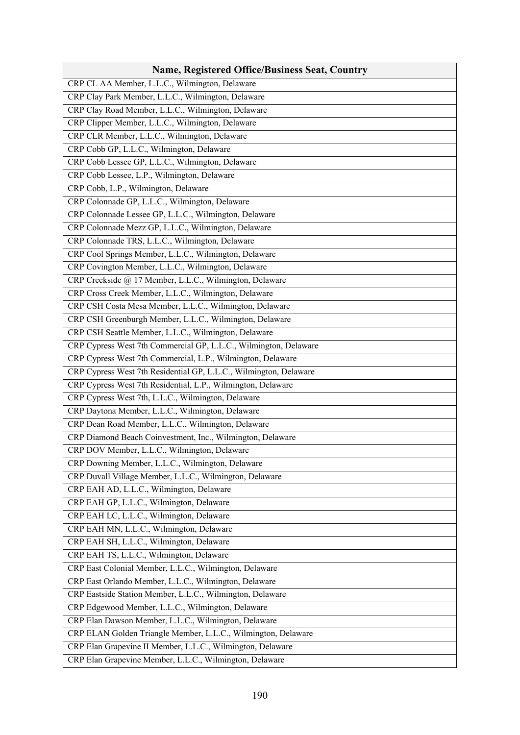| Name, Registered Office/Business Seat, Country                    |
|-------------------------------------------------------------------|
| CRP CL AA Member, L.L.C., Wilmington, Delaware                    |
| CRP Clay Park Member, L.L.C., Wilmington, Delaware                |
| CRP Clay Road Member, L.L.C., Wilmington, Delaware                |
| CRP Clipper Member, L.L.C., Wilmington, Delaware                  |
| CRP CLR Member, L.L.C., Wilmington, Delaware                      |
| CRP Cobb GP, L.L.C., Wilmington, Delaware                         |
| CRP Cobb Lessee GP, L.L.C., Wilmington, Delaware                  |
| CRP Cobb Lessee, L.P., Wilmington, Delaware                       |
| CRP Cobb, L.P., Wilmington, Delaware                              |
| CRP Colonnade GP, L.L.C., Wilmington, Delaware                    |
| CRP Colonnade Lessee GP, L.L.C., Wilmington, Delaware             |
| CRP Colonnade Mezz GP, L.L.C., Wilmington, Delaware               |
| CRP Colonnade TRS, L.L.C., Wilmington, Delaware                   |
| CRP Cool Springs Member, L.L.C., Wilmington, Delaware             |
| CRP Covington Member, L.L.C., Wilmington, Delaware                |
| CRP Creekside @ 17 Member, L.L.C., Wilmington, Delaware           |
| CRP Cross Creek Member, L.L.C., Wilmington, Delaware              |
| CRP CSH Costa Mesa Member, L.L.C., Wilmington, Delaware           |
| CRP CSH Greenburgh Member, L.L.C., Wilmington, Delaware           |
| CRP CSH Seattle Member, L.L.C., Wilmington, Delaware              |
| CRP Cypress West 7th Commercial GP, L.L.C., Wilmington, Delaware  |
| CRP Cypress West 7th Commercial, L.P., Wilmington, Delaware       |
| CRP Cypress West 7th Residential GP, L.L.C., Wilmington, Delaware |
| CRP Cypress West 7th Residential, L.P., Wilmington, Delaware      |
| CRP Cypress West 7th, L.L.C., Wilmington, Delaware                |
| CRP Daytona Member, L.L.C., Wilmington, Delaware                  |
| CRP Dean Road Member, L.L.C., Wilmington, Delaware                |
| CRP Diamond Beach Coinvestment, Inc., Wilmington, Delaware        |
| CRP DOV Member, L.L.C., Wilmington, Delaware                      |
| CRP Downing Member, L.L.C., Wilmington, Delaware                  |
| CRP Duvall Village Member, L.L.C., Wilmington, Delaware           |
| CRP EAH AD, L.L.C., Wilmington, Delaware                          |
| CRP EAH GP, L.L.C., Wilmington, Delaware                          |
| CRP EAH LC, L.L.C., Wilmington, Delaware                          |
| CRP EAH MN, L.L.C., Wilmington, Delaware                          |
| CRP EAH SH, L.L.C., Wilmington, Delaware                          |
| CRP EAH TS, L.L.C., Wilmington, Delaware                          |
| CRP East Colonial Member, L.L.C., Wilmington, Delaware            |
| CRP East Orlando Member, L.L.C., Wilmington, Delaware             |
| CRP Eastside Station Member, L.L.C., Wilmington, Delaware         |
| CRP Edgewood Member, L.L.C., Wilmington, Delaware                 |
| CRP Elan Dawson Member, L.L.C., Wilmington, Delaware              |
| CRP ELAN Golden Triangle Member, L.L.C., Wilmington, Delaware     |
| CRP Elan Grapevine II Member, L.L.C., Wilmington, Delaware        |
| CRP Elan Grapevine Member, L.L.C., Wilmington, Delaware           |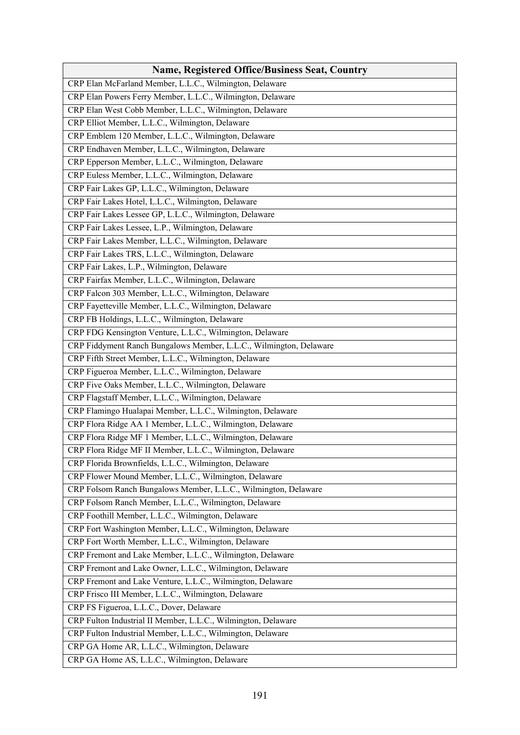| <b>Name, Registered Office/Business Seat, Country</b>              |
|--------------------------------------------------------------------|
| CRP Elan McFarland Member, L.L.C., Wilmington, Delaware            |
| CRP Elan Powers Ferry Member, L.L.C., Wilmington, Delaware         |
| CRP Elan West Cobb Member, L.L.C., Wilmington, Delaware            |
| CRP Elliot Member, L.L.C., Wilmington, Delaware                    |
| CRP Emblem 120 Member, L.L.C., Wilmington, Delaware                |
| CRP Endhaven Member, L.L.C., Wilmington, Delaware                  |
| CRP Epperson Member, L.L.C., Wilmington, Delaware                  |
| CRP Euless Member, L.L.C., Wilmington, Delaware                    |
| CRP Fair Lakes GP, L.L.C., Wilmington, Delaware                    |
| CRP Fair Lakes Hotel, L.L.C., Wilmington, Delaware                 |
| CRP Fair Lakes Lessee GP, L.L.C., Wilmington, Delaware             |
| CRP Fair Lakes Lessee, L.P., Wilmington, Delaware                  |
| CRP Fair Lakes Member, L.L.C., Wilmington, Delaware                |
| CRP Fair Lakes TRS, L.L.C., Wilmington, Delaware                   |
| CRP Fair Lakes, L.P., Wilmington, Delaware                         |
| CRP Fairfax Member, L.L.C., Wilmington, Delaware                   |
| CRP Falcon 303 Member, L.L.C., Wilmington, Delaware                |
| CRP Fayetteville Member, L.L.C., Wilmington, Delaware              |
| CRP FB Holdings, L.L.C., Wilmington, Delaware                      |
| CRP FDG Kensington Venture, L.L.C., Wilmington, Delaware           |
| CRP Fiddyment Ranch Bungalows Member, L.L.C., Wilmington, Delaware |
| CRP Fifth Street Member, L.L.C., Wilmington, Delaware              |
| CRP Figueroa Member, L.L.C., Wilmington, Delaware                  |
| CRP Five Oaks Member, L.L.C., Wilmington, Delaware                 |
| CRP Flagstaff Member, L.L.C., Wilmington, Delaware                 |
| CRP Flamingo Hualapai Member, L.L.C., Wilmington, Delaware         |
| CRP Flora Ridge AA 1 Member, L.L.C., Wilmington, Delaware          |
| CRP Flora Ridge MF 1 Member, L.L.C., Wilmington, Delaware          |
| CRP Flora Ridge MF II Member, L.L.C., Wilmington, Delaware         |
| CRP Florida Brownfields, L.L.C., Wilmington, Delaware              |
| CRP Flower Mound Member, L.L.C., Wilmington, Delaware              |
| CRP Folsom Ranch Bungalows Member, L.L.C., Wilmington, Delaware    |
| CRP Folsom Ranch Member, L.L.C., Wilmington, Delaware              |
| CRP Foothill Member, L.L.C., Wilmington, Delaware                  |
| CRP Fort Washington Member, L.L.C., Wilmington, Delaware           |
| CRP Fort Worth Member, L.L.C., Wilmington, Delaware                |
| CRP Fremont and Lake Member, L.L.C., Wilmington, Delaware          |
| CRP Fremont and Lake Owner, L.L.C., Wilmington, Delaware           |
| CRP Fremont and Lake Venture, L.L.C., Wilmington, Delaware         |
| CRP Frisco III Member, L.L.C., Wilmington, Delaware                |
| CRP FS Figueroa, L.L.C., Dover, Delaware                           |
| CRP Fulton Industrial II Member, L.L.C., Wilmington, Delaware      |
| CRP Fulton Industrial Member, L.L.C., Wilmington, Delaware         |
| CRP GA Home AR, L.L.C., Wilmington, Delaware                       |
| CRP GA Home AS, L.L.C., Wilmington, Delaware                       |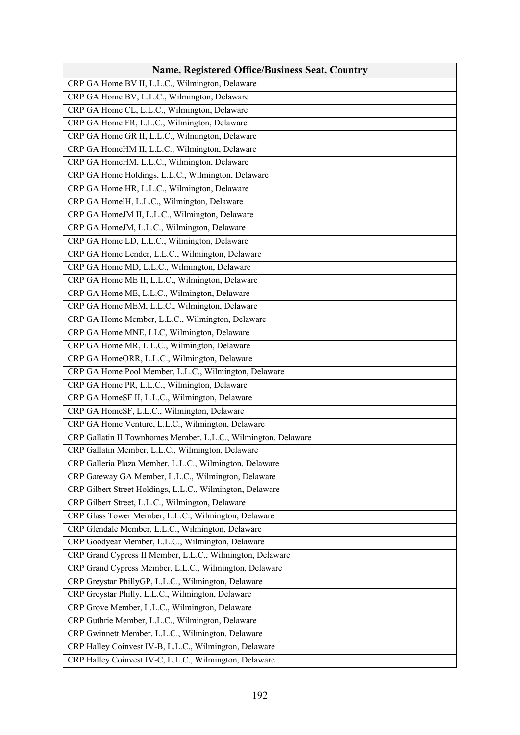| <b>Name, Registered Office/Business Seat, Country</b>          |
|----------------------------------------------------------------|
| CRP GA Home BV II, L.L.C., Wilmington, Delaware                |
| CRP GA Home BV, L.L.C., Wilmington, Delaware                   |
| CRP GA Home CL, L.L.C., Wilmington, Delaware                   |
| CRP GA Home FR, L.L.C., Wilmington, Delaware                   |
| CRP GA Home GR II, L.L.C., Wilmington, Delaware                |
| CRP GA HomeHM II, L.L.C., Wilmington, Delaware                 |
| CRP GA HomeHM, L.L.C., Wilmington, Delaware                    |
| CRP GA Home Holdings, L.L.C., Wilmington, Delaware             |
| CRP GA Home HR, L.L.C., Wilmington, Delaware                   |
| CRP GA HomelH, L.L.C., Wilmington, Delaware                    |
| CRP GA HomeJM II, L.L.C., Wilmington, Delaware                 |
| CRP GA HomeJM, L.L.C., Wilmington, Delaware                    |
| CRP GA Home LD, L.L.C., Wilmington, Delaware                   |
| CRP GA Home Lender, L.L.C., Wilmington, Delaware               |
| CRP GA Home MD, L.L.C., Wilmington, Delaware                   |
| CRP GA Home ME II, L.L.C., Wilmington, Delaware                |
| CRP GA Home ME, L.L.C., Wilmington, Delaware                   |
| CRP GA Home MEM, L.L.C., Wilmington, Delaware                  |
| CRP GA Home Member, L.L.C., Wilmington, Delaware               |
| CRP GA Home MNE, LLC, Wilmington, Delaware                     |
| CRP GA Home MR, L.L.C., Wilmington, Delaware                   |
| CRP GA HomeORR, L.L.C., Wilmington, Delaware                   |
| CRP GA Home Pool Member, L.L.C., Wilmington, Delaware          |
| CRP GA Home PR, L.L.C., Wilmington, Delaware                   |
| CRP GA HomeSF II, L.L.C., Wilmington, Delaware                 |
| CRP GA HomeSF, L.L.C., Wilmington, Delaware                    |
| CRP GA Home Venture, L.L.C., Wilmington, Delaware              |
| CRP Gallatin II Townhomes Member, L.L.C., Wilmington, Delaware |
| CRP Gallatin Member, L.L.C., Wilmington, Delaware              |
| CRP Galleria Plaza Member, L.L.C., Wilmington, Delaware        |
| CRP Gateway GA Member, L.L.C., Wilmington, Delaware            |
| CRP Gilbert Street Holdings, L.L.C., Wilmington, Delaware      |
| CRP Gilbert Street, L.L.C., Wilmington, Delaware               |
| CRP Glass Tower Member, L.L.C., Wilmington, Delaware           |
| CRP Glendale Member, L.L.C., Wilmington, Delaware              |
| CRP Goodyear Member, L.L.C., Wilmington, Delaware              |
| CRP Grand Cypress II Member, L.L.C., Wilmington, Delaware      |
| CRP Grand Cypress Member, L.L.C., Wilmington, Delaware         |
| CRP Greystar PhillyGP, L.L.C., Wilmington, Delaware            |
| CRP Greystar Philly, L.L.C., Wilmington, Delaware              |
| CRP Grove Member, L.L.C., Wilmington, Delaware                 |
| CRP Guthrie Member, L.L.C., Wilmington, Delaware               |
| CRP Gwinnett Member, L.L.C., Wilmington, Delaware              |
| CRP Halley Coinvest IV-B, L.L.C., Wilmington, Delaware         |
| CRP Halley Coinvest IV-C, L.L.C., Wilmington, Delaware         |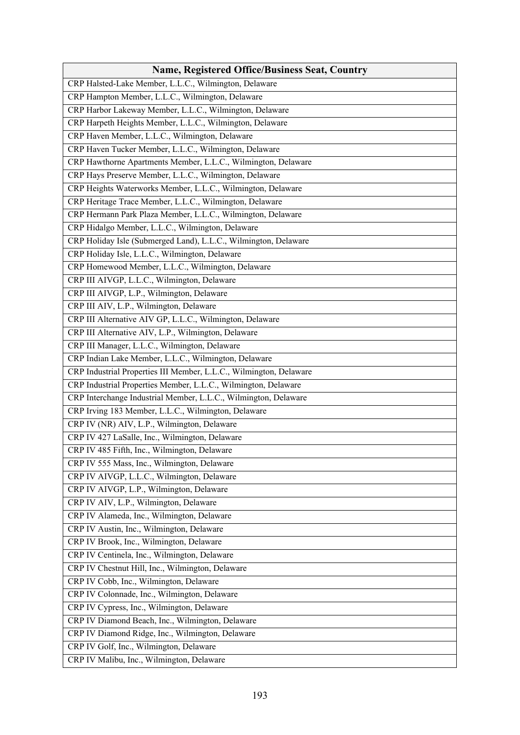| <b>Name, Registered Office/Business Seat, Country</b>              |
|--------------------------------------------------------------------|
| CRP Halsted-Lake Member, L.L.C., Wilmington, Delaware              |
| CRP Hampton Member, L.L.C., Wilmington, Delaware                   |
| CRP Harbor Lakeway Member, L.L.C., Wilmington, Delaware            |
| CRP Harpeth Heights Member, L.L.C., Wilmington, Delaware           |
| CRP Haven Member, L.L.C., Wilmington, Delaware                     |
| CRP Haven Tucker Member, L.L.C., Wilmington, Delaware              |
| CRP Hawthorne Apartments Member, L.L.C., Wilmington, Delaware      |
| CRP Hays Preserve Member, L.L.C., Wilmington, Delaware             |
| CRP Heights Waterworks Member, L.L.C., Wilmington, Delaware        |
| CRP Heritage Trace Member, L.L.C., Wilmington, Delaware            |
| CRP Hermann Park Plaza Member, L.L.C., Wilmington, Delaware        |
| CRP Hidalgo Member, L.L.C., Wilmington, Delaware                   |
| CRP Holiday Isle (Submerged Land), L.L.C., Wilmington, Delaware    |
| CRP Holiday Isle, L.L.C., Wilmington, Delaware                     |
| CRP Homewood Member, L.L.C., Wilmington, Delaware                  |
| CRP III AIVGP, L.L.C., Wilmington, Delaware                        |
| CRP III AIVGP, L.P., Wilmington, Delaware                          |
| CRP III AIV, L.P., Wilmington, Delaware                            |
| CRP III Alternative AIV GP, L.L.C., Wilmington, Delaware           |
| CRP III Alternative AIV, L.P., Wilmington, Delaware                |
| CRP III Manager, L.L.C., Wilmington, Delaware                      |
| CRP Indian Lake Member, L.L.C., Wilmington, Delaware               |
| CRP Industrial Properties III Member, L.L.C., Wilmington, Delaware |
| CRP Industrial Properties Member, L.L.C., Wilmington, Delaware     |
| CRP Interchange Industrial Member, L.L.C., Wilmington, Delaware    |
| CRP Irving 183 Member, L.L.C., Wilmington, Delaware                |
| CRP IV (NR) AIV, L.P., Wilmington, Delaware                        |
| CRP IV 427 LaSalle, Inc., Wilmington, Delaware                     |
| CRP IV 485 Fifth, Inc., Wilmington, Delaware                       |
| CRP IV 555 Mass, Inc., Wilmington, Delaware                        |
| CRP IV AIVGP, L.L.C., Wilmington, Delaware                         |
| CRP IV AIVGP, L.P., Wilmington, Delaware                           |
| CRP IV AIV, L.P., Wilmington, Delaware                             |
| CRP IV Alameda, Inc., Wilmington, Delaware                         |
| CRP IV Austin, Inc., Wilmington, Delaware                          |
| CRP IV Brook, Inc., Wilmington, Delaware                           |
| CRP IV Centinela, Inc., Wilmington, Delaware                       |
| CRP IV Chestnut Hill, Inc., Wilmington, Delaware                   |
| CRP IV Cobb, Inc., Wilmington, Delaware                            |
| CRP IV Colonnade, Inc., Wilmington, Delaware                       |
| CRP IV Cypress, Inc., Wilmington, Delaware                         |
| CRP IV Diamond Beach, Inc., Wilmington, Delaware                   |
| CRP IV Diamond Ridge, Inc., Wilmington, Delaware                   |
| CRP IV Golf, Inc., Wilmington, Delaware                            |
| CRP IV Malibu, Inc., Wilmington, Delaware                          |
|                                                                    |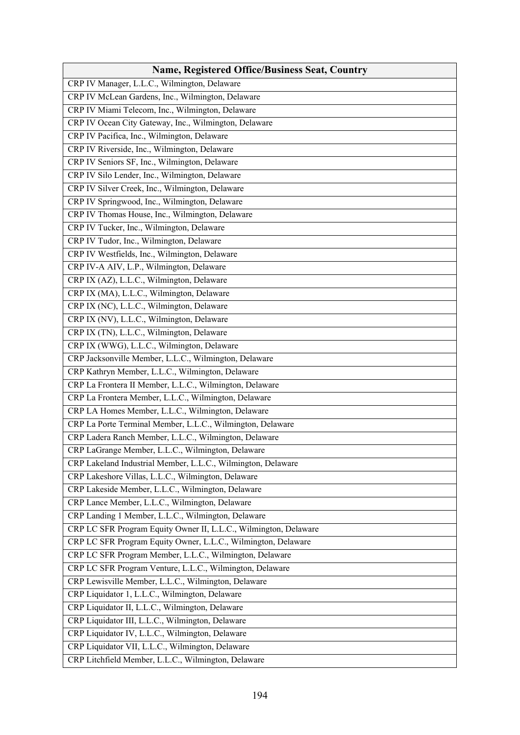| <b>Name, Registered Office/Business Seat, Country</b>            |
|------------------------------------------------------------------|
| CRP IV Manager, L.L.C., Wilmington, Delaware                     |
| CRP IV McLean Gardens, Inc., Wilmington, Delaware                |
| CRP IV Miami Telecom, Inc., Wilmington, Delaware                 |
| CRP IV Ocean City Gateway, Inc., Wilmington, Delaware            |
| CRP IV Pacifica, Inc., Wilmington, Delaware                      |
| CRP IV Riverside, Inc., Wilmington, Delaware                     |
| CRP IV Seniors SF, Inc., Wilmington, Delaware                    |
| CRP IV Silo Lender, Inc., Wilmington, Delaware                   |
| CRP IV Silver Creek, Inc., Wilmington, Delaware                  |
| CRP IV Springwood, Inc., Wilmington, Delaware                    |
| CRP IV Thomas House, Inc., Wilmington, Delaware                  |
| CRP IV Tucker, Inc., Wilmington, Delaware                        |
| CRP IV Tudor, Inc., Wilmington, Delaware                         |
| CRP IV Westfields, Inc., Wilmington, Delaware                    |
| CRP IV-A AIV, L.P., Wilmington, Delaware                         |
| CRP IX (AZ), L.L.C., Wilmington, Delaware                        |
| CRP IX (MA), L.L.C., Wilmington, Delaware                        |
| CRP IX (NC), L.L.C., Wilmington, Delaware                        |
| CRP IX (NV), L.L.C., Wilmington, Delaware                        |
| CRP IX (TN), L.L.C., Wilmington, Delaware                        |
| CRP IX (WWG), L.L.C., Wilmington, Delaware                       |
| CRP Jacksonville Member, L.L.C., Wilmington, Delaware            |
| CRP Kathryn Member, L.L.C., Wilmington, Delaware                 |
| CRP La Frontera II Member, L.L.C., Wilmington, Delaware          |
| CRP La Frontera Member, L.L.C., Wilmington, Delaware             |
| CRP LA Homes Member, L.L.C., Wilmington, Delaware                |
| CRP La Porte Terminal Member, L.L.C., Wilmington, Delaware       |
| CRP Ladera Ranch Member, L.L.C., Wilmington, Delaware            |
| CRP LaGrange Member, L.L.C., Wilmington, Delaware                |
| CRP Lakeland Industrial Member, L.L.C., Wilmington, Delaware     |
| CRP Lakeshore Villas, L.L.C., Wilmington, Delaware               |
| CRP Lakeside Member, L.L.C., Wilmington, Delaware                |
| CRP Lance Member, L.L.C., Wilmington, Delaware                   |
| CRP Landing 1 Member, L.L.C., Wilmington, Delaware               |
| CRP LC SFR Program Equity Owner II, L.L.C., Wilmington, Delaware |
| CRP LC SFR Program Equity Owner, L.L.C., Wilmington, Delaware    |
| CRP LC SFR Program Member, L.L.C., Wilmington, Delaware          |
| CRP LC SFR Program Venture, L.L.C., Wilmington, Delaware         |
| CRP Lewisville Member, L.L.C., Wilmington, Delaware              |
| CRP Liquidator 1, L.L.C., Wilmington, Delaware                   |
| CRP Liquidator II, L.L.C., Wilmington, Delaware                  |
| CRP Liquidator III, L.L.C., Wilmington, Delaware                 |
| CRP Liquidator IV, L.L.C., Wilmington, Delaware                  |
| CRP Liquidator VII, L.L.C., Wilmington, Delaware                 |
| CRP Litchfield Member, L.L.C., Wilmington, Delaware              |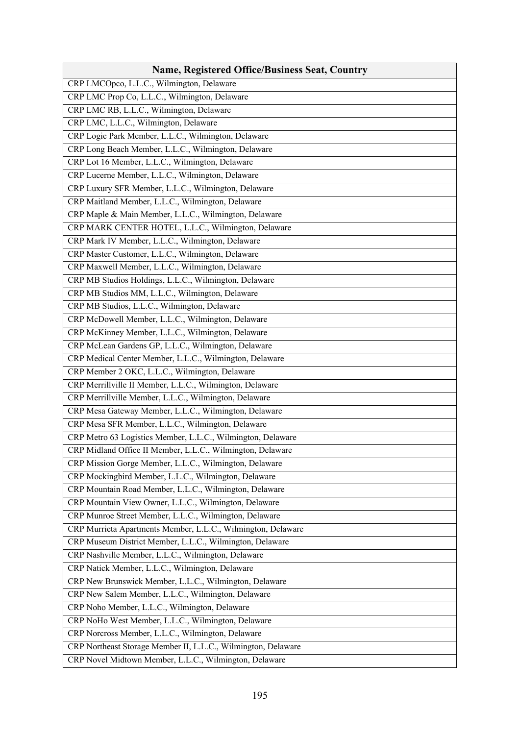| <b>Name, Registered Office/Business Seat, Country</b>         |
|---------------------------------------------------------------|
| CRP LMCOpco, L.L.C., Wilmington, Delaware                     |
| CRP LMC Prop Co, L.L.C., Wilmington, Delaware                 |
| CRP LMC RB, L.L.C., Wilmington, Delaware                      |
| CRP LMC, L.L.C., Wilmington, Delaware                         |
| CRP Logic Park Member, L.L.C., Wilmington, Delaware           |
| CRP Long Beach Member, L.L.C., Wilmington, Delaware           |
| CRP Lot 16 Member, L.L.C., Wilmington, Delaware               |
| CRP Lucerne Member, L.L.C., Wilmington, Delaware              |
| CRP Luxury SFR Member, L.L.C., Wilmington, Delaware           |
| CRP Maitland Member, L.L.C., Wilmington, Delaware             |
| CRP Maple & Main Member, L.L.C., Wilmington, Delaware         |
| CRP MARK CENTER HOTEL, L.L.C., Wilmington, Delaware           |
| CRP Mark IV Member, L.L.C., Wilmington, Delaware              |
| CRP Master Customer, L.L.C., Wilmington, Delaware             |
| CRP Maxwell Member, L.L.C., Wilmington, Delaware              |
| CRP MB Studios Holdings, L.L.C., Wilmington, Delaware         |
| CRP MB Studios MM, L.L.C., Wilmington, Delaware               |
| CRP MB Studios, L.L.C., Wilmington, Delaware                  |
| CRP McDowell Member, L.L.C., Wilmington, Delaware             |
| CRP McKinney Member, L.L.C., Wilmington, Delaware             |
| CRP McLean Gardens GP, L.L.C., Wilmington, Delaware           |
| CRP Medical Center Member, L.L.C., Wilmington, Delaware       |
| CRP Member 2 OKC, L.L.C., Wilmington, Delaware                |
| CRP Merrillville II Member, L.L.C., Wilmington, Delaware      |
| CRP Merrillville Member, L.L.C., Wilmington, Delaware         |
| CRP Mesa Gateway Member, L.L.C., Wilmington, Delaware         |
| CRP Mesa SFR Member, L.L.C., Wilmington, Delaware             |
| CRP Metro 63 Logistics Member, L.L.C., Wilmington, Delaware   |
| CRP Midland Office II Member, L.L.C., Wilmington, Delaware    |
| CRP Mission Gorge Member, L.L.C., Wilmington, Delaware        |
| CRP Mockingbird Member, L.L.C., Wilmington, Delaware          |
| CRP Mountain Road Member, L.L.C., Wilmington, Delaware        |
| CRP Mountain View Owner, L.L.C., Wilmington, Delaware         |
| CRP Munroe Street Member, L.L.C., Wilmington, Delaware        |
| CRP Murrieta Apartments Member, L.L.C., Wilmington, Delaware  |
| CRP Museum District Member, L.L.C., Wilmington, Delaware      |
| CRP Nashville Member, L.L.C., Wilmington, Delaware            |
| CRP Natick Member, L.L.C., Wilmington, Delaware               |
| CRP New Brunswick Member, L.L.C., Wilmington, Delaware        |
| CRP New Salem Member, L.L.C., Wilmington, Delaware            |
| CRP Noho Member, L.L.C., Wilmington, Delaware                 |
| CRP NoHo West Member, L.L.C., Wilmington, Delaware            |
| CRP Norcross Member, L.L.C., Wilmington, Delaware             |
| CRP Northeast Storage Member II, L.L.C., Wilmington, Delaware |
| CRP Novel Midtown Member, L.L.C., Wilmington, Delaware        |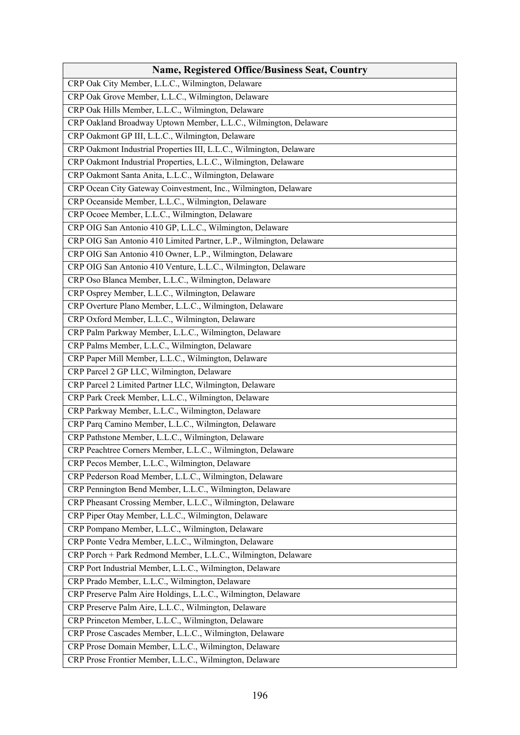| <b>Name, Registered Office/Business Seat, Country</b>               |
|---------------------------------------------------------------------|
| CRP Oak City Member, L.L.C., Wilmington, Delaware                   |
| CRP Oak Grove Member, L.L.C., Wilmington, Delaware                  |
| CRP Oak Hills Member, L.L.C., Wilmington, Delaware                  |
| CRP Oakland Broadway Uptown Member, L.L.C., Wilmington, Delaware    |
| CRP Oakmont GP III, L.L.C., Wilmington, Delaware                    |
| CRP Oakmont Industrial Properties III, L.L.C., Wilmington, Delaware |
| CRP Oakmont Industrial Properties, L.L.C., Wilmington, Delaware     |
| CRP Oakmont Santa Anita, L.L.C., Wilmington, Delaware               |
| CRP Ocean City Gateway Coinvestment, Inc., Wilmington, Delaware     |
| CRP Oceanside Member, L.L.C., Wilmington, Delaware                  |
| CRP Ocoee Member, L.L.C., Wilmington, Delaware                      |
| CRP OIG San Antonio 410 GP, L.L.C., Wilmington, Delaware            |
| CRP OIG San Antonio 410 Limited Partner, L.P., Wilmington, Delaware |
| CRP OIG San Antonio 410 Owner, L.P., Wilmington, Delaware           |
| CRP OIG San Antonio 410 Venture, L.L.C., Wilmington, Delaware       |
| CRP Oso Blanca Member, L.L.C., Wilmington, Delaware                 |
| CRP Osprey Member, L.L.C., Wilmington, Delaware                     |
| CRP Overture Plano Member, L.L.C., Wilmington, Delaware             |
| CRP Oxford Member, L.L.C., Wilmington, Delaware                     |
| CRP Palm Parkway Member, L.L.C., Wilmington, Delaware               |
| CRP Palms Member, L.L.C., Wilmington, Delaware                      |
| CRP Paper Mill Member, L.L.C., Wilmington, Delaware                 |
| CRP Parcel 2 GP LLC, Wilmington, Delaware                           |
| CRP Parcel 2 Limited Partner LLC, Wilmington, Delaware              |
| CRP Park Creek Member, L.L.C., Wilmington, Delaware                 |
| CRP Parkway Member, L.L.C., Wilmington, Delaware                    |
| CRP Parq Camino Member, L.L.C., Wilmington, Delaware                |
| CRP Pathstone Member, L.L.C., Wilmington, Delaware                  |
| CRP Peachtree Corners Member, L.L.C., Wilmington, Delaware          |
| CRP Pecos Member, L.L.C., Wilmington, Delaware                      |
| CRP Pederson Road Member, L.L.C., Wilmington, Delaware              |
| CRP Pennington Bend Member, L.L.C., Wilmington, Delaware            |
| CRP Pheasant Crossing Member, L.L.C., Wilmington, Delaware          |
| CRP Piper Otay Member, L.L.C., Wilmington, Delaware                 |
| CRP Pompano Member, L.L.C., Wilmington, Delaware                    |
| CRP Ponte Vedra Member, L.L.C., Wilmington, Delaware                |
| CRP Porch + Park Redmond Member, L.L.C., Wilmington, Delaware       |
| CRP Port Industrial Member, L.L.C., Wilmington, Delaware            |
| CRP Prado Member, L.L.C., Wilmington, Delaware                      |
| CRP Preserve Palm Aire Holdings, L.L.C., Wilmington, Delaware       |
| CRP Preserve Palm Aire, L.L.C., Wilmington, Delaware                |
| CRP Princeton Member, L.L.C., Wilmington, Delaware                  |
| CRP Prose Cascades Member, L.L.C., Wilmington, Delaware             |
| CRP Prose Domain Member, L.L.C., Wilmington, Delaware               |
| CRP Prose Frontier Member, L.L.C., Wilmington, Delaware             |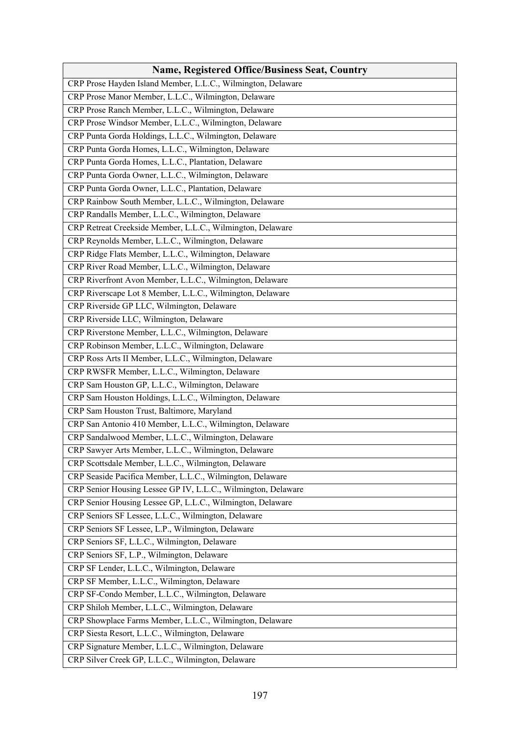| <b>Name, Registered Office/Business Seat, Country</b>         |
|---------------------------------------------------------------|
| CRP Prose Hayden Island Member, L.L.C., Wilmington, Delaware  |
| CRP Prose Manor Member, L.L.C., Wilmington, Delaware          |
| CRP Prose Ranch Member, L.L.C., Wilmington, Delaware          |
| CRP Prose Windsor Member, L.L.C., Wilmington, Delaware        |
| CRP Punta Gorda Holdings, L.L.C., Wilmington, Delaware        |
| CRP Punta Gorda Homes, L.L.C., Wilmington, Delaware           |
| CRP Punta Gorda Homes, L.L.C., Plantation, Delaware           |
| CRP Punta Gorda Owner, L.L.C., Wilmington, Delaware           |
| CRP Punta Gorda Owner, L.L.C., Plantation, Delaware           |
| CRP Rainbow South Member, L.L.C., Wilmington, Delaware        |
| CRP Randalls Member, L.L.C., Wilmington, Delaware             |
| CRP Retreat Creekside Member, L.L.C., Wilmington, Delaware    |
| CRP Reynolds Member, L.L.C., Wilmington, Delaware             |
| CRP Ridge Flats Member, L.L.C., Wilmington, Delaware          |
| CRP River Road Member, L.L.C., Wilmington, Delaware           |
| CRP Riverfront Avon Member, L.L.C., Wilmington, Delaware      |
| CRP Riverscape Lot 8 Member, L.L.C., Wilmington, Delaware     |
| CRP Riverside GP LLC, Wilmington, Delaware                    |
| CRP Riverside LLC, Wilmington, Delaware                       |
| CRP Riverstone Member, L.L.C., Wilmington, Delaware           |
| CRP Robinson Member, L.L.C., Wilmington, Delaware             |
| CRP Ross Arts II Member, L.L.C., Wilmington, Delaware         |
| CRP RWSFR Member, L.L.C., Wilmington, Delaware                |
| CRP Sam Houston GP, L.L.C., Wilmington, Delaware              |
| CRP Sam Houston Holdings, L.L.C., Wilmington, Delaware        |
| CRP Sam Houston Trust, Baltimore, Maryland                    |
| CRP San Antonio 410 Member, L.L.C., Wilmington, Delaware      |
| CRP Sandalwood Member, L.L.C., Wilmington, Delaware           |
| CRP Sawyer Arts Member, L.L.C., Wilmington, Delaware          |
| CRP Scottsdale Member, L.L.C., Wilmington, Delaware           |
| CRP Seaside Pacifica Member, L.L.C., Wilmington, Delaware     |
| CRP Senior Housing Lessee GP IV, L.L.C., Wilmington, Delaware |
| CRP Senior Housing Lessee GP, L.L.C., Wilmington, Delaware    |
| CRP Seniors SF Lessee, L.L.C., Wilmington, Delaware           |
| CRP Seniors SF Lessee, L.P., Wilmington, Delaware             |
| CRP Seniors SF, L.L.C., Wilmington, Delaware                  |
| CRP Seniors SF, L.P., Wilmington, Delaware                    |
| CRP SF Lender, L.L.C., Wilmington, Delaware                   |
| CRP SF Member, L.L.C., Wilmington, Delaware                   |
| CRP SF-Condo Member, L.L.C., Wilmington, Delaware             |
| CRP Shiloh Member, L.L.C., Wilmington, Delaware               |
| CRP Showplace Farms Member, L.L.C., Wilmington, Delaware      |
| CRP Siesta Resort, L.L.C., Wilmington, Delaware               |
| CRP Signature Member, L.L.C., Wilmington, Delaware            |
| CRP Silver Creek GP, L.L.C., Wilmington, Delaware             |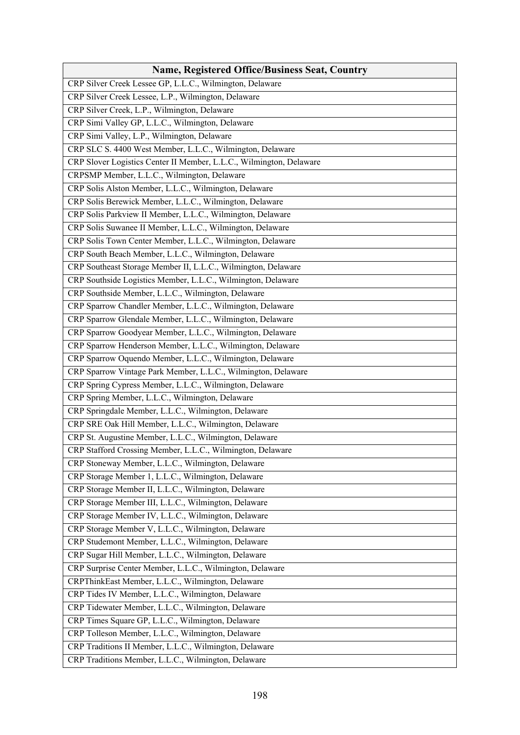| <b>Name, Registered Office/Business Seat, Country</b>               |
|---------------------------------------------------------------------|
| CRP Silver Creek Lessee GP, L.L.C., Wilmington, Delaware            |
| CRP Silver Creek Lessee, L.P., Wilmington, Delaware                 |
| CRP Silver Creek, L.P., Wilmington, Delaware                        |
| CRP Simi Valley GP, L.L.C., Wilmington, Delaware                    |
| CRP Simi Valley, L.P., Wilmington, Delaware                         |
| CRP SLC S. 4400 West Member, L.L.C., Wilmington, Delaware           |
| CRP Slover Logistics Center II Member, L.L.C., Wilmington, Delaware |
| CRPSMP Member, L.L.C., Wilmington, Delaware                         |
| CRP Solis Alston Member, L.L.C., Wilmington, Delaware               |
| CRP Solis Berewick Member, L.L.C., Wilmington, Delaware             |
| CRP Solis Parkview II Member, L.L.C., Wilmington, Delaware          |
| CRP Solis Suwanee II Member, L.L.C., Wilmington, Delaware           |
| CRP Solis Town Center Member, L.L.C., Wilmington, Delaware          |
| CRP South Beach Member, L.L.C., Wilmington, Delaware                |
| CRP Southeast Storage Member II, L.L.C., Wilmington, Delaware       |
| CRP Southside Logistics Member, L.L.C., Wilmington, Delaware        |
| CRP Southside Member, L.L.C., Wilmington, Delaware                  |
| CRP Sparrow Chandler Member, L.L.C., Wilmington, Delaware           |
| CRP Sparrow Glendale Member, L.L.C., Wilmington, Delaware           |
| CRP Sparrow Goodyear Member, L.L.C., Wilmington, Delaware           |
| CRP Sparrow Henderson Member, L.L.C., Wilmington, Delaware          |
| CRP Sparrow Oquendo Member, L.L.C., Wilmington, Delaware            |
| CRP Sparrow Vintage Park Member, L.L.C., Wilmington, Delaware       |
| CRP Spring Cypress Member, L.L.C., Wilmington, Delaware             |
| CRP Spring Member, L.L.C., Wilmington, Delaware                     |
| CRP Springdale Member, L.L.C., Wilmington, Delaware                 |
| CRP SRE Oak Hill Member, L.L.C., Wilmington, Delaware               |
| CRP St. Augustine Member, L.L.C., Wilmington, Delaware              |
| CRP Stafford Crossing Member, L.L.C., Wilmington, Delaware          |
| CRP Stoneway Member, L.L.C., Wilmington, Delaware                   |
| CRP Storage Member 1, L.L.C., Wilmington, Delaware                  |
| CRP Storage Member II, L.L.C., Wilmington, Delaware                 |
| CRP Storage Member III, L.L.C., Wilmington, Delaware                |
| CRP Storage Member IV, L.L.C., Wilmington, Delaware                 |
| CRP Storage Member V, L.L.C., Wilmington, Delaware                  |
| CRP Studemont Member, L.L.C., Wilmington, Delaware                  |
| CRP Sugar Hill Member, L.L.C., Wilmington, Delaware                 |
| CRP Surprise Center Member, L.L.C., Wilmington, Delaware            |
| CRPThinkEast Member, L.L.C., Wilmington, Delaware                   |
| CRP Tides IV Member, L.L.C., Wilmington, Delaware                   |
| CRP Tidewater Member, L.L.C., Wilmington, Delaware                  |
| CRP Times Square GP, L.L.C., Wilmington, Delaware                   |
| CRP Tolleson Member, L.L.C., Wilmington, Delaware                   |
| CRP Traditions II Member, L.L.C., Wilmington, Delaware              |
| CRP Traditions Member, L.L.C., Wilmington, Delaware                 |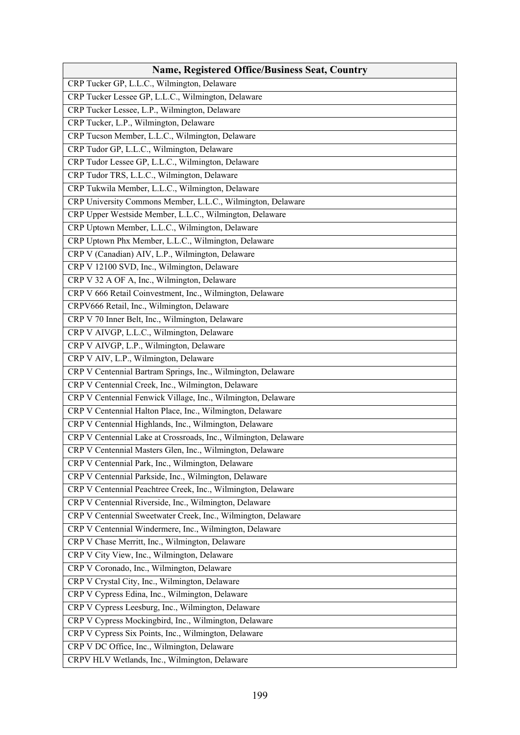| <b>Name, Registered Office/Business Seat, Country</b>           |
|-----------------------------------------------------------------|
| CRP Tucker GP, L.L.C., Wilmington, Delaware                     |
| CRP Tucker Lessee GP, L.L.C., Wilmington, Delaware              |
| CRP Tucker Lessee, L.P., Wilmington, Delaware                   |
| CRP Tucker, L.P., Wilmington, Delaware                          |
| CRP Tucson Member, L.L.C., Wilmington, Delaware                 |
| CRP Tudor GP, L.L.C., Wilmington, Delaware                      |
| CRP Tudor Lessee GP, L.L.C., Wilmington, Delaware               |
| CRP Tudor TRS, L.L.C., Wilmington, Delaware                     |
| CRP Tukwila Member, L.L.C., Wilmington, Delaware                |
| CRP University Commons Member, L.L.C., Wilmington, Delaware     |
| CRP Upper Westside Member, L.L.C., Wilmington, Delaware         |
| CRP Uptown Member, L.L.C., Wilmington, Delaware                 |
| CRP Uptown Phx Member, L.L.C., Wilmington, Delaware             |
| CRP V (Canadian) AIV, L.P., Wilmington, Delaware                |
| CRP V 12100 SVD, Inc., Wilmington, Delaware                     |
| CRP V 32 A OF A, Inc., Wilmington, Delaware                     |
| CRP V 666 Retail Coinvestment, Inc., Wilmington, Delaware       |
| CRPV666 Retail, Inc., Wilmington, Delaware                      |
| CRP V 70 Inner Belt, Inc., Wilmington, Delaware                 |
| CRP V AIVGP, L.L.C., Wilmington, Delaware                       |
| CRP V AIVGP, L.P., Wilmington, Delaware                         |
| CRP V AIV, L.P., Wilmington, Delaware                           |
| CRP V Centennial Bartram Springs, Inc., Wilmington, Delaware    |
| CRP V Centennial Creek, Inc., Wilmington, Delaware              |
| CRP V Centennial Fenwick Village, Inc., Wilmington, Delaware    |
| CRP V Centennial Halton Place, Inc., Wilmington, Delaware       |
| CRP V Centennial Highlands, Inc., Wilmington, Delaware          |
| CRP V Centennial Lake at Crossroads, Inc., Wilmington, Delaware |
| CRP V Centennial Masters Glen, Inc., Wilmington, Delaware       |
| CRP V Centennial Park, Inc., Wilmington, Delaware               |
| CRP V Centennial Parkside, Inc., Wilmington, Delaware           |
| CRP V Centennial Peachtree Creek, Inc., Wilmington, Delaware    |
| CRP V Centennial Riverside, Inc., Wilmington, Delaware          |
| CRP V Centennial Sweetwater Creek, Inc., Wilmington, Delaware   |
| CRP V Centennial Windermere, Inc., Wilmington, Delaware         |
| CRP V Chase Merritt, Inc., Wilmington, Delaware                 |
| CRP V City View, Inc., Wilmington, Delaware                     |
| CRP V Coronado, Inc., Wilmington, Delaware                      |
| CRP V Crystal City, Inc., Wilmington, Delaware                  |
| CRP V Cypress Edina, Inc., Wilmington, Delaware                 |
| CRP V Cypress Leesburg, Inc., Wilmington, Delaware              |
| CRP V Cypress Mockingbird, Inc., Wilmington, Delaware           |
| CRP V Cypress Six Points, Inc., Wilmington, Delaware            |
| CRP V DC Office, Inc., Wilmington, Delaware                     |
| CRPV HLV Wetlands, Inc., Wilmington, Delaware                   |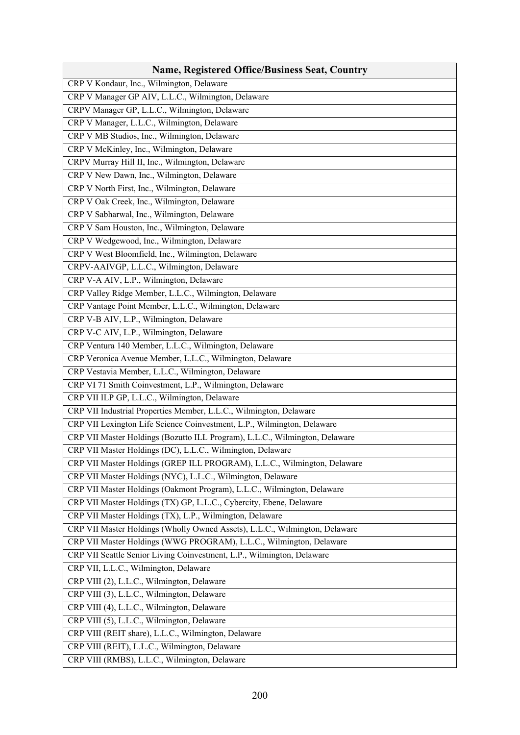| <b>Name, Registered Office/Business Seat, Country</b>                       |
|-----------------------------------------------------------------------------|
| CRP V Kondaur, Inc., Wilmington, Delaware                                   |
| CRP V Manager GP AIV, L.L.C., Wilmington, Delaware                          |
| CRPV Manager GP, L.L.C., Wilmington, Delaware                               |
| CRP V Manager, L.L.C., Wilmington, Delaware                                 |
| CRP V MB Studios, Inc., Wilmington, Delaware                                |
| CRP V McKinley, Inc., Wilmington, Delaware                                  |
| CRPV Murray Hill II, Inc., Wilmington, Delaware                             |
| CRP V New Dawn, Inc., Wilmington, Delaware                                  |
| CRP V North First, Inc., Wilmington, Delaware                               |
| CRP V Oak Creek, Inc., Wilmington, Delaware                                 |
| CRP V Sabharwal, Inc., Wilmington, Delaware                                 |
| CRP V Sam Houston, Inc., Wilmington, Delaware                               |
| CRP V Wedgewood, Inc., Wilmington, Delaware                                 |
| CRP V West Bloomfield, Inc., Wilmington, Delaware                           |
| CRPV-AAIVGP, L.L.C., Wilmington, Delaware                                   |
| CRP V-A AIV, L.P., Wilmington, Delaware                                     |
| CRP Valley Ridge Member, L.L.C., Wilmington, Delaware                       |
| CRP Vantage Point Member, L.L.C., Wilmington, Delaware                      |
| CRP V-B AIV, L.P., Wilmington, Delaware                                     |
| CRP V-C AIV, L.P., Wilmington, Delaware                                     |
| CRP Ventura 140 Member, L.L.C., Wilmington, Delaware                        |
| CRP Veronica Avenue Member, L.L.C., Wilmington, Delaware                    |
| CRP Vestavia Member, L.L.C., Wilmington, Delaware                           |
| CRP VI 71 Smith Coinvestment, L.P., Wilmington, Delaware                    |
| CRP VII ILP GP, L.L.C., Wilmington, Delaware                                |
| CRP VII Industrial Properties Member, L.L.C., Wilmington, Delaware          |
| CRP VII Lexington Life Science Coinvestment, L.P., Wilmington, Delaware     |
| CRP VII Master Holdings (Bozutto ILL Program), L.L.C., Wilmington, Delaware |
| CRP VII Master Holdings (DC), L.L.C., Wilmington, Delaware                  |
| CRP VII Master Holdings (GREP ILL PROGRAM), L.L.C., Wilmington, Delaware    |
| CRP VII Master Holdings (NYC), L.L.C., Wilmington, Delaware                 |
| CRP VII Master Holdings (Oakmont Program), L.L.C., Wilmington, Delaware     |
| CRP VII Master Holdings (TX) GP, L.L.C., Cybercity, Ebene, Delaware         |
| CRP VII Master Holdings (TX), L.P., Wilmington, Delaware                    |
| CRP VII Master Holdings (Wholly Owned Assets), L.L.C., Wilmington, Delaware |
| CRP VII Master Holdings (WWG PROGRAM), L.L.C., Wilmington, Delaware         |
| CRP VII Seattle Senior Living Coinvestment, L.P., Wilmington, Delaware      |
| CRP VII, L.L.C., Wilmington, Delaware                                       |
| CRP VIII (2), L.L.C., Wilmington, Delaware                                  |
| CRP VIII (3), L.L.C., Wilmington, Delaware                                  |
| CRP VIII (4), L.L.C., Wilmington, Delaware                                  |
| CRP VIII (5), L.L.C., Wilmington, Delaware                                  |
| CRP VIII (REIT share), L.L.C., Wilmington, Delaware                         |
| CRP VIII (REIT), L.L.C., Wilmington, Delaware                               |
| CRP VIII (RMBS), L.L.C., Wilmington, Delaware                               |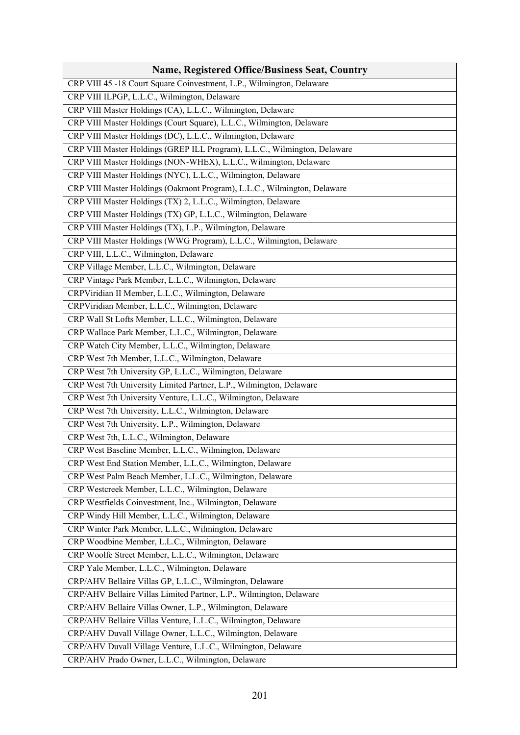| <b>Name, Registered Office/Business Seat, Country</b>                     |
|---------------------------------------------------------------------------|
| CRP VIII 45 -18 Court Square Coinvestment, L.P., Wilmington, Delaware     |
| CRP VIII ILPGP, L.L.C., Wilmington, Delaware                              |
| CRP VIII Master Holdings (CA), L.L.C., Wilmington, Delaware               |
| CRP VIII Master Holdings (Court Square), L.L.C., Wilmington, Delaware     |
| CRP VIII Master Holdings (DC), L.L.C., Wilmington, Delaware               |
| CRP VIII Master Holdings (GREP ILL Program), L.L.C., Wilmington, Delaware |
| CRP VIII Master Holdings (NON-WHEX), L.L.C., Wilmington, Delaware         |
| CRP VIII Master Holdings (NYC), L.L.C., Wilmington, Delaware              |
| CRP VIII Master Holdings (Oakmont Program), L.L.C., Wilmington, Delaware  |
| CRP VIII Master Holdings (TX) 2, L.L.C., Wilmington, Delaware             |
| CRP VIII Master Holdings (TX) GP, L.L.C., Wilmington, Delaware            |
| CRP VIII Master Holdings (TX), L.P., Wilmington, Delaware                 |
| CRP VIII Master Holdings (WWG Program), L.L.C., Wilmington, Delaware      |
| CRP VIII, L.L.C., Wilmington, Delaware                                    |
| CRP Village Member, L.L.C., Wilmington, Delaware                          |
| CRP Vintage Park Member, L.L.C., Wilmington, Delaware                     |
| CRPViridian II Member, L.L.C., Wilmington, Delaware                       |
| CRPViridian Member, L.L.C., Wilmington, Delaware                          |
| CRP Wall St Lofts Member, L.L.C., Wilmington, Delaware                    |
| CRP Wallace Park Member, L.L.C., Wilmington, Delaware                     |
| CRP Watch City Member, L.L.C., Wilmington, Delaware                       |
| CRP West 7th Member, L.L.C., Wilmington, Delaware                         |
| CRP West 7th University GP, L.L.C., Wilmington, Delaware                  |
| CRP West 7th University Limited Partner, L.P., Wilmington, Delaware       |
| CRP West 7th University Venture, L.L.C., Wilmington, Delaware             |
| CRP West 7th University, L.L.C., Wilmington, Delaware                     |
| CRP West 7th University, L.P., Wilmington, Delaware                       |
| CRP West 7th, L.L.C., Wilmington, Delaware                                |
| CRP West Baseline Member, L.L.C., Wilmington, Delaware                    |
| CRP West End Station Member, L.L.C., Wilmington, Delaware                 |
| CRP West Palm Beach Member, L.L.C., Wilmington, Delaware                  |
| CRP Westcreek Member, L.L.C., Wilmington, Delaware                        |
| CRP Westfields Coinvestment, Inc., Wilmington, Delaware                   |
| CRP Windy Hill Member, L.L.C., Wilmington, Delaware                       |
| CRP Winter Park Member, L.L.C., Wilmington, Delaware                      |
| CRP Woodbine Member, L.L.C., Wilmington, Delaware                         |
| CRP Woolfe Street Member, L.L.C., Wilmington, Delaware                    |
| CRP Yale Member, L.L.C., Wilmington, Delaware                             |
| CRP/AHV Bellaire Villas GP, L.L.C., Wilmington, Delaware                  |
| CRP/AHV Bellaire Villas Limited Partner, L.P., Wilmington, Delaware       |
| CRP/AHV Bellaire Villas Owner, L.P., Wilmington, Delaware                 |
| CRP/AHV Bellaire Villas Venture, L.L.C., Wilmington, Delaware             |
| CRP/AHV Duvall Village Owner, L.L.C., Wilmington, Delaware                |
| CRP/AHV Duvall Village Venture, L.L.C., Wilmington, Delaware              |
| CRP/AHV Prado Owner, L.L.C., Wilmington, Delaware                         |
|                                                                           |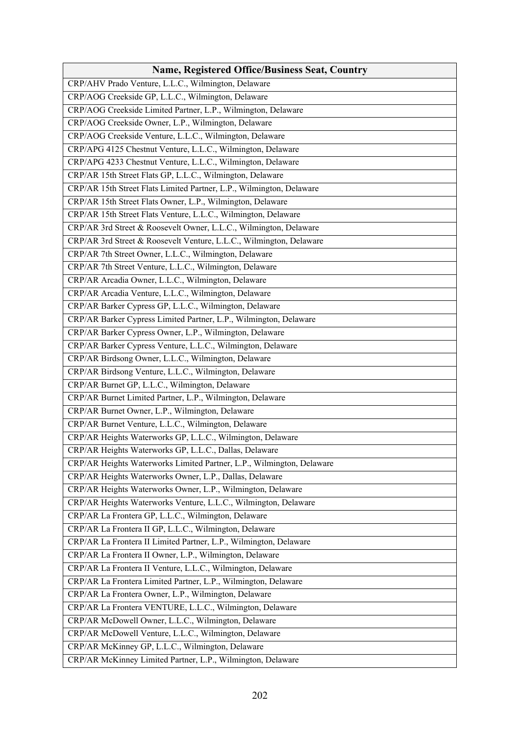| <b>Name, Registered Office/Business Seat, Country</b>                 |
|-----------------------------------------------------------------------|
| CRP/AHV Prado Venture, L.L.C., Wilmington, Delaware                   |
| CRP/AOG Creekside GP, L.L.C., Wilmington, Delaware                    |
| CRP/AOG Creekside Limited Partner, L.P., Wilmington, Delaware         |
| CRP/AOG Creekside Owner, L.P., Wilmington, Delaware                   |
| CRP/AOG Creekside Venture, L.L.C., Wilmington, Delaware               |
| CRP/APG 4125 Chestnut Venture, L.L.C., Wilmington, Delaware           |
| CRP/APG 4233 Chestnut Venture, L.L.C., Wilmington, Delaware           |
| CRP/AR 15th Street Flats GP, L.L.C., Wilmington, Delaware             |
| CRP/AR 15th Street Flats Limited Partner, L.P., Wilmington, Delaware  |
| CRP/AR 15th Street Flats Owner, L.P., Wilmington, Delaware            |
| CRP/AR 15th Street Flats Venture, L.L.C., Wilmington, Delaware        |
| CRP/AR 3rd Street & Roosevelt Owner, L.L.C., Wilmington, Delaware     |
| CRP/AR 3rd Street & Roosevelt Venture, L.L.C., Wilmington, Delaware   |
| CRP/AR 7th Street Owner, L.L.C., Wilmington, Delaware                 |
| CRP/AR 7th Street Venture, L.L.C., Wilmington, Delaware               |
| CRP/AR Arcadia Owner, L.L.C., Wilmington, Delaware                    |
| CRP/AR Arcadia Venture, L.L.C., Wilmington, Delaware                  |
| CRP/AR Barker Cypress GP, L.L.C., Wilmington, Delaware                |
| CRP/AR Barker Cypress Limited Partner, L.P., Wilmington, Delaware     |
| CRP/AR Barker Cypress Owner, L.P., Wilmington, Delaware               |
| CRP/AR Barker Cypress Venture, L.L.C., Wilmington, Delaware           |
| CRP/AR Birdsong Owner, L.L.C., Wilmington, Delaware                   |
| CRP/AR Birdsong Venture, L.L.C., Wilmington, Delaware                 |
| CRP/AR Burnet GP, L.L.C., Wilmington, Delaware                        |
| CRP/AR Burnet Limited Partner, L.P., Wilmington, Delaware             |
| CRP/AR Burnet Owner, L.P., Wilmington, Delaware                       |
| CRP/AR Burnet Venture, L.L.C., Wilmington, Delaware                   |
| CRP/AR Heights Waterworks GP, L.L.C., Wilmington, Delaware            |
| CRP/AR Heights Waterworks GP, L.L.C., Dallas, Delaware                |
| CRP/AR Heights Waterworks Limited Partner, L.P., Wilmington, Delaware |
| CRP/AR Heights Waterworks Owner, L.P., Dallas, Delaware               |
| CRP/AR Heights Waterworks Owner, L.P., Wilmington, Delaware           |
| CRP/AR Heights Waterworks Venture, L.L.C., Wilmington, Delaware       |
| CRP/AR La Frontera GP, L.L.C., Wilmington, Delaware                   |
| CRP/AR La Frontera II GP, L.L.C., Wilmington, Delaware                |
| CRP/AR La Frontera II Limited Partner, L.P., Wilmington, Delaware     |
| CRP/AR La Frontera II Owner, L.P., Wilmington, Delaware               |
| CRP/AR La Frontera II Venture, L.L.C., Wilmington, Delaware           |
| CRP/AR La Frontera Limited Partner, L.P., Wilmington, Delaware        |
| CRP/AR La Frontera Owner, L.P., Wilmington, Delaware                  |
| CRP/AR La Frontera VENTURE, L.L.C., Wilmington, Delaware              |
| CRP/AR McDowell Owner, L.L.C., Wilmington, Delaware                   |
| CRP/AR McDowell Venture, L.L.C., Wilmington, Delaware                 |
| CRP/AR McKinney GP, L.L.C., Wilmington, Delaware                      |
| CRP/AR McKinney Limited Partner, L.P., Wilmington, Delaware           |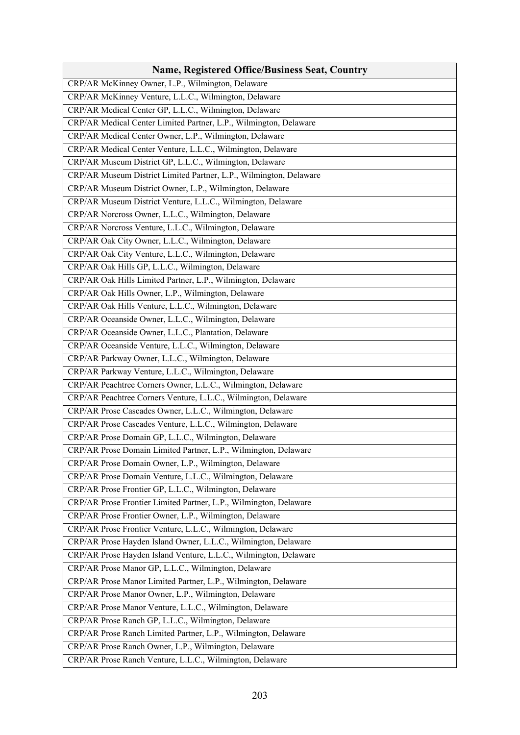| <b>Name, Registered Office/Business Seat, Country</b>              |
|--------------------------------------------------------------------|
| CRP/AR McKinney Owner, L.P., Wilmington, Delaware                  |
| CRP/AR McKinney Venture, L.L.C., Wilmington, Delaware              |
| CRP/AR Medical Center GP, L.L.C., Wilmington, Delaware             |
| CRP/AR Medical Center Limited Partner, L.P., Wilmington, Delaware  |
| CRP/AR Medical Center Owner, L.P., Wilmington, Delaware            |
| CRP/AR Medical Center Venture, L.L.C., Wilmington, Delaware        |
| CRP/AR Museum District GP, L.L.C., Wilmington, Delaware            |
| CRP/AR Museum District Limited Partner, L.P., Wilmington, Delaware |
| CRP/AR Museum District Owner, L.P., Wilmington, Delaware           |
| CRP/AR Museum District Venture, L.L.C., Wilmington, Delaware       |
| CRP/AR Norcross Owner, L.L.C., Wilmington, Delaware                |
| CRP/AR Norcross Venture, L.L.C., Wilmington, Delaware              |
| CRP/AR Oak City Owner, L.L.C., Wilmington, Delaware                |
| CRP/AR Oak City Venture, L.L.C., Wilmington, Delaware              |
| CRP/AR Oak Hills GP, L.L.C., Wilmington, Delaware                  |
| CRP/AR Oak Hills Limited Partner, L.P., Wilmington, Delaware       |
| CRP/AR Oak Hills Owner, L.P., Wilmington, Delaware                 |
| CRP/AR Oak Hills Venture, L.L.C., Wilmington, Delaware             |
| CRP/AR Oceanside Owner, L.L.C., Wilmington, Delaware               |
| CRP/AR Oceanside Owner, L.L.C., Plantation, Delaware               |
| CRP/AR Oceanside Venture, L.L.C., Wilmington, Delaware             |
| CRP/AR Parkway Owner, L.L.C., Wilmington, Delaware                 |
| CRP/AR Parkway Venture, L.L.C., Wilmington, Delaware               |
| CRP/AR Peachtree Corners Owner, L.L.C., Wilmington, Delaware       |
| CRP/AR Peachtree Corners Venture, L.L.C., Wilmington, Delaware     |
| CRP/AR Prose Cascades Owner, L.L.C., Wilmington, Delaware          |
| CRP/AR Prose Cascades Venture, L.L.C., Wilmington, Delaware        |
| CRP/AR Prose Domain GP, L.L.C., Wilmington, Delaware               |
| CRP/AR Prose Domain Limited Partner, L.P., Wilmington, Delaware    |
| CRP/AR Prose Domain Owner, L.P., Wilmington, Delaware              |
| CRP/AR Prose Domain Venture, L.L.C., Wilmington, Delaware          |
| CRP/AR Prose Frontier GP, L.L.C., Wilmington, Delaware             |
| CRP/AR Prose Frontier Limited Partner, L.P., Wilmington, Delaware  |
| CRP/AR Prose Frontier Owner, L.P., Wilmington, Delaware            |
| CRP/AR Prose Frontier Venture, L.L.C., Wilmington, Delaware        |
| CRP/AR Prose Hayden Island Owner, L.L.C., Wilmington, Delaware     |
| CRP/AR Prose Hayden Island Venture, L.L.C., Wilmington, Delaware   |
| CRP/AR Prose Manor GP, L.L.C., Wilmington, Delaware                |
| CRP/AR Prose Manor Limited Partner, L.P., Wilmington, Delaware     |
| CRP/AR Prose Manor Owner, L.P., Wilmington, Delaware               |
| CRP/AR Prose Manor Venture, L.L.C., Wilmington, Delaware           |
| CRP/AR Prose Ranch GP, L.L.C., Wilmington, Delaware                |
| CRP/AR Prose Ranch Limited Partner, L.P., Wilmington, Delaware     |
| CRP/AR Prose Ranch Owner, L.P., Wilmington, Delaware               |
|                                                                    |
| CRP/AR Prose Ranch Venture, L.L.C., Wilmington, Delaware           |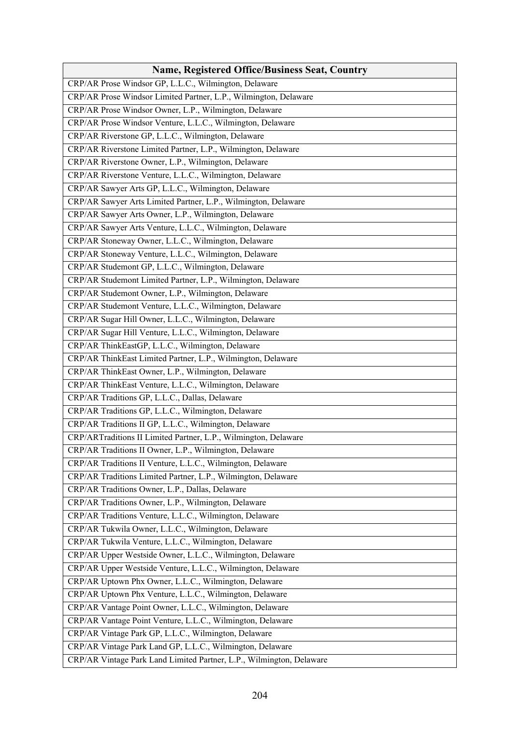| <b>Name, Registered Office/Business Seat, Country</b>                |
|----------------------------------------------------------------------|
| CRP/AR Prose Windsor GP, L.L.C., Wilmington, Delaware                |
| CRP/AR Prose Windsor Limited Partner, L.P., Wilmington, Delaware     |
| CRP/AR Prose Windsor Owner, L.P., Wilmington, Delaware               |
| CRP/AR Prose Windsor Venture, L.L.C., Wilmington, Delaware           |
| CRP/AR Riverstone GP, L.L.C., Wilmington, Delaware                   |
| CRP/AR Riverstone Limited Partner, L.P., Wilmington, Delaware        |
| CRP/AR Riverstone Owner, L.P., Wilmington, Delaware                  |
| CRP/AR Riverstone Venture, L.L.C., Wilmington, Delaware              |
| CRP/AR Sawyer Arts GP, L.L.C., Wilmington, Delaware                  |
| CRP/AR Sawyer Arts Limited Partner, L.P., Wilmington, Delaware       |
| CRP/AR Sawyer Arts Owner, L.P., Wilmington, Delaware                 |
| CRP/AR Sawyer Arts Venture, L.L.C., Wilmington, Delaware             |
| CRP/AR Stoneway Owner, L.L.C., Wilmington, Delaware                  |
| CRP/AR Stoneway Venture, L.L.C., Wilmington, Delaware                |
| CRP/AR Studemont GP, L.L.C., Wilmington, Delaware                    |
| CRP/AR Studemont Limited Partner, L.P., Wilmington, Delaware         |
| CRP/AR Studemont Owner, L.P., Wilmington, Delaware                   |
| CRP/AR Studemont Venture, L.L.C., Wilmington, Delaware               |
| CRP/AR Sugar Hill Owner, L.L.C., Wilmington, Delaware                |
| CRP/AR Sugar Hill Venture, L.L.C., Wilmington, Delaware              |
| CRP/AR ThinkEastGP, L.L.C., Wilmington, Delaware                     |
| CRP/AR ThinkEast Limited Partner, L.P., Wilmington, Delaware         |
| CRP/AR ThinkEast Owner, L.P., Wilmington, Delaware                   |
| CRP/AR ThinkEast Venture, L.L.C., Wilmington, Delaware               |
| CRP/AR Traditions GP, L.L.C., Dallas, Delaware                       |
| CRP/AR Traditions GP, L.L.C., Wilmington, Delaware                   |
| CRP/AR Traditions II GP, L.L.C., Wilmington, Delaware                |
| CRP/ARTraditions II Limited Partner, L.P., Wilmington, Delaware      |
| CRP/AR Traditions II Owner, L.P., Wilmington, Delaware               |
| CRP/AR Traditions II Venture, L.L.C., Wilmington, Delaware           |
| CRP/AR Traditions Limited Partner, L.P., Wilmington, Delaware        |
| CRP/AR Traditions Owner, L.P., Dallas, Delaware                      |
| CRP/AR Traditions Owner, L.P., Wilmington, Delaware                  |
| CRP/AR Traditions Venture, L.L.C., Wilmington, Delaware              |
| CRP/AR Tukwila Owner, L.L.C., Wilmington, Delaware                   |
| CRP/AR Tukwila Venture, L.L.C., Wilmington, Delaware                 |
| CRP/AR Upper Westside Owner, L.L.C., Wilmington, Delaware            |
| CRP/AR Upper Westside Venture, L.L.C., Wilmington, Delaware          |
| CRP/AR Uptown Phx Owner, L.L.C., Wilmington, Delaware                |
| CRP/AR Uptown Phx Venture, L.L.C., Wilmington, Delaware              |
| CRP/AR Vantage Point Owner, L.L.C., Wilmington, Delaware             |
| CRP/AR Vantage Point Venture, L.L.C., Wilmington, Delaware           |
| CRP/AR Vintage Park GP, L.L.C., Wilmington, Delaware                 |
| CRP/AR Vintage Park Land GP, L.L.C., Wilmington, Delaware            |
| CRP/AR Vintage Park Land Limited Partner, L.P., Wilmington, Delaware |
|                                                                      |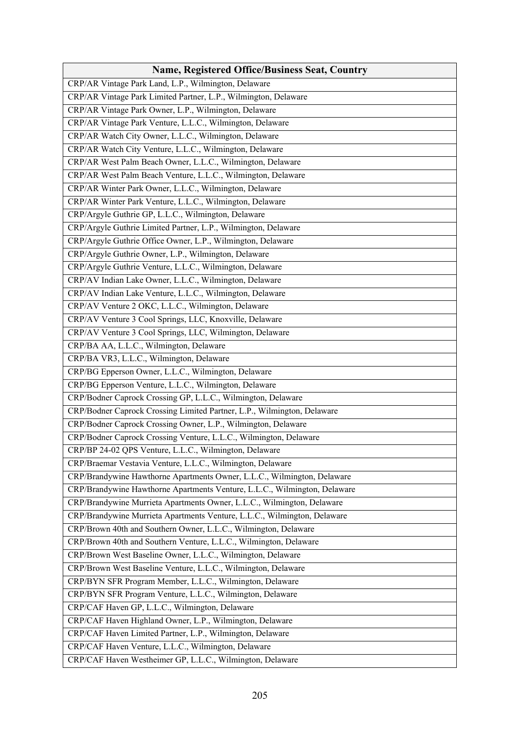| <b>Name, Registered Office/Business Seat, Country</b>                     |
|---------------------------------------------------------------------------|
| CRP/AR Vintage Park Land, L.P., Wilmington, Delaware                      |
| CRP/AR Vintage Park Limited Partner, L.P., Wilmington, Delaware           |
| CRP/AR Vintage Park Owner, L.P., Wilmington, Delaware                     |
| CRP/AR Vintage Park Venture, L.L.C., Wilmington, Delaware                 |
| CRP/AR Watch City Owner, L.L.C., Wilmington, Delaware                     |
| CRP/AR Watch City Venture, L.L.C., Wilmington, Delaware                   |
| CRP/AR West Palm Beach Owner, L.L.C., Wilmington, Delaware                |
| CRP/AR West Palm Beach Venture, L.L.C., Wilmington, Delaware              |
| CRP/AR Winter Park Owner, L.L.C., Wilmington, Delaware                    |
| CRP/AR Winter Park Venture, L.L.C., Wilmington, Delaware                  |
| CRP/Argyle Guthrie GP, L.L.C., Wilmington, Delaware                       |
| CRP/Argyle Guthrie Limited Partner, L.P., Wilmington, Delaware            |
| CRP/Argyle Guthrie Office Owner, L.P., Wilmington, Delaware               |
| CRP/Argyle Guthrie Owner, L.P., Wilmington, Delaware                      |
| CRP/Argyle Guthrie Venture, L.L.C., Wilmington, Delaware                  |
| CRP/AV Indian Lake Owner, L.L.C., Wilmington, Delaware                    |
| CRP/AV Indian Lake Venture, L.L.C., Wilmington, Delaware                  |
| CRP/AV Venture 2 OKC, L.L.C., Wilmington, Delaware                        |
| CRP/AV Venture 3 Cool Springs, LLC, Knoxville, Delaware                   |
| CRP/AV Venture 3 Cool Springs, LLC, Wilmington, Delaware                  |
| CRP/BA AA, L.L.C., Wilmington, Delaware                                   |
| CRP/BA VR3, L.L.C., Wilmington, Delaware                                  |
| CRP/BG Epperson Owner, L.L.C., Wilmington, Delaware                       |
| CRP/BG Epperson Venture, L.L.C., Wilmington, Delaware                     |
| CRP/Bodner Caprock Crossing GP, L.L.C., Wilmington, Delaware              |
| CRP/Bodner Caprock Crossing Limited Partner, L.P., Wilmington, Delaware   |
| CRP/Bodner Caprock Crossing Owner, L.P., Wilmington, Delaware             |
| CRP/Bodner Caprock Crossing Venture, L.L.C., Wilmington, Delaware         |
| CRP/BP 24-02 QPS Venture, L.L.C., Wilmington, Delaware                    |
| CRP/Braemar Vestavia Venture, L.L.C., Wilmington, Delaware                |
| CRP/Brandywine Hawthorne Apartments Owner, L.L.C., Wilmington, Delaware   |
| CRP/Brandywine Hawthorne Apartments Venture, L.L.C., Wilmington, Delaware |
| CRP/Brandywine Murrieta Apartments Owner, L.L.C., Wilmington, Delaware    |
| CRP/Brandywine Murrieta Apartments Venture, L.L.C., Wilmington, Delaware  |
| CRP/Brown 40th and Southern Owner, L.L.C., Wilmington, Delaware           |
| CRP/Brown 40th and Southern Venture, L.L.C., Wilmington, Delaware         |
| CRP/Brown West Baseline Owner, L.L.C., Wilmington, Delaware               |
| CRP/Brown West Baseline Venture, L.L.C., Wilmington, Delaware             |
| CRP/BYN SFR Program Member, L.L.C., Wilmington, Delaware                  |
| CRP/BYN SFR Program Venture, L.L.C., Wilmington, Delaware                 |
| CRP/CAF Haven GP, L.L.C., Wilmington, Delaware                            |
| CRP/CAF Haven Highland Owner, L.P., Wilmington, Delaware                  |
| CRP/CAF Haven Limited Partner, L.P., Wilmington, Delaware                 |
| CRP/CAF Haven Venture, L.L.C., Wilmington, Delaware                       |
| CRP/CAF Haven Westheimer GP, L.L.C., Wilmington, Delaware                 |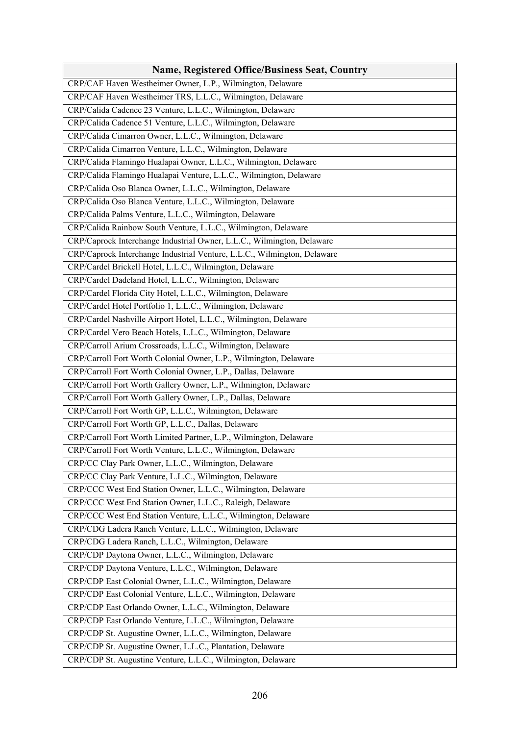| <b>Name, Registered Office/Business Seat, Country</b>                    |
|--------------------------------------------------------------------------|
| CRP/CAF Haven Westheimer Owner, L.P., Wilmington, Delaware               |
| CRP/CAF Haven Westheimer TRS, L.L.C., Wilmington, Delaware               |
| CRP/Calida Cadence 23 Venture, L.L.C., Wilmington, Delaware              |
| CRP/Calida Cadence 51 Venture, L.L.C., Wilmington, Delaware              |
| CRP/Calida Cimarron Owner, L.L.C., Wilmington, Delaware                  |
| CRP/Calida Cimarron Venture, L.L.C., Wilmington, Delaware                |
| CRP/Calida Flamingo Hualapai Owner, L.L.C., Wilmington, Delaware         |
| CRP/Calida Flamingo Hualapai Venture, L.L.C., Wilmington, Delaware       |
| CRP/Calida Oso Blanca Owner, L.L.C., Wilmington, Delaware                |
| CRP/Calida Oso Blanca Venture, L.L.C., Wilmington, Delaware              |
| CRP/Calida Palms Venture, L.L.C., Wilmington, Delaware                   |
| CRP/Calida Rainbow South Venture, L.L.C., Wilmington, Delaware           |
| CRP/Caprock Interchange Industrial Owner, L.L.C., Wilmington, Delaware   |
| CRP/Caprock Interchange Industrial Venture, L.L.C., Wilmington, Delaware |
| CRP/Cardel Brickell Hotel, L.L.C., Wilmington, Delaware                  |
| CRP/Cardel Dadeland Hotel, L.L.C., Wilmington, Delaware                  |
| CRP/Cardel Florida City Hotel, L.L.C., Wilmington, Delaware              |
| CRP/Cardel Hotel Portfolio 1, L.L.C., Wilmington, Delaware               |
| CRP/Cardel Nashville Airport Hotel, L.L.C., Wilmington, Delaware         |
| CRP/Cardel Vero Beach Hotels, L.L.C., Wilmington, Delaware               |
| CRP/Carroll Arium Crossroads, L.L.C., Wilmington, Delaware               |
| CRP/Carroll Fort Worth Colonial Owner, L.P., Wilmington, Delaware        |
| CRP/Carroll Fort Worth Colonial Owner, L.P., Dallas, Delaware            |
| CRP/Carroll Fort Worth Gallery Owner, L.P., Wilmington, Delaware         |
| CRP/Carroll Fort Worth Gallery Owner, L.P., Dallas, Delaware             |
| CRP/Carroll Fort Worth GP, L.L.C., Wilmington, Delaware                  |
| CRP/Carroll Fort Worth GP, L.L.C., Dallas, Delaware                      |
| CRP/Carroll Fort Worth Limited Partner, L.P., Wilmington, Delaware       |
| CRP/Carroll Fort Worth Venture, L.L.C., Wilmington, Delaware             |
| CRP/CC Clay Park Owner, L.L.C., Wilmington, Delaware                     |
| CRP/CC Clay Park Venture, L.L.C., Wilmington, Delaware                   |
| CRP/CCC West End Station Owner, L.L.C., Wilmington, Delaware             |
| CRP/CCC West End Station Owner, L.L.C., Raleigh, Delaware                |
| CRP/CCC West End Station Venture, L.L.C., Wilmington, Delaware           |
| CRP/CDG Ladera Ranch Venture, L.L.C., Wilmington, Delaware               |
| CRP/CDG Ladera Ranch, L.L.C., Wilmington, Delaware                       |
| CRP/CDP Daytona Owner, L.L.C., Wilmington, Delaware                      |
| CRP/CDP Daytona Venture, L.L.C., Wilmington, Delaware                    |
| CRP/CDP East Colonial Owner, L.L.C., Wilmington, Delaware                |
| CRP/CDP East Colonial Venture, L.L.C., Wilmington, Delaware              |
| CRP/CDP East Orlando Owner, L.L.C., Wilmington, Delaware                 |
| CRP/CDP East Orlando Venture, L.L.C., Wilmington, Delaware               |
| CRP/CDP St. Augustine Owner, L.L.C., Wilmington, Delaware                |
| CRP/CDP St. Augustine Owner, L.L.C., Plantation, Delaware                |
| CRP/CDP St. Augustine Venture, L.L.C., Wilmington, Delaware              |
|                                                                          |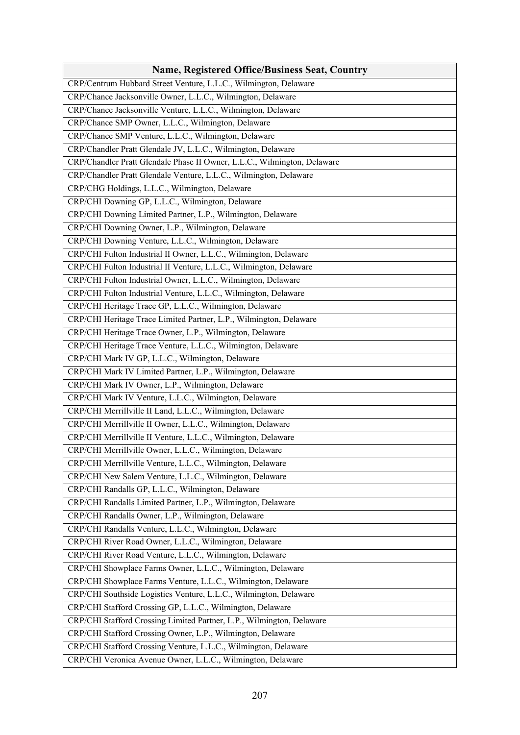| <b>Name, Registered Office/Business Seat, Country</b>                    |
|--------------------------------------------------------------------------|
| CRP/Centrum Hubbard Street Venture, L.L.C., Wilmington, Delaware         |
| CRP/Chance Jacksonville Owner, L.L.C., Wilmington, Delaware              |
| CRP/Chance Jacksonville Venture, L.L.C., Wilmington, Delaware            |
| CRP/Chance SMP Owner, L.L.C., Wilmington, Delaware                       |
| CRP/Chance SMP Venture, L.L.C., Wilmington, Delaware                     |
| CRP/Chandler Pratt Glendale JV, L.L.C., Wilmington, Delaware             |
| CRP/Chandler Pratt Glendale Phase II Owner, L.L.C., Wilmington, Delaware |
| CRP/Chandler Pratt Glendale Venture, L.L.C., Wilmington, Delaware        |
| CRP/CHG Holdings, L.L.C., Wilmington, Delaware                           |
| CRP/CHI Downing GP, L.L.C., Wilmington, Delaware                         |
| CRP/CHI Downing Limited Partner, L.P., Wilmington, Delaware              |
| CRP/CHI Downing Owner, L.P., Wilmington, Delaware                        |
| CRP/CHI Downing Venture, L.L.C., Wilmington, Delaware                    |
| CRP/CHI Fulton Industrial II Owner, L.L.C., Wilmington, Delaware         |
| CRP/CHI Fulton Industrial II Venture, L.L.C., Wilmington, Delaware       |
| CRP/CHI Fulton Industrial Owner, L.L.C., Wilmington, Delaware            |
| CRP/CHI Fulton Industrial Venture, L.L.C., Wilmington, Delaware          |
| CRP/CHI Heritage Trace GP, L.L.C., Wilmington, Delaware                  |
| CRP/CHI Heritage Trace Limited Partner, L.P., Wilmington, Delaware       |
| CRP/CHI Heritage Trace Owner, L.P., Wilmington, Delaware                 |
| CRP/CHI Heritage Trace Venture, L.L.C., Wilmington, Delaware             |
| CRP/CHI Mark IV GP, L.L.C., Wilmington, Delaware                         |
| CRP/CHI Mark IV Limited Partner, L.P., Wilmington, Delaware              |
| CRP/CHI Mark IV Owner, L.P., Wilmington, Delaware                        |
| CRP/CHI Mark IV Venture, L.L.C., Wilmington, Delaware                    |
| CRP/CHI Merrillville II Land, L.L.C., Wilmington, Delaware               |
| CRP/CHI Merrillville II Owner, L.L.C., Wilmington, Delaware              |
| CRP/CHI Merrillville II Venture, L.L.C., Wilmington, Delaware            |
| CRP/CHI Merrillville Owner, L.L.C., Wilmington, Delaware                 |
| CRP/CHI Merrillville Venture, L.L.C., Wilmington, Delaware               |
| CRP/CHI New Salem Venture, L.L.C., Wilmington, Delaware                  |
| CRP/CHI Randalls GP, L.L.C., Wilmington, Delaware                        |
| CRP/CHI Randalls Limited Partner, L.P., Wilmington, Delaware             |
| CRP/CHI Randalls Owner, L.P., Wilmington, Delaware                       |
| CRP/CHI Randalls Venture, L.L.C., Wilmington, Delaware                   |
| CRP/CHI River Road Owner, L.L.C., Wilmington, Delaware                   |
| CRP/CHI River Road Venture, L.L.C., Wilmington, Delaware                 |
| CRP/CHI Showplace Farms Owner, L.L.C., Wilmington, Delaware              |
| CRP/CHI Showplace Farms Venture, L.L.C., Wilmington, Delaware            |
| CRP/CHI Southside Logistics Venture, L.L.C., Wilmington, Delaware        |
| CRP/CHI Stafford Crossing GP, L.L.C., Wilmington, Delaware               |
| CRP/CHI Stafford Crossing Limited Partner, L.P., Wilmington, Delaware    |
| CRP/CHI Stafford Crossing Owner, L.P., Wilmington, Delaware              |
| CRP/CHI Stafford Crossing Venture, L.L.C., Wilmington, Delaware          |
| CRP/CHI Veronica Avenue Owner, L.L.C., Wilmington, Delaware              |
|                                                                          |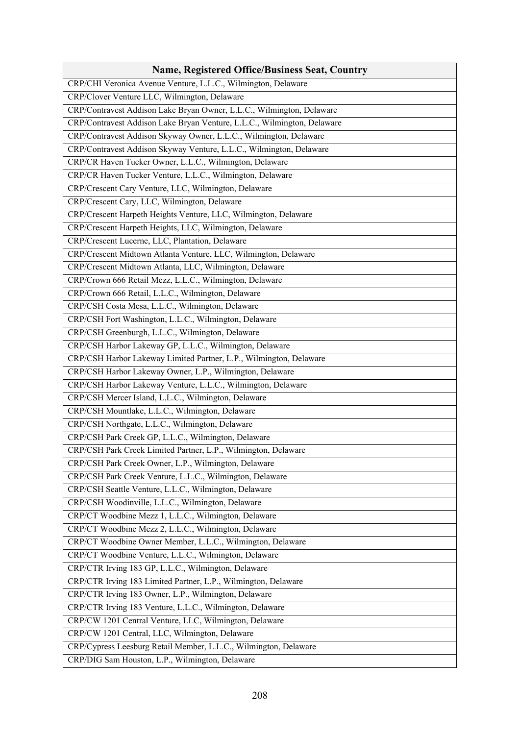| <b>Name, Registered Office/Business Seat, Country</b>                   |
|-------------------------------------------------------------------------|
| CRP/CHI Veronica Avenue Venture, L.L.C., Wilmington, Delaware           |
| CRP/Clover Venture LLC, Wilmington, Delaware                            |
| CRP/Contravest Addison Lake Bryan Owner, L.L.C., Wilmington, Delaware   |
| CRP/Contravest Addison Lake Bryan Venture, L.L.C., Wilmington, Delaware |
| CRP/Contravest Addison Skyway Owner, L.L.C., Wilmington, Delaware       |
| CRP/Contravest Addison Skyway Venture, L.L.C., Wilmington, Delaware     |
| CRP/CR Haven Tucker Owner, L.L.C., Wilmington, Delaware                 |
| CRP/CR Haven Tucker Venture, L.L.C., Wilmington, Delaware               |
| CRP/Crescent Cary Venture, LLC, Wilmington, Delaware                    |
| CRP/Crescent Cary, LLC, Wilmington, Delaware                            |
| CRP/Crescent Harpeth Heights Venture, LLC, Wilmington, Delaware         |
| CRP/Crescent Harpeth Heights, LLC, Wilmington, Delaware                 |
| CRP/Crescent Lucerne, LLC, Plantation, Delaware                         |
| CRP/Crescent Midtown Atlanta Venture, LLC, Wilmington, Delaware         |
| CRP/Crescent Midtown Atlanta, LLC, Wilmington, Delaware                 |
| CRP/Crown 666 Retail Mezz, L.L.C., Wilmington, Delaware                 |
| CRP/Crown 666 Retail, L.L.C., Wilmington, Delaware                      |
| CRP/CSH Costa Mesa, L.L.C., Wilmington, Delaware                        |
| CRP/CSH Fort Washington, L.L.C., Wilmington, Delaware                   |
| CRP/CSH Greenburgh, L.L.C., Wilmington, Delaware                        |
| CRP/CSH Harbor Lakeway GP, L.L.C., Wilmington, Delaware                 |
| CRP/CSH Harbor Lakeway Limited Partner, L.P., Wilmington, Delaware      |
| CRP/CSH Harbor Lakeway Owner, L.P., Wilmington, Delaware                |
| CRP/CSH Harbor Lakeway Venture, L.L.C., Wilmington, Delaware            |
| CRP/CSH Mercer Island, L.L.C., Wilmington, Delaware                     |
| CRP/CSH Mountlake, L.L.C., Wilmington, Delaware                         |
| CRP/CSH Northgate, L.L.C., Wilmington, Delaware                         |
| CRP/CSH Park Creek GP, L.L.C., Wilmington, Delaware                     |
| CRP/CSH Park Creek Limited Partner, L.P., Wilmington, Delaware          |
| CRP/CSH Park Creek Owner, L.P., Wilmington, Delaware                    |
| CRP/CSH Park Creek Venture, L.L.C., Wilmington, Delaware                |
| CRP/CSH Seattle Venture, L.L.C., Wilmington, Delaware                   |
| CRP/CSH Woodinville, L.L.C., Wilmington, Delaware                       |
| CRP/CT Woodbine Mezz 1, L.L.C., Wilmington, Delaware                    |
| CRP/CT Woodbine Mezz 2, L.L.C., Wilmington, Delaware                    |
| CRP/CT Woodbine Owner Member, L.L.C., Wilmington, Delaware              |
| CRP/CT Woodbine Venture, L.L.C., Wilmington, Delaware                   |
| CRP/CTR Irving 183 GP, L.L.C., Wilmington, Delaware                     |
| CRP/CTR Irving 183 Limited Partner, L.P., Wilmington, Delaware          |
| CRP/CTR Irving 183 Owner, L.P., Wilmington, Delaware                    |
| CRP/CTR Irving 183 Venture, L.L.C., Wilmington, Delaware                |
| CRP/CW 1201 Central Venture, LLC, Wilmington, Delaware                  |
| CRP/CW 1201 Central, LLC, Wilmington, Delaware                          |
| CRP/Cypress Leesburg Retail Member, L.L.C., Wilmington, Delaware        |
| CRP/DIG Sam Houston, L.P., Wilmington, Delaware                         |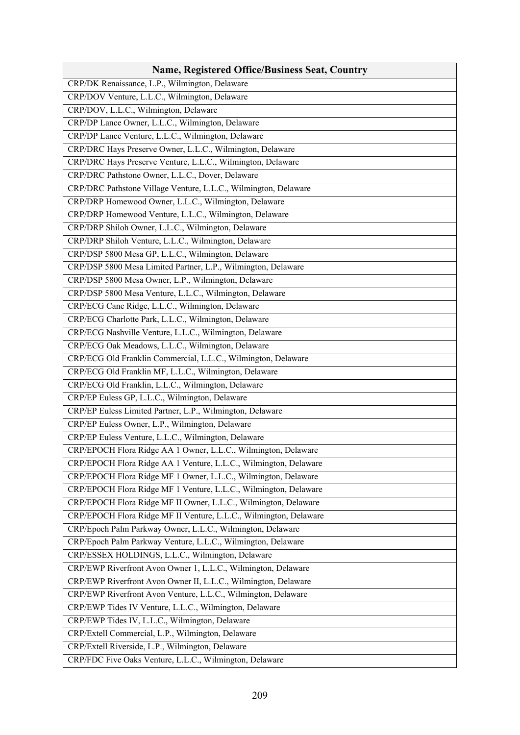| <b>Name, Registered Office/Business Seat, Country</b>             |
|-------------------------------------------------------------------|
| CRP/DK Renaissance, L.P., Wilmington, Delaware                    |
| CRP/DOV Venture, L.L.C., Wilmington, Delaware                     |
| CRP/DOV, L.L.C., Wilmington, Delaware                             |
| CRP/DP Lance Owner, L.L.C., Wilmington, Delaware                  |
| CRP/DP Lance Venture, L.L.C., Wilmington, Delaware                |
| CRP/DRC Hays Preserve Owner, L.L.C., Wilmington, Delaware         |
| CRP/DRC Hays Preserve Venture, L.L.C., Wilmington, Delaware       |
| CRP/DRC Pathstone Owner, L.L.C., Dover, Delaware                  |
| CRP/DRC Pathstone Village Venture, L.L.C., Wilmington, Delaware   |
| CRP/DRP Homewood Owner, L.L.C., Wilmington, Delaware              |
| CRP/DRP Homewood Venture, L.L.C., Wilmington, Delaware            |
| CRP/DRP Shiloh Owner, L.L.C., Wilmington, Delaware                |
| CRP/DRP Shiloh Venture, L.L.C., Wilmington, Delaware              |
| CRP/DSP 5800 Mesa GP, L.L.C., Wilmington, Delaware                |
| CRP/DSP 5800 Mesa Limited Partner, L.P., Wilmington, Delaware     |
| CRP/DSP 5800 Mesa Owner, L.P., Wilmington, Delaware               |
| CRP/DSP 5800 Mesa Venture, L.L.C., Wilmington, Delaware           |
| CRP/ECG Cane Ridge, L.L.C., Wilmington, Delaware                  |
| CRP/ECG Charlotte Park, L.L.C., Wilmington, Delaware              |
| CRP/ECG Nashville Venture, L.L.C., Wilmington, Delaware           |
| CRP/ECG Oak Meadows, L.L.C., Wilmington, Delaware                 |
| CRP/ECG Old Franklin Commercial, L.L.C., Wilmington, Delaware     |
| CRP/ECG Old Franklin MF, L.L.C., Wilmington, Delaware             |
| CRP/ECG Old Franklin, L.L.C., Wilmington, Delaware                |
| CRP/EP Euless GP, L.L.C., Wilmington, Delaware                    |
| CRP/EP Euless Limited Partner, L.P., Wilmington, Delaware         |
| CRP/EP Euless Owner, L.P., Wilmington, Delaware                   |
| CRP/EP Euless Venture, L.L.C., Wilmington, Delaware               |
| CRP/EPOCH Flora Ridge AA 1 Owner, L.L.C., Wilmington, Delaware    |
| CRP/EPOCH Flora Ridge AA 1 Venture, L.L.C., Wilmington, Delaware  |
| CRP/EPOCH Flora Ridge MF 1 Owner, L.L.C., Wilmington, Delaware    |
| CRP/EPOCH Flora Ridge MF 1 Venture, L.L.C., Wilmington, Delaware  |
| CRP/EPOCH Flora Ridge MF II Owner, L.L.C., Wilmington, Delaware   |
| CRP/EPOCH Flora Ridge MF II Venture, L.L.C., Wilmington, Delaware |
| CRP/Epoch Palm Parkway Owner, L.L.C., Wilmington, Delaware        |
| CRP/Epoch Palm Parkway Venture, L.L.C., Wilmington, Delaware      |
| CRP/ESSEX HOLDINGS, L.L.C., Wilmington, Delaware                  |
| CRP/EWP Riverfront Avon Owner 1, L.L.C., Wilmington, Delaware     |
| CRP/EWP Riverfront Avon Owner II, L.L.C., Wilmington, Delaware    |
| CRP/EWP Riverfront Avon Venture, L.L.C., Wilmington, Delaware     |
| CRP/EWP Tides IV Venture, L.L.C., Wilmington, Delaware            |
| CRP/EWP Tides IV, L.L.C., Wilmington, Delaware                    |
| CRP/Extell Commercial, L.P., Wilmington, Delaware                 |
| CRP/Extell Riverside, L.P., Wilmington, Delaware                  |
| CRP/FDC Five Oaks Venture, L.L.C., Wilmington, Delaware           |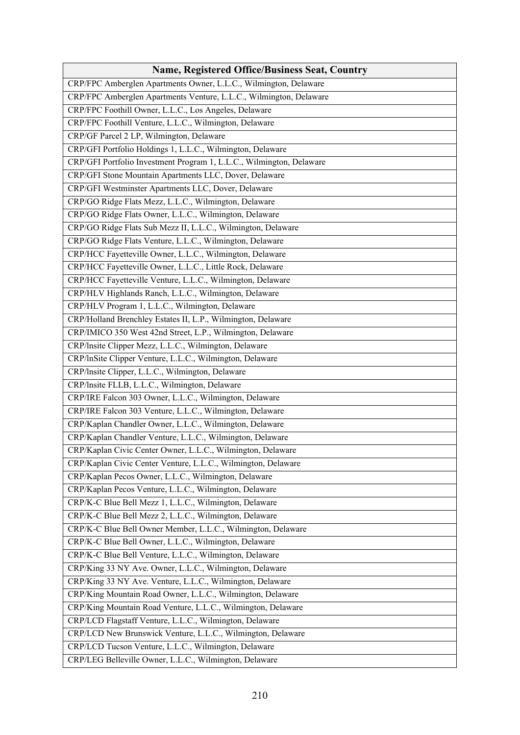| <b>Name, Registered Office/Business Seat, Country</b>                |
|----------------------------------------------------------------------|
| CRP/FPC Amberglen Apartments Owner, L.L.C., Wilmington, Delaware     |
| CRP/FPC Amberglen Apartments Venture, L.L.C., Wilmington, Delaware   |
| CRP/FPC Foothill Owner, L.L.C., Los Angeles, Delaware                |
| CRP/FPC Foothill Venture, L.L.C., Wilmington, Delaware               |
| CRP/GF Parcel 2 LP, Wilmington, Delaware                             |
| CRP/GFI Portfolio Holdings 1, L.L.C., Wilmington, Delaware           |
| CRP/GFI Portfolio Investment Program 1, L.L.C., Wilmington, Delaware |
| CRP/GFI Stone Mountain Apartments LLC, Dover, Delaware               |
| CRP/GFI Westminster Apartments LLC, Dover, Delaware                  |
| CRP/GO Ridge Flats Mezz, L.L.C., Wilmington, Delaware                |
| CRP/GO Ridge Flats Owner, L.L.C., Wilmington, Delaware               |
| CRP/GO Ridge Flats Sub Mezz II, L.L.C., Wilmington, Delaware         |
| CRP/GO Ridge Flats Venture, L.L.C., Wilmington, Delaware             |
| CRP/HCC Fayetteville Owner, L.L.C., Wilmington, Delaware             |
| CRP/HCC Fayetteville Owner, L.L.C., Little Rock, Delaware            |
| CRP/HCC Fayetteville Venture, L.L.C., Wilmington, Delaware           |
| CRP/HLV Highlands Ranch, L.L.C., Wilmington, Delaware                |
| CRP/HLV Program 1, L.L.C., Wilmington, Delaware                      |
| CRP/Holland Brenchley Estates II, L.P., Wilmington, Delaware         |
| CRP/IMICO 350 West 42nd Street, L.P., Wilmington, Delaware           |
| CRP/Insite Clipper Mezz, L.L.C., Wilmington, Delaware                |
| CRP/lnSite Clipper Venture, L.L.C., Wilmington, Delaware             |
| CRP/Insite Clipper, L.L.C., Wilmington, Delaware                     |
| CRP/Insite FLLB, L.L.C., Wilmington, Delaware                        |
| CRP/IRE Falcon 303 Owner, L.L.C., Wilmington, Delaware               |
| CRP/IRE Falcon 303 Venture, L.L.C., Wilmington, Delaware             |
| CRP/Kaplan Chandler Owner, L.L.C., Wilmington, Delaware              |
| CRP/Kaplan Chandler Venture, L.L.C., Wilmington, Delaware            |
| CRP/Kaplan Civic Center Owner, L.L.C., Wilmington, Delaware          |
| CRP/Kaplan Civic Center Venture, L.L.C., Wilmington, Delaware        |
| CRP/Kaplan Pecos Owner, L.L.C., Wilmington, Delaware                 |
| CRP/Kaplan Pecos Venture, L.L.C., Wilmington, Delaware               |
| CRP/K-C Blue Bell Mezz 1, L.L.C., Wilmington, Delaware               |
| CRP/K-C Blue Bell Mezz 2, L.L.C., Wilmington, Delaware               |
| CRP/K-C Blue Bell Owner Member, L.L.C., Wilmington, Delaware         |
| CRP/K-C Blue Bell Owner, L.L.C., Wilmington, Delaware                |
| CRP/K-C Blue Bell Venture, L.L.C., Wilmington, Delaware              |
| CRP/King 33 NY Ave. Owner, L.L.C., Wilmington, Delaware              |
| CRP/King 33 NY Ave. Venture, L.L.C., Wilmington, Delaware            |
| CRP/King Mountain Road Owner, L.L.C., Wilmington, Delaware           |
| CRP/King Mountain Road Venture, L.L.C., Wilmington, Delaware         |
| CRP/LCD Flagstaff Venture, L.L.C., Wilmington, Delaware              |
| CRP/LCD New Brunswick Venture, L.L.C., Wilmington, Delaware          |
| CRP/LCD Tucson Venture, L.L.C., Wilmington, Delaware                 |
| CRP/LEG Belleville Owner, L.L.C., Wilmington, Delaware               |
|                                                                      |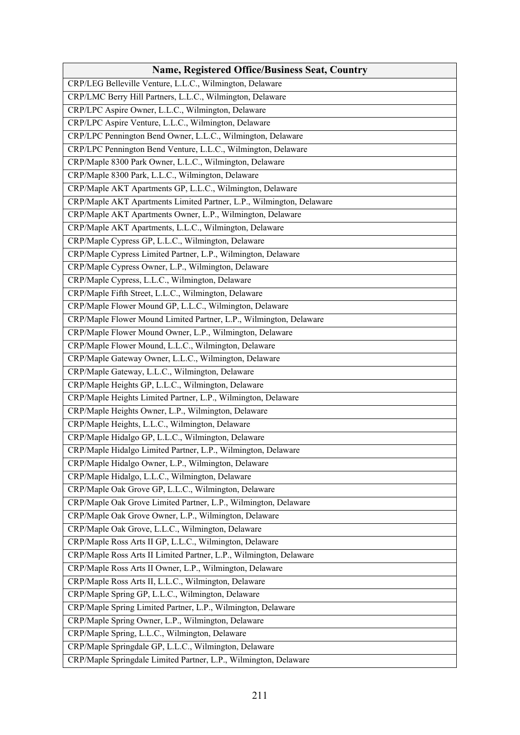| <b>Name, Registered Office/Business Seat, Country</b>                |
|----------------------------------------------------------------------|
| CRP/LEG Belleville Venture, L.L.C., Wilmington, Delaware             |
| CRP/LMC Berry Hill Partners, L.L.C., Wilmington, Delaware            |
| CRP/LPC Aspire Owner, L.L.C., Wilmington, Delaware                   |
| CRP/LPC Aspire Venture, L.L.C., Wilmington, Delaware                 |
| CRP/LPC Pennington Bend Owner, L.L.C., Wilmington, Delaware          |
| CRP/LPC Pennington Bend Venture, L.L.C., Wilmington, Delaware        |
| CRP/Maple 8300 Park Owner, L.L.C., Wilmington, Delaware              |
| CRP/Maple 8300 Park, L.L.C., Wilmington, Delaware                    |
| CRP/Maple AKT Apartments GP, L.L.C., Wilmington, Delaware            |
| CRP/Maple AKT Apartments Limited Partner, L.P., Wilmington, Delaware |
| CRP/Maple AKT Apartments Owner, L.P., Wilmington, Delaware           |
| CRP/Maple AKT Apartments, L.L.C., Wilmington, Delaware               |
| CRP/Maple Cypress GP, L.L.C., Wilmington, Delaware                   |
| CRP/Maple Cypress Limited Partner, L.P., Wilmington, Delaware        |
| CRP/Maple Cypress Owner, L.P., Wilmington, Delaware                  |
| CRP/Maple Cypress, L.L.C., Wilmington, Delaware                      |
| CRP/Maple Fifth Street, L.L.C., Wilmington, Delaware                 |
| CRP/Maple Flower Mound GP, L.L.C., Wilmington, Delaware              |
| CRP/Maple Flower Mound Limited Partner, L.P., Wilmington, Delaware   |
| CRP/Maple Flower Mound Owner, L.P., Wilmington, Delaware             |
| CRP/Maple Flower Mound, L.L.C., Wilmington, Delaware                 |
| CRP/Maple Gateway Owner, L.L.C., Wilmington, Delaware                |
| CRP/Maple Gateway, L.L.C., Wilmington, Delaware                      |
| CRP/Maple Heights GP, L.L.C., Wilmington, Delaware                   |
| CRP/Maple Heights Limited Partner, L.P., Wilmington, Delaware        |
| CRP/Maple Heights Owner, L.P., Wilmington, Delaware                  |
| CRP/Maple Heights, L.L.C., Wilmington, Delaware                      |
| CRP/Maple Hidalgo GP, L.L.C., Wilmington, Delaware                   |
| CRP/Maple Hidalgo Limited Partner, L.P., Wilmington, Delaware        |
| CRP/Maple Hidalgo Owner, L.P., Wilmington, Delaware                  |
| CRP/Maple Hidalgo, L.L.C., Wilmington, Delaware                      |
| CRP/Maple Oak Grove GP, L.L.C., Wilmington, Delaware                 |
| CRP/Maple Oak Grove Limited Partner, L.P., Wilmington, Delaware      |
| CRP/Maple Oak Grove Owner, L.P., Wilmington, Delaware                |
| CRP/Maple Oak Grove, L.L.C., Wilmington, Delaware                    |
| CRP/Maple Ross Arts II GP, L.L.C., Wilmington, Delaware              |
| CRP/Maple Ross Arts II Limited Partner, L.P., Wilmington, Delaware   |
| CRP/Maple Ross Arts II Owner, L.P., Wilmington, Delaware             |
| CRP/Maple Ross Arts II, L.L.C., Wilmington, Delaware                 |
| CRP/Maple Spring GP, L.L.C., Wilmington, Delaware                    |
| CRP/Maple Spring Limited Partner, L.P., Wilmington, Delaware         |
| CRP/Maple Spring Owner, L.P., Wilmington, Delaware                   |
| CRP/Maple Spring, L.L.C., Wilmington, Delaware                       |
| CRP/Maple Springdale GP, L.L.C., Wilmington, Delaware                |
| CRP/Maple Springdale Limited Partner, L.P., Wilmington, Delaware     |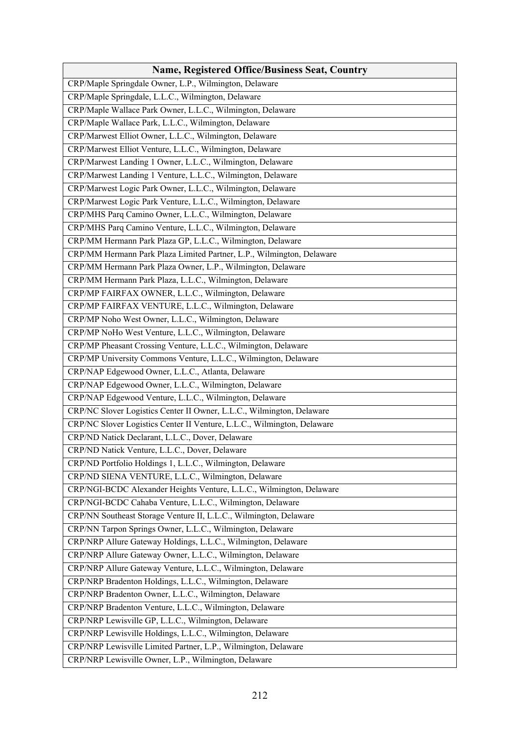| <b>Name, Registered Office/Business Seat, Country</b>                   |
|-------------------------------------------------------------------------|
| CRP/Maple Springdale Owner, L.P., Wilmington, Delaware                  |
| CRP/Maple Springdale, L.L.C., Wilmington, Delaware                      |
| CRP/Maple Wallace Park Owner, L.L.C., Wilmington, Delaware              |
| CRP/Maple Wallace Park, L.L.C., Wilmington, Delaware                    |
| CRP/Marwest Elliot Owner, L.L.C., Wilmington, Delaware                  |
| CRP/Marwest Elliot Venture, L.L.C., Wilmington, Delaware                |
| CRP/Marwest Landing 1 Owner, L.L.C., Wilmington, Delaware               |
| CRP/Marwest Landing 1 Venture, L.L.C., Wilmington, Delaware             |
| CRP/Marwest Logic Park Owner, L.L.C., Wilmington, Delaware              |
| CRP/Marwest Logic Park Venture, L.L.C., Wilmington, Delaware            |
| CRP/MHS Parq Camino Owner, L.L.C., Wilmington, Delaware                 |
| CRP/MHS Parq Camino Venture, L.L.C., Wilmington, Delaware               |
| CRP/MM Hermann Park Plaza GP, L.L.C., Wilmington, Delaware              |
| CRP/MM Hermann Park Plaza Limited Partner, L.P., Wilmington, Delaware   |
| CRP/MM Hermann Park Plaza Owner, L.P., Wilmington, Delaware             |
| CRP/MM Hermann Park Plaza, L.L.C., Wilmington, Delaware                 |
| CRP/MP FAIRFAX OWNER, L.L.C., Wilmington, Delaware                      |
| CRP/MP FAIRFAX VENTURE, L.L.C., Wilmington, Delaware                    |
| CRP/MP Noho West Owner, L.L.C., Wilmington, Delaware                    |
| CRP/MP NoHo West Venture, L.L.C., Wilmington, Delaware                  |
| CRP/MP Pheasant Crossing Venture, L.L.C., Wilmington, Delaware          |
| CRP/MP University Commons Venture, L.L.C., Wilmington, Delaware         |
| CRP/NAP Edgewood Owner, L.L.C., Atlanta, Delaware                       |
| CRP/NAP Edgewood Owner, L.L.C., Wilmington, Delaware                    |
| CRP/NAP Edgewood Venture, L.L.C., Wilmington, Delaware                  |
| CRP/NC Slover Logistics Center II Owner, L.L.C., Wilmington, Delaware   |
| CRP/NC Slover Logistics Center II Venture, L.L.C., Wilmington, Delaware |
| CRP/ND Natick Declarant, L.L.C., Dover, Delaware                        |
| CRP/ND Natick Venture, L.L.C., Dover, Delaware                          |
| CRP/ND Portfolio Holdings 1, L.L.C., Wilmington, Delaware               |
| CRP/ND SIENA VENTURE, L.L.C., Wilmington, Delaware                      |
| CRP/NGI-BCDC Alexander Heights Venture, L.L.C., Wilmington, Delaware    |
| CRP/NGI-BCDC Cahaba Venture, L.L.C., Wilmington, Delaware               |
| CRP/NN Southeast Storage Venture II, L.L.C., Wilmington, Delaware       |
| CRP/NN Tarpon Springs Owner, L.L.C., Wilmington, Delaware               |
| CRP/NRP Allure Gateway Holdings, L.L.C., Wilmington, Delaware           |
| CRP/NRP Allure Gateway Owner, L.L.C., Wilmington, Delaware              |
| CRP/NRP Allure Gateway Venture, L.L.C., Wilmington, Delaware            |
| CRP/NRP Bradenton Holdings, L.L.C., Wilmington, Delaware                |
| CRP/NRP Bradenton Owner, L.L.C., Wilmington, Delaware                   |
| CRP/NRP Bradenton Venture, L.L.C., Wilmington, Delaware                 |
| CRP/NRP Lewisville GP, L.L.C., Wilmington, Delaware                     |
| CRP/NRP Lewisville Holdings, L.L.C., Wilmington, Delaware               |
| CRP/NRP Lewisville Limited Partner, L.P., Wilmington, Delaware          |
| CRP/NRP Lewisville Owner, L.P., Wilmington, Delaware                    |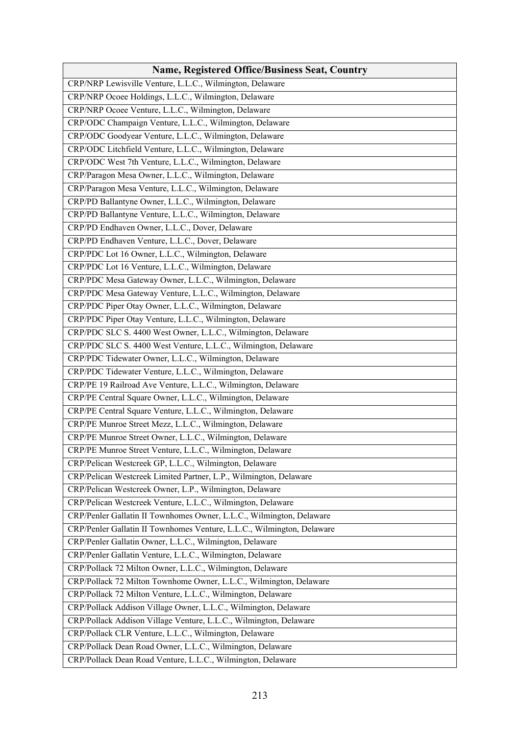| CRP/NRP Lewisville Venture, L.L.C., Wilmington, Delaware<br>CRP/NRP Ocoee Holdings, L.L.C., Wilmington, Delaware<br>CRP/NRP Ocoee Venture, L.L.C., Wilmington, Delaware |
|-------------------------------------------------------------------------------------------------------------------------------------------------------------------------|
|                                                                                                                                                                         |
|                                                                                                                                                                         |
|                                                                                                                                                                         |
| CRP/ODC Champaign Venture, L.L.C., Wilmington, Delaware                                                                                                                 |
| CRP/ODC Goodyear Venture, L.L.C., Wilmington, Delaware                                                                                                                  |
| CRP/ODC Litchfield Venture, L.L.C., Wilmington, Delaware                                                                                                                |
| CRP/ODC West 7th Venture, L.L.C., Wilmington, Delaware                                                                                                                  |
| CRP/Paragon Mesa Owner, L.L.C., Wilmington, Delaware                                                                                                                    |
| CRP/Paragon Mesa Venture, L.L.C., Wilmington, Delaware                                                                                                                  |
| CRP/PD Ballantyne Owner, L.L.C., Wilmington, Delaware                                                                                                                   |
| CRP/PD Ballantyne Venture, L.L.C., Wilmington, Delaware                                                                                                                 |
| CRP/PD Endhaven Owner, L.L.C., Dover, Delaware                                                                                                                          |
| CRP/PD Endhaven Venture, L.L.C., Dover, Delaware                                                                                                                        |
| CRP/PDC Lot 16 Owner, L.L.C., Wilmington, Delaware                                                                                                                      |
| CRP/PDC Lot 16 Venture, L.L.C., Wilmington, Delaware                                                                                                                    |
| CRP/PDC Mesa Gateway Owner, L.L.C., Wilmington, Delaware                                                                                                                |
| CRP/PDC Mesa Gateway Venture, L.L.C., Wilmington, Delaware                                                                                                              |
| CRP/PDC Piper Otay Owner, L.L.C., Wilmington, Delaware                                                                                                                  |
| CRP/PDC Piper Otay Venture, L.L.C., Wilmington, Delaware                                                                                                                |
| CRP/PDC SLC S. 4400 West Owner, L.L.C., Wilmington, Delaware                                                                                                            |
| CRP/PDC SLC S. 4400 West Venture, L.L.C., Wilmington, Delaware                                                                                                          |
| CRP/PDC Tidewater Owner, L.L.C., Wilmington, Delaware                                                                                                                   |
| CRP/PDC Tidewater Venture, L.L.C., Wilmington, Delaware                                                                                                                 |
| CRP/PE 19 Railroad Ave Venture, L.L.C., Wilmington, Delaware                                                                                                            |
| CRP/PE Central Square Owner, L.L.C., Wilmington, Delaware                                                                                                               |
| CRP/PE Central Square Venture, L.L.C., Wilmington, Delaware                                                                                                             |
| CRP/PE Munroe Street Mezz, L.L.C., Wilmington, Delaware                                                                                                                 |
| CRP/PE Munroe Street Owner, L.L.C., Wilmington, Delaware                                                                                                                |
| CRP/PE Munroe Street Venture, L.L.C., Wilmington, Delaware                                                                                                              |
| CRP/Pelican Westcreek GP, L.L.C., Wilmington, Delaware                                                                                                                  |
| CRP/Pelican Westcreek Limited Partner, L.P., Wilmington, Delaware                                                                                                       |
| CRP/Pelican Westcreek Owner, L.P., Wilmington, Delaware                                                                                                                 |
| CRP/Pelican Westcreek Venture, L.L.C., Wilmington, Delaware                                                                                                             |
| CRP/Penler Gallatin II Townhomes Owner, L.L.C., Wilmington, Delaware                                                                                                    |
| CRP/Penler Gallatin II Townhomes Venture, L.L.C., Wilmington, Delaware                                                                                                  |
| CRP/Penler Gallatin Owner, L.L.C., Wilmington, Delaware                                                                                                                 |
| CRP/Penler Gallatin Venture, L.L.C., Wilmington, Delaware                                                                                                               |
| CRP/Pollack 72 Milton Owner, L.L.C., Wilmington, Delaware                                                                                                               |
| CRP/Pollack 72 Milton Townhome Owner, L.L.C., Wilmington, Delaware                                                                                                      |
| CRP/Pollack 72 Milton Venture, L.L.C., Wilmington, Delaware                                                                                                             |
| CRP/Pollack Addison Village Owner, L.L.C., Wilmington, Delaware                                                                                                         |
| CRP/Pollack Addison Village Venture, L.L.C., Wilmington, Delaware                                                                                                       |
| CRP/Pollack CLR Venture, L.L.C., Wilmington, Delaware                                                                                                                   |
| CRP/Pollack Dean Road Owner, L.L.C., Wilmington, Delaware                                                                                                               |
| CRP/Pollack Dean Road Venture, L.L.C., Wilmington, Delaware                                                                                                             |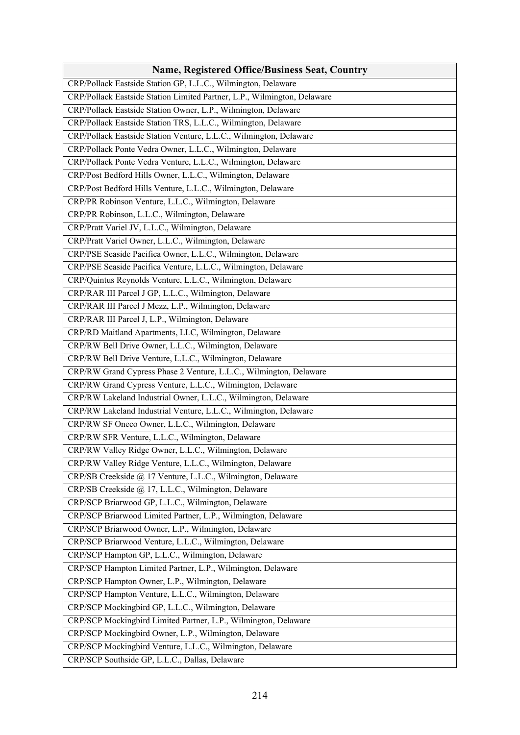| <b>Name, Registered Office/Business Seat, Country</b>                    |
|--------------------------------------------------------------------------|
| CRP/Pollack Eastside Station GP, L.L.C., Wilmington, Delaware            |
| CRP/Pollack Eastside Station Limited Partner, L.P., Wilmington, Delaware |
| CRP/Pollack Eastside Station Owner, L.P., Wilmington, Delaware           |
| CRP/Pollack Eastside Station TRS, L.L.C., Wilmington, Delaware           |
| CRP/Pollack Eastside Station Venture, L.L.C., Wilmington, Delaware       |
| CRP/Pollack Ponte Vedra Owner, L.L.C., Wilmington, Delaware              |
| CRP/Pollack Ponte Vedra Venture, L.L.C., Wilmington, Delaware            |
| CRP/Post Bedford Hills Owner, L.L.C., Wilmington, Delaware               |
| CRP/Post Bedford Hills Venture, L.L.C., Wilmington, Delaware             |
| CRP/PR Robinson Venture, L.L.C., Wilmington, Delaware                    |
| CRP/PR Robinson, L.L.C., Wilmington, Delaware                            |
| CRP/Pratt Variel JV, L.L.C., Wilmington, Delaware                        |
| CRP/Pratt Variel Owner, L.L.C., Wilmington, Delaware                     |
| CRP/PSE Seaside Pacifica Owner, L.L.C., Wilmington, Delaware             |
| CRP/PSE Seaside Pacifica Venture, L.L.C., Wilmington, Delaware           |
| CRP/Quintus Reynolds Venture, L.L.C., Wilmington, Delaware               |
| CRP/RAR III Parcel J GP, L.L.C., Wilmington, Delaware                    |
| CRP/RAR III Parcel J Mezz, L.P., Wilmington, Delaware                    |
| CRP/RAR III Parcel J, L.P., Wilmington, Delaware                         |
| CRP/RD Maitland Apartments, LLC, Wilmington, Delaware                    |
| CRP/RW Bell Drive Owner, L.L.C., Wilmington, Delaware                    |
| CRP/RW Bell Drive Venture, L.L.C., Wilmington, Delaware                  |
| CRP/RW Grand Cypress Phase 2 Venture, L.L.C., Wilmington, Delaware       |
| CRP/RW Grand Cypress Venture, L.L.C., Wilmington, Delaware               |
| CRP/RW Lakeland Industrial Owner, L.L.C., Wilmington, Delaware           |
| CRP/RW Lakeland Industrial Venture, L.L.C., Wilmington, Delaware         |
| CRP/RW SF Oneco Owner, L.L.C., Wilmington, Delaware                      |
| CRP/RW SFR Venture, L.L.C., Wilmington, Delaware                         |
| CRP/RW Valley Ridge Owner, L.L.C., Wilmington, Delaware                  |
| CRP/RW Valley Ridge Venture, L.L.C., Wilmington, Delaware                |
| CRP/SB Creekside @ 17 Venture, L.L.C., Wilmington, Delaware              |
| CRP/SB Creekside @ 17, L.L.C., Wilmington, Delaware                      |
| CRP/SCP Briarwood GP, L.L.C., Wilmington, Delaware                       |
| CRP/SCP Briarwood Limited Partner, L.P., Wilmington, Delaware            |
| CRP/SCP Briarwood Owner, L.P., Wilmington, Delaware                      |
| CRP/SCP Briarwood Venture, L.L.C., Wilmington, Delaware                  |
| CRP/SCP Hampton GP, L.L.C., Wilmington, Delaware                         |
| CRP/SCP Hampton Limited Partner, L.P., Wilmington, Delaware              |
| CRP/SCP Hampton Owner, L.P., Wilmington, Delaware                        |
| CRP/SCP Hampton Venture, L.L.C., Wilmington, Delaware                    |
| CRP/SCP Mockingbird GP, L.L.C., Wilmington, Delaware                     |
| CRP/SCP Mockingbird Limited Partner, L.P., Wilmington, Delaware          |
| CRP/SCP Mockingbird Owner, L.P., Wilmington, Delaware                    |
| CRP/SCP Mockingbird Venture, L.L.C., Wilmington, Delaware                |
| CRP/SCP Southside GP, L.L.C., Dallas, Delaware                           |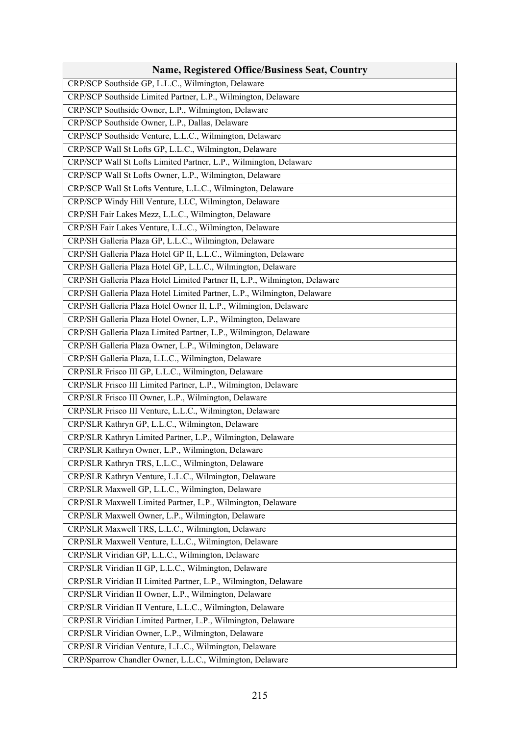| <b>Name, Registered Office/Business Seat, Country</b>                      |
|----------------------------------------------------------------------------|
| CRP/SCP Southside GP, L.L.C., Wilmington, Delaware                         |
| CRP/SCP Southside Limited Partner, L.P., Wilmington, Delaware              |
| CRP/SCP Southside Owner, L.P., Wilmington, Delaware                        |
| CRP/SCP Southside Owner, L.P., Dallas, Delaware                            |
| CRP/SCP Southside Venture, L.L.C., Wilmington, Delaware                    |
| CRP/SCP Wall St Lofts GP, L.L.C., Wilmington, Delaware                     |
| CRP/SCP Wall St Lofts Limited Partner, L.P., Wilmington, Delaware          |
| CRP/SCP Wall St Lofts Owner, L.P., Wilmington, Delaware                    |
| CRP/SCP Wall St Lofts Venture, L.L.C., Wilmington, Delaware                |
| CRP/SCP Windy Hill Venture, LLC, Wilmington, Delaware                      |
| CRP/SH Fair Lakes Mezz, L.L.C., Wilmington, Delaware                       |
| CRP/SH Fair Lakes Venture, L.L.C., Wilmington, Delaware                    |
| CRP/SH Galleria Plaza GP, L.L.C., Wilmington, Delaware                     |
| CRP/SH Galleria Plaza Hotel GP II, L.L.C., Wilmington, Delaware            |
| CRP/SH Galleria Plaza Hotel GP, L.L.C., Wilmington, Delaware               |
| CRP/SH Galleria Plaza Hotel Limited Partner II, L.P., Wilmington, Delaware |
| CRP/SH Galleria Plaza Hotel Limited Partner, L.P., Wilmington, Delaware    |
| CRP/SH Galleria Plaza Hotel Owner II, L.P., Wilmington, Delaware           |
| CRP/SH Galleria Plaza Hotel Owner, L.P., Wilmington, Delaware              |
| CRP/SH Galleria Plaza Limited Partner, L.P., Wilmington, Delaware          |
| CRP/SH Galleria Plaza Owner, L.P., Wilmington, Delaware                    |
| CRP/SH Galleria Plaza, L.L.C., Wilmington, Delaware                        |
| CRP/SLR Frisco III GP, L.L.C., Wilmington, Delaware                        |
| CRP/SLR Frisco III Limited Partner, L.P., Wilmington, Delaware             |
| CRP/SLR Frisco III Owner, L.P., Wilmington, Delaware                       |
| CRP/SLR Frisco III Venture, L.L.C., Wilmington, Delaware                   |
| CRP/SLR Kathryn GP, L.L.C., Wilmington, Delaware                           |
| CRP/SLR Kathryn Limited Partner, L.P., Wilmington, Delaware                |
| CRP/SLR Kathryn Owner, L.P., Wilmington, Delaware                          |
| CRP/SLR Kathryn TRS, L.L.C., Wilmington, Delaware                          |
| CRP/SLR Kathryn Venture, L.L.C., Wilmington, Delaware                      |
| CRP/SLR Maxwell GP, L.L.C., Wilmington, Delaware                           |
| CRP/SLR Maxwell Limited Partner, L.P., Wilmington, Delaware                |
| CRP/SLR Maxwell Owner, L.P., Wilmington, Delaware                          |
| CRP/SLR Maxwell TRS, L.L.C., Wilmington, Delaware                          |
| CRP/SLR Maxwell Venture, L.L.C., Wilmington, Delaware                      |
| CRP/SLR Viridian GP, L.L.C., Wilmington, Delaware                          |
| CRP/SLR Viridian II GP, L.L.C., Wilmington, Delaware                       |
| CRP/SLR Viridian II Limited Partner, L.P., Wilmington, Delaware            |
| CRP/SLR Viridian II Owner, L.P., Wilmington, Delaware                      |
| CRP/SLR Viridian II Venture, L.L.C., Wilmington, Delaware                  |
| CRP/SLR Viridian Limited Partner, L.P., Wilmington, Delaware               |
| CRP/SLR Viridian Owner, L.P., Wilmington, Delaware                         |
| CRP/SLR Viridian Venture, L.L.C., Wilmington, Delaware                     |
| CRP/Sparrow Chandler Owner, L.L.C., Wilmington, Delaware                   |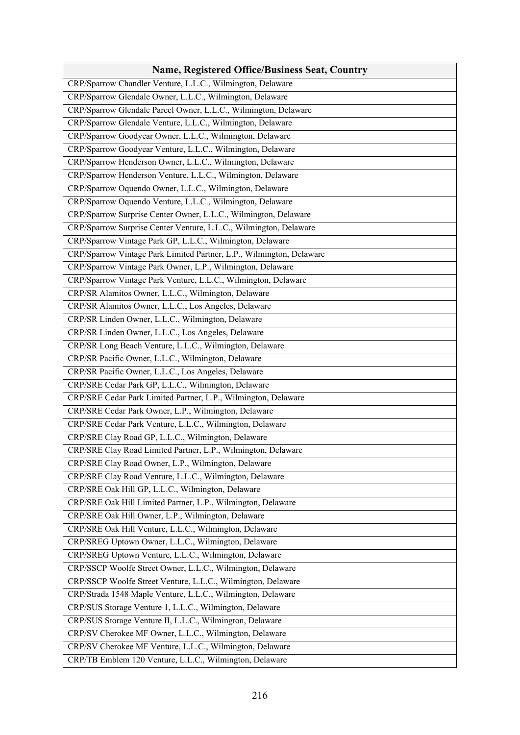| <b>Name, Registered Office/Business Seat, Country</b>                |
|----------------------------------------------------------------------|
| CRP/Sparrow Chandler Venture, L.L.C., Wilmington, Delaware           |
| CRP/Sparrow Glendale Owner, L.L.C., Wilmington, Delaware             |
| CRP/Sparrow Glendale Parcel Owner, L.L.C., Wilmington, Delaware      |
| CRP/Sparrow Glendale Venture, L.L.C., Wilmington, Delaware           |
| CRP/Sparrow Goodyear Owner, L.L.C., Wilmington, Delaware             |
| CRP/Sparrow Goodyear Venture, L.L.C., Wilmington, Delaware           |
| CRP/Sparrow Henderson Owner, L.L.C., Wilmington, Delaware            |
| CRP/Sparrow Henderson Venture, L.L.C., Wilmington, Delaware          |
| CRP/Sparrow Oquendo Owner, L.L.C., Wilmington, Delaware              |
| CRP/Sparrow Oquendo Venture, L.L.C., Wilmington, Delaware            |
| CRP/Sparrow Surprise Center Owner, L.L.C., Wilmington, Delaware      |
| CRP/Sparrow Surprise Center Venture, L.L.C., Wilmington, Delaware    |
| CRP/Sparrow Vintage Park GP, L.L.C., Wilmington, Delaware            |
| CRP/Sparrow Vintage Park Limited Partner, L.P., Wilmington, Delaware |
| CRP/Sparrow Vintage Park Owner, L.P., Wilmington, Delaware           |
| CRP/Sparrow Vintage Park Venture, L.L.C., Wilmington, Delaware       |
| CRP/SR Alamitos Owner, L.L.C., Wilmington, Delaware                  |
| CRP/SR Alamitos Owner, L.L.C., Los Angeles, Delaware                 |
| CRP/SR Linden Owner, L.L.C., Wilmington, Delaware                    |
| CRP/SR Linden Owner, L.L.C., Los Angeles, Delaware                   |
| CRP/SR Long Beach Venture, L.L.C., Wilmington, Delaware              |
| CRP/SR Pacific Owner, L.L.C., Wilmington, Delaware                   |
| CRP/SR Pacific Owner, L.L.C., Los Angeles, Delaware                  |
| CRP/SRE Cedar Park GP, L.L.C., Wilmington, Delaware                  |
| CRP/SRE Cedar Park Limited Partner, L.P., Wilmington, Delaware       |
| CRP/SRE Cedar Park Owner, L.P., Wilmington, Delaware                 |
| CRP/SRE Cedar Park Venture, L.L.C., Wilmington, Delaware             |
| CRP/SRE Clay Road GP, L.L.C., Wilmington, Delaware                   |
| CRP/SRE Clay Road Limited Partner, L.P., Wilmington, Delaware        |
| CRP/SRE Clay Road Owner, L.P., Wilmington, Delaware                  |
| CRP/SRE Clay Road Venture, L.L.C., Wilmington, Delaware              |
| CRP/SRE Oak Hill GP, L.L.C., Wilmington, Delaware                    |
| CRP/SRE Oak Hill Limited Partner, L.P., Wilmington, Delaware         |
| CRP/SRE Oak Hill Owner, L.P., Wilmington, Delaware                   |
| CRP/SRE Oak Hill Venture, L.L.C., Wilmington, Delaware               |
| CRP/SREG Uptown Owner, L.L.C., Wilmington, Delaware                  |
| CRP/SREG Uptown Venture, L.L.C., Wilmington, Delaware                |
| CRP/SSCP Woolfe Street Owner, L.L.C., Wilmington, Delaware           |
| CRP/SSCP Woolfe Street Venture, L.L.C., Wilmington, Delaware         |
| CRP/Strada 1548 Maple Venture, L.L.C., Wilmington, Delaware          |
| CRP/SUS Storage Venture 1, L.L.C., Wilmington, Delaware              |
| CRP/SUS Storage Venture II, L.L.C., Wilmington, Delaware             |
| CRP/SV Cherokee MF Owner, L.L.C., Wilmington, Delaware               |
| CRP/SV Cherokee MF Venture, L.L.C., Wilmington, Delaware             |
| CRP/TB Emblem 120 Venture, L.L.C., Wilmington, Delaware              |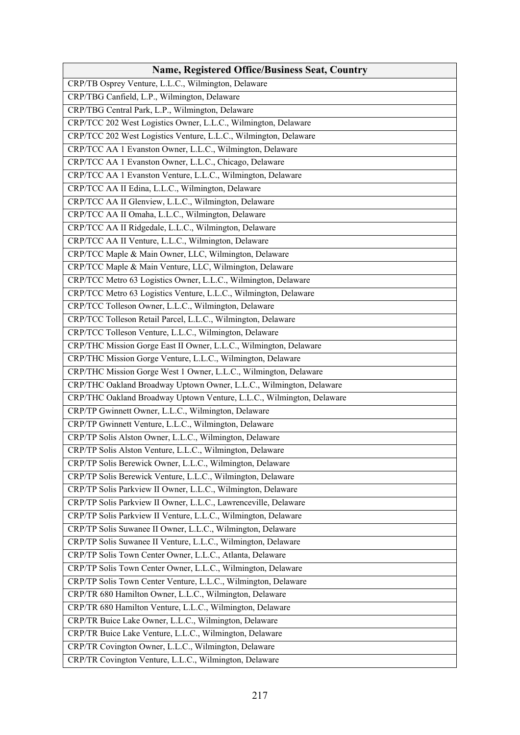| <b>Name, Registered Office/Business Seat, Country</b>                 |
|-----------------------------------------------------------------------|
| CRP/TB Osprey Venture, L.L.C., Wilmington, Delaware                   |
| CRP/TBG Canfield, L.P., Wilmington, Delaware                          |
| CRP/TBG Central Park, L.P., Wilmington, Delaware                      |
| CRP/TCC 202 West Logistics Owner, L.L.C., Wilmington, Delaware        |
| CRP/TCC 202 West Logistics Venture, L.L.C., Wilmington, Delaware      |
| CRP/TCC AA 1 Evanston Owner, L.L.C., Wilmington, Delaware             |
| CRP/TCC AA 1 Evanston Owner, L.L.C., Chicago, Delaware                |
| CRP/TCC AA 1 Evanston Venture, L.L.C., Wilmington, Delaware           |
| CRP/TCC AA II Edina, L.L.C., Wilmington, Delaware                     |
| CRP/TCC AA II Glenview, L.L.C., Wilmington, Delaware                  |
| CRP/TCC AA II Omaha, L.L.C., Wilmington, Delaware                     |
| CRP/TCC AA II Ridgedale, L.L.C., Wilmington, Delaware                 |
| CRP/TCC AA II Venture, L.L.C., Wilmington, Delaware                   |
| CRP/TCC Maple & Main Owner, LLC, Wilmington, Delaware                 |
| CRP/TCC Maple & Main Venture, LLC, Wilmington, Delaware               |
| CRP/TCC Metro 63 Logistics Owner, L.L.C., Wilmington, Delaware        |
| CRP/TCC Metro 63 Logistics Venture, L.L.C., Wilmington, Delaware      |
| CRP/TCC Tolleson Owner, L.L.C., Wilmington, Delaware                  |
| CRP/TCC Tolleson Retail Parcel, L.L.C., Wilmington, Delaware          |
| CRP/TCC Tolleson Venture, L.L.C., Wilmington, Delaware                |
| CRP/THC Mission Gorge East II Owner, L.L.C., Wilmington, Delaware     |
| CRP/THC Mission Gorge Venture, L.L.C., Wilmington, Delaware           |
| CRP/THC Mission Gorge West 1 Owner, L.L.C., Wilmington, Delaware      |
| CRP/THC Oakland Broadway Uptown Owner, L.L.C., Wilmington, Delaware   |
| CRP/THC Oakland Broadway Uptown Venture, L.L.C., Wilmington, Delaware |
| CRP/TP Gwinnett Owner, L.L.C., Wilmington, Delaware                   |
| CRP/TP Gwinnett Venture, L.L.C., Wilmington, Delaware                 |
| CRP/TP Solis Alston Owner, L.L.C., Wilmington, Delaware               |
| CRP/TP Solis Alston Venture, L.L.C., Wilmington, Delaware             |
| CRP/TP Solis Berewick Owner, L.L.C., Wilmington, Delaware             |
| CRP/TP Solis Berewick Venture, L.L.C., Wilmington, Delaware           |
| CRP/TP Solis Parkview II Owner, L.L.C., Wilmington, Delaware          |
| CRP/TP Solis Parkview II Owner, L.L.C., Lawrenceville, Delaware       |
| CRP/TP Solis Parkview II Venture, L.L.C., Wilmington, Delaware        |
| CRP/TP Solis Suwanee II Owner, L.L.C., Wilmington, Delaware           |
| CRP/TP Solis Suwanee II Venture, L.L.C., Wilmington, Delaware         |
| CRP/TP Solis Town Center Owner, L.L.C., Atlanta, Delaware             |
| CRP/TP Solis Town Center Owner, L.L.C., Wilmington, Delaware          |
| CRP/TP Solis Town Center Venture, L.L.C., Wilmington, Delaware        |
| CRP/TR 680 Hamilton Owner, L.L.C., Wilmington, Delaware               |
| CRP/TR 680 Hamilton Venture, L.L.C., Wilmington, Delaware             |
| CRP/TR Buice Lake Owner, L.L.C., Wilmington, Delaware                 |
| CRP/TR Buice Lake Venture, L.L.C., Wilmington, Delaware               |
| CRP/TR Covington Owner, L.L.C., Wilmington, Delaware                  |
| CRP/TR Covington Venture, L.L.C., Wilmington, Delaware                |
|                                                                       |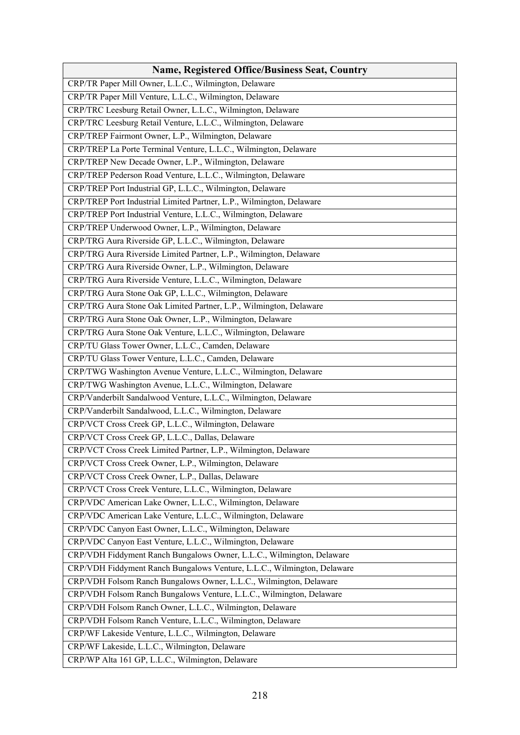| <b>Name, Registered Office/Business Seat, Country</b>                   |
|-------------------------------------------------------------------------|
| CRP/TR Paper Mill Owner, L.L.C., Wilmington, Delaware                   |
| CRP/TR Paper Mill Venture, L.L.C., Wilmington, Delaware                 |
| CRP/TRC Leesburg Retail Owner, L.L.C., Wilmington, Delaware             |
| CRP/TRC Leesburg Retail Venture, L.L.C., Wilmington, Delaware           |
| CRP/TREP Fairmont Owner, L.P., Wilmington, Delaware                     |
| CRP/TREP La Porte Terminal Venture, L.L.C., Wilmington, Delaware        |
| CRP/TREP New Decade Owner, L.P., Wilmington, Delaware                   |
| CRP/TREP Pederson Road Venture, L.L.C., Wilmington, Delaware            |
| CRP/TREP Port Industrial GP, L.L.C., Wilmington, Delaware               |
| CRP/TREP Port Industrial Limited Partner, L.P., Wilmington, Delaware    |
| CRP/TREP Port Industrial Venture, L.L.C., Wilmington, Delaware          |
| CRP/TREP Underwood Owner, L.P., Wilmington, Delaware                    |
| CRP/TRG Aura Riverside GP, L.L.C., Wilmington, Delaware                 |
| CRP/TRG Aura Riverside Limited Partner, L.P., Wilmington, Delaware      |
| CRP/TRG Aura Riverside Owner, L.P., Wilmington, Delaware                |
| CRP/TRG Aura Riverside Venture, L.L.C., Wilmington, Delaware            |
| CRP/TRG Aura Stone Oak GP, L.L.C., Wilmington, Delaware                 |
| CRP/TRG Aura Stone Oak Limited Partner, L.P., Wilmington, Delaware      |
| CRP/TRG Aura Stone Oak Owner, L.P., Wilmington, Delaware                |
| CRP/TRG Aura Stone Oak Venture, L.L.C., Wilmington, Delaware            |
| CRP/TU Glass Tower Owner, L.L.C., Camden, Delaware                      |
| CRP/TU Glass Tower Venture, L.L.C., Camden, Delaware                    |
| CRP/TWG Washington Avenue Venture, L.L.C., Wilmington, Delaware         |
| CRP/TWG Washington Avenue, L.L.C., Wilmington, Delaware                 |
| CRP/Vanderbilt Sandalwood Venture, L.L.C., Wilmington, Delaware         |
| CRP/Vanderbilt Sandalwood, L.L.C., Wilmington, Delaware                 |
| CRP/VCT Cross Creek GP, L.L.C., Wilmington, Delaware                    |
| CRP/VCT Cross Creek GP, L.L.C., Dallas, Delaware                        |
| CRP/VCT Cross Creek Limited Partner, L.P., Wilmington, Delaware         |
| CRP/VCT Cross Creek Owner, L.P., Wilmington, Delaware                   |
| CRP/VCT Cross Creek Owner, L.P., Dallas, Delaware                       |
| CRP/VCT Cross Creek Venture, L.L.C., Wilmington, Delaware               |
| CRP/VDC American Lake Owner, L.L.C., Wilmington, Delaware               |
| CRP/VDC American Lake Venture, L.L.C., Wilmington, Delaware             |
| CRP/VDC Canyon East Owner, L.L.C., Wilmington, Delaware                 |
| CRP/VDC Canyon East Venture, L.L.C., Wilmington, Delaware               |
| CRP/VDH Fiddyment Ranch Bungalows Owner, L.L.C., Wilmington, Delaware   |
| CRP/VDH Fiddyment Ranch Bungalows Venture, L.L.C., Wilmington, Delaware |
| CRP/VDH Folsom Ranch Bungalows Owner, L.L.C., Wilmington, Delaware      |
| CRP/VDH Folsom Ranch Bungalows Venture, L.L.C., Wilmington, Delaware    |
| CRP/VDH Folsom Ranch Owner, L.L.C., Wilmington, Delaware                |
| CRP/VDH Folsom Ranch Venture, L.L.C., Wilmington, Delaware              |
| CRP/WF Lakeside Venture, L.L.C., Wilmington, Delaware                   |
| CRP/WF Lakeside, L.L.C., Wilmington, Delaware                           |
| CRP/WP Alta 161 GP, L.L.C., Wilmington, Delaware                        |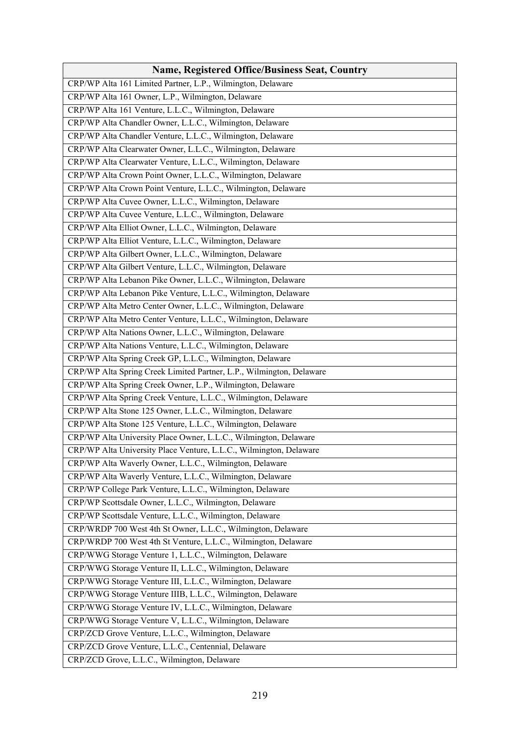| <b>Name, Registered Office/Business Seat, Country</b>                |
|----------------------------------------------------------------------|
| CRP/WP Alta 161 Limited Partner, L.P., Wilmington, Delaware          |
| CRP/WP Alta 161 Owner, L.P., Wilmington, Delaware                    |
| CRP/WP Alta 161 Venture, L.L.C., Wilmington, Delaware                |
| CRP/WP Alta Chandler Owner, L.L.C., Wilmington, Delaware             |
| CRP/WP Alta Chandler Venture, L.L.C., Wilmington, Delaware           |
| CRP/WP Alta Clearwater Owner, L.L.C., Wilmington, Delaware           |
| CRP/WP Alta Clearwater Venture, L.L.C., Wilmington, Delaware         |
| CRP/WP Alta Crown Point Owner, L.L.C., Wilmington, Delaware          |
| CRP/WP Alta Crown Point Venture, L.L.C., Wilmington, Delaware        |
| CRP/WP Alta Cuvee Owner, L.L.C., Wilmington, Delaware                |
| CRP/WP Alta Cuvee Venture, L.L.C., Wilmington, Delaware              |
| CRP/WP Alta Elliot Owner, L.L.C., Wilmington, Delaware               |
| CRP/WP Alta Elliot Venture, L.L.C., Wilmington, Delaware             |
| CRP/WP Alta Gilbert Owner, L.L.C., Wilmington, Delaware              |
| CRP/WP Alta Gilbert Venture, L.L.C., Wilmington, Delaware            |
| CRP/WP Alta Lebanon Pike Owner, L.L.C., Wilmington, Delaware         |
| CRP/WP Alta Lebanon Pike Venture, L.L.C., Wilmington, Delaware       |
| CRP/WP Alta Metro Center Owner, L.L.C., Wilmington, Delaware         |
| CRP/WP Alta Metro Center Venture, L.L.C., Wilmington, Delaware       |
| CRP/WP Alta Nations Owner, L.L.C., Wilmington, Delaware              |
| CRP/WP Alta Nations Venture, L.L.C., Wilmington, Delaware            |
| CRP/WP Alta Spring Creek GP, L.L.C., Wilmington, Delaware            |
| CRP/WP Alta Spring Creek Limited Partner, L.P., Wilmington, Delaware |
| CRP/WP Alta Spring Creek Owner, L.P., Wilmington, Delaware           |
| CRP/WP Alta Spring Creek Venture, L.L.C., Wilmington, Delaware       |
| CRP/WP Alta Stone 125 Owner, L.L.C., Wilmington, Delaware            |
| CRP/WP Alta Stone 125 Venture, L.L.C., Wilmington, Delaware          |
| CRP/WP Alta University Place Owner, L.L.C., Wilmington, Delaware     |
| CRP/WP Alta University Place Venture, L.L.C., Wilmington, Delaware   |
| CRP/WP Alta Waverly Owner, L.L.C., Wilmington, Delaware              |
| CRP/WP Alta Waverly Venture, L.L.C., Wilmington, Delaware            |
| CRP/WP College Park Venture, L.L.C., Wilmington, Delaware            |
| CRP/WP Scottsdale Owner, L.L.C., Wilmington, Delaware                |
| CRP/WP Scottsdale Venture, L.L.C., Wilmington, Delaware              |
| CRP/WRDP 700 West 4th St Owner, L.L.C., Wilmington, Delaware         |
| CRP/WRDP 700 West 4th St Venture, L.L.C., Wilmington, Delaware       |
| CRP/WWG Storage Venture 1, L.L.C., Wilmington, Delaware              |
| CRP/WWG Storage Venture II, L.L.C., Wilmington, Delaware             |
| CRP/WWG Storage Venture III, L.L.C., Wilmington, Delaware            |
| CRP/WWG Storage Venture IIIB, L.L.C., Wilmington, Delaware           |
| CRP/WWG Storage Venture IV, L.L.C., Wilmington, Delaware             |
| CRP/WWG Storage Venture V, L.L.C., Wilmington, Delaware              |
| CRP/ZCD Grove Venture, L.L.C., Wilmington, Delaware                  |
| CRP/ZCD Grove Venture, L.L.C., Centennial, Delaware                  |
| CRP/ZCD Grove, L.L.C., Wilmington, Delaware                          |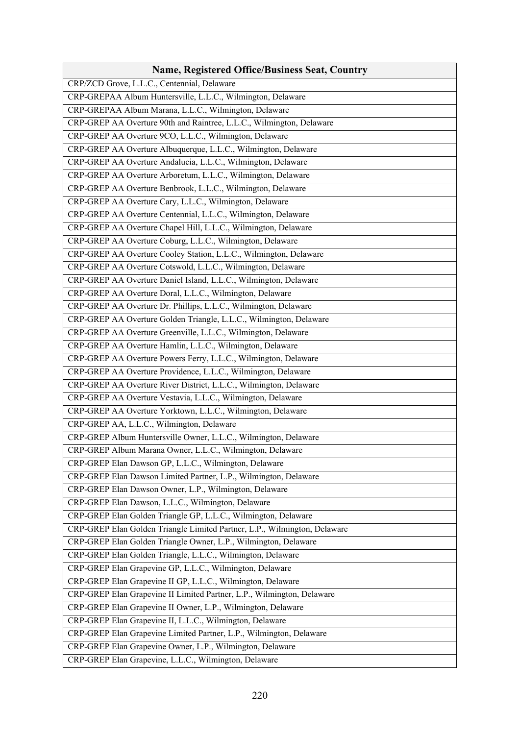| Name, Registered Office/Business Seat, Country                            |
|---------------------------------------------------------------------------|
| CRP/ZCD Grove, L.L.C., Centennial, Delaware                               |
| CRP-GREPAA Album Huntersville, L.L.C., Wilmington, Delaware               |
| CRP-GREPAA Album Marana, L.L.C., Wilmington, Delaware                     |
| CRP-GREP AA Overture 90th and Raintree, L.L.C., Wilmington, Delaware      |
| CRP-GREP AA Overture 9CO, L.L.C., Wilmington, Delaware                    |
| CRP-GREP AA Overture Albuquerque, L.L.C., Wilmington, Delaware            |
| CRP-GREP AA Overture Andalucia, L.L.C., Wilmington, Delaware              |
| CRP-GREP AA Overture Arboretum, L.L.C., Wilmington, Delaware              |
| CRP-GREP AA Overture Benbrook, L.L.C., Wilmington, Delaware               |
| CRP-GREP AA Overture Cary, L.L.C., Wilmington, Delaware                   |
| CRP-GREP AA Overture Centennial, L.L.C., Wilmington, Delaware             |
| CRP-GREP AA Overture Chapel Hill, L.L.C., Wilmington, Delaware            |
| CRP-GREP AA Overture Coburg, L.L.C., Wilmington, Delaware                 |
| CRP-GREP AA Overture Cooley Station, L.L.C., Wilmington, Delaware         |
| CRP-GREP AA Overture Cotswold, L.L.C., Wilmington, Delaware               |
| CRP-GREP AA Overture Daniel Island, L.L.C., Wilmington, Delaware          |
| CRP-GREP AA Overture Doral, L.L.C., Wilmington, Delaware                  |
| CRP-GREP AA Overture Dr. Phillips, L.L.C., Wilmington, Delaware           |
| CRP-GREP AA Overture Golden Triangle, L.L.C., Wilmington, Delaware        |
| CRP-GREP AA Overture Greenville, L.L.C., Wilmington, Delaware             |
| CRP-GREP AA Overture Hamlin, L.L.C., Wilmington, Delaware                 |
| CRP-GREP AA Overture Powers Ferry, L.L.C., Wilmington, Delaware           |
| CRP-GREP AA Overture Providence, L.L.C., Wilmington, Delaware             |
| CRP-GREP AA Overture River District, L.L.C., Wilmington, Delaware         |
| CRP-GREP AA Overture Vestavia, L.L.C., Wilmington, Delaware               |
| CRP-GREP AA Overture Yorktown, L.L.C., Wilmington, Delaware               |
| CRP-GREP AA, L.L.C., Wilmington, Delaware                                 |
| CRP-GREP Album Huntersville Owner, L.L.C., Wilmington, Delaware           |
| CRP-GREP Album Marana Owner, L.L.C., Wilmington, Delaware                 |
| CRP-GREP Elan Dawson GP, L.L.C., Wilmington, Delaware                     |
| CRP-GREP Elan Dawson Limited Partner, L.P., Wilmington, Delaware          |
| CRP-GREP Elan Dawson Owner, L.P., Wilmington, Delaware                    |
| CRP-GREP Elan Dawson, L.L.C., Wilmington, Delaware                        |
| CRP-GREP Elan Golden Triangle GP, L.L.C., Wilmington, Delaware            |
| CRP-GREP Elan Golden Triangle Limited Partner, L.P., Wilmington, Delaware |
| CRP-GREP Elan Golden Triangle Owner, L.P., Wilmington, Delaware           |
| CRP-GREP Elan Golden Triangle, L.L.C., Wilmington, Delaware               |
| CRP-GREP Elan Grapevine GP, L.L.C., Wilmington, Delaware                  |
| CRP-GREP Elan Grapevine II GP, L.L.C., Wilmington, Delaware               |
| CRP-GREP Elan Grapevine II Limited Partner, L.P., Wilmington, Delaware    |
| CRP-GREP Elan Grapevine II Owner, L.P., Wilmington, Delaware              |
| CRP-GREP Elan Grapevine II, L.L.C., Wilmington, Delaware                  |
| CRP-GREP Elan Grapevine Limited Partner, L.P., Wilmington, Delaware       |
| CRP-GREP Elan Grapevine Owner, L.P., Wilmington, Delaware                 |
| CRP-GREP Elan Grapevine, L.L.C., Wilmington, Delaware                     |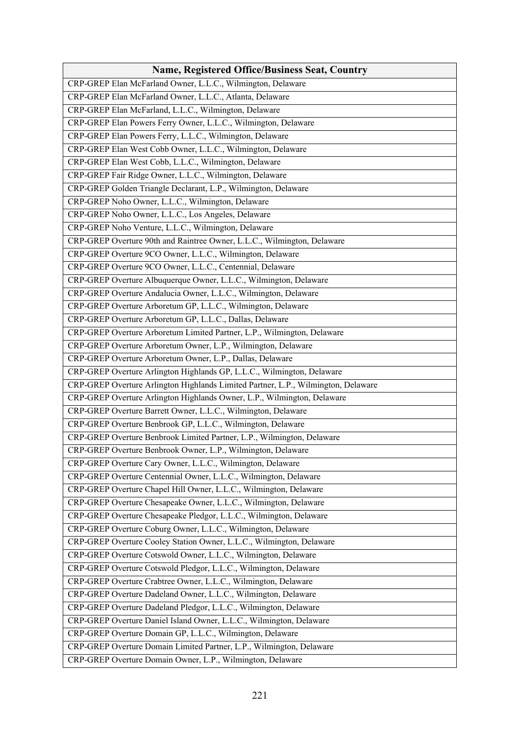| <b>Name, Registered Office/Business Seat, Country</b>                             |
|-----------------------------------------------------------------------------------|
| CRP-GREP Elan McFarland Owner, L.L.C., Wilmington, Delaware                       |
| CRP-GREP Elan McFarland Owner, L.L.C., Atlanta, Delaware                          |
| CRP-GREP Elan McFarland, L.L.C., Wilmington, Delaware                             |
| CRP-GREP Elan Powers Ferry Owner, L.L.C., Wilmington, Delaware                    |
| CRP-GREP Elan Powers Ferry, L.L.C., Wilmington, Delaware                          |
| CRP-GREP Elan West Cobb Owner, L.L.C., Wilmington, Delaware                       |
| CRP-GREP Elan West Cobb, L.L.C., Wilmington, Delaware                             |
| CRP-GREP Fair Ridge Owner, L.L.C., Wilmington, Delaware                           |
| CRP-GREP Golden Triangle Declarant, L.P., Wilmington, Delaware                    |
| CRP-GREP Noho Owner, L.L.C., Wilmington, Delaware                                 |
| CRP-GREP Noho Owner, L.L.C., Los Angeles, Delaware                                |
| CRP-GREP Noho Venture, L.L.C., Wilmington, Delaware                               |
| CRP-GREP Overture 90th and Raintree Owner, L.L.C., Wilmington, Delaware           |
| CRP-GREP Overture 9CO Owner, L.L.C., Wilmington, Delaware                         |
| CRP-GREP Overture 9CO Owner, L.L.C., Centennial, Delaware                         |
| CRP-GREP Overture Albuquerque Owner, L.L.C., Wilmington, Delaware                 |
| CRP-GREP Overture Andalucia Owner, L.L.C., Wilmington, Delaware                   |
| CRP-GREP Overture Arboretum GP, L.L.C., Wilmington, Delaware                      |
| CRP-GREP Overture Arboretum GP, L.L.C., Dallas, Delaware                          |
| CRP-GREP Overture Arboretum Limited Partner, L.P., Wilmington, Delaware           |
| CRP-GREP Overture Arboretum Owner, L.P., Wilmington, Delaware                     |
| CRP-GREP Overture Arboretum Owner, L.P., Dallas, Delaware                         |
| CRP-GREP Overture Arlington Highlands GP, L.L.C., Wilmington, Delaware            |
| CRP-GREP Overture Arlington Highlands Limited Partner, L.P., Wilmington, Delaware |
| CRP-GREP Overture Arlington Highlands Owner, L.P., Wilmington, Delaware           |
| CRP-GREP Overture Barrett Owner, L.L.C., Wilmington, Delaware                     |
| CRP-GREP Overture Benbrook GP, L.L.C., Wilmington, Delaware                       |
| CRP-GREP Overture Benbrook Limited Partner, L.P., Wilmington, Delaware            |
| CRP-GREP Overture Benbrook Owner, L.P., Wilmington, Delaware                      |
| CRP-GREP Overture Cary Owner, L.L.C., Wilmington, Delaware                        |
| CRP-GREP Overture Centennial Owner, L.L.C., Wilmington, Delaware                  |
| CRP-GREP Overture Chapel Hill Owner, L.L.C., Wilmington, Delaware                 |
| CRP-GREP Overture Chesapeake Owner, L.L.C., Wilmington, Delaware                  |
| CRP-GREP Overture Chesapeake Pledgor, L.L.C., Wilmington, Delaware                |
| CRP-GREP Overture Coburg Owner, L.L.C., Wilmington, Delaware                      |
| CRP-GREP Overture Cooley Station Owner, L.L.C., Wilmington, Delaware              |
| CRP-GREP Overture Cotswold Owner, L.L.C., Wilmington, Delaware                    |
| CRP-GREP Overture Cotswold Pledgor, L.L.C., Wilmington, Delaware                  |
| CRP-GREP Overture Crabtree Owner, L.L.C., Wilmington, Delaware                    |
| CRP-GREP Overture Dadeland Owner, L.L.C., Wilmington, Delaware                    |
| CRP-GREP Overture Dadeland Pledgor, L.L.C., Wilmington, Delaware                  |
| CRP-GREP Overture Daniel Island Owner, L.L.C., Wilmington, Delaware               |
| CRP-GREP Overture Domain GP, L.L.C., Wilmington, Delaware                         |
| CRP-GREP Overture Domain Limited Partner, L.P., Wilmington, Delaware              |
| CRP-GREP Overture Domain Owner, L.P., Wilmington, Delaware                        |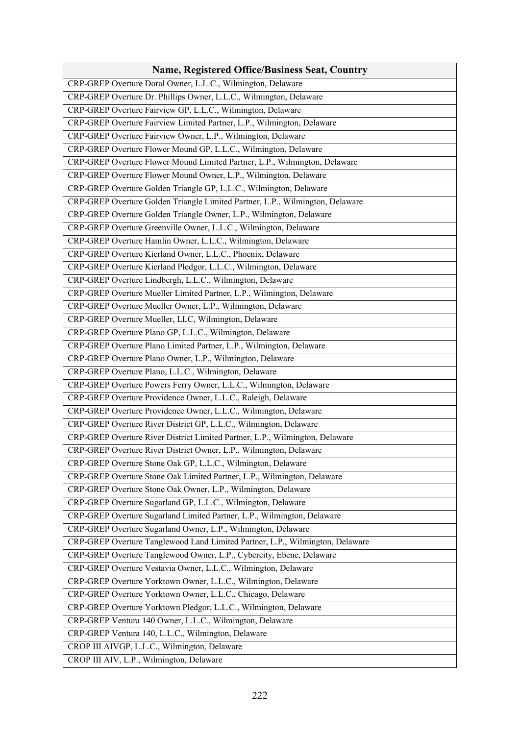| <b>Name, Registered Office/Business Seat, Country</b>                         |
|-------------------------------------------------------------------------------|
| CRP-GREP Overture Doral Owner, L.L.C., Wilmington, Delaware                   |
| CRP-GREP Overture Dr. Phillips Owner, L.L.C., Wilmington, Delaware            |
| CRP-GREP Overture Fairview GP, L.L.C., Wilmington, Delaware                   |
| CRP-GREP Overture Fairview Limited Partner, L.P., Wilmington, Delaware        |
| CRP-GREP Overture Fairview Owner, L.P., Wilmington, Delaware                  |
| CRP-GREP Overture Flower Mound GP, L.L.C., Wilmington, Delaware               |
| CRP-GREP Overture Flower Mound Limited Partner, L.P., Wilmington, Delaware    |
| CRP-GREP Overture Flower Mound Owner, L.P., Wilmington, Delaware              |
| CRP-GREP Overture Golden Triangle GP, L.L.C., Wilmington, Delaware            |
| CRP-GREP Overture Golden Triangle Limited Partner, L.P., Wilmington, Delaware |
| CRP-GREP Overture Golden Triangle Owner, L.P., Wilmington, Delaware           |
| CRP-GREP Overture Greenville Owner, L.L.C., Wilmington, Delaware              |
| CRP-GREP Overture Hamlin Owner, L.L.C., Wilmington, Delaware                  |
| CRP-GREP Overture Kierland Owner, L.L.C., Phoenix, Delaware                   |
| CRP-GREP Overture Kierland Pledgor, L.L.C., Wilmington, Delaware              |
| CRP-GREP Overture Lindbergh, L.L.C., Wilmington, Delaware                     |
| CRP-GREP Overture Mueller Limited Partner, L.P., Wilmington, Delaware         |
| CRP-GREP Overture Mueller Owner, L.P., Wilmington, Delaware                   |
| CRP-GREP Overture Mueller, LLC, Wilmington, Delaware                          |
| CRP-GREP Overture Plano GP, L.L.C., Wilmington, Delaware                      |
| CRP-GREP Overture Plano Limited Partner, L.P., Wilmington, Delaware           |
| CRP-GREP Overture Plano Owner, L.P., Wilmington, Delaware                     |
| CRP-GREP Overture Plano, L.L.C., Wilmington, Delaware                         |
| CRP-GREP Overture Powers Ferry Owner, L.L.C., Wilmington, Delaware            |
| CRP-GREP Overture Providence Owner, L.L.C., Raleigh, Delaware                 |
| CRP-GREP Overture Providence Owner, L.L.C., Wilmington, Delaware              |
| CRP-GREP Overture River District GP, L.L.C., Wilmington, Delaware             |
| CRP-GREP Overture River District Limited Partner, L.P., Wilmington, Delaware  |
| CRP-GREP Overture River District Owner, L.P., Wilmington, Delaware            |
| CRP-GREP Overture Stone Oak GP, L.L.C., Wilmington, Delaware                  |
| CRP-GREP Overture Stone Oak Limited Partner, L.P., Wilmington, Delaware       |
| CRP-GREP Overture Stone Oak Owner, L.P., Wilmington, Delaware                 |
| CRP-GREP Overture Sugarland GP, L.L.C., Wilmington, Delaware                  |
| CRP-GREP Overture Sugarland Limited Partner, L.P., Wilmington, Delaware       |
| CRP-GREP Overture Sugarland Owner, L.P., Wilmington, Delaware                 |
| CRP-GREP Overture Tanglewood Land Limited Partner, L.P., Wilmington, Delaware |
| CRP-GREP Overture Tanglewood Owner, L.P., Cybercity, Ebene, Delaware          |
| CRP-GREP Overture Vestavia Owner, L.L.C., Wilmington, Delaware                |
| CRP-GREP Overture Yorktown Owner, L.L.C., Wilmington, Delaware                |
| CRP-GREP Overture Yorktown Owner, L.L.C., Chicago, Delaware                   |
| CRP-GREP Overture Yorktown Pledgor, L.L.C., Wilmington, Delaware              |
| CRP-GREP Ventura 140 Owner, L.L.C., Wilmington, Delaware                      |
| CRP-GREP Ventura 140, L.L.C., Wilmington, Delaware                            |
| CROP III AIVGP, L.L.C., Wilmington, Delaware                                  |
| CROP III AIV, L.P., Wilmington, Delaware                                      |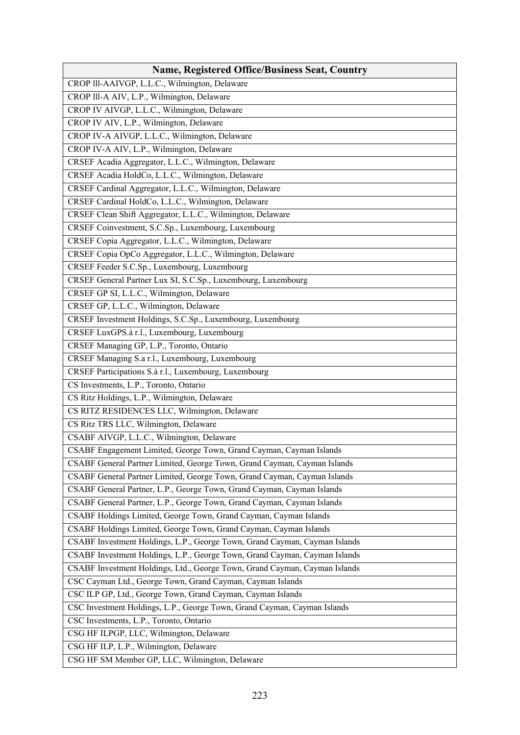| <b>Name, Registered Office/Business Seat, Country</b>                      |
|----------------------------------------------------------------------------|
| CROP III-AAIVGP, L.L.C., Wilmington, Delaware                              |
| CROP III-A AIV, L.P., Wilmington, Delaware                                 |
| CROP IV AIVGP, L.L.C., Wilmington, Delaware                                |
| CROP IV AIV, L.P., Wilmington, Delaware                                    |
| CROP IV-A AIVGP, L.L.C., Wilmington, Delaware                              |
| CROP IV-A AIV, L.P., Wilmington, Delaware                                  |
| CRSEF Acadia Aggregator, L.L.C., Wilmington, Delaware                      |
| CRSEF Acadia HoldCo, L.L.C., Wilmington, Delaware                          |
| CRSEF Cardinal Aggregator, L.L.C., Wilmington, Delaware                    |
| CRSEF Cardinal HoldCo, L.L.C., Wilmington, Delaware                        |
| CRSEF Clean Shift Aggregator, L.L.C., Wilmington, Delaware                 |
| CRSEF Coinvestment, S.C.Sp., Luxembourg, Luxembourg                        |
| CRSEF Copia Aggregator, L.L.C., Wilmington, Delaware                       |
| CRSEF Copia OpCo Aggregator, L.L.C., Wilmington, Delaware                  |
| CRSEF Feeder S.C.Sp., Luxembourg, Luxembourg                               |
| CRSEF General Partner Lux SI, S.C.Sp., Luxembourg, Luxembourg              |
| CRSEF GP SI, L.L.C., Wilmington, Delaware                                  |
| CRSEF GP, L.L.C., Wilmington, Delaware                                     |
| CRSEF Investment Holdings, S.C.Sp., Luxembourg, Luxembourg                 |
| CRSEF LuxGPS.à r.l., Luxembourg, Luxembourg                                |
| CRSEF Managing GP, L.P., Toronto, Ontario                                  |
| CRSEF Managing S.a r.l., Luxembourg, Luxembourg                            |
| CRSEF Participations S.à r.l., Luxembourg, Luxembourg                      |
| CS Investments, L.P., Toronto, Ontario                                     |
| CS Ritz Holdings, L.P., Wilmington, Delaware                               |
| CS RITZ RESIDENCES LLC, Wilmington, Delaware                               |
| CS Ritz TRS LLC, Wilmington, Delaware                                      |
| CSABF AIVGP, L.L.C., Wilmington, Delaware                                  |
| CSABF Engagement Limited, George Town, Grand Cayman, Cayman Islands        |
| CSABF General Partner Limited, George Town, Grand Cayman, Cayman Islands   |
| CSABF General Partner Limited, George Town, Grand Cayman, Cayman Islands   |
| CSABF General Partner, L.P., George Town, Grand Cayman, Cayman Islands     |
| CSABF General Partner, L.P., George Town, Grand Cayman, Cayman Islands     |
| CSABF Holdings Limited, George Town, Grand Cayman, Cayman Islands          |
| CSABF Holdings Limited, George Town, Grand Cayman, Cayman Islands          |
| CSABF Investment Holdings, L.P., George Town, Grand Cayman, Cayman Islands |
| CSABF Investment Holdings, L.P., George Town, Grand Cayman, Cayman Islands |
| CSABF Investment Holdings, Ltd., George Town, Grand Cayman, Cayman Islands |
| CSC Cayman Ltd., George Town, Grand Cayman, Cayman Islands                 |
| CSC ILP GP, Ltd., George Town, Grand Cayman, Cayman Islands                |
| CSC Investment Holdings, L.P., George Town, Grand Cayman, Cayman Islands   |
| CSC Investments, L.P., Toronto, Ontario                                    |
| CSG HF ILPGP, LLC, Wilmington, Delaware                                    |
| CSG HF ILP, L.P., Wilmington, Delaware                                     |
| CSG HF SM Member GP, LLC, Wilmington, Delaware                             |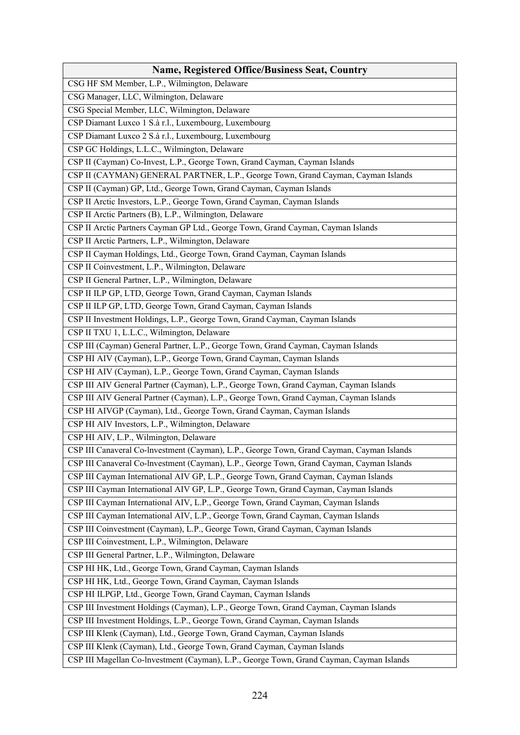| <b>Name, Registered Office/Business Seat, Country</b>                                     |
|-------------------------------------------------------------------------------------------|
| CSG HF SM Member, L.P., Wilmington, Delaware                                              |
| CSG Manager, LLC, Wilmington, Delaware                                                    |
| CSG Special Member, LLC, Wilmington, Delaware                                             |
| CSP Diamant Luxco 1 S.à r.l., Luxembourg, Luxembourg                                      |
| CSP Diamant Luxco 2 S.à r.l., Luxembourg, Luxembourg                                      |
| CSP GC Holdings, L.L.C., Wilmington, Delaware                                             |
| CSP II (Cayman) Co-Invest, L.P., George Town, Grand Cayman, Cayman Islands                |
| CSP II (CAYMAN) GENERAL PARTNER, L.P., George Town, Grand Cayman, Cayman Islands          |
| CSP II (Cayman) GP, Ltd., George Town, Grand Cayman, Cayman Islands                       |
| CSP II Arctic Investors, L.P., George Town, Grand Cayman, Cayman Islands                  |
| CSP II Arctic Partners (B), L.P., Wilmington, Delaware                                    |
| CSP II Arctic Partners Cayman GP Ltd., George Town, Grand Cayman, Cayman Islands          |
| CSP II Arctic Partners, L.P., Wilmington, Delaware                                        |
| CSP II Cayman Holdings, Ltd., George Town, Grand Cayman, Cayman Islands                   |
| CSP II Coinvestment, L.P., Wilmington, Delaware                                           |
| CSP II General Partner, L.P., Wilmington, Delaware                                        |
| CSP II ILP GP, LTD, George Town, Grand Cayman, Cayman Islands                             |
| CSP II ILP GP, LTD, George Town, Grand Cayman, Cayman Islands                             |
| CSP II Investment Holdings, L.P., George Town, Grand Cayman, Cayman Islands               |
| CSP II TXU 1, L.L.C., Wilmington, Delaware                                                |
| CSP III (Cayman) General Partner, L.P., George Town, Grand Cayman, Cayman Islands         |
| CSP HI AIV (Cayman), L.P., George Town, Grand Cayman, Cayman Islands                      |
| CSP HI AIV (Cayman), L.P., George Town, Grand Cayman, Cayman Islands                      |
| CSP III AIV General Partner (Cayman), L.P., George Town, Grand Cayman, Cayman Islands     |
| CSP III AIV General Partner (Cayman), L.P., George Town, Grand Cayman, Cayman Islands     |
| CSP HI AIVGP (Cayman), Ltd., George Town, Grand Cayman, Cayman Islands                    |
| CSP HI AIV Investors, L.P., Wilmington, Delaware                                          |
| CSP HI AIV, L.P., Wilmington, Delaware                                                    |
| CSP III Canaveral Co-lnvestment (Cayman), L.P., George Town, Grand Cayman, Cayman Islands |
| CSP III Canaveral Co-lnvestment (Cayman), L.P., George Town, Grand Cayman, Cayman Islands |
| CSP III Cayman International AIV GP, L.P., George Town, Grand Cayman, Cayman Islands      |
| CSP III Cayman International AIV GP, L.P., George Town, Grand Cayman, Cayman Islands      |
| CSP III Cayman International AIV, L.P., George Town, Grand Cayman, Cayman Islands         |
| CSP III Cayman International AIV, L.P., George Town, Grand Cayman, Cayman Islands         |
| CSP III Coinvestment (Cayman), L.P., George Town, Grand Cayman, Cayman Islands            |
| CSP III Coinvestment, L.P., Wilmington, Delaware                                          |
| CSP III General Partner, L.P., Wilmington, Delaware                                       |
| CSP HI HK, Ltd., George Town, Grand Cayman, Cayman Islands                                |
| CSP HI HK, Ltd., George Town, Grand Cayman, Cayman Islands                                |
| CSP HI ILPGP, Ltd., George Town, Grand Cayman, Cayman Islands                             |
| CSP III Investment Holdings (Cayman), L.P., George Town, Grand Cayman, Cayman Islands     |
| CSP III Investment Holdings, L.P., George Town, Grand Cayman, Cayman Islands              |
| CSP III Klenk (Cayman), Ltd., George Town, Grand Cayman, Cayman Islands                   |
| CSP III Klenk (Cayman), Ltd., George Town, Grand Cayman, Cayman Islands                   |
| CSP III Magellan Co-lnvestment (Cayman), L.P., George Town, Grand Cayman, Cayman Islands  |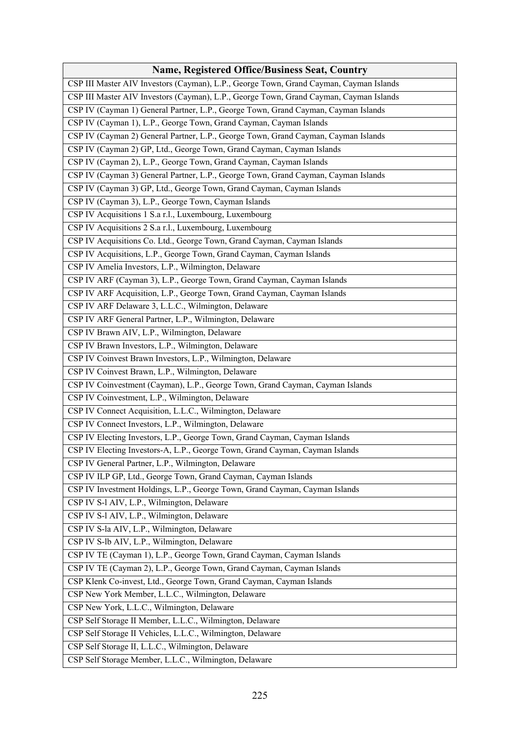| <b>Name, Registered Office/Business Seat, Country</b>                                  |
|----------------------------------------------------------------------------------------|
| CSP III Master AIV Investors (Cayman), L.P., George Town, Grand Cayman, Cayman Islands |
| CSP III Master AIV Investors (Cayman), L.P., George Town, Grand Cayman, Cayman Islands |
| CSP IV (Cayman 1) General Partner, L.P., George Town, Grand Cayman, Cayman Islands     |
| CSP IV (Cayman 1), L.P., George Town, Grand Cayman, Cayman Islands                     |
| CSP IV (Cayman 2) General Partner, L.P., George Town, Grand Cayman, Cayman Islands     |
| CSP IV (Cayman 2) GP, Ltd., George Town, Grand Cayman, Cayman Islands                  |
| CSP IV (Cayman 2), L.P., George Town, Grand Cayman, Cayman Islands                     |
| CSP IV (Cayman 3) General Partner, L.P., George Town, Grand Cayman, Cayman Islands     |
| CSP IV (Cayman 3) GP, Ltd., George Town, Grand Cayman, Cayman Islands                  |
| CSP IV (Cayman 3), L.P., George Town, Cayman Islands                                   |
| CSP IV Acquisitions 1 S.a r.l., Luxembourg, Luxembourg                                 |
| CSP IV Acquisitions 2 S.a r.l., Luxembourg, Luxembourg                                 |
| CSP IV Acquisitions Co. Ltd., George Town, Grand Cayman, Cayman Islands                |
| CSP IV Acquisitions, L.P., George Town, Grand Cayman, Cayman Islands                   |
| CSP IV Amelia Investors, L.P., Wilmington, Delaware                                    |
| CSP IV ARF (Cayman 3), L.P., George Town, Grand Cayman, Cayman Islands                 |
| CSP IV ARF Acquisition, L.P., George Town, Grand Cayman, Cayman Islands                |
| CSP IV ARF Delaware 3, L.L.C., Wilmington, Delaware                                    |
| CSP IV ARF General Partner, L.P., Wilmington, Delaware                                 |
| CSP IV Brawn AIV, L.P., Wilmington, Delaware                                           |
| CSP IV Brawn Investors, L.P., Wilmington, Delaware                                     |
| CSP IV Coinvest Brawn Investors, L.P., Wilmington, Delaware                            |
| CSP IV Coinvest Brawn, L.P., Wilmington, Delaware                                      |
| CSP IV Coinvestment (Cayman), L.P., George Town, Grand Cayman, Cayman Islands          |
| CSP IV Coinvestment, L.P., Wilmington, Delaware                                        |
| CSP IV Connect Acquisition, L.L.C., Wilmington, Delaware                               |
| CSP IV Connect Investors, L.P., Wilmington, Delaware                                   |
| CSP IV Electing Investors, L.P., George Town, Grand Cayman, Cayman Islands             |
| CSP IV Electing Investors-A, L.P., George Town, Grand Cayman, Cayman Islands           |
| CSP IV General Partner, L.P., Wilmington, Delaware                                     |
| CSP IV ILP GP, Ltd., George Town, Grand Cayman, Cayman Islands                         |
| CSP IV Investment Holdings, L.P., George Town, Grand Cayman, Cayman Islands            |
| CSP IV S-l AIV, L.P., Wilmington, Delaware                                             |
| CSP IV S-l AIV, L.P., Wilmington, Delaware                                             |
| CSP IV S-la AIV, L.P., Wilmington, Delaware                                            |
| CSP IV S-lb AIV, L.P., Wilmington, Delaware                                            |
| CSP IV TE (Cayman 1), L.P., George Town, Grand Cayman, Cayman Islands                  |
| CSP IV TE (Cayman 2), L.P., George Town, Grand Cayman, Cayman Islands                  |
| CSP Klenk Co-invest, Ltd., George Town, Grand Cayman, Cayman Islands                   |
| CSP New York Member, L.L.C., Wilmington, Delaware                                      |
| CSP New York, L.L.C., Wilmington, Delaware                                             |
| CSP Self Storage II Member, L.L.C., Wilmington, Delaware                               |
| CSP Self Storage II Vehicles, L.L.C., Wilmington, Delaware                             |
| CSP Self Storage II, L.L.C., Wilmington, Delaware                                      |
| CSP Self Storage Member, L.L.C., Wilmington, Delaware                                  |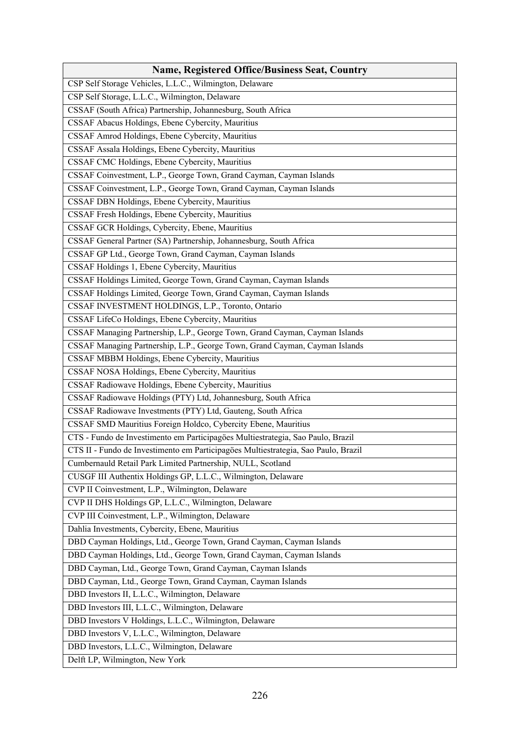| <b>Name, Registered Office/Business Seat, Country</b>                              |
|------------------------------------------------------------------------------------|
| CSP Self Storage Vehicles, L.L.C., Wilmington, Delaware                            |
| CSP Self Storage, L.L.C., Wilmington, Delaware                                     |
| CSSAF (South Africa) Partnership, Johannesburg, South Africa                       |
| CSSAF Abacus Holdings, Ebene Cybercity, Mauritius                                  |
| CSSAF Amrod Holdings, Ebene Cybercity, Mauritius                                   |
| CSSAF Assala Holdings, Ebene Cybercity, Mauritius                                  |
| CSSAF CMC Holdings, Ebene Cybercity, Mauritius                                     |
| CSSAF Coinvestment, L.P., George Town, Grand Cayman, Cayman Islands                |
| CSSAF Coinvestment, L.P., George Town, Grand Cayman, Cayman Islands                |
| CSSAF DBN Holdings, Ebene Cybercity, Mauritius                                     |
| CSSAF Fresh Holdings, Ebene Cybercity, Mauritius                                   |
| CSSAF GCR Holdings, Cybercity, Ebene, Mauritius                                    |
| CSSAF General Partner (SA) Partnership, Johannesburg, South Africa                 |
| CSSAF GP Ltd., George Town, Grand Cayman, Cayman Islands                           |
| CSSAF Holdings 1, Ebene Cybercity, Mauritius                                       |
| CSSAF Holdings Limited, George Town, Grand Cayman, Cayman Islands                  |
| CSSAF Holdings Limited, George Town, Grand Cayman, Cayman Islands                  |
| CSSAF INVESTMENT HOLDINGS, L.P., Toronto, Ontario                                  |
| CSSAF LifeCo Holdings, Ebene Cybercity, Mauritius                                  |
| CSSAF Managing Partnership, L.P., George Town, Grand Cayman, Cayman Islands        |
| CSSAF Managing Partnership, L.P., George Town, Grand Cayman, Cayman Islands        |
| CSSAF MBBM Holdings, Ebene Cybercity, Mauritius                                    |
| CSSAF NOSA Holdings, Ebene Cybercity, Mauritius                                    |
| CSSAF Radiowave Holdings, Ebene Cybercity, Mauritius                               |
| CSSAF Radiowave Holdings (PTY) Ltd, Johannesburg, South Africa                     |
| CSSAF Radiowave Investments (PTY) Ltd, Gauteng, South Africa                       |
| CSSAF SMD Mauritius Foreign Holdco, Cybercity Ebene, Mauritius                     |
| CTS - Fundo de Investimento em Participagöes Multiestrategia, Sao Paulo, Brazil    |
| CTS II - Fundo de Investimento em Participagöes Multiestrategia, Sao Paulo, Brazil |
| Cumbernauld Retail Park Limited Partnership, NULL, Scotland                        |
| CUSGF III Authentix Holdings GP, L.L.C., Wilmington, Delaware                      |
| CVP II Coinvestment, L.P., Wilmington, Delaware                                    |
| CVP II DHS Holdings GP, L.L.C., Wilmington, Delaware                               |
| CVP III Coinvestment, L.P., Wilmington, Delaware                                   |
| Dahlia Investments, Cybercity, Ebene, Mauritius                                    |
| DBD Cayman Holdings, Ltd., George Town, Grand Cayman, Cayman Islands               |
| DBD Cayman Holdings, Ltd., George Town, Grand Cayman, Cayman Islands               |
| DBD Cayman, Ltd., George Town, Grand Cayman, Cayman Islands                        |
| DBD Cayman, Ltd., George Town, Grand Cayman, Cayman Islands                        |
| DBD Investors II, L.L.C., Wilmington, Delaware                                     |
| DBD Investors III, L.L.C., Wilmington, Delaware                                    |
| DBD Investors V Holdings, L.L.C., Wilmington, Delaware                             |
| DBD Investors V, L.L.C., Wilmington, Delaware                                      |
| DBD Investors, L.L.C., Wilmington, Delaware                                        |
| Delft LP, Wilmington, New York                                                     |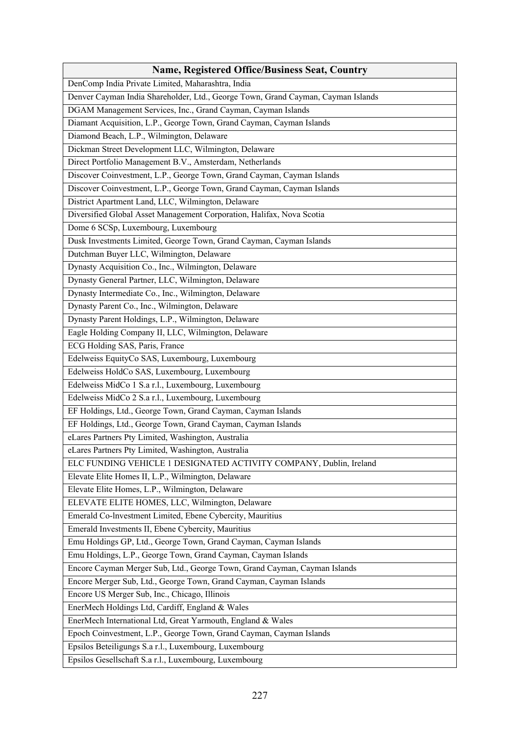| <b>Name, Registered Office/Business Seat, Country</b>                            |
|----------------------------------------------------------------------------------|
| DenComp India Private Limited, Maharashtra, India                                |
| Denver Cayman India Shareholder, Ltd., George Town, Grand Cayman, Cayman Islands |
| DGAM Management Services, Inc., Grand Cayman, Cayman Islands                     |
| Diamant Acquisition, L.P., George Town, Grand Cayman, Cayman Islands             |
| Diamond Beach, L.P., Wilmington, Delaware                                        |
| Dickman Street Development LLC, Wilmington, Delaware                             |
| Direct Portfolio Management B.V., Amsterdam, Netherlands                         |
| Discover Coinvestment, L.P., George Town, Grand Cayman, Cayman Islands           |
| Discover Coinvestment, L.P., George Town, Grand Cayman, Cayman Islands           |
| District Apartment Land, LLC, Wilmington, Delaware                               |
| Diversified Global Asset Management Corporation, Halifax, Nova Scotia            |
| Dome 6 SCSp, Luxembourg, Luxembourg                                              |
| Dusk Investments Limited, George Town, Grand Cayman, Cayman Islands              |
| Dutchman Buyer LLC, Wilmington, Delaware                                         |
| Dynasty Acquisition Co., Inc., Wilmington, Delaware                              |
| Dynasty General Partner, LLC, Wilmington, Delaware                               |
| Dynasty Intermediate Co., Inc., Wilmington, Delaware                             |
| Dynasty Parent Co., Inc., Wilmington, Delaware                                   |
| Dynasty Parent Holdings, L.P., Wilmington, Delaware                              |
| Eagle Holding Company II, LLC, Wilmington, Delaware                              |
| ECG Holding SAS, Paris, France                                                   |
| Edelweiss EquityCo SAS, Luxembourg, Luxembourg                                   |
| Edelweiss HoldCo SAS, Luxembourg, Luxembourg                                     |
| Edelweiss MidCo 1 S.a r.l., Luxembourg, Luxembourg                               |
| Edelweiss MidCo 2 S.a r.l., Luxembourg, Luxembourg                               |
| EF Holdings, Ltd., George Town, Grand Cayman, Cayman Islands                     |
| EF Holdings, Ltd., George Town, Grand Cayman, Cayman Islands                     |
| eLares Partners Pty Limited, Washington, Australia                               |
| eLares Partners Pty Limited, Washington, Australia                               |
| ELC FUNDING VEHICLE 1 DESIGNATED ACTIVITY COMPANY, Dublin, Ireland               |
| Elevate Elite Homes II, L.P., Wilmington, Delaware                               |
| Elevate Elite Homes, L.P., Wilmington, Delaware                                  |
| ELEVATE ELITE HOMES, LLC, Wilmington, Delaware                                   |
| Emerald Co-Investment Limited, Ebene Cybercity, Mauritius                        |
| Emerald Investments II, Ebene Cybercity, Mauritius                               |
| Emu Holdings GP, Ltd., George Town, Grand Cayman, Cayman Islands                 |
| Emu Holdings, L.P., George Town, Grand Cayman, Cayman Islands                    |
| Encore Cayman Merger Sub, Ltd., George Town, Grand Cayman, Cayman Islands        |
| Encore Merger Sub, Ltd., George Town, Grand Cayman, Cayman Islands               |
| Encore US Merger Sub, Inc., Chicago, Illinois                                    |
| EnerMech Holdings Ltd, Cardiff, England & Wales                                  |
| EnerMech International Ltd, Great Yarmouth, England & Wales                      |
| Epoch Coinvestment, L.P., George Town, Grand Cayman, Cayman Islands              |
| Epsilos Beteiligungs S.a r.l., Luxembourg, Luxembourg                            |
| Epsilos Gesellschaft S.a r.l., Luxembourg, Luxembourg                            |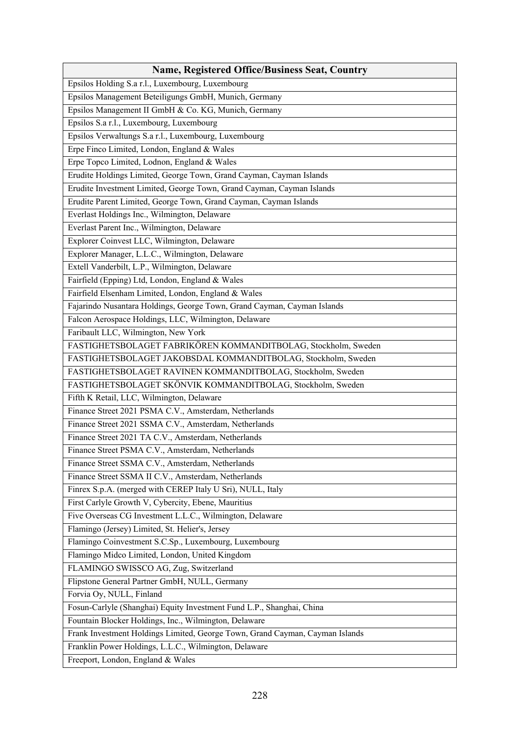| <b>Name, Registered Office/Business Seat, Country</b>                        |
|------------------------------------------------------------------------------|
| Epsilos Holding S.a r.l., Luxembourg, Luxembourg                             |
| Epsilos Management Beteiligungs GmbH, Munich, Germany                        |
| Epsilos Management II GmbH & Co. KG, Munich, Germany                         |
| Epsilos S.a r.l., Luxembourg, Luxembourg                                     |
| Epsilos Verwaltungs S.a r.l., Luxembourg, Luxembourg                         |
| Erpe Finco Limited, London, England & Wales                                  |
| Erpe Topco Limited, Lodnon, England & Wales                                  |
| Erudite Holdings Limited, George Town, Grand Cayman, Cayman Islands          |
| Erudite Investment Limited, George Town, Grand Cayman, Cayman Islands        |
| Erudite Parent Limited, George Town, Grand Cayman, Cayman Islands            |
| Everlast Holdings Inc., Wilmington, Delaware                                 |
| Everlast Parent Inc., Wilmington, Delaware                                   |
| Explorer Coinvest LLC, Wilmington, Delaware                                  |
| Explorer Manager, L.L.C., Wilmington, Delaware                               |
| Extell Vanderbilt, L.P., Wilmington, Delaware                                |
| Fairfield (Epping) Ltd, London, England & Wales                              |
| Fairfield Elsenham Limited, London, England & Wales                          |
| Fajarindo Nusantara Holdings, George Town, Grand Cayman, Cayman Islands      |
| Falcon Aerospace Holdings, LLC, Wilmington, Delaware                         |
| Faribault LLC, Wilmington, New York                                          |
| FASTIGHETSBOLAGET FABRIKÖREN KOMMANDITBOLAG, Stockholm, Sweden               |
| FASTIGHETSBOLAGET JAKOBSDAL KOMMANDITBOLAG, Stockholm, Sweden                |
| FASTIGHETSBOLAGET RAVINEN KOMMANDITBOLAG, Stockholm, Sweden                  |
| FASTIGHETSBOLAGET SKÖNVIK KOMMANDITBOLAG, Stockholm, Sweden                  |
| Fifth K Retail, LLC, Wilmington, Delaware                                    |
| Finance Street 2021 PSMA C.V., Amsterdam, Netherlands                        |
| Finance Street 2021 SSMA C.V., Amsterdam, Netherlands                        |
| Finance Street 2021 TA C.V., Amsterdam, Netherlands                          |
| Finance Street PSMA C.V., Amsterdam, Netherlands                             |
| Finance Street SSMA C.V., Amsterdam, Netherlands                             |
| Finance Street SSMA II C.V., Amsterdam, Netherlands                          |
| Finrex S.p.A. (merged with CEREP Italy U Sri), NULL, Italy                   |
| First Carlyle Growth V, Cybercity, Ebene, Mauritius                          |
| Five Overseas CG Investment L.L.C., Wilmington, Delaware                     |
| Flamingo (Jersey) Limited, St. Helier's, Jersey                              |
| Flamingo Coinvestment S.C.Sp., Luxembourg, Luxembourg                        |
| Flamingo Midco Limited, London, United Kingdom                               |
| FLAMINGO SWISSCO AG, Zug, Switzerland                                        |
| Flipstone General Partner GmbH, NULL, Germany                                |
| Forvia Oy, NULL, Finland                                                     |
| Fosun-Carlyle (Shanghai) Equity Investment Fund L.P., Shanghai, China        |
| Fountain Blocker Holdings, Inc., Wilmington, Delaware                        |
| Frank Investment Holdings Limited, George Town, Grand Cayman, Cayman Islands |
| Franklin Power Holdings, L.L.C., Wilmington, Delaware                        |
| Freeport, London, England & Wales                                            |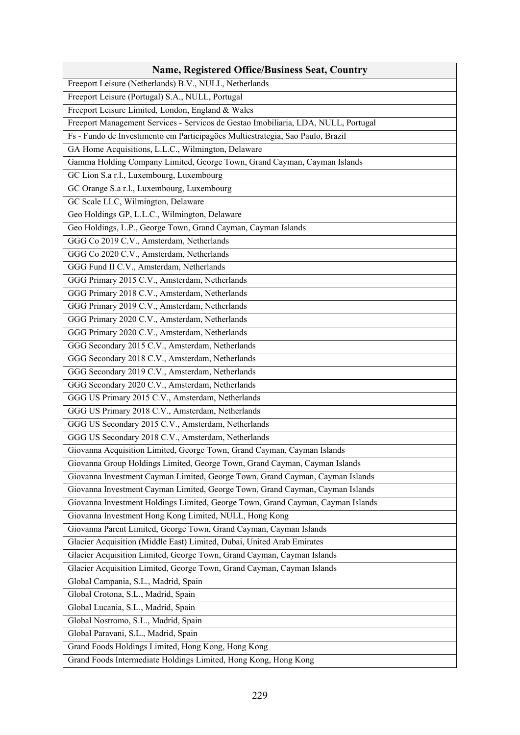| <b>Name, Registered Office/Business Seat, Country</b>                              |
|------------------------------------------------------------------------------------|
| Freeport Leisure (Netherlands) B.V., NULL, Netherlands                             |
| Freeport Leisure (Portugal) S.A., NULL, Portugal                                   |
| Freeport Leisure Limited, London, England & Wales                                  |
| Freeport Management Services - Servicos de Gestao Imobiliaria, LDA, NULL, Portugal |
| Fs - Fundo de Investimento em Participagöes Multiestrategia, Sao Paulo, Brazil     |
| GA Home Acquisitions, L.L.C., Wilmington, Delaware                                 |
| Gamma Holding Company Limited, George Town, Grand Cayman, Cayman Islands           |
| GC Lion S.a r.l., Luxembourg, Luxembourg                                           |
| GC Orange S.a r.l., Luxembourg, Luxembourg                                         |
| GC Scale LLC, Wilmington, Delaware                                                 |
| Geo Holdings GP, L.L.C., Wilmington, Delaware                                      |
| Geo Holdings, L.P., George Town, Grand Cayman, Cayman Islands                      |
| GGG Co 2019 C.V., Amsterdam, Netherlands                                           |
| GGG Co 2020 C.V., Amsterdam, Netherlands                                           |
| GGG Fund II C.V., Amsterdam, Netherlands                                           |
| GGG Primary 2015 C.V., Amsterdam, Netherlands                                      |
| GGG Primary 2018 C.V., Amsterdam, Netherlands                                      |
| GGG Primary 2019 C.V., Amsterdam, Netherlands                                      |
| GGG Primary 2020 C.V., Amsterdam, Netherlands                                      |
| GGG Primary 2020 C.V., Amsterdam, Netherlands                                      |
| GGG Secondary 2015 C.V., Amsterdam, Netherlands                                    |
| GGG Secondary 2018 C.V., Amsterdam, Netherlands                                    |
| GGG Secondary 2019 C.V., Amsterdam, Netherlands                                    |
| GGG Secondary 2020 C.V., Amsterdam, Netherlands                                    |
| GGG US Primary 2015 C.V., Amsterdam, Netherlands                                   |
| GGG US Primary 2018 C.V., Amsterdam, Netherlands                                   |
| GGG US Secondary 2015 C.V., Amsterdam, Netherlands                                 |
| GGG US Secondary 2018 C.V., Amsterdam, Netherlands                                 |
| Giovanna Acquisition Limited, George Town, Grand Cayman, Cayman Islands            |
| Giovanna Group Holdings Limited, George Town, Grand Cayman, Cayman Islands         |
| Giovanna Investment Cayman Limited, George Town, Grand Cayman, Cayman Islands      |
| Giovanna Investment Cayman Limited, George Town, Grand Cayman, Cayman Islands      |
| Giovanna Investment Holdings Limited, George Town, Grand Cayman, Cayman Islands    |
| Giovanna Investment Hong Kong Limited, NULL, Hong Kong                             |
| Giovanna Parent Limited, George Town, Grand Cayman, Cayman Islands                 |
| Glacier Acquisition (Middle East) Limited, Dubai, United Arab Emirates             |
| Glacier Acquisition Limited, George Town, Grand Cayman, Cayman Islands             |
| Glacier Acquisition Limited, George Town, Grand Cayman, Cayman Islands             |
| Global Campania, S.L., Madrid, Spain                                               |
| Global Crotona, S.L., Madrid, Spain                                                |
| Global Lucania, S.L., Madrid, Spain                                                |
| Global Nostromo, S.L., Madrid, Spain                                               |
| Global Paravani, S.L., Madrid, Spain                                               |
| Grand Foods Holdings Limited, Hong Kong, Hong Kong                                 |
| Grand Foods Intermediate Holdings Limited, Hong Kong, Hong Kong                    |
|                                                                                    |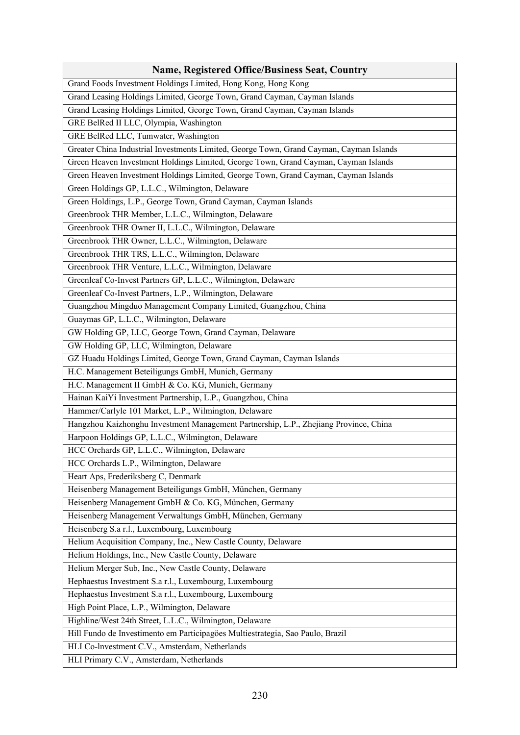| <b>Name, Registered Office/Business Seat, Country</b>                                   |
|-----------------------------------------------------------------------------------------|
| Grand Foods Investment Holdings Limited, Hong Kong, Hong Kong                           |
| Grand Leasing Holdings Limited, George Town, Grand Cayman, Cayman Islands               |
| Grand Leasing Holdings Limited, George Town, Grand Cayman, Cayman Islands               |
| GRE BelRed II LLC, Olympia, Washington                                                  |
| GRE BelRed LLC, Tumwater, Washington                                                    |
| Greater China Industrial Investments Limited, George Town, Grand Cayman, Cayman Islands |
| Green Heaven Investment Holdings Limited, George Town, Grand Cayman, Cayman Islands     |
| Green Heaven Investment Holdings Limited, George Town, Grand Cayman, Cayman Islands     |
| Green Holdings GP, L.L.C., Wilmington, Delaware                                         |
| Green Holdings, L.P., George Town, Grand Cayman, Cayman Islands                         |
| Greenbrook THR Member, L.L.C., Wilmington, Delaware                                     |
| Greenbrook THR Owner II, L.L.C., Wilmington, Delaware                                   |
| Greenbrook THR Owner, L.L.C., Wilmington, Delaware                                      |
| Greenbrook THR TRS, L.L.C., Wilmington, Delaware                                        |
| Greenbrook THR Venture, L.L.C., Wilmington, Delaware                                    |
| Greenleaf Co-Invest Partners GP, L.L.C., Wilmington, Delaware                           |
| Greenleaf Co-Invest Partners, L.P., Wilmington, Delaware                                |
| Guangzhou Mingduo Management Company Limited, Guangzhou, China                          |
| Guaymas GP, L.L.C., Wilmington, Delaware                                                |
| GW Holding GP, LLC, George Town, Grand Cayman, Delaware                                 |
| GW Holding GP, LLC, Wilmington, Delaware                                                |
| GZ Huadu Holdings Limited, George Town, Grand Cayman, Cayman Islands                    |
| H.C. Management Beteiligungs GmbH, Munich, Germany                                      |
| H.C. Management II GmbH & Co. KG, Munich, Germany                                       |
| Hainan KaiYi Investment Partnership, L.P., Guangzhou, China                             |
| Hammer/Carlyle 101 Market, L.P., Wilmington, Delaware                                   |
| Hangzhou Kaizhonghu Investment Management Partnership, L.P., Zhejiang Province, China   |
| Harpoon Holdings GP, L.L.C., Wilmington, Delaware                                       |
| HCC Orchards GP, L.L.C., Wilmington, Delaware                                           |
| HCC Orchards L.P., Wilmington, Delaware                                                 |
| Heart Aps, Frederiksberg C, Denmark                                                     |
| Heisenberg Management Beteiligungs GmbH, München, Germany                               |
| Heisenberg Management GmbH & Co. KG, München, Germany                                   |
| Heisenberg Management Verwaltungs GmbH, München, Germany                                |
| Heisenberg S.a r.l., Luxembourg, Luxembourg                                             |
| Helium Acquisition Company, Inc., New Castle County, Delaware                           |
| Helium Holdings, Inc., New Castle County, Delaware                                      |
| Helium Merger Sub, Inc., New Castle County, Delaware                                    |
| Hephaestus Investment S.a r.l., Luxembourg, Luxembourg                                  |
| Hephaestus Investment S.a r.l., Luxembourg, Luxembourg                                  |
| High Point Place, L.P., Wilmington, Delaware                                            |
| Highline/West 24th Street, L.L.C., Wilmington, Delaware                                 |
| Hill Fundo de Investimento em Participagöes Multiestrategia, Sao Paulo, Brazil          |
| HLI Co-lnvestment C.V., Amsterdam, Netherlands                                          |
| HLI Primary C.V., Amsterdam, Netherlands                                                |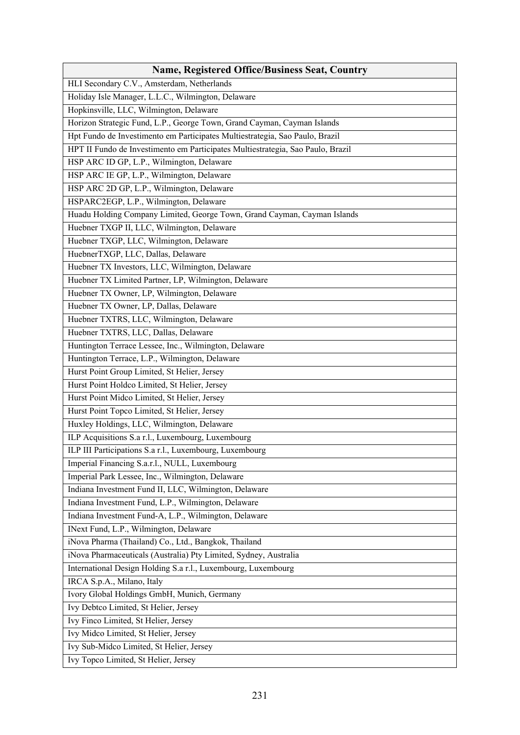| <b>Name, Registered Office/Business Seat, Country</b>                           |
|---------------------------------------------------------------------------------|
| HLI Secondary C.V., Amsterdam, Netherlands                                      |
| Holiday Isle Manager, L.L.C., Wilmington, Delaware                              |
| Hopkinsville, LLC, Wilmington, Delaware                                         |
| Horizon Strategic Fund, L.P., George Town, Grand Cayman, Cayman Islands         |
| Hpt Fundo de Investimento em Participates Multiestrategia, Sao Paulo, Brazil    |
| HPT II Fundo de Investimento em Participates Multiestrategia, Sao Paulo, Brazil |
| HSP ARC ID GP, L.P., Wilmington, Delaware                                       |
| HSP ARC IE GP, L.P., Wilmington, Delaware                                       |
| HSP ARC 2D GP, L.P., Wilmington, Delaware                                       |
| HSPARC2EGP, L.P., Wilmington, Delaware                                          |
| Huadu Holding Company Limited, George Town, Grand Cayman, Cayman Islands        |
| Huebner TXGP II, LLC, Wilmington, Delaware                                      |
| Huebner TXGP, LLC, Wilmington, Delaware                                         |
| HuebnerTXGP, LLC, Dallas, Delaware                                              |
| Huebner TX Investors, LLC, Wilmington, Delaware                                 |
| Huebner TX Limited Partner, LP, Wilmington, Delaware                            |
| Huebner TX Owner, LP, Wilmington, Delaware                                      |
| Huebner TX Owner, LP, Dallas, Delaware                                          |
| Huebner TXTRS, LLC, Wilmington, Delaware                                        |
| Huebner TXTRS, LLC, Dallas, Delaware                                            |
| Huntington Terrace Lessee, Inc., Wilmington, Delaware                           |
| Huntington Terrace, L.P., Wilmington, Delaware                                  |
| Hurst Point Group Limited, St Helier, Jersey                                    |
| Hurst Point Holdco Limited, St Helier, Jersey                                   |
| Hurst Point Midco Limited, St Helier, Jersey                                    |
| Hurst Point Topco Limited, St Helier, Jersey                                    |
| Huxley Holdings, LLC, Wilmington, Delaware                                      |
| ILP Acquisitions S.a r.l., Luxembourg, Luxembourg                               |
| ILP III Participations S.a r.l., Luxembourg, Luxembourg                         |
| Imperial Financing S.a.r.l., NULL, Luxembourg                                   |
| Imperial Park Lessee, Inc., Wilmington, Delaware                                |
| Indiana Investment Fund II, LLC, Wilmington, Delaware                           |
| Indiana Investment Fund, L.P., Wilmington, Delaware                             |
| Indiana Investment Fund-A, L.P., Wilmington, Delaware                           |
| INext Fund, L.P., Wilmington, Delaware                                          |
| iNova Pharma (Thailand) Co., Ltd., Bangkok, Thailand                            |
| iNova Pharmaceuticals (Australia) Pty Limited, Sydney, Australia                |
| International Design Holding S.a r.l., Luxembourg, Luxembourg                   |
| IRCA S.p.A., Milano, Italy                                                      |
| Ivory Global Holdings GmbH, Munich, Germany                                     |
| Ivy Debtco Limited, St Helier, Jersey                                           |
| Ivy Finco Limited, St Helier, Jersey                                            |
| Ivy Midco Limited, St Helier, Jersey                                            |
| Ivy Sub-Midco Limited, St Helier, Jersey                                        |
| Ivy Topco Limited, St Helier, Jersey                                            |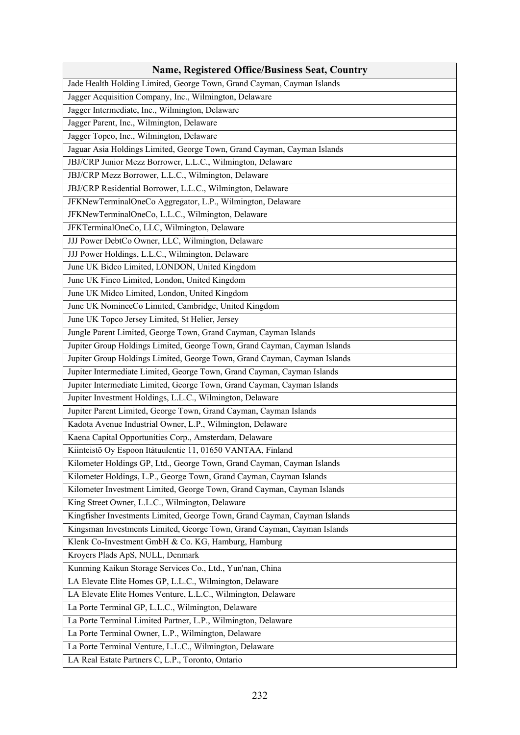| <b>Name, Registered Office/Business Seat, Country</b>                     |
|---------------------------------------------------------------------------|
| Jade Health Holding Limited, George Town, Grand Cayman, Cayman Islands    |
| Jagger Acquisition Company, Inc., Wilmington, Delaware                    |
| Jagger Intermediate, Inc., Wilmington, Delaware                           |
| Jagger Parent, Inc., Wilmington, Delaware                                 |
| Jagger Topco, Inc., Wilmington, Delaware                                  |
| Jaguar Asia Holdings Limited, George Town, Grand Cayman, Cayman Islands   |
| JBJ/CRP Junior Mezz Borrower, L.L.C., Wilmington, Delaware                |
| JBJ/CRP Mezz Borrower, L.L.C., Wilmington, Delaware                       |
| JBJ/CRP Residential Borrower, L.L.C., Wilmington, Delaware                |
| JFKNewTerminalOneCo Aggregator, L.P., Wilmington, Delaware                |
| JFKNewTerminalOneCo, L.L.C., Wilmington, Delaware                         |
| JFKTerminalOneCo, LLC, Wilmington, Delaware                               |
| JJJ Power DebtCo Owner, LLC, Wilmington, Delaware                         |
| JJJ Power Holdings, L.L.C., Wilmington, Delaware                          |
| June UK Bidco Limited, LONDON, United Kingdom                             |
| June UK Finco Limited, London, United Kingdom                             |
| June UK Midco Limited, London, United Kingdom                             |
| June UK NomineeCo Limited, Cambridge, United Kingdom                      |
| June UK Topco Jersey Limited, St Helier, Jersey                           |
| Jungle Parent Limited, George Town, Grand Cayman, Cayman Islands          |
| Jupiter Group Holdings Limited, George Town, Grand Cayman, Cayman Islands |
| Jupiter Group Holdings Limited, George Town, Grand Cayman, Cayman Islands |
| Jupiter Intermediate Limited, George Town, Grand Cayman, Cayman Islands   |
| Jupiter Intermediate Limited, George Town, Grand Cayman, Cayman Islands   |
| Jupiter Investment Holdings, L.L.C., Wilmington, Delaware                 |
| Jupiter Parent Limited, George Town, Grand Cayman, Cayman Islands         |
| Kadota Avenue Industrial Owner, L.P., Wilmington, Delaware                |
| Kaena Capital Opportunities Corp., Amsterdam, Delaware                    |
| Kiinteistö Oy Espoon Itàtuulentie 11, 01650 VANTAA, Finland               |
| Kilometer Holdings GP, Ltd., George Town, Grand Cayman, Cayman Islands    |
| Kilometer Holdings, L.P., George Town, Grand Cayman, Cayman Islands       |
| Kilometer Investment Limited, George Town, Grand Cayman, Cayman Islands   |
| King Street Owner, L.L.C., Wilmington, Delaware                           |
| Kingfisher Investments Limited, George Town, Grand Cayman, Cayman Islands |
| Kingsman Investments Limited, George Town, Grand Cayman, Cayman Islands   |
| Klenk Co-Investment GmbH & Co. KG, Hamburg, Hamburg                       |
| Kroyers Plads ApS, NULL, Denmark                                          |
| Kunming Kaikun Storage Services Co., Ltd., Yun'nan, China                 |
| LA Elevate Elite Homes GP, L.L.C., Wilmington, Delaware                   |
| LA Elevate Elite Homes Venture, L.L.C., Wilmington, Delaware              |
| La Porte Terminal GP, L.L.C., Wilmington, Delaware                        |
| La Porte Terminal Limited Partner, L.P., Wilmington, Delaware             |
| La Porte Terminal Owner, L.P., Wilmington, Delaware                       |
| La Porte Terminal Venture, L.L.C., Wilmington, Delaware                   |
| LA Real Estate Partners C, L.P., Toronto, Ontario                         |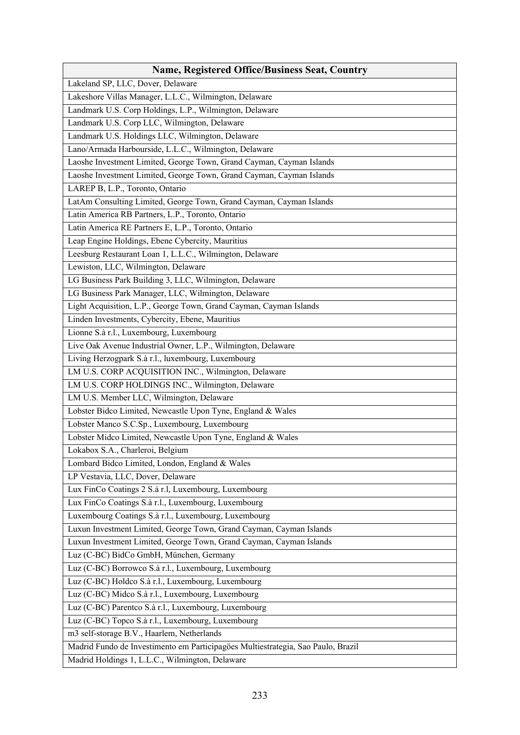| <b>Name, Registered Office/Business Seat, Country</b>                            |
|----------------------------------------------------------------------------------|
| Lakeland SP, LLC, Dover, Delaware                                                |
| Lakeshore Villas Manager, L.L.C., Wilmington, Delaware                           |
| Landmark U.S. Corp Holdings, L.P., Wilmington, Delaware                          |
| Landmark U.S. Corp LLC, Wilmington, Delaware                                     |
| Landmark U.S. Holdings LLC, Wilmington, Delaware                                 |
| Lano/Armada Harbourside, L.L.C., Wilmington, Delaware                            |
| Laoshe Investment Limited, George Town, Grand Cayman, Cayman Islands             |
| Laoshe Investment Limited, George Town, Grand Cayman, Cayman Islands             |
| LAREP B, L.P., Toronto, Ontario                                                  |
| LatAm Consulting Limited, George Town, Grand Cayman, Cayman Islands              |
| Latin America RB Partners, L.P., Toronto, Ontario                                |
| Latin America RE Partners E, L.P., Toronto, Ontario                              |
| Leap Engine Holdings, Ebene Cybercity, Mauritius                                 |
| Leesburg Restaurant Loan 1, L.L.C., Wilmington, Delaware                         |
| Lewiston, LLC, Wilmington, Delaware                                              |
| LG Business Park Building 3, LLC, Wilmington, Delaware                           |
| LG Business Park Manager, LLC, Wilmington, Delaware                              |
| Light Acquisition, L.P., George Town, Grand Cayman, Cayman Islands               |
| Linden Investments, Cybercity, Ebene, Mauritius                                  |
| Lionne S.à r.l., Luxembourg, Luxembourg                                          |
| Live Oak Avenue Industrial Owner, L.P., Wilmington, Delaware                     |
| Living Herzogpark S.à r.l., luxembourg, Luxembourg                               |
| LM U.S. CORP ACQUISITION INC., Wilmington, Delaware                              |
| LM U.S. CORP HOLDINGS INC., Wilmington, Delaware                                 |
| LM U.S. Member LLC, Wilmington, Delaware                                         |
| Lobster Bidco Limited, Newcastle Upon Tyne, England & Wales                      |
| Lobster Manco S.C.Sp., Luxembourg, Luxembourg                                    |
| Lobster Midco Limited, Newcastle Upon Tyne, England & Wales                      |
| Lokabox S.A., Charleroi, Belgium                                                 |
| Lombard Bidco Limited, London, England & Wales                                   |
| LP Vestavia, LLC, Dover, Delaware                                                |
| Lux FinCo Coatings 2 S.à r.l, Luxembourg, Luxembourg                             |
| Lux FinCo Coatings S.à r.l., Luxembourg, Luxembourg                              |
| Luxembourg Coatings S.à r.l., Luxembourg, Luxembourg                             |
| Luxun Investment Limited, George Town, Grand Cayman, Cayman Islands              |
| Luxun Investment Limited, George Town, Grand Cayman, Cayman Islands              |
| Luz (C-BC) BidCo GmbH, München, Germany                                          |
| Luz (C-BC) Borrowco S.à r.l., Luxembourg, Luxembourg                             |
| Luz (C-BC) Holdco S.à r.l., Luxembourg, Luxembourg                               |
| Luz (C-BC) Midco S.à r.l., Luxembourg, Luxembourg                                |
| Luz (C-BC) Parentco S.à r.l., Luxembourg, Luxembourg                             |
| Luz (C-BC) Topco S.à r.l., Luxembourg, Luxembourg                                |
| m3 self-storage B.V., Haarlem, Netherlands                                       |
| Madrid Fundo de Investimento em Participagöes Multiestrategia, Sao Paulo, Brazil |
| Madrid Holdings 1, L.L.C., Wilmington, Delaware                                  |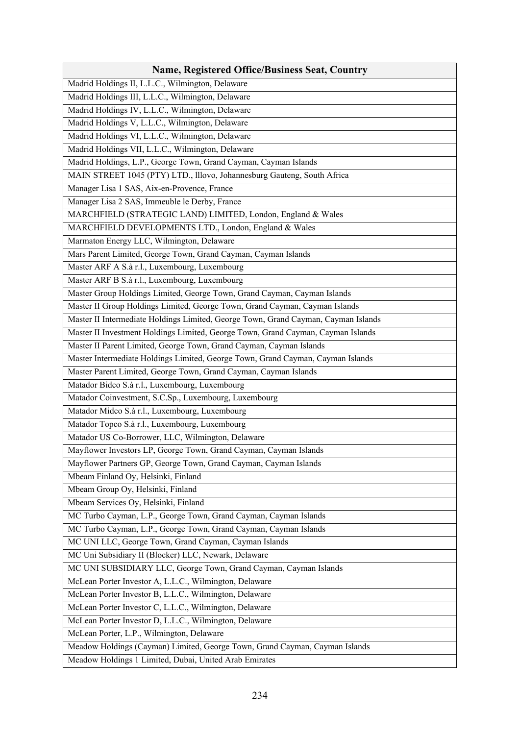| <b>Name, Registered Office/Business Seat, Country</b>                              |
|------------------------------------------------------------------------------------|
| Madrid Holdings II, L.L.C., Wilmington, Delaware                                   |
| Madrid Holdings III, L.L.C., Wilmington, Delaware                                  |
| Madrid Holdings IV, L.L.C., Wilmington, Delaware                                   |
| Madrid Holdings V, L.L.C., Wilmington, Delaware                                    |
| Madrid Holdings VI, L.L.C., Wilmington, Delaware                                   |
| Madrid Holdings VII, L.L.C., Wilmington, Delaware                                  |
| Madrid Holdings, L.P., George Town, Grand Cayman, Cayman Islands                   |
| MAIN STREET 1045 (PTY) LTD., Illovo, Johannesburg Gauteng, South Africa            |
| Manager Lisa 1 SAS, Aix-en-Provence, France                                        |
| Manager Lisa 2 SAS, Immeuble le Derby, France                                      |
| MARCHFIELD (STRATEGIC LAND) LIMITED, London, England & Wales                       |
| MARCHFIELD DEVELOPMENTS LTD., London, England & Wales                              |
| Marmaton Energy LLC, Wilmington, Delaware                                          |
| Mars Parent Limited, George Town, Grand Cayman, Cayman Islands                     |
| Master ARF A S.à r.l., Luxembourg, Luxembourg                                      |
| Master ARF B S.à r.l., Luxembourg, Luxembourg                                      |
| Master Group Holdings Limited, George Town, Grand Cayman, Cayman Islands           |
| Master II Group Holdings Limited, George Town, Grand Cayman, Cayman Islands        |
| Master II Intermediate Holdings Limited, George Town, Grand Cayman, Cayman Islands |
| Master II Investment Holdings Limited, George Town, Grand Cayman, Cayman Islands   |
| Master II Parent Limited, George Town, Grand Cayman, Cayman Islands                |
| Master Intermediate Holdings Limited, George Town, Grand Cayman, Cayman Islands    |
| Master Parent Limited, George Town, Grand Cayman, Cayman Islands                   |
| Matador Bidco S.à r.l., Luxembourg, Luxembourg                                     |
| Matador Coinvestment, S.C.Sp., Luxembourg, Luxembourg                              |
| Matador Midco S.à r.l., Luxembourg, Luxembourg                                     |
| Matador Topco S.à r.l., Luxembourg, Luxembourg                                     |
| Matador US Co-Borrower, LLC, Wilmington, Delaware                                  |
| Mayflower Investors LP, George Town, Grand Cayman, Cayman Islands                  |
| Mayflower Partners GP, George Town, Grand Cayman, Cayman Islands                   |
| Mbeam Finland Oy, Helsinki, Finland                                                |
| Mbeam Group Oy, Helsinki, Finland                                                  |
| Mbeam Services Oy, Helsinki, Finland                                               |
| MC Turbo Cayman, L.P., George Town, Grand Cayman, Cayman Islands                   |
| MC Turbo Cayman, L.P., George Town, Grand Cayman, Cayman Islands                   |
| MC UNI LLC, George Town, Grand Cayman, Cayman Islands                              |
| MC Uni Subsidiary II (Blocker) LLC, Newark, Delaware                               |
| MC UNI SUBSIDIARY LLC, George Town, Grand Cayman, Cayman Islands                   |
| McLean Porter Investor A, L.L.C., Wilmington, Delaware                             |
| McLean Porter Investor B, L.L.C., Wilmington, Delaware                             |
| McLean Porter Investor C, L.L.C., Wilmington, Delaware                             |
| McLean Porter Investor D, L.L.C., Wilmington, Delaware                             |
| McLean Porter, L.P., Wilmington, Delaware                                          |
| Meadow Holdings (Cayman) Limited, George Town, Grand Cayman, Cayman Islands        |
| Meadow Holdings 1 Limited, Dubai, United Arab Emirates                             |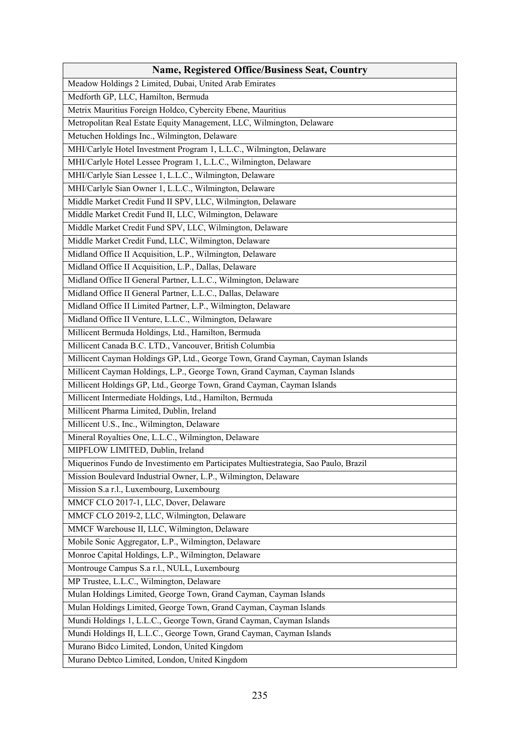| <b>Name, Registered Office/Business Seat, Country</b>                               |
|-------------------------------------------------------------------------------------|
| Meadow Holdings 2 Limited, Dubai, United Arab Emirates                              |
| Medforth GP, LLC, Hamilton, Bermuda                                                 |
| Metrix Mauritius Foreign Holdco, Cybercity Ebene, Mauritius                         |
| Metropolitan Real Estate Equity Management, LLC, Wilmington, Delaware               |
| Metuchen Holdings Inc., Wilmington, Delaware                                        |
| MHI/Carlyle Hotel Investment Program 1, L.L.C., Wilmington, Delaware                |
| MHI/Carlyle Hotel Lessee Program 1, L.L.C., Wilmington, Delaware                    |
| MHI/Carlyle Sian Lessee 1, L.L.C., Wilmington, Delaware                             |
| MHI/Carlyle Sian Owner 1, L.L.C., Wilmington, Delaware                              |
| Middle Market Credit Fund II SPV, LLC, Wilmington, Delaware                         |
| Middle Market Credit Fund II, LLC, Wilmington, Delaware                             |
| Middle Market Credit Fund SPV, LLC, Wilmington, Delaware                            |
| Middle Market Credit Fund, LLC, Wilmington, Delaware                                |
| Midland Office II Acquisition, L.P., Wilmington, Delaware                           |
| Midland Office II Acquisition, L.P., Dallas, Delaware                               |
| Midland Office II General Partner, L.L.C., Wilmington, Delaware                     |
| Midland Office II General Partner, L.L.C., Dallas, Delaware                         |
| Midland Office II Limited Partner, L.P., Wilmington, Delaware                       |
| Midland Office II Venture, L.L.C., Wilmington, Delaware                             |
| Millicent Bermuda Holdings, Ltd., Hamilton, Bermuda                                 |
| Millicent Canada B.C. LTD., Vancouver, British Columbia                             |
| Millicent Cayman Holdings GP, Ltd., George Town, Grand Cayman, Cayman Islands       |
| Millicent Cayman Holdings, L.P., George Town, Grand Cayman, Cayman Islands          |
| Millicent Holdings GP, Ltd., George Town, Grand Cayman, Cayman Islands              |
| Millicent Intermediate Holdings, Ltd., Hamilton, Bermuda                            |
| Millicent Pharma Limited, Dublin, Ireland                                           |
| Millicent U.S., Inc., Wilmington, Delaware                                          |
| Mineral Royalties One, L.L.C., Wilmington, Delaware                                 |
| MIPFLOW LIMITED, Dublin, Ireland                                                    |
| Miquerinos Fundo de Investimento em Participates Multiestrategia, Sao Paulo, Brazil |
| Mission Boulevard Industrial Owner, L.P., Wilmington, Delaware                      |
| Mission S.a r.l., Luxembourg, Luxembourg                                            |
| MMCF CLO 2017-1, LLC, Dover, Delaware                                               |
| MMCF CLO 2019-2, LLC, Wilmington, Delaware                                          |
| MMCF Warehouse II, LLC, Wilmington, Delaware                                        |
| Mobile Sonic Aggregator, L.P., Wilmington, Delaware                                 |
| Monroe Capital Holdings, L.P., Wilmington, Delaware                                 |
| Montrouge Campus S.a r.l., NULL, Luxembourg                                         |
| MP Trustee, L.L.C., Wilmington, Delaware                                            |
| Mulan Holdings Limited, George Town, Grand Cayman, Cayman Islands                   |
| Mulan Holdings Limited, George Town, Grand Cayman, Cayman Islands                   |
| Mundi Holdings 1, L.L.C., George Town, Grand Cayman, Cayman Islands                 |
| Mundi Holdings II, L.L.C., George Town, Grand Cayman, Cayman Islands                |
| Murano Bidco Limited, London, United Kingdom                                        |
| Murano Debtco Limited, London, United Kingdom                                       |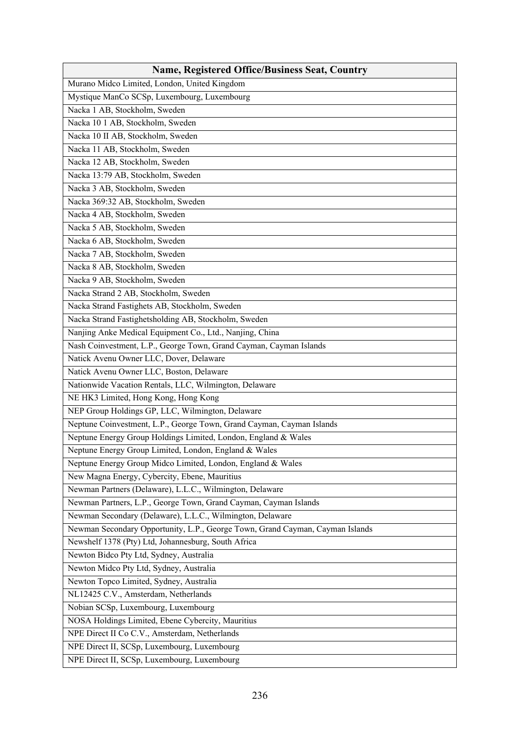| <b>Name, Registered Office/Business Seat, Country</b>                         |
|-------------------------------------------------------------------------------|
| Murano Midco Limited, London, United Kingdom                                  |
| Mystique ManCo SCSp, Luxembourg, Luxembourg                                   |
| Nacka 1 AB, Stockholm, Sweden                                                 |
| Nacka 10 1 AB, Stockholm, Sweden                                              |
| Nacka 10 II AB, Stockholm, Sweden                                             |
| Nacka 11 AB, Stockholm, Sweden                                                |
| Nacka 12 AB, Stockholm, Sweden                                                |
| Nacka 13:79 AB, Stockholm, Sweden                                             |
| Nacka 3 AB, Stockholm, Sweden                                                 |
| Nacka 369:32 AB, Stockholm, Sweden                                            |
| Nacka 4 AB, Stockholm, Sweden                                                 |
| Nacka 5 AB, Stockholm, Sweden                                                 |
| Nacka 6 AB, Stockholm, Sweden                                                 |
| Nacka 7 AB, Stockholm, Sweden                                                 |
| Nacka 8 AB, Stockholm, Sweden                                                 |
| Nacka 9 AB, Stockholm, Sweden                                                 |
| Nacka Strand 2 AB, Stockholm, Sweden                                          |
| Nacka Strand Fastighets AB, Stockholm, Sweden                                 |
| Nacka Strand Fastighetsholding AB, Stockholm, Sweden                          |
| Nanjing Anke Medical Equipment Co., Ltd., Nanjing, China                      |
| Nash Coinvestment, L.P., George Town, Grand Cayman, Cayman Islands            |
| Natick Avenu Owner LLC, Dover, Delaware                                       |
| Natick Avenu Owner LLC, Boston, Delaware                                      |
| Nationwide Vacation Rentals, LLC, Wilmington, Delaware                        |
| NE HK3 Limited, Hong Kong, Hong Kong                                          |
| NEP Group Holdings GP, LLC, Wilmington, Delaware                              |
| Neptune Coinvestment, L.P., George Town, Grand Cayman, Cayman Islands         |
| Neptune Energy Group Holdings Limited, London, England & Wales                |
| Neptune Energy Group Limited, London, England & Wales                         |
| Neptune Energy Group Midco Limited, London, England & Wales                   |
| New Magna Energy, Cybercity, Ebene, Mauritius                                 |
| Newman Partners (Delaware), L.L.C., Wilmington, Delaware                      |
| Newman Partners, L.P., George Town, Grand Cayman, Cayman Islands              |
| Newman Secondary (Delaware), L.L.C., Wilmington, Delaware                     |
| Newman Secondary Opportunity, L.P., George Town, Grand Cayman, Cayman Islands |
| Newshelf 1378 (Pty) Ltd, Johannesburg, South Africa                           |
| Newton Bidco Pty Ltd, Sydney, Australia                                       |
| Newton Midco Pty Ltd, Sydney, Australia                                       |
| Newton Topco Limited, Sydney, Australia                                       |
| NL12425 C.V., Amsterdam, Netherlands                                          |
| Nobian SCSp, Luxembourg, Luxembourg                                           |
| NOSA Holdings Limited, Ebene Cybercity, Mauritius                             |
| NPE Direct II Co C.V., Amsterdam, Netherlands                                 |
| NPE Direct II, SCSp, Luxembourg, Luxembourg                                   |
| NPE Direct II, SCSp, Luxembourg, Luxembourg                                   |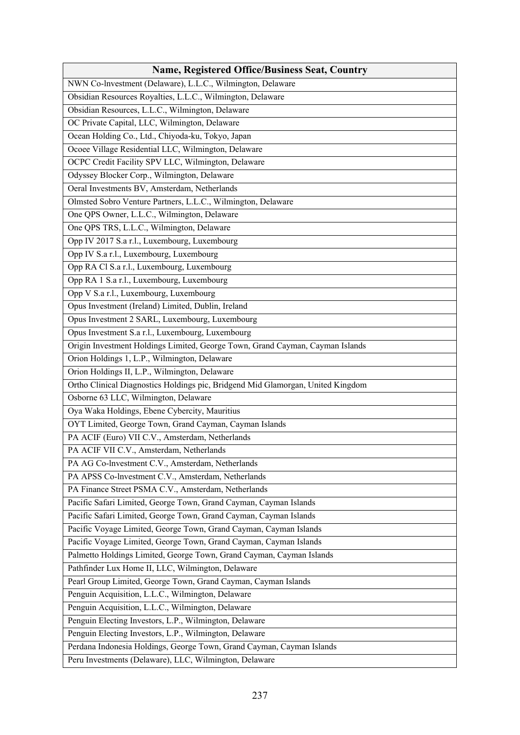| <b>Name, Registered Office/Business Seat, Country</b>                           |
|---------------------------------------------------------------------------------|
| NWN Co-lnvestment (Delaware), L.L.C., Wilmington, Delaware                      |
| Obsidian Resources Royalties, L.L.C., Wilmington, Delaware                      |
| Obsidian Resources, L.L.C., Wilmington, Delaware                                |
| OC Private Capital, LLC, Wilmington, Delaware                                   |
| Ocean Holding Co., Ltd., Chiyoda-ku, Tokyo, Japan                               |
| Ocoee Village Residential LLC, Wilmington, Delaware                             |
| OCPC Credit Facility SPV LLC, Wilmington, Delaware                              |
| Odyssey Blocker Corp., Wilmington, Delaware                                     |
| Oeral Investments BV, Amsterdam, Netherlands                                    |
| Olmsted Sobro Venture Partners, L.L.C., Wilmington, Delaware                    |
| One QPS Owner, L.L.C., Wilmington, Delaware                                     |
| One QPS TRS, L.L.C., Wilmington, Delaware                                       |
| Opp IV 2017 S.a r.l., Luxembourg, Luxembourg                                    |
| Opp IV S.a r.l., Luxembourg, Luxembourg                                         |
| Opp RA Cl S.a r.l., Luxembourg, Luxembourg                                      |
| Opp RA 1 S.a r.l., Luxembourg, Luxembourg                                       |
| Opp V S.a r.l., Luxembourg, Luxembourg                                          |
| Opus Investment (Ireland) Limited, Dublin, Ireland                              |
| Opus Investment 2 SARL, Luxembourg, Luxembourg                                  |
| Opus Investment S.a r.l., Luxembourg, Luxembourg                                |
| Origin Investment Holdings Limited, George Town, Grand Cayman, Cayman Islands   |
| Orion Holdings 1, L.P., Wilmington, Delaware                                    |
| Orion Holdings II, L.P., Wilmington, Delaware                                   |
| Ortho Clinical Diagnostics Holdings pic, Bridgend Mid Glamorgan, United Kingdom |
| Osborne 63 LLC, Wilmington, Delaware                                            |
| Oya Waka Holdings, Ebene Cybercity, Mauritius                                   |
| OYT Limited, George Town, Grand Cayman, Cayman Islands                          |
| PA ACIF (Euro) VII C.V., Amsterdam, Netherlands                                 |
| PA ACIF VII C.V., Amsterdam, Netherlands                                        |
| PA AG Co-lnvestment C.V., Amsterdam, Netherlands                                |
| PA APSS Co-lnvestment C.V., Amsterdam, Netherlands                              |
| PA Finance Street PSMA C.V., Amsterdam, Netherlands                             |
| Pacific Safari Limited, George Town, Grand Cayman, Cayman Islands               |
| Pacific Safari Limited, George Town, Grand Cayman, Cayman Islands               |
| Pacific Voyage Limited, George Town, Grand Cayman, Cayman Islands               |
| Pacific Voyage Limited, George Town, Grand Cayman, Cayman Islands               |
| Palmetto Holdings Limited, George Town, Grand Cayman, Cayman Islands            |
| Pathfinder Lux Home II, LLC, Wilmington, Delaware                               |
| Pearl Group Limited, George Town, Grand Cayman, Cayman Islands                  |
| Penguin Acquisition, L.L.C., Wilmington, Delaware                               |
| Penguin Acquisition, L.L.C., Wilmington, Delaware                               |
| Penguin Electing Investors, L.P., Wilmington, Delaware                          |
| Penguin Electing Investors, L.P., Wilmington, Delaware                          |
| Perdana Indonesia Holdings, George Town, Grand Cayman, Cayman Islands           |
| Peru Investments (Delaware), LLC, Wilmington, Delaware                          |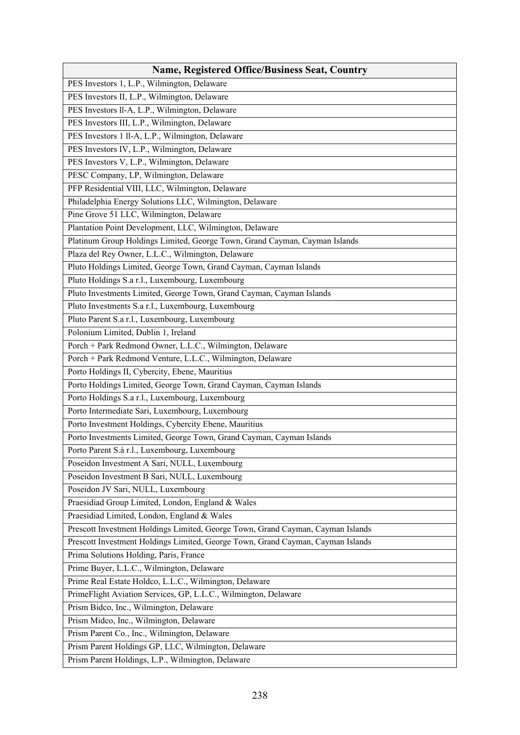| <b>Name, Registered Office/Business Seat, Country</b>                           |
|---------------------------------------------------------------------------------|
| PES Investors 1, L.P., Wilmington, Delaware                                     |
| PES Investors II, L.P., Wilmington, Delaware                                    |
| PES Investors ll-A, L.P., Wilmington, Delaware                                  |
| PES Investors III, L.P., Wilmington, Delaware                                   |
| PES Investors 1 ll-A, L.P., Wilmington, Delaware                                |
| PES Investors IV, L.P., Wilmington, Delaware                                    |
| PES Investors V, L.P., Wilmington, Delaware                                     |
| PESC Company, LP, Wilmington, Delaware                                          |
| PFP Residential VIII, LLC, Wilmington, Delaware                                 |
| Philadelphia Energy Solutions LLC, Wilmington, Delaware                         |
| Pine Grove 51 LLC, Wilmington, Delaware                                         |
| Plantation Point Development, LLC, Wilmington, Delaware                         |
| Platinum Group Holdings Limited, George Town, Grand Cayman, Cayman Islands      |
| Plaza del Rey Owner, L.L.C., Wilmington, Delaware                               |
| Pluto Holdings Limited, George Town, Grand Cayman, Cayman Islands               |
| Pluto Holdings S.a r.l., Luxembourg, Luxembourg                                 |
| Pluto Investments Limited, George Town, Grand Cayman, Cayman Islands            |
| Pluto Investments S.a r.l., Luxembourg, Luxembourg                              |
| Pluto Parent S.a r.l., Luxembourg, Luxembourg                                   |
| Polonium Limited, Dublin 1, Ireland                                             |
| Porch + Park Redmond Owner, L.L.C., Wilmington, Delaware                        |
| Porch + Park Redmond Venture, L.L.C., Wilmington, Delaware                      |
| Porto Holdings II, Cybercity, Ebene, Mauritius                                  |
| Porto Holdings Limited, George Town, Grand Cayman, Cayman Islands               |
| Porto Holdings S.a r.l., Luxembourg, Luxembourg                                 |
| Porto Intermediate Sari, Luxembourg, Luxembourg                                 |
| Porto Investment Holdings, Cybercity Ebene, Mauritius                           |
| Porto Investments Limited, George Town, Grand Cayman, Cayman Islands            |
| Porto Parent S.à r.l., Luxembourg, Luxembourg                                   |
| Poseidon Investment A Sari, NULL, Luxembourg                                    |
| Poseidon Investment B Sari, NULL, Luxembourg                                    |
| Poseidon JV Sari, NULL, Luxembourg                                              |
| Praesidiad Group Limited, London, England & Wales                               |
| Praesidiad Limited, London, England & Wales                                     |
| Prescott Investment Holdings Limited, George Town, Grand Cayman, Cayman Islands |
| Prescott Investment Holdings Limited, George Town, Grand Cayman, Cayman Islands |
| Prima Solutions Holding, Paris, France                                          |
| Prime Buyer, L.L.C., Wilmington, Delaware                                       |
| Prime Real Estate Holdco, L.L.C., Wilmington, Delaware                          |
| PrimeFlight Aviation Services, GP, L.L.C., Wilmington, Delaware                 |
| Prism Bidco, Inc., Wilmington, Delaware                                         |
| Prism Midco, Inc., Wilmington, Delaware                                         |
| Prism Parent Co., Inc., Wilmington, Delaware                                    |
| Prism Parent Holdings GP, LLC, Wilmington, Delaware                             |
| Prism Parent Holdings, L.P., Wilmington, Delaware                               |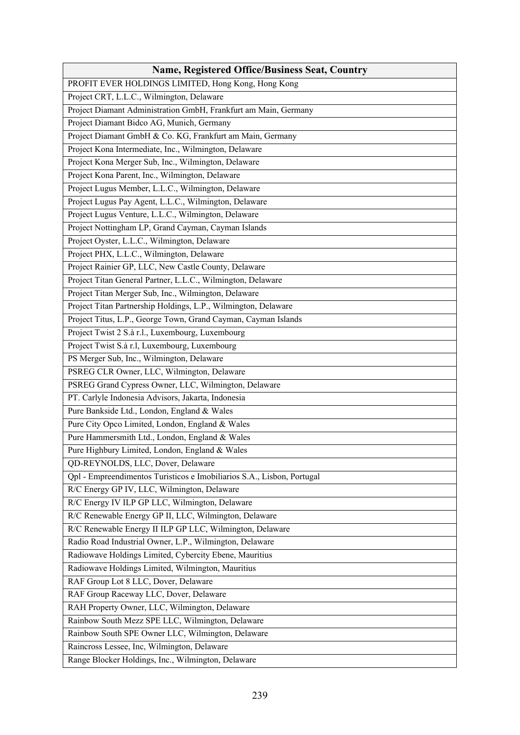| <b>Name, Registered Office/Business Seat, Country</b>                  |
|------------------------------------------------------------------------|
| PROFIT EVER HOLDINGS LIMITED, Hong Kong, Hong Kong                     |
| Project CRT, L.L.C., Wilmington, Delaware                              |
| Project Diamant Administration GmbH, Frankfurt am Main, Germany        |
| Project Diamant Bidco AG, Munich, Germany                              |
| Project Diamant GmbH & Co. KG, Frankfurt am Main, Germany              |
| Project Kona Intermediate, Inc., Wilmington, Delaware                  |
| Project Kona Merger Sub, Inc., Wilmington, Delaware                    |
| Project Kona Parent, Inc., Wilmington, Delaware                        |
| Project Lugus Member, L.L.C., Wilmington, Delaware                     |
| Project Lugus Pay Agent, L.L.C., Wilmington, Delaware                  |
| Project Lugus Venture, L.L.C., Wilmington, Delaware                    |
| Project Nottingham LP, Grand Cayman, Cayman Islands                    |
| Project Oyster, L.L.C., Wilmington, Delaware                           |
| Project PHX, L.L.C., Wilmington, Delaware                              |
| Project Rainier GP, LLC, New Castle County, Delaware                   |
| Project Titan General Partner, L.L.C., Wilmington, Delaware            |
| Project Titan Merger Sub, Inc., Wilmington, Delaware                   |
| Project Titan Partnership Holdings, L.P., Wilmington, Delaware         |
| Project Titus, L.P., George Town, Grand Cayman, Cayman Islands         |
| Project Twist 2 S.à r.l., Luxembourg, Luxembourg                       |
| Project Twist S.à r.l, Luxembourg, Luxembourg                          |
| PS Merger Sub, Inc., Wilmington, Delaware                              |
| PSREG CLR Owner, LLC, Wilmington, Delaware                             |
| PSREG Grand Cypress Owner, LLC, Wilmington, Delaware                   |
| PT. Carlyle Indonesia Advisors, Jakarta, Indonesia                     |
| Pure Bankside Ltd., London, England & Wales                            |
| Pure City Opco Limited, London, England & Wales                        |
| Pure Hammersmith Ltd., London, England & Wales                         |
| Pure Highbury Limited, London, England & Wales                         |
| QD-REYNOLDS, LLC, Dover, Delaware                                      |
| Qpl - Empreendimentos Turisticos e Imobiliarios S.A., Lisbon, Portugal |
| R/C Energy GP IV, LLC, Wilmington, Delaware                            |
| R/C Energy IV ILP GP LLC, Wilmington, Delaware                         |
| R/C Renewable Energy GP II, LLC, Wilmington, Delaware                  |
| R/C Renewable Energy II ILP GP LLC, Wilmington, Delaware               |
| Radio Road Industrial Owner, L.P., Wilmington, Delaware                |
| Radiowave Holdings Limited, Cybercity Ebene, Mauritius                 |
| Radiowave Holdings Limited, Wilmington, Mauritius                      |
| RAF Group Lot 8 LLC, Dover, Delaware                                   |
| RAF Group Raceway LLC, Dover, Delaware                                 |
| RAH Property Owner, LLC, Wilmington, Delaware                          |
| Rainbow South Mezz SPE LLC, Wilmington, Delaware                       |
| Rainbow South SPE Owner LLC, Wilmington, Delaware                      |
| Raincross Lessee, Inc, Wilmington, Delaware                            |
| Range Blocker Holdings, Inc., Wilmington, Delaware                     |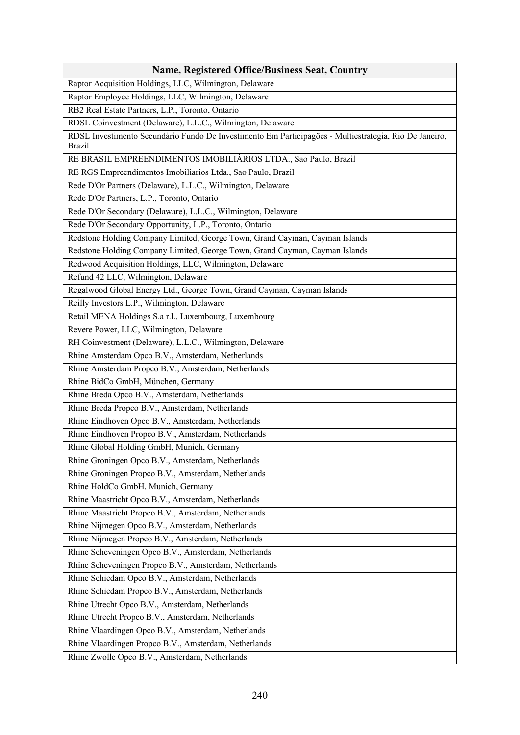| <b>Name, Registered Office/Business Seat, Country</b>                                                                   |
|-------------------------------------------------------------------------------------------------------------------------|
| Raptor Acquisition Holdings, LLC, Wilmington, Delaware                                                                  |
| Raptor Employee Holdings, LLC, Wilmington, Delaware                                                                     |
| RB2 Real Estate Partners, L.P., Toronto, Ontario                                                                        |
| RDSL Coinvestment (Delaware), L.L.C., Wilmington, Delaware                                                              |
| RDSL Investimento Secundàrio Fundo De Investimento Em Participagöes - Multiestrategia, Rio De Janeiro,<br><b>Brazil</b> |
| RE BRASIL EMPREENDIMENTOS IMOBILIÀRIOS LTDA., Sao Paulo, Brazil                                                         |
| RE RGS Empreendimentos Imobiliarios Ltda., Sao Paulo, Brazil                                                            |
| Rede D'Or Partners (Delaware), L.L.C., Wilmington, Delaware                                                             |
| Rede D'Or Partners, L.P., Toronto, Ontario                                                                              |
| Rede D'Or Secondary (Delaware), L.L.C., Wilmington, Delaware                                                            |
| Rede D'Or Secondary Opportunity, L.P., Toronto, Ontario                                                                 |
| Redstone Holding Company Limited, George Town, Grand Cayman, Cayman Islands                                             |
| Redstone Holding Company Limited, George Town, Grand Cayman, Cayman Islands                                             |
| Redwood Acquisition Holdings, LLC, Wilmington, Delaware                                                                 |
| Refund 42 LLC, Wilmington, Delaware                                                                                     |
| Regalwood Global Energy Ltd., George Town, Grand Cayman, Cayman Islands                                                 |
| Reilly Investors L.P., Wilmington, Delaware                                                                             |
| Retail MENA Holdings S.a r.l., Luxembourg, Luxembourg                                                                   |
| Revere Power, LLC, Wilmington, Delaware                                                                                 |
| RH Coinvestment (Delaware), L.L.C., Wilmington, Delaware                                                                |
| Rhine Amsterdam Opco B.V., Amsterdam, Netherlands                                                                       |
| Rhine Amsterdam Propco B.V., Amsterdam, Netherlands                                                                     |
| Rhine BidCo GmbH, München, Germany                                                                                      |
| Rhine Breda Opco B.V., Amsterdam, Netherlands                                                                           |
| Rhine Breda Propco B.V., Amsterdam, Netherlands                                                                         |
| Rhine Eindhoven Opco B.V., Amsterdam, Netherlands                                                                       |
| Rhine Eindhoven Propco B.V., Amsterdam, Netherlands                                                                     |
| Rhine Global Holding GmbH, Munich, Germany                                                                              |
| Rhine Groningen Opco B.V., Amsterdam, Netherlands                                                                       |
| Rhine Groningen Propco B.V., Amsterdam, Netherlands                                                                     |
| Rhine HoldCo GmbH, Munich, Germany                                                                                      |
| Rhine Maastricht Opco B.V., Amsterdam, Netherlands                                                                      |
| Rhine Maastricht Propco B.V., Amsterdam, Netherlands                                                                    |
| Rhine Nijmegen Opco B.V., Amsterdam, Netherlands                                                                        |
| Rhine Nijmegen Propco B.V., Amsterdam, Netherlands                                                                      |
| Rhine Scheveningen Opco B.V., Amsterdam, Netherlands                                                                    |
| Rhine Scheveningen Propco B.V., Amsterdam, Netherlands                                                                  |
| Rhine Schiedam Opco B.V., Amsterdam, Netherlands                                                                        |
| Rhine Schiedam Propco B.V., Amsterdam, Netherlands                                                                      |
| Rhine Utrecht Opco B.V., Amsterdam, Netherlands                                                                         |
| Rhine Utrecht Propco B.V., Amsterdam, Netherlands                                                                       |
| Rhine Vlaardingen Opco B.V., Amsterdam, Netherlands                                                                     |
| Rhine Vlaardingen Propco B.V., Amsterdam, Netherlands                                                                   |
| Rhine Zwolle Opco B.V., Amsterdam, Netherlands                                                                          |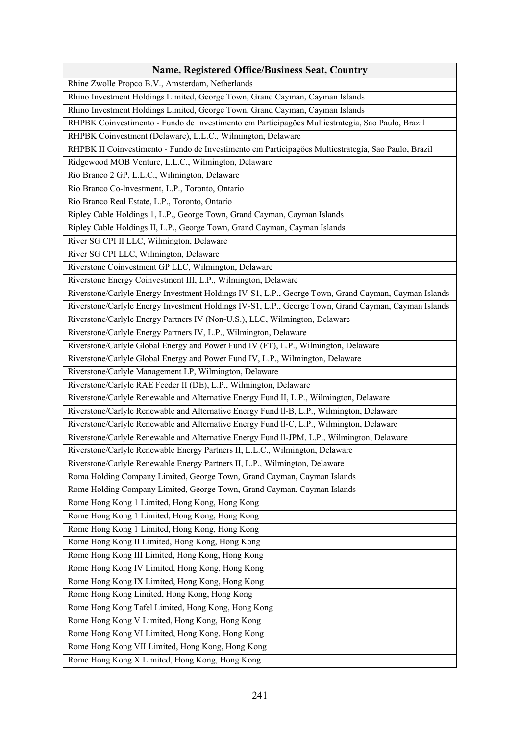| <b>Name, Registered Office/Business Seat, Country</b>                                                |
|------------------------------------------------------------------------------------------------------|
| Rhine Zwolle Propco B.V., Amsterdam, Netherlands                                                     |
| Rhino Investment Holdings Limited, George Town, Grand Cayman, Cayman Islands                         |
| Rhino Investment Holdings Limited, George Town, Grand Cayman, Cayman Islands                         |
| RHPBK Coinvestimento - Fundo de Investimento em Participagöes Multiestrategia, Sao Paulo, Brazil     |
| RHPBK Coinvestment (Delaware), L.L.C., Wilmington, Delaware                                          |
| RHPBK II Coinvestimento - Fundo de Investimento em Participagöes Multiestrategia, Sao Paulo, Brazil  |
| Ridgewood MOB Venture, L.L.C., Wilmington, Delaware                                                  |
| Rio Branco 2 GP, L.L.C., Wilmington, Delaware                                                        |
| Rio Branco Co-Investment, L.P., Toronto, Ontario                                                     |
| Rio Branco Real Estate, L.P., Toronto, Ontario                                                       |
| Ripley Cable Holdings 1, L.P., George Town, Grand Cayman, Cayman Islands                             |
| Ripley Cable Holdings II, L.P., George Town, Grand Cayman, Cayman Islands                            |
| River SG CPI II LLC, Wilmington, Delaware                                                            |
| River SG CPI LLC, Wilmington, Delaware                                                               |
| Riverstone Coinvestment GP LLC, Wilmington, Delaware                                                 |
| Riverstone Energy Coinvestment III, L.P., Wilmington, Delaware                                       |
| Riverstone/Carlyle Energy Investment Holdings IV-S1, L.P., George Town, Grand Cayman, Cayman Islands |
| Riverstone/Carlyle Energy Investment Holdings IV-S1, L.P., George Town, Grand Cayman, Cayman Islands |
| Riverstone/Carlyle Energy Partners IV (Non-U.S.), LLC, Wilmington, Delaware                          |
| Riverstone/Carlyle Energy Partners IV, L.P., Wilmington, Delaware                                    |
| Riverstone/Carlyle Global Energy and Power Fund IV (FT), L.P., Wilmington, Delaware                  |
| Riverstone/Carlyle Global Energy and Power Fund IV, L.P., Wilmington, Delaware                       |
| Riverstone/Carlyle Management LP, Wilmington, Delaware                                               |
| Riverstone/Carlyle RAE Feeder II (DE), L.P., Wilmington, Delaware                                    |
| Riverstone/Carlyle Renewable and Alternative Energy Fund II, L.P., Wilmington, Delaware              |
| Riverstone/Carlyle Renewable and Alternative Energy Fund ll-B, L.P., Wilmington, Delaware            |
| Riverstone/Carlyle Renewable and Alternative Energy Fund Il-C, L.P., Wilmington, Delaware            |
| Riverstone/Carlyle Renewable and Alternative Energy Fund ll-JPM, L.P., Wilmington, Delaware          |
| Riverstone/Carlyle Renewable Energy Partners II, L.L.C., Wilmington, Delaware                        |
| Riverstone/Carlyle Renewable Energy Partners II, L.P., Wilmington, Delaware                          |
| Roma Holding Company Limited, George Town, Grand Cayman, Cayman Islands                              |
| Rome Holding Company Limited, George Town, Grand Cayman, Cayman Islands                              |
| Rome Hong Kong 1 Limited, Hong Kong, Hong Kong                                                       |
| Rome Hong Kong 1 Limited, Hong Kong, Hong Kong                                                       |
| Rome Hong Kong 1 Limited, Hong Kong, Hong Kong                                                       |
| Rome Hong Kong II Limited, Hong Kong, Hong Kong                                                      |
| Rome Hong Kong III Limited, Hong Kong, Hong Kong                                                     |
| Rome Hong Kong IV Limited, Hong Kong, Hong Kong                                                      |
| Rome Hong Kong IX Limited, Hong Kong, Hong Kong                                                      |
| Rome Hong Kong Limited, Hong Kong, Hong Kong                                                         |
| Rome Hong Kong Tafel Limited, Hong Kong, Hong Kong                                                   |
| Rome Hong Kong V Limited, Hong Kong, Hong Kong                                                       |
| Rome Hong Kong VI Limited, Hong Kong, Hong Kong                                                      |
| Rome Hong Kong VII Limited, Hong Kong, Hong Kong                                                     |
| Rome Hong Kong X Limited, Hong Kong, Hong Kong                                                       |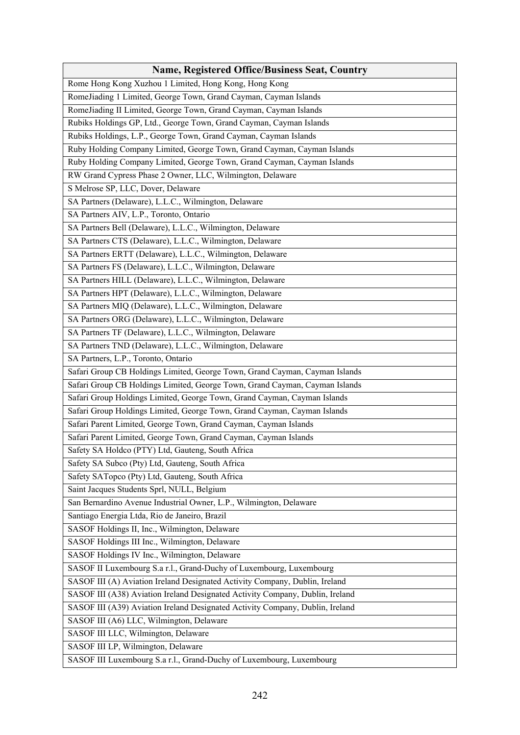| Rome Hong Kong Xuzhou 1 Limited, Hong Kong, Hong Kong<br>RomeJiading 1 Limited, George Town, Grand Cayman, Cayman Islands<br>RomeJiading II Limited, George Town, Grand Cayman, Cayman Islands<br>Rubiks Holdings GP, Ltd., George Town, Grand Cayman, Cayman Islands<br>Rubiks Holdings, L.P., George Town, Grand Cayman, Cayman Islands<br>Ruby Holding Company Limited, George Town, Grand Cayman, Cayman Islands<br>Ruby Holding Company Limited, George Town, Grand Cayman, Cayman Islands<br>RW Grand Cypress Phase 2 Owner, LLC, Wilmington, Delaware<br>S Melrose SP, LLC, Dover, Delaware<br>SA Partners (Delaware), L.L.C., Wilmington, Delaware<br>SA Partners AIV, L.P., Toronto, Ontario<br>SA Partners Bell (Delaware), L.L.C., Wilmington, Delaware<br>SA Partners CTS (Delaware), L.L.C., Wilmington, Delaware<br>SA Partners ERTT (Delaware), L.L.C., Wilmington, Delaware<br>SA Partners FS (Delaware), L.L.C., Wilmington, Delaware<br>SA Partners HILL (Delaware), L.L.C., Wilmington, Delaware<br>SA Partners HPT (Delaware), L.L.C., Wilmington, Delaware<br>SA Partners MIQ (Delaware), L.L.C., Wilmington, Delaware<br>SA Partners ORG (Delaware), L.L.C., Wilmington, Delaware<br>SA Partners TF (Delaware), L.L.C., Wilmington, Delaware<br>SA Partners TND (Delaware), L.L.C., Wilmington, Delaware<br>SA Partners, L.P., Toronto, Ontario<br>Safari Group CB Holdings Limited, George Town, Grand Cayman, Cayman Islands<br>Safari Group CB Holdings Limited, George Town, Grand Cayman, Cayman Islands<br>Safari Group Holdings Limited, George Town, Grand Cayman, Cayman Islands<br>Safari Group Holdings Limited, George Town, Grand Cayman, Cayman Islands<br>Safari Parent Limited, George Town, Grand Cayman, Cayman Islands<br>Safari Parent Limited, George Town, Grand Cayman, Cayman Islands<br>Safety SA Holdco (PTY) Ltd, Gauteng, South Africa<br>Safety SA Subco (Pty) Ltd, Gauteng, South Africa<br>Safety SATopco (Pty) Ltd, Gauteng, South Africa<br>Saint Jacques Students Sprl, NULL, Belgium<br>San Bernardino Avenue Industrial Owner, L.P., Wilmington, Delaware<br>Santiago Energia Ltda, Rio de Janeiro, Brazil<br>SASOF Holdings II, Inc., Wilmington, Delaware<br>SASOF Holdings III Inc., Wilmington, Delaware<br>SASOF Holdings IV Inc., Wilmington, Delaware<br>SASOF II Luxembourg S.a r.l., Grand-Duchy of Luxembourg, Luxembourg<br>SASOF III (A) Aviation Ireland Designated Activity Company, Dublin, Ireland<br>SASOF III (A38) Aviation Ireland Designated Activity Company, Dublin, Ireland<br>SASOF III (A39) Aviation Ireland Designated Activity Company, Dublin, Ireland<br>SASOF III (A6) LLC, Wilmington, Delaware<br>SASOF III LLC, Wilmington, Delaware<br>SASOF III LP, Wilmington, Delaware | <b>Name, Registered Office/Business Seat, Country</b>                |
|-------------------------------------------------------------------------------------------------------------------------------------------------------------------------------------------------------------------------------------------------------------------------------------------------------------------------------------------------------------------------------------------------------------------------------------------------------------------------------------------------------------------------------------------------------------------------------------------------------------------------------------------------------------------------------------------------------------------------------------------------------------------------------------------------------------------------------------------------------------------------------------------------------------------------------------------------------------------------------------------------------------------------------------------------------------------------------------------------------------------------------------------------------------------------------------------------------------------------------------------------------------------------------------------------------------------------------------------------------------------------------------------------------------------------------------------------------------------------------------------------------------------------------------------------------------------------------------------------------------------------------------------------------------------------------------------------------------------------------------------------------------------------------------------------------------------------------------------------------------------------------------------------------------------------------------------------------------------------------------------------------------------------------------------------------------------------------------------------------------------------------------------------------------------------------------------------------------------------------------------------------------------------------------------------------------------------------------------------------------------------------------------------------------------------------------------------------------------------------------------------------------------------------------------------------------------------------------------------------------------------------------------------------------------------------------------------------------------------------------------------------------------------|----------------------------------------------------------------------|
|                                                                                                                                                                                                                                                                                                                                                                                                                                                                                                                                                                                                                                                                                                                                                                                                                                                                                                                                                                                                                                                                                                                                                                                                                                                                                                                                                                                                                                                                                                                                                                                                                                                                                                                                                                                                                                                                                                                                                                                                                                                                                                                                                                                                                                                                                                                                                                                                                                                                                                                                                                                                                                                                                                                                                                         |                                                                      |
|                                                                                                                                                                                                                                                                                                                                                                                                                                                                                                                                                                                                                                                                                                                                                                                                                                                                                                                                                                                                                                                                                                                                                                                                                                                                                                                                                                                                                                                                                                                                                                                                                                                                                                                                                                                                                                                                                                                                                                                                                                                                                                                                                                                                                                                                                                                                                                                                                                                                                                                                                                                                                                                                                                                                                                         |                                                                      |
|                                                                                                                                                                                                                                                                                                                                                                                                                                                                                                                                                                                                                                                                                                                                                                                                                                                                                                                                                                                                                                                                                                                                                                                                                                                                                                                                                                                                                                                                                                                                                                                                                                                                                                                                                                                                                                                                                                                                                                                                                                                                                                                                                                                                                                                                                                                                                                                                                                                                                                                                                                                                                                                                                                                                                                         |                                                                      |
|                                                                                                                                                                                                                                                                                                                                                                                                                                                                                                                                                                                                                                                                                                                                                                                                                                                                                                                                                                                                                                                                                                                                                                                                                                                                                                                                                                                                                                                                                                                                                                                                                                                                                                                                                                                                                                                                                                                                                                                                                                                                                                                                                                                                                                                                                                                                                                                                                                                                                                                                                                                                                                                                                                                                                                         |                                                                      |
|                                                                                                                                                                                                                                                                                                                                                                                                                                                                                                                                                                                                                                                                                                                                                                                                                                                                                                                                                                                                                                                                                                                                                                                                                                                                                                                                                                                                                                                                                                                                                                                                                                                                                                                                                                                                                                                                                                                                                                                                                                                                                                                                                                                                                                                                                                                                                                                                                                                                                                                                                                                                                                                                                                                                                                         |                                                                      |
|                                                                                                                                                                                                                                                                                                                                                                                                                                                                                                                                                                                                                                                                                                                                                                                                                                                                                                                                                                                                                                                                                                                                                                                                                                                                                                                                                                                                                                                                                                                                                                                                                                                                                                                                                                                                                                                                                                                                                                                                                                                                                                                                                                                                                                                                                                                                                                                                                                                                                                                                                                                                                                                                                                                                                                         |                                                                      |
|                                                                                                                                                                                                                                                                                                                                                                                                                                                                                                                                                                                                                                                                                                                                                                                                                                                                                                                                                                                                                                                                                                                                                                                                                                                                                                                                                                                                                                                                                                                                                                                                                                                                                                                                                                                                                                                                                                                                                                                                                                                                                                                                                                                                                                                                                                                                                                                                                                                                                                                                                                                                                                                                                                                                                                         |                                                                      |
|                                                                                                                                                                                                                                                                                                                                                                                                                                                                                                                                                                                                                                                                                                                                                                                                                                                                                                                                                                                                                                                                                                                                                                                                                                                                                                                                                                                                                                                                                                                                                                                                                                                                                                                                                                                                                                                                                                                                                                                                                                                                                                                                                                                                                                                                                                                                                                                                                                                                                                                                                                                                                                                                                                                                                                         |                                                                      |
|                                                                                                                                                                                                                                                                                                                                                                                                                                                                                                                                                                                                                                                                                                                                                                                                                                                                                                                                                                                                                                                                                                                                                                                                                                                                                                                                                                                                                                                                                                                                                                                                                                                                                                                                                                                                                                                                                                                                                                                                                                                                                                                                                                                                                                                                                                                                                                                                                                                                                                                                                                                                                                                                                                                                                                         |                                                                      |
|                                                                                                                                                                                                                                                                                                                                                                                                                                                                                                                                                                                                                                                                                                                                                                                                                                                                                                                                                                                                                                                                                                                                                                                                                                                                                                                                                                                                                                                                                                                                                                                                                                                                                                                                                                                                                                                                                                                                                                                                                                                                                                                                                                                                                                                                                                                                                                                                                                                                                                                                                                                                                                                                                                                                                                         |                                                                      |
|                                                                                                                                                                                                                                                                                                                                                                                                                                                                                                                                                                                                                                                                                                                                                                                                                                                                                                                                                                                                                                                                                                                                                                                                                                                                                                                                                                                                                                                                                                                                                                                                                                                                                                                                                                                                                                                                                                                                                                                                                                                                                                                                                                                                                                                                                                                                                                                                                                                                                                                                                                                                                                                                                                                                                                         |                                                                      |
|                                                                                                                                                                                                                                                                                                                                                                                                                                                                                                                                                                                                                                                                                                                                                                                                                                                                                                                                                                                                                                                                                                                                                                                                                                                                                                                                                                                                                                                                                                                                                                                                                                                                                                                                                                                                                                                                                                                                                                                                                                                                                                                                                                                                                                                                                                                                                                                                                                                                                                                                                                                                                                                                                                                                                                         |                                                                      |
|                                                                                                                                                                                                                                                                                                                                                                                                                                                                                                                                                                                                                                                                                                                                                                                                                                                                                                                                                                                                                                                                                                                                                                                                                                                                                                                                                                                                                                                                                                                                                                                                                                                                                                                                                                                                                                                                                                                                                                                                                                                                                                                                                                                                                                                                                                                                                                                                                                                                                                                                                                                                                                                                                                                                                                         |                                                                      |
|                                                                                                                                                                                                                                                                                                                                                                                                                                                                                                                                                                                                                                                                                                                                                                                                                                                                                                                                                                                                                                                                                                                                                                                                                                                                                                                                                                                                                                                                                                                                                                                                                                                                                                                                                                                                                                                                                                                                                                                                                                                                                                                                                                                                                                                                                                                                                                                                                                                                                                                                                                                                                                                                                                                                                                         |                                                                      |
|                                                                                                                                                                                                                                                                                                                                                                                                                                                                                                                                                                                                                                                                                                                                                                                                                                                                                                                                                                                                                                                                                                                                                                                                                                                                                                                                                                                                                                                                                                                                                                                                                                                                                                                                                                                                                                                                                                                                                                                                                                                                                                                                                                                                                                                                                                                                                                                                                                                                                                                                                                                                                                                                                                                                                                         |                                                                      |
|                                                                                                                                                                                                                                                                                                                                                                                                                                                                                                                                                                                                                                                                                                                                                                                                                                                                                                                                                                                                                                                                                                                                                                                                                                                                                                                                                                                                                                                                                                                                                                                                                                                                                                                                                                                                                                                                                                                                                                                                                                                                                                                                                                                                                                                                                                                                                                                                                                                                                                                                                                                                                                                                                                                                                                         |                                                                      |
|                                                                                                                                                                                                                                                                                                                                                                                                                                                                                                                                                                                                                                                                                                                                                                                                                                                                                                                                                                                                                                                                                                                                                                                                                                                                                                                                                                                                                                                                                                                                                                                                                                                                                                                                                                                                                                                                                                                                                                                                                                                                                                                                                                                                                                                                                                                                                                                                                                                                                                                                                                                                                                                                                                                                                                         |                                                                      |
|                                                                                                                                                                                                                                                                                                                                                                                                                                                                                                                                                                                                                                                                                                                                                                                                                                                                                                                                                                                                                                                                                                                                                                                                                                                                                                                                                                                                                                                                                                                                                                                                                                                                                                                                                                                                                                                                                                                                                                                                                                                                                                                                                                                                                                                                                                                                                                                                                                                                                                                                                                                                                                                                                                                                                                         |                                                                      |
|                                                                                                                                                                                                                                                                                                                                                                                                                                                                                                                                                                                                                                                                                                                                                                                                                                                                                                                                                                                                                                                                                                                                                                                                                                                                                                                                                                                                                                                                                                                                                                                                                                                                                                                                                                                                                                                                                                                                                                                                                                                                                                                                                                                                                                                                                                                                                                                                                                                                                                                                                                                                                                                                                                                                                                         |                                                                      |
|                                                                                                                                                                                                                                                                                                                                                                                                                                                                                                                                                                                                                                                                                                                                                                                                                                                                                                                                                                                                                                                                                                                                                                                                                                                                                                                                                                                                                                                                                                                                                                                                                                                                                                                                                                                                                                                                                                                                                                                                                                                                                                                                                                                                                                                                                                                                                                                                                                                                                                                                                                                                                                                                                                                                                                         |                                                                      |
|                                                                                                                                                                                                                                                                                                                                                                                                                                                                                                                                                                                                                                                                                                                                                                                                                                                                                                                                                                                                                                                                                                                                                                                                                                                                                                                                                                                                                                                                                                                                                                                                                                                                                                                                                                                                                                                                                                                                                                                                                                                                                                                                                                                                                                                                                                                                                                                                                                                                                                                                                                                                                                                                                                                                                                         |                                                                      |
|                                                                                                                                                                                                                                                                                                                                                                                                                                                                                                                                                                                                                                                                                                                                                                                                                                                                                                                                                                                                                                                                                                                                                                                                                                                                                                                                                                                                                                                                                                                                                                                                                                                                                                                                                                                                                                                                                                                                                                                                                                                                                                                                                                                                                                                                                                                                                                                                                                                                                                                                                                                                                                                                                                                                                                         |                                                                      |
|                                                                                                                                                                                                                                                                                                                                                                                                                                                                                                                                                                                                                                                                                                                                                                                                                                                                                                                                                                                                                                                                                                                                                                                                                                                                                                                                                                                                                                                                                                                                                                                                                                                                                                                                                                                                                                                                                                                                                                                                                                                                                                                                                                                                                                                                                                                                                                                                                                                                                                                                                                                                                                                                                                                                                                         |                                                                      |
|                                                                                                                                                                                                                                                                                                                                                                                                                                                                                                                                                                                                                                                                                                                                                                                                                                                                                                                                                                                                                                                                                                                                                                                                                                                                                                                                                                                                                                                                                                                                                                                                                                                                                                                                                                                                                                                                                                                                                                                                                                                                                                                                                                                                                                                                                                                                                                                                                                                                                                                                                                                                                                                                                                                                                                         |                                                                      |
|                                                                                                                                                                                                                                                                                                                                                                                                                                                                                                                                                                                                                                                                                                                                                                                                                                                                                                                                                                                                                                                                                                                                                                                                                                                                                                                                                                                                                                                                                                                                                                                                                                                                                                                                                                                                                                                                                                                                                                                                                                                                                                                                                                                                                                                                                                                                                                                                                                                                                                                                                                                                                                                                                                                                                                         |                                                                      |
|                                                                                                                                                                                                                                                                                                                                                                                                                                                                                                                                                                                                                                                                                                                                                                                                                                                                                                                                                                                                                                                                                                                                                                                                                                                                                                                                                                                                                                                                                                                                                                                                                                                                                                                                                                                                                                                                                                                                                                                                                                                                                                                                                                                                                                                                                                                                                                                                                                                                                                                                                                                                                                                                                                                                                                         |                                                                      |
|                                                                                                                                                                                                                                                                                                                                                                                                                                                                                                                                                                                                                                                                                                                                                                                                                                                                                                                                                                                                                                                                                                                                                                                                                                                                                                                                                                                                                                                                                                                                                                                                                                                                                                                                                                                                                                                                                                                                                                                                                                                                                                                                                                                                                                                                                                                                                                                                                                                                                                                                                                                                                                                                                                                                                                         |                                                                      |
|                                                                                                                                                                                                                                                                                                                                                                                                                                                                                                                                                                                                                                                                                                                                                                                                                                                                                                                                                                                                                                                                                                                                                                                                                                                                                                                                                                                                                                                                                                                                                                                                                                                                                                                                                                                                                                                                                                                                                                                                                                                                                                                                                                                                                                                                                                                                                                                                                                                                                                                                                                                                                                                                                                                                                                         |                                                                      |
|                                                                                                                                                                                                                                                                                                                                                                                                                                                                                                                                                                                                                                                                                                                                                                                                                                                                                                                                                                                                                                                                                                                                                                                                                                                                                                                                                                                                                                                                                                                                                                                                                                                                                                                                                                                                                                                                                                                                                                                                                                                                                                                                                                                                                                                                                                                                                                                                                                                                                                                                                                                                                                                                                                                                                                         |                                                                      |
|                                                                                                                                                                                                                                                                                                                                                                                                                                                                                                                                                                                                                                                                                                                                                                                                                                                                                                                                                                                                                                                                                                                                                                                                                                                                                                                                                                                                                                                                                                                                                                                                                                                                                                                                                                                                                                                                                                                                                                                                                                                                                                                                                                                                                                                                                                                                                                                                                                                                                                                                                                                                                                                                                                                                                                         |                                                                      |
|                                                                                                                                                                                                                                                                                                                                                                                                                                                                                                                                                                                                                                                                                                                                                                                                                                                                                                                                                                                                                                                                                                                                                                                                                                                                                                                                                                                                                                                                                                                                                                                                                                                                                                                                                                                                                                                                                                                                                                                                                                                                                                                                                                                                                                                                                                                                                                                                                                                                                                                                                                                                                                                                                                                                                                         |                                                                      |
|                                                                                                                                                                                                                                                                                                                                                                                                                                                                                                                                                                                                                                                                                                                                                                                                                                                                                                                                                                                                                                                                                                                                                                                                                                                                                                                                                                                                                                                                                                                                                                                                                                                                                                                                                                                                                                                                                                                                                                                                                                                                                                                                                                                                                                                                                                                                                                                                                                                                                                                                                                                                                                                                                                                                                                         |                                                                      |
|                                                                                                                                                                                                                                                                                                                                                                                                                                                                                                                                                                                                                                                                                                                                                                                                                                                                                                                                                                                                                                                                                                                                                                                                                                                                                                                                                                                                                                                                                                                                                                                                                                                                                                                                                                                                                                                                                                                                                                                                                                                                                                                                                                                                                                                                                                                                                                                                                                                                                                                                                                                                                                                                                                                                                                         |                                                                      |
|                                                                                                                                                                                                                                                                                                                                                                                                                                                                                                                                                                                                                                                                                                                                                                                                                                                                                                                                                                                                                                                                                                                                                                                                                                                                                                                                                                                                                                                                                                                                                                                                                                                                                                                                                                                                                                                                                                                                                                                                                                                                                                                                                                                                                                                                                                                                                                                                                                                                                                                                                                                                                                                                                                                                                                         |                                                                      |
|                                                                                                                                                                                                                                                                                                                                                                                                                                                                                                                                                                                                                                                                                                                                                                                                                                                                                                                                                                                                                                                                                                                                                                                                                                                                                                                                                                                                                                                                                                                                                                                                                                                                                                                                                                                                                                                                                                                                                                                                                                                                                                                                                                                                                                                                                                                                                                                                                                                                                                                                                                                                                                                                                                                                                                         |                                                                      |
|                                                                                                                                                                                                                                                                                                                                                                                                                                                                                                                                                                                                                                                                                                                                                                                                                                                                                                                                                                                                                                                                                                                                                                                                                                                                                                                                                                                                                                                                                                                                                                                                                                                                                                                                                                                                                                                                                                                                                                                                                                                                                                                                                                                                                                                                                                                                                                                                                                                                                                                                                                                                                                                                                                                                                                         |                                                                      |
|                                                                                                                                                                                                                                                                                                                                                                                                                                                                                                                                                                                                                                                                                                                                                                                                                                                                                                                                                                                                                                                                                                                                                                                                                                                                                                                                                                                                                                                                                                                                                                                                                                                                                                                                                                                                                                                                                                                                                                                                                                                                                                                                                                                                                                                                                                                                                                                                                                                                                                                                                                                                                                                                                                                                                                         |                                                                      |
|                                                                                                                                                                                                                                                                                                                                                                                                                                                                                                                                                                                                                                                                                                                                                                                                                                                                                                                                                                                                                                                                                                                                                                                                                                                                                                                                                                                                                                                                                                                                                                                                                                                                                                                                                                                                                                                                                                                                                                                                                                                                                                                                                                                                                                                                                                                                                                                                                                                                                                                                                                                                                                                                                                                                                                         |                                                                      |
|                                                                                                                                                                                                                                                                                                                                                                                                                                                                                                                                                                                                                                                                                                                                                                                                                                                                                                                                                                                                                                                                                                                                                                                                                                                                                                                                                                                                                                                                                                                                                                                                                                                                                                                                                                                                                                                                                                                                                                                                                                                                                                                                                                                                                                                                                                                                                                                                                                                                                                                                                                                                                                                                                                                                                                         |                                                                      |
|                                                                                                                                                                                                                                                                                                                                                                                                                                                                                                                                                                                                                                                                                                                                                                                                                                                                                                                                                                                                                                                                                                                                                                                                                                                                                                                                                                                                                                                                                                                                                                                                                                                                                                                                                                                                                                                                                                                                                                                                                                                                                                                                                                                                                                                                                                                                                                                                                                                                                                                                                                                                                                                                                                                                                                         |                                                                      |
|                                                                                                                                                                                                                                                                                                                                                                                                                                                                                                                                                                                                                                                                                                                                                                                                                                                                                                                                                                                                                                                                                                                                                                                                                                                                                                                                                                                                                                                                                                                                                                                                                                                                                                                                                                                                                                                                                                                                                                                                                                                                                                                                                                                                                                                                                                                                                                                                                                                                                                                                                                                                                                                                                                                                                                         |                                                                      |
|                                                                                                                                                                                                                                                                                                                                                                                                                                                                                                                                                                                                                                                                                                                                                                                                                                                                                                                                                                                                                                                                                                                                                                                                                                                                                                                                                                                                                                                                                                                                                                                                                                                                                                                                                                                                                                                                                                                                                                                                                                                                                                                                                                                                                                                                                                                                                                                                                                                                                                                                                                                                                                                                                                                                                                         |                                                                      |
|                                                                                                                                                                                                                                                                                                                                                                                                                                                                                                                                                                                                                                                                                                                                                                                                                                                                                                                                                                                                                                                                                                                                                                                                                                                                                                                                                                                                                                                                                                                                                                                                                                                                                                                                                                                                                                                                                                                                                                                                                                                                                                                                                                                                                                                                                                                                                                                                                                                                                                                                                                                                                                                                                                                                                                         |                                                                      |
|                                                                                                                                                                                                                                                                                                                                                                                                                                                                                                                                                                                                                                                                                                                                                                                                                                                                                                                                                                                                                                                                                                                                                                                                                                                                                                                                                                                                                                                                                                                                                                                                                                                                                                                                                                                                                                                                                                                                                                                                                                                                                                                                                                                                                                                                                                                                                                                                                                                                                                                                                                                                                                                                                                                                                                         |                                                                      |
|                                                                                                                                                                                                                                                                                                                                                                                                                                                                                                                                                                                                                                                                                                                                                                                                                                                                                                                                                                                                                                                                                                                                                                                                                                                                                                                                                                                                                                                                                                                                                                                                                                                                                                                                                                                                                                                                                                                                                                                                                                                                                                                                                                                                                                                                                                                                                                                                                                                                                                                                                                                                                                                                                                                                                                         | SASOF III Luxembourg S.a r.l., Grand-Duchy of Luxembourg, Luxembourg |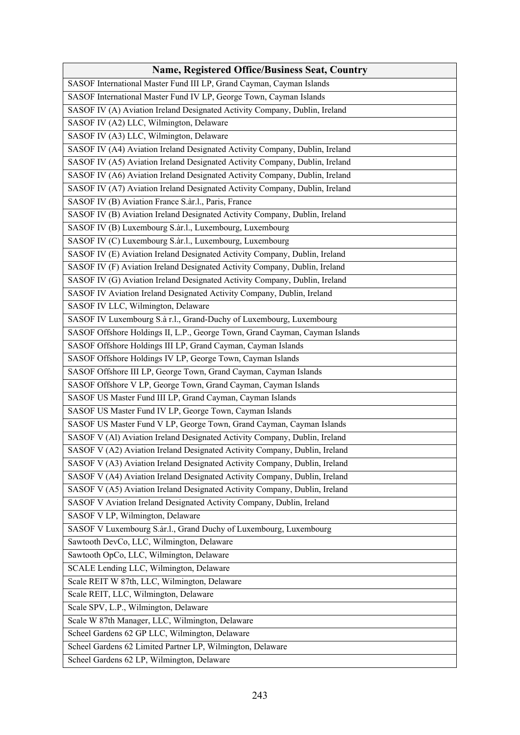| <b>Name, Registered Office/Business Seat, Country</b>                       |
|-----------------------------------------------------------------------------|
| SASOF International Master Fund III LP, Grand Cayman, Cayman Islands        |
| SASOF International Master Fund IV LP, George Town, Cayman Islands          |
| SASOF IV (A) Aviation Ireland Designated Activity Company, Dublin, Ireland  |
| SASOF IV (A2) LLC, Wilmington, Delaware                                     |
| SASOF IV (A3) LLC, Wilmington, Delaware                                     |
| SASOF IV (A4) Aviation Ireland Designated Activity Company, Dublin, Ireland |
| SASOF IV (A5) Aviation Ireland Designated Activity Company, Dublin, Ireland |
| SASOF IV (A6) Aviation Ireland Designated Activity Company, Dublin, Ireland |
| SASOF IV (A7) Aviation Ireland Designated Activity Company, Dublin, Ireland |
| SASOF IV (B) Aviation France S.àr.l., Paris, France                         |
| SASOF IV (B) Aviation Ireland Designated Activity Company, Dublin, Ireland  |
| SASOF IV (B) Luxembourg S.àr.l., Luxembourg, Luxembourg                     |
| SASOF IV (C) Luxembourg S.àr.l., Luxembourg, Luxembourg                     |
| SASOF IV (E) Aviation Ireland Designated Activity Company, Dublin, Ireland  |
| SASOF IV (F) Aviation Ireland Designated Activity Company, Dublin, Ireland  |
| SASOF IV (G) Aviation Ireland Designated Activity Company, Dublin, Ireland  |
| SASOF IV Aviation Ireland Designated Activity Company, Dublin, Ireland      |
| SASOF IV LLC, Wilmington, Delaware                                          |
| SASOF IV Luxembourg S.à r.l., Grand-Duchy of Luxembourg, Luxembourg         |
| SASOF Offshore Holdings II, L.P., George Town, Grand Cayman, Cayman Islands |
| SASOF Offshore Holdings III LP, Grand Cayman, Cayman Islands                |
| SASOF Offshore Holdings IV LP, George Town, Cayman Islands                  |
| SASOF Offshore III LP, George Town, Grand Cayman, Cayman Islands            |
| SASOF Offshore V LP, George Town, Grand Cayman, Cayman Islands              |
| SASOF US Master Fund III LP, Grand Cayman, Cayman Islands                   |
| SASOF US Master Fund IV LP, George Town, Cayman Islands                     |
| SASOF US Master Fund V LP, George Town, Grand Cayman, Cayman Islands        |
| SASOF V (Al) Aviation Ireland Designated Activity Company, Dublin, Ireland  |
| SASOF V (A2) Aviation Ireland Designated Activity Company, Dublin, Ireland  |
| SASOF V (A3) Aviation Ireland Designated Activity Company, Dublin, Ireland  |
| SASOF V (A4) Aviation Ireland Designated Activity Company, Dublin, Ireland  |
| SASOF V (A5) Aviation Ireland Designated Activity Company, Dublin, Ireland  |
| SASOF V Aviation Ireland Designated Activity Company, Dublin, Ireland       |
| SASOF V LP, Wilmington, Delaware                                            |
| SASOF V Luxembourg S.àr.l., Grand Duchy of Luxembourg, Luxembourg           |
| Sawtooth DevCo, LLC, Wilmington, Delaware                                   |
| Sawtooth OpCo, LLC, Wilmington, Delaware                                    |
| SCALE Lending LLC, Wilmington, Delaware                                     |
| Scale REIT W 87th, LLC, Wilmington, Delaware                                |
| Scale REIT, LLC, Wilmington, Delaware                                       |
| Scale SPV, L.P., Wilmington, Delaware                                       |
| Scale W 87th Manager, LLC, Wilmington, Delaware                             |
| Scheel Gardens 62 GP LLC, Wilmington, Delaware                              |
| Scheel Gardens 62 Limited Partner LP, Wilmington, Delaware                  |
| Scheel Gardens 62 LP, Wilmington, Delaware                                  |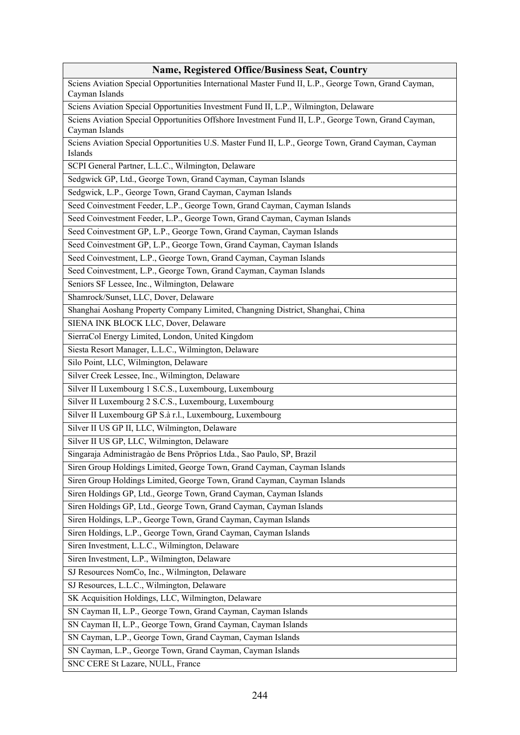## **Name, Registered Office/Business Seat, Country**

Sciens Aviation Special Opportunities International Master Fund II, L.P., George Town, Grand Cayman, Cayman Islands

Sciens Aviation Special Opportunities Investment Fund II, L.P., Wilmington, Delaware

Sciens Aviation Special Opportunities Offshore Investment Fund II, L.P., George Town, Grand Cayman, Cayman Islands

Sciens Aviation Special Opportunities U.S. Master Fund II, L.P., George Town, Grand Cayman, Cayman Islands

SCPI General Partner, L.L.C., Wilmington, Delaware

Sedgwick GP, Ltd., George Town, Grand Cayman, Cayman Islands

Sedgwick, L.P., George Town, Grand Cayman, Cayman Islands

Seed Coinvestment Feeder, L.P., George Town, Grand Cayman, Cayman Islands

Seed Coinvestment Feeder, L.P., George Town, Grand Cayman, Cayman Islands

Seed Coinvestment GP, L.P., George Town, Grand Cayman, Cayman Islands

Seed Coinvestment GP, L.P., George Town, Grand Cayman, Cayman Islands

Seed Coinvestment, L.P., George Town, Grand Cayman, Cayman Islands

Seed Coinvestment, L.P., George Town, Grand Cayman, Cayman Islands

Seniors SF Lessee, Inc., Wilmington, Delaware

Shamrock/Sunset, LLC, Dover, Delaware

Shanghai Aoshang Property Company Limited, Changning District, Shanghai, China

SIENA INK BLOCK LLC, Dover, Delaware

SierraCol Energy Limited, London, United Kingdom

Siesta Resort Manager, L.L.C., Wilmington, Delaware

Silo Point, LLC, Wilmington, Delaware

Silver Creek Lessee, Inc., Wilmington, Delaware

Silver II Luxembourg 1 S.C.S., Luxembourg, Luxembourg

Silver II Luxembourg 2 S.C.S., Luxembourg, Luxembourg

Silver II Luxembourg GP S.à r.l., Luxembourg, Luxembourg

Silver II US GP II, LLC, Wilmington, Delaware

Silver II US GP, LLC, Wilmington, Delaware

Singaraja Administragào de Bens Pröprios Ltda., Sao Paulo, SP, Brazil

Siren Group Holdings Limited, George Town, Grand Cayman, Cayman Islands

Siren Group Holdings Limited, George Town, Grand Cayman, Cayman Islands

Siren Holdings GP, Ltd., George Town, Grand Cayman, Cayman Islands

Siren Holdings GP, Ltd., George Town, Grand Cayman, Cayman Islands

Siren Holdings, L.P., George Town, Grand Cayman, Cayman Islands

Siren Holdings, L.P., George Town, Grand Cayman, Cayman Islands

Siren Investment, L.L.C., Wilmington, Delaware

Siren Investment, L.P., Wilmington, Delaware

SJ Resources NomCo, Inc., Wilmington, Delaware

SJ Resources, L.L.C., Wilmington, Delaware

SK Acquisition Holdings, LLC, Wilmington, Delaware

SN Cayman II, L.P., George Town, Grand Cayman, Cayman Islands

SN Cayman II, L.P., George Town, Grand Cayman, Cayman Islands

SN Cayman, L.P., George Town, Grand Cayman, Cayman Islands

SN Cayman, L.P., George Town, Grand Cayman, Cayman Islands

SNC CERE St Lazare, NULL, France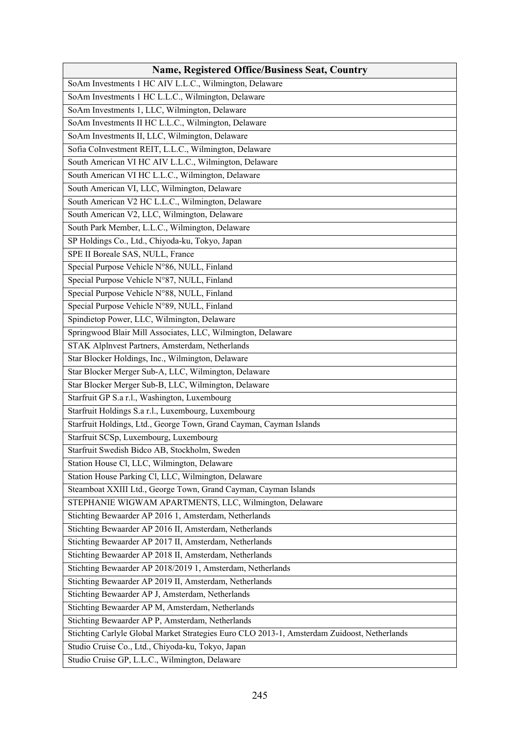| <b>Name, Registered Office/Business Seat, Country</b>                                       |
|---------------------------------------------------------------------------------------------|
| SoAm Investments 1 HC AIV L.L.C., Wilmington, Delaware                                      |
| SoAm Investments 1 HC L.L.C., Wilmington, Delaware                                          |
| SoAm Investments 1, LLC, Wilmington, Delaware                                               |
| SoAm Investments II HC L.L.C., Wilmington, Delaware                                         |
| SoAm Investments II, LLC, Wilmington, Delaware                                              |
| Sofia CoInvestment REIT, L.L.C., Wilmington, Delaware                                       |
| South American VI HC AIV L.L.C., Wilmington, Delaware                                       |
| South American VI HC L.L.C., Wilmington, Delaware                                           |
| South American VI, LLC, Wilmington, Delaware                                                |
| South American V2 HC L.L.C., Wilmington, Delaware                                           |
| South American V2, LLC, Wilmington, Delaware                                                |
| South Park Member, L.L.C., Wilmington, Delaware                                             |
| SP Holdings Co., Ltd., Chiyoda-ku, Tokyo, Japan                                             |
| SPE II Boreale SAS, NULL, France                                                            |
| Special Purpose Vehicle N°86, NULL, Finland                                                 |
| Special Purpose Vehicle N°87, NULL, Finland                                                 |
| Special Purpose Vehicle N°88, NULL, Finland                                                 |
| Special Purpose Vehicle N°89, NULL, Finland                                                 |
| Spindietop Power, LLC, Wilmington, Delaware                                                 |
| Springwood Blair Mill Associates, LLC, Wilmington, Delaware                                 |
| STAK Alplnvest Partners, Amsterdam, Netherlands                                             |
| Star Blocker Holdings, Inc., Wilmington, Delaware                                           |
| Star Blocker Merger Sub-A, LLC, Wilmington, Delaware                                        |
| Star Blocker Merger Sub-B, LLC, Wilmington, Delaware                                        |
| Starfruit GP S.a r.l., Washington, Luxembourg                                               |
| Starfruit Holdings S.a r.l., Luxembourg, Luxembourg                                         |
| Starfruit Holdings, Ltd., George Town, Grand Cayman, Cayman Islands                         |
| Starfruit SCSp, Luxembourg, Luxembourg                                                      |
| Starfruit Swedish Bidco AB, Stockholm, Sweden                                               |
| Station House Cl, LLC, Wilmington, Delaware                                                 |
| Station House Parking Cl, LLC, Wilmington, Delaware                                         |
| Steamboat XXIII Ltd., George Town, Grand Cayman, Cayman Islands                             |
| STEPHANIE WIGWAM APARTMENTS, LLC, Wilmington, Delaware                                      |
| Stichting Bewaarder AP 2016 1, Amsterdam, Netherlands                                       |
| Stichting Bewaarder AP 2016 II, Amsterdam, Netherlands                                      |
| Stichting Bewaarder AP 2017 II, Amsterdam, Netherlands                                      |
| Stichting Bewaarder AP 2018 II, Amsterdam, Netherlands                                      |
| Stichting Bewaarder AP 2018/2019 1, Amsterdam, Netherlands                                  |
| Stichting Bewaarder AP 2019 II, Amsterdam, Netherlands                                      |
| Stichting Bewaarder AP J, Amsterdam, Netherlands                                            |
| Stichting Bewaarder AP M, Amsterdam, Netherlands                                            |
| Stichting Bewaarder AP P, Amsterdam, Netherlands                                            |
| Stichting Carlyle Global Market Strategies Euro CLO 2013-1, Amsterdam Zuidoost, Netherlands |
| Studio Cruise Co., Ltd., Chiyoda-ku, Tokyo, Japan                                           |
| Studio Cruise GP, L.L.C., Wilmington, Delaware                                              |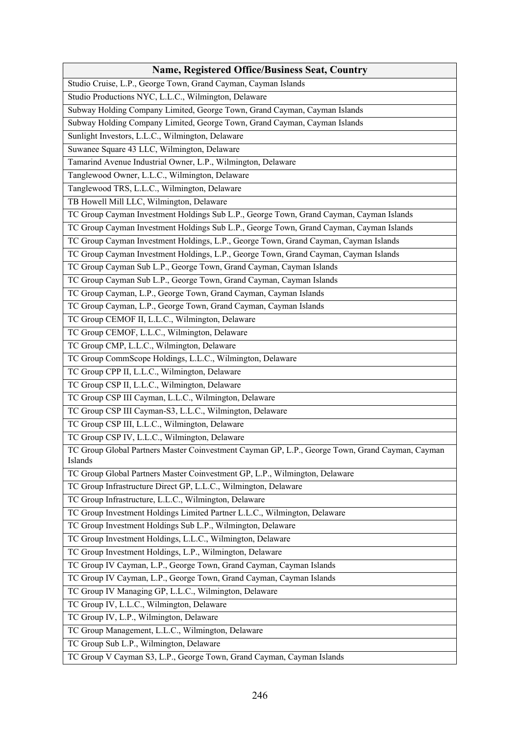| <b>Name, Registered Office/Business Seat, Country</b>                                                      |
|------------------------------------------------------------------------------------------------------------|
| Studio Cruise, L.P., George Town, Grand Cayman, Cayman Islands                                             |
| Studio Productions NYC, L.L.C., Wilmington, Delaware                                                       |
| Subway Holding Company Limited, George Town, Grand Cayman, Cayman Islands                                  |
| Subway Holding Company Limited, George Town, Grand Cayman, Cayman Islands                                  |
| Sunlight Investors, L.L.C., Wilmington, Delaware                                                           |
| Suwanee Square 43 LLC, Wilmington, Delaware                                                                |
| Tamarind Avenue Industrial Owner, L.P., Wilmington, Delaware                                               |
| Tanglewood Owner, L.L.C., Wilmington, Delaware                                                             |
| Tanglewood TRS, L.L.C., Wilmington, Delaware                                                               |
| TB Howell Mill LLC, Wilmington, Delaware                                                                   |
| TC Group Cayman Investment Holdings Sub L.P., George Town, Grand Cayman, Cayman Islands                    |
| TC Group Cayman Investment Holdings Sub L.P., George Town, Grand Cayman, Cayman Islands                    |
| TC Group Cayman Investment Holdings, L.P., George Town, Grand Cayman, Cayman Islands                       |
| TC Group Cayman Investment Holdings, L.P., George Town, Grand Cayman, Cayman Islands                       |
| TC Group Cayman Sub L.P., George Town, Grand Cayman, Cayman Islands                                        |
| TC Group Cayman Sub L.P., George Town, Grand Cayman, Cayman Islands                                        |
| TC Group Cayman, L.P., George Town, Grand Cayman, Cayman Islands                                           |
| TC Group Cayman, L.P., George Town, Grand Cayman, Cayman Islands                                           |
| TC Group CEMOF II, L.L.C., Wilmington, Delaware                                                            |
| TC Group CEMOF, L.L.C., Wilmington, Delaware                                                               |
| TC Group CMP, L.L.C., Wilmington, Delaware                                                                 |
| TC Group CommScope Holdings, L.L.C., Wilmington, Delaware                                                  |
| TC Group CPP II, L.L.C., Wilmington, Delaware                                                              |
| TC Group CSP II, L.L.C., Wilmington, Delaware                                                              |
| TC Group CSP III Cayman, L.L.C., Wilmington, Delaware                                                      |
| TC Group CSP III Cayman-S3, L.L.C., Wilmington, Delaware                                                   |
| TC Group CSP III, L.L.C., Wilmington, Delaware                                                             |
| TC Group CSP IV, L.L.C., Wilmington, Delaware                                                              |
| TC Group Global Partners Master Coinvestment Cayman GP, L.P., George Town, Grand Cayman, Cayman<br>Islands |
| TC Group Global Partners Master Coinvestment GP, L.P., Wilmington, Delaware                                |
| TC Group Infrastructure Direct GP, L.L.C., Wilmington, Delaware                                            |
| TC Group Infrastructure, L.L.C., Wilmington, Delaware                                                      |
| TC Group Investment Holdings Limited Partner L.L.C., Wilmington, Delaware                                  |
| TC Group Investment Holdings Sub L.P., Wilmington, Delaware                                                |
| TC Group Investment Holdings, L.L.C., Wilmington, Delaware                                                 |
| TC Group Investment Holdings, L.P., Wilmington, Delaware                                                   |
| TC Group IV Cayman, L.P., George Town, Grand Cayman, Cayman Islands                                        |
| TC Group IV Cayman, L.P., George Town, Grand Cayman, Cayman Islands                                        |
| TC Group IV Managing GP, L.L.C., Wilmington, Delaware                                                      |
| TC Group IV, L.L.C., Wilmington, Delaware                                                                  |
| TC Group IV, L.P., Wilmington, Delaware                                                                    |
| TC Group Management, L.L.C., Wilmington, Delaware                                                          |
| TC Group Sub L.P., Wilmington, Delaware                                                                    |
| TC Group V Cayman S3, L.P., George Town, Grand Cayman, Cayman Islands                                      |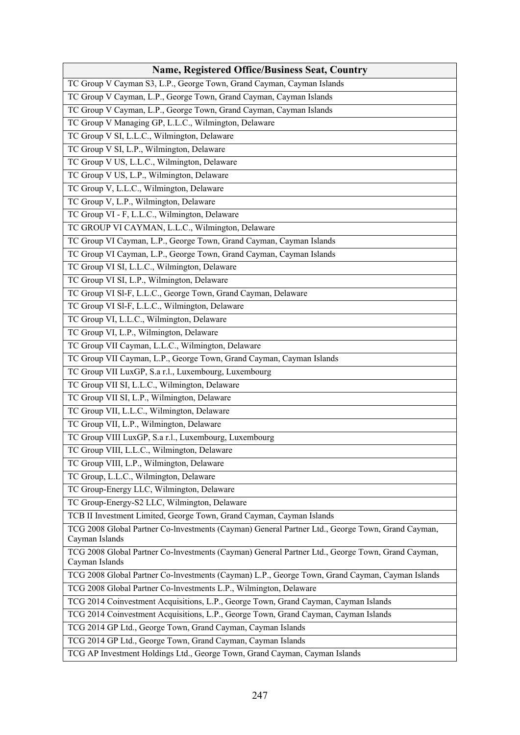| <b>Name, Registered Office/Business Seat, Country</b>                                                              |
|--------------------------------------------------------------------------------------------------------------------|
| TC Group V Cayman S3, L.P., George Town, Grand Cayman, Cayman Islands                                              |
| TC Group V Cayman, L.P., George Town, Grand Cayman, Cayman Islands                                                 |
| TC Group V Cayman, L.P., George Town, Grand Cayman, Cayman Islands                                                 |
| TC Group V Managing GP, L.L.C., Wilmington, Delaware                                                               |
| TC Group V SI, L.L.C., Wilmington, Delaware                                                                        |
| TC Group V SI, L.P., Wilmington, Delaware                                                                          |
| TC Group V US, L.L.C., Wilmington, Delaware                                                                        |
| TC Group V US, L.P., Wilmington, Delaware                                                                          |
| TC Group V, L.L.C., Wilmington, Delaware                                                                           |
| TC Group V, L.P., Wilmington, Delaware                                                                             |
| TC Group VI - F, L.L.C., Wilmington, Delaware                                                                      |
| TC GROUP VI CAYMAN, L.L.C., Wilmington, Delaware                                                                   |
| TC Group VI Cayman, L.P., George Town, Grand Cayman, Cayman Islands                                                |
| TC Group VI Cayman, L.P., George Town, Grand Cayman, Cayman Islands                                                |
| TC Group VI SI, L.L.C., Wilmington, Delaware                                                                       |
| TC Group VI SI, L.P., Wilmington, Delaware                                                                         |
| TC Group VI Sl-F, L.L.C., George Town, Grand Cayman, Delaware                                                      |
| TC Group VI Sl-F, L.L.C., Wilmington, Delaware                                                                     |
| TC Group VI, L.L.C., Wilmington, Delaware                                                                          |
| TC Group VI, L.P., Wilmington, Delaware                                                                            |
| TC Group VII Cayman, L.L.C., Wilmington, Delaware                                                                  |
| TC Group VII Cayman, L.P., George Town, Grand Cayman, Cayman Islands                                               |
| TC Group VII LuxGP, S.a r.l., Luxembourg, Luxembourg                                                               |
| TC Group VII SI, L.L.C., Wilmington, Delaware                                                                      |
| TC Group VII SI, L.P., Wilmington, Delaware                                                                        |
| TC Group VII, L.L.C., Wilmington, Delaware                                                                         |
| TC Group VII, L.P., Wilmington, Delaware                                                                           |
| TC Group VIII LuxGP, S.a r.l., Luxembourg, Luxembourg                                                              |
| TC Group VIII, L.L.C., Wilmington, Delaware                                                                        |
| TC Group VIII, L.P., Wilmington, Delaware                                                                          |
| TC Group, L.L.C., Wilmington, Delaware                                                                             |
| TC Group-Energy LLC, Wilmington, Delaware                                                                          |
| TC Group-Energy-S2 LLC, Wilmington, Delaware                                                                       |
| TCB II Investment Limited, George Town, Grand Cayman, Cayman Islands                                               |
| TCG 2008 Global Partner Co-Investments (Cayman) General Partner Ltd., George Town, Grand Cayman,<br>Cayman Islands |
| TCG 2008 Global Partner Co-lnvestments (Cayman) General Partner Ltd., George Town, Grand Cayman,<br>Cayman Islands |
| TCG 2008 Global Partner Co-Investments (Cayman) L.P., George Town, Grand Cayman, Cayman Islands                    |
| TCG 2008 Global Partner Co-lnvestments L.P., Wilmington, Delaware                                                  |
| TCG 2014 Coinvestment Acquisitions, L.P., George Town, Grand Cayman, Cayman Islands                                |
| TCG 2014 Coinvestment Acquisitions, L.P., George Town, Grand Cayman, Cayman Islands                                |
| TCG 2014 GP Ltd., George Town, Grand Cayman, Cayman Islands                                                        |
| TCG 2014 GP Ltd., George Town, Grand Cayman, Cayman Islands                                                        |
| TCG AP Investment Holdings Ltd., George Town, Grand Cayman, Cayman Islands                                         |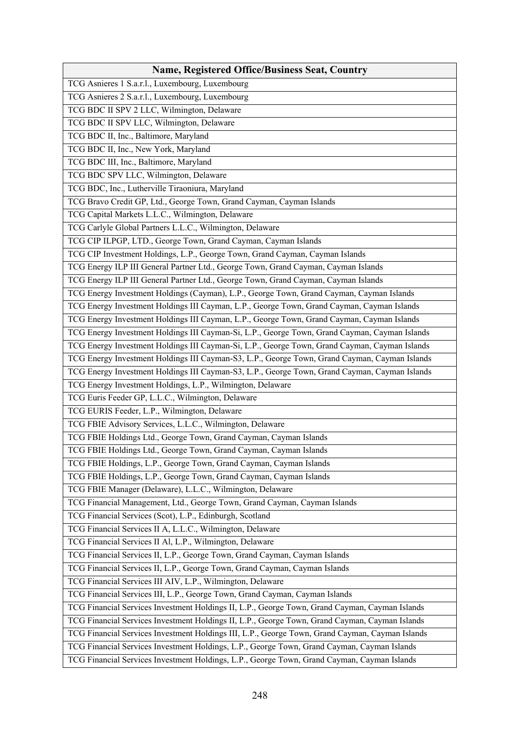| <b>Name, Registered Office/Business Seat, Country</b>                                           |
|-------------------------------------------------------------------------------------------------|
| TCG Asnieres 1 S.a.r.l., Luxembourg, Luxembourg                                                 |
| TCG Asnieres 2 S.a.r.l., Luxembourg, Luxembourg                                                 |
| TCG BDC II SPV 2 LLC, Wilmington, Delaware                                                      |
| TCG BDC II SPV LLC, Wilmington, Delaware                                                        |
| TCG BDC II, Inc., Baltimore, Maryland                                                           |
| TCG BDC II, Inc., New York, Maryland                                                            |
| TCG BDC III, Inc., Baltimore, Maryland                                                          |
| TCG BDC SPV LLC, Wilmington, Delaware                                                           |
| TCG BDC, Inc., Lutherville Tiraoniura, Maryland                                                 |
| TCG Bravo Credit GP, Ltd., George Town, Grand Cayman, Cayman Islands                            |
| TCG Capital Markets L.L.C., Wilmington, Delaware                                                |
| TCG Carlyle Global Partners L.L.C., Wilmington, Delaware                                        |
| TCG CIP ILPGP, LTD., George Town, Grand Cayman, Cayman Islands                                  |
| TCG CIP Investment Holdings, L.P., George Town, Grand Cayman, Cayman Islands                    |
| TCG Energy ILP III General Partner Ltd., George Town, Grand Cayman, Cayman Islands              |
| TCG Energy ILP III General Partner Ltd., George Town, Grand Cayman, Cayman Islands              |
| TCG Energy Investment Holdings (Cayman), L.P., George Town, Grand Cayman, Cayman Islands        |
| TCG Energy Investment Holdings III Cayman, L.P., George Town, Grand Cayman, Cayman Islands      |
| TCG Energy Investment Holdings III Cayman, L.P., George Town, Grand Cayman, Cayman Islands      |
| TCG Energy Investment Holdings III Cayman-Si, L.P., George Town, Grand Cayman, Cayman Islands   |
| TCG Energy Investment Holdings III Cayman-Si, L.P., George Town, Grand Cayman, Cayman Islands   |
| TCG Energy Investment Holdings III Cayman-S3, L.P., George Town, Grand Cayman, Cayman Islands   |
| TCG Energy Investment Holdings III Cayman-S3, L.P., George Town, Grand Cayman, Cayman Islands   |
| TCG Energy Investment Holdings, L.P., Wilmington, Delaware                                      |
| TCG Euris Feeder GP, L.L.C., Wilmington, Delaware                                               |
| TCG EURIS Feeder, L.P., Wilmington, Delaware                                                    |
| TCG FBIE Advisory Services, L.L.C., Wilmington, Delaware                                        |
| TCG FBIE Holdings Ltd., George Town, Grand Cayman, Cayman Islands                               |
| TCG FBIE Holdings Ltd., George Town, Grand Cayman, Cayman Islands                               |
| TCG FBIE Holdings, L.P., George Town, Grand Cayman, Cayman Islands                              |
| TCG FBIE Holdings, L.P., George Town, Grand Cayman, Cayman Islands                              |
| TCG FBIE Manager (Delaware), L.L.C., Wilmington, Delaware                                       |
| TCG Financial Management, Ltd., George Town, Grand Cayman, Cayman Islands                       |
| TCG Financial Services (Scot), L.P., Edinburgh, Scotland                                        |
| TCG Financial Services II A, L.L.C., Wilmington, Delaware                                       |
| TCG Financial Services II Al, L.P., Wilmington, Delaware                                        |
| TCG Financial Services II, L.P., George Town, Grand Cayman, Cayman Islands                      |
| TCG Financial Services II, L.P., George Town, Grand Cayman, Cayman Islands                      |
| TCG Financial Services III AIV, L.P., Wilmington, Delaware                                      |
| TCG Financial Services III, L.P., George Town, Grand Cayman, Cayman Islands                     |
| TCG Financial Services Investment Holdings II, L.P., George Town, Grand Cayman, Cayman Islands  |
| TCG Financial Services Investment Holdings II, L.P., George Town, Grand Cayman, Cayman Islands  |
| TCG Financial Services Investment Holdings III, L.P., George Town, Grand Cayman, Cayman Islands |
| TCG Financial Services Investment Holdings, L.P., George Town, Grand Cayman, Cayman Islands     |
| TCG Financial Services Investment Holdings, L.P., George Town, Grand Cayman, Cayman Islands     |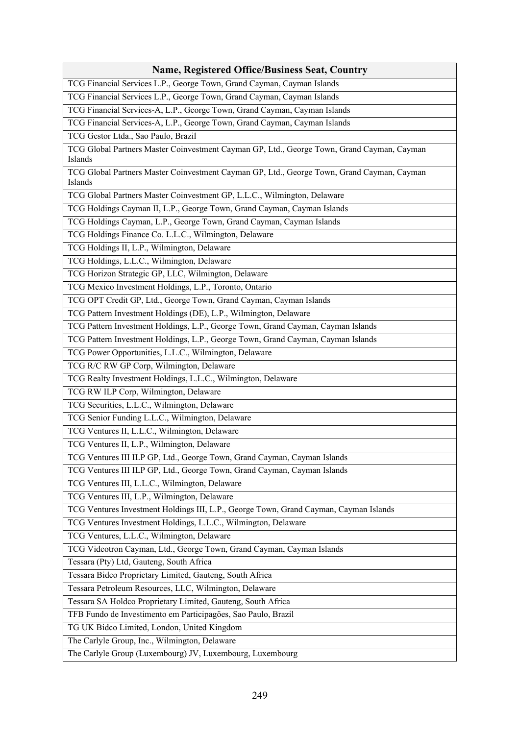| <b>Name, Registered Office/Business Seat, Country</b>                                                 |
|-------------------------------------------------------------------------------------------------------|
| TCG Financial Services L.P., George Town, Grand Cayman, Cayman Islands                                |
| TCG Financial Services L.P., George Town, Grand Cayman, Cayman Islands                                |
| TCG Financial Services-A, L.P., George Town, Grand Cayman, Cayman Islands                             |
| TCG Financial Services-A, L.P., George Town, Grand Cayman, Cayman Islands                             |
| TCG Gestor Ltda., Sao Paulo, Brazil                                                                   |
| TCG Global Partners Master Coinvestment Cayman GP, Ltd., George Town, Grand Cayman, Cayman<br>Islands |
| TCG Global Partners Master Coinvestment Cayman GP, Ltd., George Town, Grand Cayman, Cayman<br>Islands |
| TCG Global Partners Master Coinvestment GP, L.L.C., Wilmington, Delaware                              |
| TCG Holdings Cayman II, L.P., George Town, Grand Cayman, Cayman Islands                               |
| TCG Holdings Cayman, L.P., George Town, Grand Cayman, Cayman Islands                                  |
| TCG Holdings Finance Co. L.L.C., Wilmington, Delaware                                                 |
| TCG Holdings II, L.P., Wilmington, Delaware                                                           |
| TCG Holdings, L.L.C., Wilmington, Delaware                                                            |
| TCG Horizon Strategic GP, LLC, Wilmington, Delaware                                                   |
| TCG Mexico Investment Holdings, L.P., Toronto, Ontario                                                |
| TCG OPT Credit GP, Ltd., George Town, Grand Cayman, Cayman Islands                                    |
| TCG Pattern Investment Holdings (DE), L.P., Wilmington, Delaware                                      |
| TCG Pattern Investment Holdings, L.P., George Town, Grand Cayman, Cayman Islands                      |
| TCG Pattern Investment Holdings, L.P., George Town, Grand Cayman, Cayman Islands                      |
| TCG Power Opportunities, L.L.C., Wilmington, Delaware                                                 |
| TCG R/C RW GP Corp, Wilmington, Delaware                                                              |
| TCG Realty Investment Holdings, L.L.C., Wilmington, Delaware                                          |
| TCG RW ILP Corp, Wilmington, Delaware                                                                 |
| TCG Securities, L.L.C., Wilmington, Delaware                                                          |
| TCG Senior Funding L.L.C., Wilmington, Delaware                                                       |
| TCG Ventures II, L.L.C., Wilmington, Delaware                                                         |
| TCG Ventures II, L.P., Wilmington, Delaware                                                           |
| TCG Ventures III ILP GP, Ltd., George Town, Grand Cayman, Cayman Islands                              |
| TCG Ventures III ILP GP, Ltd., George Town, Grand Cayman, Cayman Islands                              |
| TCG Ventures III, L.L.C., Wilmington, Delaware                                                        |
| TCG Ventures III, L.P., Wilmington, Delaware                                                          |
| TCG Ventures Investment Holdings III, L.P., George Town, Grand Cayman, Cayman Islands                 |
| TCG Ventures Investment Holdings, L.L.C., Wilmington, Delaware                                        |
| TCG Ventures, L.L.C., Wilmington, Delaware                                                            |
| TCG Videotron Cayman, Ltd., George Town, Grand Cayman, Cayman Islands                                 |
| Tessara (Pty) Ltd, Gauteng, South Africa                                                              |
| Tessara Bidco Proprietary Limited, Gauteng, South Africa                                              |
| Tessara Petroleum Resources, LLC, Wilmington, Delaware                                                |
| Tessara SA Holdco Proprietary Limited, Gauteng, South Africa                                          |
| TFB Fundo de Investimento em Participagöes, Sao Paulo, Brazil                                         |
| TG UK Bidco Limited, London, United Kingdom                                                           |
| The Carlyle Group, Inc., Wilmington, Delaware                                                         |
| The Carlyle Group (Luxembourg) JV, Luxembourg, Luxembourg                                             |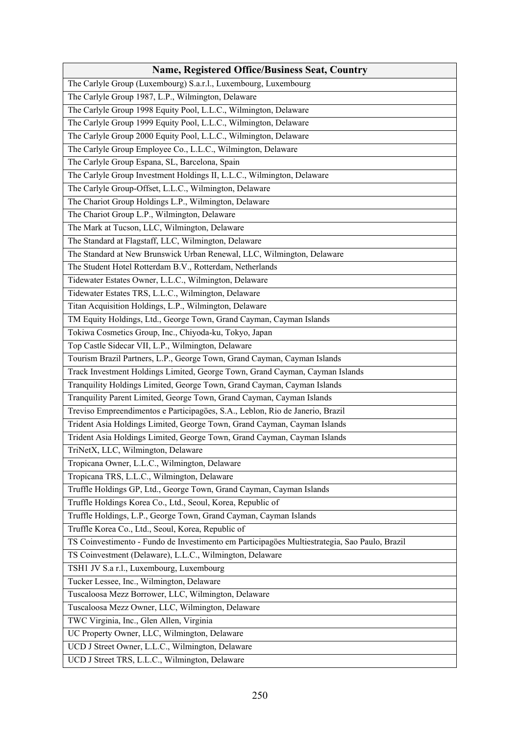| <b>Name, Registered Office/Business Seat, Country</b>                                         |
|-----------------------------------------------------------------------------------------------|
| The Carlyle Group (Luxembourg) S.a.r.l., Luxembourg, Luxembourg                               |
| The Carlyle Group 1987, L.P., Wilmington, Delaware                                            |
| The Carlyle Group 1998 Equity Pool, L.L.C., Wilmington, Delaware                              |
| The Carlyle Group 1999 Equity Pool, L.L.C., Wilmington, Delaware                              |
| The Carlyle Group 2000 Equity Pool, L.L.C., Wilmington, Delaware                              |
| The Carlyle Group Employee Co., L.L.C., Wilmington, Delaware                                  |
| The Carlyle Group Espana, SL, Barcelona, Spain                                                |
| The Carlyle Group Investment Holdings II, L.L.C., Wilmington, Delaware                        |
| The Carlyle Group-Offset, L.L.C., Wilmington, Delaware                                        |
| The Chariot Group Holdings L.P., Wilmington, Delaware                                         |
| The Chariot Group L.P., Wilmington, Delaware                                                  |
| The Mark at Tucson, LLC, Wilmington, Delaware                                                 |
| The Standard at Flagstaff, LLC, Wilmington, Delaware                                          |
| The Standard at New Brunswick Urban Renewal, LLC, Wilmington, Delaware                        |
| The Student Hotel Rotterdam B.V., Rotterdam, Netherlands                                      |
| Tidewater Estates Owner, L.L.C., Wilmington, Delaware                                         |
| Tidewater Estates TRS, L.L.C., Wilmington, Delaware                                           |
| Titan Acquisition Holdings, L.P., Wilmington, Delaware                                        |
| TM Equity Holdings, Ltd., George Town, Grand Cayman, Cayman Islands                           |
| Tokiwa Cosmetics Group, Inc., Chiyoda-ku, Tokyo, Japan                                        |
| Top Castle Sidecar VII, L.P., Wilmington, Delaware                                            |
| Tourism Brazil Partners, L.P., George Town, Grand Cayman, Cayman Islands                      |
| Track Investment Holdings Limited, George Town, Grand Cayman, Cayman Islands                  |
| Tranquility Holdings Limited, George Town, Grand Cayman, Cayman Islands                       |
| Tranquility Parent Limited, George Town, Grand Cayman, Cayman Islands                         |
| Treviso Empreendimentos e Participagões, S.A., Leblon, Rio de Janerio, Brazil                 |
| Trident Asia Holdings Limited, George Town, Grand Cayman, Cayman Islands                      |
| Trident Asia Holdings Limited, George Town, Grand Cayman, Cayman Islands                      |
| TriNetX, LLC, Wilmington, Delaware                                                            |
| Tropicana Owner, L.L.C., Wilmington, Delaware                                                 |
| Tropicana TRS, L.L.C., Wilmington, Delaware                                                   |
| Truffle Holdings GP, Ltd., George Town, Grand Cayman, Cayman Islands                          |
| Truffle Holdings Korea Co., Ltd., Seoul, Korea, Republic of                                   |
| Truffle Holdings, L.P., George Town, Grand Cayman, Cayman Islands                             |
| Truffle Korea Co., Ltd., Seoul, Korea, Republic of                                            |
| TS Coinvestimento - Fundo de Investimento em Participagöes Multiestrategia, Sao Paulo, Brazil |
| TS Coinvestment (Delaware), L.L.C., Wilmington, Delaware                                      |
| TSH1 JV S.a r.l., Luxembourg, Luxembourg                                                      |
| Tucker Lessee, Inc., Wilmington, Delaware                                                     |
| Tuscaloosa Mezz Borrower, LLC, Wilmington, Delaware                                           |
| Tuscaloosa Mezz Owner, LLC, Wilmington, Delaware                                              |
| TWC Virginia, Inc., Glen Allen, Virginia                                                      |
| UC Property Owner, LLC, Wilmington, Delaware                                                  |
| UCD J Street Owner, L.L.C., Wilmington, Delaware                                              |
| UCD J Street TRS, L.L.C., Wilmington, Delaware                                                |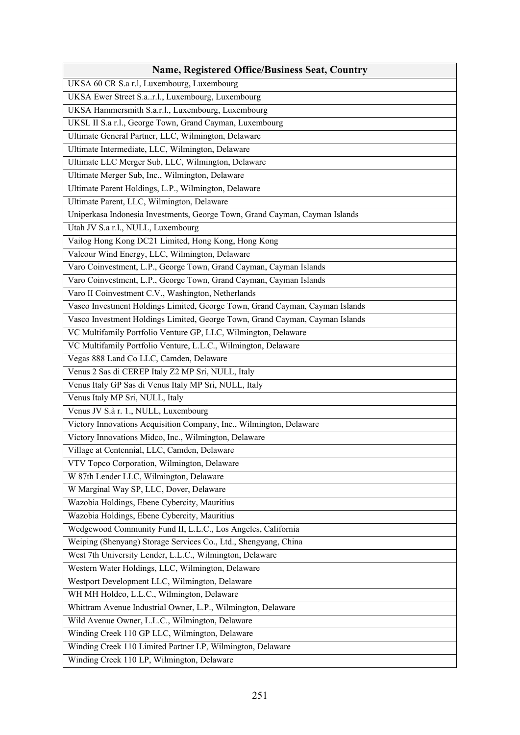| <b>Name, Registered Office/Business Seat, Country</b>                        |
|------------------------------------------------------------------------------|
| UKSA 60 CR S.a r.l, Luxembourg, Luxembourg                                   |
| UKSA Ewer Street S.ar.l., Luxembourg, Luxembourg                             |
| UKSA Hammersmith S.a.r.l., Luxembourg, Luxembourg                            |
| UKSL II S.a r.l., George Town, Grand Cayman, Luxembourg                      |
| Ultimate General Partner, LLC, Wilmington, Delaware                          |
| Ultimate Intermediate, LLC, Wilmington, Delaware                             |
| Ultimate LLC Merger Sub, LLC, Wilmington, Delaware                           |
| Ultimate Merger Sub, Inc., Wilmington, Delaware                              |
| Ultimate Parent Holdings, L.P., Wilmington, Delaware                         |
| Ultimate Parent, LLC, Wilmington, Delaware                                   |
| Uniperkasa Indonesia Investments, George Town, Grand Cayman, Cayman Islands  |
| Utah JV S.a r.l., NULL, Luxembourg                                           |
| Vailog Hong Kong DC21 Limited, Hong Kong, Hong Kong                          |
| Valcour Wind Energy, LLC, Wilmington, Delaware                               |
| Varo Coinvestment, L.P., George Town, Grand Cayman, Cayman Islands           |
| Varo Coinvestment, L.P., George Town, Grand Cayman, Cayman Islands           |
| Varo II Coinvestment C.V., Washington, Netherlands                           |
| Vasco Investment Holdings Limited, George Town, Grand Cayman, Cayman Islands |
| Vasco Investment Holdings Limited, George Town, Grand Cayman, Cayman Islands |
| VC Multifamily Portfolio Venture GP, LLC, Wilmington, Delaware               |
| VC Multifamily Portfolio Venture, L.L.C., Wilmington, Delaware               |
| Vegas 888 Land Co LLC, Camden, Delaware                                      |
| Venus 2 Sas di CEREP Italy Z2 MP Sri, NULL, Italy                            |
| Venus Italy GP Sas di Venus Italy MP Sri, NULL, Italy                        |
| Venus Italy MP Sri, NULL, Italy                                              |
| Venus JV S.à r. 1., NULL, Luxembourg                                         |
| Victory Innovations Acquisition Company, Inc., Wilmington, Delaware          |
| Victory Innovations Midco, Inc., Wilmington, Delaware                        |
| Village at Centennial, LLC, Camden, Delaware                                 |
| VTV Topco Corporation, Wilmington, Delaware                                  |
| W 87th Lender LLC, Wilmington, Delaware                                      |
| W Marginal Way SP, LLC, Dover, Delaware                                      |
| Wazobia Holdings, Ebene Cybercity, Mauritius                                 |
| Wazobia Holdings, Ebene Cybercity, Mauritius                                 |
| Wedgewood Community Fund II, L.L.C., Los Angeles, California                 |
| Weiping (Shenyang) Storage Services Co., Ltd., Shengyang, China              |
| West 7th University Lender, L.L.C., Wilmington, Delaware                     |
| Western Water Holdings, LLC, Wilmington, Delaware                            |
| Westport Development LLC, Wilmington, Delaware                               |
| WH MH Holdco, L.L.C., Wilmington, Delaware                                   |
| Whittram Avenue Industrial Owner, L.P., Wilmington, Delaware                 |
| Wild Avenue Owner, L.L.C., Wilmington, Delaware                              |
| Winding Creek 110 GP LLC, Wilmington, Delaware                               |
| Winding Creek 110 Limited Partner LP, Wilmington, Delaware                   |
| Winding Creek 110 LP, Wilmington, Delaware                                   |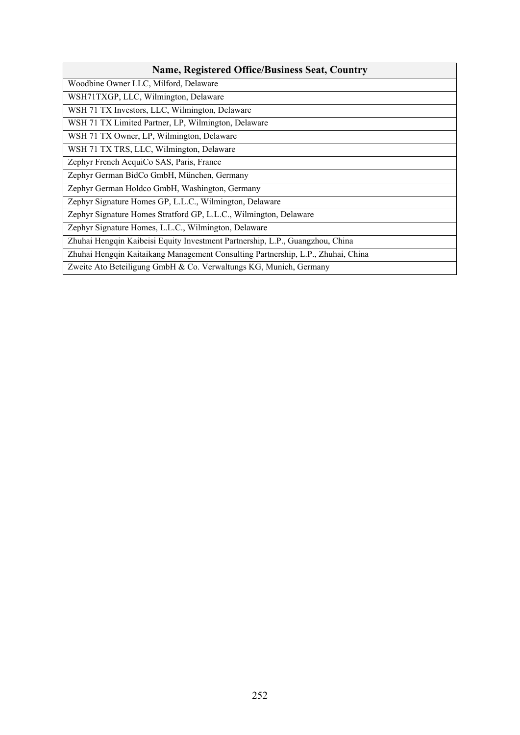| <b>Name, Registered Office/Business Seat, Country</b>                            |
|----------------------------------------------------------------------------------|
| Woodbine Owner LLC, Milford, Delaware                                            |
| WSH71TXGP, LLC, Wilmington, Delaware                                             |
| WSH 71 TX Investors, LLC, Wilmington, Delaware                                   |
| WSH 71 TX Limited Partner, LP, Wilmington, Delaware                              |
| WSH 71 TX Owner, LP, Wilmington, Delaware                                        |
| WSH 71 TX TRS, LLC, Wilmington, Delaware                                         |
| Zephyr French AcquiCo SAS, Paris, France                                         |
| Zephyr German BidCo GmbH, München, Germany                                       |
| Zephyr German Holdco GmbH, Washington, Germany                                   |
| Zephyr Signature Homes GP, L.L.C., Wilmington, Delaware                          |
| Zephyr Signature Homes Stratford GP, L.L.C., Wilmington, Delaware                |
| Zephyr Signature Homes, L.L.C., Wilmington, Delaware                             |
| Zhuhai Hengqin Kaibeisi Equity Investment Partnership, L.P., Guangzhou, China    |
| Zhuhai Hengqin Kaitaikang Management Consulting Partnership, L.P., Zhuhai, China |
| Zweite Ato Beteiligung GmbH & Co. Verwaltungs KG, Munich, Germany                |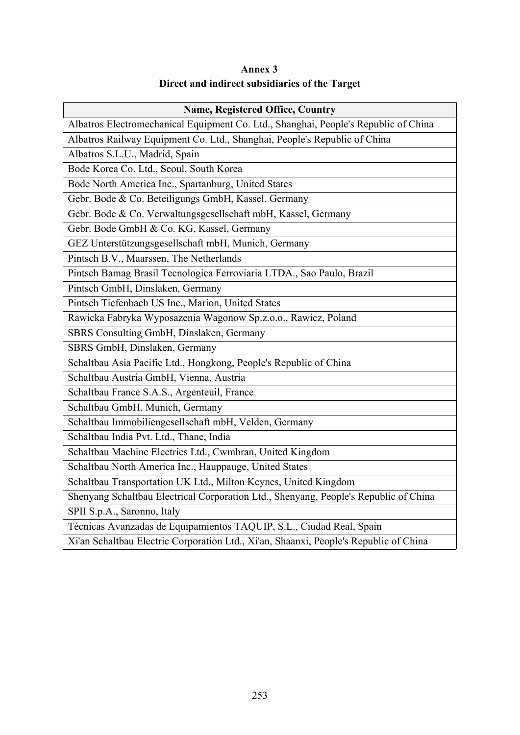## **Annex 3 Direct and indirect subsidiaries of the Target**

| <b>Name, Registered Office, Country</b>                                               |
|---------------------------------------------------------------------------------------|
| Albatros Electromechanical Equipment Co. Ltd., Shanghai, People's Republic of China   |
| Albatros Railway Equipment Co. Ltd., Shanghai, People's Republic of China             |
| Albatros S.L.U., Madrid, Spain                                                        |
| Bode Korea Co. Ltd., Seoul, South Korea                                               |
| Bode North America Inc., Spartanburg, United States                                   |
| Gebr. Bode & Co. Beteiligungs GmbH, Kassel, Germany                                   |
| Gebr. Bode & Co. Verwaltungsgesellschaft mbH, Kassel, Germany                         |
| Gebr. Bode GmbH & Co. KG, Kassel, Germany                                             |
| GEZ Unterstützungsgesellschaft mbH, Munich, Germany                                   |
| Pintsch B.V., Maarssen, The Netherlands                                               |
| Pintsch Bamag Brasil Tecnologica Ferroviaria LTDA., Sao Paulo, Brazil                 |
| Pintsch GmbH, Dinslaken, Germany                                                      |
| Pintsch Tiefenbach US Inc., Marion, United States                                     |
| Rawicka Fabryka Wyposazenia Wagonow Sp.z.o.o., Rawicz, Poland                         |
| SBRS Consulting GmbH, Dinslaken, Germany                                              |
| SBRS GmbH, Dinslaken, Germany                                                         |
| Schaltbau Asia Pacific Ltd., Hongkong, People's Republic of China                     |
| Schaltbau Austria GmbH, Vienna, Austria                                               |
| Schaltbau France S.A.S., Argenteuil, France                                           |
| Schaltbau GmbH, Munich, Germany                                                       |
| Schaltbau Immobiliengesellschaft mbH, Velden, Germany                                 |
| Schaltbau India Pvt. Ltd., Thane, India                                               |
| Schaltbau Machine Electrics Ltd., Cwmbran, United Kingdom                             |
| Schaltbau North America Inc., Hauppauge, United States                                |
| Schaltbau Transportation UK Ltd., Milton Keynes, United Kingdom                       |
| Shenyang Schaltbau Electrical Corporation Ltd., Shenyang, People's Republic of China  |
| SPII S.p.A., Saronno, Italy                                                           |
| Técnicas Avanzadas de Equipamientos TAQUIP, S.L., Ciudad Real, Spain                  |
| Xi'an Schaltbau Electric Corporation Ltd., Xi'an, Shaanxi, People's Republic of China |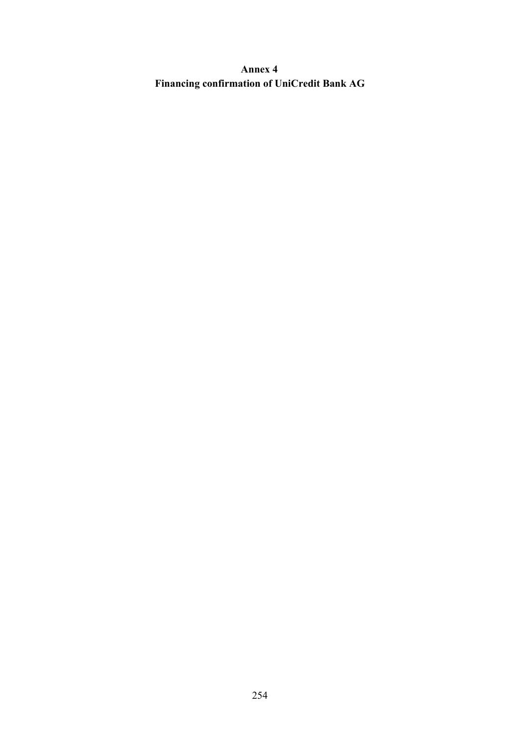**Annex 4 Financing confirmation of UniCredit Bank AG**